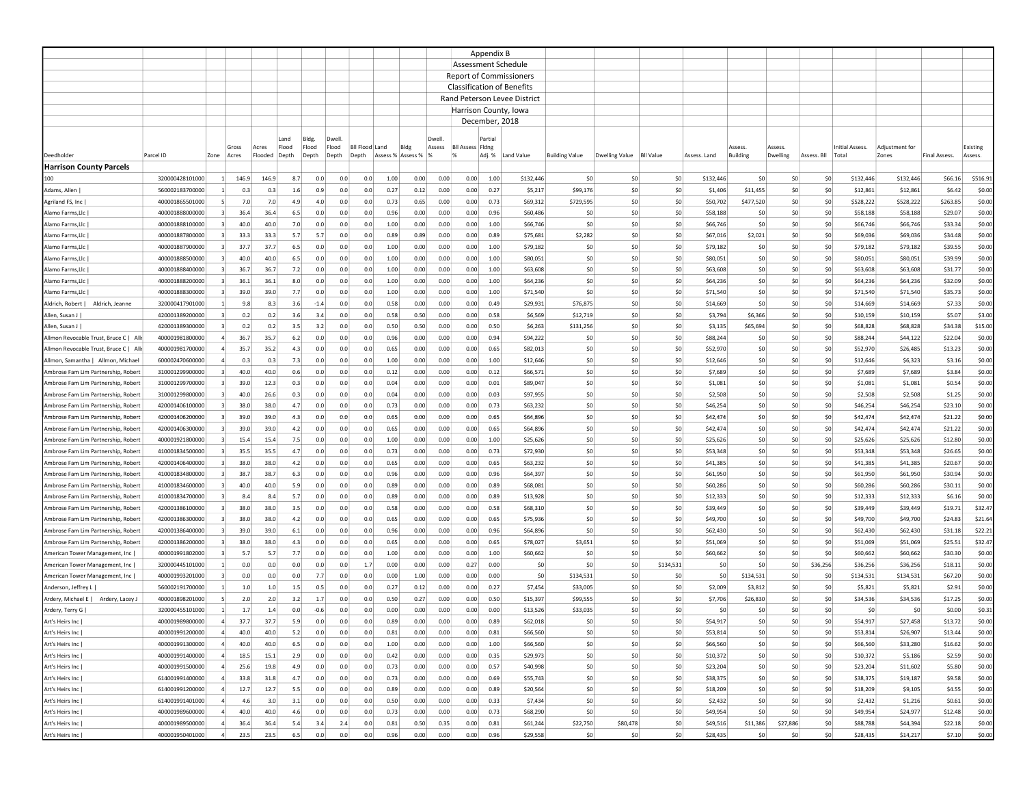|                                                                            |                                    |                         |              |       |                           |                      |            |                |                   |              |                 |                                   | Appendix B     |                                |                       |                          |            |                      |                 |           |             |                      |                      |                    |                  |
|----------------------------------------------------------------------------|------------------------------------|-------------------------|--------------|-------|---------------------------|----------------------|------------|----------------|-------------------|--------------|-----------------|-----------------------------------|----------------|--------------------------------|-----------------------|--------------------------|------------|----------------------|-----------------|-----------|-------------|----------------------|----------------------|--------------------|------------------|
|                                                                            |                                    |                         |              |       |                           |                      |            |                |                   |              |                 | Assessment Schedule               |                |                                |                       |                          |            |                      |                 |           |             |                      |                      |                    |                  |
|                                                                            |                                    |                         |              |       |                           |                      |            |                |                   |              |                 |                                   |                | <b>Report of Commissioners</b> |                       |                          |            |                      |                 |           |             |                      |                      |                    |                  |
|                                                                            |                                    |                         |              |       |                           |                      |            |                |                   |              |                 | <b>Classification of Benefits</b> |                |                                |                       |                          |            |                      |                 |           |             |                      |                      |                    |                  |
|                                                                            |                                    |                         |              |       |                           |                      |            |                |                   |              |                 |                                   |                | Rand Peterson Levee District   |                       |                          |            |                      |                 |           |             |                      |                      |                    |                  |
|                                                                            |                                    |                         |              |       |                           |                      |            |                |                   |              |                 | Harrison County, Iowa             |                |                                |                       |                          |            |                      |                 |           |             |                      |                      |                    |                  |
|                                                                            |                                    |                         |              |       |                           |                      |            |                |                   |              |                 |                                   | December, 2018 |                                |                       |                          |            |                      |                 |           |             |                      |                      |                    |                  |
|                                                                            |                                    |                         |              |       |                           |                      |            |                |                   |              |                 |                                   |                |                                |                       |                          |            |                      |                 |           |             |                      |                      |                    |                  |
|                                                                            |                                    |                         | Gross        | Acres | Land<br>Flood             | <b>Bldg</b><br>Flood | Flood      | Bil Flood Land | Bldg              |              | Dwell<br>Assess | <b>BII Assess Fidng</b>           | Partia         |                                |                       |                          |            |                      | Assess          | Assess    |             | Initial Assess.      | Adiustment fo        |                    | Existing         |
| Deedholdei                                                                 | Parcel ID                          | Zone                    | Acres        |       | Flooded Depth             | Depth                | Depth      | Depth          | Assess % Assess % |              |                 | %                                 |                | Adj. % Land Value              | <b>Building Value</b> | Dwelling Value Bll Value |            | Assess. Land         | <b>Building</b> | Dwelling  | Assess. Bll | Total                | Zones                | Final Assess.      | Assess.          |
| <b>Harrison County Parcels</b>                                             |                                    |                         |              |       |                           |                      |            |                |                   |              |                 |                                   |                |                                |                       |                          |            |                      |                 |           |             |                      |                      |                    |                  |
| 100                                                                        | 320000428101000                    | $\mathbf{1}$            | 146.9        | 146.9 | 8.7                       | 0.0                  | 0.0        | 0.0            | 1.00              | 0.00         | 0.00            | 0.00                              | 1.00           | \$132,446                      | \$0                   | \$0                      | \$0        | \$132,446            | \$0             | \$0       | \$0         | \$132,446            | \$132,446            | \$66.16            | \$516.91         |
| Adams, Allen                                                               | 560002183700000                    | 1                       | 0.3          |       | 0.3<br>1.6                | 0.9                  | 0.0        | 0.0            | 0.27              | 0.12         | 0.00            | 0.00                              | 0.27           | \$5,217                        | \$99,176              | \$0                      | \$0        | \$1,406              | \$11,455        | \$0       | \$0         | \$12,861             | \$12,861             | \$6.42             | \$0.00           |
| Agriland FS, Inc                                                           | 400001865501000                    | 5                       | 7.0          |       | 7.0<br>4.9                | 4.0                  | 0.0        | 0.0            | 0.73              | 0.65         | 0.00            | 0.00                              | 0.73           | \$69,312                       | \$729,595             | \$0                      | \$0        | \$50,702             | \$477,520       | \$0       | \$0         | \$528,222            | \$528,222            | \$263.85           | \$0.00           |
| Alamo Farms, Llc                                                           | 400001888000000                    | 3                       | 36.4         |       | 36.4<br>6.5               | 0.0                  | 0.0        | 0.0            | 0.96              | 0.00         | 0.00            | 0.00                              | 0.96           | \$60,486                       | \$0                   | \$0                      | \$0        | \$58,188             | \$0             | \$0       | \$0         | \$58,188             | \$58,188             | \$29.07            | \$0.00           |
| Alamo Farms, Llc                                                           | 400001888100000                    | 3                       | 40.0         |       | 40.0<br>7.0               | 0.0                  | 0.0        | 0.0            | 1.00              | 0.00         | 0.00            | 0.00                              | 1.00           | \$66,746                       | \$0                   | \$0                      | \$0        | \$66,746             | \$0             | \$0       | \$0         | \$66,746             | \$66,746             | \$33.34            | \$0.00           |
| Alamo Farms, Llc                                                           | 400001887800000                    | 3                       | 33.3         | 33.3  | 5.7                       | 5.7                  | 0.0        | 0.0            | 0.89              | 0.89         | 0.00            | 0.00                              | 0.89           | \$75,681                       | \$2,282               | \$0                      | \$0        | \$67,016             | \$2,021         | \$0       | \$0         | \$69,036             | \$69,036             | \$34.48            | \$0.00           |
| Alamo Farms, Llc                                                           | 400001887900000                    | $\overline{\mathbf{3}}$ | 37.7         | 37.7  | 6.5                       | 0.0                  | 0.0        | 0.0            | 1.00              | 0.00         | 0.00            | 0.00                              | 1.00           | \$79,182                       | \$0                   | \$0                      | \$0        | \$79,182             | \$0             | \$0       | \$0         | \$79,182             | \$79,182             | \$39.55            | \$0.00           |
| Alamo Farms, Llc                                                           | 400001888500000                    | $\overline{3}$          | 40.0         |       | 40.0<br>6.5               | 0.0                  | 0.0        | 0.0            | 1.00              | 0.00         | 0.00            | 0.00                              | 1.00           | \$80,051                       | \$0                   | \$0                      | \$0        | \$80,051             | \$0             | \$0       | \$0         | \$80,051             | \$80,051             | \$39.99            | \$0.00           |
| Alamo Farms, Llc                                                           | 400001888400000                    | 3                       | 36.7         | 36.7  | 7.2                       | 0.0                  | 0.0        | 0.0            | 1.00              | 0.00         | 0.00            | 0.00                              | 1.00           | \$63,608                       | \$0                   | \$0                      | \$0        | \$63,608             | \$0             | \$0       | \$0         | \$63,608             | \$63,608             | \$31.77            | \$0.00           |
| Alamo Farms, Llc                                                           | 400001888200000                    | $\overline{\mathbf{3}}$ | 36.1         |       | 36.1<br>8.0               | 0.0                  | 0.0        | 0.0            | 1.00              | 0.00         | 0.00            | 0.00                              | 1.00           | \$64,236                       | \$0                   | \$0                      | \$0        | \$64,236             | \$0             | \$0       | \$0         | \$64,236             | \$64,236             | \$32.09            | \$0.00           |
| Alamo Farms, Llc                                                           | 400001888300000                    | 3                       | 39.0         |       | 39.0<br>7.7               | 0.0                  | 0.0        | 0.0            | 1.00              | 0.00         | 0.00            | 0.00                              | 1.00           | \$71,540                       | \$0                   | \$0                      | \$0        | \$71,540             | \$0             | \$0       | \$0         | \$71,540             | \$71,540             | \$35.73            | \$0.00           |
| Aldrich, Jeanne<br>Aldrich, Robert                                         | 320000417901000                    | 1                       | 9.8          |       | 8.3<br>3.6                | $-1.4$               | 0.0        | 0.0            | 0.58              | 0.00         | 0.00            | 0.00                              | 0.49           | \$29,931                       | \$76,875              | \$0                      | \$0        | \$14,669             | \$0             | \$0       | S0          | \$14,669             | \$14,669             | \$7.33             | \$0.00           |
| Allen, Susan J                                                             | 420001389200000                    | 3                       | 0.2          |       | 0.2<br>3.6                | 3.4                  | 0.0        | 0.0            | 0.58              | 0.50         | 0.00            | 0.00                              | 0.58           | \$6,569                        | \$12,719              | \$0                      | \$0        | \$3,794              | \$6,366         | \$0       | S0          | \$10,159             | \$10,159             | \$5.07             | \$3.00           |
| Allen, Susan J                                                             | 420001389300000                    | 3                       | 0.2          |       | 0.2<br>3.5                | 3.2                  | 0.0        | 0.0            | 0.50              | 0.50         | 0.00            | 0.00                              | 0.50           | \$6,263                        | \$131,256             | \$0                      | \$0        | \$3,135              | \$65,694        | \$0       | \$0         | \$68,828             | \$68,828             | \$34.38            | \$15.00          |
| Allmon Revocable Trust, Bruce C   Allr                                     | 400001981800000                    |                         | 36.7         | 35.7  | 6.2                       | 0.0                  | 0.0        | 0.0            | 0.96              | 0.00         | 0.00            | 0.00                              | 0.94           | \$94,222                       | \$0                   | \$0                      | \$0        | \$88,244             | \$0             | \$0       | \$0         | \$88,244             | \$44,122             | \$22.04            | \$0.00           |
| Allmon Revocable Trust, Bruce C   Allr                                     | 400001981700000                    |                         | 35.7         |       | 35.2<br>4.3               | 0.0                  | 0.0        | 0.0            | 0.65              | 0.00         | 0.00            | 0.00                              | 0.65           | \$82,013                       | \$0                   | \$0                      | \$0        | \$52,970             | \$0             | \$0       | \$0         | \$52,970             | \$26,485             | \$13.23            | \$0.00           |
| Allmon, Samantha   Allmon, Michael                                         | 600002470600000                    |                         | 0.3          |       | 0.3<br>7.3                | 0.0                  | 0.0        | 0.0            | 1.00              | 0.00         | 0.00            | 0.00                              | 1.00           | \$12,646                       | \$0                   | \$0                      | \$0        | \$12,646             | \$0             | \$0       | \$0         | \$12,646             | \$6,323              | \$3.16             | \$0.00           |
| Ambrose Fam Lim Partnership, Robert                                        | 310001299900000                    | 3                       | 40.0         |       | 40.0<br>0.6               | 0.0                  | 0.0        | 0.0            | 0.12              | 0.00         | 0.00            | 0.00                              | 0.12           | \$66,571                       | \$0                   | \$0                      | \$0        | \$7,689              | \$0             | \$0       | \$0         | \$7,689              | \$7,689              | \$3.84             | \$0.00           |
| Ambrose Fam Lim Partnership, Robert                                        | 310001299700000                    |                         | 39.0         | 12.3  | 0.3                       | 0.0                  | 0.0        | 0.0            | 0.04              | 0.00         | 0.00            | 0.00                              | 0.01           | \$89,047                       | \$0                   | \$0                      | \$0        | \$1,081              | \$0             | \$0       | \$0         | \$1,081              | \$1,081              | \$0.54             | \$0.00           |
| Ambrose Fam Lim Partnership, Robert                                        | 310001299800000                    | $\overline{3}$          | 40.0         | 26.6  | 0.3                       | 0.0                  | 0.0        | 0.0            | 0.04              | 0.00         | 0.00            | 0.00                              | 0.03           | \$97,955                       | \$0                   | \$0                      | \$0        | \$2,508              | \$0             | \$0       | \$0         | \$2,508              | \$2,508              | \$1.25             | \$0.00           |
| Ambrose Fam Lim Partnership, Robert                                        | 420001406100000                    | 3                       | 38.0         |       | 4.7<br>38.0               | 0.0                  | 0.0        | 0.0            | 0.73              | 0.00         | 0.00            | 0.00                              | 0.73           | \$63,232                       | \$0                   | \$0                      | \$0        | \$46,254             | \$0             | 50        | \$0         | \$46,254             | \$46,254             | \$23.10            | \$0.00           |
| Ambrose Fam Lim Partnership, Robert                                        | 420001406200000                    | 3                       | 39.0         |       | 39.0<br>4.3               | 0.0                  | 0.0        | 0.0            | 0.65              | 0.00         | 0.00            | 0.00                              | 0.65           | \$64,896                       | \$0                   | \$0                      | \$0        | \$42,474             | \$0             | \$0       | \$0         | \$42,474             | \$42,474             | \$21.22            | \$0.00           |
| Ambrose Fam Lim Partnership, Robert                                        | 420001406300000                    | 3                       | 39.0         |       | 39.0<br>4.2               | 0.0                  | 0.0        | 0.0            | 0.65              | 0.00         | 0.00            | 0.00                              | 0.65           | \$64,896                       | \$0                   | \$0                      | \$0        | \$42,474             | \$0             | \$0       | \$0         | \$42,474             | \$42,474             | \$21.22            | \$0.00           |
| Ambrose Fam Lim Partnership, Robert                                        | 400001921800000                    |                         | 15.4         |       | 15.4<br>7.5               | 0.0                  | 0.0        | 0.0            | 1.00              | 0.00         | 0.00            | 0.00                              | 1.00           | \$25,626                       | \$0                   | \$0                      | \$0        | \$25,626             | \$0             | \$0       | \$0         | \$25,626             | \$25,626             | \$12.80            | \$0.00           |
| Ambrose Fam Lim Partnership, Rober                                         | 410001834500000                    | 3                       | 35.5<br>38.0 | 38.0  | 35.5<br>4.7<br>4.2        | 0.0<br>0.0           | 0.0<br>0.0 | 0.0<br>0.0     | 0.73<br>0.65      | 0.00<br>0.00 | 0.00<br>0.00    | 0.00<br>0.00                      | 0.73<br>0.65   | \$72,930                       | \$0                   | \$0<br>\$0               | \$0<br>\$0 | \$53,348             | \$0<br>\$0      | \$0<br>50 | \$0<br>\$0  | \$53,348             | \$53,348             | \$26.65<br>\$20.67 | \$0.00<br>\$0.00 |
| Ambrose Fam Lim Partnership, Robert                                        | 420001406400000                    | 3                       | 38.7         | 38.7  |                           | 0.0                  | 0.0        | 0.0            | 0.96              | 0.00         |                 | 0.00                              | 0.96           | \$63,232                       | \$0                   |                          |            | \$41,385             |                 | \$0       | \$0         | \$41,385             | \$41,385             |                    | \$0.00           |
| Ambrose Fam Lim Partnership, Robert                                        | 410001834800000                    |                         |              |       | 6.3                       |                      |            |                |                   |              | 0.00            |                                   |                | \$64,397                       | \$0                   | \$0<br>\$0               | \$0<br>\$0 | \$61,950             | \$0<br>\$0      | \$0       |             | \$61,950             | \$61,950             | \$30.94            |                  |
| Ambrose Fam Lim Partnership, Robert<br>Ambrose Fam Lim Partnership, Robert | 410001834600000<br>410001834700000 |                         | 40.0<br>8.4  |       | 40.0<br>5.9<br>8.4<br>5.7 | 0.0<br>0.0           | 0.0<br>0.0 | 0.0<br>0.0     | 0.89<br>0.89      | 0.00<br>0.00 | 0.00<br>0.00    | 0.00<br>0.00                      | 0.89<br>0.89   | \$68,081<br>\$13,928           | \$0<br>\$0            | \$0                      | \$0        | \$60,286<br>\$12,333 | \$0             | \$0       | \$0<br>\$0  | \$60,286<br>\$12,333 | \$60,286<br>\$12,333 | \$30.11<br>\$6.16  | \$0.00<br>\$0.00 |
| Ambrose Fam Lim Partnership, Robert                                        | 420001386100000                    |                         | 38.0         |       | 38.0<br>3.5               | 0.0                  | 0.0        | 0.0            | 0.58              | 0.00         | 0.00            | 0.00                              | 0.58           | \$68,310                       | \$0                   | \$0                      | \$0        | \$39,449             | \$0             | \$0       | \$0         | \$39,449             | \$39,449             | \$19.71            | \$32.47          |
| Ambrose Fam Lim Partnership, Robert                                        | 420001386300000                    | 3                       | 38.0         |       | 38.0<br>4.2               | 0.0                  | 0.0        | 0.0            | 0.65              | 0.00         | 0.00            | 0.00                              | 0.65           | \$75,936                       | \$0                   | \$0                      | \$0        | \$49,700             | \$0             | \$0       | \$0         | \$49,700             | \$49,700             | \$24.83            | \$21.64          |
| Ambrose Fam Lim Partnership, Robert                                        | 420001386400000                    |                         | 39.0         | 39.0  | 6.1                       | 0.0                  | 0.0        | 0.0            | 0.96              | 0.00         | 0.00            | 0.00                              | 0.96           | \$64,896                       | \$0                   | \$0                      | \$0        | \$62,430             | \$0             | \$0       | \$0         | \$62,430             | \$62,430             | \$31.18            | \$22.21          |
| Ambrose Fam Lim Partnership, Robert                                        | 420001386200000                    | $\overline{3}$          | 38.0         |       | 38.0<br>4.3               | 0.0                  | 0.0        | 0.0            | 0.65              | 0.00         | 0.00            | 0.00                              | 0.65           | \$78,027                       | \$3,651               | \$0                      | \$0        | \$51,069             | \$0             | \$0       | \$0         | \$51,069             | \$51,069             | \$25.51            | \$32.47          |
| American Tower Management, Inc                                             | 400001991802000                    |                         | 5.7          |       | 5.7<br>7.7                | 0.0                  | 0.0        | 0.0            | 1.00              | 0.00         | 0.00            | 0.00                              | 1.00           | \$60,662                       | \$0                   | \$0                      | \$0        | \$60,662             | \$0             | 50        | \$0         | \$60,662             | \$60,662             | \$30.30            | \$0.00           |
| American Tower Management, Inc                                             | 320000445101000                    |                         | 0.0          |       | 0.0<br>0.0                | 0.0                  | 0.0        | 1.7            | 0.00              | 0.00         | 0.00            | 0.27                              | 0.00           | \$0                            | \$0                   | \$0                      | \$134,531  | \$0                  | \$0             | \$0       | \$36,256    | \$36,256             | \$36,256             | \$18.11            | \$0.00           |
| American Tower Management, Inc                                             | 400001993201000                    | 3                       | 0.0          |       | 0.0<br>0.0                | 7.7                  | 0.0        | 0.0            | 0.00              | 1.00         | 0.00            | 0.00                              | 0.00           | \$0                            | \$134,531             | \$0                      | \$0        | \$0                  | \$134,531       | \$0       | \$0         | \$134,531            | \$134,531            | \$67.20            | \$0.00           |
| Anderson, Jeffrey L                                                        | 560002191700000                    | $\mathbf{1}$            | 1.0          |       | 1.0<br>1.5                | 0.5                  | 0.0        | 0.0            | 0.27              | 0.12         | 0.00            | 0.00                              | 0.27           | \$7,454                        | \$33,005              | \$0                      | \$0        | \$2,009              | \$3,812         | SO.       | S0          | \$5,821              | \$5,821              | \$2.91             | \$0.00           |
| Ardery, Michael E   Ardery, Lacey .                                        | 400001898201000                    | 5                       | 2.0          |       | 2.0<br>3.2                | 1.7                  | 0.0        | 0.0            | 0.50              | 0.27         | 0.00            | 0.00                              | 0.50           | \$15,397                       | \$99,555              | \$0                      | \$0        | \$7,706              | \$26,830        | SO.       | \$0         | \$34,536             | \$34,536             | \$17.25            | \$0.00           |
| Ardery, Terry G                                                            | 320000455101000                    |                         | 1.7          |       | 1.4<br>0.0                | $-0.6$               | 0.0        | 0.0            | 0.00              | 0.00         | 0.00            | 0.00                              | 0.00           | \$13,526                       | \$33,035              | \$0                      | \$0        | \$0                  | \$0             | \$0       | \$0         | \$0                  | \$0                  | \$0.00             | \$0.31           |
| Art's Heirs Inc                                                            | 400001989800000                    |                         | 37.7         | 37.7  | 5.9                       | 0.0                  | 0.0        | 0.0            | 0.89              | 0.00         | 0.00            | 0.00                              | 0.89           | \$62,018                       | \$0                   | \$0                      | \$0        | \$54,917             | \$0             | \$0       | \$0         | \$54,917             | \$27,458             | \$13.72            | \$0.00           |
| Art's Heirs Inc                                                            | 400001991200000                    | $\overline{4}$          | 40.0         |       | 40.0<br>5.2               | 0.0                  | 0.0        | 0.0            | 0.81              | 0.00         | 0.00            | 0.00                              | 0.81           | \$66,560                       | \$0                   | \$0                      | \$0        | \$53,814             | \$0             | \$0       | \$0         | \$53,814             | \$26,907             | \$13.44            | \$0.00           |
| Art's Heirs Inc                                                            | 400001991300000                    | $\overline{4}$          | 40.0         |       | 40.0<br>6.5               | 0.0                  | 0.0        | 0.0            | 1.00              | 0.00         | 0.00            | 0.00                              | 1.00           | \$66,560                       | \$0                   | \$0                      | \$0        | \$66,560             | \$0             | \$0       | \$0         | \$66,560             | \$33,280             | \$16.62            | \$0.00           |
| Art's Heirs Inc                                                            | 400001991400000                    | $\overline{a}$          | 18.5         | 15.1  | 2.9                       | 0.0                  | 0.0        | 0.0            | 0.42              | 0.00         | 0.00            | 0.00                              | 0.35           | \$29,973                       | \$0                   | \$0                      | \$0        | \$10,372             | \$0             | \$0       | \$0         | \$10,372             | \$5,186              | \$2.59             | \$0.00           |
| Art's Heirs Inc                                                            | 400001991500000                    | $\overline{a}$          | 25.6         | 19.8  | 4.9                       | 0.0                  | 0.0        | 0.0            | 0.73              | 0.00         | 0.00            | 0.00                              | 0.57           | \$40,998                       | \$0                   | \$0                      | \$0        | \$23,204             | \$0             | \$0       | 50          | \$23,204             | \$11,602             | \$5.80             | \$0.00           |
| Art's Heirs Inc                                                            | 614001991400000                    | $\overline{a}$          | 33.8         | 31.8  | 4.7                       | 0.0                  | 0.0        | 0.0            | 0.73              | 0.00         | 0.00            | 0.00                              | 0.69           | \$55,743                       | \$0                   | \$0                      | \$0        | \$38,375             | \$0             | \$0       | \$0         | \$38,375             | \$19,187             | \$9.58             | \$0.00           |
| Art's Heirs Inc                                                            | 614001991200000                    | $\overline{4}$          | 12.7         | 12.7  | 5.5                       | 0.0                  | 0.0        | 0.0            | 0.89              | 0.00         | 0.00            | 0.00                              | 0.89           | \$20,564                       | \$0                   | \$0                      | \$0        | \$18,209             | \$0             | 50        | 50          | \$18,209             | \$9,105              | \$4.55             | \$0.00           |
| Art's Heirs Inc                                                            | 614001991401000                    | $\sim$                  | 4.6          |       | 3.0<br>3.1                | 0.0                  | 0.0        | 0.0            | 0.50              | 0.00         | 0.00            | 0.00                              | 0.33           | \$7,434                        | \$0                   | \$0                      | 50         | \$2,432              | \$0             | \$0       | 50          | \$2,432              | \$1,216              | \$0.61             | \$0.00           |
| Art's Heirs Inc                                                            | 400001989600000                    | $\overline{4}$          | 40.0         |       | 40.0<br>4.6               | 0.0                  | 0.0        | 0.0            | 0.73              | 0.00         | 0.00            | 0.00                              | 0.73           | \$68,290                       | \$0                   | \$0                      | 50         | \$49,954             | \$0             | \$0       | \$0         | \$49,954             | \$24,977             | \$12.48            | \$0.00           |
| Art's Heirs Inc                                                            | 400001989500000                    | $\overline{a}$          | 36.4         |       | 36.4<br>5.4               | 3.4                  | 2.4        | 0.0            | 0.81              | 0.50         | 0.35            | 0.00                              | 0.81           | \$61,244                       | \$22,750              | \$80,478                 | 50         | \$49,516             | \$11,386        | \$27,886  | \$0         | \$88,788             | \$44,394             | \$22.18            | \$0.00           |
| Art's Heirs Inc                                                            | 400001950401000                    | $\overline{a}$          | 23.5         |       | 23.5<br>6.5               | 0.0                  | 0.0        | 0.0            | 0.96              | 0.00         | 0.00            | 0.00                              | 0.96           | \$29,558                       | \$0                   | \$0                      | \$0        | \$28,435             | \$0             | 50        | 50          | \$28,435             | \$14,217             | \$7.10             | \$0.00           |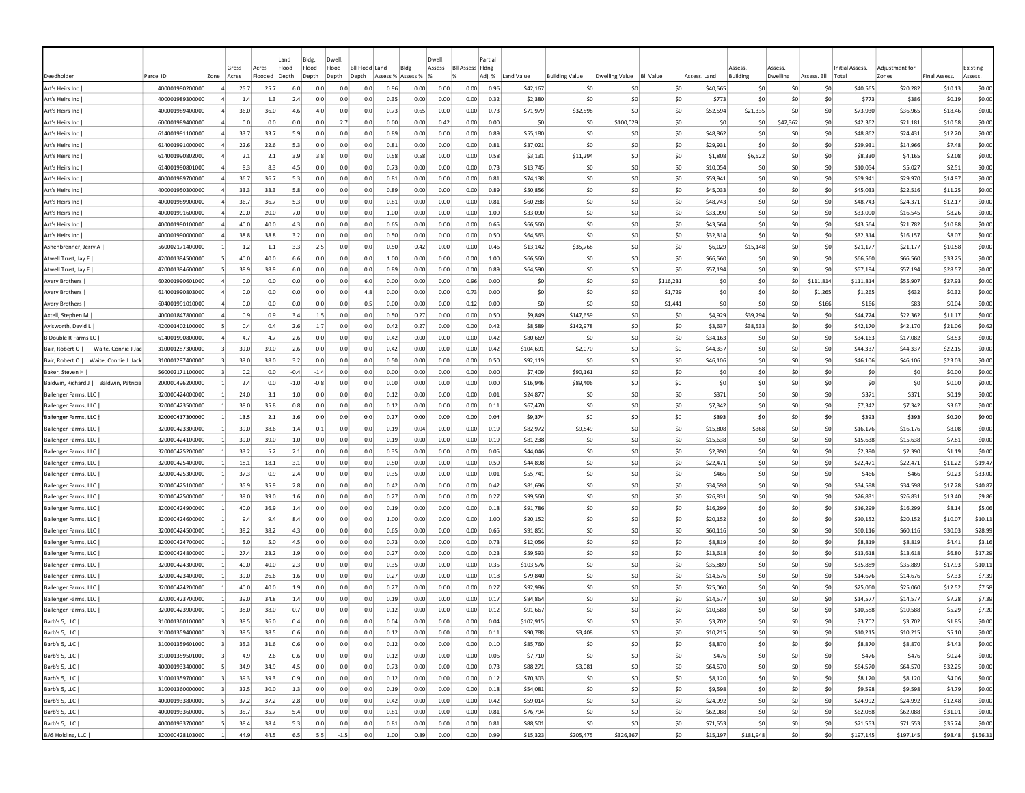| Deedholder                                | Parcel ID       | Zone                    | Gross<br>Acres                  | Land<br>Flood<br>Acres<br>Flooded<br>Depth | Bldg.<br>Flood<br>Depth |      | Dwell<br>Flood<br>Depth | Bil Flood Land<br>Depth | Bldg<br>Assess % Assess % |      | Dwell<br>Assess | <b>BII Assess Fidne</b> | Partia<br>Adj. % | Land Value | <b>Building Value</b> | Dwelling Value  | <b>BII Value</b> | Assess. Land   | Assess<br><b>Building</b> | Asspss<br>Dwelling | Assess. Bll     | Initial Assess.<br>Total | Adiustment for<br>Zones | <b>Final Assess</b> | Existing<br>Assess. |
|-------------------------------------------|-----------------|-------------------------|---------------------------------|--------------------------------------------|-------------------------|------|-------------------------|-------------------------|---------------------------|------|-----------------|-------------------------|------------------|------------|-----------------------|-----------------|------------------|----------------|---------------------------|--------------------|-----------------|--------------------------|-------------------------|---------------------|---------------------|
| Art's Heirs Inc                           | 400001990200000 | $\overline{4}$          | 25.7                            | 25.7                                       | 6.0                     | 0.0  | 0.0                     | 0.0                     | 0.96                      | 0.00 | 0.00            | 0.00                    | 0.96             | \$42,167   | \$C                   | -SC             | \$0              | \$40,565       | \$0                       | \$0                | \$0             | \$40,565                 | \$20,282                | \$10.13             | \$0.00              |
| Art's Heirs Inc                           | 400001989300000 |                         | 1.4                             | 1.3                                        | 2.4                     | 0.0  | 0.0                     | 0.0                     | 0.35                      | 0.00 | 0.00            | 0.00                    | 0.32             | \$2,380    | \$0                   | \$0             | \$0              | \$773          | \$0                       | \$C                | \$0             | \$773                    | \$386                   | \$0.19              | \$0.00              |
| Art's Heirs Inc                           | 400001989400000 |                         | 36.0                            | 36.0                                       | 4.6                     | 4.0  | 0.0                     | 0.0                     | 0.73                      | 0.65 | 0.00            | 0.00                    | 0.73             | \$71,979   | \$32,598              | \$0             | \$0              | \$52,594       | \$21,335                  | \$0                | \$0             | \$73,930                 | \$36,965                | \$18.46             | \$0.00              |
| Art's Heirs Inc                           | 600001989400000 |                         | 0.0                             | 0.0                                        | 0.0                     | 0.0  | 2.7                     | 0.0                     | 0.00                      | 0.00 | 0.42            | 0.00                    | 0.00             | S0         | \$C                   | \$100,029       | \$0              | S <sub>0</sub> | S0                        | \$42,362           | \$0             | \$42,362                 | \$21,181                | \$10.58             | \$0.00              |
| Art's Heirs Inc                           | 614001991100000 |                         | 33.7                            | 33.7                                       | 5.9                     | 0.0  | 0.0                     | 0.0                     | 0.89                      | 0.00 | 0.00            | 0.00                    | 0.89             | \$55,180   | \$C                   | S0              | \$0              | \$48,862       | <b>SC</b>                 | \$C                | \$0             | \$48,862                 | \$24,431                | \$12.20             | \$0.00              |
| Art's Heirs Inc                           | 614001991000000 |                         | 22.6                            | 22.6                                       | 5.3                     | 0.0  | 0.0                     | 0.0                     | 0.81                      | 0.00 | 0.00            | 0.00                    | 0.81             | \$37,021   | \$0                   | \$0             | \$0              | \$29,931       | \$C                       | \$C                | \$0             | \$29,931                 | \$14,966                | \$7.48              | \$0.00              |
| Art's Heirs Inc                           | 614001990802000 | $\overline{a}$          | 2.1                             | 2.1                                        | 3.9                     | 3.8  | 0.0                     | 0.0                     | 0.58                      | 0.58 | 0.00            | 0.00                    | 0.58             | \$3,131    | \$11,294              | \$0             | \$0              | \$1,808        | \$6,522                   | \$0                | \$0             | \$8,330                  | \$4,165                 | \$2.08              | \$0.00              |
| Art's Heirs Inc                           | 614001990801000 | $\overline{a}$          | 8.3                             | 8.3                                        | 4.5                     | 0.0  | 0.0                     | 0.0                     | 0.73                      | 0.00 | 0.00            | 0.00                    | 0.73             | \$13,745   | \$C                   | \$0             | \$0              | \$10,054       | \$C                       | \$0                | \$0             | \$10,054                 | \$5,027                 | \$2.51              | \$0.00              |
| Art's Heirs Inc                           | 400001989700000 | 4                       | 36.7                            | 36.7                                       | 5.3                     | 0.0  | 0.0                     | 0.0                     | 0.81                      | 0.00 | 0.00            | 0.00                    | 0.81             | \$74,138   | \$C                   | S0              | \$0              | \$59,941       | S0                        | \$0                | \$0             | \$59,941                 | \$29,970                | \$14.97             | \$0.00              |
| Art's Heirs Inc                           | 400001950300000 | 4                       | 33.3                            | 33.3                                       | 5.8                     | 0.0  | 0.0                     | 0.0                     | 0.89                      | 0.00 | 0.00            | 0.00                    | 0.89             | \$50,856   | \$0                   | S0              | \$0              | \$45,033       | S0                        | \$0                | \$0             | \$45,033                 | \$22,516                | \$11.25             | \$0.00              |
| Art's Heirs Inc                           | 400001989900000 |                         | 36.7                            | 36.7                                       | 5.3                     | 0.0  | 0.0                     | 0.0                     | 0.81                      | 0.00 | 0.00            | 0.00                    | 0.81             | \$60,288   | \$0                   | S0              | \$0              | \$48.743       | \$0                       | \$0                | \$0             | \$48,743                 | \$24,371                | \$12.17             | \$0.00              |
| Art's Heirs Inc                           | 400001991600000 |                         | 20.0                            | 20.0                                       | 7.0                     | 0.0  | 0.0                     | 0.0                     | 1.00                      | 0.00 | 0.00            | 0.00                    | 1.00             | \$33,090   | \$0                   | \$0             | \$0              | \$33,090       | \$0                       | \$C                | \$0             | \$33,090                 | \$16,545                | \$8.26              | \$0.00              |
| Art's Heirs Inc                           | 400001990100000 |                         | 40.0                            | 40.0                                       | 4.3                     | 0.0  | 0.0                     | 0.0                     | 0.65                      | 0.00 | 0.00            | 0.00                    | 0.65             | \$66,560   | \$C                   | \$0             | \$0              | \$43,564       | \$0                       | \$C                | \$0             | \$43,564                 | \$21,782                | \$10.88             | \$0.00              |
| Art's Heirs Inc                           | 400001990000000 |                         | 38.8                            | 38.8                                       | 3.2                     | 0.0  | 0.0                     | 0.0                     | 0.50                      | 0.00 | 0.00            | 0.00                    | 0.50             | \$64,563   | \$0                   | \$0             | \$0              | \$32,314       | \$0                       | \$0                | \$0             | \$32,314                 | \$16,157                | \$8.07              | \$0.00              |
| Ashenbrenner, Jerry A                     | 560002171400000 |                         | 1.2                             | 1.1                                        | 3.3                     | 2.5  | 0.0                     | 0.0                     | 0.50                      | 0.42 | 0.00            | 0.00                    | 0.46             | \$13,142   | \$35,768              | S0              | \$0              | \$6,029        | \$15,148                  | -SO                | \$0             | \$21,177                 | \$21,177                | \$10.58             | \$0.00              |
| Atwell Trust, Jay F                       | 420001384500000 |                         | 40.0                            | 40.0                                       | 6.6                     | 0.0  | 0.0                     | 0.0                     | 1.00                      | 0.00 | 0.00            | 0.00                    | 1.00             | \$66,560   | \$C                   | S0              | \$0              | \$66,560       | -SC                       | \$0                | \$0             | \$66,560                 | \$66,560                | \$33.25             | \$0.00              |
| Atwell Trust, Jay F                       | 420001384600000 | -51                     | 38.9                            | 38.9                                       | 6.0                     | 0.0  | 0.0                     | 0.0                     | 0.89                      | 0.00 | 0.00            | 0.00                    | 0.89             | \$64,590   | \$0                   | \$0             | \$0              | \$57,194       | \$0                       | \$0                | \$0             | \$57,194                 | \$57,194                | \$28.57             | \$0.00              |
| Avery Brothers                            | 602001990601000 |                         | 0.0                             | 0.0                                        | 0.0                     | 0.0  | 0.0                     | 6.0                     | 0.00                      | 0.00 | 0.00            | 0.96                    | 0.00             | \$0        | \$C                   | \$0             | \$116,231        | \$0            | \$0                       | \$0                | \$111,814       | \$111,814                | \$55,907                | \$27.93             | \$0.00              |
| Avery Brothers                            | 614001990803000 |                         | 0.0                             | 0.0                                        | 0.0                     | 0.0  | 0.0                     | 4.8                     | 0.00                      | 0.00 | 0.00            | 0.73                    | 0.00             | \$0        | \$C                   | \$0             | \$1,729          | \$0            | \$C                       | \$C                | \$1,265         | \$1,265                  | \$632                   | \$0.32              | \$0.00              |
| Avery Brothers                            | 604001991010000 |                         | 0.0                             | 0.0                                        | 0.0                     | 0.0  | 0.0                     | 0.5                     | 0.00                      | 0.00 | 0.00            | 0.12                    | 0.00             | \$0        | \$0                   | \$0             | \$1,441          | \$0            | \$0                       | \$0                | \$166           | \$166                    | \$83                    | \$0.04              | \$0.00              |
| Axtell, Stephen M                         | 400001847800000 | 4                       | 0.9                             | 0.9                                        | 3.4                     | 1.5  | 0.0                     | 0.0                     | 0.50                      | 0.27 | 0.00            | 0.00                    | 0.50             | \$9,849    | \$147,659             | S0              | \$0              | \$4,929        | \$39,794                  | \$0                | S0              | \$44,724                 | \$22,362                | \$11.17             | \$0.00              |
| Aylsworth, David L                        | 420001402100000 | -5.                     | 0.4                             | 0.4                                        | 2.6                     | 1.7  | 0.0                     | 0.0                     | 0.42                      | 0.27 | 0.00            | 0.00                    | 0.42             | \$8,589    | \$142,978             | S <sub>0</sub>  | \$0              | \$3,637        | \$38,533                  | S0                 | S0              | \$42,170                 | \$42,170                | \$21.06             | \$0.62              |
| B Double R Farms LC                       | 614001990800000 | 4                       | 4.7                             | 4.7                                        | 2.6                     | 0.0  | 0.0                     | 0.0                     | 0.42                      | 0.00 | 0.00            | 0.00                    | 0.42             | \$80,669   | \$0                   | S0              | S0               | \$34,163       | S0                        | \$0                | \$0             | \$34,163                 | \$17,082                | \$8.53              | \$0.00              |
| Waite, Connie J Jac<br>Bair, Robert O I   | 310001287300000 |                         | 39.0                            | 39.0                                       | 2.6                     | 0.0  | 0.0                     | 0.0                     | 0.42                      | 0.00 | 0.00            | 0.00                    | 0.42             | \$104.691  | \$2,070               | S <sub>0</sub>  | \$0              | \$44.337       | \$0                       | \$0                | \$0             | \$44,337                 | \$44,337                | \$22.15             | \$0.00              |
| Bair, Robert O   Waite, Connie J Jack     | 310001287400000 | 3                       | 38.0                            | 38.0                                       | 3.2                     | 0.0  | 0.0                     | 0.0                     | 0.50                      | 0.00 | 0.00            | 0.00                    | 0.50             | \$92,119   | \$C                   | \$0             | \$0              | \$46,106       | \$0                       | \$C                | \$0             | \$46,106                 | \$46,106                | \$23.03             | \$0.00              |
| Baker, Steven H                           | 560002171100000 |                         | 0.2                             | 0.0                                        | $-0.4$                  | -1.4 | 0.0                     | 0.0                     | 0.00                      | 0.00 | 0.00            | 0.00                    | 0.00             | \$7,409    | \$90,161              | \$0             | \$0              | \$0            | \$0                       | \$0                | \$0             | \$0                      | \$0                     | \$0.00              | \$0.00              |
| Baldwin, Richard J  <br>Baldwin, Patricia | 200000496200000 |                         | 2.4                             | 0.0                                        | $-1.0$                  | -0.8 | 0.0                     | 0.0                     | 0.00                      | 0.00 | 0.00            | 0.00                    | 0.00             | \$16,946   | \$89,406              | \$0             | \$0              | \$0            | \$0                       | \$0                | \$0             | \$0                      | \$0                     | \$0.00              | \$0.00              |
| Ballenger Farms, LLC                      | 320000424000000 |                         | 24.0                            | 3.1                                        | 1.0                     | 0.0  | 0.0                     | 0.0                     | 0.12                      | 0.00 | 0.00            | 0.00                    | 0.01             | \$24,877   | \$C                   | \$0             | \$0              | \$371          | \$0                       | \$0                | \$0             | \$371                    | \$371                   | \$0.19              | \$0.00              |
| Ballenger Farms, LLC                      | 320000423500000 | $\vert$ 1               | 38.0                            | 35.8                                       | 0.8                     | 0.0  | 0.0                     | 0.0                     | 0.12                      | 0.00 | 0.00            | 0.00                    | 0.11             | \$67,470   | \$0                   | S0              | \$0              | \$7,342        | \$0                       | \$0                | \$0             | \$7,342                  | \$7,342                 | \$3.67              | \$0.00              |
| Ballenger Farms, LLC                      | 320000417300000 | $\uparrow$              | 13.5                            | 2.1                                        | 1.6                     | 0.0  | 0.0                     | 0.0                     | 0.27                      | 0.00 | 0.00            | 0.00                    | 0.04             | \$9,374    | \$0                   | \$0             | \$0              | \$393          | \$0                       | \$0                | \$0             | \$393                    | \$393                   | \$0.20              | \$0.00              |
| Ballenger Farms, LLC                      | 320000423300000 |                         | 39.0                            | 38.6                                       | 1.4                     | 0.1  | 0.0                     | 0.0                     | 0.19                      | 0.04 | 0.00            | 0.00                    | 0.19             | \$82,972   | \$9,549               | \$0             | \$0              | \$15,808       | \$368                     | \$0                | \$0             | \$16,176                 | \$16,176                | \$8.08              | \$0.00              |
| Ballenger Farms, LLC                      | 320000424100000 | $\mathbf{1}$            | 39.0                            | 39.0                                       | 1.0                     | 0.0  | 0.0                     | 0.0                     | 0.19                      | 0.00 | 0.00            | 0.00                    | 0.19             | \$81,238   | \$C                   | \$0             | \$0              | \$15,638       | \$C                       | \$C                | \$0             | \$15,638                 | \$15,638                | \$7.81              | \$0.00              |
| Ballenger Farms, LLC                      | 320000425200000 | $\mathbf{1}$            | 33.2                            | 5.2                                        | 2.1                     | 0.0  | 0.0                     | 0.0                     | 0.35                      | 0.00 | 0.00            | 0.00                    | 0.05             | \$44,046   | \$C                   | \$0             | \$0              | \$2,390        | \$0                       | \$0                | \$0             | \$2,390                  | \$2,390                 | \$1.19              | \$0.00              |
| Ballenger Farms, LLC                      | 320000425400000 | $\vert$ 1               | 18.1                            | 18.1                                       | 3.1                     | 0.0  | 0.0                     | 0.0                     | 0.50                      | 0.00 | 0.00            | 0.00                    | 0.50             | \$44,898   | \$0                   | S0              | SO.              | \$22,471       | \$0                       | \$0                | S0              | \$22,471                 | \$22,471                | \$11.22             | \$19.47             |
| Ballenger Farms, LLC                      | 320000425300000 | -11                     | 37.3                            | 0.9                                        | 2.4                     | 0.0  | 0.0                     | 0.0                     | 0.35                      | 0.00 | 0.00            | 0.00                    | 0.01             | \$55,741   | <b>SC</b>             | S0              | \$0              | \$466          | <b>SC</b>                 | \$0                | \$0             | \$466                    | \$466                   | \$0.23              | \$33.00             |
| Ballenger Farms, LLC                      | 320000425100000 |                         | 35.9                            | 35.9                                       | 2.8                     | 0.0  | 0.0                     | 0.0                     | 0.42                      | 0.00 | 0.00            | 0.00                    | 0.42             | \$81,696   | \$0                   | S0              | \$0              | \$34,598       | S0                        | \$0                | \$0             | \$34,598                 | \$34,598                | \$17.28             | \$40.87             |
| Ballenger Farms, LLC                      | 320000425000000 |                         | 39.0                            | 39.0                                       | 1.6                     | 0.0  | 0.0                     | 0.0                     | 0.27                      | 0.00 | 0.00            | 0.00                    | 0.27             | \$99,560   | \$0                   | S0              | \$0              | \$26,831       | S0                        | \$0                | \$0             | \$26,831                 | \$26,831                | \$13.40             | \$9.86              |
| Ballenger Farms, LLC                      | 320000424900000 |                         | 40.0                            | 36.9                                       | 1.4                     | 0.0  | 0.0                     | 0.0                     | 0.19                      | 0.00 | 0.00            | 0.00                    | 0.18             | \$91,786   | \$0                   | \$0             | \$0              | \$16,299       | \$0                       | \$C                | \$0             | \$16,299                 | \$16,299                | \$8.14              | \$5.06              |
| Ballenger Farms, LLC                      | 320000424600000 |                         | 9.4                             | 9.4                                        | 8.4                     | 0.0  | 0.0                     | 0.0                     | 1.00                      | 0.00 | 0.00            | 0.00                    | 1.00             | \$20,152   | \$C                   | \$0             | \$0              | \$20,152       | \$0                       | \$0                | \$0             | \$20,152                 | \$20,152                | \$10.07             | \$10.11             |
| Ballenger Farms, LLC                      | 320000424500000 |                         | 38.2                            | 38.2                                       | 4.3                     | 0.0  | 0.0                     | 0.0                     | 0.65                      | 0.00 | 0.00            | 0.00                    | 0.65             | \$91,851   | \$C                   | \$0             | \$0              | \$60,116       | \$0                       | \$0                | \$0             | \$60,116                 | \$60,116                | \$30.03             | \$28.99             |
| Ballenger Farms, LLC                      | 320000424700000 |                         | 5.0                             | 5.0                                        | 4.5                     | 0.0  | 0.0                     | 0.0                     | 0.73                      | 0.00 | 0.00            | 0.00                    | 0.73             | \$12,056   | \$0                   | S0              | \$0              | \$8,819        | \$0                       | \$0                | \$0             | \$8,819                  | \$8,819                 | \$4.41              | \$3.16              |
| Ballenger Farms, LLC                      | 320000424800000 | $\vert$ 1               | 27.4                            | 23.2                                       | 1.9                     | 0.0  | 0.0                     | 0.0                     | 0.27                      | 0.00 | 0.00            | 0.00                    | 0.23             | \$59,593   | \$0                   | S0              | \$0              | \$13,618       | S0                        | \$0                | \$0             | \$13,618                 | \$13,618                | \$6.80              | \$17.29             |
| Ballenger Farms, LLC                      | 320000424300000 |                         | 40.0                            | 40.0                                       | 2.3                     | 0.0  | 0.0                     | 0.0                     | 0.35                      | 0.00 | 0.00            | 0.00                    | 0.35             | \$103,576  | \$0                   | S0              | \$0              | \$35,889       | S0                        | \$C                | \$0             | \$35,889                 | \$35,889                | \$17.93             | \$10.11             |
| Ballenger Farms, LLC                      | 320000423400000 | $\mathbf{1}$            | 39.0                            | 26.6                                       | 1.6                     | 0.0  | 0.0                     | 0.0                     | 0.27                      | 0.00 | 0.00            | 0.00                    | 0.18             | \$79,840   | \$C                   | \$0             | \$0              | \$14,676       | \$C                       | \$C                | \$0             | \$14,676                 | \$14,676                | \$7.33              | \$7.39              |
| Ballenger Farms, LLC                      | 320000424200000 |                         | 40.0                            | 40.0                                       | 1.9                     | 0.0  | 0.0                     | 0.0                     | 0.27                      | 0.00 | 0.00            | 0.00                    | 0.27             | \$92,986   | \$0                   | \$0             | \$0              | \$25,060       | \$0                       | \$0                | \$0             | \$25,060                 | \$25,060                | \$12.52             | \$7.58              |
| Ballenger Farms, LLC                      | 320000423700000 |                         | 39.0                            | 34.8                                       | 1.4                     | 0.0  | 0.0                     | 0.0                     | 0.19                      | 0.00 | 0.00            | 0.00                    | 0.1              | \$84,864   | \$C                   | \$0             | \$0              | \$14,577       | <b>SC</b>                 | so                 | -SO             | \$14,577                 | \$14,577                | \$7.28              | \$7.39              |
| Ballenger Farms, LLC                      | 320000423900000 |                         | 38.0                            | 38.0                                       | 0.7                     | 0.0  | 0.0                     | 0.0                     | 0.12                      | 0.00 | 0.00            | 0.00                    | 0.12             | \$91,667   | <b>SC</b>             | -SO             | \$0              | \$10,588       | S0                        | S0                 | S0              | \$10,588                 | \$10,588                | \$5.29              | \$7.20              |
| Barb's 5, LLC                             | 310001360100000 |                         | 38.5                            | 36.0                                       | 0.4                     | 0.0  | 0.0                     | 0.0                     | 0.04                      | 0.00 | 0.00            | 0.00                    | 0.04             | \$102,915  | \$0                   | S <sub>0</sub>  | \$0              | \$3,702        | S0                        | \$0                | \$0             | \$3,702                  | \$3,702                 | \$1.85              | \$0.00              |
| Barb's 5, LLC                             | 310001359400000 | $\overline{\mathbf{3}}$ | 39.5                            | 38.5                                       | 0.6                     | 0.0  | 0.0                     | 0.0                     | 0.12                      | 0.00 | 0.00            | 0.00                    | 0.11             | \$90,788   | \$3,408               | 50 <sub>1</sub> | \$0              | \$10,215       | 50                        | 50                 | \$0             | \$10,215                 | \$10,215                | \$5.10              | \$0.00              |
| Barb's 5, LLC                             | 310001359601000 |                         | $\overline{\mathbf{3}}$<br>35.3 | 31.6                                       | 0.6                     | 0.0  | 0.0                     | 0.0                     | 0.12                      | 0.00 | 0.00            | 0.00                    | 0.10             | \$85,760   | \$0                   | 50              | \$0              | \$8,870        | \$0                       | 50                 | \$0             | \$8,870                  | \$8,870                 | \$4.43              | \$0.00              |
| Barb's 5, LLC                             | 310001359501000 | $\overline{\mathbf{3}}$ | 4.9                             | 2.6                                        | 0.6                     | 0.0  | 0.0                     | 0.0                     | 0.12                      | 0.00 | 0.00            | 0.00                    | 0.06             | \$7,710    | \$0                   | \$0             | \$0              | \$476          | \$0                       | \$0                | \$0             | \$476                    | \$476                   | \$0.24              | \$0.00              |
| Barb's 5, LLC                             | 400001933400000 |                         | 5 <sup>1</sup><br>34.9          | 34.9                                       | 4.5                     | 0.0  | 0.0                     | 0.0                     | 0.73                      | 0.00 | 0.00            | 0.00                    | 0.73             | \$88,271   | \$3,081               | 50              | \$0              | \$64,570       | \$0                       | 50                 | \$0             | \$64,570                 | \$64,570                | \$32.25             | \$0.00              |
| Barb's 5, LLC                             | 310001359700000 | $\overline{3}$          | 39.3                            | 39.3                                       | 0.9                     | 0.0  | 0.0                     | 0.0                     | 0.12                      | 0.00 | 0.00            | 0.00 0.12               |                  | \$70,303   | \$0                   | 50              | \$0              | \$8,120        | \$0                       | 50                 | \$0             | \$8,120                  | \$8,120                 | \$4.06              | \$0.00              |
| Barb's 5, LLC                             | 310001360000000 | $\overline{\mathbf{3}}$ | 32.5                            | 30.0                                       | 1.3                     | 0.0  | 0.0                     | 0.0                     | 0.19                      | 0.00 | 0.00            | 0.00                    | 0.18             | \$54,081   | \$0                   | \$0             | \$0              | \$9,598        | \$0                       | 50                 | \$0             | \$9,598                  | \$9,598                 | \$4.79              | \$0.00              |
| Barb's 5, LLC                             | 400001933800000 |                         | 5 <sup>1</sup><br>37.2          | 37.2                                       | 2.8                     | 0.0  | 0.0                     | 0.0                     | 0.42                      | 0.00 | 0.00            | 0.00 0.42               |                  | \$59,014   | \$0                   | \$0             | \$0              | \$24,992       | \$0                       | 50                 | 50              | \$24,992                 | \$24,992                | \$12.48             | \$0.00              |
| Barb's 5, LLC                             | 400001933600000 |                         | 5 <sup>1</sup><br>35.7          | 35.7                                       | 5.4                     | 0.0  | 0.0                     | 0.0                     | 0.81                      | 0.00 | 0.00            | 0.00                    | 0.81             | \$76,794   | \$0                   | 50              | 50               | \$62,088       | \$0                       | \$0                | \$0             | \$62,088                 | \$62,088                | \$31.01             | \$0.00              |
| Barb's 5, LLC                             | 400001933700000 |                         | 38.4<br>-5                      | 38.4                                       | 5.3                     | 0.0  | 0.0                     | 0.0                     | 0.81                      | 0.00 | 0.00            | 0.00                    | 0.81             | \$88,501   | \$0                   | \$0             | \$0              | \$71,553       | \$0                       | \$0                | \$0             | \$71,553                 | \$71,553                | \$35.74             | \$0.00              |
| BAS Holding, LLC                          | 320000428103000 | $\mathbf{1}$            | 44.9                            | 44.5                                       | 6.5                     | 5.5  | $-1.5$                  | 0.0                     | 1.00                      | 0.89 | 0.00            | 0.00                    | 0.99             | \$15,323   | \$205,475             | \$326,367       | 50               | \$15,197       | \$181,948                 | 50                 | 50 <sub>2</sub> | \$197,145                | \$197,145               |                     | \$98.48 \$156.31    |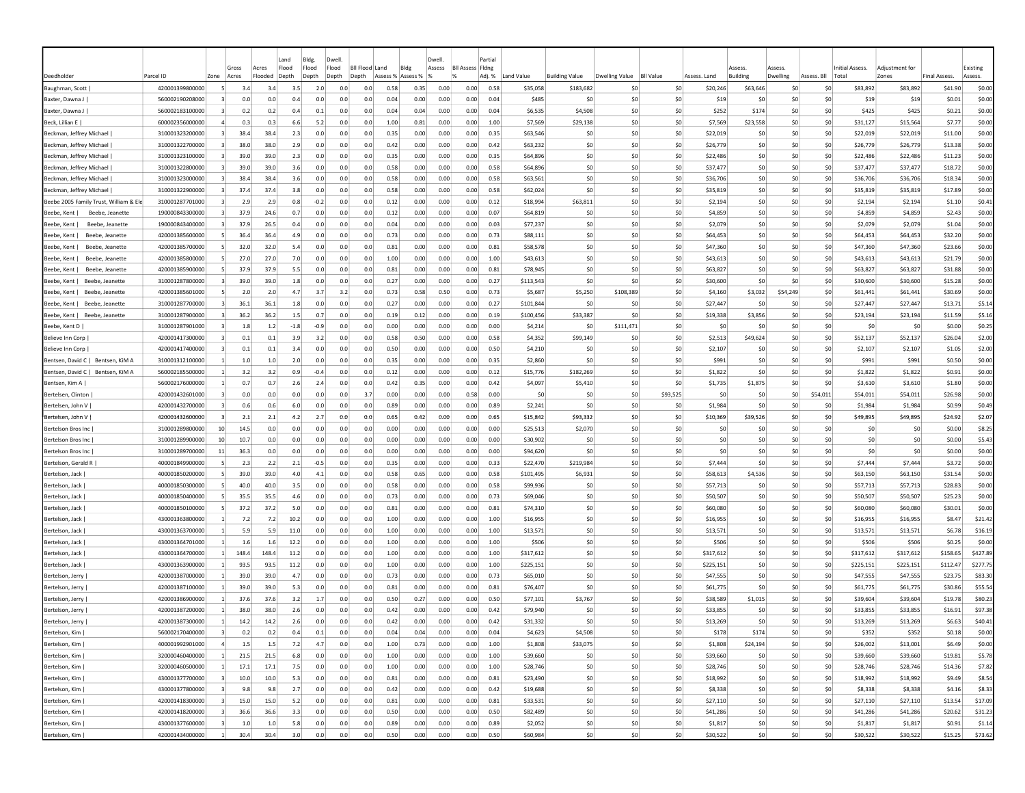|                                        |                                    |                                           | Gross        | Acres   | Land<br>Flood | Bldg.<br>Flood | Dwell<br>Flood | <b>Bll Flood Land</b> | Bldg              |              | Dwell<br>Assess | <b>BII Assess Fidne</b> | Partia       |                      |                       |                |                  |                      | Assess          | Assess   |                 | Initial Assess.      | Adiustment for       |                     | Existing           |
|----------------------------------------|------------------------------------|-------------------------------------------|--------------|---------|---------------|----------------|----------------|-----------------------|-------------------|--------------|-----------------|-------------------------|--------------|----------------------|-----------------------|----------------|------------------|----------------------|-----------------|----------|-----------------|----------------------|----------------------|---------------------|--------------------|
| Deedholder                             | Parcel ID                          | Zone                                      | Acres        | Flooded | Depth         | Depth          | Depth          | Depth                 | Assess % Assess % |              |                 | $\frac{9}{6}$           | Adj. %       | Land Value           | <b>Building Value</b> | Dwelling Value | <b>BII Value</b> | Assess. Land         | <b>Building</b> | Dwelling | Assess. Bll     | Total                | Zones                | <b>Final Assess</b> | Assess.            |
| Baughman, Scott                        | 420001399800000                    |                                           | 3.4          | 3.4     | 3.5           | 2.0            | 0.0            | 0.0                   | 0.58              | 0.35         | 0.00            | 0.00                    | 0.58         | \$35,058             | \$183,682             | S0             | \$0              | \$20,246             | \$63,646        | \$C      | \$0             | \$83,892             | \$83,892             | \$41.90             | \$0.00             |
| Baxter, Dawna J                        | 560002190208000                    |                                           | 0.0          | 0.0     | 0.4           | 0.0            | 0.0            | 0.0                   | 0.04              | 0.00         | 0.00            | 0.00                    | 0.04         | \$485                | \$0                   | \$0            | \$0              | \$19                 | \$0             | \$C      | \$0             | \$19                 | \$19                 | \$0.01              | \$0.00             |
| Baxter, Dawna J                        | 560002183100000                    |                                           | 0.2          | 0.2     | 0.4           | 0.1            | 0.0            | 0.0                   | 0.04              | 0.04         | 0.00            | 0.00                    | 0.04         | \$6,535              | \$4,508               | \$0            | \$0              | \$252                | \$174           | \$0      | \$0             | \$425                | \$425                | \$0.21              | \$0.00             |
| Beck, Lillian E                        | 600002356000000                    |                                           | 0.3          | 0.3     | 6.6           | 5.2            | 0.0            | 0.0                   | 1.00              | 0.81         | 0.00            | 0.00                    | 1.00         | \$7,569              | \$29,138              | S0             | \$0              | \$7,569              | \$23,558        | -SO      | \$0             | \$31,127             | \$15,564             | \$7.77              | \$0.00             |
| Beckman, Jeffrey Michael               | 310001323200000                    | $\vert$ 3                                 | 38.4         | 38.4    | 2.3           | 0.0            | 0.0            | 0.0                   | 0.35              | 0.00         | 0.00            | 0.00                    | 0.35         | \$63,546             | \$0                   | S0             | \$0              | \$22,019             | S0              | -SO      | \$0             | \$22,019             | \$22,019             | \$11.00             | \$0.00             |
| Beckman, Jeffrey Michael               | 310001322700000                    | $\vert$ 3                                 | 38.0         | 38.0    | 2.9           | 0.0            | 0.0            | 0.0                   | 0.42              | 0.00         | 0.00            | 0.00                    | 0.42         | \$63,232             | \$0                   | S0             | \$0              | \$26,779             | \$0             | \$0      | \$0             | \$26,779             | \$26,779             | \$13.38             | \$0.00             |
| Beckman, Jeffrey Michael               | 310001323100000                    | $\overline{\mathbf{3}}$                   | 39.0         | 39.0    | 2.3           | 0.0            | 0.0            | 0.0                   | 0.35              | 0.00         | 0.00            | 0.00                    | 0.35         | \$64,896             | \$0                   | \$0            | \$0              | \$22,486             | \$0             | \$0      | \$0             | \$22,486             | \$22,486             | \$11.23             | \$0.00             |
| Beckman, Jeffrey Michael               | 310001322800000                    |                                           | 39.0         | 39.0    | 3.6           | 0.0            | 0.0            | 0.0                   | 0.58              | 0.00         | 0.00            | 0.00                    | 0.58         | \$64,896             | \$0                   | \$0            | \$0              | \$37,477             | \$0             | \$0      | \$0             | \$37,477             | \$37,477             | \$18.72             | \$0.00             |
| Beckman, Jeffrey Michael               | 310001323000000                    | -3                                        | 38.4         | 38.4    | 3.6           | 0.0            | 0.0            | 0.0                   | 0.58              | 0.00         | 0.00            | 0.00                    | 0.58         | \$63,561             | \$0                   | S0             | S0               | \$36,706             | S0              | \$0      | S0              | \$36,706             | \$36,706             | \$18.34             | \$0.00             |
| Beckman, Jeffrey Michael               | 310001322900000                    | -31                                       | 37.4         | 37.4    | 3.8           | 0.0            | 0.0            | 0.0                   | 0.58              | 0.00         | 0.00            | 0.00                    | 0.58         | \$62,024             | \$0                   | S0             | S0               | \$35,819             | S0              | \$0      | \$0             | \$35,819             | \$35,819             | \$17.89             | \$0.00             |
| Beebe 2005 Family Trust, William & Ele | 310001287701000                    |                                           | 2.9          | 2.9     | 0.8           | $-0.2$         | 0.0            | 0.0                   | 0.12              | 0.00         | 0.00            | 0.00                    | 0.12         | \$18,994             | \$63,811              | S0             | \$0              | \$2,194              | \$0             | \$0      | \$0             | \$2,194              | \$2,194              | \$1.10              | \$0.41             |
| Beebe, Kent  <br>Beebe, Jeanette       | 190000843300000                    |                                           | 37.9         | 24.6    | 0.7           | 0.0            | 0.0            | 0.0                   | 0.12              | 0.00         | 0.00            | 0.00                    | 0.07         | \$64,819             | \$0                   | \$0            | \$0              | \$4,859              | \$0             | \$0      | \$0             | \$4,859              | \$4,859              | \$2.43              | \$0.00             |
| Beebe, Kent  <br>Beebe, Jeanette       | 190000843400000                    |                                           | 37.9         | 26.5    | 0.4           | 0.0            | 0.0            | 0.0                   | 0.04              | 0.00         | 0.00            | 0.00                    | 0.03         | \$77,237             | \$0                   | \$0            | \$0              | \$2,079              | \$0             | \$C      | \$0             | \$2,079              | \$2,079              | \$1.04              | \$0.00             |
| Beebe, Kent  <br>Beebe, Jeanette       | 420001385600000                    | -51                                       | 36.4         | 36.4    | 4.9           | 0.0            | 0.0            | 0.0                   | 0.73              | 0.00         | 0.00            | 0.00                    | 0.73         | \$88,111             | \$0                   | \$0            | \$0              | \$64,453             | \$0             | \$0      | \$0             | \$64,453             | \$64,453             | \$32.20             | \$0.00             |
| Beebe, Kent  <br>Beebe, Jeanette       | 420001385700000                    | -51                                       | 32.0         | 32.0    | 5.4           | 0.0            | 0.0            | 0.0                   | 0.81              | 0.00         | 0.00            | 0.00                    | 0.81         | \$58,578             | \$0                   | \$0            | \$0              | \$47,360             | \$0             | \$0      | \$0             | \$47,360             | \$47,360             | \$23.66             | \$0.00             |
| Beebe, Kent  <br>Beebe, Jeanette       | 420001385800000                    |                                           | 27.0         | 27.0    | 7.0           | 0.0            | 0.0            | 0.0                   | 1.00              | 0.00         | 0.00            | 0.00                    | 1.00         | \$43,613             | \$0                   | \$0            | \$0              | \$43,613             | \$0             | \$0      | \$0             | \$43,613             | \$43,613             | \$21.79             | \$0.00             |
| Beebe, Kent<br>Beebe, Jeanette         | 420001385900000                    | -5                                        | 37.9         | 37.9    | 5.5           | 0.0            | 0.0            | 0.0                   | 0.81              | 0.00         | 0.00            | 0.00                    | 0.81         | \$78,945             | \$0                   | \$0            | \$0              | \$63,827             | \$0             | \$0      | \$0             | \$63,827             | \$63,827             | \$31.88             | \$0.00             |
| Beebe, Kent  <br>Beebe, Jeanette       | 310001287800000                    | $\vert$ 3                                 | 39.0         | 39.0    | 1.8           | 0.0            | 0.0            | 0.0                   | 0.27              | 0.00         | 0.00            | 0.00                    | 0.27         | \$113,543            | \$0                   | \$0            | \$0              | \$30,600             | \$0             | \$0      | \$0             | \$30,600             | \$30,600             | \$15.28             | \$0.00             |
| Beebe, Kent  <br>Beebe, Jeanette       | 420001385601000                    |                                           | 2.0          | 2.0     | 4.7           | 3.7            | 3.2            | 0.0                   | 0.73              | 0.58         | 0.50            | 0.00                    | 0.73         | \$5,687              | \$5,250               | \$108,389      | \$0              | \$4,160              | \$3,032         | \$54,249 | \$0             | \$61,441             | \$61,441             | \$30.69             | \$0.00             |
| Beebe, Kent  <br>Beebe, Jeanette       | 310001287700000                    | 3                                         | 36.1         | 36.1    | 1.8           | 0.0            | 0.0            | 0.0                   | 0.27              | 0.00         | 0.00            | 0.00                    | 0.27         | \$101,844            | \$0                   | \$0            | \$0              | \$27,447             | \$0             | \$0      | \$0             | \$27,447             | \$27,447             | \$13.71             | \$5.14             |
| Beebe, Kent<br>Beebe, Jeanette         | 310001287900000                    | -3                                        | 36.2         | 36.2    | 1.5           | 0.7            | 0.0            | 0.0                   | 0.19              | 0.12         | 0.00            | 0.00                    | 0.19         | \$100,456            | \$33,387              | S0             | \$0              | \$19,338             | \$3,856         | \$0      | S0              | \$23,194             | \$23,194             | \$11.59             | \$5.16             |
| Beebe, Kent D                          | 310001287901000                    | -3                                        | 1.8          | 1.2     | $-1.8$        | -0.9           | 0.0            | 0.0                   | 0.00              | 0.00         | 0.00            | 0.00                    | 0.00         | \$4,214              | \$0                   | \$111,471      | \$0              | S0                   | S0              | S0       | S0              | - \$0                | \$0                  | \$0.00              | \$0.25             |
| Believe Inn Corp                       | 420001417300000                    | -3                                        | 0.1          | 0.1     | 3.9           | 3.2            | 0.0            | 0.0                   | 0.58              | 0.50         | 0.00            | 0.00                    | 0.58         | \$4,352              | \$99,149              | \$0            | 50               | \$2,513              | \$49,624        | \$0      | \$0             | \$52,137             | \$52,137             | \$26.04             | \$2.00             |
| Believe Inn Corp                       | 420001417400000                    |                                           | 0.1          | 0.1     | 3.4           | 0.0            | 0.0            | 0.0                   | 0.50              | 0.00         | 0.00            | 0.00                    | 0.50         | \$4,210              | \$0                   | \$0            | \$0              | \$2.107              | -SO             | \$0      | \$0             | \$2,107              | \$2,107              | \$1.05              | \$2.00             |
| Bentsen, David C   Bentsen, KiM A      | 310001312100000                    |                                           | 1.0          | 1.0     | 2.0           | 0.0            | 0.0            | 0.0                   | 0.35              | 0.00         | 0.00            | 0.00                    | 0.35         | \$2,860              | \$0                   | \$0            | \$0              | \$991                | \$0             | \$C      | \$0             | \$991                | \$991                | \$0.50              | \$0.00             |
| Bentsen, David C  <br>Bentsen, KiM A   | 560002185500000                    |                                           | 3.2          | 3.2     | 0.9           | -0.4           | 0.0            | 0.0                   | 0.12              | 0.00         | 0.00            | 0.00                    | 0.12         | \$15,776             | \$182,269             | \$0            | \$0              | \$1,822              | \$0             | \$0      | \$0             | \$1,822              | \$1,822              | \$0.91              | \$0.00             |
| Bentsen, Kim A                         | 560002176000000                    |                                           | 0.7          | 0.7     | 2.6           | 2.4            | 0.0            | 0.0                   | 0.42              | 0.35         | 0.00            | 0.00                    | 0.42         | \$4,097              | \$5,410               | \$0            | \$0              | \$1,735              | \$1,875         | \$0      | \$0             | \$3,610              | \$3,610              | \$1.80              | \$0.00             |
| Bertelsen, Clinton                     | 420001432601000                    |                                           | 0.0          | 0.0     | 0.0           | 0.0            | 0.0            | 3.7                   | 0.00              | 0.00         | 0.00            | 0.58                    | 0.00         | \$0                  | \$0                   | \$0            | \$93,525         | \$0                  | \$0             | \$0      | \$54,011        | \$54,011             | \$54,011             | \$26.98             | \$0.00             |
| Bertelsen, John V                      | 420001432700000                    |                                           | 0.6          | 0.6     | 6.0           | 0.0            | 0.0            | 0.0                   | 0.89              | 0.00         | 0.00            | 0.00                    | 0.89         | \$2,241              | \$0                   | \$0            | \$0              | \$1,984              | \$0             | \$0      | S0              | \$1,984              | \$1,984              | \$0.99              | \$0.49             |
| Bertelsen, John V                      | 420001432600000                    | 3                                         | 2.1          | 2.1     | 4.2           | 2.7            | 0.0            | 0.0                   | 0.65              | 0.42         | 0.00            | 0.00                    | 0.65         | \$15,842             | \$93.332              | \$0            | \$0              | \$10,369             | \$39,526        | \$0      | \$0             | \$49,895             | \$49,895             | \$24.92             | \$2.07             |
| Bertelson Bros Inc                     | 310001289800000                    | 10                                        | 14.5         | 0.0     | 0.0           | 0.0            | 0.0            | 0.0                   | 0.00              | 0.00         | 0.00            | 0.00                    | 0.00         | \$25,513             | \$2,070               | \$0            | \$0              | \$C                  | S0              | \$0      | \$0             | \$0                  | \$0                  | \$0.00              | \$8.25             |
| Bertelson Bros Inc                     | 310001289900000                    | 10                                        | 10.7         | 0.0     | 0.0           | 0.0            | 0.0            | 0.0                   | 0.00              | 0.00         | 0.00            | 0.00                    | 0.00         | \$30,902             | \$0                   | \$0            | \$0              | \$0                  | \$0             | \$C      | \$0             | \$0                  | \$0                  | \$0.00              | \$5.43             |
| Bertelson Bros Inc                     | 310001289700000                    | 11                                        | 36.3         | 0.0     | 0.0           | 0.0            | 0.0            | 0.0                   | 0.00              | 0.00         | 0.00            | 0.00                    | 0.00         | \$94,620             | \$0                   | \$0            | \$0              | \$0                  | \$0             | \$0      | \$0             | \$0                  | \$0                  | \$0.00              | \$0.00             |
| Bertelson, Gerald R                    | 400001849900000                    | -51                                       | 2.3          | 2.2     | 2.1           | -0.5           | 0.0            | 0.0                   | 0.35              | 0.00         | 0.00            | 0.00                    | 0.33         | \$22,470             | \$219,984             | S0             | 50               | \$7,444              | S0              | S0       | \$0             | \$7,444              | \$7,444              | \$3.72              | \$0.00             |
| Bertelson, Jack                        | 400001850200000                    | -5                                        | 39.0         | 39.0    | 4.0           | 4.1            | 0.0            | 0.0                   | 0.58              | 0.65         | 0.00            | 0.00                    | 0.58         | \$101,495            | \$6,931               | S0             | \$0              | \$58,613             | \$4,536         | \$0      | \$0             | \$63,150             | \$63,150             | \$31.54             | \$0.00             |
| Bertelson, Jack                        | 400001850300000                    | -5                                        | 40.0         | 40.0    | 3.5           | 0.0            | 0.0            | 0.0                   | 0.58              | 0.00         | 0.00            | 0.00                    | 0.58         | \$99,936             | \$0                   | S0             | S0               | \$57,713             | S0              | \$0      | \$0             | \$57,713             | \$57,713             | \$28.83             | \$0.00             |
|                                        | 400001850400000                    |                                           | 35.5         | 35.5    | 4.6           | 0.0            | 0.0            | 0.0                   | 0.73              | 0.00         | 0.00            | 0.00                    | 0.73         | \$69,046             | \$0                   | S0             | \$0              | \$50,507             | S0              | \$0      | \$0             | \$50,507             | \$50,507             | \$25.23             | \$0.00             |
| Bertelson, Jack<br>Bertelson, Jack     | 400001850100000                    |                                           | 37.2         | 37.2    | 5.0           | 0.0            | 0.0            | 0.0                   | 0.81              | 0.00         | 0.00            | 0.00                    | 0.81         | \$74,310             | \$0                   | \$0            | \$0              | \$60,080             | \$0             | \$0      | \$0             | \$60,080             | \$60,080             | \$30.01             | \$0.00             |
| Bertelson, Jack                        | 430001363800000                    |                                           | 7.2          | 7.2     | 10.2          | 0.0            | 0.0            | 0.0                   | 1.00              | 0.00         | 0.00            | 0.00                    | 1.00         | \$16,955             | \$0                   | \$0            | \$0              | \$16,955             | \$0             | \$0      | \$0             | \$16,955             | \$16,955             | \$8.47              | \$21.42            |
|                                        | 430001363700000                    |                                           | 5.9          | 5.9     | 11.0          | 0.0            | 0.0            | 0.0                   | 1.00              | 0.00         | 0.00            | 0.00                    | 1.00         | \$13,571             | \$0                   | \$0            | \$0              | \$13,571             | \$0             | \$C      | \$0             | \$13,571             | \$13,571             | \$6.78              | \$16.19            |
| Bertelson, Jack                        | 430001364701000                    |                                           | 1.6          | 1.6     | 12.2          | 0.0            | 0.0            | 0.0                   | 1.00              | 0.00         | 0.00            | 0.00                    | 1.00         | \$506                | \$0                   | S0             | \$0              | \$506                | \$0             | -SO      | \$0             | \$506                | \$506                | \$0.25              | \$0.00             |
| Bertelson, Jack<br>Bertelson, Jack     | 430001364700000                    | -11                                       | 148.4        | 148.4   | 11.2          | 0.0            | 0.0            | 0.0                   | 1.00              | 0.00         | 0.00            | 0.00                    | 1.00         | \$317.612            | \$0                   | S0             | \$0              | \$317,612            | S0              | -SO      | \$0             | \$317,612            | \$317,612            | \$158.65            | \$427.89           |
|                                        | 430001363900000                    |                                           | 93.5         | 93.5    | 11.2          | 0.0            | 0.0            | 0.0                   | 1.00              | 0.00         | 0.00            | 0.00                    | 1.00         | \$225,151            | \$0                   | \$0            | \$0              | \$225.151            | \$0             | \$0      | \$0             | \$225,151            | \$225,151            | \$112.47            | \$277.75           |
| Bertelson, Jack<br>Bertelson, Jerry    | 420001387000000                    |                                           | 39.0         | 39.0    | 4.7           | 0.0            | 0.0            | 0.0                   | 0.73              | 0.00         | 0.00            | 0.00                    | 0.73         | \$65,010             | \$0                   | \$0            | \$0              | \$47,555             | \$0             | \$0      | \$0             | \$47,555             | \$47,555             | \$23.75             | \$83.30            |
|                                        | 420001387100000                    |                                           | 39.0         | 39.0    | 5.3           | 0.0            | 0.0            | 0.0                   | 0.81              | 0.00         | 0.00            | 0.00                    | 0.81         | \$76,407             | \$0                   | \$0            | \$0              | \$61,775             | \$0             | \$0      | \$0             | \$61,775             | \$61,775             | \$30.86             | \$55.54            |
| Bertelson, Jerry                       |                                    |                                           |              | 37.6    |               | 1.7            |                | 0.0                   |                   |              |                 |                         |              |                      |                       |                |                  |                      |                 | S0       | S0              |                      |                      |                     |                    |
| Bertelson, Jerry                       | 420001386900000                    |                                           | 37.6<br>38.0 | 38.0    | 3.2<br>2.6    | 0.0            | 0.0<br>0.0     | 0.0                   | 0.50<br>0.42      | 0.27<br>0.00 | 0.00<br>0.00    | 0.00                    | 0.50<br>0.42 | \$77,101             | \$3,767<br>S0         | \$0<br>S0      | \$0              | \$38,589             | \$1,015<br>-SO  | S0       | S0              | \$39,604             | \$39,604             | \$19.78             | \$80.23            |
| Bertelson, Jerry                       | 420001387200000<br>420001387300000 |                                           | 14.2         | 14.2    | 2.6           | 0.0            | 0.0            | 0.0                   | 0.42              | 0.00         | 0.00            | 0.00<br>0.00            | 0.42         | \$79,940<br>\$31,332 | \$0                   | \$0            | \$0<br>50        | \$33,855<br>\$13,269 | S0              | \$0      | \$0             | \$33,855<br>\$13,269 | \$33,855<br>\$13,269 | \$16.91<br>\$6.63   | \$97.38<br>\$40.41 |
| Bertelson, Jerry                       |                                    |                                           |              |         |               |                |                |                       |                   |              |                 |                         |              |                      |                       |                |                  |                      |                 |          |                 |                      |                      |                     |                    |
| Bertelson, Kim                         | 560002170400000                    | $\overline{\mathbf{3}}$<br>$\overline{4}$ | 0.2          | 0.2     | 0.4           | 0.1            | 0.0            | 0.0                   | 0.04              | 0.04         | 0.00            | 0.00                    | 0.04         | \$4,623              | \$4,508               | 50             | \$0              | \$178                | \$174           | 50       | 50              | \$352                | \$352                | \$0.18              | \$0.00             |
| Bertelson, Kim                         | 400001992901000                    |                                           | 1.5          | 1.5     | 7.2           | 4.7            | 0.0            | 0.0                   | 1.00              | 0.73         | 0.00            | 0.00                    | 1.00         | \$1,808              | \$33,075              | \$0            | 50               | \$1,808              | \$24,194        | 50       | \$0             | \$26,002             | \$13,001             | \$6.49              | \$0.00             |
| Bertelson, Kim                         | 320000460400000                    | $\mathbf{1}$                              | 21.5         | 21.5    | 6.8           | 0.0            | 0.0            | 0.0                   | 1.00              | 0.00         | 0.00            | 0.00                    | 1.00         | \$39,660             | \$0                   | \$0            | 50               | \$39,660             | \$0             | 50       | \$0             | \$39,660             | \$39,660             | \$19.81             | \$5.78             |
| Bertelson, Kim                         | 320000460500000                    | $\mathbf{1}$                              | 17.1         | 17.1    | 7.5           | 0.0            | 0.0            | 0.0                   | 1.00              | 0.00         | 0.00            | 0.00                    | 1.00         | \$28,746             | \$0                   | \$0            | \$0              | \$28,746             | \$0             | 50       | \$0             | \$28,746             | \$28,746             | \$14.36             | \$7.82             |
| Bertelson, Kim                         | 430001377700000                    | $\overline{\mathbf{3}}$                   | 10.0         | 10.0    | 5.3           | 0.0            | 0.0            | 0.0                   | 0.81              | 0.00         | 0.00            | 0.00                    | 0.81         | \$23,490             | \$0                   | \$0            | \$0              | \$18,992             | \$0             | \$0      | SO.             | \$18,992             | \$18,992             | \$9.49              | \$8.54             |
| Bertelson, Kim                         | 430001377800000                    | $\overline{3}$                            | 9.8          | 9.8     | 2.7           | 0.0            | 0.0            | 0.0                   | 0.42              | 0.00         | 0.00            | 0.00                    | 0.42         | \$19,688             | \$0                   | \$0            | \$0              | \$8,338              | \$0             | \$0      | \$0             | \$8,338              | \$8,338              | \$4.16              | \$8.33             |
| Bertelson, Kim                         | 420001418300000                    | $\overline{\mathbf{3}}$                   | 15.0         | 15.0    | 5.2           | 0.0            | 0.0            | 0.0                   | 0.81              | 0.00         | 0.00            | 0.00                    | 0.81         | \$33,531             | \$0                   | \$0            | \$0              | \$27,110             | \$0             | 50       | 50              | \$27,110             | \$27,110             | \$13.54             | \$17.09            |
| Bertelson, Kim                         | 420001418200000                    | $\overline{\mathbf{3}}$                   | 36.6         | 36.6    | 3.3           | 0.0            | 0.0            | 0.0                   | 0.50              | 0.00         | 0.00            | 0.00                    | 0.50         | \$82,489             | \$0                   | \$0            | \$0              | \$41,286             | \$0             | 50       | \$0             | \$41,286             | \$41,286             | \$20.62             | \$31.23            |
| Bertelson, Kim                         | 430001377600000                    | $\overline{\mathbf{3}}$                   | 1.0          | 1.0     | 5.8           | 0.0            | 0.0            | 0.0                   | 0.89              | 0.00         | 0.00            | 0.00                    | 0.89         | \$2,052              | \$0                   | \$0            | \$0              | \$1,817              | \$0             | 50       | \$0             | \$1,817              | \$1,817              | \$0.91              | \$1.14             |
| Bertelson, Kim                         | 420001434000000                    | $\mathbf{1}$                              | 30.4         | 30.4    | 3.0           | 0.0            | 0.0            | 0.0                   | 0.50              | 0.00         | 0.00            |                         | 0.00 0.50    | \$60,984             | 50                    | 50             | \$0              | \$30,522             | 50              | 50       | 50 <sub>2</sub> | \$30,522             | \$30,522             | \$15.25             | \$73.62            |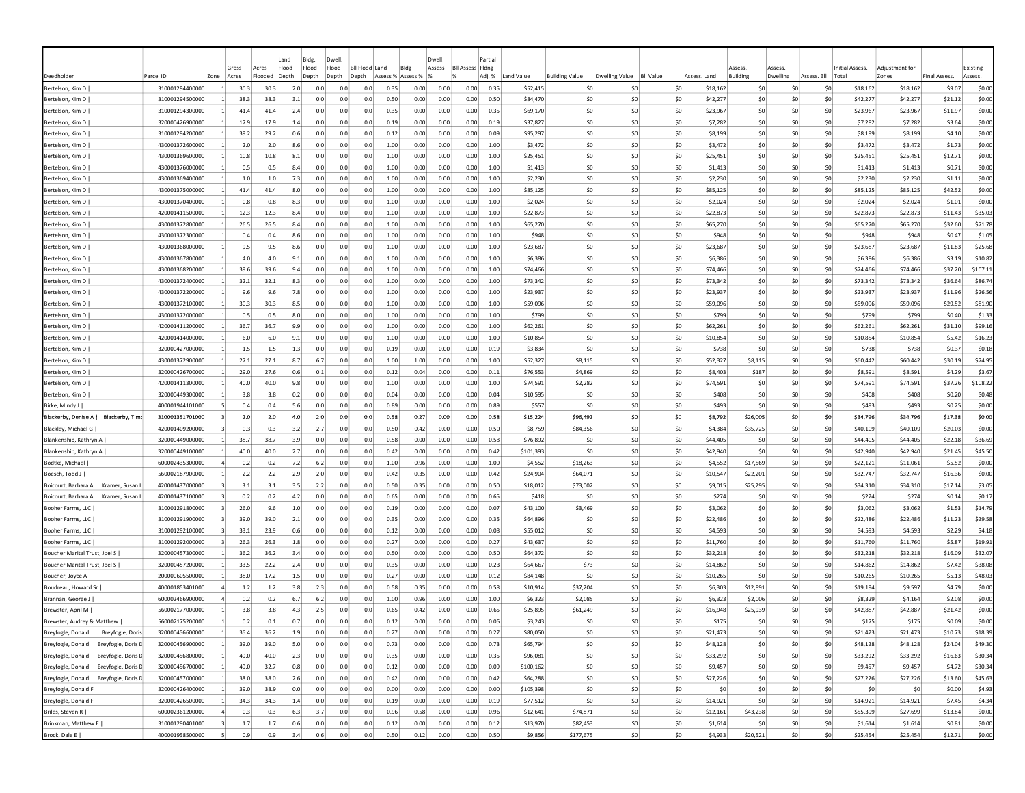|                                          |                 |                         | Gross | Acres   | Land<br>Flood | Bldg<br>Flood | Dwell<br>Flood | Bll Flood Land |          | Bldg     | Dwel<br>Assess | <b>BII Assess Fidne</b> | Partia |             |                       |                       |                  |              | Assess          | Asses    |                      | Initial Assess. | Adiustment for |                     | Existing |
|------------------------------------------|-----------------|-------------------------|-------|---------|---------------|---------------|----------------|----------------|----------|----------|----------------|-------------------------|--------|-------------|-----------------------|-----------------------|------------------|--------------|-----------------|----------|----------------------|-----------------|----------------|---------------------|----------|
| Deedholder                               | Parcel ID       | Zone                    | Acres | Flooded | Depth         | Depth         | Depth          | Depth          | Assess % | Assess % |                |                         | Adj. % | Land Value  | <b>Building Value</b> | <b>Dwelling Value</b> | <b>BII Value</b> | Assess. Land | <b>Building</b> | Dwelling | Assess. Bll<br>Total |                 | Zones          | <b>Final Assess</b> | Assess.  |
| Bertelson, Kim D                         | 310001294400000 |                         | 30.3  | 30.3    | 2.c           | 0.0           | 0.0            | 0.0            | 0.35     | 0.00     | 0.00           | 0.00                    | 0.35   | \$52,415    | -SO                   |                       | \$C              | \$18,162     | S0              | \$0      | -SO                  | \$18,162        | \$18,162       | \$9.07              | \$0.00   |
| Bertelson, Kim D                         | 310001294500000 |                         | 38.3  | 38.3    | 3.1           | 0.0           | 0.0            | 0.0            | 0.50     | 0.00     | 0.00           | 0.00                    | 0.50   | \$84,470    | \$0                   | \$0                   | \$C              | \$42,277     | \$0             | \$0      | \$0                  | \$42,277        | \$42,277       | \$21.12             | \$0.00   |
| Bertelson, Kim D                         | 310001294300000 | $\vert$ 1               | 41.4  | 41.4    | 2.4           | 0.0           | 0.0            | 0.0            | 0.35     | 0.00     | 0.00           | 0.00                    | 0.35   | \$69,170    | \$0                   | S0                    | \$0              | \$23,967     | S0              | \$0      | S0                   | \$23,967        | \$23,967       | \$11.97             | \$0.00   |
| Bertelson, Kim D                         | 320000426900000 | $\vert$ 1               | 17.9  | 17.9    | 1.4           | 0.0           | 0.0            | 0.0            | 0.19     | 0.00     | 0.00           | 0.00                    | 0.19   | \$37,827    | S0                    | -SO                   | \$0              | \$7,282      | S <sub>0</sub>  | S0       | S0                   | \$7,282         | \$7,282        | \$3.64              | \$0.00   |
| Bertelson, Kim D                         | 310001294200000 | $\mathbf{1}$            | 39.2  | 29.2    | 0.6           | 0.0           | 0.0            | 0.0            | 0.12     | 0.00     | 0.00           | 0.00                    | 0.09   | \$95,297    | S0                    | -SO                   | \$0              | \$8,199      | S <sub>0</sub>  | \$0      | S0                   | \$8,199         | \$8,199        | \$4.10              | \$0.00   |
| Bertelson, Kim D                         | 430001372600000 |                         | 2.0   | 2.0     | 8.6           | 0.0           | 0.0            | 0.0            | 1.00     | 0.00     | 0.00           | 0.00                    | 1.00   | \$3,472     | S0                    | -SO                   | \$0              | \$3,472      | S <sub>0</sub>  | \$0      | S0                   | \$3,472         | \$3,472        | \$1.73              | \$0.00   |
| Bertelson, Kim D                         | 430001369600000 | -1                      | 10.8  | 10.8    | 8.1           | 0.0           | 0.0            | 0.0            | 1.00     | 0.00     | 0.00           | 0.00                    | 1.00   | \$25,451    | \$0                   | -SO                   | \$0              | \$25,451     | \$0             | \$0      | \$0                  | \$25,451        | \$25,451       | \$12.71             | \$0.00   |
| Bertelson, Kim D                         | 430001376000000 |                         | 0.5   | 0.5     | 8.4           | 0.0           | 0.0            | 0.0            | 1.00     | 0.00     | 0.00           | 0.00                    | 1.00   | \$1,413     | \$0                   | -SO                   | \$0              | \$1,413      | \$0             | \$0      | \$0                  | \$1,413         | \$1,413        | \$0.71              | \$0.00   |
| Bertelson, Kim D                         | 430001369400000 |                         | 1.0   | 1.0     | 7.3           | 0.0           | 0.0            | 0.0            | 1.00     | 0.00     | 0.00           | 0.00                    | 1.00   | \$2,230     | S0                    | -SO                   | \$0              | \$2,230      | -SO             | S0       | S0                   | \$2,230         | \$2,230        | \$1.11              | \$0.00   |
| Bertelson, Kim D                         | 430001375000000 | 1                       | 41.4  | 41.4    | 8.0           | 0.0           | 0.0            | 0.0            | 1.00     | 0.00     | 0.00           | 0.00                    | 1.00   | \$85,125    | S0                    | -SO                   | \$0              | \$85,125     | S <sub>0</sub>  | \$0      | S0                   | \$85,125        | \$85,125       | \$42.52             | \$0.00   |
| Bertelson, Kim D                         | 430001370400000 |                         | 0.8   | 0.8     | 8.3           | 0.0           | 0.0            | 0.0            | 1.00     | 0.00     | 0.00           | 0.00                    | 1.00   | \$2.024     | S0                    | -SO                   | \$0              | \$2.024      | S <sub>0</sub>  | \$0      | S0                   | \$2,024         | \$2,024        | \$1.01              | \$0.00   |
| Bertelson, Kim D                         | 420001411500000 | 1                       | 12.3  | 12.3    | 8.4           | 0.0           | 0.0            | 0.0            | 1.00     | 0.00     | 0.00           | 0.00                    | 1.00   | \$22,873    | \$0                   | -SO                   | \$0              | \$22,873     | \$0             | \$0      | S0                   | \$22,873        | \$22,873       | \$11.43             | \$35.03  |
| Bertelson, Kim D                         | 430001372800000 |                         | 26.5  | 26.5    | 8.4           | 0.0           | 0.0            | 0.0            | 1.00     | 0.00     | 0.00           | 0.00                    | 1.00   | \$65,270    | \$0                   | -SO                   | \$0              | \$65,270     | \$0             | ŚC       | S0                   | \$65,270        | \$65,270       | \$32.60             | \$71.78  |
| Bertelson, Kim D                         | 430001372300000 |                         | 0.4   | 0.4     | 8.6           | 0.0           | 0.0            | 0.0            | 1.00     | 0.00     | 0.00           | 0.00                    | 1.00   | \$948       | \$0                   | -SO                   | \$0              | \$948        | \$0             | \$C      | \$0                  | \$948           | \$948          | \$0.47              | \$1.05   |
| Bertelson, Kim D                         | 430001368000000 | $\mathbf{1}$            | 9.5   | 9.5     | 8.6           | 0.0           | 0.0            | 0.0            | 1.00     | 0.00     | 0.00           | 0.00                    | 1.00   | \$23,687    | \$0                   | -SO                   | \$0              | \$23,687     | -SO             | S0       | S0                   | \$23,687        | \$23,687       | \$11.83             | \$25.68  |
| Bertelson, Kim D                         | 430001367800000 |                         | 4.0   | 4.0     | 9.1           | 0.0           | 0.0            | 0.0            | 1.00     | 0.00     | 0.00           | 0.00                    | 1.00   | \$6,386     | \$0                   | -SO                   | \$0              | \$6,386      | S0              | S0       | S0                   | \$6,386         | \$6,386        | \$3.19              | \$10.82  |
| Bertelson, Kim D                         | 430001368200000 | $\mathbf{1}$            | 39.6  | 39.6    | 9.4           | 0.0           | 0.0            | 0.0            | 1.00     | 0.00     | 0.00           | 0.00                    | 1.00   | \$74,466    | S0                    | \$0                   | \$0              | \$74,466     | S <sub>0</sub>  | \$0      | S0                   | \$74,466        | \$74,466       | \$37.20             | \$107.11 |
| Bertelson, Kim D                         | 430001372400000 | $\mathbf{1}$            | 32.1  | 32.1    | 8.3           | 0.0           | 0.0            | 0.0            | 1.00     | 0.00     | 0.00           | 0.00                    | 1.00   | \$73,342    | \$0                   | -SO                   | \$0              | \$73,342     | \$0             | \$0      | S0                   | \$73,342        | \$73,342       | \$36.64             | \$86.74  |
| Bertelson, Kim D                         | 430001372200000 |                         | 9.6   | 9.6     | 7.8           | 0.0           | 0.0            | 0.0            | 1.00     | 0.00     | 0.00           | 0.00                    | 1.00   | \$23,937    | S0                    | -SO                   | \$0              | \$23,937     | S <sub>0</sub>  | \$0      | S0                   | \$23,937        | \$23,937       | \$11.96             | \$26.56  |
| Bertelson, Kim D                         | 430001372100000 | -1                      | 30.3  | 30.3    | 8.5           | 0.0           | 0.0            | 0.0            | 1.00     | 0.00     | 0.00           | 0.00                    | 1.00   | \$59,096    | \$0                   | -SO                   | \$0              | \$59,096     | \$0             | \$0      | S0                   | \$59,096        | \$59,096       | \$29.52             | \$81.90  |
| Bertelson, Kim D                         | 430001372000000 | $\vert$ 1               | 0.5   | 0.5     | 8.0           | 0.0           | 0.0            | 0.0            | 1.00     | 0.00     | 0.00           | 0.00                    | 1.00   | \$799       | S0                    | -SO                   | \$0              | \$799        | -SO             | S0       | S0                   | \$799           | \$799          | \$0.40              | \$1.33   |
| Bertelson, Kim D                         | 420001411200000 | -1                      | 36.7  | 36.7    | 9.9           | 0.0           | 0.0            | 0.0            | 1.00     | 0.00     | 0.00           | 0.00                    | 1.00   | \$62,261    | S0                    | -SO                   | \$0              | \$62,261     | -SO             | \$0      | S0                   | \$62,261        | \$62,261       | \$31.10             | \$99.16  |
| Bertelson, Kim D                         | 420001414000000 | -1                      | 6.0   | 6.0     | 9.1           | 0.0           | 0.0            | 0.0            | 1.00     | 0.00     | 0.00           | 0.00                    | 1.00   | \$10,854    | S0                    | -SO                   | \$0              | \$10,854     | S <sub>0</sub>  | \$0      | S0                   | \$10,854        | \$10,854       | \$5.42              | \$16.23  |
| Bertelson, Kim D                         | 320000427000000 |                         | 1.5   | 1.5     | 1.3           | 0.0           | 0.0            | 0.0            | 0.19     | 0.00     | 0.00           | 0.00                    | 0.19   | \$3,834     | S0                    | -SO                   | \$0              | \$738        | S <sub>0</sub>  | \$0      | S0                   | \$738           | \$738          | \$0.37              | \$0.18   |
| Bertelson, Kim D                         | 430001372900000 |                         | 27.1  | 27.1    | 8.7           | 6.7           | 0.0            | 0.0            | 1.00     | 1.00     | 0.00           | 0.00                    | 1.00   | \$52,327    | \$8,115               | -SO                   | \$0              | \$52,327     | \$8,115         | \$0      | \$0                  | \$60,442        | \$60,442       | \$30.19             | \$74.95  |
| Bertelson, Kim D                         | 320000426700000 |                         | 29.0  | 27.6    | 0.6           | 0.1           | 0.0            | 0.0            | 0.12     | 0.04     | 0.00           | 0.00                    | 0.11   | \$76,553    | \$4,869               | \$0                   | \$0              | \$8,403      | \$187           | \$0      | \$0                  | \$8,591         | \$8,591        | \$4.29              | \$3.67   |
| Bertelson, Kim D                         | 420001411300000 |                         | 40.0  | 40.0    | 9.8           | 0.0           | 0.0            | 0.0            | 1.00     | 0.00     | 0.00           | 0.00                    | 1.00   | \$74,591    | \$2,282               | \$0                   | \$C              | \$74,591     | S0              | \$0      | \$0                  | \$74,591        | \$74,591       | \$37.26             | \$108.22 |
| Bertelson, Kim D                         | 320000449300000 |                         | 3.8   | 3.8     | 0.2           | 0.0           | 0.0            | 0.0            | 0.04     | 0.00     | 0.00           | 0.00                    | 0.04   | \$10,595    | \$0                   | S0                    | \$0              | \$408        | S0              | S0       | S0                   | \$408           | \$408          | \$0.20              | \$0.48   |
| Birke, Mindy J                           | 400001944101000 | -5                      | 0.4   | 0.4     | 5.6           | 0.0           | 0.0            | 0.0            | 0.89     | 0.00     | 0.00           | 0.00                    | 0.89   | \$557       | S0                    | \$0                   | \$0              | \$493        | S <sub>0</sub>  | \$0      | S0                   | \$493           | \$493          | \$0.25              | \$0.00   |
| Blackerby, Denise A  <br>Blackerby, Timo | 310001351701000 |                         | 2.0   | 2.0     | 4.0           | 2.0           | 0.0            | 0.0            | 0.58     | 0.27     | 0.00           | 0.00                    | 0.58   | \$15,224    | \$96.492              | \$0                   | \$0              | \$8,792      | \$26,005        | \$0      | \$0                  | \$34,796        | \$34,796       | \$17.38             | \$0.00   |
| Blackley, Michael G                      | 420001409200000 |                         | 0.3   | 0.3     | 3.2           | 2.7           | 0.0            | 0.0            | 0.50     | 0.42     | 0.00           | 0.00                    | 0.50   | \$8,759     | \$84,356              | -SO                   | \$0              | \$4,384      | \$35,725        | \$0      | S0                   | \$40,109        | \$40,109       | \$20.03             | \$0.00   |
| Blankenship, Kathryn A                   | 320000449000000 | $\mathbf{1}$            | 38.7  | 38.7    | 3.9           | 0.0           | 0.0            | 0.0            | 0.58     | 0.00     | 0.00           | 0.00                    | 0.58   | \$76,892    | \$0                   | -SO                   | \$0              | \$44,405     | -SC             | \$C      | S0                   | \$44,405        | \$44,405       | \$22.18             | \$36.69  |
| Blankenship, Kathryn A                   | 320000449100000 | -1                      | 40.0  | 40.0    | 2.7           | 0.0           | 0.0            | 0.0            | 0.42     | 0.00     | 0.00           | 0.00                    | 0.42   | \$101,393   | \$0                   | -SO                   | \$0              | \$42,940     | \$0             | \$0      | S0                   | \$42,940        | \$42,940       | \$21.45             | \$45.50  |
| Bodtke, Michael                          | 600002435300000 | $\overline{a}$          | 0.2   | 0.2     | 7.2           | 6.2           | 0.0            | 0.0            | 1.00     | 0.96     | 0.00           | 0.00                    | 1.00   | \$4,552     | \$18,263              | -SO                   | \$0              | \$4,552      | \$17,569        | S0       | S0                   | \$22,121        | \$11,061       | \$5.52              | \$0.00   |
| Boesch, Todd J                           | 560002187900000 | -1                      | 2.2   | 2.2     | 2.9           | 2.0           | 0.0            | 0.0            | 0.42     | 0.35     | 0.00           | 0.00                    | 0.42   | \$24,904    | \$64,071              | -SO                   | \$0              | \$10,547     | \$22,201        | S0       | S0                   | \$32,747        | \$32,747       | \$16.36             | \$0.00   |
| Boicourt, Barbara A   Kramer, Susan L    | 420001437000000 | - 3                     | 3.1   | 3.1     | 3.5           | 2.2           | 0.0            | 0.0            | 0.50     | 0.35     | 0.00           | 0.00                    | 0.50   | \$18,012    | \$73,002              | -SO                   | \$0              | \$9,015      | \$25,295        | \$0      | \$0                  | \$34,310        | \$34,310       | \$17.14             | \$3.05   |
| Boicourt, Barbara A   Kramer, Susan      | 420001437100000 |                         | 0.2   | 0.2     | 4.2           | 0.0           | 0.0            | 0.0            | 0.65     | 0.00     | 0.00           | 0.00                    | 0.65   | <b>S418</b> | S0                    | \$0                   | \$0              | \$274        | \$0             | \$0      | \$0                  | \$274           | \$274          | \$0.14              | \$0.17   |
| Booher Farms, LLC                        | 310001291800000 |                         | 26.0  | 9.6     | 1.0           | 0.0           | 0.0            | 0.0            | 0.19     | 0.00     | 0.00           | 0.00                    | 0.07   | \$43,100    | \$3,469               | \$0                   | \$0              | \$3,062      | \$0             | \$C      | \$0                  | \$3,062         | \$3,062        | \$1.53              | \$14.79  |
| Booher Farms, LLC                        | 310001291900000 | 3                       | 39.0  | 39.0    | 2.1           | 0.0           | 0.0            | 0.0            | 0.35     | 0.00     | 0.00           | 0.00                    | 0.35   | \$64,896    | \$0                   | \$0                   | \$0              | \$22,486     | \$0             | \$0      | \$0                  | \$22,486        | \$22,486       | \$11.23             | \$29.58  |
| Booher Farms, LLC                        | 310001292100000 | 3                       | 33.1  | 23.9    | 0.6           | 0.0           | 0.0            | 0.0            | 0.12     | 0.00     | 0.00           | 0.00                    | 0.08   | \$55,012    | -SO                   | -SO                   | \$0              | \$4,593      | \$0             | \$0      | S0                   | \$4,593         | \$4,593        | \$2.29              | \$4.18   |
| Booher Farms, LLC                        | 310001292000000 | $\overline{\mathbf{3}}$ | 26.3  | 26.3    | 1.8           | 0.0           | 0.0            | 0.0            | 0.27     | 0.00     | 0.00           | 0.00                    | 0.27   | \$43,637    | \$0                   | S0                    | \$0              | \$11,760     | -SO             | -SO      | S0                   | \$11,760        | \$11,760       | \$5.87              | \$19.91  |
| Boucher Marital Trust, Joel S            | 320000457300000 | $\vert$ 1               | 36.2  | 36.2    | 3.4           | 0.0           | 0.0            | 0.0            | 0.50     | 0.00     | 0.00           | 0.00                    | 0.50   | \$64,372    | S0                    | \$0                   | \$0              | \$32,218     | S <sub>0</sub>  | S0       | S0                   | \$32,218        | \$32,218       | \$16.09             | \$32.07  |
| Boucher Marital Trust, Joel S            | 320000457200000 | $\mathbf{1}$            | 33.5  | 22.2    | 2.4           | 0.0           | 0.0            | 0.0            | 0.35     | 0.00     | 0.00           | 0.00                    | 0.23   | \$64,667    | \$73                  | \$0                   | \$0              | \$14,862     | S <sub>0</sub>  | S0       | S0                   | \$14,862        | \$14,862       | \$7.42              | \$38.08  |
| Boucher, Joyce A                         | 200000605500000 |                         | 38.0  | 17.2    | 1.5           | 0.0           | 0.0            | 0.0            | 0.27     | 0.00     | 0.00           | 0.00                    | 0.12   | \$84,148    | \$0                   | -SO                   | \$0              | \$10,265     | S <sub>0</sub>  | \$0      | S0                   | \$10,265        | \$10,265       | \$5.13              | \$48.03  |
| Boudreau, Howard Sr                      | 400001853401000 | $\overline{a}$          | 1.2   | 1.2     | 3.8           | 2.3           | 0.0            | 0.0            | 0.58     | 0.35     | 0.00           | 0.00                    | 0.58   | \$10,914    | \$37,204              | S0                    | \$0              | \$6,303      | \$12,891        | \$0      | \$0                  | \$19,194        | \$9,597        | \$4.79              | \$0.00   |
| Brannan, George J                        | 600002466900000 |                         | 0.2   | 0.2     | 6.7           | 6.2           | 0.0            | 0.0            | 1.00     | 0.96     | 0.00           | 0.00                    | 1.00   | \$6,323     | \$2,085               | -SO                   | \$0              | \$6,323      | \$2,006         | S0       | -SO                  | \$8,329         | \$4,164        | \$2.08              | \$0.00   |
| Brewster, April M                        | 560002177000000 |                         | 3.8   | 3.8     | 4.3           | 2.5           | 0.0            | 0.0            | 0.65     | 0.42     | 0.00           | 0.00                    | 0.65   | \$25,895    | \$61,249              | -SO                   | \$0              | \$16,948     | \$25,939        | \$0      | S0                   | \$42,887        | \$42,887       | \$21.42             | \$0.00   |
| Brewster, Audrey & Matthew               | 560002175200000 |                         | 0.2   | 0.1     | 0.7           | 0.0           | 0.0            | 0.0            | 0.12     | 0.00     | 0.00           | 0.00                    | 0.05   | \$3,243     | SO.                   | \$0                   | \$0              | \$175        | S <sub>0</sub>  | \$0      | \$0                  | \$175           | \$175          | \$0.09              | \$0.00   |
| Breyfogle, Donald   Breyfogle, Doris     | 320000456600000 | $\mathbf{1}$            | 36.4  | 36.2    | 1.9           | 0.0           | 0.0            | 0.0            | 0.27     | 0.00     | 0.00           | 0.00                    | 0.27   | \$80,050    | SO.                   | \$0                   | \$0              | \$21,473     | \$0             | 50       | \$0                  | \$21,473        | \$21,473       | \$10.73             | \$18.39  |
| Breyfogle, Donald   Breyfogle, Doris D   | 320000456900000 | 1                       | 39.0  | 39.0    | 5.0           | 0.0           | 0.0            | 0.0            | 0.73     | 0.00     | 0.00           | 0.00                    | 0.73   | \$65,794    | \$0                   | \$0                   | \$0              | \$48,128     | \$0             | \$0      | \$0                  | \$48,128        | \$48,128       | \$24.04             | \$49.30  |
| Breyfogle, Donald   Breyfogle, Doris D   | 320000456800000 | $\mathbf{1}$            | 40.0  | 40.0    | 2.3           | 0.0           | 0.0            | 0.0            | 0.35     | 0.00     | 0.00           | 0.00                    | 0.35   | \$96,081    | \$0                   | \$0                   | \$0              | \$33,292     | \$0             | \$0      | \$0                  | \$33,292        | \$33,292       | \$16.63             | \$30.34  |
| Breyfogle, Donald   Breyfogle, Doris D   | 320000456700000 | $\mathbf{1}$            | 40.0  | 32.7    | 0.8           | 0.0           | 0.0            | 0.0            | 0.12     | 0.00     | 0.00           | 0.00                    | 0.09   | \$100,162   | \$0                   | \$0                   | \$0              | \$9,457      | \$0             | \$0      | \$0                  | \$9,457         | \$9,457        | \$4.72              | \$30.34  |
| Breyfogle, Donald   Breyfogle, Doris D   | 320000457000000 | $\vert$ 1               | 38.0  | 38.0    | 2.6           | 0.0           | 0.0            | 0.0            | 0.42     | 0.00     | 0.00           | 0.00                    | 0.42   | \$64,288    | \$0                   | \$0                   | \$0              | \$27,226     | \$0             | 50       | \$0                  | \$27,226        | \$27,226       | \$13.60             | \$45.63  |
| Breyfogle, Donald F                      | 320000426400000 | $\vert$ 1               | 39.0  | 38.9    | 0.0           | 0.0           | 0.0            | 0.0            | 0.00     | 0.00     | 0.00           | 0.00                    | 0.00   | \$105,398   | \$0                   | \$0                   | \$0              | \$0          | \$0             | 50       | \$0                  | \$0             | \$0            | \$0.00              | \$4.93   |
| Breyfogle, Donald F                      | 320000426500000 | $\vert$ 1               | 34.3  | 34.3    | 1.4           | 0.0           | 0.0            | 0.0            | 0.19     | 0.00     | 0.00           | 0.00                    | 0.19   | \$77,512    | \$0                   | \$0                   | \$0              | \$14,921     | \$0             | \$0      | \$0                  | \$14,921        | \$14,921       | \$7.45              | \$4.34   |
| Briles, Steven R                         | 600002361200000 | $\overline{4}$          | 0.3   | 0.3     | 6.3           | 3.7           | 0.0            | 0.0            | 0.96     | 0.58     | 0.00           | 0.00                    | 0.96   | \$12,641    | \$74,871              | 50                    | \$0              | \$12,161     | \$43,238        | \$0      | \$0                  | \$55,399        | \$27,699       | \$13.84             | \$0.00   |
| Brinkman, Matthew E                      | 310001290401000 | $\overline{\mathbf{3}}$ | 1.7   | 1.7     | 0.6           | 0.0           | 0.0            | 0.0            | 0.12     | 0.00     | 0.00           | 0.00                    | 0.12   | \$13,970    | \$82,453              | \$0                   | \$0              | \$1,614      | \$0             | \$0      | \$0                  | \$1,614         | \$1,614        | \$0.81              | \$0.00   |
| Brock, Dale E                            | 400001958500000 | 5                       | 0.9   | 0.9     | 3.4           | 0.6           | 0.0            | 0.0            | 0.50     | 0.12     | 0.00           | 0.00                    | 0.50   | \$9,856     | \$177,675             | 50                    | \$0              | \$4,933      | \$20,521        | \$0      | 50                   | \$25,454        | \$25,454       | \$12.71             | \$0.00   |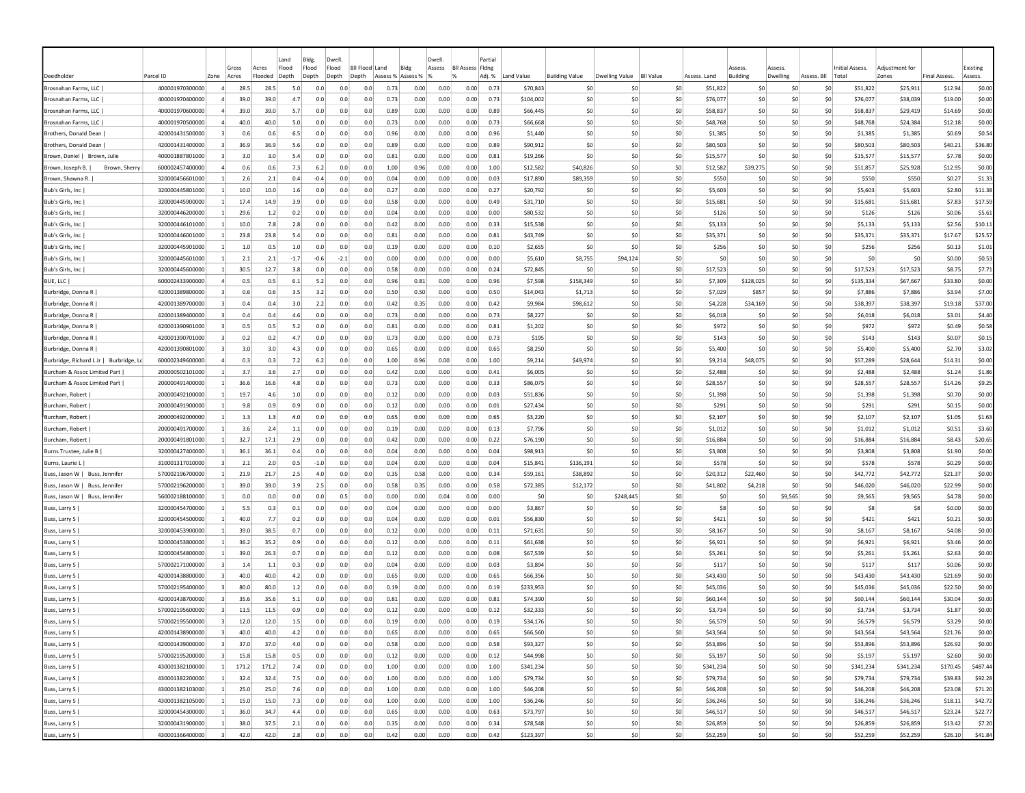|                                               |                                    |                         |              |              | Land       | Bldg.      | Dwell                     |            |                   |              | Dwell.       |                         | Partial      |                       |                       |                   |                  |                      |                         |                     |             |                      |                      |                     |                  |
|-----------------------------------------------|------------------------------------|-------------------------|--------------|--------------|------------|------------|---------------------------|------------|-------------------|--------------|--------------|-------------------------|--------------|-----------------------|-----------------------|-------------------|------------------|----------------------|-------------------------|---------------------|-------------|----------------------|----------------------|---------------------|------------------|
|                                               |                                    |                         | Gross        | Acres        | Flood      | Flood      | Flood<br><b>BII Flood</b> |            | Land              | Bldg         | Assess       | <b>Bll Assess Fldng</b> |              |                       |                       |                   |                  |                      | Assess                  | <i><b>SSESS</b></i> |             | Initial Assess       | Adiustment fo        |                     | Existing         |
| Deedholder                                    | Parcel ID                          | Zone                    | Acres        | Flooded      | Depth      | Depth      | Depth<br>Depth            |            | Assess % Assess % |              |              |                         | Adj. %       | Land Value            | <b>Building Value</b> | Dwelling Value    | <b>BII Value</b> | Assess, Land         | Building                | Dwelling            | Assess, Bll | Total                | Zones                | <b>Final Assess</b> | Assess.          |
| Brosnahan Farms, LLC                          | 400001970300000                    | $\Delta$                | 28.5         | 28.5         | 5.0        | 0.0        | 0.0                       | 0.0        | 0.73              | 0.00         | 0.00         | 0.00                    | 0.73         | \$70,843              |                       | -SO<br>-SO        | \$0              | \$51,822             | -SO                     | -SO                 | S0          | \$51,822             | \$25,911             | \$12.94             | \$0.00           |
| Brosnahan Farms, LLC                          | 400001970400000                    |                         | 39.0         | 39.0         | 4.7        | 0.0        | 0.0                       | 0.0        | 0.73              | 0.00         | 0.00         | 0.00                    | 0.73         | \$104,002             |                       | \$0<br>-SO        | \$0              | \$76,077             | \$0                     | \$C                 | \$0         | \$76,077             | \$38,039             | \$19.00             | \$0.00           |
| Brosnahan Farms, LLC                          | 400001970600000                    |                         | 39.0         | 39.0         | 5.7        | 0.0        | 0.0                       | 0.0        | 0.89              | 0.00         | 0.00         | 0.00                    | 0.89         | \$66,445              |                       | \$0<br>-SO        | \$0              | \$58,837             | S <sub>0</sub>          | \$0                 | \$0         | \$58,837             | \$29,419             | \$14.69             | \$0.00           |
| Brosnahan Farms, LLC                          | 400001970500000                    |                         | 40.0         | 40.0         | 5.0        | 0.0        | 0.0                       | 0.0        | 0.73              | 0.00         | 0.00         | 0.00                    | 0.73         | \$66,668              |                       | \$0<br>-SO        | \$0              | \$48,768             | S <sub>0</sub>          | \$C                 | \$0         | \$48,768             | \$24,384             | \$12.18             | \$0.00           |
| Brothers, Donald Dean                         | 420001431500000                    |                         | 0.6          | 0.6          | 6.5        | 0.0        | 0.0                       | 0.0        | 0.96              | 0.00         | 0.00         | 0.00                    | 0.96         | \$1,440               |                       | \$C<br>-SO        | \$0              | \$1,385              | -SC                     | \$0                 | S0          | \$1,385              | \$1,385              | \$0.69              | \$0.54           |
| Brothers, Donald Dean                         | 420001431400000                    |                         | 36.9<br>3.0  | 36.9<br>3.0  | 5.6<br>5.4 | 0.0<br>0.0 | 0.0<br>0.0                | 0.0<br>0.0 | 0.89              | 0.00         | 0.00         | 0.00                    | 0.89         | \$90,912              |                       | \$0<br>\$0<br>-SO | \$0              | \$80,503             | \$0<br>S <sub>0</sub>   | \$0<br>S0           | \$0<br>S0   | \$80,503             | \$80,503             | \$40.21             | \$36.80          |
| Brown, Daniel   Brown, Julie<br>Brown, Sherry | 400001887801000<br>600002457400000 |                         | 0.6          | 0.6          | 7.3        | 6.2        | 0.0                       | 0.0        | 0.81<br>1.00      | 0.00<br>0.96 | 0.00<br>0.00 | 0.00<br>0.00            | 0.81<br>1.00 | \$19,266<br>\$12,582  | \$40,826              | \$0<br>-SO        | \$0<br>\$0       | \$15,577<br>\$12,582 | \$39,275                | S0                  | S0          | \$15,577             | \$15,577             | \$7.78<br>\$12.95   | \$0.00<br>\$0.00 |
| Brown, Joseph B.<br>Brown, Shawna R.          | 320000456601000                    |                         | 2.6          | 2.1          | 0.4        | $-0.4$     | 0.0                       | 0.0        | 0.04              | 0.00         | 0.00         | 0.00                    | 0.03         | \$17,890              | \$89,359              | -SO               | \$0              | \$550                | -SO                     | \$0                 | \$0         | \$51,857<br>\$550    | \$25,928<br>\$550    | \$0.27              | \$1.33           |
| Bub's Girls, Inc                              | 320000445801000                    |                         | 10.0         | 10.0         | 1.6        | 0.0        | 0.0                       | 0.0        | 0.2               | 0.00         | 0.00         | 0.00                    | 0.27         | \$20,792              |                       | \$0<br>\$0        | \$0              | \$5,603              | \$0                     | \$0                 | \$0         | \$5,603              | \$5,603              | \$2.80              | \$11.38          |
| Bub's Girls, Inc                              | 320000445900000                    |                         | 17.4         | 14.9         | 3.9        | 0.0        | 0.0                       | 0.0        | 0.58              | 0.00         | 0.00         | 0.00                    | 0.49         | \$31,710              |                       | \$C<br>-SO        | \$0              | \$15,681             | \$0                     | \$0                 | \$0         | \$15,681             | \$15,681             | \$7.83              | \$17.59          |
| Bub's Girls, Inc.                             | 320000446200000                    |                         | 29.6         | $1.2$        | 0.2        | 0.0        | 0.0                       | 0.0        | 0.04              | 0.00         | 0.00         | 0.00                    | 0.00         | \$80,532              |                       | \$C<br>\$0        | \$0              |                      | \$126<br>\$0            | \$0                 | \$0         | \$126                | \$126                | \$0.06              | \$5.61           |
| Bub's Girls, Inc                              | 320000446101000                    |                         | 10.0         | 7.8          | 2.8        | 0.0        | 0.0                       | 0.0        | 0.42              | 0.00         | 0.00         | 0.00                    | 0.33         | \$15,538              |                       | \$0<br>\$0        | \$0              | \$5,133              | \$0                     | \$0                 | \$0         | \$5,133              | \$5,133              | \$2.56              | \$10.11          |
| Bub's Girls, Inc                              | 320000446001000                    |                         | 23.8         | 23.8         | 5.4        | 0.0        | 0.0                       | 0.0        | 0.81              | 0.00         | 0.00         | 0.00                    | 0.81         | \$43,749              |                       | \$0<br>\$0        | \$0              | \$35,371             | \$0                     | \$0                 | \$0         | \$35,371             | \$35,371             | \$17.67             | \$25.57          |
| Bub's Girls, Inc.                             | 320000445901000                    |                         | 1.0          | 0.5          | 1.0        | 0.0        | 0.0                       | 0.0        | 0.19              | 0.00         | 0.00         | 0.00                    | 0.10         | \$2,655               |                       | \$0<br>\$0        | \$0              |                      | \$256<br>S <sub>0</sub> | \$0                 | \$0         | \$256                | \$256                | \$0.13              | \$1.01           |
| Bub's Girls, Inc                              | 320000445601000                    |                         | 2.1          | 2.1          | $-1.7$     | $-0.6$     | $-2.1$                    | 0.0        | 0.00              | 0.00         | 0.00         | 0.00                    | 0.00         | \$5,610               | \$8,755               | \$94,124          | \$0              |                      | \$0<br>S <sub>0</sub>   | \$0                 | \$0         | -SO                  | \$0                  | \$0.00              | \$0.53           |
| Bub's Girls, Inc.                             | 320000445600000                    |                         | 30.5         | 12.7         | 3.8        | 0.0        | 0.0                       | 0.0        | 0.58              | 0.00         | 0.00         | 0.00                    | 0.24         | \$72,845              |                       | \$C<br>-SO        | \$0              | \$17.523             | \$0                     | \$0                 | \$0         | \$17,523             | \$17,523             | \$8.75              | \$7.71           |
| BUE, LLC                                      | 600002433900000                    |                         | 0.5          | 0.5          | 6.1        | 5.2        | 0.0                       | 0.0        | 0.96              | 0.81         | 0.00         | 0.00                    | 0.96         | \$7,598               | \$158,349             | \$0               | \$0              | \$7,309              | \$128,025               | \$0                 | \$0         | \$135,334            | \$67,667             | \$33.80             | \$0.00           |
| Burbridge, Donna R                            | 420001389800000                    |                         | 0.6          | 0.6          | 3.5        | 3.2        | 0.0                       | 0.0        | 0.50              | 0.50         | 0.00         | 0.00                    | 0.50         | \$14,043              | \$1,713               | -SO               | \$0              | \$7,029              | \$857                   | \$0                 | \$0         | \$7,886              | \$7,886              | \$3.94              | \$7.00           |
| Burbridge, Donna R                            | 420001389700000                    |                         | 0.4          | 0.4          | 3.0        | 2.2        | 0.0                       | 0.0        | 0.42              | 0.35         | 0.00         | 0.00                    | 0.42         | \$9,984               | \$98,612              | -SO               | \$0              | \$4,228              | \$34,169                | S0                  | S0          | \$38,397             | \$38,397             | \$19.18             | \$37.00          |
| Burbridge, Donna R                            | 420001389400000                    | -31                     | 0.4          | 0.4          | 4.6        | 0.0        | 0.0                       | 0.0        | 0.73              | 0.00         | 0.00         | 0.00                    | 0.73         | \$8,227               |                       | \$0<br>-SO        | \$0              | \$6,018              | S <sub>0</sub>          | \$0                 | \$0         | \$6,018              | \$6,018              | \$3.01              | \$4.40           |
| Burbridge, Donna R                            | 420001390901000                    |                         | 0.5          | 0.5          | 5.2        | 0.0        | 0.0                       | 0.0        | 0.81              | 0.00         | 0.00         | 0.00                    | 0.81         | \$1,202               |                       | \$0<br>\$0        | \$0              |                      | \$972<br>S <sub>0</sub> | \$0                 | \$0         | \$972                | \$972                | \$0.49              | \$0.58           |
| Burbridge, Donna R                            | 420001390701000                    |                         | 0.2          | 0.2          | 4.7        | 0.0        | 0.0                       | 0.0        | 0.73              | 0.00         | 0.00         | 0.00                    | 0.73         | \$195                 |                       | \$C<br>\$0        | \$0              |                      | \$143<br>\$0            | \$0                 | \$0         | \$143                | \$143                | \$0.07              | \$0.15           |
| Burbridge, Donna R                            | 420001390801000                    |                         | 3.0          | 3.0          | 4.3        | 0.0        | 0.0                       | 0.0        | 0.65              | 0.00         | 0.00         | 0.00                    | 0.65         | \$8,250               |                       | \$C<br>-SO        | \$0              | \$5,400              | -SC                     | \$0                 | \$0         | \$5,400              | \$5,400              | \$2.70              | \$3.02           |
| Burbridge, Richard L Jr   Burbridge, Lo       | 600002349600000                    |                         | 0.3          | 0.3          | 7.2        | 6.2        | 0.0                       | 0.0        | 1.00              | 0.96         | 0.00         | 0.00                    | 1.00         | \$9,214               | \$49,974              | \$0               | \$0              | \$9,214              | \$48,075                | \$0                 | \$0         | \$57,289             | \$28,644             | \$14.31             | \$0.00           |
| Burcham & Assoc Limited Part                  | 200000502101000                    |                         | 3.7          | 3.6          | 2.7        | 0.0        | 0.0                       | 0.0        | 0.42              | 0.00         | 0.00         | 0.00                    | 0.41         | \$6,005               |                       | -SO<br>-SO        | \$0              | \$2,488              | S0                      | \$0                 | \$0         | \$2,488              | \$2,488              | \$1.24              | \$1.86           |
| Burcham & Assoc Limited Part                  | 200000491400000                    |                         | 36.6         | 16.6         | 4.8        | 0.0        | 0.0                       | 0.0        | 0.73              | 0.00         | 0.00         | 0.00                    | 0.33         | \$86,075              |                       | -SO<br>-SO        | \$0              | \$28,557             | S0                      | \$0                 | \$0         | \$28,557             | \$28,557             | \$14.26             | \$9.25           |
| Burcham, Robert                               | 200000492100000                    | $\vert$ 1               | 19.7         | 4.6          | 1.0        | 0.0        | 0.0                       | 0.0        | 0.12              | 0.00         | 0.00         | 0.00                    | 0.03         | \$51,836              |                       | \$0<br>\$0        | \$0              | \$1,398              | S <sub>0</sub>          | \$0                 | \$0         | \$1,398              | \$1,398              | \$0.70              | \$0.00           |
| Burcham, Robert                               | 200000491900000                    |                         | 9.8          | 0.9          | 0.9        | 0.0        | 0.0                       | 0.0        | 0.12              | 0.00         | 0.00         | 0.00                    | 0.01         | \$27,434              |                       | \$0<br>-SO        | \$0              |                      | \$291<br>\$0            | \$0                 | \$0         | \$291                | \$291                | \$0.15              | \$0.00           |
| Burcham, Robert                               | 200000492000000                    |                         | 1.3          | 1.3          | 4.0        | 0.0        | 0.0                       | 0.0        | 0.65              | 0.00         | 0.00         | 0.00                    | 0.65         | \$3,220               |                       | \$C<br>-SO        | \$0              | \$2,107              | \$0                     | \$C                 | \$0         | \$2,107              | \$2,107              | \$1.05              | \$1.63           |
| Burcham, Robert                               | 200000491700000                    |                         | 3.6          | 2.4          | $1.1\,$    | 0.0        | 0.0                       | 0.0        | 0.19              | 0.00         | 0.00         | 0.00                    | 0.13         | \$7,796               |                       | \$0<br>-SO        | \$0              | \$1,012              | \$0                     | \$0                 | \$0         | \$1,012              | \$1,012              | \$0.51              | \$3.60           |
| Burcham, Robert                               | 200000491801000                    |                         | 32.7         | 17.1         | 2.9        | 0.0        | 0.0                       | 0.0        | 0.42              | 0.00         | 0.00         | 0.00                    | 0.22         | \$76,190              |                       | \$0<br>-SO        | \$0              | \$16,884             | \$0                     | \$0                 | \$0         | \$16,884             | \$16,884             | \$8.43              | \$20.65          |
| Burns Trustee, Julie B                        | 320000427400000                    | -1                      | 36.1         | 36.1         | 0.4        | 0.0        | 0.0                       | 0.0        | 0.04              | 0.00         | 0.00         | 0.00                    | 0.04         | \$98,913              |                       | \$0<br>-SO        | \$0              | \$3,808              | S <sub>0</sub>          | S0                  | S0          | \$3,808              | \$3,808              | \$1.90              | \$0.00           |
| Burns, Laurie L                               | 310001317010000                    |                         | 2.1          | 2.0          | 0.5        | $-1.0$     | 0.0                       | 0.0        | 0.04              | 0.00         | 0.00         | 0.00                    | 0.04         | \$15,841              | \$136,191             | -SO               | \$0              | \$578                | S <sub>0</sub>          | \$0                 | \$0         | \$578                | \$578                | \$0.29              | \$0.00           |
| Buss, Jason W   Buss, Jennifer                | 570002196700000                    |                         | 21.9         | 21.7         | 2.5        | 4.0        | 0.0                       | 0.0        | 0.35              | 0.58         | 0.00         | 0.00                    | 0.34         | \$59.161              | \$38,892              | \$0               | \$0              | \$20.312             | \$22,460                | \$0                 | \$0         | \$42,772             | \$42,772             | \$21.37             | \$0.00           |
| Buss, Jason W   Buss, Jennifer                | 570002196200000                    |                         | 39.0         | 39.0         | 3.9        | 2.5        | 0.0                       | 0.0        | 0.58              | 0.35         | 0.00         | 0.00                    | 0.58         | \$72,385              | \$12,172              | -SO               | \$0              | \$41,802             | \$4,218                 | \$0                 | \$0         | \$46,020             | \$46,020             | \$22.99             | \$0.00           |
| Buss, Jason W  <br>Buss, Jennife              | 560002188100000                    |                         | 0.0          | 0.0          | 0.0        | 0.0        | 0.5                       | 0.0        | 0.00              | 0.00         | 0.04         | 0.00                    | 0.00         | \$0                   |                       | \$248,445<br>\$C  | \$0              |                      | \$0<br>\$0              | \$9,565             | \$0         | \$9,565              | \$9,565              | \$4.78              | \$0.00           |
| Buss, Larry S                                 | 320000454700000                    |                         | 5.5          | 0.3          | 0.1        | 0.0        | 0.0                       | 0.0        | 0.04              | 0.00         | 0.00         | 0.00                    | 0.00         | \$3,867               |                       | \$C<br>-SC        | \$0              |                      | \$8<br>\$C              | \$0                 | \$0         | \$8                  | \$8                  | \$0.00              | \$0.00           |
| Buss, Larry S                                 | 320000454500000                    |                         | 40.0         | 7.7          | 0.2        | 0.0        | 0.0                       | 0.0        | 0.04              | 0.00         | 0.00         | 0.00                    | 0.01         | \$56,830              |                       | \$C<br>-SO        | \$0              |                      | \$421<br>S0             | \$0                 | \$0         | \$421                | \$421                | \$0.21              | \$0.00           |
| Buss, Larry S                                 | 320000453900000                    |                         | 39.0         | 38.5         | 0.7        | 0.0        | 0.0                       | 0.0        | 0.12              | 0.00         | 0.00         | 0.00                    | 0.11         | \$71,631              |                       | \$0<br>-SO        | \$0              | \$8,167              | \$0                     | \$0                 | \$0         | \$8,167              | \$8,167              | \$4.08              | \$0.00           |
| Buss, Larry S                                 | 320000453800000                    |                         | 36.2         | 35.2         | 0.9        | 0.0        | 0.0                       | 0.0        | 0.12              | 0.00         | 0.00         | 0.00                    | 0.11         | \$61,638              |                       | \$0<br>\$0        | \$0              | \$6,921              | S0                      | \$0                 | \$0         | \$6,921              | \$6,921              | \$3.46              | \$0.00           |
| Buss, Larry S                                 | 320000454800000                    |                         | 39.0         | 26.3         | 0.7        | 0.0        | 0.0                       | 0.0        | 0.12              | 0.00         | 0.00         | 0.00                    | 0.08         | \$67,539              |                       | \$0<br>-SO        | \$0              | \$5,261              | \$0                     | \$0                 | \$0         | \$5,261              | \$5,261              | \$2.63              | \$0.00           |
| Buss, Larry S                                 | 570002171000000                    | $\overline{3}$          | 1.4          | 1.1          | 0.3        | 0.0        | 0.0<br>0.0                | 0.0<br>0.0 | 0.04              | 0.00         | 0.00         | 0.00                    | 0.03         | \$3,894               |                       | \$0<br>-SO<br>-SO | \$0              | \$117                | \$0                     | \$C<br>\$0          | \$0         | \$117                | \$117                | \$0.06              | \$0.00           |
| Buss, Larry S<br>Buss, Larry S                | 420001438800000<br>570002195400000 | -31                     | 40.0<br>80.0 | 40.0<br>80.0 | 4.2<br>1.2 | 0.0<br>0.0 | 0.0                       | 0.0        | 0.65<br>0.19      | 0.00<br>0.00 | 0.00<br>0.00 | 0.00<br>0.00            | 0.65<br>0.19 | \$66,356<br>\$233,953 |                       | \$0<br>-SO<br>-SO | \$0<br>\$0       | \$43,430<br>\$45,036 | \$0<br>-SO              | S0                  | \$0<br>S0   | \$43,430<br>\$45,036 | \$43,430<br>\$45,036 | \$21.69<br>\$22.50  | \$0.00<br>\$0.00 |
| Buss, Larry S                                 | 420001438700000                    |                         | 35.6         | 35.6         | 5.1        | 0.0        | 0.0                       | 0.0        | 0.81              | 0.00         | 0.00         | 0.00                    | 0.81         | \$74,390              |                       | -SO<br>-SO        | \$0              | \$60,144             | -SO                     | so                  | -SO         | \$60,144             | \$60,144             | \$30.04             | \$0.00           |
| Buss, Larry S                                 | 570002195600000                    |                         | 11.5         | 11.5         | 0.9        | 0.0        | 0.0                       | 0.0        | 0.12              | 0.00         | 0.00         | 0.00                    | 0.12         | \$32,333              |                       | \$0<br>-SO        | \$0              | \$3,734              | S0                      | \$0                 | \$0         | \$3,734              | \$3,734              | \$1.87              | \$0.00           |
| Buss, Larry S                                 | 570002195500000                    |                         | 12.0         | 12.0         | 1.5        | 0.0        | 0.0                       | 0.0        | 0.19              | 0.00         | 0.00         | 0.00                    | 0.19         | \$34,176              |                       | \$0<br>-SO        | \$0              | \$6,579              | S0                      | \$0                 | \$0         | \$6,579              | \$6,579              | \$3.29              | \$0.00           |
| Buss, Larry S                                 | 420001438900000                    | $\overline{\mathbf{3}}$ | 40.0         | 40.0         | 4.2        | 0.0        | 0.0                       | 0.0        | 0.65              | 0.00         | 0.00         | 0.00                    | 0.65         | \$66,560              |                       | \$0<br>\$0        | \$0              | \$43,564             | \$0                     | \$0                 | \$0         | \$43,564             | \$43,564             | \$21.76             | \$0.00           |
| Buss, Larry S                                 | 420001439000000                    | $\overline{3}$          | 37.0         | 37.0         | 4.0        | 0.0        | 0.0                       | 0.0        | 0.58              | 0.00         | 0.00         | 0.00                    | 0.58         | \$93,327              |                       | \$0<br>50         | \$0              | \$53,896             | \$0                     | 50                  | \$0         | \$53,896             | \$53,896             | \$26.92             | \$0.00           |
| Buss, Larry S                                 | 570002195200000                    | $\overline{\mathbf{3}}$ | 15.8         | 15.8         | 0.5        | 0.0        | 0.0                       | 0.0        | 0.12              | 0.00         | 0.00         | 0.00                    | 0.12         | \$44,998              |                       | \$0<br>50         | 50               | \$5,197              | \$0                     | 50                  | 50          | \$5,197              | \$5,197              | \$2.60              | \$0.00           |
| Buss, Larry S                                 | 430001382100000                    | $\blacksquare$          | 171.2        | 171.2        | 7.4        | 0.0        | 0.0                       | 0.0        | 1.00              | 0.00         | 0.00         | 0.00                    | 1.00         | \$341,234             |                       | 50<br>\$0         | 50               | \$341,234            | \$0                     | 50                  | 50          | \$341,234            | \$341,234            | \$170.45            | \$487.44         |
| Buss, Larry S                                 | 430001382200000                    | $\mathbf{1}$            | 32.4         | 32.4         | 7.5        | 0.0        | 0.0                       | 0.0        | 1.00              | 0.00         | 0.00         | 0.00                    | 1.00         | \$79,734              |                       | \$0<br>50         | \$0              | \$79,734             | \$0                     | 50                  | \$0         | \$79,734             | \$79,734             | \$39.83             | \$92.28          |
| Buss, Larry S                                 | 430001382103000                    | $\mathbf{1}$            | 25.0         | 25.0         | 7.6        | 0.0        | 0.0                       | 0.0        | 1.00              | 0.00         | 0.00         | 0.00                    | 1.00         | \$46,208              |                       | \$0<br>\$0        | \$0              | \$46,208             | \$0                     | 50                  | \$0         | \$46,208             | \$46,208             | \$23.08             | \$71.20          |
| Buss, Larry S                                 | 430001382105000                    | $\mathbf{1}$            | 15.0         | 15.0         | 7.3        | 0.0        | 0.0                       | 0.0        | 1.00              | 0.00         | 0.00         | 0.00                    | 1.00         | \$36,246              |                       | \$0<br>\$0        | \$0              | \$36,246             | \$0                     | \$0                 | \$0         | \$36,246             | \$36,246             | \$18.11             | \$42.72          |
| Buss, Larry S                                 | 320000454300000                    | $\vert 1 \vert$         | 36.0         | 34.7         | 4.4        | 0.0        | 0.0                       | 0.0        | 0.65              | 0.00         | 0.00         | 0.00                    | 0.63         | \$73,797              |                       | \$0<br>50         | 50               | \$46,517             | 50                      | \$0                 | \$0         | \$46,517             | \$46,517             | \$23.24             | \$22.77          |
| Buss, Larry S                                 | 320000431900000                    | $\vert$ 1               | 38.0         | 37.5         | 2.1        | 0.0        | 0.0                       | 0.0        | 0.35              | 0.00         | 0.00         | 0.00                    | 0.34         | \$78,548              |                       | \$0<br>\$0        | \$0              | \$26,859             | \$0                     | \$0                 | \$0         | \$26,859             | \$26,859             | \$13.42             | \$7.20           |
| Buss, Larry S                                 | 430001366400000                    | $\overline{3}$          | 42.0         | 42.0         | 2.8        | 0.0        | 0.0                       | 0.0        | 0.42              | 0.00         | 0.00         | 0.00                    | 0.42         | \$123,397             |                       | \$0<br>50         | \$0              | \$52,259             | \$0                     | 50                  | \$0         | \$52,259             | \$52,259             | \$26.10             | \$41.84          |
|                                               |                                    |                         |              |              |            |            |                           |            |                   |              |              |                         |              |                       |                       |                   |                  |                      |                         |                     |             |                      |                      |                     |                  |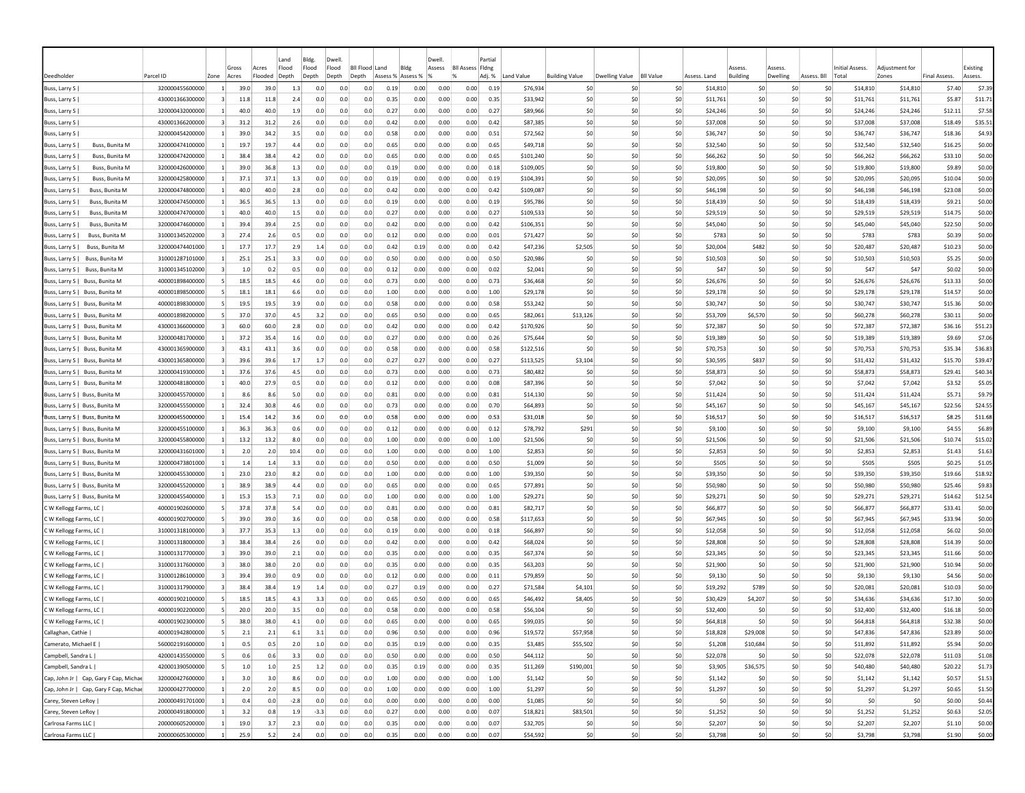|                                                                  |                                    |                                | Gross       | Acres       | Land<br>Flood | Bldg.<br>Flood | Dwell<br>Flood | <b>Bil Flood Land</b> |                   | Bldg         | Dwell.<br>Assess | <b>Bll Assess Fldng</b> | Partial      |                      |                       |                       |                  |                      | Assess          | Assess     |                      | Initial Assess.      | Adiustment for       |                     | Existing          |
|------------------------------------------------------------------|------------------------------------|--------------------------------|-------------|-------------|---------------|----------------|----------------|-----------------------|-------------------|--------------|------------------|-------------------------|--------------|----------------------|-----------------------|-----------------------|------------------|----------------------|-----------------|------------|----------------------|----------------------|----------------------|---------------------|-------------------|
| Deedholder                                                       | Parcel ID                          | Zone                           | Acres       | Flooded     | Depth         | Depth          | Depth<br>Depth |                       | Assess % Assess % |              | $\frac{9}{6}$    | %                       | Adj. %       | Land Value           | <b>Building Value</b> | <b>Dwelling Value</b> | <b>BII Value</b> | Assess, Land         | <b>Building</b> | Dwelling   | Assess, Bll<br>Total |                      | Zones                | <b>Final Assess</b> | Assess.           |
| Buss, Larry S                                                    | 320000455600000                    | $\overline{1}$                 | 39.0        | 39.0        | 1.3           | 0.0            | 0.0            | 0.0                   | 0.19              | 0.00         | 0.00             | 0.00                    | 0.19         | \$76,934             | S0                    | -SO                   | \$0              | \$14,810             | \$0             | S0         | S0                   | \$14,810             | \$14,810             | \$7.40              | \$7.39            |
| Buss, Larry S                                                    | 430001366300000                    | $\overline{\mathbf{3}}$        | 11.8        | 11.8        | 2.4           | 0.0            | 0.0            | 0.0                   | 0.35              | 0.00         | 0.00             | 0.00                    | 0.35         | \$33,942             | \$0                   | \$0                   | \$0              | \$11,761             | \$0             | \$0        | \$0                  | \$11,761             | \$11,761             | \$5.87              | \$11.71           |
| Buss, Larry S                                                    | 320000432000000                    | $\vert$ 1                      | 40.0        | 40.0        | 1.9           | 0.0            | 0.0            | 0.0                   | 0.27              | 0.00         | 0.00             | 0.00                    | 0.27         | \$89,966             | \$0                   | \$0                   | \$0              | \$24,246             | \$0             | \$0        | \$0                  | \$24,246             | \$24,246             | \$12.11             | \$7.58            |
| Buss, Larry S                                                    | 430001366200000                    | $\overline{\mathbf{3}}$        | 31.2        | 31.2        | 2.6           | 0.0            | 0.0            | 0.0                   | 0.42              | 0.00         | 0.00             | 0.00                    | 0.42         | \$87,385             | \$0                   | \$0                   | \$0              | \$37,008             | \$0             | \$0        | \$0                  | \$37,008             | \$37,008             | \$18.49             | \$35.51           |
| Buss, Larry S                                                    | 320000454200000                    | $\mathbf{1}$                   | 39.0        | 34.2        | 3.5           | 0.0            | 0.0            | 0.0                   | 0.58              | 0.00         | 0.00             | 0.00                    | 0.51         | \$72,562             | \$0                   | -SO                   | \$0              | \$36.747             | \$0             | \$0        | \$0                  | \$36,747             | \$36,747             | \$18.36             | \$4.93            |
| Buss, Larry S<br>Buss, Bunita M                                  | 320000474100000                    | $\mathbf{1}$                   | 19.7        | 19.7        | 4.4           | 0.0            | 0.0            | 0.0                   | 0.65              | 0.00         | 0.00             | 0.00                    | 0.65         | \$49,718             | \$0                   | S0                    | \$0              | \$32,540             | \$0             | \$0        | \$0                  | \$32,540             | \$32,540             | \$16.25             | \$0.00            |
| Buss, Larry S  <br>Buss, Bunita M                                | 320000474200000                    | $\vert$ 1                      | 38.4        | 38.4        | 4.2           | 0.0            | 0.0            | 0.0                   | 0.65              | 0.00         | 0.00             | 0.00                    | 0.65         | \$101,240            | S0                    | \$0                   | \$0              | \$66,262             | S <sub>0</sub>  | SO.        | S0                   | \$66,262             | \$66,262             | \$33.10             | \$0.00            |
| Buss, Larry S<br>Buss, Bunita M                                  | 320000426000000                    | $\vert$ 1                      | 39.0        | 36.8        | 1.3           | 0.0            | 0.0            | 0.0                   | 0.19              | 0.00         | 0.00             | 0.00                    | 0.18         | \$109,005            | S0                    | -SO                   | \$0              | \$19,800             | S <sub>0</sub>  | \$0        | S0                   | \$19,800             | \$19,800             | \$9.89              | \$0.00            |
| Buss, Larry S<br><b>Buss, Bunita M</b>                           | 320000425800000                    | $\vert$ 1                      | 37.1        | 37.1        | 1.3           | 0.0            | 0.0            | 0.0                   | 0.19              | 0.00         | 0.00             | 0.00                    | 0.19         | \$104,391            | \$0                   | \$0                   | \$0              | \$20,095             | \$0             | \$0        | \$0                  | \$20,095             | \$20,095             | \$10.04             | \$0.00            |
| Buss, Larry S  <br>Buss, Bunita M                                | 320000474800000                    | $\mathbf{1}$                   | 40.0        | 40.0        | 2.8           | 0.0            | 0.0            | 0.0                   | 0.42              | 0.00         | 0.00             | 0.00                    | 0.42         | \$109,087            | \$0                   | -SO                   | \$0              | \$46,198             | \$0             | \$0        | SO.                  | \$46,198             | \$46,198             | \$23.08             | \$0.00            |
| Buss, Larry S  <br>Buss, Bunita M                                | 320000474500000                    | $\mathbf{1}$                   | 36.5        | 36.5        | 1.3           | 0.0            | 0.0            | 0.0                   | 0.19              | 0.00         | 0.00             | 0.00                    | 0.19         | \$95,786             | \$0                   | \$0                   | \$0              | \$18,439             | \$0             | \$0        | \$0                  | \$18,439             | \$18,439             | \$9.21              | \$0.00            |
| Buss, Bunita M<br>Buss, Larry S                                  | 320000474700000                    | 1                              | 40.0        | 40.0        | 1.5           | 0.0            | 0.0            | 0.0                   | 0.27              | 0.00         | 0.00             | 0.00                    | 0.27         | \$109,533            | \$0                   | \$0                   | \$0              | \$29,519             | \$0             | \$0        | \$0                  | \$29,519             | \$29,519             | \$14.75             | \$0.00            |
| Buss, Bunita M<br>Buss, Larry S                                  | 320000474600000                    | 1.                             | 39.4        | 39.4        | 2.5           | 0.0            | 0.0            | 0.0                   | 0.42              | 0.00         | 0.00             | 0.00                    | 0.42         | \$106,351            | \$0                   | \$0                   | \$0              | \$45,040             | \$0             | \$0        | \$0                  | \$45,040             | \$45,040             | \$22.50             | \$0.00            |
| Buss, Larry S  <br>Buss, Bunita M                                | 310001345202000                    | $\vert$ 3                      | 27.4        | 2.6         | 0.5           | 0.0            | 0.0            | 0.0                   | 0.12              | 0.00         | 0.00             | 0.00                    | 0.01         | \$71,427             | \$0                   | \$0                   | \$0              | \$783                | \$0             | 50         | SO.                  | \$783                | \$783                | \$0.39              | \$0.00            |
| Buss, Bunita M<br>Buss, Larry S                                  | 320000474401000                    | $\vert$ 1                      | 17.7        | 17.7        | 2.9           | 1.4            | 0.0            | 0.0                   | 0.42              | 0.19         | 0.00             | 0.00                    | 0.42         | \$47,236             | \$2,505               | \$0                   | \$0              | \$20,004             | \$482           | 50         | \$0                  | \$20,487             | \$20,487             | \$10.23             | \$0.00            |
| Buss, Larry S   Buss, Bunita M                                   | 310001287101000                    | $\blacksquare$                 | 25.1        | 25.1        | 3.3           | 0.0            | 0.0            | 0.0                   | 0.50              | 0.00         | 0.00             | 0.00                    | 0.50         | \$20,986             | \$0                   | \$0                   | \$0              | \$10,503             | \$0             | \$0        | \$0                  | \$10,503             | \$10,503             | \$5.25              | \$0.00            |
| Buss, Larry S   Buss, Bunita M                                   | 310001345102000                    | $\overline{\mathbf{3}}$        | 1.0         | 0.2         | 0.5           | 0.0            | 0.0            | 0.0                   | 0.12              | 0.00         | 0.00             | 0.00                    | 0.02         | \$2,041              | \$0                   | \$0                   | \$0              | \$47                 | S <sub>0</sub>  | \$0        | \$0                  | \$47                 | \$47                 | \$0.02              | \$0.00            |
| Buss, Larry S   Buss, Bunita M                                   | 400001898400000                    | 5 <sup>1</sup>                 | 18.5        | 18.5        | 4.6           | 0.0            | 0.0            | 0.0                   | 0.73              | 0.00         | 0.00             | 0.00                    | 0.73         | \$36,468             | \$0                   | S0                    | \$0              | \$26,676             | \$0             | \$0        | \$0                  | \$26,676             | \$26,676             | \$13.33             | \$0.00            |
| Buss, Larry S   Buss, Bunita M                                   | 400001898500000                    | 5                              | 18.1        | 18.1        | 6.6           | 0.0            | 0.0            | 0.0                   | 1.00              | 0.00         | 0.00             | 0.00                    | 1.00         | \$29,178             | S0                    | S0                    | \$0              | \$29,178             | \$0             | \$0        | S0                   | \$29,178             | \$29,178             | \$14.57             | \$0.00            |
| Buss, Larry S   Buss, Bunita M                                   | 400001898300000                    | -5                             | 19.5        | 19.5        | 3.9           | 0.0            | 0.0            | 0.0                   | 0.58              | 0.00         | 0.00             | 0.00                    | 0.58         | \$53,242             | SO.                   | \$0                   | \$0              | \$30,747             | S <sub>0</sub>  | SO.        | S0                   | \$30,747             | \$30,747             | \$15.36             | \$0.00            |
| Buss, Larry S   Buss, Bunita M                                   | 400001898200000                    | $\mathbf{5}$                   | 37.0        | 37.0        | 4.5           | 3.2            | 0.0            | 0.0                   | 0.65              | 0.50         | 0.00             | 0.00                    | 0.65         | \$82,061             | \$13,126              | \$0                   | \$0              | \$53,709             | \$6,570         | \$0        | \$0                  | \$60,278             | \$60,278             | \$30.11             | \$0.00            |
| Buss, Larry S   Buss, Bunita M                                   | 430001366000000                    | $\overline{\mathbf{3}}$        | 60.0        | 60.0        | 2.8           | 0.0            | 0.0            | 0.0                   | 0.42              | 0.00         | 0.00             | 0.00                    | 0.42         | \$170,926            | \$0                   | \$0                   | \$0              | \$72,387             | \$0             | \$0        | \$0                  | \$72,387             | \$72,387             | \$36.16             | \$51.23           |
| Buss, Larry S   Buss, Bunita M                                   | 320000481700000                    | $\mathbf{1}$                   | 37.2        | 35.4        | 1.6           | 0.0            | 0.0            | 0.0                   | 0.27              | 0.00         | 0.00             | 0.00                    | 0.26         | \$75,644             | \$0                   | S0                    | \$0              | \$19,389             | \$0             | \$0        | S0                   | \$19,389             | \$19,389             | \$9.69              | \$7.06            |
| Buss, Larry S   Buss, Bunita M                                   | 430001365900000                    | 3                              | 43.1        | 43.1        | 3.6           | 0.0            | 0.0            | 0.0                   | 0.58              | 0.00         | 0.00             | 0.00                    | 0.58         | \$122,516            | \$0                   | \$0                   | \$0              | \$70,753             | \$0             | \$0        | \$0                  | \$70,753             | \$70,753             | \$35.34             | \$36.83           |
| Buss, Larry S   Buss, Bunita M                                   | 430001365800000                    | $\vert$ 3                      | 39.6        | 39.6        | 1.7           | 1.7            | 0.0            | 0.0                   | 0.27              | 0.27         | 0.00             | 0.00                    | 0.27         | \$113,525            | \$3,104               | \$0                   | \$0              | \$30,595             | \$837           | \$0        | \$0                  | \$31,432             | \$31,432             | \$15.70             | \$39.47           |
| Buss, Larry S   Buss, Bunita M                                   | 320000419300000                    | $\blacksquare$                 | 37.6        | 37.6        | 4.5           | 0.0            | 0.0            | 0.0                   | 0.73              | 0.00         | 0.00             | 0.00                    | 0.73         | \$80,482             | \$0                   | \$0                   | \$0              | \$58,873             | \$0             | 50         | \$0                  | \$58,873             | \$58,873             | \$29.41             | \$40.34           |
| Buss, Larry S   Buss, Bunita M                                   | 320000481800000                    | $\blacksquare$<br>$\mathbf{1}$ | 40.0        | 27.9        | 0.5           | 0.0            | 0.0            | 0.0                   | 0.12              | 0.00         | 0.00             | 0.00                    | 0.08         | \$87,396             | \$0                   | \$0                   | \$0              | \$7,042              | \$0             | 50         | S0                   | \$7,042              | \$7,042              | \$3.52              | \$5.05            |
| Buss, Larry S   Buss, Bunita M<br>Buss, Larry S   Buss, Bunita M | 320000455700000<br>320000455500000 | $\mathbf{1}$                   | 8.6<br>32.4 | 8.6<br>30.8 | 5.0<br>4.6    | 0.0<br>0.0     | 0.0<br>0.0     | 0.0<br>0.0            | 0.81<br>0.73      | 0.00<br>0.00 | 0.00<br>0.00     | 0.00<br>0.00            | 0.81<br>0.70 | \$14,130<br>\$64,893 | \$0<br>\$0            | \$0<br>\$0            | \$0<br>\$0       | \$11,424<br>\$45,167 | \$0<br>\$0      | \$0<br>\$0 | \$0<br>\$0           | \$11,424<br>\$45,167 | \$11,424<br>\$45,167 | \$5.71<br>\$22.56   | \$9.79<br>\$24.55 |
| Buss, Larry S   Buss, Bunita M                                   | 320000455000000                    | 1                              | 15.4        | 14.2        | 3.6           | 0.0            | 0.0            | 0.0                   | 0.58              | 0.00         | 0.00             | 0.00                    | 0.53         | \$31,018             | \$0                   | \$0                   | \$0              | \$16.517             | \$0             | \$0        | \$0                  | \$16,517             | \$16,517             | \$8.25              | \$11.68           |
| Buss, Larry S   Buss, Bunita M                                   | 320000455100000                    | $\vert$ 1                      | 36.3        | 36.3        | 0.6           | 0.0            | 0.0            | 0.0                   | 0.12              | 0.00         | 0.00             | 0.00                    | 0.12         | \$78,792             | \$291                 | 50                    | \$0              | \$9,100              | \$0             | \$0        | \$0                  | \$9,100              | \$9,100              | \$4.55              | \$6.89            |
| Buss, Larry S   Buss, Bunita M                                   | 320000455800000                    | $\mathbf{1}$                   | 13.2        | 13.2        | 8.0           | 0.0            | 0.0            | 0.0                   | 1.00              | 0.00         | 0.00             | 0.00                    | 1.00         | \$21,506             | S0                    | -SO                   | \$0              | \$21,506             | \$0             | \$0        | \$0                  | \$21,506             | \$21,506             | \$10.74             | \$15.02           |
| Buss, Larry S   Buss, Bunita M                                   | 320000431601000                    | $\overline{1}$                 | 2.0         | 2.0         | 10.4          | 0.0            | 0.0            | 0.0                   | 1.00              | 0.00         | 0.00             | 0.00                    | 1.00         | \$2,853              | S0                    | \$0                   | \$0              | \$2,853              | S <sub>0</sub>  | \$0        | S0                   | \$2,853              | \$2,853              | \$1.43              | \$1.63            |
| Buss, Larry S   Buss, Bunita M                                   | 320000473801000                    | $\mathbf{1}$                   | 1.4         | 1.4         | 3.3           | 0.0            | 0.0            | 0.0                   | 0.50              | 0.00         | 0.00             | 0.00                    | 0.50         | \$1,009              | S0                    | \$0                   | \$0              | \$505                | S <sub>0</sub>  | \$0        | \$0                  | \$505                | \$505                | \$0.25              | \$1.05            |
| Buss, Larry S   Buss, Bunita M                                   | 320000455300000                    | $\mathbf{1}$                   | 23.0        | 23.0        | 8.2           | 0.0            | 0.0            | 0.0                   | 1.00              | 0.00         | 0.00             | 0.00                    | 1.00         | \$39,350             | \$0                   | \$0                   | \$0              | \$39,350             | \$0             | \$0        | \$0                  | \$39,350             | \$39,350             | \$19.66             | \$18.92           |
| Buss, Larry S   Buss, Bunita M                                   | 320000455200000                    | 1                              | 38.9        | 38.9        | 4.4           | 0.0            | 0.0            | 0.0                   | 0.65              | 0.00         | 0.00             | 0.00                    | 0.65         | \$77,891             | \$0                   | -SO                   | \$0              | \$50,980             | \$0             | \$0        | \$0                  | \$50,980             | \$50,980             | \$25.46             | \$9.83            |
| Buss, Larry S   Buss, Bunita M                                   | 320000455400000                    |                                | 15.3        | 15.3        | 7.1           | 0.0            | 0.0            | 0.0                   | 1.00              | 0.00         | 0.00             | 0.00                    | 1.00         | \$29,271             | \$0                   | -SO                   | \$0              | \$29.271             | \$0             | \$0        | \$0                  | \$29,271             | \$29,271             | \$14.62             | \$12.54           |
| C W Kellogg Farms, LC                                            | 400001902600000                    | $\mathbf{5}$                   | 37.8        | 37.8        | 5.4           | 0.0            | 0.0            | 0.0                   | 0.81              | 0.00         | 0.00             | 0.00                    | 0.81         | \$82,717             | \$0                   | \$0                   | \$0              | \$66,877             | \$0             | \$0        | \$0                  | \$66,877             | \$66,877             | \$33.41             | \$0.00            |
| C W Kellogg Farms, LC                                            | 400001902700000                    | -51                            | 39.0        | 39.0        | 3.6           | 0.0            | 0.0            | 0.0                   | 0.58              | 0.00         | 0.00             | 0.00                    | 0.58         | \$117,653            | S0                    | \$0                   | \$0              | \$67.945             | \$0             | 50         | S0                   | \$67,945             | \$67,945             | \$33.94             | \$0.00            |
| C W Kellogg Farms, LC                                            | 310001318100000                    | $\vert$ 3                      | 37.7        | 35.3        | 1.3           | 0.0            | 0.0            | 0.0                   | 0.19              | 0.00         | 0.00             | 0.00                    | 0.18         | \$66,897             | \$0                   | \$0                   | \$0              | \$12,058             | \$0             | 50         | \$0                  | \$12,058             | \$12,058             | \$6.02              | \$0.00            |
| C W Kellogg Farms, LC                                            | 310001318000000                    | $\overline{\mathbf{3}}$        | 38.4        | 38.4        | 2.6           | 0.0            | 0.0            | 0.0                   | 0.42              | 0.00         | 0.00             | 0.00                    | 0.42         | \$68,024             | \$0                   | \$0                   | \$0              | \$28,808             | \$0             | \$0        | \$0                  | \$28,808             | \$28,808             | \$14.39             | \$0.00            |
| C W Kellogg Farms, LC                                            | 310001317700000                    | $\overline{\mathbf{3}}$        | 39.0        | 39.0        | 2.1           | 0.0            | 0.0            | 0.0                   | 0.35              | 0.00         | 0.00             | 0.00                    | 0.35         | \$67,374             | \$0                   | \$0                   | \$0              | \$23.345             | \$0             | \$0        | S0                   | \$23,345             | \$23,345             | \$11.66             | \$0.00            |
| C W Kellogg Farms, LC                                            | 310001317600000                    | $\overline{\mathbf{3}}$        | 38.0        | 38.0        | 2.0           | 0.0            | 0.0            | 0.0                   | 0.35              | 0.00         | 0.00             | 0.00                    | 0.35         | \$63,203             | \$0                   | \$0                   | \$0              | \$21,900             | S <sub>0</sub>  | \$0        | S0                   | \$21,900             | \$21,900             | \$10.94             | \$0.00            |
| C W Kellogg Farms, LC                                            | 310001286100000                    | $\overline{\mathbf{3}}$        | 39.4        | 39.0        | 0.9           | 0.0            | 0.0            | 0.0                   | 0.12              | 0.00         | 0.00             | 0.00                    | 0.11         | \$79,859             | \$0                   | S0                    | \$0              | \$9,130              | \$0             | \$0        | \$0                  | \$9,130              | \$9,130              | \$4.56              | \$0.00            |
| C W Kellogg Farms, LC                                            | 310001317900000                    | $\overline{\mathbf{3}}$        | 38.4        | 38.4        | 1.9           | 1.4            | 0.0            | 0.0                   | 0.27              | 0.19         | 0.00             | 0.00                    | 0.27         | \$71,584             | \$4,101               | S0                    | \$0              | \$19,292             | \$789           | \$0        | S0                   | \$20,081             | \$20,081             | \$10.03             | \$0.00            |
| C W Kellogg Farms, LC                                            | 400001902100000                    | -5                             | 18.5        | 18.5        | 4.3           | 3.3            | 0.0            | 0.0                   | 0.65              | 0.50         | 0.00             | 0.00                    | 0.65         | \$46,492             | \$8,405               | S0                    | \$0              | \$30,429             | \$4,207         | \$0        | S0                   | \$34,636             | \$34,636             | \$17.30             | \$0.00            |
| C W Kellogg Farms, LC                                            | 400001902200000                    | -5                             | 20.0        | 20.0        | 3.5           | 0.0            | 0.0            | 0.0                   | 0.58              | 0.00         | 0.00             | 0.00                    | 0.58         | \$56,104             | S0                    | S0                    | \$0              | \$32,400             | S <sub>0</sub>  | \$0        | S0                   | \$32,400             | \$32,400             | \$16.18             | \$0.00            |
| C W Kellogg Farms, LC                                            | 400001902300000                    | 5                              | 38.0        | 38.0        | 4.1           | 0.0            | 0.0            | 0.0                   | 0.65              | 0.00         | 0.00             | 0.00                    | 0.65         | \$99,035             | \$0                   | 50                    | \$0              | \$64,818             | S <sub>0</sub>  | \$0        | \$0                  | \$64,818             | \$64,818             | \$32.38             | \$0.00            |
| Callaghan, Cathie                                                | 400001942800000                    | $\mathsf{5}$                   | 2.1         | 2.1         | 6.1           | 3.1            | 0.0            | 0.0                   | 0.96              | 0.50         | 0.00             | 0.00                    | 0.96         | \$19,572             | \$57,958              | 50                    | \$0              | \$18,828             | \$29,008        | \$0        | \$0                  | \$47,836             | \$47,836             | \$23.89             | \$0.00            |
| Camerato, Michael E                                              | 560002191600000                    | $\mathbf{1}$                   | 0.5         | 0.5         | 2.0           | 1.0            | 0.0            | 0.0                   | 0.35              | 0.19         | 0.00             | 0.00                    | 0.35         | \$3,485              | \$55,502              | 50                    | \$0              | \$1,208              | \$10,684        | \$0        | \$0                  | \$11,892             | \$11,892             | \$5.94              | \$0.00            |
| Campbell, Sandra L                                               | 420001435500000                    | $\mathbf{5}$                   | 0.6         | 0.6         | 3.3           | 0.0            | 0.0            | 0.0                   | 0.50              | 0.00         | 0.00             | 0.00                    | 0.50         | \$44,112             | \$0                   | 50                    | \$0              | \$22,078             | \$0             | \$0        | \$0                  | \$22,078             | \$22,078             | \$11.03             | \$1.08            |
| Campbell, Sandra L                                               | 420001390500000                    | -51                            | 1.0         | 1.0         | 2.5           | 1.2            | 0.0            | 0.0                   | 0.35              | 0.19         | 0.00             | 0.00                    | 0.35         | \$11,269             | \$190,001             | \$0                   | \$0              | \$3,905              | \$36,575        | -SO        | \$0                  | \$40,480             | \$40,480             | \$20.22             | \$1.73            |
| Cap, John Jr   Cap, Gary F Cap, Michae                           | 320000427600000                    | $\vert$ 1                      | 3.0         | 3.0         | 8.6           | 0.0            | 0.0            | 0.0                   | 1.00              | 0.00         | 0.00             | 0.00                    | 1.00         | \$1,142              | S0                    | \$0                   | \$0              | \$1,142              | \$0             | 50         | \$0                  | \$1,142              | \$1,142              | \$0.57              | \$1.53            |
| Cap, John Jr   Cap, Gary F Cap, Michae                           | 320000427700000                    | $\vert$ 1                      | 2.0         | 2.0         | 8.5           | 0.0            | 0.0            | 0.0                   | 1.00              | 0.00         | 0.00             | 0.00                    | 1.00         | \$1,297              | \$0                   | \$0                   | \$0              | \$1,297              | \$0             | 50         | \$0                  | \$1,297              | \$1,297              | \$0.65              | \$1.50            |
| Carey, Steven LeRoy                                              | 200000491701000                    | $\vert$ 1                      | 0.4         | 0.0         | $-2.8$        | 0.0            | 0.0            | 0.0                   | 0.00              | 0.00         | 0.00             | 0.00                    | 0.00         | \$1,085              | \$0                   | 50                    | \$0              | \$0                  | \$0             | \$0        | \$0                  | \$0                  | \$0                  | \$0.00              | \$0.44            |
| Carey, Steven LeRoy                                              | 200000491800000                    | $\left  \right $               | 3.2         | 0.8         | 1.9           | $-3.3$         | 0.0            | 0.0                   | 0.27              | 0.00         | 0.00             | 0.00                    | 0.07         | \$18,821             | \$83,501              | 50                    | \$0              | \$1,252              | \$0             | \$0        | \$0                  | \$1,252              | \$1,252              | \$0.63              | \$2.05            |
| Carlrosa Farms LLC                                               | 200000605200000                    | $\vert$ 1                      | 19.0        | 3.7         | 2.3           | 0.0            | 0.0            | 0.0                   | 0.35              | 0.00         | 0.00             | 0.00                    | 0.07         | \$32,705             | \$0                   | 50                    | \$0              | \$2,207              | \$0             | \$0        | \$0                  | \$2,207              | \$2,207              | \$1.10              | \$0.00            |
| Carlrosa Farms LLC                                               | 200000605300000                    | $\overline{1}$                 | 25.9        | 5.2         | 2.4           | 0.0            | 0.0            | 0.0                   | 0.35              | 0.00         | 0.00             | 0.00                    | 0.07         | \$54,592             | 50                    | \$0                   | \$0              | \$3,798              | 50              | 50         | \$0                  | \$3,798              | \$3,798              | \$1.90              | \$0.00            |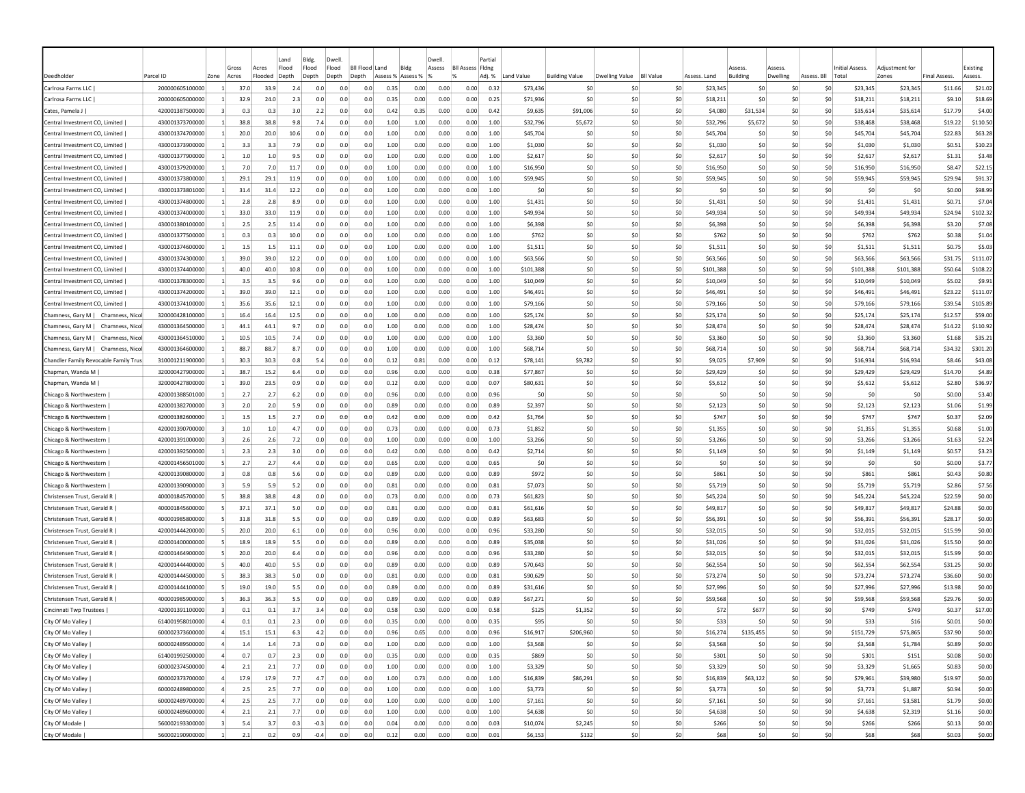|                                                                  |                                    |                                  | Gross                  | Acres        | Land<br>Flood | Bldg.<br>Flood   | Dwell<br>Flood | <b>BII Flood</b> | Land              | Bldg         | Dwell<br>Assess | <b>Bll Assess Fldng</b> | Partia       |                      |                       |                |                  |                      |            |            |                       | Initial Assess       | Adiustment fo        |                     | Existing             |
|------------------------------------------------------------------|------------------------------------|----------------------------------|------------------------|--------------|---------------|------------------|----------------|------------------|-------------------|--------------|-----------------|-------------------------|--------------|----------------------|-----------------------|----------------|------------------|----------------------|------------|------------|-----------------------|----------------------|----------------------|---------------------|----------------------|
| )eedholdei                                                       | Parcel ID                          | Zone                             | Acres                  | Flooded      | Depth         | Depth            | Depth          | Depth            | Assess % Assess % |              |                 |                         | Adj. %       | Land Value           | <b>Building Value</b> | Dwelling Value | <b>BII Value</b> | Assess, Land         | Building   | Dwelling   | Assess. Bll           | Tota                 | Zones                | <b>Final Assess</b> | Assess               |
| Carlrosa Farms LLC                                               | 200000605100000                    | $\vert$ 1                        | 37.C                   | 33.9         | 2.4           | 0.0              | 0.0            | 0.0              | 0.35              | 0.00         | 0.00            | 0.00                    | 0.32         | \$73,436             | \$C                   | -SO            | S0               | \$23,345             | S0         | <b>SC</b>  | -SO                   | \$23,345             | \$23,345             | \$11.66             | \$21.02              |
| Carlrosa Farms LLC                                               | 200000605000000                    |                                  | 32.9                   | 24.0         | 2.3           | 0.0              | 0.0            | 0.0              | 0.35              | 0.00         | 0.00            | 0.00                    | 0.25         | \$71,936             | \$C                   | \$0            | \$0              | \$18,211             | -SC        | \$C        | S0                    | \$18,211             | \$18,211             | \$9.10              | \$18.69              |
| Cates, Pamela J                                                  | 420001387500000                    |                                  | 0.3                    | 0.3          | 3.0           | 2.2              | 0.0            | 0.0              | 0.42              | 0.35         | 0.00            | 0.00                    | 0.42         | \$9,635              | \$91,006              | S <sub>0</sub> | \$0              | \$4,080              | \$31.534   | \$C        | \$0                   | \$35,614             | \$35,614             | \$17.79             | \$4.00               |
| Central Investment CO, Limited                                   | 430001373700000                    | $\mathbf{1}$                     | 38.8                   | 38.8         | 9.8           | 7.4              | 0.0            | 0.0              | 1.00              | 1.00         | 0.00            | 0.00                    | 1.00         | \$32,796             | \$5,672               | S0             | \$0              | \$32,796             | \$5,672    | \$0        | \$0                   | \$38,468             | \$38,468             | \$19.22             | \$110.50             |
| Central Investment CO, Limited                                   | 430001374700000                    |                                  | 20.0                   | 20.0         | 10.6          | 0.0              | 0.0            | 0.0              | 1.00              | 0.00         | 0.00            | 0.00                    | 1.00         | \$45,704             | \$C                   | \$0            | \$0              | \$45,704             | \$C        | \$C        | S0                    | \$45,704             | \$45,704             | \$22.83             | \$63.28              |
| Central Investment CO, Limited                                   | 430001373900000                    |                                  | 3.3                    | 3.3          | 7.9           | 0.0              | 0.0            | 0.0              | 1.00              | 0.00         | 0.00            | 0.00                    | 1.00         | \$1,030              | \$0                   | \$0            | \$0              | \$1,030              | \$0        | \$0        | S <sub>0</sub>        | \$1,030              | \$1,030              | \$0.51              | \$10.23              |
| Central Investment CO, Limited                                   | 430001377900000                    |                                  | 1.0                    | 1.0          | 9.5           | 0.0              | 0.0            | 0.0              | 1.00              | 0.00         | 0.00            | 0.00                    | 1.00         | \$2,617              | \$0                   | S0             | \$0              | \$2,617              | -SC        | \$0        | S0                    | \$2,617              | \$2,617              | \$1.31              | \$3.48               |
| Central Investment CO, Limited                                   | 430001379200000                    | -1                               | 7.0                    | 7.0          | 11.7          | 0.0              | 0.0            | 0.0              | 1.00              | 0.00         | 0.00            | 0.00                    | 1.00         | \$16,950             | \$0                   | -SO            | \$0              | \$16,950             | S0         | \$0        | S0                    | \$16,950             | \$16,950             | \$8.47              | \$22.15              |
| Central Investment CO, Limited                                   | 430001373800000                    | -11                              | 29.1                   | 29.1         | 11.9          | 0.0              | 0.0            | 0.0              | 1.00              | 0.00         | 0.00            | 0.00                    | 1.00         | \$59,945             | \$0                   | S0             | S0               | \$59,945             | S0         | \$0        | \$0                   | \$59,945             | \$59,945             | \$29.94             | \$91.37              |
| Central Investment CO, Limited                                   | 430001373801000                    |                                  | 31.4                   | 31.4         | 12.2          | 0.0              | 0.0            | 0.0              | 1.00              | 0.00         | 0.00            | 0.00                    | 1.00         | \$0                  | \$0                   | \$0            | \$0              | \$0                  | \$C        | \$C        | \$0                   | \$0                  | \$0                  | \$0.00              | \$98.99              |
| Central Investment CO, Limited                                   | 430001374800000                    |                                  | 2.8                    | 2.8          | 8.9           | 0.0              | 0.0            | 0.0              | 1.00              | 0.00         | 0.00            | 0.00                    | 1.00         | \$1,431              | \$C                   | \$0            | \$0              | \$1,431              | \$C        | \$C        | \$0                   | \$1,431              | \$1,431              | \$0.71              | \$7.04               |
| Central Investment CO, Limited                                   | 430001374000000                    |                                  | 33.0                   | 33.0         | 11.9          | 0.0              | 0.0            | 0.0              | 1.00              | 0.00         | 0.00            | 0.00                    | 1.00         | \$49,934             | \$C                   | \$0            | \$0              | \$49,934             | \$0        | \$C        | \$0                   | \$49,934             | \$49,934             | \$24.94             | \$102.32             |
| Central Investment CO, Limited                                   | 430001380100000                    |                                  | 2.5                    | 2.5          | 11.4          | 0.0              | 0.0            | 0.0              | 1.00              | 0.00         | 0.00            | 0.00                    | 1.00         | \$6,398              | \$C                   | \$0            | \$0              | \$6,398              | \$0        | \$0        | \$0                   | \$6,398              | \$6,398              | \$3.20              | \$7.08               |
| Central Investment CO, Limited                                   | 430001377500000                    |                                  | 0.3                    | 0.3          | 10.0          | 0.0              | 0.0            | 0.0              | 1.00              | 0.00         | 0.00            | 0.00                    | 1.00         | \$762                | \$0                   | S0             | \$0              | \$762                | S0         | \$C        | \$0                   | \$762                | \$762                | \$0.38              | \$1.04               |
| Central Investment CO, Limited                                   | 430001374600000                    |                                  | 1.5                    | 1.5          | 11.1          | 0.0              | 0.0            | 0.0              | 1.00              | 0.00         | 0.00            | 0.00                    | 1.00         | \$1,511              | \$0                   | S0             | \$0              | \$1,511              | S0         | \$0        | \$0                   | \$1,511              | \$1,511              | \$0.75              | \$5.03               |
| Central Investment CO. Limited                                   | 430001374300000                    |                                  | 39.0                   | 39.0         | 12.2          | 0.0              | 0.0            | 0.0              | 1.00              | 0.00         | 0.00            | 0.00                    | 1.00         | \$63,566             | \$0                   | S0             | \$0              | \$63,566             | S0         | \$0        | \$0                   | \$63,566             | \$63,566             | \$31.75             | \$111.07             |
| Central Investment CO, Limited                                   | 430001374400000                    | $\mathbf{1}$                     | 40.0                   | 40.0         | 10.8          | 0.0              | 0.0            | 0.0              | 1.00              | 0.00         | 0.00            | 0.00                    | 1.00         | \$101,388            | \$0                   | S0             | \$0              | \$101,388            | \$0        | \$0<br>\$0 | \$0                   | \$101,388            | \$101,388            | \$50.64             | \$108.22             |
| Central Investment CO, Limited                                   | 430001378300000                    |                                  | 3.5                    | 3.5          | 9.6           | 0.0              | 0.0            | 0.0              | 1.00              | 0.00         | 0.00            | 0.00                    | 1.00         | \$10,049             | \$0                   | \$0            | \$0              | \$10,049             | \$0        |            | \$0                   | \$10,049             | \$10,049             | \$5.02              | \$9.91               |
| Central Investment CO, Limited<br>Central Investment CO, Limited | 430001374200000                    | -11                              | 39.0<br>35.6           | 39.0<br>35.6 | 12.1<br>12.1  | 0.0<br>0.0       | 0.0<br>0.0     | 0.0<br>0.0       | 1.00<br>1.00      | 0.00<br>0.00 | 0.00<br>0.00    | 0.00<br>0.00            | 1.00<br>1.00 | \$46,491             | \$0<br>\$0            | \$0<br>-SO     | \$0<br>\$0       | \$46,491<br>\$79,166 | \$C<br>-SC | \$0<br>\$0 | S <sub>0</sub><br>-SO | \$46,491             | \$46,491             | \$23.22<br>\$39.54  | \$111.07<br>\$105.89 |
| Chamness, Gary M   Chamness, Nicol                               | 430001374100000<br>320000428100000 | -11                              | 16.4                   | 16.4         | 12.5          | 0.0              | 0.0            | 0.0              | 1.00              | 0.00         | 0.00            | 0.00                    | 1.00         | \$79,166<br>\$25,174 | \$0                   | S <sub>0</sub> | SO.              | \$25,174             | \$0        | \$0        | S0                    | \$79,166<br>\$25,174 | \$79,166<br>\$25,174 | \$12.57             | \$59.00              |
| Chamness, Gary M  <br>Chamness, Nico                             | 430001364500000                    |                                  | 44.1                   | 44.1         | 9.7           | 0.0              | 0.0            | 0.0              | 1.00              | 0.00         | 0.00            | 0.00                    | 1.00         | \$28,474             | \$C                   | S <sub>0</sub> | \$0              | \$28,474             | \$C        | \$0        | \$0                   | \$28,474             | \$28,474             | \$14.22             | \$110.92             |
| Chamness, Gary M   Chamness, Nicol                               | 430001364510000                    |                                  | 10.5                   | 10.5         | 7.4           | 0.0              | 0.0            | 0.0              | 1.00              | 0.00         | 0.00            | 0.00                    | 1.00         | \$3,360              | \$C                   | \$0            | \$0              | \$3,360              | \$0        | \$C        | \$0                   | \$3,360              | \$3,360              | \$1.68              | \$35.21              |
| Chamness, Gary M  <br>Chamness, Nico                             | 430001364600000                    |                                  | 88.7                   | 88.7         | 8.7           | 0.0              | 0.0            | 0.0              | 1.00              | 0.00         | 0.00            | 0.00                    | 1.00         | \$68,714             | \$C                   | \$0            | \$0              | \$68,714             | \$C        | \$C        | \$0                   | \$68,714             | \$68,714             | \$34.32             | \$301.20             |
| Chandler Family Revocable Family Trus                            | 310001211900000                    |                                  | 30.3                   | 30.3         | 0.8           | 5.4              | 0.0            | 0.0              | 0.12              | 0.81         | 0.00            | 0.00                    | 0.12         | \$78,141             | \$9,782               | \$0            | \$0              | \$9,025              | \$7,909    | \$C        | \$0                   | \$16,934             | \$16,934             | \$8.46              | \$43.08              |
| Chapman, Wanda M                                                 | 320000427900000                    |                                  | 38.7                   | 15.2         | 6.4           | 0.0              | 0.0            | 0.0              | 0.96              | 0.00         | 0.00            | 0.00                    | 0.38         | \$77,867             | \$C                   | \$0            | \$0              | \$29,429             | S0         | S0         | S0                    | \$29,429             | \$29,429             | \$14.70             | \$4.89               |
| Chapman, Wanda M                                                 | 320000427800000                    |                                  | 39.0                   | 23.5         | 0.9           | 0.0              | 0.0            | 0.0              | 0.12              | 0.00         | 0.00            | 0.00                    | 0.0          | \$80,631             | \$C                   | S0             | \$0              | \$5,612              | -SC        | <b>SC</b>  | S0                    | \$5,612              | \$5,612              | \$2.80              | \$36.97              |
| Chicago & Northwestern                                           | 420001388501000                    |                                  | 2.7                    | 2.7          | 6.2           | 0.0              | 0.0            | 0.0              | 0.96              | 0.00         | 0.00            | 0.00                    | 0.96         | S0                   | \$0                   | S0             | \$0              | \$0                  | S0         | \$0        | \$0                   | S0                   | \$0                  | \$0.00              | \$3.40               |
| Chicago & Northwestern                                           | 420001382700000                    |                                  | 2.0                    | 2.0          | 5.9           | 0.0              | 0.0            | 0.0              | 0.89              | 0.00         | 0.00            | 0.00                    | 0.89         | \$2,397              | \$C                   | S0             | \$0              | \$2,123              | \$C        | \$C        | \$0                   | \$2,123              | \$2,123              | \$1.06              | \$1.99               |
| Chicago & Northwestern                                           | 420001382600000                    |                                  | 1.5                    | 1.5          | 2.7           | 0.0              | 0.0            | 0.0              | 0.42              | 0.00         | 0.00            | 0.00                    | 0.42         | \$1,764              | \$C                   | S0             | \$0              | \$747                | \$C        | \$C        | \$0                   | \$747                | \$747                | \$0.37              | \$2.09               |
| Chicago & Northwestern                                           | 420001390700000                    |                                  | 1.0                    | $1.0\,$      | 4.7           | 0.0              | 0.0            | 0.0              | 0.73              | 0.00         | 0.00            | 0.00                    | 0.73         | \$1,852              | \$C                   | \$0            | \$0              | \$1,355              | \$C        | \$0        | S <sub>0</sub>        | \$1,355              | \$1,355              | \$0.68              | \$1.00               |
| Chicago & Northwestern                                           | 420001391000000                    |                                  | 2.6                    | 2.6          | 7.2           | 0.0              | 0.0            | 0.0              | 1.00              | 0.00         | 0.00            | 0.00                    | 1.00         | \$3,266              | \$0                   | \$0            | \$0              | \$3,266              | \$0        | \$0        | S <sub>0</sub>        | \$3,266              | \$3,266              | \$1.63              | \$2.24               |
| Chicago & Northwestern                                           | 420001392500000                    |                                  | 2.3                    | 2.3          | 3.0           | 0.0              | 0.0            | 0.0              | 0.42              | 0.00         | 0.00            | 0.00                    | 0.42         | \$2,714              | \$C                   | -SO            | \$0              | \$1,149              | S0         | S0         | S0                    | \$1,149              | \$1,149              | \$0.57              | \$3.23               |
| Chicago & Northwestern                                           | 420001456501000                    |                                  | 2.7                    | 2.7          | 4.4           | 0.0              | 0.0            | 0.0              | 0.65              | 0.00         | 0.00            | 0.00                    | 0.65         | \$0                  | \$0                   | S0             | \$0              | S0                   | S0         | S0         | S0                    | S0                   | S <sub>0</sub>       | \$0.00              | \$3.77               |
| Chicago & Northwestern                                           | 420001390800000                    |                                  | 0.8                    | 0.8          | 5.6           | 0.0              | 0.0            | 0.0              | 0.89              | 0.00         | 0.00            | 0.00                    | 0.89         | \$972                | \$0                   | S0             | \$0              | \$861                | S0         | \$0        | \$0                   | \$861                | \$861                | \$0.43              | \$0.80               |
| Chicago & Northwestern                                           | 420001390900000                    |                                  | 5.9                    | 5.9          | 5.2           | 0.0              | 0.0            | 0.0              | 0.81              | 0.00         | 0.00            | 0.00                    | 0.81         | \$7,073              | \$0                   | S0             | \$0              | \$5,719              | \$0        | \$C        | \$0                   | \$5,719              | \$5,719              | \$2.86              | \$7.56               |
| Christensen Trust, Gerald R                                      | 400001845700000                    |                                  | 38.8                   | 38.8         | 4.8           | 0.0              | 0.0            | 0.0              | 0.73              | 0.00         | 0.00            | 0.00                    | 0.73         | \$61,823             | \$C                   | \$0            | \$0              | \$45,224             | \$C        | \$C        | \$0                   | \$45,224             | \$45,224             | \$22.59             | \$0.00               |
| Christensen Trust, Gerald R                                      | 400001845600000                    |                                  | 37.1                   | 37.1         | 5.0           | 0.0              | 0.0            | 0.0              | 0.81              | 0.00         | 0.00            | 0.00                    | 0.81         | \$61,616             | \$C                   | \$0            | \$0              | \$49,817             | \$C        | \$C        | \$0                   | \$49,817             | \$49,817             | \$24.88             | \$0.00               |
| Christensen Trust, Gerald R                                      | 400001985800000                    |                                  | 31.8                   | 31.8         | 5.5           | 0.0              | 0.0            | 0.0              | 0.89              | 0.00         | 0.00            | 0.00                    | 0.89         | \$63,683             | \$C                   | -SO            | \$0              | \$56,391             | \$0        | \$0        | \$0                   | \$56,391             | \$56,391             | \$28.17             | \$0.00               |
| Christensen Trust, Gerald R                                      | 420001444200000                    |                                  | 20.0                   | 20.0         | 6.1           | 0.0              | 0.0            | 0.0              | 0.96              | 0.00         | 0.00            | 0.00                    | 0.96         | \$33,280             | \$C                   | S0             | \$0              | \$32,015             | \$0        | \$0        | S0                    | \$32,015             | \$32,015             | \$15.99             | \$0.00               |
| Christensen Trust, Gerald R                                      | 420001400000000                    | -51                              | 18.9                   | 18.9         | 5.5           | 0.0              | 0.0            | 0.0              | 0.89              | 0.00         | 0.00            | 0.00                    | 0.89         | \$35,038             | \$0                   | S0             | \$0              | \$31,026             | \$0        | \$0        | \$0                   | \$31,026             | \$31,026             | \$15.50             | \$0.00               |
| Christensen Trust, Gerald R                                      | 420001464900000                    |                                  | 20.0                   | 20.0         | 6.4           | 0.0              | 0.0            | 0.0              | 0.96              | 0.00         | 0.00            | 0.00                    | 0.96         | \$33,280             | \$C                   | \$0            | \$0              | \$32,015             | \$0        | \$C        | \$0                   | \$32,015             | \$32,015             | \$15.99             | \$0.00               |
| Christensen Trust, Gerald R                                      | 420001444400000                    |                                  | 40.0                   | 40.0         | 5.5           | 0.0              | 0.0            | 0.0              | 0.89              | 0.00         | 0.00            | 0.00                    | 0.89         | \$70,643             | \$C                   | S0             | \$0              | \$62,554             | \$0        | \$C        | \$0                   | \$62,554             | \$62,554             | \$31.25             | \$0.00               |
| Christensen Trust, Gerald R                                      | 420001444500000                    | -5                               | 38.3                   | 38.3         | 5.0           | 0.0              | 0.0            | 0.0              | 0.81              | 0.00         | 0.00            | 0.00                    | 0.81         | \$90,629             | \$C                   | \$0            | \$0              | \$73,274             | \$C        | \$0        | \$0                   | \$73,274             | \$73,274             | \$36.60             | \$0.00               |
| Christensen Trust, Gerald R                                      | 420001444100000                    | -51                              | 19.0                   | 19.0         | 5.5           | 0.0              | 0.0            | 0.0              | 0.89              | 0.00         | 0.00            | 0.00                    | 0.89         | \$31,616             | \$0                   | -SO            | \$0              | \$27,996             | S0         | S0         | S0                    | \$27,996             | \$27,996             | \$13.98             | \$0.00               |
| Christensen Trust, Gerald R                                      | 400001985900000                    |                                  | 36.3                   | 36.3         | 5.5           | 0.0              | 0.0            | 0.0              | 0.89              | 0.00         | 0.00            | 0.00                    | 0.89         | \$67,271             | <b>SC</b>             | -SO            | \$0              | \$59,568             | -SC        | so         | -SO                   | \$59,568             | \$59,568             | \$29.76             | \$0.00               |
| Cincinnati Twp Trustees                                          | 420001391100000                    |                                  | 0.1                    | 0.1          | 3.7           | 3.4              | 0.0            | 0.0              | 0.58              | 0.50         | 0.00            | 0.00                    | 0.58         | \$125                | \$1,352               | -SO            | \$0              | \$72                 | \$677      | \$C        | \$0                   | \$749                | \$749                | \$0.37              | \$17.00              |
| City Of Mo Valley                                                | 614001958010000                    |                                  | 0.1                    | 0.1          | 2.3           | 0.0              | 0.0            | 0.0              | 0.35              | 0.00         | 0.00            | 0.00                    | 0.35         | \$95                 | \$0                   | S0             | \$0              | \$33                 | S0         | \$0        | \$0                   | \$33                 | \$16                 | \$0.01              | \$0.00               |
| City Of Mo Valley                                                | 600002373600000                    |                                  | $\overline{4}$<br>15.1 | 15.1         | 6.3           | 4.2              | 0.0            | 0.0              | 0.96              | 0.65         | 0.00            | 0.00                    | 0.96         | \$16,917             | \$206,960             | \$0            | \$0              | \$16,274             | \$135,455  | \$0        | \$0                   | \$151,729            | \$75,865             | \$37.90             | \$0.00               |
| City Of Mo Valley                                                | 600002489500000                    | $\overline{a}$                   | 1.4                    | 1.4          | 7.3           | 0.0              | 0.0            | 0.0              | 1.00              | 0.00         | 0.00            | 0.00                    | 1.00         | \$3,568              | \$0                   | \$0            | \$0              | \$3,568              | \$0        | 50         | \$0                   | \$3,568              | \$1,784              | \$0.89              | \$0.00               |
| City Of Mo Valley                                                | 614001992500000                    | $\overline{a}$                   | 0.7                    | 0.7          | 2.3           | 0.0              | 0.0            | 0.0              | 0.35              | 0.00         | 0.00            | 0.00                    | 0.35         | \$869                | \$0                   | \$0            | \$0              | \$301                | \$0        | 50         | \$0                   | \$301                | \$151                | \$0.08              | \$0.00               |
| City Of Mo Valley                                                | 600002374500000                    | $\overline{a}$                   | 2.1                    | 2.1          | 7.7           | 0.0              | 0.0            | 0.0              | 1.00              | 0.00         | 0.00            | 0.00                    | 1.00         | \$3,329              | \$0                   | \$0            | \$0              | \$3,329              | \$0        | 50         | \$0                   | \$3,329              | \$1,665              | \$0.83              | \$0.00               |
| City Of Mo Valley                                                | 600002373700000                    | $\overline{a}$                   | 17.9                   | 17.9         | 7.7           | 4.7              | 0.0            | 0.0              | 1.00              | 0.73         | 0.00            | 0.00                    | 1.00         | \$16,839             | \$86,291              | 50             | \$0              | \$16,839             | \$63,122   | 50         | \$0                   | \$79,961             | \$39,980             | \$19.97             | \$0.00               |
| City Of Mo Valley                                                | 600002489800000                    | $\overline{a}$                   | 2.5                    | 2.5          | 7.7           | 0.0              | 0.0            | 0.0              | 1.00              | 0.00         | 0.00            | 0.00                    | 1.00         | \$3,773              | \$0                   | \$0            | \$0              | \$3,773              | \$0        | 50         | \$0                   | \$3,773              | \$1,887              | \$0.94              | \$0.00               |
| City Of Mo Valley                                                | 600002489700000<br>600002489600000 | $\overline{4}$<br>$\overline{a}$ | 2.5                    | 2.5          | 7.7           | 0.0              | 0.0            | 0.0              | 1.00              | 0.00         | 0.00            | 0.00                    | 1.00         | \$7,161              | \$0<br>\$0            | \$0<br>50      | \$0<br>\$0       | \$7,161              | \$0<br>\$0 | 50<br>\$0  | \$0                   | \$7,161              | \$3,581              | \$1.79              | \$0.00               |
| City Of Mo Valley                                                |                                    | 3                                | 2.1                    | 2.1          | 7.7           | 0.0              | 0.0            | 0.0              | 1.00              | 0.00         | 0.00            | 0.00                    | 1.00         | \$4,638              | \$2,245               |                | \$0              | \$4,638              |            |            | \$0                   | \$4,638              | \$2,319              | \$1.16              | \$0.00               |
| City Of Modale<br>City Of Modale                                 | 560002193300000<br>560002190900000 | $\vert$ 1                        | 5.4<br>2.1             | 3.7<br>0.2   | 0.3<br>0.9    | $-0.3$<br>$-0.4$ | 0.0<br>0.0     | 0.0<br>0.0       | 0.04<br>0.12      | 0.00<br>0.00 | 0.00<br>0.00    | 0.00<br>0.00            | 0.03<br>0.01 | \$10,074<br>\$6,153  | \$132                 | \$0<br>\$0     | \$0              | \$266<br>\$68        | \$0<br>\$0 | 50<br>50   | \$0<br>\$0            | \$266<br>\$68        | \$266<br>\$68        | \$0.13<br>\$0.03    | \$0.00<br>\$0.00     |
|                                                                  |                                    |                                  |                        |              |               |                  |                |                  |                   |              |                 |                         |              |                      |                       |                |                  |                      |            |            |                       |                      |                      |                     |                      |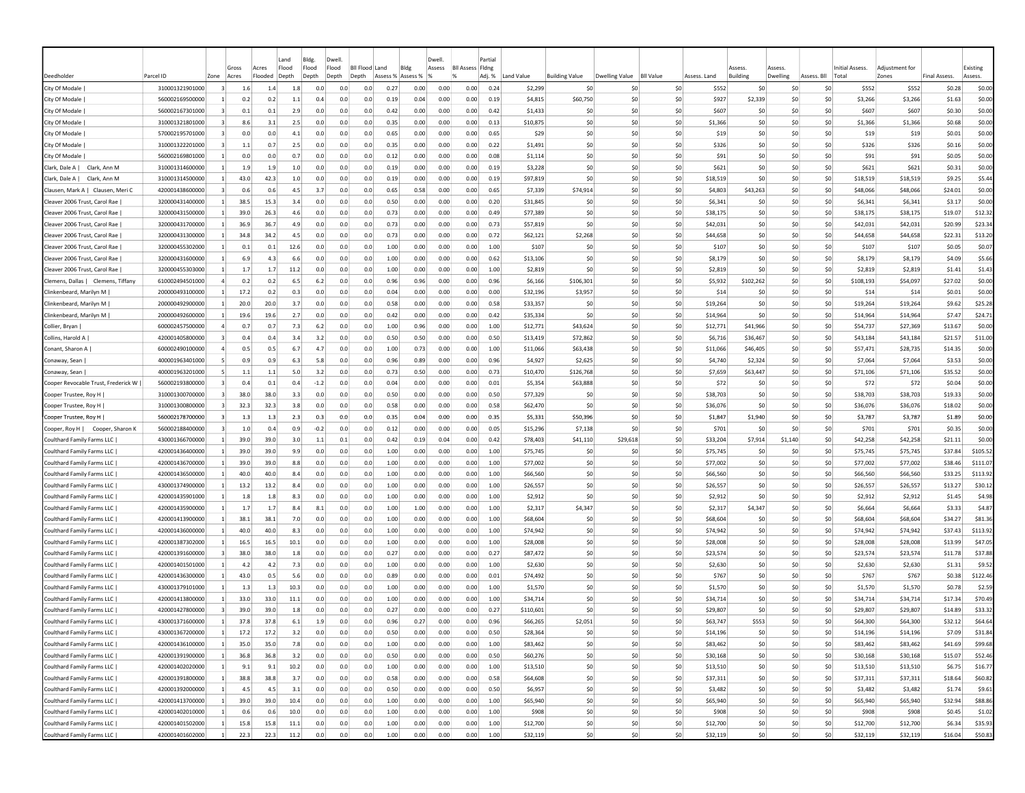|                                       |                                    |                |            |            | Land           | Bldg.      | Dwell          |                |              |              | Dwell        |                         | Partial      |                    |                       |                       |                  |                |                 |            |                 |                  |                  |                     |                  |
|---------------------------------------|------------------------------------|----------------|------------|------------|----------------|------------|----------------|----------------|--------------|--------------|--------------|-------------------------|--------------|--------------------|-----------------------|-----------------------|------------------|----------------|-----------------|------------|-----------------|------------------|------------------|---------------------|------------------|
|                                       |                                    |                | Gross      | Acres      | Flood          | Flood      | Flood          | Bil Flood Land |              | Bldg         | Assess       | <b>BII Assess Fidne</b> |              |                    |                       |                       |                  |                | Assess          | Assess     |                 | Initial Assess.  | Adiustment for   |                     | Existing         |
| Deedholder                            | Parcel ID                          | Zone           | Acres      | Flooded    | Depth          | Depth      | Depth<br>Depth |                | Assess %     | Assess %     |              |                         | Adj. %       | Land Value         | <b>Building Value</b> | <b>Dwelling Value</b> | <b>BII Value</b> | Assess. Land   | <b>Building</b> | Dwelling   | Assess. Bll     | Total            | Zones            | <b>Final Assess</b> | Assess.          |
| City Of Modale                        | 310001321901000                    |                |            | 1.4        | 1.8            | 0.0        | 0.0            | 0.0            | 0.27         | 0.00         | 0.00         | 0.00                    | 0.24         | \$2,299            | \$C                   | -SC                   | \$0              | \$552          | \$0             | \$0        | \$0             | \$552            | \$552            | \$0.28              | \$0.00           |
| City Of Modale                        | 560002169500000                    |                | 0.2<br>0.1 | 0.2<br>0.1 | $1.1\,$<br>2.9 | 0.4<br>0.0 | 0.0<br>0.0     | 0.0<br>0.0     | 0.19<br>0.42 | 0.04<br>0.00 | 0.00<br>0.00 | 0.00<br>0.00            | 0.19<br>0.42 | \$4,815<br>\$1,433 | \$60,750<br>\$0       | \$0<br>\$0            | \$0<br>\$0       | \$927<br>\$607 | \$2,339<br>S0   | \$0<br>\$0 | \$0<br>\$0      | \$3,266<br>\$607 | \$3,266<br>\$607 | \$1.63<br>\$0.30    | \$0.00<br>\$0.00 |
| City Of Modale<br>City Of Modale      | 560002167301000<br>310001321801000 |                | 8.6        | 3.1        | 2.5            | 0.0        | 0.0            | 0.0            | 0.35         | 0.00         | 0.00         | 0.00                    | 0.13         | \$10,875           | \$0                   | -SO                   | \$0              | \$1,366        | S <sub>0</sub>  | \$0        | \$0             | \$1,366          | \$1,366          | \$0.68              | \$0.00           |
| City Of Modale                        | 570002195701000                    |                | 0.0        | 0.0        | 4.1            | 0.0        | 0.0            | 0.0            | 0.65         | 0.00         | 0.00         | 0.00                    | 0.65         | \$29               | \$0                   | -SO                   | \$0              | \$19           | S <sub>0</sub>  | \$0        | \$0             | \$19             | \$19             | \$0.01              | \$0.00           |
| City Of Modale                        | 310001322201000                    |                | 1.1        | 0.7        | 2.5            | 0.0        | 0.0            | 0.0            | 0.35         | 0.00         | 0.00         | 0.00                    | 0.22         | \$1,491            | \$0                   | -SO                   | \$0              | \$326          | S <sub>0</sub>  | \$0        | \$0             | \$326            | \$326            | \$0.16              | \$0.00           |
| City Of Modale                        | 560002169801000                    | $\vert$ 1      | 0.0        | 0.0        | 0.7            | 0.0        | 0.0            | 0.0            | 0.12         | 0.00         | 0.00         | 0.00                    | 0.08         | \$1,114            | \$0                   | \$0                   | \$0              | \$91           | \$0             | \$0        | \$0             | \$91             | \$91             | \$0.05              | \$0.00           |
| Clark, Dale A  <br>Clark, Ann M       | 310001314600000                    |                | 1.9        | 1.9        | 1.0            | 0.0        | 0.0            | 0.0            | 0.19         | 0.00         | 0.00         | 0.00                    | 0.19         | \$3,228            | \$0                   | -SO                   | \$0              | \$621          | \$0             | \$0        | \$0             | \$621            | \$621            | \$0.31              | \$0.00           |
| Clark, Dale A  <br>Clark, Ann M       | 310001314500000                    | -1             | 43.0       | 42.3       | 1.0            | 0.0        | 0.0            | 0.0            | 0.19         | 0.00         | 0.00         | 0.00                    | 0.19         | \$97,819           | \$0                   | -SO                   | \$0              | \$18,519       | S <sub>0</sub>  | \$0        | \$0             | \$18,519         | \$18,519         | \$9.25              | \$5.44           |
| Clausen, Mark A. L. Clausen, Meri C.  | 420001438600000                    |                | 0.6        | 0.6        | 4.5            | 3.7        | 0.0            | 0.0            | 0.65         | 0.58         | 0.00         | 0.00                    | 0.65         | \$7,339            | \$74,914              | -SO                   | \$0              | \$4,803        | \$43,263        | \$0        | \$0             | \$48,066         | \$48,066         | \$24.01             | \$0.00           |
| Cleaver 2006 Trust, Carol Rae         | 320000431400000                    |                | 38.5       | 15.3       | 3.4            | 0.0        | 0.0            | 0.0            | 0.50         | 0.00         | 0.00         | 0.00                    | 0.20         | \$31,845           | \$0                   | \$0                   | \$0              | \$6.341        | S <sub>0</sub>  | \$0        | \$0             | \$6,341          | \$6,341          | \$3.17              | \$0.00           |
| Cleaver 2006 Trust, Carol Rae         | 320000431500000                    |                | 39.0       | 26.3       | 4.6            | 0.0        | 0.0            | 0.0            | 0.73         | 0.00         | 0.00         | 0.00                    | 0.49         | \$77,389           | \$C                   | \$0                   | \$0              | \$38,175       | \$0             | \$0        | \$0             | \$38,175         | \$38,175         | \$19.07             | \$12.32          |
| Cleaver 2006 Trust, Carol Rae         | 320000431700000                    |                | 36.9       | 36.7       | 4.9            | 0.0        | 0.0            | 0.0            | 0.73         | 0.00         | 0.00         | 0.00                    | 0.73         | \$57,819           | \$C                   | -SO                   | \$0              | \$42,031       | \$0             | \$0        | \$0             | \$42,031         | \$42,031         | \$20.99             | \$23.34          |
| Cleaver 2006 Trust, Carol Rae         | 320000431300000                    |                | 34.8       | 34.2       | 4.5            | 0.0        | 0.0            | 0.0            | 0.73         | 0.00         | 0.00         | 0.00                    | 0.72         | \$62,121           | \$2,268               | \$0                   | \$0              | \$44,658       | \$0             | \$0        | \$0             | \$44,658         | \$44,658         | \$22.31             | \$13.20          |
| Cleaver 2006 Trust, Carol Rae         | 320000455302000                    |                | 0.1        | 0.1        | 12.6           | 0.0        | 0.0            | 0.0            | 1.00         | 0.00         | 0.00         | 0.00                    | 1.00         | \$107              | \$0                   | -SO                   | \$0              | \$107          | \$0             | \$0        | \$0             | \$107            | \$107            | \$0.05              | \$0.07           |
| Cleaver 2006 Trust, Carol Rae         | 320000431600000                    |                | 6.9        | 4.3        | 6.6            | 0.0        | 0.0            | 0.0            | 1.00         | 0.00         | 0.00         | 0.00                    | 0.62         | \$13,106           | \$0                   | \$0                   | \$0              | \$8,179        | \$0             | \$0        | \$0             | \$8,179          | \$8,179          | \$4.09              | \$5.66           |
| Cleaver 2006 Trust, Carol Rae         | 320000455303000                    |                | 1.7        | 1.7        | 11.2           | 0.0        | 0.0            | 0.0            | 1.00         | 0.00         | 0.00         | 0.00                    | 1.00         | \$2,819            | \$0                   | \$0                   | \$0              | \$2,819        | S <sub>0</sub>  | \$0        | \$0             | \$2,819          | \$2,819          | \$1.41              | \$1.43           |
| Clemens, Dallas  <br>Clemens, Tiffany | 610002494501000                    |                | 0.2        | 0.2        | 6.5            | 6.2        | 0.0            | 0.0            | 0.96         | 0.96         | 0.00         | 0.00                    | 0.96         | \$6,166            | \$106,301             | -SO                   | \$0              | \$5,932        | \$102,262       | \$0        | \$0             | \$108,193        | \$54,097         | \$27.02             | \$0.00           |
| Clinkenbeard, Marilyn M               | 200000493100000                    |                | 17.2       | 0.2        | 0.3            | 0.0        | 0.0            | 0.0            | 0.04         | 0.00         | 0.00         | 0.00                    | 0.00         | \$32,196           | \$3,957               | -SO                   | \$0              | \$14           | -SC             | \$C        | \$0             | \$14             | \$14             | \$0.01              | \$0.00           |
| Clinkenbeard, Marilyn M               | 200000492900000                    |                | 20.0       | 20.0       | 3.7            | 0.0        | 0.0            | 0.0            | 0.58         | 0.00         | 0.00         | 0.00                    | 0.58         | \$33,357           | \$C                   | \$0                   | \$0              | \$19,264       | \$0             | \$0        | \$0             | \$19,264         | \$19,264         | \$9.62              | \$25.28          |
| Clinkenbeard, Marilyn M               | 200000492600000                    | -1             | 19.6       | 19.6       | 2.7            | 0.0        | 0.0            | 0.0            | 0.42         | 0.00         | 0.00         | 0.00                    | 0.42         | \$35,334           | \$0                   | -SO                   | \$0              | \$14,964       | S0              | \$0        | S0              | \$14,964         | \$14,964         | \$7.47              | \$24.71          |
| Collier, Bryan                        | 600002457500000                    |                | 0.7        | 0.7        | 7.3            | 6.2        | 0.0            | 0.0            | 1.00         | 0.96         | 0.00         | 0.00                    | 1.00         | \$12,771           | \$43,624              | -SO                   | \$0              | \$12,771       | \$41,966        | SO.        | S0              | \$54,737         | \$27,369         | \$13.67             | \$0.00           |
| Collins, Harold A                     | 420001405800000                    |                | 0.4        | 0.4        | 3.4            | 3.2        | 0.0            | 0.0            | 0.50         | 0.50         | 0.00         | 0.00                    | 0.50         | \$13,419           | \$72,862              | -SO                   | \$0              | S6.716         | \$36,467        | S0         | \$0             | \$43,184         | \$43,184         | \$21.57             | \$11.00          |
| Conant, Sharon A                      | 600002490100000                    |                | 0.5        | 0.5        | 6.7            | 4.7        | 0.0            | 0.0            | 1.00         | 0.73         | 0.00         | 0.00                    | 1.00         | \$11,066           | \$63,438              | \$0                   | \$0              | \$11,066       | \$46,405        | \$0        | \$0             | \$57,471         | \$28,735         | \$14.35             | \$0.00           |
| Conaway, Sean                         | 400001963401000                    |                | 0.9        | 0.9        | 6.3            | 5.8        | 0.0            | 0.0            | 0.96         | 0.89         | 0.00         | 0.00                    | 0.96         | \$4,927            | \$2,625               | -SO                   | \$0              | \$4,740        | \$2,324         | \$0        | \$0             | \$7,064          | \$7,064          | \$3.53              | \$0.00           |
| Conaway, Sean                         | 400001963201000                    |                | $1.1$      | $1.1\,$    | 5.0            | 3.2        | 0.0            | 0.0            | 0.73         | 0.50         | 0.00         | 0.00                    | 0.73         | \$10,470           | \$126,768             | \$0                   | \$0              | \$7,659        | \$63,447        | \$0        | \$0             | \$71,106         | \$71,106         | \$35.52             | \$0.00           |
| Cooper Revocable Trust, Frederick W   | 560002193800000                    |                | 0.4        | 0.1        | 0.4            | -1.2       | 0.0            | 0.0            | 0.04         | 0.00         | 0.00         | 0.00                    | 0.01         | \$5,354            | \$63,888              | \$0                   | \$0              | \$72           | \$C             | \$0        | \$0             | \$72             | \$72             | \$0.04              | \$0.00           |
| Cooper Trustee, Roy H                 | 310001300700000                    |                | 38.0       | 38.0       | 3.3            | 0.0        | 0.0            | 0.0            | 0.50         | 0.00         | 0.00         | 0.00                    | 0.50         | \$77,329           | \$C                   | \$0                   | \$0              | \$38,703       | \$0             | \$0        | \$0             | \$38,703         | \$38,703         | \$19.33             | \$0.00           |
| Cooper Trustee, Roy H                 | 310001300800000                    |                | 32.3       | 32.3       | 3.8            | 0.0        | 0.0            | 0.0            | 0.58         | 0.00         | 0.00         | 0.00                    | 0.58         | \$62,470           | \$0                   | \$0                   | \$0              | \$36,076       | S <sub>0</sub>  | \$0        | \$0             | \$36,076         | \$36,076         | \$18.02             | \$0.00           |
| Cooper Trustee, Roy H                 | 560002178700000                    | 3              | 1.3        | 1.3        | 2.3            | 0.3        | 0.0            | 0.0            | 0.35         | 0.04         | 0.00         | 0.00                    | 0.35         | \$5,331            | \$50,396              | \$0                   | \$0              | \$1,847        | \$1,940         | \$0        | \$0             | \$3,787          | \$3,787          | \$1.89              | \$0.00           |
| Cooper, Roy H  <br>Cooper, Sharon K   | 560002188400000                    |                | 1.0        | 0.4        | 0.9            | $-0.2$     | 0.0            | 0.0            | 0.12         | 0.00         | 0.00         | 0.00                    | 0.05         | \$15,296           | \$7,138               | \$0                   | \$0              | \$701          | \$0             | \$0        | \$0             | \$701            | \$701            | \$0.35              | \$0.00           |
| Coulthard Family Farms LLC            | 430001366700000                    |                | 39.0       | 39.0       | 3.0            | 1.1        | 0.1            | 0.0            | 0.42         | 0.19         | 0.04         | 0.00                    | 0.42         | \$78,403           | \$41,110              | \$29,618              | \$0              | \$33,204       | \$7,914         | \$1,140    | \$0             | \$42,258         | \$42,258         | \$21.11             | \$0.00           |
| Coulthard Family Farms LLC            | 420001436400000                    | $\vert$ 1      | 39.0       | 39.0       | 9.9            | 0.0        | 0.0            | 0.0            | 1.00         | 0.00         | 0.00         | 0.00                    | 1.00         | \$75,745           | \$C                   | -SO                   | \$0              | \$75,745       | -SC             | \$0        | \$0             | \$75,745         | \$75,745         | \$37.84             | \$105.52         |
| Coulthard Family Farms LLC            | 420001436700000                    | -11            | 39.0       | 39.0       | 8.8            | 0.0        | 0.0            | 0.0            | 1.00         | 0.00         | 0.00         | 0.00                    | 1.00         | \$77,002           | \$0                   | -SO                   | \$0              | \$77,002       | -SO             | S0         | S0              | \$77,002         | \$77,002         | \$38.46             | \$111.07         |
| Coulthard Family Farms LLC            | 420001436500000                    | -1             | 40.0       | 40.0       | 8.4            | 0.0        | 0.0            | 0.0            | 1.00         | 0.00         | 0.00         | 0.00                    | 1.00         | \$66,560           | -SO                   | -SO                   | \$0              | \$66,560       | S <sub>0</sub>  | \$0        | S0              | \$66,560         | \$66,560         | \$33.25             | \$113.92         |
| Coulthard Family Farms LLC            | 430001374900000                    |                | 13.2       | 13.2       | 8.4            | 0.0        | 0.0            | 0.0            | 1.00         | 0.00         | 0.00         | 0.00                    | 1.00         | \$26,557           | \$0                   | -SO                   | \$0              | \$26,557       | S <sub>0</sub>  | \$0        | \$0             | \$26,557         | \$26,557         | \$13.27             | \$30.12          |
| Coulthard Family Farms LLC            | 420001435901000                    |                | 1.8        | 1.8        | 8.3            | 0.0        | 0.0            | 0.0            | 1.00         | 0.00         | 0.00         | 0.00                    | 1.00         | \$2,912            | \$0                   | \$0                   | \$0              | \$2,912        | S <sub>0</sub>  | \$0        | \$0             | \$2,912          | \$2,912          | \$1.45              | \$4.98           |
| Coulthard Family Farms LLC            | 420001435900000                    |                | 1.7        | 1.7        | 8.4            | 8.1        | 0.0            | 0.0            | 1.00         | 1.00         | 0.00         | 0.00                    | 1.00         | \$2,317            | \$4,347               | \$0                   | \$0              | \$2,317        | \$4,347         | \$C        | \$0             | \$6,664          | \$6,664          | \$3.33              | \$4.87           |
| Coulthard Family Farms LLC            | 420001413900000                    |                | 38.1       | 38.1       | 7.0            | 0.0        | 0.0            | 0.0            | 1.00         | 0.00         | 0.00         | 0.00                    | 1.00         | \$68,604           | \$0                   | \$0                   | \$0              | \$68,604       | \$0             | \$0        | \$0             | \$68,604         | \$68,604         | \$34.27             | \$81.36          |
| Coulthard Family Farms LLC            | 420001436000000                    |                | 40.0       | 40.0       | 8.3            | 0.0        | 0.0            | 0.0            | 1.00         | 0.00         | 0.00         | 0.00                    | 1.00         | \$74,942           | \$C                   | \$0                   | \$0              | \$74,942       | \$0             | \$0        | \$0             | \$74,942         | \$74,942         | \$37.43             | \$113.92         |
| Coulthard Family Farms LLC            | 420001387302000                    |                | 16.5       | 16.5       | 10.1           | 0.0        | 0.0            | 0.0            | 1.00         | 0.00         | 0.00         | 0.00                    | 1.00         | \$28,008           | \$0                   | -SO                   | \$0              | \$28,008       | \$0             | \$0        | \$0             | \$28,008         | \$28,008         | \$13.99             | \$47.05          |
| Coulthard Family Farms LLC            | 420001391600000                    | $\overline{3}$ | 38.0       | 38.0       | 1.8            | 0.0        | 0.0            | 0.0            | 0.27         | 0.00         | 0.00         | 0.00                    | 0.27         | \$87,472           | \$0                   | \$0                   | \$0              | \$23.574       | S <sub>0</sub>  | \$0        | \$0             | \$23,574         | \$23.574         | \$11.78             | \$37.88          |
| Coulthard Family Farms LLC            | 420001401501000                    |                | 4.2        | 4.2        | 7.3            | 0.0        | 0.0            | 0.0            | 1.00         | 0.00         | 0.00         | 0.00                    | 1.00         | \$2,630            | \$0                   | \$0                   | \$0              | \$2,630        | S <sub>0</sub>  | \$0        | \$0             | \$2,630          | \$2,630          | \$1.31              | \$9.52           |
| Coulthard Family Farms LLC            | 420001436300000                    |                | 43.0       | 0.5        | 5.6            | 0.0        | 0.0            | 0.0            | 0.89         | 0.00         | 0.00         | 0.00                    | 0.01         | \$74,492           | \$C                   | -SO                   | \$0              | \$767          | \$0             | \$0        | \$0             | \$767            | \$767            | \$0.38              | \$122.46         |
| Coulthard Family Farms LLC            | 430001379101000                    |                | 1.3        | 1.3        | 10.3           | 0.0        | 0.0            | 0.0            | 1.00         | 0.00         | 0.00         | 0.00                    | 1.00         | \$1,570            | \$0                   | -SO                   | \$0              | \$1,570        | \$0             | \$0        | \$0             | \$1,570          | \$1,570          | \$0.78              | \$2.59           |
| Coulthard Family Farms LLC            | 420001413800000                    |                | 33.0       | 33.0       | 11.1           | 0.0        | 0.0            | 0.0            | 1.00         | 0.00         | 0.00         | 0.00                    | 1.00         | \$34,714           | \$C                   | -SO                   | \$0              | \$34,714       | \$0             | \$0        | S0              | \$34,714         | \$34,714         | \$17.34             | \$70.49          |
| Coulthard Family Farms LLC            | 420001427800000                    |                | 39.0       | 39.0       | 1.8            | 0.0        | 0.0            | 0.0            | 0.27         | 0.00         | 0.00         | 0.00                    | 0.27         | \$110,601          | S0                    | -SO                   | \$0              | \$29,807       | -SO             | S0         | S0              | \$29,807         | \$29,807         | \$14.89             | \$33.32          |
| Coulthard Family Farms LLC            | 430001371600000                    |                | 37.8       | 37.8       | 6.1            | 1.9        | 0.0            | 0.0            | 0.96         | 0.27         | 0.00         | 0.00                    | 0.96         | \$66,265           | \$2,051               | \$0                   | \$0              | \$63,747       | \$553           | \$0        | \$0             | \$64,300         | \$64,300         | \$32.12             | \$64.64          |
| Coulthard Family Farms LLC            | 430001367200000                    | $\vert$ 1      | 17.2       | 17.2       | 3.2            | 0.0        | 0.0            | 0.0            | 0.50         | 0.00         | 0.00         | 0.00                    | 0.50         | \$28,364           | \$0                   | 50                    | \$0              | \$14,196       | \$0             | 50         | \$0             | \$14,196         | \$14,196         | \$7.09              | \$31.84          |
| Coulthard Family Farms LLC            | 420001436100000                    | $\vert$ 1      | 35.0       | 35.0       | 7.8            | 0.0        | 0.0            | 0.0            | 1.00         | 0.00         | 0.00         | 0.00                    | 1.00         | \$83,462           | \$0                   | \$0                   | \$0              | \$83,462       | \$0             | \$0        | \$0             | \$83,462         | \$83,462         | \$41.69             | \$99.68          |
| Coulthard Family Farms LLC            | 420001391900000                    | $\vert$ 1      | 36.8       | 36.8       | 3.2            | 0.0        | 0.0            | 0.0            | 0.50         | 0.00         | 0.00         | 0.00                    | 0.50         | \$60,276           | \$0                   | \$0                   | \$0              | \$30,168       | \$0             | \$0        | \$0             | \$30,168         | \$30,168         | \$15.07             | \$52.46          |
| Coulthard Family Farms LLC            | 420001402020000                    | $\vert$ 1      | 9.1        | 9.1        | 10.2           | 0.0        | 0.0            | 0.0            | 1.00         | 0.00         | 0.00         | 0.00                    | 1.00         | \$13,510           | \$0                   | 50                    | \$0              | \$13,510       | \$0             | \$0        | \$0             | \$13,510         | \$13,510         | \$6.75              | \$16.77          |
| Coulthard Family Farms LLC            | 420001391800000                    | $\vert$ 1      | 38.8       | 38.8       | 3.7            | 0.0        | 0.0            | 0.0            | 0.58         | 0.00         | 0.00         | 0.00                    | 0.58         | \$64,608           | \$0                   | 50                    | \$0              | \$37,311       | \$0             | 50         | \$0             | \$37,311         | \$37,311         | \$18.64             | \$60.82          |
| Coulthard Family Farms LLC            | 420001392000000                    | $\vert$ 1      | 4.5        | 4.5        | 3.1            | 0.0        | 0.0            | 0.0            | 0.50         | 0.00         | 0.00         | 0.00                    | 0.50         | \$6,957            | \$0                   | \$0                   | \$0              | \$3,482        | \$0             | 50         | \$0             | \$3,482          | \$3,482          | \$1.74              | \$9.61           |
| Coulthard Family Farms LLC            | 420001413700000                    | $\mathbf{1}$   | 39.0       | 39.0       | 10.4           | 0.0        | 0.0            | 0.0            | 1.00         | 0.00         | 0.00         | 0.00                    | 1.00         | \$65,940           | \$0                   | \$0                   | \$0              | \$65,940       | \$0             | 50         | 50              | \$65,940         | \$65,940         | \$32.94             | \$88.86          |
| Coulthard Family Farms LLC            | 420001402010000                    | $\vert$ 1      | 0.6        | 0.6        | 10.0           | 0.0        | 0.0            | 0.0            | 1.00         | 0.00         | 0.00         | 0.00                    | 1.00         | \$908              | \$0                   | \$0                   | \$0              | \$908          | \$0             | \$0        | \$0             | \$908            | \$908            | \$0.45              | \$1.02           |
| Coulthard Family Farms LLC            | 420001401502000                    | $\vert$ 1      | 15.8       | 15.8       | 11.1           | 0.0        | 0.0            | 0.0            | 1.00         | 0.00         | 0.00         | 0.00                    | 1.00         | \$12,700           | \$0                   | \$0                   | \$0              | \$12,700       | \$0             | \$0        | \$0             | \$12,700         | \$12,700         | \$6.34              | \$35.93          |
| Coulthard Family Farms LLC            | 420001401602000                    | $\vert$ 1      | 22.3       | 22.3       | 11.2           | 0.0        | 0.0            | 0.0            | 1.00         | 0.00         | 0.00         | 0.00                    | 1.00         | \$32,119           | \$0                   | 50                    | \$0              | \$32,119       | 50              | 50         | 50 <sub>2</sub> | \$32,119         | \$32,119         | \$16.04             | \$50.83          |
|                                       |                                    |                |            |            |                |            |                |                |              |              |              |                         |              |                    |                       |                       |                  |                |                 |            |                 |                  |                  |                     |                  |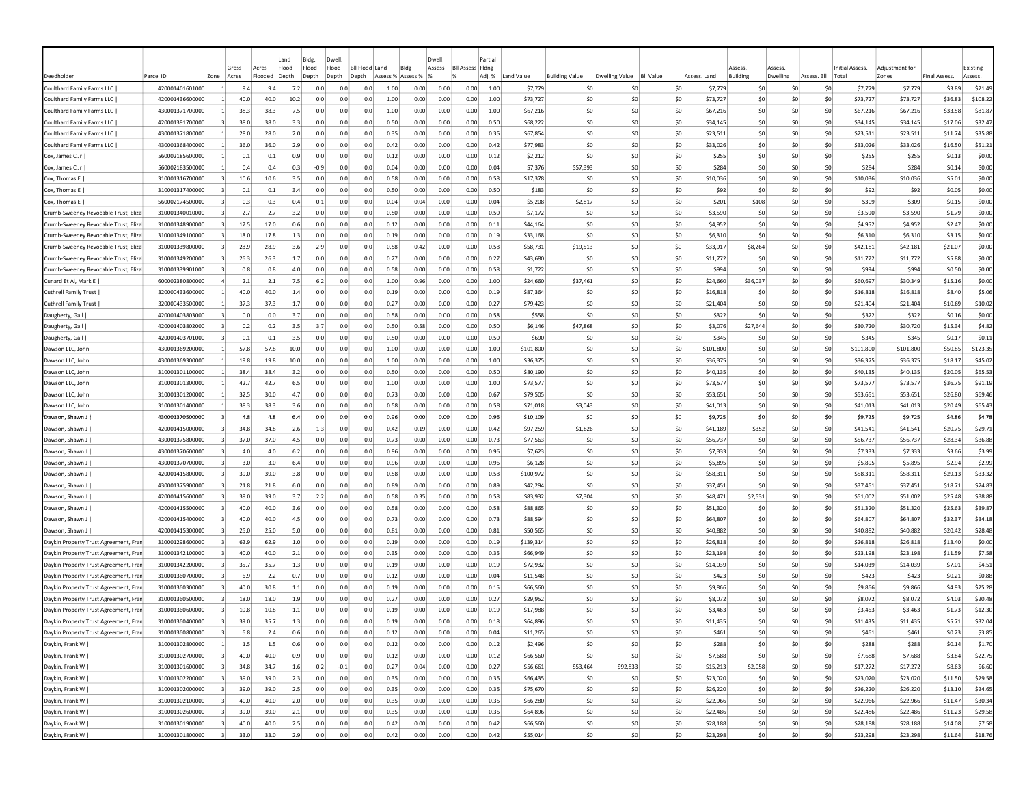|                                                          |                                    |                         |              |              | Land        | Bldg.      | Dwel                      |            |              |              | Dwell        |                         | Partia       |                      |                       |                       |                  |                      |                       |          |             |                             |                      |                     |                     |
|----------------------------------------------------------|------------------------------------|-------------------------|--------------|--------------|-------------|------------|---------------------------|------------|--------------|--------------|--------------|-------------------------|--------------|----------------------|-----------------------|-----------------------|------------------|----------------------|-----------------------|----------|-------------|-----------------------------|----------------------|---------------------|---------------------|
|                                                          |                                    |                         | Gross        | Acres        | Flood       | Flood      | Flood<br><b>BII Flood</b> |            | Blde<br>Land |              | Assess       | <b>BII Assess Fidne</b> |              |                      |                       |                       |                  |                      | Assess                | Assess   |             | Initial Assess.             | Adiustment for       |                     | Existing            |
| Deedholder                                               | Parcel ID                          | Zone                    | Acres        | Flooded      | Depth       | Depth      | Depth<br>Depth            |            | Assess %     | Assess %     |              |                         | Adj. %       | Land Value           | <b>Building Value</b> | <b>Dwelling Value</b> | <b>BII Value</b> | Assess. Land         | <b>Building</b>       | Dwelling | Assess. Bll | Total                       | Zones                | <b>Final Assess</b> | Assess.             |
| Coulthard Family Farms LLC                               | 420001401601000                    |                         | 9.4          | 9.4          | 7.2         | 0.0        | 0.0                       | 0.0        | 1.00         | 0.00         | 0.00         | 0.00                    | 1.00         | \$7,779              | \$C                   |                       | \$0              | \$7,779              | \$0                   |          | \$C         | \$7,779<br>S <sub>0</sub>   | \$7,779              | \$3.89              | \$21.49             |
| Coulthard Family Farms LLC<br>Coulthard Family Farms LLC | 420001436600000                    |                         | 40.0<br>38.3 | 40.0<br>38.3 | 10.2<br>7.5 | 0.0<br>0.0 | 0.0<br>0.0                | 0.0<br>0.0 | 1.00<br>1.00 | 0.00<br>0.00 | 0.00<br>0.00 | 0.00                    | 1.00<br>1.00 | \$73,727             | \$C<br>\$0            | \$0<br>\$0            | \$0<br>\$0       | \$73,727<br>\$67,216 | \$0<br>\$0            |          | \$0<br>\$0  | \$0<br>\$73,727<br>\$0      | \$73,727<br>\$67,216 | \$36.83<br>\$33.58  | \$108.22<br>\$81.87 |
| Coulthard Family Farms LLC                               | 430001371700000<br>420001391700000 |                         | 38.0         | 38.0         | 3.3         | 0.0        | 0.0                       | 0.0        | 0.50         | 0.00         | 0.00         | 0.00<br>0.00            | 0.50         | \$67,216<br>\$68,222 | \$0                   | -SO                   | \$0              | \$34.145             | \$0                   |          | \$0         | \$67,216<br>\$0<br>\$34,145 | \$34,145             | \$17.06             | \$32.47             |
| Coulthard Family Farms LLC                               | 430001371800000                    |                         | 28.0         | 28.0         | 2.0         | 0.0        | 0.0                       | 0.0        | 0.35         | 0.00         | 0.00         | 0.00                    | 0.35         | \$67,854             | \$0                   | -SO                   | \$0              | \$23.511             | S <sub>0</sub>        |          | \$0         | \$0<br>\$23.511             | \$23,511             | \$11.74             | \$35.88             |
| Coulthard Family Farms LLC                               | 430001368400000                    |                         | 36.0         | 36.0         | 2.9         | 0.0        | 0.0                       | 0.0        | 0.42         | 0.00         | 0.00         | 0.00                    | 0.42         | \$77,983             | \$0                   | -SO                   | \$0              | \$33,026             | \$0                   |          | \$0         | \$0<br>\$33,026             | \$33,026             | \$16.50             | \$51.21             |
| Cox, James C Jr                                          | 560002185600000                    | $\vert$ 1               | 0.1          | 0.1          | 0.9         | 0.0        | 0.0                       | 0.0        | 0.12         | 0.00         | 0.00         | 0.00                    | 0.12         | \$2,212              | \$0                   | \$0                   | \$0              | \$255                | \$0                   |          | \$0         | \$0<br>\$255                | \$255                | \$0.13              | \$0.00              |
| Cox, James C Jr                                          | 560002183500000                    |                         | 0.4          | 0.4          | 0.3         | -0.9       | 0.0                       | 0.0        | 0.04         | 0.00         | 0.00         | 0.00                    | 0.04         | \$7,376              | \$57,393              | -SO                   | \$0              | \$284                | \$0                   |          | \$0         | \$0<br>\$284                | \$284                | \$0.14              | \$0.00              |
| Cox, Thomas E                                            | 310001316700000                    |                         | 10.6         | 10.6         | 3.5         | 0.0        | 0.0                       | 0.0        | 0.58         | 0.00         | 0.00         | 0.00                    | 0.58         | \$17,378             | -SO                   | -SO                   | \$0              | \$10,036             | S <sub>0</sub>        |          | \$0         | \$10,036<br>S0              | \$10,036             | \$5.01              | \$0.00              |
| Cox, Thomas E                                            | 310001317400000                    |                         | 0.1          | 0.1          | 3.4         | 0.0        | 0.0                       | 0.0        | 0.50         | 0.00         | 0.00         | 0.00                    | 0.50         | \$183                | \$0                   | -SO                   | \$0              | \$92                 | S <sub>0</sub>        |          | \$0         | \$0<br>\$92                 | \$92                 | \$0.05              | \$0.00              |
| Cox, Thomas E                                            | 560002174500000                    |                         | 0.3          | 0.3          | 0.4         | 0.1        | 0.0                       | 0.0        | 0.04         | 0.04         | 0.00         | 0.00                    | 0.04         | \$5,208              | \$2,817               | -SO                   | \$0              | \$201                | \$108                 |          | \$0         | \$309<br>\$0                | \$309                | \$0.15              | \$0.00              |
| Crumb-Sweeney Revocable Trust, Eliza                     | 310001340010000                    |                         | 2.7          | 2.7          | 3.2         | 0.0        | 0.0                       | 0.0        | 0.50         | 0.00         | 0.00         | 0.00                    | 0.50         | \$7,172              | \$C                   | \$0                   | \$0              | \$3,590              | \$0                   |          | \$C         | \$0<br>\$3,590              | \$3,590              | \$1.79              | \$0.00              |
| Crumb-Sweeney Revocable Trust, Eliza                     | 310001348900000                    |                         | 17.5         | 17.0         | 0.6         | 0.0        | 0.0                       | 0.0        | 0.12         | 0.00         | 0.00         | 0.00                    | 0.11         | \$44,164             | \$C                   | \$0                   | \$0              | \$4,952              | \$0                   |          | \$C         | \$0<br>\$4,952              | \$4,952              | \$2.47              | \$0.00              |
| Crumb-Sweeney Revocable Trust, Eliza                     | 310001349100000                    |                         | 18.0         | 17.8         | 1.3         | 0.0        | 0.0                       | 0.0        | 0.19         | 0.00         | 0.00         | 0.00                    | 0.19         | \$33,168             | \$0                   | \$0                   | \$0              | \$6,310              | \$0                   |          | \$0         | \$0<br>\$6,310              | \$6,310              | \$3.15              | \$0.00              |
| Crumb-Sweeney Revocable Trust, Eliza                     | 310001339800000                    |                         | 28.9         | 28.9         | 3.6         | 2.9        | 0.0                       | 0.0        | 0.58         | 0.42         | 0.00         | 0.00                    | 0.58         | \$58,731             | \$19,513              | \$0                   | \$0              | \$33,917             | \$8,264               |          | \$0         | \$0<br>\$42,181             | \$42,181             | \$21.07             | \$0.00              |
| Crumb-Sweeney Revocable Trust, Eliza                     | 310001349200000                    |                         | 26.3         | 26.3         | 1.7         | 0.0        | 0.0                       | 0.0        | 0.27         | 0.00         | 0.00         | 0.00                    | 0.27         | \$43,680             | -SO                   | \$0                   | \$0              | \$11,772             | S0                    |          | -SO         | \$0<br>\$11,772             | \$11,772             | \$5.88              | \$0.00              |
| Crumb-Sweeney Revocable Trust, Eliza                     | 310001339901000                    |                         | 0.8          | 0.8          | 4.0         | 0.0        | 0.0                       | 0.0        | 0.58         | 0.00         | 0.00         | 0.00                    | 0.58         | \$1,722              | \$0                   | \$0                   | \$0              | \$994                | S <sub>0</sub>        |          | \$0         | \$0<br>\$994                | \$994                | \$0.50              | \$0.00              |
| Cunard Et Al, Mark E                                     | 600002380800000                    |                         | 2.1          | 2.1          | 7.5         | 6.2        | 0.0                       | 0.0        | 1.00         | 0.96         | 0.00         | 0.00                    | 1.00         | \$24,660             | \$37,461              | -SO                   | \$0              | \$24,660             | \$36,037              |          | \$0         | \$0<br>\$60,697             | \$30,349             | \$15.16             | \$0.00              |
| <b>Cuthrell Family Trust</b>                             | 320000433600000                    |                         | 40.0         | 40.0         | 1.4         | 0.0        | 0.0                       | 0.0        | 0.19         | 0.00         | 0.00         | 0.00                    | 0.19         | \$87,364             | \$C                   | -SO                   | \$0              | \$16,818             | -SC                   |          | \$C         | \$0<br>\$16,818             | \$16,818             | \$8.40              | \$5.06              |
| Cuthrell Family Trust                                    | 320000433500000                    |                         | 37.3         | 37.3         | 1.7         | 0.0        | 0.0                       | 0.0        | 0.27         | 0.00         | 0.00         | 0.00                    | 0.27         | \$79,423             | \$C                   | \$0                   | \$0              | \$21,404             | \$0                   |          | \$0         | \$0<br>\$21,404             | \$21,404             | \$10.69             | \$10.02             |
| Daugherty, Gail                                          | 420001403803000                    |                         | 0.0          | 0.0          | 3.7         | 0.0        | 0.0                       | 0.0        | 0.58         | 0.00         | 0.00         | 0.00                    | 0.58         | \$558                | \$0                   | -SO                   | \$0              | \$322                | S0                    |          | \$0         | S0<br>\$322                 | \$322                | \$0.16              | \$0.00              |
| Daugherty, Gail                                          | 420001403802000                    |                         | 0.2          | 0.2          | 3.5         | 3.7        | 0.0                       | 0.0        | 0.50         | 0.58         | 0.00         | 0.00                    | 0.50         | \$6,146              | \$47,868              | -SO                   | \$0              | \$3,076              | \$27,644              |          | S0          | \$30,720<br>S0              | \$30,720             | \$15.34             | \$4.82              |
| Daugherty, Gail                                          | 420001403701000                    |                         | 0.1          | 0.1          | 3.5         | 0.0        | 0.0                       | 0.0        | 0.50         | 0.00         | 0.00         | 0.00                    | 0.50         | \$690                | \$0                   | -SO                   | \$0              | \$345                | S <sub>0</sub>        |          | \$0         | \$0<br>\$345                | \$345                | \$0.17              | \$0.11              |
| Dawson LLC, John                                         | 430001369200000                    |                         | 57.8         | 57.8         | 10.0        | 0.0        | 0.0                       | 0.0        | 1.00         | 0.00         | 0.00         | 0.00                    | 1.00         | \$101,800            | -SO                   | -SO                   | \$0              | \$101,800            | S <sub>0</sub>        |          | \$0         | \$101,800<br>\$0            | \$101,800            | \$50.85             | \$123.35            |
| Dawson LLC, John                                         | 430001369300000                    |                         | 19.8         | 19.8         | 10.0        | 0.0        | 0.0                       | 0.0        | 1.00         | 0.00         | 0.00         | 0.00                    | 1.00         | \$36,375             | \$C                   | -SC                   | \$0              | \$36,375             | \$0                   |          | \$C         | \$0<br>\$36,375             | \$36,375             | \$18.17             | \$45.02             |
| Dawson LLC, John                                         | 310001301100000                    |                         | 38.4         | 38.4         | 3.2         | 0.0        | 0.0                       | 0.0        | 0.50         | 0.00         | 0.00         | 0.00                    | 0.50         | \$80,190             | \$0                   | \$0                   | \$0              | \$40,135             | \$0                   |          | \$0         | \$0<br>\$40,135             | \$40,135             | \$20.05             | \$65.53             |
| Dawson LLC, John                                         | 310001301300000                    |                         | 42.7         | 42.7         | 6.5         | 0.0        | 0.0                       | 0.0        | 1.00         | 0.00         | 0.00         | 0.00                    | 1.00         | \$73,577             | \$C                   | \$0                   | \$0              | \$73,577             | \$0                   |          | \$0         | \$0<br>\$73,577             | \$73,577             | \$36.75             | \$91.19             |
| Dawson LLC, John                                         | 310001301200000                    |                         | 32.5<br>38.3 | 30.0<br>38.3 | 4.7<br>3.6  | 0.0<br>0.0 | 0.0<br>0.0                | 0.0<br>0.0 | 0.73<br>0.58 | 0.00<br>0.00 | 0.00<br>0.00 | 0.00<br>0.00            | 0.67<br>0.58 | \$79,505             | \$C                   | \$0<br>\$0            | \$0<br>\$0       | \$53,651             | \$0<br>S <sub>0</sub> |          | \$0<br>\$0  | \$0<br>\$53,651<br>\$0      | \$53,651             | \$26.80<br>\$20.49  | \$69.46             |
| Dawson LLC, John<br>Dawson, Shawn J                      | 310001301400000<br>430001370500000 | -3                      | 4.8          | 4.8          | 6.4         | 0.0        | 0.0                       | 0.0        | 0.96         | 0.00         | 0.00         | 0.00                    | 0.96         | \$71,018<br>\$10,109 | \$3,043<br>\$0        | \$0                   | \$0              | \$41,013<br>\$9,725  | \$0                   |          | \$0         | \$41,013<br>\$0<br>\$9,725  | \$41,013<br>\$9,725  | \$4.86              | \$65.43<br>\$4.78   |
| Dawson, Shawn J                                          | 420001415000000                    | $\vert$ 3               | 34.8         | 34.8         | 2.6         | 1.3        | 0.0                       | 0.0        | 0.42         | 0.19         | 0.00         | 0.00                    | 0.42         | \$97,259             | \$1,826               | \$0                   | \$0              | \$41,189             | \$352                 |          | \$0         | \$0<br>\$41,541             | \$41,541             | \$20.75             | \$29.71             |
| Dawson, Shawn J                                          | 430001375800000                    | $\vert$ 3               | 37.0         | 37.0         | 4.5         | 0.0        | 0.0                       | 0.0        | 0.73         | 0.00         | 0.00         | 0.00                    | 0.73         | \$77,563             | \$C                   | -SO                   | \$0              | \$56,737             | \$0                   |          | \$0         | \$0<br>\$56,737             | \$56,737             | \$28.34             | \$36.88             |
| Dawson, Shawn J                                          | 430001370600000                    |                         | 4.0          | 4.0          | 6.2         | 0.0        | 0.0                       | 0.0        | 0.96         | 0.00         | 0.00         | 0.00                    | 0.96         | \$7,623              | \$C                   | \$0                   | \$0              | \$7,333              | \$0                   |          | \$0         | \$0<br>\$7,333              | \$7,333              | \$3.66              | \$3.99              |
| Dawson, Shawn J                                          | 430001370700000                    | -31                     | 3.0          | 3.0          | 6.4         | 0.0        | 0.0                       | 0.0        | 0.96         | 0.00         | 0.00         | 0.00                    | 0.96         | \$6,128              | \$0                   | -SO                   | \$0              | \$5,895              | S0                    |          | S0          | S0<br>\$5,895               | \$5,895              | \$2.94              | \$2.99              |
| Dawson, Shawn J                                          | 420001415800000                    |                         | 39.0         | 39.0         | 3.8         | 0.0        | 0.0                       | 0.0        | 0.58         | 0.00         | 0.00         | 0.00                    | 0.58         | \$100,972            | -SO                   | -SO                   | \$0              | \$58,311             | S0                    |          | \$0         | \$58,311<br>S0              | \$58,311             | \$29.13             | \$33.32             |
| Dawson, Shawn J                                          | 430001375900000                    |                         | 21.8         | 21.8         | 6.0         | 0.0        | 0.0                       | 0.0        | 0.89         | 0.00         | 0.00         | 0.00                    | 0.89         | \$42,294             | \$0                   | -SO                   | \$0              | \$37,451             | S <sub>0</sub>        |          | \$0         | \$0<br>\$37,451             | \$37,451             | \$18.71             | \$24.83             |
| Dawson, Shawn J                                          | 420001415600000                    |                         | 39.0         | 39.0         | 3.7         | 2.2        | 0.0                       | 0.0        | 0.58         | 0.35         | 0.00         | 0.00                    | 0.58         | \$83,932             | \$7,304               | -SO                   | \$0              | \$48,471             | \$2,531               |          | S0          | \$0<br>\$51,002             | \$51,002             | \$25.48             | \$38.88             |
| Dawson, Shawn J                                          | 420001415500000                    |                         | 40.0         | 40.0         | 3.6         | 0.0        | 0.0                       | 0.0        | 0.58         | 0.00         | 0.00         | 0.00                    | 0.58         | \$88,865             | \$C                   | \$0                   | \$0              | \$51,320             | \$0                   |          | \$0         | \$0<br>\$51,320             | \$51,320             | \$25.63             | \$39.87             |
| Dawson, Shawn J                                          | 420001415400000                    |                         | 40.0         | 40.0         | 4.5         | 0.0        | 0.0                       | 0.0        | 0.73         | 0.00         | 0.00         | 0.00                    | 0.73         | \$88,594             | \$C                   | \$0                   | \$0              | \$64,807             | \$0                   |          | \$0         | \$0<br>\$64,807             | \$64,807             | \$32.37             | \$34.18             |
| Dawson, Shawn J                                          | 420001415300000                    |                         | 25.0         | 25.0         | 5.0         | 0.0        | 0.0                       | 0.0        | 0.81         | 0.00         | 0.00         | 0.00                    | 0.81         | \$50,565             | \$C                   | \$0                   | \$0              | \$40,882             | \$0                   |          | \$0         | \$0<br>\$40,882             | \$40,882             | \$20.42             | \$28.48             |
| Daykin Property Trust Agreement, Frar                    | 310001298600000                    |                         | 62.9         | 62.9         | 1.0         | 0.0        | 0.0                       | 0.0        | 0.19         | 0.00         | 0.00         | 0.00                    | 0.19         | \$139,314            | \$0                   | -SO                   | \$0              | \$26,818             | \$0                   |          | \$0         | \$0<br>\$26,818             | \$26,818             | \$13.40             | \$0.00              |
| Daykin Property Trust Agreement, Fran                    | 310001342100000                    |                         | 40.0         | 40.0         | 2.1         | 0.0        | 0.0                       | 0.0        | 0.35         | 0.00         | 0.00         | 0.00                    | 0.35         | \$66,949             | \$0                   | -SO                   | \$0              | \$23.198             | S <sub>0</sub>        |          | \$0         | \$0<br>\$23,198             | \$23,198             | \$11.59             | \$7.58              |
| Daykin Property Trust Agreement, Frar                    | 310001342200000                    |                         | 35.7         | 35.7         | 1.3         | 0.0        | 0.0                       | 0.0        | 0.19         | 0.00         | 0.00         | 0.00                    | 0.19         | \$72,932             | \$0                   | \$0                   | \$0              | \$14,039             | S <sub>0</sub>        |          | \$0         | \$0<br>\$14,039             | \$14,039             | \$7.01              | \$4.51              |
| Daykin Property Trust Agreement, Fran                    | 310001360700000                    |                         | 6.9          | 2.2          | 0.7         | 0.0        | 0.0                       | 0.0        | 0.12         | 0.00         | 0.00         | 0.00                    | 0.04         | \$11,548             | \$C                   | -SO                   | \$0              | \$423                | \$0                   |          | \$C         | \$0<br>\$423                | \$423                | \$0.21              | \$0.88              |
| Daykin Property Trust Agreement, Frai                    | 310001360300000                    |                         | 40.0         | 30.8         | 1.1         | 0.0        | 0.0                       | 0.0        | 0.19         | 0.00         | 0.00         | 0.00                    | 0.15         | \$66,560             | \$0                   | \$0                   | \$0              | \$9,866              | \$0                   |          | \$0         | \$0<br>\$9,866              | \$9,866              | \$4.93              | \$25.28             |
| Daykin Property Trust Agreement, Frai                    | 310001360500000                    |                         | 18.0         | 18.0         | 1.9         | 0.0        | 0.0                       | 0.0        | 0.27         | 0.00         | 0.00         | 0.00                    | 0.27         | \$29,952             | \$C                   | -SO                   | \$0              | \$8,072              | \$C                   |          | so          | \$8,072<br>\$0              | \$8,072              | \$4.03              | \$20.48             |
| Daykin Property Trust Agreement, Frar                    | 310001360600000                    |                         | 10.8         | 10.8         | 1.1         | 0.0        | 0.0                       | 0.0        | 0.19         | 0.00         | 0.00         | 0.00                    | 0.19         | \$17,988             | -SO                   | -SO                   | \$0              | \$3,463              | -SO                   |          | S0          | S0<br>\$3,463               | \$3,463              | \$1.73              | \$12.30             |
| Daykin Property Trust Agreement, Fran                    | 310001360400000                    |                         | 39.0         | 35.7         | 1.3         | 0.0        | 0.0                       | 0.0        | 0.19         | 0.00         | 0.00         | 0.00                    | 0.18         | \$64,896             | \$0                   | -SO                   | \$0              | \$11,435             | S0                    |          | \$0         | \$0<br>\$11,435             | \$11,435             | \$5.71              | \$32.04             |
| Daykin Property Trust Agreement, Fran                    | 310001360800000                    | $\overline{\mathbf{3}}$ | 6.8          | 2.4          | 0.6         | 0.0        | 0.0                       | 0.0        | 0.12         | 0.00         | 0.00         | 0.00                    | 0.04         | \$11,265             | \$0                   | 50                    | \$0              | \$461                | \$0                   |          | 50          | \$0<br>\$461                | \$461                | \$0.23              | \$3.85              |
| Daykin, Frank W                                          | 310001302800000                    | $\vert$ 1               | 1.5          | 1.5          | 0.6         | 0.0        | 0.0                       | 0.0        | 0.12         | 0.00         | 0.00         | 0.00                    | 0.12         | \$2,496              | \$0                   | \$0                   | \$0              | \$288                | \$0                   |          | \$0         | \$0<br>\$288                | \$288                | \$0.14              | \$1.70              |
| Daykin, Frank W                                          | 310001302700000                    | $\vert$ 3               | 40.0         | 40.0         | 0.9         | 0.0        | 0.0                       | 0.0        | 0.12         | 0.00         | 0.00         | 0.00                    | 0.12         | \$66,560             | \$0                   | \$0                   | \$0              | \$7,688              | \$0                   |          | \$0         | \$0<br>\$7,688              | \$7,688              | \$3.84              | \$22.75             |
| Daykin, Frank W                                          | 310001301600000                    | $\overline{3}$          | 34.8         | 34.7         | 1.6         | 0.2        | $-0.1$                    | 0.0        | 0.27         | 0.04         | 0.00         | 0.00                    | 0.27         | \$56,661             | \$53,464              | \$92,833              | \$0              | \$15,213             | \$2,058               |          | \$0         | \$0<br>\$17,272             | \$17,272             | \$8.63              | \$6.60              |
| Daykin, Frank W                                          | 310001302200000                    | $\overline{3}$          | 39.0         | 39.0         | 2.3         | 0.0        | 0.0                       | 0.0        | 0.35         | 0.00         | 0.00         | 0.00                    | 0.35         | \$66,435             | \$0                   | \$0                   | \$0              | \$23,020             | \$0                   |          | 50          | \$0<br>\$23,020             | \$23,020             | \$11.50             | \$29.58             |
| Daykin, Frank W                                          | 310001302000000                    | $\overline{3}$          | 39.0         | 39.0         | 2.5         | 0.0        | 0.0                       | 0.0        | 0.35         | 0.00         | 0.00         | 0.00                    | 0.35         | \$75,670             | \$0                   | \$0                   | \$0              | \$26,220             | \$0                   |          | 50          | \$0<br>\$26,220             | \$26,220             | \$13.10             | \$24.65             |
| Daykin, Frank W                                          | 310001302100000                    | $\overline{\mathbf{3}}$ | 40.0         | 40.0         | 2.0         | 0.0        | 0.0                       | 0.0        | 0.35         | 0.00         | 0.00         | 0.00                    | 0.35         | \$66,280             | \$0                   | \$0                   | \$0              | \$22,966             | \$0                   |          | 50          | 50<br>\$22,966              | \$22,966             | \$11.47             | \$30.34             |
| Daykin, Frank W                                          | 310001302600000                    | $\overline{\mathbf{3}}$ | 39.0         | 39.0         | 2.1         | 0.0        | 0.0                       | 0.0        | 0.35         | 0.00         | 0.00         | 0.00                    | 0.35         | \$64,896             | \$0                   | \$0                   | \$0              | \$22,486             | \$0                   |          | \$0         | \$0<br>\$22,486             | \$22,486             | \$11.23             | \$29.58             |
| Daykin, Frank W                                          | 310001301900000                    | $\vert$ 3               | 40.0         | 40.0         | 2.5         | 0.0        | 0.0                       | 0.0        | 0.42         | 0.00         | 0.00         | 0.00                    | 0.42         | \$66,560             | \$0<br>50             | \$0                   | \$0              | \$28,188             | \$0                   |          | \$0         | \$0<br>\$28,188             | \$28,188             | \$14.08             | \$7.58              |
| Daykin, Frank W                                          | 310001301800000                    | $\vert$ 3               | 33.0         | 33.0         | 2.9         | 0.0        | 0.0                       | 0.0        | 0.42         | 0.00         | 0.00         | 0.00                    | 0.42         | \$55,014             |                       | 50                    | \$0              | \$23,298             | 50                    |          | 50          | 50 <sub>2</sub><br>\$23,298 | \$23,298             | \$11.64             | \$18.76             |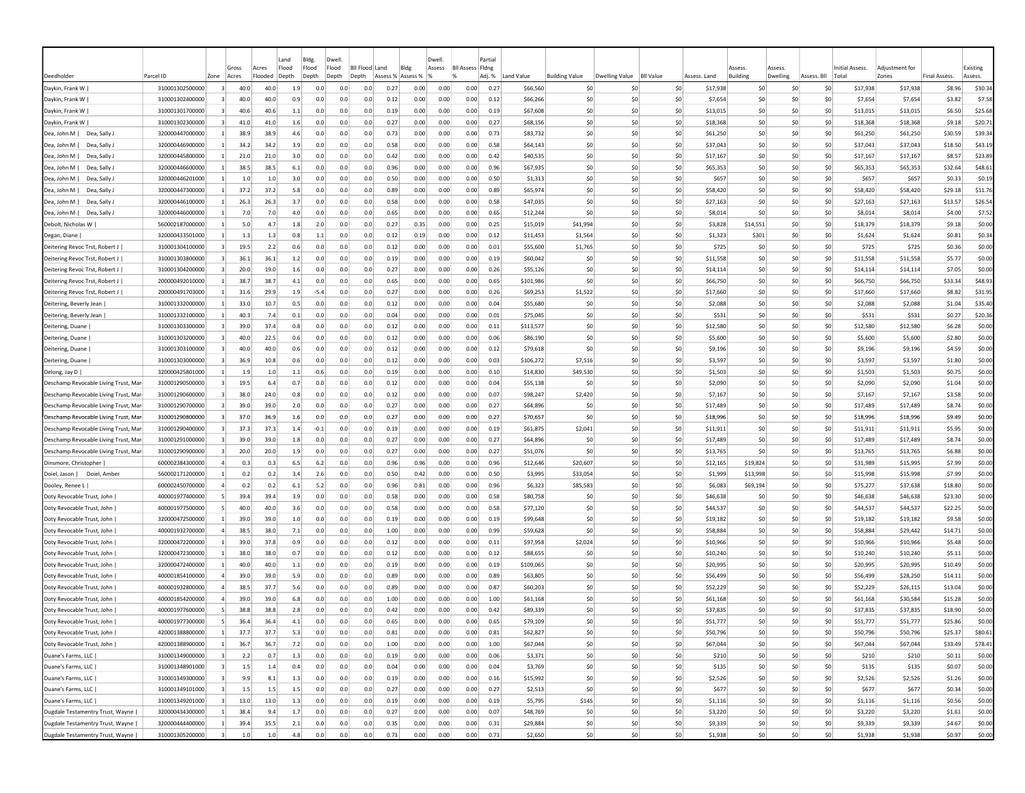|                                                            |                                    |                                  |              |              | Land       | Bldg.      | Dwell                     |            |                   |              | Dwell        |                         | Partial      |                      |                       |                   |                  |                      |                                  |                     |             |                             |                      |                     |                    |
|------------------------------------------------------------|------------------------------------|----------------------------------|--------------|--------------|------------|------------|---------------------------|------------|-------------------|--------------|--------------|-------------------------|--------------|----------------------|-----------------------|-------------------|------------------|----------------------|----------------------------------|---------------------|-------------|-----------------------------|----------------------|---------------------|--------------------|
|                                                            |                                    |                                  | Gross        | Acres        | Flood      | Flood      | Flood<br><b>BII Flood</b> |            | Land              | Bldg         | Assess       | <b>Bll Assess Fldng</b> |              |                      |                       |                   |                  |                      | ssess                            | <i><b>SSESS</b></i> |             | Initial Assess              | Adiustment fo        |                     | Existing           |
| Deedholder                                                 | Parcel ID                          | Zone                             | Acres        | Flooded      | Depth      | Depth      | Depth<br>Depth            |            | Assess % Assess % |              |              |                         | Adj. %       | Land Value           | <b>Building Value</b> | Dwelling Value    | <b>BII Value</b> | Assess, Land         | Building                         | Dwelling            | Assess, Bll | Total                       | Zones                | <b>Final Assess</b> | Assess.            |
| Daykin, Frank W                                            | 310001302500000                    | $\overline{3}$                   | 40.0         | 40.0         | 1.9        | 0.0        | 0.0                       | 0.0        | 0.27              | 0.00         | 0.00         | 0.00                    | 0.27         | \$66,560             |                       | -SO<br>-SO        | \$0              | \$17,938             | S0                               |                     | S0          | S0<br>\$17,938              | \$17,938             | \$8.96              | \$30.34            |
| Daykin, Frank W                                            | 310001302400000                    |                                  | 40.0         | 40.0         | 0.9        | 0.0        | 0.0                       | 0.0        | 0.12              | 0.00         | 0.00         | 0.00                    | 0.12         | \$66,266             |                       | -SO<br>-SO        | \$0              | \$7,654              | \$0                              |                     | \$C         | \$0<br>\$7,654              | \$7,654              | \$3.82              | \$7.58             |
| Daykin, Frank W                                            | 310001301700000                    |                                  | 40.6         | 40.6         | 1.1        | 0.0<br>0.0 | 0.0<br>0.0                | 0.0<br>0.0 | 0.19              | 0.00         | 0.00         | 0.00                    | 0.19         | \$67,608             |                       | \$0<br>-SO<br>-SO | \$0              | \$13,015             | S <sub>0</sub><br>S <sub>0</sub> |                     | \$C<br>\$C  | \$0<br>\$13,015<br>\$0      | \$13,015             | \$6.50              | \$25.68            |
| Daykin, Frank W                                            | 310001302300000                    |                                  | 41.0<br>38.9 | 41.0<br>38.9 | 1.6<br>4.6 | 0.0        | 0.0                       | 0.0        | 0.27<br>0.73      | 0.00         | 0.00         | 0.00                    | 0.27<br>0.73 | \$68,156             |                       | \$0<br>-SO        | \$0              | \$18,368             |                                  |                     | \$C         | \$18,368<br>S0              | \$18,368             | \$9.18              | \$20.71            |
| Dea, John M<br>Dea, Sally J<br>Dea, John M  <br>Dea, Sally | 320000447000000<br>320000446900000 |                                  | 34.2         | 34.2         | 3.9        | 0.0        | 0.0                       | 0.0        | 0.58              | 0.00<br>0.00 | 0.00<br>0.00 | 0.00<br>0.00            | 0.58         | \$83,732<br>\$64,143 |                       | \$C<br>\$0<br>-SO | \$0<br>\$0       | \$61,250<br>\$37,043 | -SC<br>\$0                       |                     | \$0         | \$61,250<br>\$0<br>\$37,043 | \$61,250<br>\$37,043 | \$30.59<br>\$18.50  | \$39.34<br>\$43.19 |
| Dea, John M<br>Dea, Sally J                                | 320000445800000                    | -1                               | 21.0         | 21.0         | 3.0        | 0.0        | 0.0                       | 0.0        | 0.42              | 0.00         | 0.00         | 0.00                    | 0.42         | \$40,535             |                       | S0<br>-SO         | \$0              | \$17,167             | S0                               |                     | S0          | S0<br>\$17,167              | \$17,167             | \$8.57              | \$23.89            |
| Dea, John M<br>Dea, Sally J                                | 320000446600000                    |                                  | 38.5         | 38.5         | 6.1        | 0.0        | 0.0                       | 0.0        | 0.96              | 0.00         | 0.00         | 0.00                    | 0.96         | \$67,935             |                       | S0<br>-SO         | \$0              | \$65,353             | -SO                              |                     | S0          | S0<br>\$65,353              | \$65,353             | \$32.64             | \$48.61            |
| Dea, John M<br>Dea, Sally J                                | 320000446201000                    |                                  | 1.0          | 1.0          | 3.0        | 0.0        | 0.0                       | 0.0        | 0.50              | 0.00         | 0.00         | 0.00                    | 0.50         | \$1,313              |                       | \$0<br>-SO        | \$0              | \$657                | S <sub>0</sub>                   |                     | \$0         | \$0<br><b>S657</b>          | \$657                | S0.33               | \$0.19             |
| Dea, John M<br>Dea, Sally J                                | 320000447300000                    |                                  | 37.2         | 37.2         | 5.8        | 0.0        | 0.0                       | 0.0        | 0.89              | 0.00         | 0.00         | 0.00                    | 0.89         | \$65,974             |                       | \$0<br>-SO        | \$0              | \$58,420             | \$0                              |                     | \$C         | \$0<br>\$58,420             | \$58,420             | \$29.18             | \$11.76            |
| Dea, John M<br>Dea, Sally.                                 | 320000446100000                    |                                  | 26.3         | 26.3         | 3.7        | 0.0        | 0.0                       | 0.0        | 0.58              | 0.00         | 0.00         | 0.00                    | 0.58         | \$47,035             |                       | \$C<br>-SO        | \$0              | \$27,163             | -SC                              |                     | \$C         | \$0<br>\$27,163             | \$27,163             | \$13.57             | \$26.54            |
| Dea, John M<br>Dea, Sally.                                 | 320000446000000                    |                                  | 7.0          | 7.0          | 4.0        | 0.0        | 0.0                       | 0.0        | 0.65              | 0.00         | 0.00         | 0.00                    | 0.65         | \$12,244             |                       | \$0<br>\$0        | \$0              | \$8,014              | \$0                              |                     | \$0         | \$0<br>\$8,014              | \$8,014              | \$4.00              | \$7.52             |
| Debolt, Nicholas W                                         | 560002187000000                    |                                  | 5.0          | 4.7          | 1.8        | 2.0        | 0.0                       | 0.0        | 0.27              | 0.35         | 0.00         | 0.00                    | 0.25         | \$15,019             | \$41,994              | \$0               | \$0              | \$3,828              | \$14,551                         |                     | \$0         | \$0<br>\$18,379             | \$18,379             | \$9.18              | \$0.00             |
| Degan, Diane                                               | 320000433501000                    |                                  | 1.3          | 1.3          | 0.8        | 1.1        | 0.0                       | 0.0        | 0.12              | 0.19         | 0.00         | 0.00                    | 0.12         | \$11,453             | \$1,564               | -SO               | \$0              | \$1,323              | \$301                            |                     | \$0         | \$0<br>\$1,624              | \$1,624              | \$0.81              | \$0.34             |
| Deitering Revoc Trst, Robert J                             | 310001304100000                    |                                  | 19.5         | 2.2          | 0.6        | 0.0        | 0.0                       | 0.0        | 0.12              | 0.00         | 0.00         | 0.00                    | 0.01         | \$55,600             | \$1,765               | \$0               | \$0              |                      | \$725<br>S <sub>0</sub>          |                     | \$0         | \$0<br>\$725                | \$725                | \$0.36              | \$0.00             |
| Deitering Revoc Trst, Robert J                             | 310001303800000                    |                                  | 36.1         | 36.1         | 1.2        | 0.0        | 0.0                       | 0.0        | 0.19              | 0.00         | 0.00         | 0.00                    | 0.19         | \$60,042             |                       | \$0<br>-SO        | \$0              | \$11,558             | S <sub>0</sub>                   |                     | \$0         | \$0<br>\$11,558             | \$11,558             | \$5.77              | \$0.00             |
| Deitering Revoc Trst, Robert J                             | 310001304200000                    |                                  | 20.0         | 19.0         | 1.6        | 0.0        | 0.0                       | 0.0        | 0.27              | 0.00         | 0.00         | 0.00                    | 0.26         | \$55,126             |                       | \$C<br>-SO        | \$0              | \$14,114             | S <sub>0</sub>                   |                     | \$0         | \$0<br>\$14,114             | \$14,114             | \$7.05              | \$0.00             |
| Deitering Revoc Trst, Robert J                             | 200000492010000                    | $\vert$ 1                        | 38.7         | 38.7         | 4.1        | 0.0        | 0.0                       | 0.0        | 0.65              | 0.00         | 0.00         | 0.00                    | 0.65         | \$101,986            |                       | \$0<br>\$0        | \$0              | \$66,750             | \$0                              |                     | \$0         | \$0<br>\$66,750             | \$66,750             | \$33.34             | \$48.93            |
| Deitering Revoc Trst, Robert J                             | 200000491703000                    |                                  | 31.6         | 29.9         | 1.9        | -5.4       | 0.0                       | 0.0        | 0.27              | 0.00         | 0.00         | 0.00                    | 0.26         | \$69,253             | \$1,522               | -SO               | \$0              | \$17,660             | \$0                              |                     | \$0         | \$17,660<br>S0              | \$17,660             | \$8.82              | \$31.95            |
| Deitering, Beverly Jean                                    | 310001332000000                    | -11                              | 33.0         | 10.7         | 0.5        | 0.0        | 0.0                       | 0.0        | 0.12              | 0.00         | 0.00         | 0.00                    | 0.04         | \$55,680             |                       | -SO<br>-SO        | \$0              | \$2,088              | -SO                              |                     | S0          | S0<br>\$2,088               | \$2,088              | \$1.04              | \$35.40            |
| Deitering, Beverly Jean                                    | 310001332100000                    | -11                              | 40.3         | 7.4          | 0.1        | 0.0        | 0.0                       | 0.0        | 0.04              | 0.00         | 0.00         | 0.00                    | 0.01         | \$75,045             |                       | \$0<br>-SO        | \$0              | \$531                | S <sub>0</sub>                   |                     | \$0         | \$0<br>\$531                | \$531                | \$0.27              | \$20.36            |
| Deitering, Duane                                           | 310001303300000                    |                                  | 39.0         | 37.4         | 0.8        | 0.0        | 0.0                       | 0.0        | 0.12              | 0.00         | 0.00         | 0.00                    | 0.11         | \$113,577            |                       | -SO<br>-SO        | \$0              | \$12,580             | S <sub>0</sub>                   |                     | \$0         | \$12,580<br>\$0             | \$12,580             | \$6.28              | \$0.00             |
| Deitering, Duane                                           | 310001303200000                    |                                  | 40.0         | 22.5         | 0.6        | 0.0        | 0.0                       | 0.0        | 0.12              | 0.00         | 0.00         | 0.00                    | 0.06         | \$86,190             |                       | \$C<br>\$0        | \$0              | \$5,600              | \$0                              |                     | \$C         | \$0<br>\$5,600              | \$5,600              | \$2.80              | \$0.00             |
| Deitering, Duane                                           | 310001303100000                    |                                  | 40.0         | 40.0         | 0.6        | 0.0        | 0.0                       | 0.0        | 0.12              | 0.00         | 0.00         | 0.00                    | 0.12         | \$79,618             |                       | \$C<br>-SO        | \$0              | \$9,196              | \$0                              |                     | \$C         | \$0<br>\$9,196              | \$9,196              | \$4.59              | \$0.00             |
| Deitering, Duane                                           | 310001303000000                    |                                  | 36.9         | 10.8         | 0.6        | 0.0        | 0.0                       | 0.0        | 0.12              | 0.00         | 0.00         | 0.00                    | 0.03         | \$106,272            | \$7,516               | \$0               | \$0              | \$3,597              | \$0                              |                     | \$0         | \$0<br>\$3,597              | \$3,597              | \$1.80              | \$0.00             |
| Delong, Jay D                                              | 320000425801000                    |                                  | 1.9          | 1.0          | 1.1        | -0.6       | 0.0                       | 0.0        | 0.19              | 0.00         | 0.00         | 0.00                    | 0.10         | \$14,830             | \$49,530              | \$0               | \$0              | \$1,503              | S0                               |                     | -SO         | \$0<br>\$1,503              | \$1,503              | \$0.75              | \$0.00             |
| Deschamp Revocable Living Trust, Mar                       | 310001290500000                    |                                  | 19.5         | 6.4          | 0.7        | 0.0        | 0.0                       | 0.0        | 0.12              | 0.00         | 0.00         | 0.00                    | 0.04         | \$55,138             |                       | -SO<br>-SO        | \$0              | \$2,090              | S0                               |                     | so          | S0<br>\$2,090               | \$2,090              | \$1.04              | \$0.00             |
| Deschamp Revocable Living Trust, Mar                       | 310001290600000                    |                                  | 38.0         | 24.0         | 0.8        | 0.0        | 0.0                       | 0.0        | 0.12              | 0.00         | 0.00         | 0.00                    | 0.07         | \$98,247             | \$2,420               | \$0               | \$0              | \$7,167              | S <sub>0</sub>                   |                     | \$0         | \$0<br>\$7.167              | \$7,167              | \$3.58              | \$0.00             |
| Deschamp Revocable Living Trust, Mar                       | 310001290700000                    |                                  | 39.0         | 39.0         | 2.0        | 0.0        | 0.0                       | 0.0        | 0.27              | 0.00         | 0.00         | 0.00                    | 0.27         | \$64,896             |                       | \$C<br>-SO        | \$0              | \$17,489             | \$0                              |                     | \$0         | \$0<br>\$17,489             | \$17,489             | \$8.74              | \$0.00             |
| Deschamp Revocable Living Trust, Mar                       | 310001290800000                    |                                  | 37.0         | 36.9         | 1.6        | 0.0        | 0.0                       | 0.0        | 0.27              | 0.00         | 0.00         | 0.00                    | 0.27         | \$70,657             |                       | \$C<br>-SO        | \$0              | \$18,996             | \$C                              |                     | \$C         | \$0<br>\$18,996             | \$18,996             | \$9.49              | \$0.00             |
| Deschamp Revocable Living Trust, Ma                        | 310001290400000                    |                                  | 37.3         | 37.3         | 1.4        | -0.1       | 0.0                       | 0.0        | 0.19              | 0.00         | 0.00         | 0.00                    | 0.19         | \$61,875             | \$2,041               | \$0               | \$0              | \$11,911             | \$0                              |                     | \$0         | \$0<br>\$11,911             | \$11,911             | \$5.95              | \$0.00             |
| Deschamp Revocable Living Trust, Ma                        | 310001291000000                    |                                  | 39.0         | 39.0         | 1.8        | 0.0        | 0.0                       | 0.0        | 0.27              | 0.00         | 0.00         | 0.00                    | 0.27         | \$64,896             |                       | \$C<br>\$0        | \$0              | \$17,489             | \$0                              |                     | \$0         | \$17,489<br>\$0             | \$17,489             | \$8.74              | \$0.00             |
| Deschamp Revocable Living Trust, Mar                       | 310001290900000                    |                                  | 20.0         | 20.0         | 1.9        | 0.0        | 0.0                       | 0.0        | 0.27              | 0.00         | 0.00         | 0.00                    | 0.27         | \$51,076             |                       | \$0<br>-SO        | \$0              | \$13,765             | S <sub>0</sub>                   |                     | S0          | S0<br>\$13,765              | \$13,765             | \$6.88              | \$0.00             |
| Dinsmore, Christopher                                      | 600002384300000                    |                                  | 0.3          | 0.3          | 6.5        | 6.2        | 0.0                       | 0.0        | 0.96              | 0.96         | 0.00         | 0.00                    | 0.96         | \$12,646             | \$20,607              | -SO               | \$0              | \$12,165             | \$19,824                         |                     | \$0         | \$0<br>\$31,989             | \$15,995             | \$7.99              | \$0.00             |
| Doiel, Jason  <br>Doiel, Amber                             | 560002171200000                    |                                  | 0.2          | 0.2          | 3.4        | 2.6        | 0.0                       | 0.0        | 0.50              | 0.42         | 0.00         | 0.00                    | 0.50         | \$3,995              | \$33,054              | -SO               | -SO              | \$1,999              | \$13,998                         |                     | \$0         | \$0<br>\$15,998             | \$15,998             | \$7.99              | \$0.00             |
| Dooley, Renee L                                            | 600002450700000                    |                                  | 0.2          | 0.2          | 6.1        | 5.2        | 0.0                       | 0.0        | 0.96              | 0.81         | 0.00         | 0.00                    | 0.96         | \$6,323              | \$85,583              | -SO               | \$0              | \$6,083              | \$69,194                         |                     | \$0         | \$0<br>\$75,277             | \$37,638             | \$18.80             | \$0.00             |
| Doty Revocable Trust, John                                 | 400001977400000                    |                                  | 39.4         | 39.4         | 3.9        | 0.0        | 0.0                       | 0.0        | 0.58              | 0.00         | 0.00         | 0.00                    | 0.58         | \$80,758             |                       | \$C<br>-SO        | \$0              | \$46,638             | -SC                              |                     | \$C         | \$0<br>\$46,638             | \$46,638             | \$23.30             | \$0.00             |
| Doty Revocable Trust, John                                 | 400001977500000                    |                                  | 40.0         | 40.0         | 3.6        | 0.0        | 0.0                       | 0.0        | 0.58              | 0.00         | 0.00         | 0.00                    | 0.58         | \$77,120             |                       | \$C<br>\$0        | \$0              | \$44,537             | \$0                              |                     | \$0         | \$0<br>\$44,537             | \$44,537             | \$22.25             | \$0.00             |
| Doty Revocable Trust, John                                 | 320000472500000                    |                                  | 39.0         | 39.0         | 1.0        | 0.0        | 0.0                       | 0.0        | 0.19              | 0.00         | 0.00         | 0.00                    | 0.19         | \$99,648             |                       | -SO<br>-SO        | \$0              | \$19,182             | S0                               |                     | \$0         | \$0<br>\$19,182             | \$19,182             | \$9.58              | \$0.00             |
| Doty Revocable Trust, John                                 | 400001932700000                    |                                  | 38.5         | 38.0         | 7.1        | 0.0        | 0.0                       | 0.0        | 1.00              | 0.00         | 0.00         | 0.00                    | 0.99         | \$59,628             |                       | \$0<br>-SO        | \$0              | \$58,884             | S0                               |                     | \$0         | \$0<br>\$58,884             | \$29,442             | \$14.71             | \$0.00             |
| Doty Revocable Trust, John                                 | 320000472200000                    |                                  | 39.0         | 37.8         | 0.9        | 0.0        | 0.0                       | 0.0        | 0.12              | 0.00         | 0.00         | 0.00                    | 0.11         | \$97,958             | \$2,024               | -SO               | \$0              | \$10,966             | S <sub>0</sub>                   |                     | \$0         | \$0<br>\$10,966             | \$10,966             | \$5.48              | \$0.00             |
| Doty Revocable Trust, John                                 | 320000472300000                    |                                  | 38.0         | 38.0         | 0.7        | 0.0        | 0.0                       | 0.0        | 0.12              | 0.00         | 0.00         | 0.00                    | 0.12         | \$88,655             |                       | -SO<br>-SO        | \$0              | \$10,240             | \$0                              |                     | \$0         | \$0<br>\$10,240             | \$10,240             | \$5.11              | \$0.00             |
| Doty Revocable Trust, John                                 | 320000472400000                    |                                  | 40.0         | 40.0         | 1.1        | 0.0        | 0.0                       | 0.0        | 0.19              | 0.00         | 0.00         | 0.00                    | 0.19         | \$109,065            |                       | -SO<br>-SO        | \$0              | \$20,995             | S <sub>0</sub>                   |                     | \$C         | \$0<br>\$20,995             | \$20,995             | \$10.49             | \$0.00             |
| Doty Revocable Trust, John                                 | 400001854100000                    |                                  | 39.0         | 39.0         | 5.9        | 0.0        | 0.0                       | 0.0        | 0.89              | 0.00         | 0.00         | 0.00                    | 0.89         | \$63,805             |                       | \$C<br>-SO        | \$0              | \$56,499             | \$0                              |                     | \$0         | \$0<br>\$56,499             | \$28,250             | \$14.11             | \$0.00             |
| Doty Revocable Trust, John                                 | 400001932800000                    |                                  | 38.5         | 37.7         | 5.6        | 0.0        | 0.0                       | 0.0        | 0.89              | 0.00         | 0.00         | 0.00                    | 0.87         | \$60,203             |                       | -SO<br>-SO        | \$0              | \$52,229             | -SO                              |                     | S0          | S0<br>\$52,229              | \$26,115             | \$13.04             | \$0.00             |
| Doty Revocable Trust, John                                 | 400001854200000                    |                                  | 39.0         | 39.0         | 6.8        | 0.0        | 0.0                       | 0.0        | 1.00              | 0.00         | 0.00         | 0.00                    | 1.00         | \$61,168             |                       | -SO<br>-SO        | \$0              | \$61,168             | -SO                              |                     | so          | -SO<br>\$61,168             | \$30,584             | \$15.28             | \$0.00             |
| Doty Revocable Trust, John                                 | 400001977600000                    |                                  | 38.8         | 38.8         | 2.8        | 0.0        | 0.0                       | 0.0        | 0.42              | 0.00         | 0.00         | 0.00                    | 0.42         | \$89,339             |                       | \$0<br>-SO        | \$0              | \$37.835             | S <sub>0</sub>                   |                     | \$0         | \$0<br>\$37,835             | \$37,835             | \$18.90             | \$0.00             |
| Doty Revocable Trust, John                                 | 400001977300000                    |                                  | 36.4         | 36.4         | 4.1        | 0.0        | 0.0                       | 0.0        | 0.65              | 0.00         | 0.00         | 0.00                    | 0.65         | \$79,109             |                       | -SO<br>-SO        | \$0              | \$51,777             | S <sub>0</sub>                   |                     | \$0         | \$0<br>\$51,777             | \$51,777             | \$25.86             | \$0.00             |
| Doty Revocable Trust, John                                 | 420001388800000                    |                                  | 37.7         | 37.7         | 5.3        | 0.0        | 0.0                       | 0.0        | 0.81              | 0.00         | 0.00         | 0.00                    | 0.81         | \$62,827             |                       | \$0<br>\$0        | \$0              | \$50,796             | \$0                              |                     | \$0         | \$0<br>\$50,796             | \$50,796             | \$25.37             | \$80.61            |
| Doty Revocable Trust, John                                 | 420001388900000                    |                                  | 36.7         | 36.7         | 7.2        | 0.0        | 0.0                       | 0.0        | 1.00              | 0.00         | 0.00         | 0.00                    | 1.00         | \$67,044             |                       | \$0<br>\$0        | \$0              | \$67,044             | \$0                              |                     | \$0         | \$0<br>\$67,044             | \$67,044             | \$33.49             | \$78.41            |
| Duane's Farms, LLC                                         | 310001349000000                    | $\overline{3}$<br>$\overline{3}$ | 2.2          | 0.7          | 1.3<br>0.4 | 0.0        | 0.0                       | 0.0        | 0.19              | 0.00         | 0.00         | 0.00                    | 0.06         | \$3,371              |                       | \$0<br>\$0        | \$0              |                      | \$210<br>\$0                     |                     | \$0         | \$0<br>\$210                | \$210                | \$0.11              | \$0.00             |
| Duane's Farms, LLC                                         | 310001348901000<br>310001349300000 | $\vert$ 3                        | 1.5<br>9.9   | 1.4<br>8.1   | 1.3        | 0.0<br>0.0 | 0.0<br>0.0                | 0.0<br>0.0 | 0.04<br>0.19      | 0.00<br>0.00 | 0.00<br>0.00 | 0.00<br>0.00            | 0.04<br>0.16 | \$3,769<br>\$15,992  |                       | \$0<br>\$0<br>\$0 | 50<br>\$0<br>50  | \$2,526              | \$0<br>\$135<br>\$0              |                     | 50 <br>50   | \$0<br>\$135<br>50          | \$135<br>\$2,526     | \$0.07<br>\$1.26    | \$0.00<br>\$0.00   |
| Duane's Farms, LLC                                         | 310001349101000                    | $\vert$ 3                        | 1.5          | 1.5          |            | 0.0        | 0.0                       | 0.0        | 0.27              | 0.00         | 0.00         | 0.00                    | 0.27         | \$2,513              |                       | \$0<br>\$0        | \$0              | \$677                | \$0                              |                     | 50          | \$2,526<br>50<br>\$677      | \$677                | \$0.34              | \$0.00             |
| Duane's Farms, LLC<br>Duane's Farms, LLC                   | 310001349201000                    | $\overline{\mathbf{3}}$          | 13.0         | 13.0         | 1.5<br>1.3 | 0.0        | 0.0                       | 0.0        | 0.19              | 0.00         | 0.00         | 0.00                    | 0.19         | \$5,795              |                       | \$145<br>\$0      | \$0              | \$1,116              | \$0                              |                     | 50          | \$0<br>\$1,116              | \$1,116              | \$0.56              | \$0.00             |
| Dugdale Testamentry Trust, Wayne                           | 320000434300000                    | $\vert$ 1                        | 38.4         | 9.4          | 1.7        | 0.0        | 0.0                       | 0.0        | 0.27              | 0.00         | 0.00         | 0.00                    | 0.07         | \$48,769             |                       | \$0               | \$0<br>50        | \$3,220              | \$0                              |                     | \$0         | \$0<br>\$3,220              | \$3,220              | \$1.61              | \$0.00             |
| Dugdale Testamentry Trust, Wayne                           | 320000444400000                    | $\vert$ 1                        | 39.4         | 35.5         | 2.1        | 0.0        | 0.0                       | 0.0        | 0.35              | 0.00         | 0.00         | 0.00                    | 0.31         | \$29,884             |                       | \$0<br>\$0        | \$0              | \$9,339              | \$0                              |                     | \$0         | \$0<br>\$9,339              | \$9,339              | \$4.67              | \$0.00             |
| Dugdale Testamentry Trust, Wayne                           | 310001305200000                    |                                  | 1.0          | 1.0          | 4.8        | 0.0        | 0.0                       | 0.0        | 0.73              | 0.00         | 0.00         | 0.00                    | 0.73         | \$2,650              |                       | \$0<br>\$0        | \$0              | \$1,938              | \$0                              |                     | 50          | \$0<br>\$1,938              | \$1,938              | \$0.97              | \$0.00             |
|                                                            |                                    |                                  |              |              |            |            |                           |            |                   |              |              |                         |              |                      |                       |                   |                  |                      |                                  |                     |             |                             |                      |                     |                    |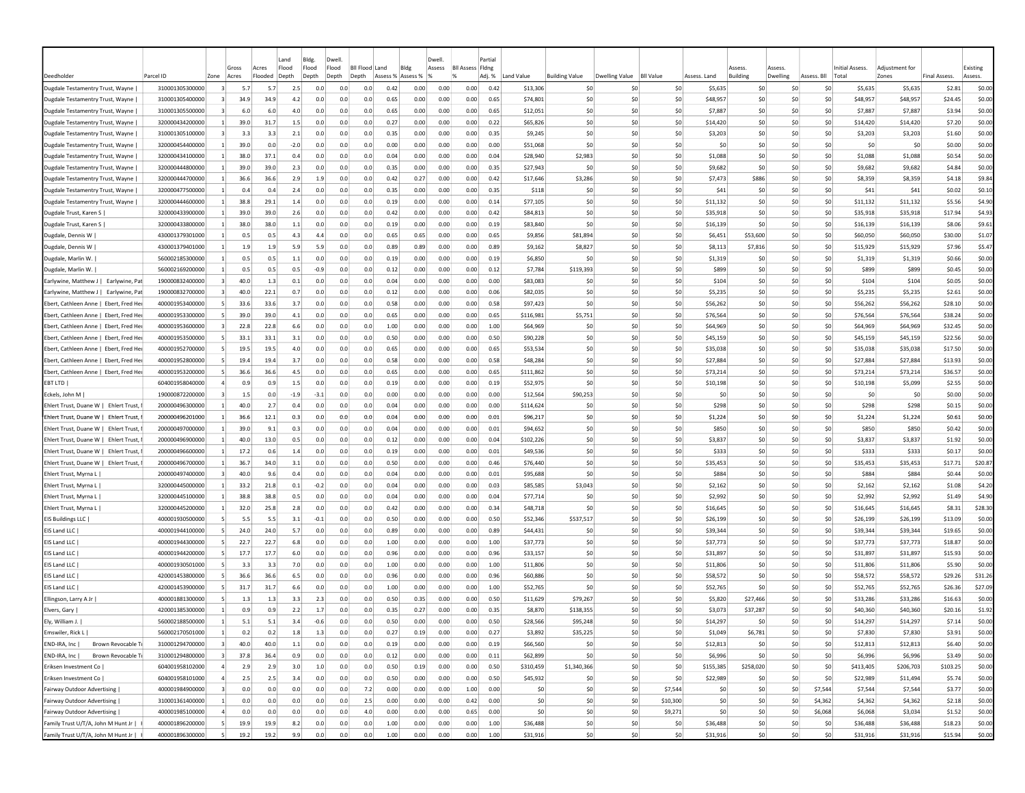|                                        |                 |                | Gross   | Acres   | Land<br>Flood | Bldg.<br>Flood | Dwell<br>Flood | <b>BII Flood</b><br>Land |      | Bldg              | Dwell.<br>Assess | <b>BII Assess Fidng</b> | Partial |            |                       |                |                  |              | ssess     | Asses:   |             | Initial Assess. | Adiustment fo |                     | Existing |
|----------------------------------------|-----------------|----------------|---------|---------|---------------|----------------|----------------|--------------------------|------|-------------------|------------------|-------------------------|---------|------------|-----------------------|----------------|------------------|--------------|-----------|----------|-------------|-----------------|---------------|---------------------|----------|
| Deedholder                             | Parcel ID       | Zone           | Acres   | Flooded | Depth         | Depth          | Depth          | Depth                    |      | Assess % Assess % |                  | $\frac{9}{6}$           | Adj. %  | Land Value | <b>Building Value</b> | Dwelling Value | <b>BII Value</b> | Assess, Land | Building  | Dwelling | Assess, Bll | Total           | Zones         | <b>Final Assess</b> | Assess.  |
| Dugdale Testamentry Trust, Wayne       | 310001305300000 | $\vert$ 3      | 5.7     | 5.7     | 2.5           | 0.0            | 0.0            | 0.0                      | 0.42 | 0.00              | 0.00             | 0.00                    | 0.42    | \$13,306   | \$0                   | -SO            | \$0              | \$5,635      | \$0       | -SO      | S0          | \$5,635         | \$5,635       | \$2.81              | \$0.00   |
| Dugdale Testamentry Trust, Wayne       | 310001305400000 |                | 34.9    | 34.9    | 4.2           | 0.0            | 0.0            | 0.0                      | 0.65 | 0.00              | 0.00             | 0.00                    | 0.65    | \$74,801   | \$0                   | \$0            | \$0              | \$48,957     | \$0       | \$0      | \$0         | \$48,957        | \$48,957      | \$24.45             | \$0.00   |
| Dugdale Testamentry Trust, Wayne       | 310001305500000 |                | 6.0     | 6.0     | 4.0           | 0.0            | 0.0            | 0.0                      | 0.65 | 0.00              | 0.00             | 0.00                    | 0.65    | \$12,051   | \$0                   | \$0            | \$0              | \$7,887      | SO        | \$0      | \$0         | \$7,887         | \$7,887       | \$3.94              | \$0.00   |
| Dugdale Testamentry Trust, Wayne       | 320000434200000 |                | 39.0    | 31.7    | 1.5           | 0.0            | 0.0            | 0.0                      | 0.27 | 0.00              | 0.00             | 0.00                    | 0.22    | \$65,826   | \$0                   | S0             | \$0              | \$14,420     | \$0       | \$0      | \$0         | \$14,420        | \$14,420      | \$7.20              | \$0.00   |
| Dugdale Testamentry Trust, Wayne       | 310001305100000 |                | 3.3     | 3.3     | 2.1           | 0.0            | 0.0            | 0.0                      | 0.35 | 0.00              | 0.00             | 0.00                    | 0.35    | \$9,245    | \$0                   | \$0            | \$0              | \$3,203      | \$0       | \$0      | \$0         | \$3,203         | \$3,203       | \$1.60              | \$0.00   |
| Dugdale Testamentry Trust, Wayne       | 320000454400000 |                | 39.0    | 0.0     | $-2.0$        | 0.0            | 0.0            | 0.0                      | 0.00 | 0.00              | 0.00             | 0.00                    | 0.00    | \$51,068   | \$0                   | \$0            | \$0              | \$0          | \$0       | \$0      | \$0         | \$0             | \$0           | \$0.00              | \$0.00   |
| Dugdale Testamentry Trust, Wayne       | 320000434100000 | -11            | 38.C    | 37.1    | 0.4           | 0.0            | 0.0            | 0.0                      | 0.04 | 0.00              | 0.00             | 0.00                    | 0.04    | \$28,940   | \$2,983               | \$0            | \$0              | \$1,088      | \$0       | S0       | S0          | \$1,088         | \$1,088       | \$0.54              | \$0.00   |
| Dugdale Testamentry Trust, Wayne       | 320000444800000 | -11            | 39.0    | 39.0    | 2.3           | 0.0            | 0.0            | 0.0                      | 0.35 | 0.00              | 0.00             | 0.00                    | 0.35    | \$27,943   | \$0                   | S0             | \$0              | \$9,682      | \$0       | S0       | S0          | \$9,682         | \$9,682       | \$4.84              | \$0.00   |
| Dugdale Testamentry Trust, Wayne       | 320000444700000 | -11            | 36.6    | 36.6    | 2.9           | 1.9            | 0.0            | 0.0                      | 0.42 | 0.27              | 0.00             | 0.00                    | 0.42    | \$17,646   | \$3,286               | S0             | \$0              | \$7,473      | \$886     | -SO      | \$0         | \$8,359         | \$8,359       | \$4.18              | \$9.84   |
| Dugdale Testamentry Trust, Wayne       | 320000477500000 |                | 0.4     | 0.4     | 2.4           | 0.0            | 0.0            | 0.0                      | 0.35 | 0.00              | 0.00             | 0.00                    | 0.35    | \$118      | \$0                   | \$0            | \$0              | \$41         | \$0       | \$C      | \$0         | \$41            | \$41          | \$0.02              | \$0.10   |
| Dugdale Testamentry Trust, Wayne       | 320000444600000 |                | 38.8    | 29.1    | 1.4           | 0.0            | 0.0            | 0.0                      | 0.19 | 0.00              | 0.00             | 0.00                    | 0.14    | \$77,105   | \$0                   | \$0            | \$0              | \$11,132     | \$0       | \$C      | \$0         | \$11,132        | \$11,132      | \$5.56              | \$4.90   |
| Dugdale Trust, Karen S                 | 320000433900000 |                | 39.0    | 39.0    | 2.6           | 0.0            | 0.0            | 0.0                      | 0.42 | 0.00              | 0.00             | 0.00                    | 0.42    | \$84,813   | \$0                   | \$0            | \$0              | \$35,918     | \$0       | \$C      | \$0         | \$35,918        | \$35,918      | \$17.94             | \$4.93   |
| Dugdale Trust, Karen S                 | 320000433800000 |                | 38.C    | 38.0    | 1.1           | 0.0            | 0.0            | 0.0                      | 0.19 | 0.00              | 0.00             | 0.00                    | 0.19    | \$83,840   | \$0                   | \$0            | \$0              | \$16,139     | \$0       | \$0      | \$0         | \$16,139        | \$16,139      | \$8.06              | \$9.61   |
| Dugdale, Dennis W                      | 430001379301000 |                | 0.5     | 0.5     | 4.3           | 4.4            | 0.0            | 0.0                      | 0.65 | 0.65              | 0.00             | 0.00                    | 0.65    | \$9,856    | \$81,894              | \$0            | \$0              | \$6,451      | \$53,600  | -SO      | \$0         | \$60,050        | \$60,050      | \$30.00             | \$1.07   |
| Dugdale, Dennis W                      | 430001379401000 |                | 1.9     | 1.9     | 5.9           | 5.9            | 0.0            | 0.0                      | 0.89 | 0.89              | 0.00             | 0.00                    | 0.89    | \$9,162    | \$8,827               | \$0            | \$0              | \$8.113      | \$7,816   | \$0      | \$0         | \$15,929        | \$15,929      | \$7.96              | \$5.47   |
| Dugdale, Marlin W.                     | 560002185300000 |                | 0.5     | 0.5     | 1.1           | 0.0            | 0.0            | 0.0                      | 0.19 | 0.00              | 0.00             | 0.00                    | 0.19    | \$6,850    | \$0                   | \$0            | \$0              | \$1,319      | S0        | -SO      | \$0         | \$1.319         | \$1,319       | \$0.66              | \$0.00   |
| Dugdale, Marlin W.                     | 560002169200000 |                | 0.5     | 0.5     | 0.5           | $-0.9$         | 0.0            | 0.0                      | 0.12 | 0.00              | 0.00             | 0.00                    | 0.12    | \$7,784    | \$119,393             | \$0            | \$0              | \$899        | \$0       | \$0      | \$0         | \$899           | \$899         | \$0.45              | \$0.00   |
| Earlywine, Matthew J   Earlywine, Pat  | 190000832400000 | $\vert$ 3      | 40.0    | 1.3     | 0.1           | 0.0            | 0.0            | 0.0                      | 0.04 | 0.00              | 0.00             | 0.00                    | 0.00    | \$83,083   | \$0                   | \$0            | \$0              | \$104        | \$0       | \$0      | \$0         | \$104           | \$104         | \$0.05              | \$0.00   |
| Earlywine, Matthew J   Earlywine, Pat  | 190000832700000 | $\vert$ 3      | 40.0    | 22.1    | 0.7           | 0.0            | 0.0            | 0.0                      | 0.12 | 0.00              | 0.00             | 0.00                    | 0.06    | \$82,035   | \$0                   | \$0            | \$0              | \$5,235      | \$0       | \$0      | \$0         | \$5,235         | \$5,235       | \$2.61              | \$0.00   |
| Ebert, Cathleen Anne   Ebert, Fred Hei | 400001953400000 | -51            | 33.6    | 33.6    | 3.7           | 0.0            | 0.0            | 0.0                      | 0.58 | 0.00              | 0.00             | 0.00                    | 0.58    | \$97,423   | S0                    | S0             | \$0              | \$56,262     | \$0       | S0       | S0          | \$56,262        | \$56,262      | \$28.10             | \$0.00   |
| Ebert, Cathleen Anne   Ebert, Fred Her | 400001953300000 | -51            | 39.0    | 39.0    | 4.1           | 0.0            | 0.0            | 0.0                      | 0.65 | 0.00              | 0.00             | 0.00                    | 0.65    | \$116,981  | \$5,751               | S0             | S0               | \$76,564     | \$0       | \$0      | \$0         | \$76,564        | \$76,564      | \$38.24             | \$0.00   |
| Ebert, Cathleen Anne   Ebert, Fred Hei | 400001953600000 |                | 22.8    | 22.8    | 6.6           | 0.0            | 0.0            | 0.0                      | 1.00 | 0.00              | 0.00             | 0.00                    | 1.00    | \$64,969   | \$0                   | S0             | \$0              | \$64,969     | \$0       | \$0      | \$0         | \$64,969        | \$64,969      | \$32.45             | \$0.00   |
| Ebert, Cathleen Anne   Ebert, Fred Hei | 400001953500000 |                | 33.1    | 33.1    | 3.1           | 0.0            | 0.0            | 0.0                      | 0.50 | 0.00              | 0.00             | 0.00                    | 0.50    | \$90,228   | \$0                   | \$0            | \$0              | \$45,159     | \$0       | \$C      | \$0         | \$45,159        | \$45,159      | \$22.56             | \$0.00   |
| Ebert, Cathleen Anne   Ebert, Fred Hei | 400001952700000 |                | 19.5    | 19.5    | 4.0           | 0.0            | 0.0            | 0.0                      | 0.65 | 0.00              | 0.00             | 0.00                    | 0.65    | \$53,534   | \$0                   | \$0            | \$0              | \$35,038     | \$0       | \$C      | \$0         | \$35,038        | \$35,038      | \$17.50             | \$0.00   |
| Ebert, Cathleen Anne   Ebert, Fred Hei | 400001952800000 |                | 19.4    | 19.4    | 3.7           | 0.0            | 0.0            | 0.0                      | 0.58 | 0.00              | 0.00             | 0.00                    | 0.58    | \$48,284   | \$0                   | \$0            | \$0              | \$27,884     | \$0       | \$C      | \$0         | \$27,884        | \$27,884      | \$13.93             | \$0.00   |
| Ebert, Cathleen Anne   Ebert, Fred Hei | 400001953200000 |                | 36.6    | 36.6    | 4.5           | 0.0            | 0.0            | 0.0                      | 0.65 | 0.00              | 0.00             | 0.00                    | 0.65    | \$111,862  | \$0                   | \$0            | \$0              | \$73,214     | \$0       | \$0      | \$0         | \$73,214        | \$73,214      | \$36.57             | \$0.00   |
| EBT LTD                                | 604001958040000 |                | 0.9     | 0.9     | 1.5           | 0.0            | 0.0            | 0.0                      | 0.19 | 0.00              | 0.00             | 0.00                    | 0.19    | \$52,975   | \$0                   | \$0            | \$0              | \$10,198     | \$0       | \$0      | S0          | \$10,198        | \$5,099       | \$2.55              | \$0.00   |
| Eckels, John M                         | 190000872200000 | -3             | 1.5     | 0.0     | $-1.9$        | $-3.1$         | 0.0            | 0.0                      | 0.00 | 0.00              | 0.00             | 0.00                    | 0.00    | \$12,564   | \$90.253              | \$0            | 50               | \$0          | \$0       | \$0      | \$0         | -SO             | \$0           | \$0.00              | \$0.00   |
| Ehlert Trust, Duane W   Ehlert Trust,  | 200000496300000 |                | 40.0    | 2.7     | 0.4           | 0.0            | 0.0            | 0.0                      | 0.04 | 0.00              | 0.00             | 0.00                    | 0.00    | \$114,624  | \$0                   | \$0            | \$0              | \$298        | \$0       | \$0      | \$0         | \$298           | \$298         | \$0.15              | \$0.00   |
| Ehlert Trust, Duane W   Ehlert Trust,  | 200000496201000 |                | 36.6    | 12.1    | 0.3           | 0.0            | 0.0            | 0.0                      | 0.04 | 0.00              | 0.00             | 0.00                    | 0.01    | \$96,217   | \$0                   | \$0            | \$0              | \$1,224      | \$0       | \$0      | \$0         | \$1,224         | \$1,224       | \$0.61              | \$0.00   |
| Ehlert Trust, Duane W   Ehlert Trust,  | 200000497000000 | $\mathbf{1}$   | 39.0    | 9.1     | 0.3           | 0.0            | 0.0            | 0.0                      | 0.04 | 0.00              | 0.00             | 0.00                    | 0.01    | \$94,652   | \$0                   | \$0            | \$0              | \$850        | \$0       | \$0      | \$0         | \$850           | \$850         | \$0.42              | \$0.00   |
| Ehlert Trust, Duane W   Ehlert Trust,  | 200000496900000 |                | 40.0    | 13.0    | 0.5           | 0.0            | 0.0            | 0.0                      | 0.12 | 0.00              | 0.00             | 0.00                    | 0.04    | \$102,226  | \$0                   | \$0            | \$0              | \$3,837      | \$0       | \$0      | \$0         | \$3,837         | \$3,837       | \$1.92              | \$0.00   |
| Ehlert Trust, Duane W   Ehlert Trust,  | 200000496600000 | -11            | 17.2    | 0.6     | 1.4           | 0.0            | 0.0            | 0.0                      | 0.19 | 0.00              | 0.00             | 0.00                    | 0.01    | \$49,536   | \$0                   | S0             | \$0              | \$333        | \$0       | S0       | S0          | \$333           | \$333         | \$0.17              | \$0.00   |
| Ehlert Trust, Duane W   Ehlert Trust,  | 200000496700000 |                | 36.7    | 34.0    | 3.1           | 0.0            | 0.0            | 0.0                      | 0.50 | 0.00              | 0.00             | 0.00                    | 0.46    | \$76,440   | \$0                   | S0             | \$0              | \$35,453     | \$0       | \$0      | S0          | \$35,453        | \$35,453      | \$17.71             | \$20.87  |
| Ehlert Trust, Myrna L                  | 200000497400000 | -3             | 40.0    | 9.6     | 0.4           | 0.0            | 0.0            | 0.0                      | 0.04 | 0.00              | 0.00             | 0.00                    | 0.01    | \$95,688   | \$0                   | \$0            | \$0              | <b>\$884</b> | S0        | -SO      | \$0         | <b>\$884</b>    | \$884         | S <sub>0.44</sub>   | \$0.00   |
| Ehlert Trust, Myrna L                  | 320000445000000 |                | 33.2    | 21.8    | 0.1           | $-0.2$         | 0.0            | 0.0                      | 0.04 | 0.00              | 0.00             | 0.00                    | 0.03    | \$85,585   | \$3,043               | \$0            | \$0              | \$2,162      | \$0       | \$0      | \$0         | \$2,162         | \$2,162       | \$1.08              | \$4.20   |
| Ehlert Trust, Myrna L                  | 320000445100000 |                | 38.8    | 38.8    | 0.5           | 0.0            | 0.0            | 0.0                      | 0.04 | 0.00              | 0.00             | 0.00                    | 0.04    | \$77,714   | \$0                   | \$0            | \$0              | \$2,992      | \$0       | \$C      | \$0         | \$2,992         | \$2,992       | \$1.49              | \$4.90   |
| Ehlert Trust, Myrna L                  | 320000445200000 |                | 32.0    | 25.8    | 2.8           | 0.0            | 0.0            | 0.0                      | 0.42 | 0.00              | 0.00             | 0.00                    | 0.34    | \$48,718   | \$0                   | \$0            | \$0              | \$16,645     | \$0       | \$C      | \$0         | \$16,645        | \$16,645      | \$8.31              | \$28.30  |
| EIS Buildings LLC                      | 400001930500000 |                | 5.5     | 5.5     | 3.1           | $-0.1$         | 0.0            | 0.0                      | 0.50 | 0.00              | 0.00             | 0.00                    | 0.50    | \$52,346   | \$537,517             | S0             | \$0              | \$26,199     | \$0       | -SO      | \$0         | \$26,199        | \$26,199      | \$13.09             | \$0.00   |
| EIS Land LLC                           | 400001944100000 | -51            | 24.0    | 24.0    | 5.7           | 0.0            | 0.0            | 0.0                      | 0.89 | 0.00              | 0.00             | 0.00                    | 0.89    | \$44,431   | \$0                   | \$0            | \$0              | \$39,344     | \$0       | -SO      | \$0         | \$39,344        | \$39,344      | \$19.65             | \$0.00   |
| EIS Land LLC                           | 400001944300000 | -51            | 22.7    | 22.7    | 6.8           | 0.0            | 0.0            | 0.0                      | 1.00 | 0.00              | 0.00             | 0.00                    | 1.00    | \$37,773   | \$0                   | \$0            | \$0              | \$37,773     | \$0       | \$0      | \$0         | \$37,773        | \$37,773      | \$18.87             | \$0.00   |
| EIS Land LLC                           | 400001944200000 | $\mathbf{5}$   | 17.7    | 17.7    | 6.0           | 0.0            | 0.0            | 0.0                      | 0.96 | 0.00              | 0.00             | 0.00                    | 0.96    | \$33,157   | \$0                   | \$0            | \$0              | \$31,897     | \$0       | \$0      | \$0         | \$31,897        | \$31,897      | \$15.93             | \$0.00   |
| EIS Land LLC                           | 400001930501000 | -5             | 3.3     | 3.3     | 7.0           | 0.0            | 0.0            | 0.0                      | 1.00 | 0.00              | 0.00             | 0.00                    | 1.00    | \$11,806   | \$0                   | \$0            | \$0              | \$11,806     | \$0       | \$C      | \$0         | \$11,806        | \$11,806      | \$5.90              | \$0.00   |
| EIS Land LLC                           | 420001453800000 | -51            | 36.6    | 36.6    | 6.5           | 0.0            | 0.0            | 0.0                      | 0.96 | 0.00              | 0.00             | 0.00                    | 0.96    | \$60,886   | \$0                   | \$0            | \$0              | \$58,572     | \$0       | \$0      | \$0         | \$58,572        | \$58,572      | \$29.26             | \$31.26  |
| EIS Land LLC                           | 420001453900000 | -51            | 31.7    | 31.7    | 6.6           | 0.0            | 0.0            | 0.0                      | 1.00 | 0.00              | 0.00             | 0.00                    | 1.00    | \$52,765   | \$0                   | S0             | \$0              | \$52,765     | \$0       | S0       | S0          | \$52,765        | \$52,765      | \$26.36             | \$27.09  |
| Ellingson, Larry A Jr                  | 400001881300000 |                | 1.3     | 1.3     | 3.3           | 2.3            | 0.0            | 0.0                      | 0.50 | 0.35              | 0.00             | 0.00                    | 0.50    | \$11,629   | \$79,267              | \$0            | S0               | \$5,820      | \$27,466  | S0       | .so         | \$33,286        | \$33,286      | \$16.63             | \$0.00   |
| Elvers, Gary                           | 420001385300000 |                | 0.9     | 0.9     | 2.2           | 1.7            | 0.0            | 0.0                      | 0.35 | 0.27              | 0.00             | 0.00                    | 0.35    | \$8,870    | \$138.355             | \$0            | \$0              | \$3,073      | \$37,287  | \$0      | \$0         | \$40,360        | \$40,360      | \$20.16             | \$1.92   |
| Ely, William J.                        | 560002188500000 |                | 5.1     | 5.1     | 3.4           | $-0.6$         | 0.0            | 0.0                      | 0.50 | 0.00              | 0.00             | 0.00                    | 0.50    | \$28,566   | \$95,248              | \$0            | \$0              | \$14,297     | S0        | \$0      | \$0         | \$14,297        | \$14,297      | \$7.14              | \$0.00   |
| Emswiler, Rick L                       | 560002170501000 | $\mathbf{1}$   | 0.2     | 0.2     | 1.8           | 1.3            | 0.0            | 0.0                      | 0.27 | 0.19              | 0.00             | 0.00                    | 0.27    | \$3,892    | \$35,225              | \$0            | \$0              | \$1,049      | \$6,781   | \$0      | \$0         | \$7,830         | \$7,830       | \$3.91              | \$0.00   |
| END-IRA, Inc  <br>Brown Revocable Tr   | 310001294700000 | $\vert$ 3      | 40.0    | 40.0    | 1.1           | 0.0            | 0.0            | 0.0                      | 0.19 | 0.00              | 0.00             | 0.00                    | 0.19    | \$66,560   | \$0                   | \$0            | \$0              | \$12,813     | \$0       | 50       | \$0         | \$12,813        | \$12,813      | \$6.40              | \$0.00   |
| END-IRA, Inc  <br>Brown Revocable Tr   | 310001294800000 | $\vert$ 3      | 37.8    | 36.4    | 0.9           | 0.0            | 0.0            | 0.0                      | 0.12 | 0.00              | 0.00             | 0.00                    | 0.11    | \$62,899   | \$0                   | \$0            | \$0              | \$6,996      | \$0       | 50       | \$0         | \$6,996         | \$6,996       | \$3.49              | \$0.00   |
| Eriksen Investment Co                  | 604001958102000 | $\overline{a}$ | 2.9     | 2.9     | 3.0           | 1.0            | 0.0            | 0.0                      | 0.50 | 0.19              | 0.00             | 0.00                    | 0.50    | \$310,459  | \$1,340,366           | 50             | \$0              | \$155,385    | \$258,020 | \$0      | \$0         | \$413,405       | \$206,703     | \$103.25            | \$0.00   |
| Eriksen Investment Co                  | 604001958101000 | $\overline{a}$ | 2.5     | 2.5     | 3.4           | 0.0            | 0.0            | 0.0                      | 0.50 | 0.00              | 0.00             | 0.00                    | 0.50    | \$45,932   | \$0                   | \$0            | \$0              | \$22,989     | \$0       | 50       | SO.         | \$22,989        | \$11,494      | \$5.74              | \$0.00   |
| Fairway Outdoor Advertising            | 400001984900000 | $\vert$ 3      | 0.0     | 0.0     | 0.0           | 0.0            | 0.0            | 7.2                      | 0.00 | 0.00              | 0.00             | 1.00                    | 0.00    | \$0        | \$0                   | \$0            | \$7,544          | \$0          | \$0       | 50       | \$7,544     | \$7,544         | \$7,544       | \$3.77              | \$0.00   |
| Fairway Outdoor Advertising            | 310001361400000 | $\mathbf{1}$   | $0.0\,$ | 0.0     | 0.0           | 0.0            | 0.0            | 2.5                      | 0.00 | 0.00              | 0.00             | 0.42                    | 0.00    | \$0        | \$0                   | \$0            | \$10,300         | \$0          | \$0       | 50       | \$4,362     | \$4,362         | \$4,362       | \$2.18              | \$0.00   |
| Fairway Outdoor Advertising            | 400001985100000 | $\overline{4}$ | 0.0     | 0.0     | 0.0           | 0.0            | 0.0            | 4.0                      | 0.00 | 0.00              | 0.00             | 0.65                    | 0.00    | \$0        | \$0                   | \$0            | \$9,271          | \$0          | \$0       | 50       | \$6,068     | \$6,068         | \$3,034       | \$1.52              | \$0.00   |
| Family Trust U/T/A, John M Hunt Jr     | 400001896200000 | -51            | 19.9    | 19.9    | 8.2           | 0.0            | 0.0            | 0.0                      | 1.00 | 0.00              | 0.00             | 0.00                    | 1.00    | \$36,488   | \$0                   | \$0            | \$0              | \$36,488     | \$0       | \$0      | \$0         | \$36,488        | \$36,488      | \$18.23             | \$0.00   |
| Family Trust U/T/A, John M Hunt Jr     | 400001896300000 | -51            | 19.2    | 19.2    | 9.9           | 0.0            | 0.0            | 0.0                      | 1.00 | 0.00              | 0.00             | 0.00                    | 1.00    | \$31,916   | \$0                   | \$0            | \$0              | \$31,916     | \$0       | 50       | \$0         | \$31,916        | \$31,916      | \$15.94             | \$0.00   |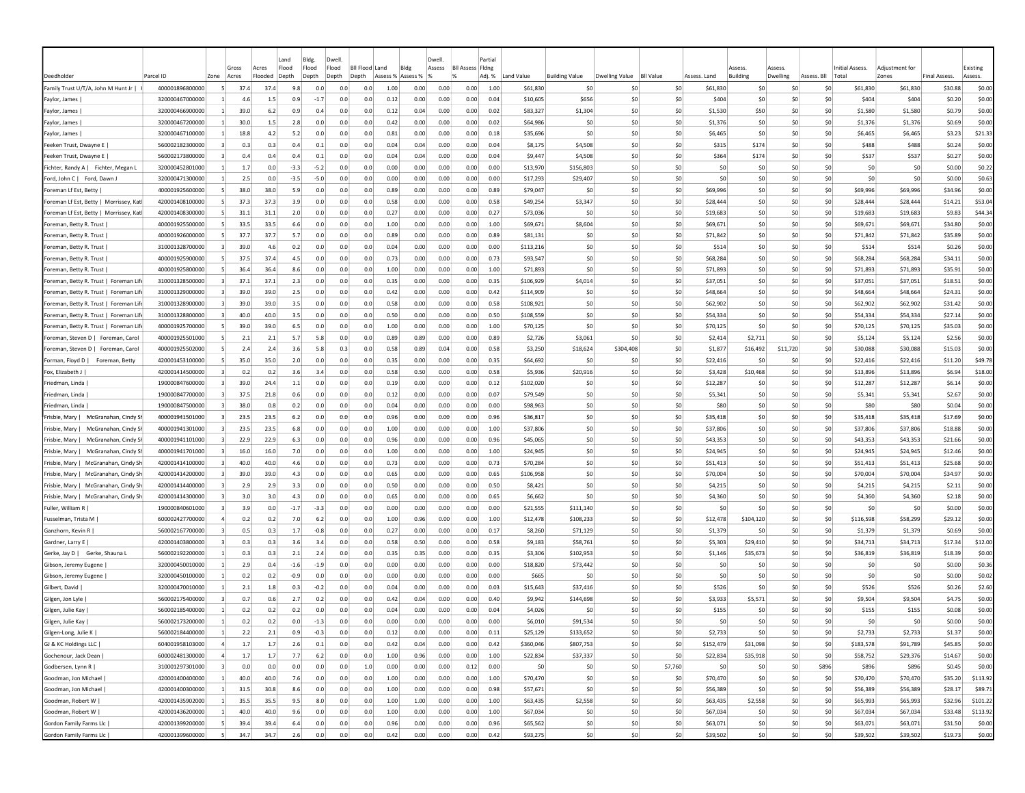| Deedholder                                         | Parcel ID       | Zone                    | Gross<br>Acres | Acres<br>Flooded | Land<br>Flood<br>Depth | Bldg.<br>Flood<br>Depth | Dwell<br>Flood<br>Depth | <b>Bll Flood Land</b><br>Depth | Assess % Assess % | Bldg         | Dwell<br>Assess | <b>BII Assess Fidne</b><br>$\frac{9}{6}$ | Partia<br>Adj. % | Land Value | <b>Building Value</b> | Dwelling Value | <b>BII Value</b> | Assess. Land | Assess<br><b>Building</b> | Assess<br>Dwelling | Assess. Bll | Initial Assess.<br>Total | Adiustment for<br>Zones | <b>Final Assess</b> | Existing<br>Assess. |
|----------------------------------------------------|-----------------|-------------------------|----------------|------------------|------------------------|-------------------------|-------------------------|--------------------------------|-------------------|--------------|-----------------|------------------------------------------|------------------|------------|-----------------------|----------------|------------------|--------------|---------------------------|--------------------|-------------|--------------------------|-------------------------|---------------------|---------------------|
| Family Trust U/T/A, John M Hunt Jr                 | 400001896800000 | -51                     | 37.4           | 37.4             | 9.8                    | 0.0                     | 0.0                     | 0.0                            | 1.00              | 0.00         | 0.00            | 0.00                                     | 1.00             | \$61,830   | \$0                   | \$0            | \$0              | \$61,830     | \$0                       | \$C                | \$0         | \$61,830                 | \$61,830                | \$30.88             | \$0.00              |
| Faylor, James                                      | 320000467000000 |                         | 4.6            | 1.5              | 0.9                    | -1.7                    | 0.0                     | 0.0                            | 0.12              | 0.00         | 0.00            | 0.00                                     | 0.04             | \$10,605   | \$656                 | \$0            | \$0              | \$404        | \$0                       | \$0                | \$0         | \$404                    | \$404                   | \$0.20              | \$0.00              |
| Faylor, James                                      | 320000466900000 |                         | 39.0           | 6.2              | 0.9                    | 0.4                     | 0.0                     | 0.0                            | 0.12              | 0.04         | 0.00            | 0.00                                     | 0.02             | \$83,327   | \$1,304               | \$0            | \$0              | \$1,530      | \$50                      | \$0                | \$0         | \$1,580                  | \$1,580                 | \$0.79              | \$0.00              |
| Faylor, James                                      | 320000467200000 |                         | 30.0           | 1.5              | 2.8                    | 0.0                     | 0.0                     | 0.0                            | 0.42              | 0.00         | 0.00            | 0.00                                     | 0.02             | \$64,986   | \$0                   | \$0            | \$0              | \$1,376      | S0                        | -SO                | \$0         | \$1,376                  | \$1,376                 | \$0.69              | \$0.00              |
| Faylor, James                                      | 320000467100000 | -11                     | 18.8           | 4.2              | 5.2                    | 0.0                     | 0.0                     | 0.0                            | 0.81              | 0.00         | 0.00            | 0.00                                     | 0.18             | \$35,696   | \$0                   | \$0            | 50               | \$6,465      | S0                        | -SO                | \$0         | \$6,465                  | \$6,465                 | \$3.23              | \$21.33             |
| Feeken Trust, Dwayne E                             | 560002182300000 | $\overline{\mathbf{3}}$ | 0.3            | 0.3              | 0.4                    | 0.1                     | 0.0                     | 0.0                            | 0.04              | 0.04         | 0.00            | 0.00                                     | 0.04             | \$8,175    | \$4,508               | S0             | \$0              | \$315        | \$174                     | \$0                | \$0         | \$488                    | \$488                   | \$0.24              | \$0.00              |
| Feeken Trust, Dwayne E                             | 560002173800000 | $\vert$ 3               | 0.4            | 0.4              | 0.4                    | 0.1                     | 0.0                     | 0.0                            | 0.04              | 0.04         | 0.00            | 0.00                                     | 0.04             | \$9,447    | \$4,508               | \$0            | \$0              | \$364        | \$174                     | \$0                | \$0         | \$537                    | \$537                   | \$0.27              | \$0.00              |
| Fichter, Randy A   Fichter, Megan L                | 320000452801000 |                         | 1.7            | 0.0              | $-3.3$                 | $-5.2$                  | 0.0                     | 0.0                            | 0.00              | 0.00         | 0.00            | 0.00                                     | 0.00             | \$13,970   | \$156,803             | \$0            | \$0              | \$0          | \$0                       | \$0                | \$0         | \$0                      | \$0                     | \$0.00              | \$0.22              |
| Ford, John C   Ford, Dawn.                         | 320000471300000 | -1                      | 2.5            | 0.0              | $-3.5$                 | -5.0                    | 0.0                     | 0.0                            | 0.00              | 0.00         | 0.00            | 0.00                                     | 0.00             | \$17,293   | \$29,407              | S0             | \$0              | S0           | S0                        | \$0                | \$0         | -SO                      | S0                      | \$0.00              | \$0.63              |
| Foreman Lf Est. Betty                              | 400001925600000 | -51                     | 38.0           | 38.0             | 5.9                    | 0.0                     | 0.0                     | 0.0                            | 0.89              | 0.00         | 0.00            | 0.00                                     | 0.89             | \$79,047   | -SO                   | \$0            | 50               | \$69,996     | S0                        | -SO                | \$0         | \$69,996                 | \$69,996                | \$34.96             | \$0.00              |
| Foreman Lf Est, Betty   Morrissey, Kat             | 420001408100000 |                         | 37.3           | 37.3             | 3.9                    | 0.0                     | 0.0                     | 0.0                            | 0.58              | 0.00         | 0.00            | 0.00                                     | 0.58             | \$49,254   | \$3,347               | \$0            | \$0              | \$28,444     | \$0                       | \$0                | \$0         | \$28,444                 | \$28,444                | \$14.21             | \$53.04             |
| Foreman Lf Est, Betty   Morrissey, Kat             | 420001408300000 |                         | 31.1           | 31.1             | 2.0                    | 0.0                     | 0.0                     | 0.0                            | 0.27              | 0.00         | 0.00            | 0.00                                     | 0.27             | \$73,036   | \$0                   | \$0            | \$0              | \$19,683     | \$0                       | \$C                | \$0         | \$19,683                 | \$19,683                | \$9.83              | \$44.34             |
| Foreman, Betty R. Trust                            | 400001925500000 |                         | 33.5           | 33.5             | 6.6                    | 0.0                     | 0.0                     | 0.0                            | 1.00              | 0.00         | 0.00            | 0.00                                     | 1.00             | \$69,671   | \$8,604               | \$0            | \$0              | \$69,671     | \$0                       | \$C                | \$0         | \$69,671                 | \$69,671                | \$34.80             | \$0.00              |
| Foreman, Betty R. Trust                            | 400001926000000 |                         | 37.7           | 37.7             | 5.7                    | 0.0                     | 0.0                     | 0.0                            | 0.89              | 0.00         | 0.00            | 0.00                                     | 0.89             | \$81,131   | \$0                   | \$0            | \$0              | \$71,842     | \$0                       | \$0                | \$0         | \$71,842                 | \$71,842                | \$35.89             | \$0.00              |
| Foreman, Betty R. Trust                            | 310001328700000 | $\vert$ 3               | 39.0           | 4.6              | 0.2                    | 0.0                     | 0.0                     | 0.0                            | 0.04              | 0.00         | 0.00            | 0.00                                     | 0.00             | \$113,216  | \$0                   | \$0            | \$0              | \$514        | \$0                       | -SO                | \$0         | \$514                    | \$514                   | \$0.26              | \$0.00              |
|                                                    | 400001925900000 |                         | 37.5           | 37.4             | 4.5                    | 0.0                     | 0.0                     | 0.0                            | 0.73              | 0.00         | 0.00            | 0.00                                     | 0.73             | \$93,547   | \$0                   | \$0            | \$0              | \$68,284     | \$0                       | -SO                | \$0         | \$68,284                 | \$68,284                | \$34.11             | \$0.00              |
| Foreman, Betty R. Trust<br>Foreman, Betty R. Trust | 400001925800000 | -51                     | 36.4           | 36.4             | 8.6                    | 0.0                     | 0.0                     | 0.0                            | 1.00              | 0.00         | 0.00            | 0.00                                     | 1.00             | \$71,893   | \$0                   | \$0            | \$0              | \$71,893     | \$0                       | -SO                | \$0         | \$71,893                 | \$71,893                | \$35.91             | \$0.00              |
|                                                    |                 | $\vert$ 3               | 37.1           | 37.1             | 2.3                    | 0.0                     | 0.0                     | 0.0                            | 0.35              |              |                 |                                          | 0.35             |            |                       | \$0            | \$0              |              | \$0                       | \$0                | \$0         |                          |                         |                     |                     |
| Foreman, Betty R. Trust   Foreman Life             | 310001328500000 | 3                       |                | 39.0             | 2.5                    | 0.0                     | 0.0                     | 0.0                            | 0.42              | 0.00<br>0.00 | 0.00            | 0.00                                     |                  | \$106,929  | \$4,014<br>\$0        | \$0            | \$0              | \$37,051     | \$0                       | \$0                |             | \$37,051                 | \$37,051                | \$18.51             | \$0.00              |
| Foreman, Betty R. Trust   Foreman Life             | 310001329000000 |                         | 39.0           |                  |                        |                         |                         |                                |                   |              | 0.00            | 0.00                                     | 0.42             | \$114,909  |                       |                |                  | \$48,664     |                           |                    | \$0         | \$48,664                 | \$48,664                | \$24.31             | \$0.00              |
| Foreman, Betty R. Trust   Foreman Life             | 310001328900000 | 3                       | 39.0           | 39.0             | 3.5                    | 0.0                     | 0.0                     | 0.0                            | 0.58              | 0.00         | 0.00            | 0.00                                     | 0.58             | \$108,921  | \$0                   | \$0            | \$0              | \$62,902     | \$0                       | \$0                | \$0         | \$62,902                 | \$62,902                | \$31.42             | \$0.00              |
| Foreman, Betty R. Trust   Foreman Life             | 310001328800000 | -3                      | 40.0           | 40.0             | 3.5                    | 0.0                     | 0.0                     | 0.0                            | 0.50              | 0.00         | 0.00            | 0.00                                     | 0.50             | \$108,559  | \$0                   | S0             | \$0              | \$54,334     | \$0                       | \$0                | S0          | \$54,334                 | \$54,334                | \$27.14             | \$0.00              |
| Foreman, Betty R. Trust   Foreman Life             | 400001925700000 | -51                     | 39.0           | 39.0             | 6.5                    | 0.0                     | 0.0                     | 0.0                            | 1.00              | 0.00         | 0.00            | 0.00                                     | 1.00             | \$70,125   | \$0                   | S0             | \$0              | \$70,125     | \$0                       | -SO                | S0          | \$70,125                 | \$70,125                | \$35.03             | \$0.00              |
| Foreman, Steven D   Foreman, Carol                 | 400001925501000 | -51                     | 2.1            | 2.1              | 5.7                    | 5.8                     | 0.0                     | 0.0                            | 0.89              | 0.89         | 0.00            | 0.00                                     | 0.89             | \$2,726    | \$3,061               | \$0            | 50               | \$2,414      | \$2,711                   | -SO                | \$0         | \$5,124                  | \$5,124                 | \$2.56              | \$0.00              |
| Foreman, Steven D   Foreman, Caro                  | 400001925502000 |                         | 2.4            | 2.4              | 3.6                    | 5.8                     | 0.3                     | 0.0                            | 0.58              | 0.89         | 0.04            | 0.00                                     | 0.58             | \$3,250    | \$18,624              | \$304,408      | \$0              | \$1.877      | \$16,492                  | \$11,720           | \$0         | \$30,088                 | \$30,088                | \$15.03             | \$0.00              |
| Forman, Floyd D  <br>Foreman, Betty                | 420001453100000 | -5                      | 35.0           | 35.0             | 2.0                    | 0.0                     | 0.0                     | 0.0                            | 0.35              | 0.00         | 0.00            | 0.00                                     | 0.35             | \$64,692   | \$0                   | \$0            | \$0              | \$22,416     | \$0                       | \$C                | \$0         | \$22,416                 | \$22,416                | \$11.20             | \$49.78             |
| Fox, Elizabeth J                                   | 420001414500000 |                         | 0.2            | 0.2              | 3.6                    | 3.4                     | 0.0                     | 0.0                            | 0.58              | 0.50         | 0.00            | 0.00                                     | 0.58             | \$5,936    | \$20,916              | \$0            | \$0              | \$3,428      | \$10,468                  | \$0                | \$0         | \$13,896                 | \$13,896                | \$6.94              | \$18.00             |
| Friedman, Linda                                    | 190000847600000 |                         | 39.0           | 24.4             | $1.1\,$                | 0.0                     | 0.0                     | 0.0                            | 0.19              | 0.00         | 0.00            | 0.00                                     | 0.12             | \$102,020  | \$0                   | \$0            | \$0              | \$12,287     | \$0                       | \$C                | \$0         | \$12,287                 | \$12,287                | \$6.14              | \$0.00              |
| Friedman, Linda                                    | 190000847700000 |                         | 37.5           | 21.8             | 0.6                    | 0.0                     | 0.0                     | 0.0                            | 0.12              | 0.00         | 0.00            | 0.00                                     | 0.07             | \$79,549   | \$0                   | \$0            | \$0              | \$5,341      | \$0                       | -SO                | \$0         | \$5,341                  | \$5,341                 | \$2.67              | \$0.00              |
| Friedman, Linda                                    | 190000847500000 | $\vert$ 3               | 38.0           | 0.8              | 0.2                    | 0.0                     | 0.0                     | 0.0                            | 0.04              | 0.00         | 0.00            | 0.00                                     | 0.00             | \$98,963   | \$0                   | \$0            | \$0              | \$80         | \$0                       | \$0                | \$0         | \$80                     | \$80                    | \$0.04              | \$0.00              |
| Frisbie, Mary  <br>McGranahan, Cindy S             | 400001941501000 | 3                       | 23.5           | 23.5             | 6.2                    | 0.0                     | 0.0                     | 0.0                            | 0.96              | 0.00         | 0.00            | 0.00                                     | 0.96             | \$36,817   | \$0                   | \$0            | \$0              | \$35,418     | \$0                       | \$0                | \$0         | \$35,418                 | \$35,418                | \$17.69             | \$0.00              |
| Frisbie, Mary  <br>McGranahan, Cindy Sl            | 400001941301000 | $\vert$ 3               | 23.5           | 23.5             | 6.8                    | 0.0                     | 0.0                     | 0.0                            | 1.00              | 0.00         | 0.00            | 0.00                                     | 1.00             | \$37,806   | \$0                   | \$0            | \$0              | \$37,806     | \$0                       | \$0                | \$0         | \$37,806                 | \$37,806                | \$18.88             | \$0.00              |
| Frisbie, Mary  <br>McGranahan, Cindy Sl            | 400001941101000 | $\vert$ 3               | 22.9           | 22.9             | 6.3                    | 0.0                     | 0.0                     | 0.0                            | 0.96              | 0.00         | 0.00            | 0.00                                     | 0.96             | \$45,065   | \$0                   | \$0            | \$0              | \$43,353     | \$0                       | \$C                | \$0         | \$43,353                 | \$43,353                | \$21.66             | \$0.00              |
| Frisbie, Mary  <br>McGranahan, Cindy Sl            | 400001941701000 | $\vert$ 3               | 16.0           | 16.0             | 7.0                    | 0.0                     | 0.0                     | 0.0                            | 1.00              | 0.00         | 0.00            | 0.00                                     | 1.00             | \$24,945   | \$0                   | \$0            | \$0              | \$24,945     | \$0                       | \$0                | \$0         | \$24,945                 | \$24,945                | \$12.46             | \$0.00              |
| Frisbie, Mary  <br>McGranahan, Cindy Sh            | 420001414100000 | $\vert$ 3               | 40.0           | 40.0             | 4.6                    | 0.0                     | 0.0                     | 0.0                            | 0.73              | 0.00         | 0.00            | 0.00                                     | 0.73             | \$70,284   | \$0                   | S0             | SO.              | \$51,413     | \$0                       | S <sub>0</sub>     | S0          | \$51,413                 | \$51,413                | \$25.68             | \$0.00              |
| Frisbie, Mary  <br>McGranahan, Cindy Sh            | 420001414200000 |                         | 39.0           | 39.0             | 4.3                    | 0.0                     | 0.0                     | 0.0                            | 0.65              | 0.00         | 0.00            | 0.00                                     | 0.65             | \$106,958  | \$0                   | S0             | \$0              | \$70,004     | \$0                       | \$0                | S0          | \$70,004                 | \$70,004                | \$34.97             | \$0.00              |
| Frisbie, Mary   McGranahan, Cindy Sh               | 420001414400000 |                         | 2.9            | 2.9              | 3.3                    | 0.0                     | 0.0                     | 0.0                            | 0.50              | 0.00         | 0.00            | 0.00                                     | 0.50             | \$8,421    | \$0                   | S0             | S0               | \$4,215      | \$0                       | \$0                | \$0         | \$4,215                  | \$4,215                 | \$2.11              | \$0.00              |
| Frisbie, Mary  <br>McGranahan, Cindy Sh            | 420001414300000 |                         | 3.0            | 3.0              | 4.3                    | 0.0                     | 0.0                     | 0.0                            | 0.65              | 0.00         | 0.00            | 0.00                                     | 0.65             | \$6,662    | \$0                   | S0             | \$0              | \$4,360      | \$0                       | \$0                | \$0         | \$4,360                  | \$4,360                 | \$2.18              | \$0.00              |
| Fuller, William R                                  | 190000840601000 |                         | 3.9            | 0.0              | $-1.7$                 | $-3.3$                  | 0.0                     | 0.0                            | 0.00              | 0.00         | 0.00            | 0.00                                     | 0.00             | \$21,555   | \$111,140             | \$0            | \$0              | \$0          | \$0                       | \$0                | \$0         | \$0                      | \$0                     | \$0.00              | \$0.00              |
| Fusselman, Trista M                                | 600002427700000 |                         | 0.2            | 0.2              | 7.0                    | 6.2                     | 0.0                     | 0.0                            | 1.00              | 0.96         | 0.00            | 0.00                                     | 1.00             | \$12,478   | \$108,233             | \$0            | \$0              | \$12,478     | \$104,120                 | \$0                | \$0         | \$116,598                | \$58,299                | \$29.12             | \$0.00              |
| Ganzhorn, Kevin R                                  | 560002167700000 |                         | 0.5            | 0.3              | 1.7                    | $-0.8$                  | 0.0                     | 0.0                            | 0.27              | 0.00         | 0.00            | 0.00                                     | 0.17             | \$8,260    | \$71,129              | \$0            | \$0              | \$1,379      | \$0                       | \$C                | \$0         | \$1,379                  | \$1,379                 | \$0.69              | \$0.00              |
| Gardner, Larry E                                   | 420001403800000 | 3                       | 0.3            | 0.3              | 3.6                    | 3.4                     | 0.0                     | 0.0                            | 0.58              | 0.50         | 0.00            | 0.00                                     | 0.58             | \$9,183    | \$58,761              | \$0            | \$0              | \$5,303      | \$29,410                  | S <sub>0</sub>     | \$0         | \$34,713                 | \$34,713                | \$17.34             | \$12.00             |
| Gerke, Jay D   Gerke, Shauna L                     | 560002192200000 | -11                     | 0.3            | 0.3              | 2.1                    | 2.4                     | 0.0                     | 0.0                            | 0.35              | 0.35         | 0.00            | 0.00                                     | 0.35             | \$3,306    | \$102,953             | \$0            | 50               | \$1.146      | \$35.673                  | \$0                | \$0         | \$36,819                 | \$36,819                | \$18.39             | \$0.00              |
| Gibson, Jeremy Eugene                              | 320000450010000 |                         | 2.9            | 0.4              | $-1.6$                 | $-1.9$                  | 0.0                     | 0.0                            | 0.00              | 0.00         | 0.00            | 0.00                                     | 0.00             | \$18,820   | \$73,442              | \$0            | \$0              | S0           | S0                        | \$0                | \$0         | -SO                      | \$0                     | \$0.00              | \$0.36              |
| Gibson, Jeremy Eugene                              | 320000450100000 |                         | 0.2            | 0.2              | $-0.9$                 | 0.0                     | 0.0                     | 0.0                            | 0.00              | 0.00         | 0.00            | 0.00                                     | 0.00             | \$665      | \$0                   | \$0            | \$0              | \$0          | \$0                       | \$0                | \$0         | -SO                      | \$0                     | \$0.00              | \$0.02              |
| Gilbert, David                                     | 320000470010000 |                         | 2.1            | 1.8              | 0.3                    | $-0.2$                  | 0.0                     | 0.0                            | 0.04              | 0.00         | 0.00            | 0.00                                     | 0.03             | \$15,643   | \$37,416              | \$0            | \$0              | \$526        | \$0                       | \$0                | \$0         | \$526                    | \$526                   | \$0.26              | \$2.60              |
| Gilgen, Jon Lyle                                   | 560002175400000 |                         | 0.7            | 0.6              | 2.7                    | 0.2                     | 0.0                     | 0.0                            | 0.42              | 0.04         | 0.00            | 0.00                                     | 0.40             | \$9,942    | \$144,698             | \$0            | \$0              | \$3,933      | \$5,571                   | so                 | \$0         | \$9,504                  | \$9,504                 | \$4.75              | \$0.00              |
| Gilgen, Julie Kay                                  | 560002185400000 |                         | 0.2            | 0.2              | 0.2                    | 0.0                     | 0.0                     | 0.0                            | 0.04              | 0.00         | 0.00            | 0.00                                     | 0.04             | \$4,026    | \$0                   | S0             | \$0              | \$155        | S0                        | S0                 | \$0         | \$155                    | \$155                   | \$0.08              | \$0.00              |
| Gilgen, Julie Kay                                  | 560002173200000 |                         | 0.2            | 0.2              | 0.0                    | $-1.3$                  | 0.0                     | 0.0                            | 0.00              | 0.00         | 0.00            | 0.00                                     | 0.00             | \$6,010    | \$91.534              | \$0            | \$0              | \$0          | \$0                       | \$0                | \$0         | 50                       | \$0                     | \$0.00              | \$0.00              |
| Gilgen-Long, Julie K                               | 560002184400000 | $\mathbf{1}$            | 2.2            | 2.1              | 0.9                    | $-0.3$                  | 0.0                     | 0.0                            | 0.12              | 0.00         | 0.00            | 0.00                                     | 0.11             | \$25,129   | \$133,652             | 50             | \$0              | \$2,733      | SO <sub>2</sub>           | 50                 | 50          | \$2,733                  | \$2,733                 | \$1.37              | \$0.00              |
| GJ & KC Holdings LLC                               | 604001958103000 | $\overline{4}$          | 1.7            | 1.7              | 2.6                    | 0.1                     | 0.0                     | 0.0                            | 0.42              | 0.04         | 0.00            | 0.00                                     | 0.42             | \$360,046  | \$807,753             | \$0            | \$0              | \$152,479    | \$31,098                  | 50                 | \$0         | \$183,578                | \$91,789                | \$45.85             | \$0.00              |
| Gochenour, Jack Dean                               | 600002481300000 | $\overline{4}$          | $1.7\,$        | 1.7              | 7.7                    | 6.2                     | 0.0                     | 0.0                            | 1.00              | 0.96         | 0.00            | 0.00                                     | 1.00             | \$22,834   | \$37,337              | \$0            | \$0              | \$22,834     | \$35,918                  | 50                 | \$0         | \$58,752                 | \$29,376                | \$14.67             | \$0.00              |
| Godbersen, Lynn R                                  | 310001297301000 | $\vert$ 3               | 0.0            | 0.0              | 0.0                    | 0.0                     | 0.0                     | 1.0                            | 0.00              | 0.00         | 0.00            | 0.12                                     | 0.00             | \$0        | \$0                   | \$0            | \$7,760          | \$0          | \$0                       | 50                 | \$896       | \$896                    | \$896                   | \$0.45              | \$0.00              |
| Goodman, Jon Michael                               | 420001400400000 | $\overline{1}$          | 40.0           | 40.0             | 7.6                    | 0.0                     | 0.0                     | 0.0                            | 1.00              | 0.00         | 0.00            | 0.00                                     | 1.00             | \$70,470   | \$0                   | \$0            | 50               | \$70,470     | \$0                       | \$0                | \$0         | \$70,470                 | \$70,470                | \$35.20             | \$113.92            |
| Goodman, Jon Michael                               | 420001400300000 | 11                      | 31.5           | 30.8             | 8.6                    | 0.0                     | 0.0                     | 0.0                            | 1.00              | 0.00         | 0.00            | 0.00                                     | 0.98             | \$57,671   | \$0                   | \$0            | 50               | \$56,389     | \$0                       | \$0                | \$0         | \$56,389                 | \$56,389                | \$28.17             | \$89.71             |
| Goodman, Robert W                                  | 420001435902000 | $\mathbf{1}$            | 35.5           | 35.5             | 9.5                    | 8.0                     | 0.0                     | 0.0                            | 1.00              | 1.00         | 0.00            | 0.00                                     | 1.00             | \$63,435   | \$2,558               | \$0            | 50               | \$63,435     | \$2,558                   | 50                 | 50          | \$65,993                 | \$65,993                | \$32.96             | \$101.22            |
| Goodman, Robert W                                  | 420001436200000 | $\mathbf{1}$            | 40.0           | 40.0             | 9.6                    | 0.0                     | 0.0                     | 0.0                            | 1.00              | 0.00         | 0.00            | 0.00                                     | 1.00             | \$67,034   | \$0                   | \$0            | \$0              | \$67,034     | \$0                       | 50                 | \$0         | \$67,034                 | \$67,034                | \$33.48             | \$113.92            |
| Gordon Family Farms Llc                            | 420001399200000 | -5                      | 39.4           | 39.4             | 6.4                    | 0.0                     | 0.0                     | 0.0                            | 0.96              | 0.00         | 0.00            | 0.00                                     | 0.96             | \$65,562   | \$0                   | \$0            | 50               | \$63,071     | \$0                       | \$0                | \$0         | \$63,071                 | \$63,071                | \$31.50             | \$0.00              |
| Gordon Family Farms Llc                            | 420001399600000 | -5                      | 34.7           | 34.7             | 2.6                    | 0.0                     | 0.0                     | 0.0                            | 0.42              | 0.00         | 0.00            | 0.00                                     | 0.42             | \$93,275   | \$0                   | 50             | \$0              | \$39,502     | 50                        | 50                 | \$0         | \$39,502                 | \$39,502                | \$19.73             |                     |
|                                                    |                 |                         |                |                  |                        |                         |                         |                                |                   |              |                 |                                          |                  |            |                       |                |                  |              |                           |                    |             |                          |                         |                     | \$0.00              |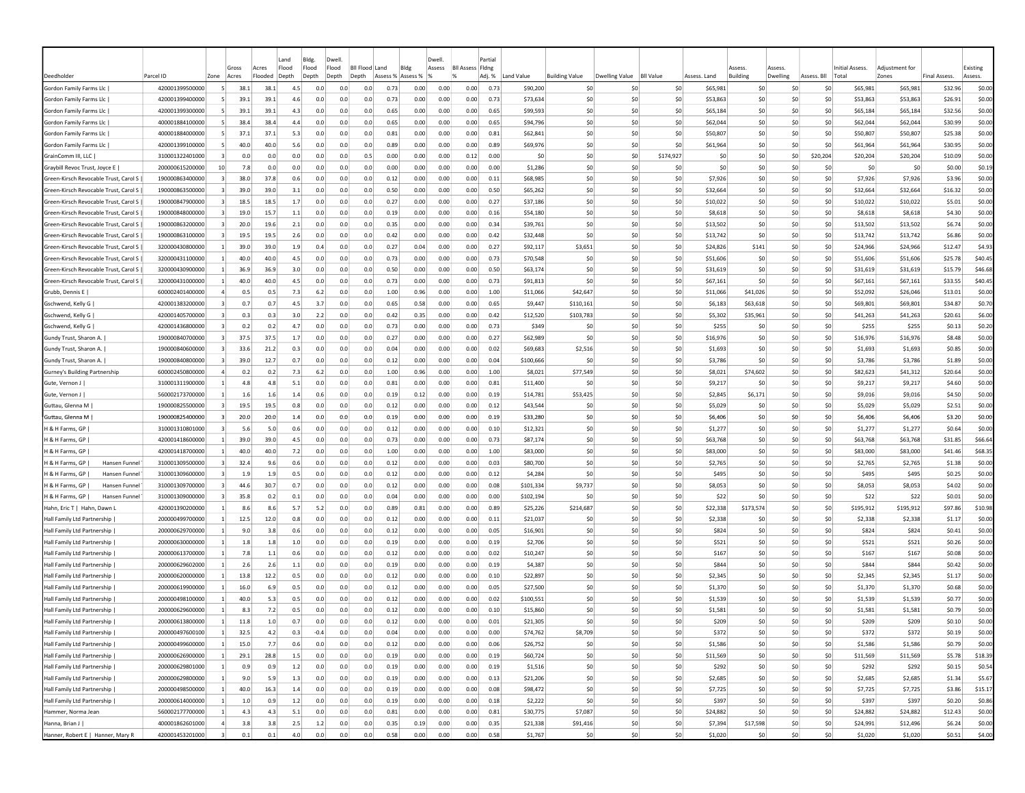|                                                                                |                                    |                 |             |             | Land       | Bldg.      | Dwell                     |            |                   |              | Dwell        |                         | Partial      |                     |                       |                          |                  |                |                       |           |             |                            |                     |                     |                  |
|--------------------------------------------------------------------------------|------------------------------------|-----------------|-------------|-------------|------------|------------|---------------------------|------------|-------------------|--------------|--------------|-------------------------|--------------|---------------------|-----------------------|--------------------------|------------------|----------------|-----------------------|-----------|-------------|----------------------------|---------------------|---------------------|------------------|
|                                                                                |                                    |                 | Gross       | Acres       | Flood      | Flood      | Flood<br><b>BII Flood</b> |            | Land              | Bldg         | Assess       | <b>Bll Assess Fldng</b> |              |                     |                       |                          |                  |                | Assess                | Assess    |             | <b>Initial Assess.</b>     | Adjustment for      |                     | Existing         |
| Deedholder                                                                     | Parcel ID                          | Zone            | Acres       | Flooded     | Depth      | Depth      | Depth<br>Depth            |            | Assess % Assess % |              |              |                         | Adj. %       | Land Value          | <b>Building Value</b> | Dwelling Value           | <b>BII Value</b> | Assess, Land   | Building              | Dwelling  | Assess. Bll | Total                      | Zones               | <b>Final Assess</b> | Assess.          |
| Gordon Family Farms Llc                                                        | 420001399500000                    | -51             | 38.1        | 38.1        | 4.5        | 0.0        | 0.0                       | 0.0        | 0.73              | 0.00         | 0.00         | 0.00                    | 0.73         | \$90,200            |                       | -SO<br>-SO               | \$0              | \$65,981       | -SO                   | -SO       | S0          | \$65,981                   | \$65,981            | \$32.96             | \$0.00           |
| Gordon Family Farms Llc                                                        | 420001399400000                    |                 | 39.         | 39.1        | 4.6        | 0.0        | 0.0                       | 0.0        | 0.73              | 0.00         | 0.00         | 0.00                    | 0.73         | \$73,634            |                       | \$C<br>\$0               | \$0              | \$53,863       | \$0                   | \$C       | \$0         | \$53,863                   | \$53,863            | \$26.91             | \$0.00           |
| Gordon Family Farms Llc                                                        | 420001399300000                    |                 | 39.1        | 39.1        | 4.3        | 0.0        | 0.0                       | 0.0        | 0.65              | 0.00         | 0.00         | 0.00                    | 0.65         | \$99,593            |                       | \$0<br>\$0               | \$0              | \$65.184       | \$0                   | \$0       |             | \$0<br>\$65,184            | \$65,184            | \$32.56             | \$0.00           |
| Gordon Family Farms Llc                                                        | 400001884100000                    |                 | 38.4        | 38.4        | 4.4        | 0.0        | 0.0                       | 0.0        | 0.65              | 0.00         | 0.00         | 0.00                    | 0.65         | \$94,796            |                       | \$0<br>-SO               | \$0              | \$62,044       | \$0                   | \$0       | \$0         | \$62,044                   | \$62,044            | \$30.99             | \$0.00           |
| Gordon Family Farms Llc                                                        | 400001884000000                    |                 | 37.1        | 37.1        | 5.3        | 0.0        | 0.0                       | 0.0        | 0.81              | 0.00         | 0.00         | 0.00                    | 0.81         | \$62,841            |                       | \$C<br>-SC               | \$0              | \$50,807       | \$0                   | \$C       | S0          | \$50,807                   | \$50,807            | \$25.38             | \$0.00           |
| Gordon Family Farms Llc                                                        | 420001399100000                    | -51             | 40.0        | 40.0        | 5.6        | 0.0        | 0.0                       | 0.0        | 0.89              | 0.00         | 0.00         | 0.00                    | 0.89         | \$69,976            |                       | \$0<br>-SO               | \$0              | \$61,964       | \$0                   | \$0       |             | \$0<br>\$61,964            | \$61,964            | \$30.95             | \$0.00           |
| GrainComm III, LLC                                                             | 310001322401000                    |                 | 0.0         | 0.0         | 0.0        | 0.0        | 0.0                       | 0.5        | 0.00              | 0.00         | 0.00         | 0.12                    | 0.00         | \$0                 |                       | \$0<br>-SO               | \$174,927        | -SO            | S0                    | \$0       | \$20,204    | \$20,204                   | \$20,204            | \$10.09             | \$0.00           |
| Graybill Revoc Trust, Joyce E<br>Green-Kirsch Revocable Trust, Carol S         | 200000615200000<br>190000863400000 | 10 <sup>1</sup> | 7.8<br>38.0 | 0.0<br>37.8 | 0.0        | 0.0        | 0.0                       | 0.0        | 0.00              | 0.00<br>0.00 | 0.00         | 0.00                    | 0.00         | \$1,286<br>\$68,985 |                       | \$0<br>-SO<br>\$0<br>-SO | \$0<br>\$0       | -SO<br>\$7,926 | -SO<br>S <sub>0</sub> | S0<br>\$0 | S0<br>\$0   | S0                         | \$0                 | \$0.00<br>\$3.96    | \$0.19<br>\$0.00 |
| Green-Kirsch Revocable Trust, Carol S                                          | 190000863500000                    | -31             | 39.0        | 39.0        | 0.6<br>3.1 | 0.0<br>0.0 | 0.0<br>0.0                | 0.0<br>0.0 | 0.12<br>0.50      | 0.00         | 0.00<br>0.00 | 0.00<br>0.00            | 0.11<br>0.50 | \$65,262            |                       | \$0<br>\$0               | \$0              | \$32,664       | \$0                   | \$0       |             | \$7,926<br>\$0<br>\$32,664 | \$7,926<br>\$32,664 | \$16.32             | \$0.00           |
| Green-Kirsch Revocable Trust, Carol S                                          | 190000847900000                    |                 | 18.5        | 18.5        | 1.7        | 0.0        | 0.0                       | 0.0        | 0.27              | 0.00         | 0.00         | 0.00                    | 0.27         | \$37,186            |                       | \$C<br>-SO               | \$0              | \$10,022       | \$0                   | \$C       |             | \$0<br>\$10,022            | \$10,022            | \$5.01              | \$0.00           |
| Green-Kirsch Revocable Trust, Carol S                                          | 190000848000000                    |                 | 19.0        | 15.7        | 1.1        | 0.0        | 0.0                       | 0.0        | 0.19              | 0.00         | 0.00         | 0.00                    | 0.16         | \$54,180            |                       | \$0<br>\$0               | \$0              | \$8,618        | \$0                   | \$0       |             | \$0<br>\$8,618             | \$8,618             | \$4.30              | \$0.00           |
| Green-Kirsch Revocable Trust, Carol S                                          | 190000863200000                    |                 | 20.0        | 19.6        | 2.1        | 0.0        | 0.0                       | 0.0        | 0.35              | 0.00         | 0.00         | 0.00                    | 0.34         | \$39,761            |                       | \$0<br>\$0               | \$0              | \$13,502       | \$0                   | \$0       |             | \$0<br>\$13,502            | \$13,502            | \$6.74              | \$0.00           |
|                                                                                |                                    |                 | 19.5        | 19.5        | 2.6        | 0.0        | 0.0                       | 0.0        | 0.42              | 0.00         | 0.00         | 0.00                    | 0.42         | \$32,448            |                       | \$0<br>\$0               | \$0              | \$13,742       | \$0                   | \$0       | \$0         | \$13,742                   | \$13,742            | \$6.86              | \$0.00           |
| Green-Kirsch Revocable Trust, Carol S<br>Green-Kirsch Revocable Trust, Carol S | 190000863100000<br>320000430800000 |                 | 39.0        | 39.0        | 1.9        | 0.4        | 0.0                       | 0.0        | 0.27              | 0.04         | 0.00         | 0.00                    | 0.27         | \$92,117            | \$3,651               | \$0                      | \$0              | \$24,826       | \$141                 | \$0       |             | \$0<br>\$24,966            | \$24,966            | \$12.47             | \$4.93           |
| Green-Kirsch Revocable Trust, Carol S                                          | 320000431100000                    |                 | 40.0        | 40.0        | 4.5        | 0.0        | 0.0                       | 0.0        | 0.73              | 0.00         | 0.00         | 0.00                    | 0.73         | \$70,548            |                       | \$0<br>\$0               | \$0              | \$51,606       | S <sub>0</sub>        | \$0       | \$0         | \$51,606                   | \$51,606            | \$25.78             | \$40.45          |
| Green-Kirsch Revocable Trust, Carol S                                          | 320000430900000                    |                 | 36.9        | 36.9        | 3.0        | 0.0        | 0.0                       | 0.0        | 0.50              | 0.00         | 0.00         | 0.00                    | 0.50         | \$63,174            |                       | \$0<br>\$0               | \$0              | \$31,619       | \$0                   | \$0       |             | \$0<br>\$31,619            | \$31,619            | \$15.79             | \$46.68          |
| Green-Kirsch Revocable Trust, Carol S                                          | 320000431000000                    |                 | 40.0        | 40.0        | 4.5        | 0.0        | 0.0                       | 0.0        | 0.73              | 0.00         | 0.00         | 0.00                    | 0.73         | \$91,813            |                       | \$0<br>\$0               | \$0              | \$67,161       | \$0                   | \$0       |             | \$0<br>\$67,161            | \$67,161            | \$33.55             | \$40.45          |
| Grubb, Dennis E                                                                | 600002401400000                    |                 | 0.5         | 0.5         | 7.3        | 6.2        | 0.0                       | 0.0        | 1.00              | 0.96         | 0.00         | 0.00                    | 1.00         | \$11,066            | \$42,647              | -SO                      | \$0              | \$11,066       | \$41,026              | \$0       |             | \$0<br>\$52,092            | \$26,046            | \$13.01             | \$0.00           |
| <b>Gschwend, Kelly G</b>                                                       | 420001383200000                    |                 | 0.7         | 0.7         | 4.5        | 3.7        | 0.0                       | 0.0        | 0.65              | 0.58         | 0.00         | 0.00                    | 0.65         | \$9,447             | \$110,161             | -SO                      | \$0              | \$6,183        | \$63,618              | \$0       | S0          | \$69,801                   | \$69,801            | \$34.87             | \$0.70           |
| Gschwend, Kelly G                                                              | 420001405700000                    | -31             | 0.3         | 0.3         | 3.0        | 2.2        | 0.0                       | 0.0        | 0.42              | 0.35         | 0.00         | 0.00                    | 0.42         | \$12,520            | \$103,783             | -SO                      | \$0              | \$5,302        | \$35,961              | \$0       | \$0         | \$41,263                   | \$41,263            | \$20.61             | \$6.00           |
| Gschwend, Kelly G                                                              | 420001436800000                    |                 | 0.2         | 0.2         | 4.7        | 0.0        | 0.0                       | 0.0        | 0.73              | 0.00         | 0.00         | 0.00                    | 0.73         | \$349               |                       | \$0<br>-SO               | \$0              | \$255          | S <sub>0</sub>        | \$0       |             | \$0<br>\$255               | \$255               | \$0.13              | \$0.20           |
| Gundy Trust, Sharon A.                                                         | 190000840700000                    |                 | 37.5        | 37.5        | 1.7        | 0.0        | 0.0                       | 0.0        | 0.27              | 0.00         | 0.00         | 0.00                    | 0.27         | \$62,989            |                       | \$0<br>\$0               | \$0              | \$16,976       | \$0                   | \$C       |             | \$0<br>\$16,976            | \$16,976            | \$8.48              | \$0.00           |
| Gundy Trust, Sharon A.                                                         | 190000840600000                    |                 | 33.6        | 21.2        | 0.3        | 0.0        | 0.0                       | 0.0        | 0.04              | 0.00         | 0.00         | 0.00                    | 0.02         | \$69,683            | \$2,516               | -SO                      | \$0              | \$1,693        | \$0                   | \$C       | \$0         | \$1,693                    | \$1,693             | \$0.85              | \$0.00           |
| Gundy Trust, Sharon A.                                                         | 190000840800000                    |                 | 39.0        | 12.7        | 0.7        | 0.0        | 0.0                       | 0.0        | 0.12              | 0.00         | 0.00         | 0.00                    | 0.04         | \$100,666           |                       | \$0<br>\$0               | \$0              | \$3,786        | \$0                   | \$0       |             | \$0<br>\$3,786             | \$3,786             | \$1.89              | \$0.00           |
| Gurney's Building Partnership                                                  | 600002450800000                    |                 | 0.2         | 0.2         | 7.3        | 6.2        | 0.0                       | 0.0        | 1.00              | 0.96         | 0.00         | 0.00                    | 1.00         | \$8,021             | \$77,549              | -SO                      | \$0              | \$8,021        | \$74,602              | \$0       | \$0         | \$82,623                   | \$41,312            | \$20.64             | \$0.00           |
| Gute, Vernon.                                                                  | 310001311900000                    |                 | 4.8         | 4.8         | 5.1        | 0.0        | 0.0                       | 0.0        | 0.81              | 0.00         | 0.00         | 0.00                    | 0.81         | \$11,400            |                       | \$0<br>-SO               | \$0              | \$9,217        | S0                    | \$0       | \$0         | \$9,217                    | \$9,217             | \$4.60              | \$0.00           |
| Gute, Vernon J                                                                 | 560002173700000                    |                 | 1.6         | 1.6         | 1.4        | 0.6        | 0.0                       | 0.0        | 0.19              | 0.12         | 0.00         | 0.00                    | 0.19         | \$14,781            | \$53,425              | \$0                      | \$0              | \$2,845        | \$6,171               | \$0       | \$0         | \$9,016                    | \$9,016             | \$4.50              | \$0.00           |
| Guttau, Glenna M                                                               | 190000825500000                    | $\vert$ 3       | 19.5        | 19.5        | 0.8        | 0.0        | 0.0                       | 0.0        | 0.12              | 0.00         | 0.00         | 0.00                    | 0.12         | \$43,544            |                       | \$C<br>-SO               | \$0              | \$5,029        | \$0                   | \$0       |             | \$0<br>\$5,029             | \$5,029             | \$2.51              | \$0.00           |
| Guttau, Glenna M                                                               | 190000825400000                    |                 | 20.0        | 20.0        | 1.4        | 0.0        | 0.0                       | 0.0        | 0.19              | 0.00         | 0.00         | 0.00                    | 0.19         | \$33,280            |                       | \$C<br>-SO               | \$0              | \$6,406        | \$C                   | \$0       |             | \$0<br>\$6,406             | \$6,406             | \$3.20              | \$0.00           |
| H & H Farms, GP                                                                | 310001310801000                    |                 | 5.6         | 5.0         | 0.6        | 0.0        | 0.0                       | 0.0        | 0.12              | 0.00         | 0.00         | 0.00                    | 0.10         | \$12,321            |                       | \$C<br>-SO               | \$0              | \$1,277        | \$0                   | \$0       |             | \$0<br>\$1,277             | \$1,277             | \$0.64              | \$0.00           |
| H & H Farms, GP                                                                | 420001418600000                    |                 | 39.0        | 39.0        | 4.5        | 0.0        | 0.0                       | 0.0        | 0.73              | 0.00         | 0.00         | 0.00                    | 0.73         | \$87,174            |                       | \$0<br>-SO               | \$0              | \$63,768       | \$0                   | \$0       |             | \$0<br>\$63,768            | \$63,768            | \$31.85             | \$66.64          |
| H & H Farms, GP                                                                | 420001418700000                    | -1              | 40.0        | 40.0        | 7.2        | 0.0        | 0.0                       | 0.0        | 1.00              | 0.00         | 0.00         | 0.00                    | 1.00         | \$83,000            |                       | -SO<br>\$0               | \$0              | \$83,000       | S0                    | S0        | S0          | \$83,000                   | \$83,000            | \$41.46             | \$68.35          |
| H & H Farms, GP<br>Hansen Funnel                                               | 310001309500000                    |                 | 32.4        | 9.6         | 0.6        | 0.0        | 0.0                       | 0.0        | 0.12              | 0.00         | 0.00         | 0.00                    | 0.03         | \$80,700            |                       | \$0<br>-SO               | \$0              | \$2,765        | \$0                   | \$0       | \$0         | \$2,765                    | \$2,765             | \$1.38              | \$0.00           |
| H & H Farms, GP  <br>Hansen Funnel                                             | 310001309600000                    |                 | 1.9         | 1.9         | 0.5        | 0.0        | 0.0                       | 0.0        | 0.12              | 0.00         | 0.00         | 0.00                    | 0.12         | \$4,284             |                       | \$0<br>-SO               | \$0              | \$495          | S <sub>0</sub>        | \$0       | \$0         | \$495                      | \$495               | \$0.25              | \$0.00           |
| H & H Farms, GP<br>Hansen Funnel                                               | 310001309700000                    |                 | 44.6        | 30.7        | 0.7        | 0.0        | 0.0                       | 0.0        | 0.12              | 0.00         | 0.00         | 0.00                    | 0.08         | \$101,334           | \$9,737               | \$0                      | \$0              | \$8,053        | \$0                   | \$0       | \$0         | \$8,053                    | \$8,053             | \$4.02              | \$0.00           |
| H & H Farms, GP<br>Hansen Funnel                                               | 310001309000000                    |                 | 35.8        | 0.2         | 0.1        | 0.0        | 0.0                       | 0.0        | 0.04              | 0.00         | 0.00         | 0.00                    | 0.00         | \$102,194           |                       | \$C<br>-SO               | \$0              | \$22           | -SC                   | \$C       |             | \$0<br>\$22                | \$22                | \$0.01              | \$0.00           |
| Hahn, Eric T   Hahn, Dawn I                                                    | 420001390200000                    |                 | 8.6         | 8.6         | 5.7        | 5.2        | 0.0                       | 0.0        | 0.89              | 0.81         | 0.00         | 0.00                    | 0.89         | \$25,226            | \$214,687             | \$0                      | \$0              | \$22,338       | \$173,574             | \$0       |             | \$0<br>\$195,912           | \$195,912           | \$97.86             | \$10.98          |
| Hall Family Ltd Partnership                                                    | 200000499700000                    |                 | 12.5        | 12.0        | 0.8        | 0.0        | 0.0                       | 0.0        | 0.12              | 0.00         | 0.00         | 0.00                    | 0.11         | \$21,037            |                       | -SO<br>-SO               | \$0              | \$2,338        | S0                    | \$0       | \$0         | \$2,338                    | \$2,338             | \$1.17              | \$0.00           |
| Hall Family Ltd Partnership                                                    | 200000629700000                    |                 | 9.0         | 3.8         | 0.6        | 0.0        | 0.0                       | 0.0        | 0.12              | 0.00         | 0.00         | 0.00                    | 0.05         | \$16,901            |                       | \$0<br>-SO               | \$0              | <b>\$824</b>   | \$0                   | \$0       | \$0         | \$824                      | \$824               | \$0.41              | \$0.00           |
| Hall Family Ltd Partnership                                                    | 200000630000000                    |                 | 1.8         | 1.8         | 1.0        | 0.0        | 0.0                       | 0.0        | 0.19              | 0.00         | 0.00         | 0.00                    | 0.19         | \$2,706             |                       | \$0<br>\$0               | \$0              | \$521          | S <sub>0</sub>        | \$0       |             | \$0<br>\$521               | \$521               | \$0.26              | \$0.00           |
| Hall Family Ltd Partnership                                                    | 200000613700000                    |                 | 7.8         | 1.1         | 0.6        | 0.0        | 0.0                       | 0.0        | 0.12              | 0.00         | 0.00         | 0.00                    | 0.02         | \$10,247            |                       | \$0<br>-SO               | \$0              | \$167          | \$0                   | \$0       | \$0         | \$167                      | \$167               | \$0.08              | \$0.00           |
| Hall Family Ltd Partnership                                                    | 200000629602000                    |                 | 2.6         | 2.6         | 1.1        | 0.0        | 0.0                       | 0.0        | 0.19              | 0.00         | 0.00         | 0.00                    | 0.19         | \$4,387             |                       | \$0<br>-SO               | \$0              | <b>\$844</b>   | \$0                   | \$C       |             | \$0<br>\$844               | \$844               | \$0.42              | \$0.00           |
| Hall Family Ltd Partnership                                                    | 200000620000000                    | $\mathbf{1}$    | 13.8        | 12.2        | 0.5        | 0.0        | 0.0                       | 0.0        | 0.12              | 0.00         | 0.00         | 0.00                    | 0.10         | \$22,897            |                       | \$0<br>-SO               | \$0              | \$2,345        | \$0                   | \$0       |             | \$0<br>\$2,345             | \$2,345             | \$1.17              | \$0.00           |
| Hall Family Ltd Partnership                                                    | 200000619900000                    | -11             | 16.0        | 6.9         | 0.5        | 0.0        | 0.0                       | 0.0        | 0.12              | 0.00         | 0.00         | 0.00                    | 0.05         | \$27,500            |                       | \$0<br>-SO               | \$0              | \$1,370        | -SO                   | S0        | S0          | \$1,370                    | \$1,370             | \$0.68              | \$0.00           |
| Hall Family Ltd Partnership                                                    | 200000498100000                    |                 | 40.0        | 5.3         | 0.5        | 0.0        | 0.0                       | 0.0        | 0.12              | 0.00         | 0.00         | 0.00                    | 0.02         | \$100,551           |                       | -SO<br>-SO               | \$0              | \$1,539        | -SO                   | so        | S0          | \$1,539                    | \$1,539             | \$0.77              | \$0.00           |
| Hall Family Ltd Partnership                                                    | 200000629600000                    |                 | 8.3         | 7.2         | 0.5        | 0.0        | 0.0                       | 0.0        | 0.12              | 0.00         | 0.00         | 0.00                    | 0.10         | \$15,860            |                       | \$0<br>-SO               | \$0              | \$1.581        | S <sub>0</sub>        | \$0       | \$0         | \$1,581                    | \$1.581             | \$0.79              | \$0.00           |
| Hall Family Ltd Partnership                                                    | 200000613800000                    |                 | 11.8        | 1.0         | 0.7        | 0.0        | 0.0                       | 0.0        | 0.12              | 0.00         | 0.00         | 0.00                    | 0.01         | \$21,305            |                       | \$0<br>-SO               | \$0              | \$209          | S <sub>0</sub>        | \$0       |             | \$0<br>\$209               | \$209               | \$0.10              | \$0.00           |
| Hall Family Ltd Partnership                                                    | 200000497600100                    | $\vert$ 1       | 32.5        | 4.2         | 0.3        | $-0.4$     | 0.0                       | 0.0        | 0.04              | 0.00         | 0.00         | 0.00                    | 0.00         | \$74,762            | \$8,709               | \$0                      | \$0              | \$372          | \$0                   | \$0       |             | \$0<br>\$372               | \$372               | \$0.19              | \$0.00           |
| Hall Family Ltd Partnership                                                    | 200000499600000                    | $\vert$ 1       | 15.0        | 7.7         | 0.6        | 0.0        | 0.0                       | 0.0        | 0.12              | 0.00         | 0.00         | 0.00                    | 0.06         | \$26,752            |                       | \$0<br>\$0               | \$0              | \$1,586        | \$0                   | 50        |             | \$0<br>\$1,586             | \$1,586             | \$0.79              | \$0.00           |
| Hall Family Ltd Partnership                                                    | 200000626900000                    | $\vert$ 1       | 29.1        | 28.8        | 1.5        | 0.0        | 0.0                       | 0.0        | 0.19              | 0.00         | 0.00         | 0.00                    | 0.19         | \$60,724            |                       | 50<br>\$0                | \$0              | \$11,569       | \$0                   | \$0       |             | \$0<br>\$11,569            | \$11,569            | \$5.78              | \$18.39          |
| Hall Family Ltd Partnership                                                    | 200000629801000                    | $\vert$ 1       | 0.9         | 0.9         | 1.2        | 0.0        | 0.0                       | 0.0        | 0.19              | 0.00         | 0.00         | 0.00                    | 0.19         | \$1,516             |                       | \$0<br>\$0               | \$0              | \$292          | \$0                   | 50        |             | \$0<br>\$292               | \$292               | \$0.15              | \$0.54           |
| Hall Family Ltd Partnership                                                    | 200000629800000                    | $\vert$ 1       | 9.0         | 5.9         | 1.3        | 0.0        | 0.0                       | 0.0        | 0.19              | 0.00         | 0.00         | 0.00                    | 0.13         | \$21,206            |                       | 50<br>50                 | 50               | \$2,685        | \$0                   | 50        |             | 50<br>\$2,685              | \$2,685             | \$1.34              | \$5.67           |
| Hall Family Ltd Partnership                                                    | 200000498500000                    | $\mathbf{1}$    | 40.0        | 16.3        | 1.4        | 0.0        | 0.0                       | 0.0        | 0.19              | 0.00         | 0.00         | 0.00                    | 0.08         | \$98,472            |                       | \$0<br>\$0               | \$0              | \$7,725        | \$0                   | 50        |             | 50<br>\$7,725              | \$7,725             | \$3.86              | \$15.17          |
| Hall Family Ltd Partnership                                                    | 200000614000000                    | $\vert$ 1       | 1.0         | 0.9         | $1.2$      | 0.0        | 0.0                       | 0.0        | 0.19              | 0.00         | 0.00         | 0.00                    | 0.18         | \$2,222             |                       | \$0<br>\$0               | \$0              | \$397          | \$0                   | 50        |             | \$0<br>\$397               | \$397               | \$0.20              | \$0.86           |
| Hammer, Norma Jean                                                             | 560002177700000                    | $\vert$ 1       | 4.3         | 4.3         | 5.1        | 0.0        | 0.0                       | 0.0        | 0.81              | 0.00         | 0.00         | 0.00                    | 0.81         | \$30,775            | \$7,087               | 50                       | 50               | \$24,882       | \$0                   | \$0       |             | \$0<br>\$24,882            | \$24,882            | \$12.43             | \$0.00           |
| Hanna, Brian J                                                                 | 400001862601000                    | $\Delta$        | 3.8         | 3.8         | 2.5        | 1.2        | 0.0                       | 0.0        | 0.35              | 0.19         | 0.00         | 0.00                    | 0.35         | \$21,338            | \$91,416              | \$0                      | \$0              | \$7,394        | \$17,598              | \$0<br>50 |             | \$0<br>\$24,991            | \$12,496            | \$6.24              | \$0.00           |
| Hanner, Robert E   Hanner, Mary R                                              | 420001453201000                    |                 | 0.1         | 0.1         | 4.0        | 0.0        | 0.0                       | 0.0        | 0.58              | 0.00         | 0.00         | 0.00                    | 0.58         | \$1,767             |                       | 50<br>\$0                | \$0              | \$1,020        | \$0                   |           |             | \$0<br>\$1,020             | \$1,020             | \$0.51              | \$4.00           |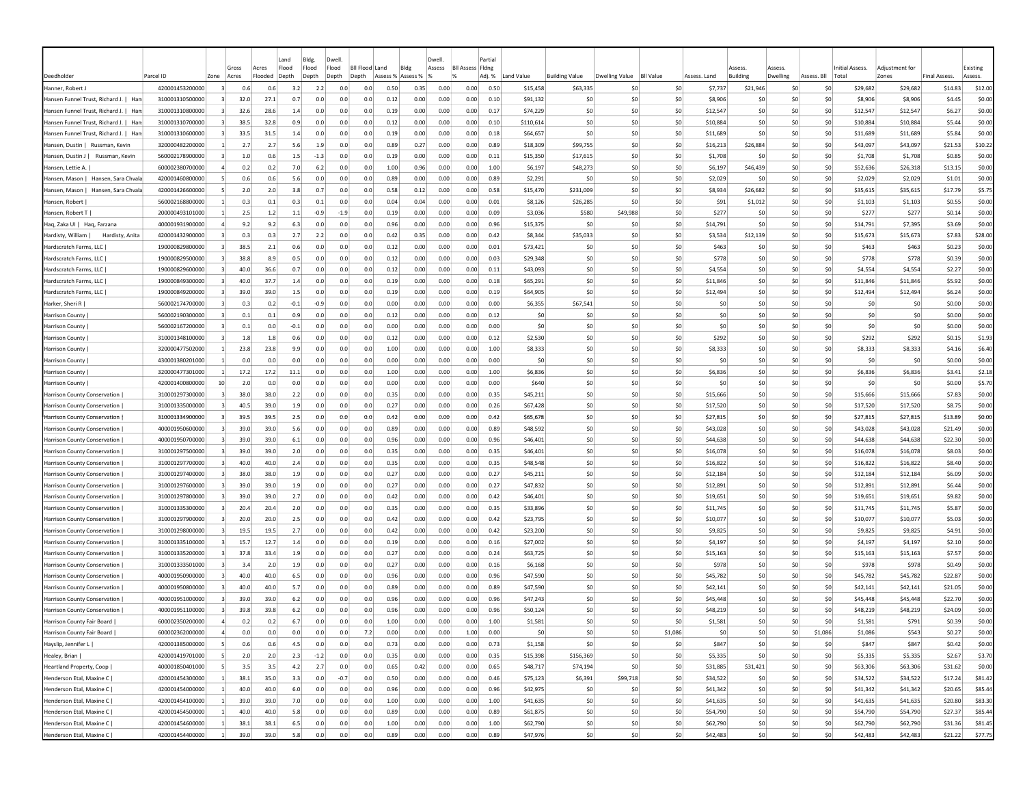|                                                                                |                                    |                |              |              | Land       | Bldg.      | Dwell                     |            |                   |              | Dwell        |                         | Partial      |                      |                       |                |                  |                      |                          |            |                |                      |                      |                     |                  |
|--------------------------------------------------------------------------------|------------------------------------|----------------|--------------|--------------|------------|------------|---------------------------|------------|-------------------|--------------|--------------|-------------------------|--------------|----------------------|-----------------------|----------------|------------------|----------------------|--------------------------|------------|----------------|----------------------|----------------------|---------------------|------------------|
|                                                                                |                                    |                | Gross        | Acres        | Flood      | Flood      | Flood<br><b>BII Flood</b> |            | Land              | Bldg         | Assess       | <b>Bll Assess Fldng</b> |              |                      |                       |                |                  |                      | ssess<br><b>Ruilding</b> |            |                | Initial Assess       | Adiustment fo        |                     | Existing         |
| Deedholder                                                                     | Parcel ID                          | Zone           | Acres        | Flooded      | Depth      | Depth      | Depth<br>Depth            |            | Assess % Assess % |              |              |                         | Adj. %       | Land Value           | <b>Building Value</b> | Dwelling Value | <b>BII Value</b> | Assess, Land         |                          | Dwelling   | Assess. Bll    | Total                | Zones                | <b>Final Assess</b> | Assess.          |
| Hanner, Robert.                                                                | 420001453200000                    |                | 0.6          | 0.6          | 3.2        | 2.2        | 0.0                       | 0.0        | 0.50              | 0.35         | 0.00         | 0.00                    | 0.50         | \$15,458             | \$63,335              | -SO            | \$0              | \$7,737              | \$21,946                 | -SO        | S0<br>\$0      | \$29,682             | \$29,682             | \$14.83             | \$12.00          |
| Hansen Funnel Trust, Richard J.   Han<br>Hansen Funnel Trust, Richard J.   Har | 310001310500000<br>310001310800000 |                | 32.0<br>32.6 | 27.1<br>28.6 | 0.7<br>1.4 | 0.0<br>0.0 | 0.0<br>0.0                | 0.0<br>0.0 | 0.12<br>0.19      | 0.00<br>0.00 | 0.00<br>0.00 | 0.00<br>0.00            | 0.10<br>0.17 | \$91,132<br>\$74,229 | -SO<br>-SO            | \$0<br>-SO     | \$0<br>\$0       | \$8,906<br>\$12,547  | -SC<br>\$0               | -SO<br>-SO | \$0            | \$8,906<br>\$12,547  | \$8,906<br>\$12,547  | \$4.45<br>\$6.27    | \$0.00<br>\$0.00 |
| Hansen Funnel Trust, Richard J.   Han                                          | 310001310700000                    |                | 38.5         | 32.8         | 0.9        | 0.0        | 0.0                       | 0.0        | 0.12              | 0.00         | 0.00         | 0.00                    | 0.10         | \$110,614            | \$0                   | -SO            | \$0              | \$10,884             | \$0                      | \$0        | \$0            | \$10,884             | \$10,884             | \$5.44              | \$0.00           |
| Hansen Funnel Trust, Richard J.   Han                                          | 310001310600000                    |                | 33.5         | 31.5         | 1.4        | 0.0        | 0.0                       | 0.0        | 0.19              | 0.00         | 0.00         | 0.00                    | 0.18         | \$64,657             | \$C                   | -SC            | \$0              | \$11,689             | \$C                      | \$C        | \$0            | \$11,689             | \$11,689             | \$5.84              | \$0.00           |
| Hansen, Dustin   Russman, Kevin                                                | 320000482200000                    |                | 2.7          | 2.7          | 5.6        | 1.9        | 0.0                       | 0.0        | 0.89              | 0.27         | 0.00         | 0.00                    | 0.89         | \$18,309             | \$99,755              | \$0            | \$0              | \$16,213             | \$26,884                 | \$0        | S <sub>0</sub> | \$43,097             | \$43,097             | \$21.53             | \$10.22          |
| Hansen, Dustin J   Russman, Kevin                                              | 560002178900000                    |                | 1.0          | 0.6          | 1.5        | $-1.3$     | 0.0                       | 0.0        | 0.19              | 0.00         | 0.00         | 0.00                    | 0.11         | \$15,350             | \$17,615              | \$0            | \$0              | \$1,708              | S0                       | S0         | S0             | \$1,708              | \$1,708              | \$0.85              | \$0.00           |
| Hansen, Lettie A.                                                              | 600002380700000                    |                | 0.2          | 0.2          | 7.0        | 6.2        | 0.0                       | 0.0        | 1.00              | 0.96         | 0.00         | 0.00                    | 1.00         | \$6,197              | \$48,273              | -SO            | \$0              | \$6,197              | \$46,439                 | S0         | S0             | \$52,636             | \$26,318             | \$13.15             | \$0.00           |
| Hansen, Mason   Hansen, Sara Chvala                                            | 420001460800000                    |                | 0.6          | 0.6          | 5.6        | 0.0        | 0.0                       | 0.0        | 0.89              | 0.00         | 0.00         | 0.00                    | 0.89         | \$2,291              | \$0                   | -SO            | \$0              | \$2,029              | -SO                      | \$0        | \$0            | \$2,029              | \$2,029              | \$1.01              | \$0.00           |
| Hansen, Mason   Hansen, Sara Chvala                                            | 420001426600000                    |                | 2.0          | 2.0          | 3.8        | 0.7        | 0.0                       | 0.0        | 0.58              | 0.12         | 0.00         | 0.00                    | 0.58         | \$15,470             | \$231,009             | \$0            | \$0              | \$8,934              | \$26,682                 | \$0        | \$0            | \$35,615             | \$35,615             | \$17.79             | \$5.75           |
| Hansen, Robert                                                                 | 560002168800000                    |                | 0.3          | 0.1          | 0.3        | 0.1        | 0.0                       | 0.0        | 0.04              | 0.04         | 0.00         | 0.00                    | 0.01         | \$8,126              | \$26,285              | -SO            | \$0              |                      | \$91<br>\$1,012          | \$0        | \$0            | \$1,103              | \$1,103              | \$0.55              | \$0.00           |
| Hansen, Robert T                                                               | 200000493101000                    |                | 2.5          | 1.2          | 1.1        | -0.9       | $-1.9$                    | 0.0        | 0.19              | 0.00         | 0.00         | 0.00                    | 0.09         | \$3,036              | \$580                 | \$49,988       | \$0              | \$277                | -SC                      | \$C        | \$0            | \$277                | \$277                | \$0.14              | \$0.00           |
| Haq, Zaka UI  <br>Haq, Farzana                                                 | 400001931900000                    |                | 9.2          | 9.2          | 6.3        | 0.0        | 0.0                       | 0.0        | 0.96              | 0.00         | 0.00         | 0.00                    | 0.96         | \$15,375             | \$C                   | \$0            | \$0              | \$14,791             | \$0                      | \$0        | \$0            | \$14,791             | \$7,395              | \$3.69              | \$0.00           |
| Hardisty, William<br>Hardisty, Anita                                           | 420001432900000                    |                | 0.3          | 0.3          | 2.7        | 2.2        | 0.0                       | 0.0        | 0.42              | 0.35         | 0.00         | 0.00                    | 0.42         | \$8,344              | \$35,033              | \$0            | \$0              | \$3,534              | \$12,139                 | \$0        | \$0            | \$15,673             | \$15,673             | \$7.83              | \$28.00          |
| Hardscratch Farms, LLC                                                         | 190000829800000                    |                | 38.5         | 2.1          | 0.6        | 0.0        | 0.0                       | 0.0        | 0.12              | 0.00         | 0.00         | 0.00                    | 0.01         | \$73,421             | -SO                   | -SO            | \$0              | \$463                | -SO                      | \$0        | \$0            | \$463                | \$463                | \$0.23              | \$0.00           |
| Hardscratch Farms, LLC                                                         | 190000829500000                    |                | 38.8         | 8.9          | 0.5        | 0.0        | 0.0                       | 0.0        | 0.12              | 0.00         | 0.00         | 0.00                    | 0.03         | \$29,348             | \$0                   | -SO            | \$0              | \$778                | S <sub>0</sub>           | \$0        | \$0            | \$778                | \$778                | \$0.39              | \$0.00           |
| Hardscratch Farms, LLC                                                         | 190000829600000                    |                | 40.0         | 36.6         | 0.7        | 0.0        | 0.0                       | 0.0        | 0.12              | 0.00         | 0.00         | 0.00                    | 0.11         | \$43,093             | \$C                   | -SO            | \$0              | \$4,554              | \$0                      | \$C        | \$0            | \$4,554              | \$4,554              | \$2.27              | \$0.00           |
| Hardscratch Farms, LLC                                                         | 190000849300000                    | $\vert$ 3      | 40.0         | 37.7         | 1.4        | 0.0        | 0.0                       | 0.0        | 0.19              | 0.00         | 0.00         | 0.00                    | 0.18         | \$65,291             | \$0                   | \$0            | \$0              | \$11,846             | \$0                      | \$0        | \$0            | \$11,846             | \$11,846             | \$5.92              | \$0.00           |
| Hardscratch Farms, LLC                                                         | 190000849200000                    |                | 39.0         | 39.0         | 1.5        | 0.0        | 0.0                       | 0.0        | 0.19              | 0.00         | 0.00         | 0.00                    | 0.19         | \$64,905             | \$0                   | -SO            | \$0              | \$12,494             | \$0                      | \$0        | S <sub>0</sub> | \$12,494             | \$12,494             | \$6.24              | \$0.00           |
| Harker, Sheri R                                                                | 560002174700000                    |                | 0.3          | 0.2          | $-0.1$     | $-0.9$     | 0.0                       | 0.0        | 0.00              | 0.00         | 0.00         | 0.00                    | 0.00         | \$6,355              | \$67,541              | -SO            | \$0              |                      | S0<br>-SO                | S0         | -SO            | S0                   | S0                   | \$0.00              | \$0.00           |
| <b>Harrison County</b>                                                         | 560002190300000                    |                | 0.1          | 0.1          | 0.9        | 0.0        | 0.0                       | 0.0        | 0.12              | 0.00         | 0.00         | 0.00                    | 0.12         | \$0                  | -SO                   | -SO            | \$0              |                      | \$0<br>-SO               | \$0        | S0             | S0                   | S0                   | \$0.00              | \$0.00           |
| <b>Harrison County</b>                                                         | 560002167200000                    |                | 0.1          | 0.0          | $-0.1$     | 0.0        | 0.0                       | 0.0        | 0.00              | 0.00         | 0.00         | 0.00                    | 0.00         | \$0                  | -SO                   | -SO            | \$0              |                      | \$0<br>S <sub>0</sub>    | \$0        | \$0            | \$0                  | \$0                  | \$0.00              | \$0.00           |
| <b>Harrison County</b>                                                         | 310001348100000                    |                | 1.8          | 1.8          | 0.6        | 0.0        | 0.0                       | 0.0        | 0.12              | 0.00         | 0.00         | 0.00                    | 0.12         | \$2,530              | \$0                   | \$0            | \$0              | \$292                | \$0                      | \$C        | \$0            | \$292                | \$292                | \$0.15              | \$1.93           |
| Harrison County                                                                | 320000477502000                    |                | 23.8         | 23.8         | 9.9        | 0.0        | 0.0                       | 0.0        | 1.00              | 0.00         | 0.00         | 0.00                    | 1.00         | \$8,333              | \$C                   | -SO            | \$0              | \$8,333              | \$0                      | \$C        | \$0            | \$8,333              | \$8,333              | \$4.16              | \$6.40           |
| Harrison County                                                                | 430001380201000                    |                | 0.0          | 0.0          | 0.0        | 0.0        | 0.0                       | 0.0        | 0.00              | 0.00         | 0.00         | 0.00                    | 0.00         | \$0                  | \$0                   | \$0            | \$0              |                      | \$0<br>\$0               | so         | \$0            | \$0                  | \$0                  | \$0.00              | \$0.00           |
| <b>Harrison County</b>                                                         | 320000477301000                    |                | 17.2         | 17.2         | 11.1       | 0.0        | 0.0                       | 0.0        | 1.00              | 0.00         | 0.00         | 0.00                    | 1.00         | \$6,836              | \$0                   | -SO            | \$0              | \$6,836              | S0                       | -SO        | \$0            | \$6,836              | \$6,836              | \$3.41              | \$2.18           |
| <b>Harrison County</b>                                                         | 420001400800000                    | 10             | 2.0          | 0.0          | 0.0        | 0.0        | 0.0                       | 0.0        | 0.00              | 0.00         | 0.00         | 0.00                    | 0.00         | \$640                | \$0                   | -SO            | \$0              |                      | \$0<br>S0                | so         | S0             | -SO                  | \$0                  | \$0.00              | \$5.70           |
| Harrison County Conservation                                                   | 310001297300000                    | $\overline{3}$ | 38.0         | 38.0         | 2.2        | 0.0        | 0.0                       | 0.0        | 0.35              | 0.00         | 0.00         | 0.00                    | 0.35         | \$45,211             | \$0                   | -SO            | \$0              | \$15,666             | S <sub>0</sub>           | \$0        | \$0            | \$15,666             | \$15,666             | \$7.83              | \$0.00           |
| Harrison County Conservation                                                   | 310001335000000                    | $\vert$ 3      | 40.5         | 39.0         | 1.9        | 0.0        | 0.0                       | 0.0        | 0.27              | 0.00         | 0.00         | 0.00                    | 0.26         | \$67,428             | \$0                   | -SO            | \$0              | \$17,520             | \$0                      | \$0        | \$0            | \$17,520             | \$17,520             | \$8.75              | \$0.00           |
| Harrison County Conservation                                                   | 310001334900000                    |                | 39.5         | 39.5         | 2.5        | 0.0        | 0.0                       | 0.0        | 0.42              | 0.00         | 0.00         | 0.00                    | 0.42         | \$65,678             | \$C                   | -SC            | \$0              | \$27,815             | \$C                      | \$C        | \$0            | \$27,815             | \$27,815             | \$13.89             | \$0.00           |
| <b>Harrison County Conservation</b>                                            | 400001950600000                    |                | 39.0         | 39.0         | 5.6        | 0.0        | 0.0                       | 0.0        | 0.89              | 0.00         | 0.00         | 0.00                    | 0.89         | \$48,592             | \$0                   | \$0            | \$0              | \$43,028             | \$0                      | \$0        | S <sub>0</sub> | \$43,028             | \$43,028             | \$21.49             | \$0.00           |
| Harrison County Conservation                                                   | 400001950700000                    |                | 39.0         | 39.0         | 6.1        | 0.0        | 0.0                       | 0.0        | 0.96              | 0.00         | 0.00         | 0.00                    | 0.96         | \$46,401             | \$0                   | -SO            | \$0              | \$44,638             | \$0                      | \$0        | S <sub>0</sub> | \$44,638             | \$44,638             | \$22.30             | \$0.00           |
| Harrison County Conservation                                                   | 310001297500000                    |                | 39.0         | 39.0         | 2.0        | 0.0        | 0.0                       | 0.0        | 0.35              | 0.00         | 0.00         | 0.00                    | 0.35         | \$46,401             | \$0                   | -SO            | \$0              | \$16,078             | S0                       | S0         | S0             | \$16,078             | \$16,078             | \$8.03              | \$0.00           |
| Harrison County Conservation                                                   | 310001297700000                    |                | 40.0         | 40.0         | 2.4        | 0.0        | 0.0                       | 0.0        | 0.35              | 0.00         | 0.00         | 0.00                    | 0.35         | \$48,548             | \$0                   | -SO            | \$0              | \$16,822             | S0                       | S0         | S0             | \$16,822             | \$16,822             | \$8.40              | \$0.00           |
| <b>Harrison County Conservation</b>                                            | 310001297400000                    |                | 38.0         | 38.0         | 1.9        | 0.0        | 0.0<br>0.0                | 0.0<br>0.0 | 0.27              | 0.00         | 0.00         | 0.00                    | 0.27         | \$45,211             | -SO                   | -SO<br>-SO     | -SO              | \$12,184             | S <sub>0</sub>           | \$0<br>\$0 | \$0<br>\$0     | \$12,184             | \$12,184             | \$6.09              | \$0.00           |
| Harrison County Conservation                                                   | 310001297600000                    |                | 39.0         | 39.0         | 1.9        | 0.0        | 0.0                       | 0.0        | 0.27              | 0.00         | 0.00         | 0.00                    | 0.27         | \$47,832             | \$0                   | -SC            | \$0              | \$12,891             | \$0                      | \$0        | \$0            | \$12,891             | \$12,891             | \$6.44              | \$0.00           |
| Harrison County Conservation<br>Harrison County Conservation                   | 310001297800000<br>310001335300000 |                | 39.0<br>20.4 | 39.0<br>20.4 | 2.7<br>2.0 | 0.0<br>0.0 | 0.0                       | 0.0        | 0.42<br>0.35      | 0.00<br>0.00 | 0.00<br>0.00 | 0.00<br>0.00            | 0.42<br>0.35 | \$46,401<br>\$33,896 | \$0<br>\$C            | \$0            | \$0<br>\$0       | \$19,651<br>\$11,745 | \$0<br>\$0               | \$C        | \$0            | \$19,651<br>\$11,745 | \$19,651<br>\$11,745 | \$9.82<br>\$5.87    | \$0.00<br>\$0.00 |
| Harrison County Conservation                                                   | 310001297900000                    |                | 20.0         | 20.0         | 2.5        | 0.0        | 0.0                       | 0.0        | 0.42              | 0.00         | 0.00         | 0.00                    | 0.42         | \$23,795             | \$0                   | -SO            | \$0              | \$10,077             | S0                       | \$0        | S0             | \$10,077             | \$10,077             | \$5.03              | \$0.00           |
| Harrison County Conservation                                                   | 310001298000000                    |                | 19.5         | 19.5         | 2.7        | 0.0        | 0.0                       | 0.0        | 0.42              | 0.00         | 0.00         | 0.00                    | 0.42         | \$23,200             | \$0                   | -SO            | \$0              | \$9,825              | S0                       | -SO        | S0             | \$9,825              | \$9,825              | \$4.91              | \$0.00           |
| Harrison County Conservation                                                   | 310001335100000                    |                | 15.7         | 12.7         | 1.4        | 0.0        | 0.0                       | 0.0        | 0.19              | 0.00         | 0.00         | 0.00                    | 0.16         | \$27,002             | \$0                   | -SO            | \$0              | \$4,197              | \$0                      | \$0        | \$0            | \$4,197              | \$4,197              | \$2.10              | \$0.00           |
| Harrison County Conservation                                                   | 310001335200000                    |                | 37.8         | 33.4         | 1.9        | 0.0        | 0.0                       | 0.0        | 0.27              | 0.00         | 0.00         | 0.00                    | 0.24         | \$63,725             | \$0                   | -SO            | \$0              | \$15,163             | \$0                      | \$0        | \$0            | \$15,163             | \$15,163             | \$7.57              | \$0.00           |
| Harrison County Conservation                                                   | 310001333501000                    |                | 3.4          | 2.0          | 1.9        | 0.0        | 0.0                       | 0.0        | 0.27              | 0.00         | 0.00         | 0.00                    | 0.16         | \$6,168              | \$0                   | -SO            | \$0              | \$978                | \$0                      | \$0        | \$0            | \$978                | \$978                | \$0.49              | \$0.00           |
| <b>Harrison County Conservation</b>                                            | 400001950900000                    |                | 40.0         | 40.0         | 6.5        | 0.0        | 0.0                       | 0.0        | 0.96              | 0.00         | 0.00         | 0.00                    | 0.96         | \$47,590             | \$0                   | \$0            | \$0              | \$45,782             | \$0                      | \$0        | \$0            | \$45,782             | \$45,782             | \$22.87             | \$0.00           |
| Harrison County Conservation                                                   | 400001950800000                    | -31            | 40.0         | 40.0         | 5.7        | 0.0        | 0.0                       | 0.0        | 0.89              | 0.00         | 0.00         | 0.00                    | 0.89         | \$47,590             | \$0                   | -SO            | \$0              | \$42,141             | S0                       | S0         | S0             | \$42,141             | \$42,141             | \$21.05             | \$0.00           |
| Harrison County Conservation                                                   | 400001951000000                    |                | 39.0         | 39.0         | 6.2        | 0.0        | 0.0                       | 0.0        | 0.96              | 0.00         | 0.00         | 0.00                    | 0.96         | \$47,243             | -SC                   | -SO            | \$0              | \$45,448             | -SO                      | S0         | -SO            | \$45,448             | \$45,448             | \$22.70             | \$0.00           |
| <b>Harrison County Conservation</b>                                            | 400001951100000                    |                | 39.8         | 39.8         | 6.2        | 0.0        | 0.0                       | 0.0        | 0.96              | 0.00         | 0.00         | 0.00                    | 0.96         | \$50,124             | \$0                   | -SO            | \$0              | \$48,219             | S <sub>0</sub>           | \$0        | S0             | \$48,219             | \$48,219             | \$24.09             | \$0.00           |
| Harrison County Fair Board                                                     | 600002350200000                    |                | 0.2          | 0.2          | 6.7        | 0.0        | 0.0                       | 0.0        | 1.00              | 0.00         | 0.00         | 0.00                    | 1.00         | \$1,581              | \$0                   | \$C            | \$0              | \$1,581              | S <sub>0</sub>           | \$0        | \$0            | \$1,581              | \$791                | \$0.39              | \$0.00           |
| Harrison County Fair Board                                                     | 600002362000000                    | $\overline{4}$ | 0.0          | 0.0          | 0.0        | 0.0        | 0.0                       | 7.2        | 0.00              | 0.00         | 0.00         | 1.00                    | 0.00         | \$0                  | \$0                   | \$0            | \$1,086          |                      | \$0<br>\$0               | \$0        | \$1,086        | \$1,086              | \$543                | \$0.27              | \$0.00           |
| Hayslip, Jennifer L                                                            | 420001385000000                    | -51            | 0.6          | 0.6          | 4.5        | 0.0        | 0.0                       | 0.0        | 0.73              | 0.00         | 0.00         | 0.00                    | 0.73         | \$1,158              | \$0                   | 50             | \$0              | \$847                | \$0                      | 50         | \$0            | \$847                | \$847                | \$0.42              | \$0.00           |
| Healey, Brian                                                                  | 420001419701000                    | -5             | 2.0          | 2.0          | 2.3        | $-1.2$     | 0.0                       | 0.0        | 0.35              | 0.00         | 0.00         | 0.00                    | 0.35         | \$15,398             | \$156,369             | 50             | \$0              | \$5,335              | \$0                      | \$0        | \$0            | \$5,335              | \$5,335              | \$2.67              | \$3.70           |
| Heartland Property, Coop                                                       | 400001850401000                    | -51            | 3.5          | 3.5          | 4.2        | 2.7        | 0.0                       | 0.0        | 0.65              | 0.42         | 0.00         | 0.00                    | 0.65         | \$48,717             | \$74,194              | 50             | \$0              | \$31,885             | \$31,421                 | 50         | \$0            | \$63,306             | \$63,306             | \$31.62             | \$0.00           |
| Henderson Etal, Maxine C                                                       | 420001454300000                    | $\mathbf{1}$   | 38.1         | 35.0         | 3.3        | 0.0        | $-0.7$                    | 0.0        | 0.50              | 0.00         | 0.00         | 0.00                    | 0.46         | \$75,123             | \$6,391               | \$99,718       | 50               | \$34,522             | \$0                      | 50         | 50             | \$34,522             | \$34,522             | \$17.24             | \$81.42          |
| Henderson Etal, Maxine C                                                       | 420001454000000                    | $\mathbf{1}$   | 40.0         | 40.0         | 6.0        | 0.0        | 0.0                       | 0.0        | 0.96              | 0.00         | 0.00         | 0.00                    | 0.96         | \$42,975             | \$0                   | \$0            | \$0              | \$41,342             | \$0                      | 50         | 50             | \$41,342             | \$41,342             | \$20.65             | \$85.44          |
| Henderson Etal, Maxine C                                                       | 420001454100000                    | $\mathbf{1}$   | 39.0         | 39.0         | 7.0        | 0.0        | 0.0                       | 0.0        | 1.00              | 0.00         | 0.00         | 0.00                    | 1.00         | \$41,635             | \$0                   | \$0            | 50               | \$41,635             | \$0                      | \$0        | \$0            | \$41,635             | \$41,635             | \$20.80             | \$83.30          |
| Henderson Etal, Maxine C                                                       | 420001454500000                    | $\vert$ 1      | 40.0         | 40.0         | 5.8        | 0.0        | 0.0                       | 0.0        | 0.89              | 0.00         | 0.00         | 0.00                    | 0.89         | \$61,875             | \$0                   | 50             | 50               | \$54,790             | \$0                      | \$0        | \$0            | \$54,790             | \$54,790             | \$27.37             | \$85.44          |
| Henderson Etal, Maxine C                                                       | 420001454600000                    | $\vert$ 1      | 38.1         | 38.1         | 6.5        | 0.0        | 0.0                       | 0.0        | 1.00              | 0.00         | 0.00         | 0.00                    | 1.00         | \$62,790             | \$0                   | \$0            | \$0              | \$62,790             | \$0                      | \$0        | \$0            | \$62,790             | \$62,790             | \$31.36             | \$81.45          |
| Henderson Etal, Maxine C                                                       | 420001454400000                    | $\overline{1}$ | 39.0         | 39.0         | 5.8        | 0.0        | 0.0                       | 0.0        | 0.89              | 0.00         | 0.00         | 0.00                    | 0.89         | \$47,976             | 50                    | 50             | \$0              | \$42,483             | \$0                      | 50         | \$0            | \$42,483             | \$42,483             | \$21.22             | \$77.75          |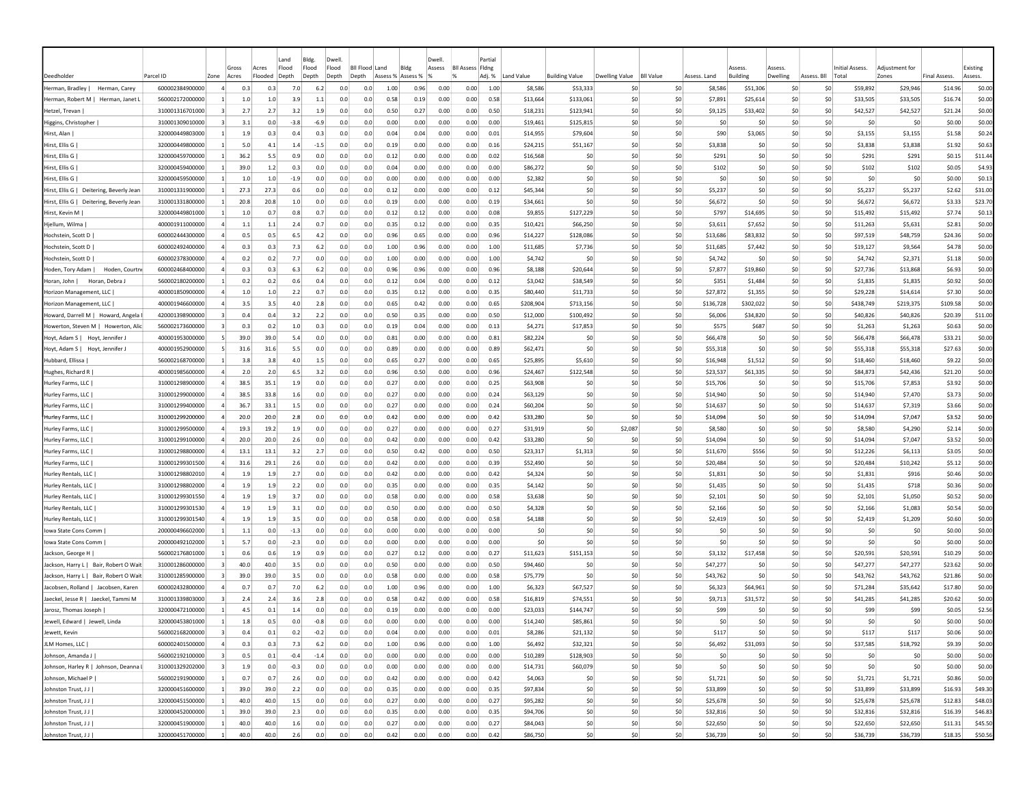|                                                                        |                                    |                         | Gross                             | Land<br>Flood<br>Acres | Bldg.<br>Flood |            | Dwell<br>Flood | <b>Bll Flood Land</b> | Bldg              |              | Dwell<br>Assess | <b>BII Assess Fidne</b> | Partia       |                      |                       |                       |                  |                      | Assess           | Assess     |             | Initial Assess.      | Adiustment for       |                     | Existing           |
|------------------------------------------------------------------------|------------------------------------|-------------------------|-----------------------------------|------------------------|----------------|------------|----------------|-----------------------|-------------------|--------------|-----------------|-------------------------|--------------|----------------------|-----------------------|-----------------------|------------------|----------------------|------------------|------------|-------------|----------------------|----------------------|---------------------|--------------------|
| Deedholder                                                             | Parcel ID                          | Zone                    | Acres                             | Flooded<br>Depth       | Depth          |            | Depth          | Depth                 | Assess % Assess % |              |                 |                         | Adj. %       | Land Value           | <b>Building Value</b> | Dwelling Value        | <b>BII Value</b> | Assess. Land         | <b>Building</b>  | Dwelling   | Assess. Bll | Total                | Zones                | <b>Final Assess</b> | Assess.            |
| Herman, Bradley  <br>Herman, Carey                                     | 600002384900000                    | $\overline{a}$          | 0.3                               | 0.3                    | 7.0            | 6.2        | 0.0            | 0.0                   | 1.00              | 0.96         | 0.00            | 0.00                    | 1.00         | \$8,586              | \$53,333              | -SC                   | \$0              | \$8,586              | \$51,306         | \$0        | \$0         | \$59,892             | \$29,946             | \$14.96             | \$0.00             |
| Herman, Robert M   Herman, Janet                                       | 560002172000000                    |                         | 1.0                               | $1.0\,$                | 3.9            | 1.1        | 0.0            | 0.0                   | 0.58              | 0.19         | 0.00            | 0.00                    | 0.58         | \$13,664             | \$133,061             | \$0                   | \$0              | \$7,891              | \$25,614         | \$0        | \$0         | \$33,505             | \$33,505             | \$16.74             | \$0.00             |
| Hetzel, Trevan                                                         | 310001316701000                    |                         | 2.7                               | 2.7                    | 3.2            | 1.9        | 0.0            | 0.0                   | 0.50              | 0.27         | 0.00            | 0.00                    | 0.50         | \$18,231             | \$123,941             | \$0                   | \$0              | \$9,125              | \$33,402         | \$0        | \$0         | \$42,527             | \$42,527             | \$21.24             | \$0.00             |
| Higgins, Christopher                                                   | 310001309010000                    | -3                      | 3.1                               | 0.0                    | $-3.8$         | -6.9       | 0.0            | 0.0                   | 0.00              | 0.00         | 0.00            | 0.00                    | 0.00         | \$19,461             | \$125,815             | \$0                   | \$0              | S <sub>0</sub>       | <b>SC</b>        | \$0        | \$0         | \$0                  | \$0                  | \$0.00              | \$0.00             |
| Hirst, Alan                                                            | 320000449803000                    |                         | 1.9                               | 0.3                    | 0.4            | 0.3        | 0.0            | 0.0                   | 0.04              | 0.04         | 0.00            | 0.00                    | 0.01         | \$14,955             | \$79,604              | \$0                   | \$0              | \$90                 | \$3.065          | \$0        | \$0         | \$3,155              | \$3,155              | \$1.58              | \$0.24             |
| Hirst, Ellis G                                                         | 320000449800000                    |                         | 5.0                               | 4.1                    | 1.4            | $-1.5$     | 0.0            | 0.0                   | 0.19              | 0.00         | 0.00            | 0.00                    | 0.16         | \$24,215             | \$51,167              | \$0                   | \$0              | \$3.838              | \$0              | \$0        | \$0         | \$3,838              | \$3,838              | \$1.92              | \$0.63             |
| Hirst, Ellis G                                                         | 320000459700000                    | $\mathbf{1}$            | 36.2                              | 5.5                    | 0.9            | 0.0        | 0.0            | 0.0                   | 0.12              | 0.00         | 0.00            | 0.00                    | 0.02         | \$16,568             | \$C                   | \$0                   | \$0              | \$291                | \$0              | \$0        | \$0         | \$291                | \$291                | \$0.15              | \$11.44            |
| Hirst, Ellis G                                                         | 320000459400000                    |                         | 39.0                              | $1.2$                  | 0.3            | 0.0        | 0.0            | 0.0                   | 0.04              | 0.00         | 0.00            | 0.00                    | 0.00         | \$86,272             | \$C                   | \$0                   | \$0              | \$102                | \$0              | \$0        | \$0         | \$102                | \$102                | \$0.05              | \$4.93             |
| Hirst, Ellis G                                                         | 320000459500000                    | -1                      | 1.0                               | 1.0                    | $-1.9$         | 0.0        | 0.0            | 0.0                   | 0.00              | 0.00         | 0.00            | 0.00                    | 0.00         | \$2,382              | <b>SC</b>             | S0                    | SO.              | S <sub>0</sub>       | S0               | \$0        | \$0         | S0                   | \$0                  | \$0.00              | \$0.13             |
| Hirst, Ellis G   Deitering, Beverly Jean                               | 310001331900000                    | -11                     | 27.3                              | 27.3                   | 0.6            | 0.0        | 0.0            | 0.0                   | 0.12              | 0.00         | 0.00            | 0.00                    | 0.12         | \$45,344             | \$0                   | S <sub>0</sub>        | \$0              | \$5,237              | \$0              | \$0        | \$0         | \$5,237              | \$5,237              | \$2.62              | \$31.00            |
| Hirst, Ellis G   Deitering, Beverly Jean                               | 310001331800000                    |                         | 20.8                              | 20.8                   | 1.0            | 0.0        | 0.0            | 0.0                   | 0.19              | 0.00         | 0.00            | 0.00                    | 0.19         | \$34,661             | \$0                   | \$0                   | \$0              | \$6.672              | \$0              | \$0        | \$0         | \$6,672              | \$6,672              | \$3.33              | \$23.70            |
| Hirst, Kevin M                                                         | 320000449801000                    |                         | 1.0                               | 0.7                    | 0.8            | 0.7        | 0.0            | 0.0                   | 0.12              | 0.12         | 0.00            | 0.00                    | 0.08         | \$9,855              | \$127,229             | \$0                   | \$0              | \$797                | \$14,695         | \$C        | \$0         | \$15,492             | \$15,492             | \$7.74              | \$0.13             |
| Hjellum, Wilma                                                         | 400001911000000                    |                         | 1.1                               | 1.1                    | 2.4            | 0.7        | 0.0            | 0.0                   | 0.35              | 0.12         | 0.00            | 0.00                    | 0.35         | \$10,421             | \$66,250              | \$0                   | \$0              | \$3,611              | \$7,652          | \$0        | \$0         | \$11,263             | \$5,631              | \$2.81              | \$0.00             |
| Hochstein, Scott D                                                     | 600002444300000                    |                         | 0.5                               | 0.5                    | 6.5            | 4.2        | 0.0            | 0.0                   | 0.96              | 0.65         | 0.00            | 0.00                    | 0.96         | \$14,227             | \$128,086             | \$0                   | \$0              | \$13,686             | \$83,832         | \$0        | \$0         | \$97,519             | \$48,759             | \$24.36             | \$0.00             |
| Hochstein, Scott D                                                     | 600002492400000                    |                         | 0.3                               | 0.3                    | 7.3            | 6.2        | 0.0            | 0.0                   | 1.00              | 0.96         | 0.00            | 0.00                    | 1.00         | \$11,685             | \$7,736               | \$0                   | \$0              | \$11,685             | \$7,442          | \$0        | \$0         | \$19,127             | \$9,564              | \$4.78              | \$0.00             |
| Hochstein, Scott D                                                     | 600002378300000                    |                         | 0.2                               | 0.2                    | 7.7            | 0.0        | 0.0            | 0.0                   | 1.00              | 0.00         | 0.00            | 0.00                    | 1.00         | \$4,742              | \$C                   | \$0                   | \$0              | \$4,742              | -SC              | \$0        | \$0         | \$4,742              | \$2,371              | \$1.18              | \$0.00             |
| Hoden, Courtn<br>Hoden, Tory Adam                                      | 600002468400000                    |                         | 0.3                               | 0.3                    | 6.3            | 6.2        | 0.0            | 0.0                   | 0.96              | 0.96         | 0.00            | 0.00                    | 0.96         | \$8,188              | \$20,644              | \$0                   | \$0              | \$7,877              | \$19,860         | \$0        | \$0         | \$27,736             | \$13,868             | \$6.93              | \$0.00             |
| Horan, John  <br>Horan, Debra J                                        | 560002180200000                    |                         | 0.2<br>1.0                        | 0.2<br>1.0             | 0.6<br>2.2     | 0.4<br>0.7 | 0.0<br>0.0     | 0.0<br>0.0            | 0.12              | 0.04<br>0.12 | 0.00            | 0.00                    | 0.12         | \$3,042              | \$38,549              | \$0                   | \$0              | \$351                | \$1,484          | \$0<br>\$0 | \$0         | \$1,835              | \$1,835              | \$0.92              | \$0.00             |
| Horizon Management, LLC                                                | 400001850900000                    | $\Delta$                |                                   |                        |                |            |                |                       | 0.35              |              | 0.00            | 0.00                    | 0.35         | \$80,440             | \$11,733              | \$0                   | \$0              | \$27,872             | \$1,355          |            | \$0         | \$29,228             | \$14,614             | \$7.30              | \$0.00             |
| Horizon Management, LLC                                                | 400001946600000                    | -3                      | 3.5<br>0.4                        | 3.5<br>0.4             | 4.0<br>3.2     | 2.8<br>2.2 | 0.0<br>0.0     | 0.0<br>0.0            | 0.65<br>0.50      | 0.42<br>0.35 | 0.00<br>0.00    | 0.00<br>0.00            | 0.65<br>0.50 | \$208,904            | \$713,156             | \$0<br>S <sub>0</sub> | \$0<br>\$0       | \$136,728            | \$302,022        | 50<br>\$0  | \$0<br>S0   | \$438,749            | \$219,375            | \$109.58            | \$0.00             |
| Howard, Darrell M   Howard, Angela                                     | 420001398900000<br>560002173600000 | -3                      | 0.3                               | 0.2                    | 1.0            | 0.3        | 0.0            | 0.0                   | 0.19              | 0.04         | 0.00            | 0.00                    | 0.13         | \$12,000<br>\$4,271  | \$100,492             | S <sub>0</sub>        | \$0              | \$6,006<br>\$575     | \$34,820<br>S687 | \$0        | S0          | \$40,826             | \$40,826<br>\$1,263  | \$20.39<br>\$0.63   | \$11.00<br>\$0.00  |
| Howerton, Steven M   Howerton, Alic<br>Hoyt, Adam S   Hoyt, Jennifer J | 400001953000000                    | -51                     | 39.0                              | 39.0                   | 5.4            | 0.0        | 0.0            | 0.0                   | 0.81              | 0.00         | 0.00            | 0.00                    | 0.81         | \$82,224             | \$17,853<br>\$0       | S0                    | \$0              | \$66,478             | S0               | \$0        | \$0         | \$1,263<br>\$66,478  | \$66,478             | \$33.21             | \$0.00             |
| Hoyt, Adam S   Hoyt, Jennifer J                                        | 400001952900000                    |                         | 31.6                              | 31.6                   | 5.5            | 0.0        | 0.0            | 0.0                   | 0.89              | 0.00         | 0.00            | 0.00                    | 0.89         | \$62,471             | \$0                   | \$0                   | \$0              | \$55,318             | S0               | \$0        | \$0         | \$55,318             | \$55,318             | \$27.63             | \$0.00             |
| Hubbard, Ellissa                                                       | 560002168700000                    |                         | 3.8                               | 3.8                    | 4.0            | 1.5        | 0.0            | 0.0                   | 0.65              | 0.27         | 0.00            | 0.00                    | 0.65         | \$25,895             | \$5,610               | \$0                   | \$0              | \$16,948             | \$1,512          | \$0        | \$0         | \$18,460             | \$18,460             | \$9.22              | \$0.00             |
| Hughes, Richard R                                                      | 400001985600000                    |                         | 2.0                               | 2.0                    | 6.5            | 3.2        | 0.0            | 0.0                   | 0.96              | 0.50         | 0.00            | 0.00                    | 0.96         | \$24,467             | \$122,548             | \$0                   | \$0              | \$23,537             | \$61,335         | \$0        | \$0         | \$84,873             | \$42,436             | \$21.20             | \$0.00             |
| Hurley Farms, LLC                                                      | 310001298900000                    |                         | 38.5                              | 35.1                   | 1.9            | 0.0        | 0.0            | 0.0                   | 0.27              | 0.00         | 0.00            | 0.00                    | 0.25         | \$63,908             | \$C                   | \$0                   | \$0              | \$15,706             | \$C              | \$0        | \$0         | \$15,706             | \$7,853              | \$3.92              | \$0.00             |
| Hurley Farms, LLC                                                      | 310001299000000                    | $\Delta$                | 38.5                              | 33.8                   | 1.6            | 0.0        | 0.0            | 0.0                   | 0.27              | 0.00         | 0.00            | 0.00                    | 0.24         | \$63,129             | \$C                   | \$0                   | \$0              | \$14,940             | \$0              | \$0        | \$0         | \$14,940             | \$7,470              | \$3.73              | \$0.00             |
| Hurley Farms, LLC                                                      | 310001299400000                    | $\overline{a}$          | 36.7                              | 33.1                   | 1.5            | 0.0        | 0.0            | 0.0                   | 0.27              | 0.00         | 0.00            | 0.00                    | 0.24         | \$60,204             | \$0                   | \$0                   | \$0              | \$14,637             | S0               | \$0        | \$0         | \$14,637             | \$7,319              | \$3.66              | \$0.00             |
| Hurley Farms, LLC                                                      | 310001299200000                    | 4                       | 20.0                              | 20.0                   | 2.8            | 0.0        | 0.0            | 0.0                   | 0.42              | 0.00         | 0.00            | 0.00                    | 0.42         | \$33,280             | \$0                   | \$0                   | \$0              | \$14,094             | \$0              | \$0        | \$0         | \$14.094             | \$7,047              | \$3.52              | \$0.00             |
| Hurley Farms, LLC                                                      | 310001299500000                    |                         | 19.3                              | 19.2                   | 1.9            | 0.0        | 0.0            | 0.0                   | 0.27              | 0.00         | 0.00            | 0.00                    | 0.27         | \$31,919             | \$0                   | \$2,087               | \$0              | \$8,580              | \$0              | \$0        | \$0         | \$8,580              | \$4,290              | \$2.14              | \$0.00             |
| Hurley Farms, LLC                                                      | 310001299100000                    |                         | 20.0                              | 20.0                   | 2.6            | 0.0        | 0.0            | 0.0                   | 0.42              | 0.00         | 0.00            | 0.00                    | 0.42         | \$33,280             | \$0                   | \$0                   | \$0              | \$14,094             | \$C              | \$0        | \$0         | \$14,094             | \$7,047              | \$3.52              | \$0.00             |
| Hurley Farms, LLC                                                      | 310001298800000                    | $\overline{a}$          | 13.1                              | 13.1                   | 3.2            | 2.7        | 0.0            | 0.0                   | 0.50              | 0.42         | 0.00            | 0.00                    | 0.50         | \$23,317             | \$1,313               | \$0                   | \$0              | \$11,670             | \$556            | 50         | \$0         | \$12,226             | \$6,113              | \$3.05              | \$0.00             |
| Hurley Farms, LLC                                                      | 310001299301500                    | $\overline{a}$          | 31.6                              | 29.1                   | 2.6            | 0.0        | 0.0            | 0.0                   | 0.42              | 0.00         | 0.00            | 0.00                    | 0.39         | \$52,490             | <b>SC</b>             | S0                    | SO.              | \$20,484             | S0               | S0         | S0          | \$20,484             | \$10,242             | \$5.12              | \$0.00             |
| Hurley Rentals, LLC                                                    | 310001298802010                    |                         | 1.9                               | 1.9                    | 2.7            | 0.0        | 0.0            | 0.0                   | 0.42              | 0.00         | 0.00            | 0.00                    | 0.42         | \$4,324              | \$C                   | S0                    | \$0              | \$1,831              | \$0              | \$0        | -SO         | \$1,831              | \$916                | \$0.46              | \$0.00             |
| Hurley Rentals, LLC                                                    | 310001298802000                    | 4                       | 1.9                               | 1.9                    | 2.2            | 0.0        | 0.0            | 0.0                   | 0.35              | 0.00         | 0.00            | 0.00                    | 0.35         | \$4,142              | \$0                   | S0                    | \$0              | \$1,435              | S0               | \$0        | \$0         | \$1,435              | \$718                | \$0.36              | \$0.00             |
| Hurley Rentals, LLC                                                    | 310001299301550                    |                         | 1.9                               | 1.9                    | 3.7            | 0.0        | 0.0            | 0.0                   | 0.58              | 0.00         | 0.00            | 0.00                    | 0.58         | \$3,638              | \$0                   | S0                    | \$0              | \$2,101              | S0               | \$0        | \$0         | \$2,101              | \$1,050              | \$0.52              | \$0.00             |
| Hurley Rentals, LLC                                                    | 310001299301530                    |                         | 1.9                               | 1.9                    | 3.1            | 0.0        | 0.0            | 0.0                   | 0.50              | 0.00         | 0.00            | 0.00                    | 0.50         | \$4,328              | \$0                   | \$0                   | \$0              | \$2,166              | \$0              | \$0        | \$0         | \$2,166              | \$1,083              | \$0.54              | \$0.00             |
| Hurley Rentals, LLC                                                    | 310001299301540                    |                         | 1.9                               | 1.9                    | 3.5            | 0.0        | 0.0            | 0.0                   | 0.58              | 0.00         | 0.00            | 0.00                    | 0.58         | \$4,188              | \$C                   | \$0                   | \$0              | \$2,419              | \$0              | \$0        | \$0         | \$2,419              | \$1,209              | \$0.60              | \$0.00             |
| Iowa State Cons Comm                                                   | 200000496602000                    |                         | 1.1                               | 0.0                    | $-1.3$         | 0.0        | 0.0            | 0.0                   | 0.00              | 0.00         | 0.00            | 0.00                    | 0.00         | \$0                  | \$C                   | \$0                   | \$0              | \$0                  | \$0              | \$0        | \$0         | \$0                  | \$0                  | \$0.00              | \$0.00             |
| Iowa State Cons Comm                                                   | 200000492102000                    |                         | 5.7                               | 0.0                    | $-2.3$         | 0.0        | 0.0            | 0.0                   | 0.00              | 0.00         | 0.00            | 0.00                    | 0.00         | S0                   | \$0                   | S0                    | \$0              | S <sub>0</sub>       | S0               | \$0        | \$0         | -SO                  | \$0                  | \$0.00              | \$0.00             |
| Jackson, George H                                                      | 560002176801000                    |                         | 0.6                               | 0.6                    | 1.9            | 0.9        | 0.0            | 0.0                   | 0.27              | 0.12         | 0.00            | 0.00                    | 0.27         | \$11,623             | \$151.153             | S0                    | \$0              | \$3.132              | \$17,458         | -SO        | \$0         | \$20,591             | \$20,591             | \$10.29             | \$0.00             |
| Jackson, Harry L   Bair, Robert O Wait                                 | 310001286000000                    | 3                       | 40.0                              | 40.0                   | 3.5            | 0.0        | 0.0            | 0.0                   | 0.50              | 0.00         | 0.00            | 0.00                    | 0.50         | \$94,460             | \$C                   | \$0                   | \$0              | \$47,277             | \$0              | \$0        | \$0         | \$47,277             | \$47,277             | \$23.62             | \$0.00             |
| Jackson, Harry L   Bair, Robert O Wait                                 | 310001285900000                    |                         | 39.0                              | 39.0                   | 3.5            | 0.0        | 0.0            | 0.0                   | 0.58              | 0.00         | 0.00            | 0.00                    | 0.58         | \$75,779             | \$0                   | \$0                   | \$0              | \$43.762             | \$0              | \$0        | \$0         | \$43,762             | \$43,762             | \$21.86             | \$0.00             |
| Jacobsen, Rolland   Jacobsen, Karen                                    | 600002432800000                    |                         | 0.7                               | 0.7                    | 7.0            | 6.2        | 0.0            | 0.0                   | 1.00              | 0.96         | 0.00            | 0.00                    | 1.00         | \$6,323              | \$67,527              | \$0                   | \$0              | \$6,323              | \$64,961         | \$0        | \$0         | \$71,284             | \$35,642             | \$17.80             | \$0.00             |
| Jaeckel, Jesse R   Jaeckel, Tammi M                                    | 310001339803000                    |                         | 2.4                               | 2.4                    | 3.6            | 2.8        | 0.0            | 0.0                   | 0.58              | 0.42         | 0.00            | 0.00                    | 0.58         | \$16,819             | \$74,551              | \$0                   | \$0              | \$9,713              | \$31,572         | \$0        | \$0         | \$41,285             | \$41,285             | \$20.62             | \$0.00             |
| Jarosz, Thomas Joseph                                                  | 320000472100000                    |                         | 4.5                               | 0.1                    | 1.4            | 0.0        | 0.0            | 0.0                   | 0.19              | 0.00         | 0.00            | 0.00                    | 0.00         | \$23,033             | \$144,747             | S0                    | \$0              | <b>S99</b>           | S0               | S0         | S0          | \$99                 | \$99                 | \$0.05              | \$2.56             |
| Jewell, Edward   Jewell, Linda                                         | 320000453801000                    |                         | 1.8                               | 0.5                    | 0.0            | $-0.8$     | 0.0            | 0.0                   | 0.00              | 0.00         | 0.00            | 0.00                    | 0.00         | \$14,240             | \$85,861              | -SO                   | \$0              | \$0                  | S0               | \$0        | \$0         | \$O                  | \$0                  | \$0.00              | \$0.00             |
| Jewett, Kevin                                                          | 560002168200000                    | $\overline{\mathbf{3}}$ | 0.4                               | 0.1                    | 0.2            | $-0.2$     | 0.0            | 0.0                   | 0.04              | 0.00         | 0.00            | 0.00                    | 0.01         | \$8,286              | \$21,132              | 50                    | \$0              | \$117                | \$0              | 50         | 50          | \$117                | \$117                | \$0.06              | \$0.00             |
| JLM Homes, LLC                                                         | 600002401500000                    | $\overline{4}$          | 0.3                               | 0.3                    | 7.3            | 6.2        | 0.0            | 0.0                   | 1.00              | 0.96         | 0.00            | 0.00                    | 1.00         | \$6,492              | \$32,321              | 50                    | \$0              | \$6,492              | \$31,093         | 50         | \$0         | \$37,585             | \$18,792             | \$9.39              | \$0.00             |
| Johnson, Amanda J                                                      | 560002192100000                    | $\vert$ 3               | 0.5                               | 0.1                    | $-0.4$         | $-1.4$     | 0.0            | 0.0                   | 0.00              | 0.00         | 0.00            | 0.00                    | 0.00         | \$10,289             | \$128,903             | \$0                   | \$0              | \$0                  | \$0              | \$0        | \$0         | \$0                  | \$0                  | \$0.00              | \$0.00             |
| Johnson, Harley R   Johnson, Deanna                                    | 310001329202000                    | $\vert$ 3               | 1.9                               | 0.0                    | $-0.3$         | 0.0        | 0.0            | 0.0                   | 0.00              | 0.00         | 0.00            | 0.00                    | 0.00         | \$14,731             | \$60,079              | 50                    | \$0              | \$0                  | \$0              | 50         | \$0         | \$0                  | \$0                  | \$0.00              | \$0.00             |
| Johnson, Michael P                                                     | 560002191900000                    |                         | 0.7<br>1 <sup>1</sup>             | 0.7                    | 2.6            | 0.0        | 0.0            | 0.0                   | 0.42              | 0.00         | 0.00            | 0.00                    | 0.42         | \$4,063              | \$0                   | 50                    | \$0              | \$1,721              | \$0              | 50         | \$0         | \$1,721              | \$1,721              | \$0.86              | \$0.00             |
| Johnston Trust, J J                                                    | 320000451600000                    |                         | 1<br>39.0                         | 39.0                   | 2.2            | 0.0        | 0.0            | 0.0                   | 0.35              | 0.00         | 0.00            | 0.00                    | 0.35         | \$97,834             | \$0                   | 50                    | \$0              | \$33,899             | \$0              | 50         | \$0         | \$33,899             | \$33,899             | \$16.93             | \$49.30            |
| Johnston Trust, J J<br>Johnston Trust, JJ                              | 320000451500000<br>320000452000000 |                         | 1<br>40.0<br>39.0<br>$\mathbf{1}$ | 40.0                   | 1.5<br>2.3     | 0.0        | 0.0            | 0.0                   | 0.27              | 0.00         | 0.00            | 0.00                    | 0.27         | \$95,282<br>\$94,706 | \$0<br>\$0            | \$0<br>\$0            | \$0<br>\$0       | \$25,678             | \$0<br>\$0       | 50<br>\$0  | 50<br>\$0   | \$25,678             | \$25,678<br>\$32,816 | \$12.83             | \$48.03            |
|                                                                        |                                    | $\mathbf{1}$            |                                   | 39.0                   | 1.6            | 0.0        | 0.0            | 0.0                   | 0.35              | 0.00         | 0.00            | 0.00                    | 0.35         |                      | \$0                   | \$0                   | \$0              | \$32,816             |                  | \$0        |             | \$32,816             |                      | \$16.39             | \$46.83            |
| Johnston Trust, J J<br>Johnston Trust, J J                             | 320000451900000<br>320000451700000 | $\mathbf{1}$            | 40.0<br>40.0                      | 40.0<br>40.0           | 2.6            | 0.0<br>0.0 | 0.0<br>0.0     | 0.0<br>0.0            | 0.27<br>0.42      | 0.00<br>0.00 | 0.00<br>0.00    | 0.00<br>0.00            | 0.27<br>0.42 | \$84,043<br>\$86,750 | \$0                   | 50                    | \$0              | \$22,650<br>\$36,739 | \$0<br>50        | 50         | \$0<br>\$0  | \$22,650<br>\$36,739 | \$22,650<br>\$36,739 | \$11.31<br>\$18.35  | \$45.50<br>\$50.56 |
|                                                                        |                                    |                         |                                   |                        |                |            |                |                       |                   |              |                 |                         |              |                      |                       |                       |                  |                      |                  |            |             |                      |                      |                     |                    |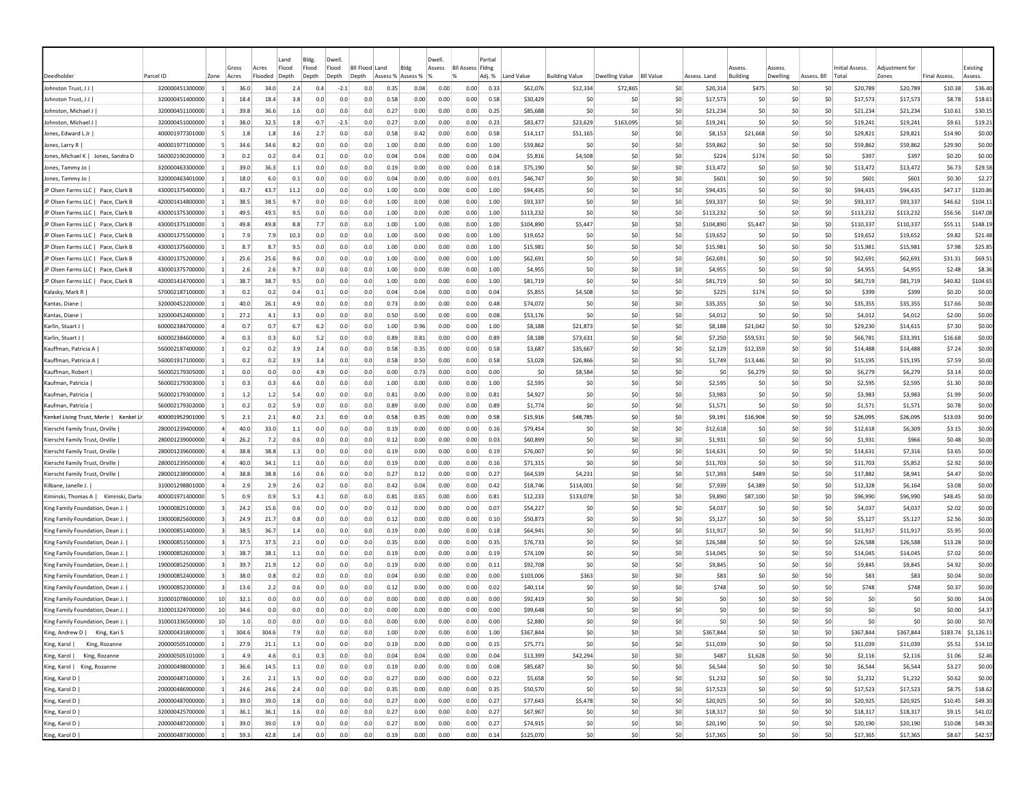|                                          |                 |                 |                |                  | Land           | Bldg.          | Dwell                                       |     |                                   |      | Dwell  |                         | Partial |            |                       |                |                  |              |                           |                    |                |                                 |                         |                     |                     |
|------------------------------------------|-----------------|-----------------|----------------|------------------|----------------|----------------|---------------------------------------------|-----|-----------------------------------|------|--------|-------------------------|---------|------------|-----------------------|----------------|------------------|--------------|---------------------------|--------------------|----------------|---------------------------------|-------------------------|---------------------|---------------------|
| Deedholder                               | Parcel ID       | Zone            | Gross<br>Acres | Acres<br>Flooded | Flood<br>Depth | Flood<br>Depth | Flood<br><b>BII Flood</b><br>Depth<br>Depth |     | Land<br>Bldg<br>Assess % Assess % |      | Assess | <b>Bll Assess Fldng</b> | Adj. %  | Land Value | <b>Building Value</b> | Dwelling Value | <b>BII Value</b> | Assess, Land | Assess<br><b>Building</b> | Assess<br>Dwelling | Assess. Bll    | <b>Initial Assess.</b><br>Total | Adiustment for<br>Zones | <b>Final Assess</b> | Existing<br>Assess. |
| Johnston Trust, J J                      | 320000451300000 | $\vert$ 1       | 36.0           | 34.0             | 2.4            | 0.4            | $-2.1$                                      | 0.0 | 0.35                              | 0.04 | 0.00   | 0.00                    | 0.33    | \$62,076   | \$12,334              | \$72,865       | \$0              | \$20,314     | \$475                     | -SO                | S0             | \$20,789                        | \$20,789                | \$10.38             | \$36.40             |
| Johnston Trust, J J                      | 320000451400000 |                 | 18.4           | 18.4             | 3.8            | 0.0            | 0.0                                         | 0.0 | 0.58                              | 0.00 | 0.00   | 0.00                    | 0.58    | \$30,429   | -SO                   | -SO            | \$0              | \$17,573     | S0                        | -SO                | \$0            | \$17,573                        | \$17,573                | \$8.78              | \$18.61             |
| Johnston, Michael J                      | 320000451100000 |                 | 39.8           | 36.6             | 1.6            | 0.0            | 0.0                                         | 0.0 | 0.27                              | 0.00 | 0.00   | 0.00                    | 0.25    | \$85,688   | \$0                   | -SO            | \$0              | \$21,234     | S <sub>0</sub>            | \$0                | \$0            | \$21,234                        | \$21,234                | \$10.61             | \$30.15             |
| Johnston, Michael J                      | 320000451000000 |                 | 38.0           | 32.5             | 1.8            | $-0.7$         | $-2.5$                                      | 0.0 | 0.27                              | 0.00 | 0.00   | 0.00                    | 0.23    | \$83,477   | \$23,629              | \$163,095      | \$0              | \$19,241     | \$0                       | \$0                | \$0            | \$19,241                        | \$19,241                | \$9.61              | \$19.21             |
| Jones, Edward L Jr                       | 400001977301000 |                 | 1.8            | 1.8              | 3.6            | 2.7            | 0.0                                         | 0.0 | 0.58                              | 0.42 | 0.00   | 0.00                    | 0.58    | \$14,117   | \$51,165              | -SC            | \$0              | \$8,153      | \$21,668                  | \$C                | \$0            | \$29,821                        | \$29,821                | \$14.90             | \$0.00              |
| Jones, Larry                             | 400001977100000 | -51             | 34.6           | 34.6             | 8.2            | 0.0            | 0.0                                         | 0.0 | 1.00                              | 0.00 | 0.00   | 0.00                    | 1.00    | \$59,862   | \$0                   | \$0            | \$0              | \$59,862     | \$0                       | \$0                | S <sub>0</sub> | \$59,862                        | \$59,862                | \$29.90             | \$0.00              |
| Jones, Michael K   Jones, Sandra D       | 560002190200000 |                 | 0.2            | 0.2              | 0.4            | 0.1            | 0.0                                         | 0.0 | 0.04                              | 0.04 | 0.00   | 0.00                    | 0.04    | \$5,816    | \$4,508               | \$0            | \$0              | \$224        | \$174                     | \$0                | S0             | \$397                           | \$397                   | \$0.20              | \$0.00              |
| Jones, Tammy Jo                          | 320000463300000 | -11             | 39.0           | 36.3             | 1.1            | 0.0            | 0.0                                         | 0.0 | 0.19                              | 0.00 | 0.00   | 0.00                    | 0.18    | \$75,190   | \$0                   | -SO            | \$0              | \$13,472     | S0                        | S0                 | S0             | \$13,472                        | \$13,472                | \$6.73              | \$29.58             |
| Jones, Tammy Jo                          | 320000463401000 |                 | 18.0           | 6.0              | 0.1            | 0.0            | 0.0                                         | 0.0 | 0.04                              | 0.00 | 0.00   | 0.00                    | 0.01    | \$46,747   | \$0                   | -SO            | \$0              | \$601        | S <sub>0</sub>            | S0                 | \$0            | <b>S601</b>                     | \$601                   | \$0.30              | \$2.27              |
| JP Olsen Farms LLC  <br>Pace, Clark B    | 430001375400000 |                 | 43.7           | 43.7             | 11.2           | 0.0            | 0.0                                         | 0.0 | 1.00                              | 0.00 | 0.00   | 0.00                    | 1.00    | \$94,435   | \$0                   | \$0            | \$0              | \$94,435     | \$0                       | \$0                | \$0            | \$94,435                        | \$94,435                | \$47.17             | \$120.86            |
| JP Olsen Farms LLC  <br>Pace, Clark B    | 420001414800000 |                 | 38.5           | 38.5             | 9.7            | 0.0            | 0.0                                         | 0.0 | 1.00                              | 0.00 | 0.00   | 0.00                    | 1.00    | \$93,337   | \$C                   | -SO            | \$0              | \$93,337     | \$0                       | \$C                | \$0            | \$93,337                        | \$93,337                | \$46.62             | \$104.11            |
| JP Olsen Farms LLC  <br>Pace, Clark B    | 430001375300000 |                 | 49.5           | 49.5             | 9.5            | 0.0            | 0.0                                         | 0.0 | 1.00                              | 0.00 | 0.00   | 0.00                    | 1.00    | \$113,232  | \$0                   | \$0            | \$0              | \$113,232    | \$0                       | \$0                | \$0            | \$113,232                       | \$113,232               | \$56.56             | \$147.08            |
| JP Olsen Farms LLC  <br>Pace, Clark B    | 430001375100000 |                 | 49.8           | 49.8             | 8.8            | 7.7            | 0.0                                         | 0.0 | 1.00                              | 1.00 | 0.00   | 0.00                    | 1.00    | \$104,890  | \$5,447               | \$0            | \$0              | \$104,890    | \$5,447                   | \$0                | \$0            | \$110,337                       | \$110,337               | \$55.11             | \$148.19            |
| JP Olsen Farms LLC  <br>Pace, Clark B    | 430001375500000 |                 | 7.9            | 7.9              | 10.3           | 0.0            | 0.0                                         | 0.0 | 1.00                              | 0.00 | 0.00   | 0.00                    | 1.00    | \$19,652   | -SO                   | \$0            | \$0              | \$19,652     | S0                        | \$0                | \$0            | \$19,652                        | \$19,652                | \$9.82              | \$21.48             |
| JP Olsen Farms LLC  <br>Pace, Clark B    | 430001375600000 |                 | 8.7            | 8.7              | 9.5            | 0.0            | 0.0                                         | 0.0 | 1.00                              | 0.00 | 0.00   | 0.00                    | 1.00    | \$15,981   | \$0                   | -SO            | \$0              | \$15,981     | S <sub>0</sub>            | \$0                | \$0            | \$15,981                        | \$15,981                | \$7.98              | \$25.85             |
| JP Olsen Farms LLC I<br>Pace, Clark B    | 430001375200000 |                 | 25.6           | 25.6             | 9.6            | 0.0            | 0.0                                         | 0.0 | 1.00                              | 0.00 | 0.00   | 0.00                    | 1.00    | \$62,691   | \$0                   | -SO            | \$0              | \$62,691     | S <sub>0</sub>            | \$0                | \$0            | \$62,691                        | \$62,691                | \$31.31             | \$69.51             |
| JP Olsen Farms LLC  <br>Pace, Clark B    | 430001375700000 |                 | 2.6            | 2.6              | 9.7            | 0.0            | 0.0                                         | 0.0 | 1.00                              | 0.00 | 0.00   | 0.00                    | 1.00    | \$4,955    | \$0                   | -SO            | \$0              | \$4,955      | \$0                       | \$0                | \$0            | \$4,955                         | \$4,955                 | \$2.48              | \$8.36              |
| JP Olsen Farms LLC  <br>Pace, Clark B    | 420001414700000 | $\vert$ 1       | 38.7           | 38.7             | 9.5            | 0.0            | 0.0                                         | 0.0 | 1.00                              | 0.00 | 0.00   | 0.00                    | 1.00    | \$81,719   | \$0                   | \$0            | \$0              | \$81,719     | \$0                       | \$0                | \$0            | \$81,719                        | \$81,719                | \$40.82             | \$104.65            |
| Kalasky, Mark R                          | 570002187100000 |                 | 0.2            | 0.2              | 0.4            | 0.1            | 0.0                                         | 0.0 | 0.04                              | 0.04 | 0.00   | 0.00                    | 0.04    | \$5,855    | \$4,508               | -SO            | \$0              | \$225        | \$174                     | \$0                | \$0            | \$399                           | \$399                   | \$0.20              | \$0.00              |
| Kantas, Diane                            | 320000452200000 | -11             | 40.0           | 26.1             | 4.9            | 0.0            | 0.0                                         | 0.0 | 0.73                              | 0.00 | 0.00   | 0.00                    | 0.48    | \$74,072   | -SO                   | -SO            | \$0              | \$35,355     | -SO                       | S0                 | S0             | \$35,355                        | \$35,355                | \$17.66             | \$0.00              |
| Kantas, Diane                            | 320000452400000 | -11             | 27.2           | 4.1              | 3.3            | 0.0            | 0.0                                         | 0.0 | 0.50                              | 0.00 | 0.00   | 0.00                    | 0.08    | \$53,176   | \$0                   | -SO            | \$0              | \$4,012      | S <sub>0</sub>            | \$0                | \$0            | \$4,012                         | \$4,012                 | \$2.00              | \$0.00              |
| Karlin, Stuart J                         | 600002384700000 |                 | 0.7            | 0.7              | 6.7            | 6.2            | 0.0                                         | 0.0 | 1.00                              | 0.96 | 0.00   | 0.00                    | 1.00    | \$8,188    | \$21,873              | \$0            | \$0              | \$8,188      | \$21,042                  | \$0                | \$0            | \$29,230                        | \$14,615                | \$7.30              | \$0.00              |
| Karlin, Stuart J                         | 600002384600000 |                 | 0.3            | 0.3              | 6.0            | 5.2            | 0.0                                         | 0.0 | 0.89                              | 0.81 | 0.00   | 0.00                    | 0.89    | \$8,188    | \$73,631              | \$0            | \$0              | \$7,250      | \$59,531                  | \$0                | \$0            | \$66,781                        | \$33,391                | \$16.68             | \$0.00              |
| Kauffman, Patricia A                     | 560002187400000 |                 | 0.2            | 0.2              | 3.9            | 2.4            | 0.0                                         | 0.0 | 0.58                              | 0.35 | 0.00   | 0.00                    | 0.58    | \$3,687    | \$35,667              | -SO            | \$0              | \$2,129      | \$12,359                  | \$0                | \$0            | \$14,488                        | \$14,488                | \$7.24              | \$0.00              |
| Kauffman, Patricia A                     | 560001917100000 |                 | 0.2            | 0.2              | 3.9            | 3.4            | 0.0                                         | 0.0 | 0.58                              | 0.50 | 0.00   | 0.00                    | 0.58    | \$3,028    | \$26,866              | \$0            | \$0              | \$1,749      | \$13,446                  | \$0                | \$0            | \$15,195                        | \$15,195                | \$7.59              | \$0.00              |
| Kauffman, Robert                         | 560002179305000 |                 | 0.0            | 0.0              | 0.0            | 4.9            | 0.0                                         | 0.0 | 0.00                              | 0.73 | 0.00   | 0.00                    | 0.00    | \$0        | \$8,584               | \$0            | \$0              | -SO          | \$6,279                   | S0                 | \$0            | \$6,279                         | \$6,279                 | \$3.14              | \$0.00              |
| Kaufman, Patricia                        | 560002179303000 |                 | 0.3            | 0.3              | 6.6            | 0.0            | 0.0                                         | 0.0 | 1.00                              | 0.00 | 0.00   | 0.00                    | 1.00    | \$2,595    | -SO                   | \$0            | \$0              | \$2,595      | S0                        | \$0                | S0             | \$2,595                         | \$2,595                 | \$1.30              | \$0.00              |
| Kaufman, Patricia                        | 560002179300000 |                 | 1.2            | 1.2              | 5.4            | 0.0            | 0.0                                         | 0.0 | 0.81                              | 0.00 | 0.00   | 0.00                    | 0.81    | \$4,927    | \$0                   | \$0            | \$0              | \$3,983      | S <sub>0</sub>            | \$0                | \$0            | \$3,983                         | \$3,983                 | \$1.99              | \$0.00              |
| Kaufman, Patricia                        | 560002179302000 |                 | 0.2            | 0.2              | 5.9            | 0.0            | 0.0                                         | 0.0 | 0.89                              | 0.00 | 0.00   | 0.00                    | 0.89    | \$1,774    | \$0                   | -SO            | \$0              | \$1,571      | \$0                       | \$0                | \$0            | \$1,571                         | \$1,571                 | \$0.78              | \$0.00              |
| Kenkel Living Trust, Merle  <br>Kenkel L | 400001952901000 |                 | 2.1            | 2.1              | 4.0            | 2.1            | 0.0                                         | 0.0 | 0.58                              | 0.35 | 0.00   | 0.00                    | 0.58    | \$15,916   | \$48,785              | -SO            | \$0              | \$9,191      | \$16,904                  | \$0                | \$0            | \$26,095                        | \$26,095                | \$13.03             | \$0.00              |
| Kierscht Family Trust, Orville           | 280001239400000 | $\overline{a}$  | 40.0           | 33.0             | $1.1\,$        | 0.0            | 0.0                                         | 0.0 | 0.19                              | 0.00 | 0.00   | 0.00                    | 0.16    | \$79,454   | -SC                   | \$0            | \$0              | \$12,618     | \$0                       | \$0                | \$0            | \$12,618                        | \$6,309                 | \$3.15              | \$0.00              |
| Kierscht Family Trust, Orville           | 280001239000000 |                 | 26.2           | 7.2              | 0.6            | 0.0            | 0.0                                         | 0.0 | 0.12                              | 0.00 | 0.00   | 0.00                    | 0.03    | \$60,899   | \$0                   | -SO            | \$0              | \$1,931      | \$0                       | \$0                | \$0            | \$1,931                         | \$966                   | \$0.48              | \$0.00              |
| Kierscht Family Trust, Orville           | 280001239600000 |                 | 38.8           | 38.8             | 1.3            | 0.0            | 0.0                                         | 0.0 | 0.19                              | 0.00 | 0.00   | 0.00                    | 0.19    | \$76,007   | \$0                   | -SO            | \$0              | \$14,631     | S0                        | S0                 | S0             | \$14,631                        | \$7,316                 | \$3.65              | \$0.00              |
| Kierscht Family Trust, Orville           | 280001239500000 |                 | 40.0           | 34.1             | 1.1            | 0.0            | 0.0                                         | 0.0 | 0.19                              | 0.00 | 0.00   | 0.00                    | 0.16    | \$71,315   | \$0                   | -SO            | \$0              | \$11,703     | -SO                       | \$0                | S0             | \$11,703                        | \$5,852                 | \$2.92              | \$0.00              |
| Kierscht Family Trust, Orville           | 280001238900000 |                 | 38.8           | 38.8             | 1.6            | 0.6            | 0.0                                         | 0.0 | 0.27                              | 0.12 | 0.00   | 0.00                    | 0.27    | \$64,539   | \$4,231               | \$0            | -SO              | \$17,393     | \$489                     | \$0                | \$0            | \$17,882                        | \$8,941                 | \$4.47              | \$0.00              |
| Kilbane, Janelle J.                      | 310001298801000 |                 | 2.9            | 2.9              | 2.6            | 0.2            | 0.0                                         | 0.0 | 0.42                              | 0.04 | 0.00   | 0.00                    | 0.42    | \$18,746   | \$114,001             | -SO            | \$0              | \$7,939      | \$4,389                   | \$0                | \$0            | \$12,328                        | \$6,164                 | \$3.08              | \$0.00              |
| Kiminski, Thomas A  <br>Kiminski, Darla  | 400001971400000 |                 | 0.9            | 0.9              | 5.1            | 4.1            | 0.0                                         | 0.0 | 0.81                              | 0.65 | 0.00   | 0.00                    | 0.81    | \$12,233   | \$133,078             | \$0            | \$0              | \$9,890      | \$87,100                  | \$C                | \$0            | \$96,990                        | \$96,990                | \$48.45             | \$0.00              |
| King Family Foundation, Dean J.          | 190000825100000 |                 | 24.2           | 15.6             | 0.6            | 0.0            | 0.0                                         | 0.0 | 0.12                              | 0.00 | 0.00   | 0.00                    | 0.07    | \$54,227   | -SO                   | \$0            | \$0              | \$4,037      | -SC                       | \$0                | \$0            | \$4,037                         | \$4,037                 | \$2.02              | \$0.00              |
| King Family Foundation, Dean J.          | 190000825600000 |                 | 24.9           | 21.7             | 0.8            | 0.0            | 0.0                                         | 0.0 | 0.12                              | 0.00 | 0.00   | 0.00                    | 0.10    | \$50,873   | -SO                   | -SO            | \$0              | \$5,127      | S0                        | \$0                | \$0            | \$5,127                         | \$5,127                 | \$2.56              | \$0.00              |
| King Family Foundation, Dean J.          | 190000851400000 |                 | 38.5           | 36.7             | 1.4            | 0.0            | 0.0                                         | 0.0 | 0.19                              | 0.00 | 0.00   | 0.00                    | 0.18    | \$64,941   | \$0                   | -SO            | \$0              | \$11,917     | \$0                       | \$0                | \$0            | \$11,917                        | \$11,917                | \$5.95              | \$0.00              |
| King Family Foundation, Dean J.          | 190000851500000 |                 | 37.5           | 37.5             | 2.1            | 0.0            | 0.0                                         | 0.0 | 0.35                              | 0.00 | 0.00   | 0.00                    | 0.35    | \$76,733   | \$0                   | \$0            | \$0              | \$26,588     | S <sub>0</sub>            | \$0                | \$0            | \$26,588                        | \$26,588                | \$13.28             | \$0.00              |
| King Family Foundation, Dean J.          | 190000852600000 |                 | 38.7           | 38.1             | 1.1            | 0.0            | 0.0                                         | 0.0 | 0.19                              | 0.00 | 0.00   | 0.00                    | 0.19    | \$74,109   | \$0                   | -SO            | \$0              | \$14,045     | \$0                       | \$0                | \$0            | \$14,045                        | \$14,045                | \$7.02              | \$0.00              |
| King Family Foundation, Dean J.          | 190000852500000 | $\vert$ 3       | 39.7           | 21.9             | 1.2            | 0.0            | 0.0                                         | 0.0 | 0.19                              | 0.00 | 0.00   | 0.00                    | 0.11    | \$92,708   | \$0                   | -SO            | \$0              | \$9,845      | \$0                       | \$0                | \$0            | \$9,845                         | \$9,845                 | \$4.92              | \$0.00              |
| King Family Foundation, Dean J.          | 190000852400000 | $\overline{3}$  | 38.0           | 0.8              | 0.2            | 0.0            | 0.0                                         | 0.0 | 0.04                              | 0.00 | 0.00   | 0.00                    | 0.00    | \$103,006  | \$363                 | \$0            | \$0              | \$83         | \$0                       | \$0                | \$0            | \$83                            | \$83                    | \$0.04              | \$0.00              |
| King Family Foundation, Dean J.          | 190000852300000 | -31             | 13.6           | 2.2              | 0.6            | 0.0            | 0.0                                         | 0.0 | 0.12                              | 0.00 | 0.00   | 0.00                    | 0.02    | \$40,114   | -SO                   | -SO            | \$0              | \$748        | -SO                       | S0                 | S0             | \$748                           | \$748                   | \$0.37              | \$0.00              |
| King Family Foundation, Dean J.          | 310001078600000 | 10              | 32.1           | 0.0              | 0.0            | 0.0            | 0.0                                         | 0.0 | 0.00                              | 0.00 | 0.00   | 0.00                    | 0.00    | \$92,419   | -SO                   | -SO            | \$0              | S0           | -SO                       | S0                 | -SO            | .so                             | \$0                     | \$0.00              | \$4.06              |
| King Family Foundation, Dean J.          | 310001324700000 | 10 <sup>1</sup> | 34.6           | 0.0              | 0.0            | 0.0            | 0.0                                         | 0.0 | 0.00                              | 0.00 | 0.00   | 0.00                    | 0.00    | \$99,648   | -SO                   | -SO            | \$0              | \$0          | S <sub>0</sub>            | \$0                | \$0            | \$0                             | \$0                     | \$0.00              | \$4.37              |
| King Family Foundation, Dean J.          | 310001336500000 | 10              | 1.0            | 0.0              | 0.0            | 0.0            | 0.0                                         | 0.0 | 0.00                              | 0.00 | 0.00   | 0.00                    | 0.00    | \$2,880    | \$0                   | -SO            | \$0              | \$0          | S <sub>0</sub>            | \$0                | \$0            | \$0                             | \$0                     | \$0.00              | \$0.70              |
| King, Andrew D   King, Kari S            | 320000431800000 |                 | 304.6          | 304.6            | 7.9            | 0.0            | 0.0                                         | 0.0 | 1.00                              | 0.00 | 0.00   | 0.00                    | 1.00    | \$367,844  | \$0                   | \$0            | \$0              | \$367,844    | \$0                       | \$0                | \$0            | \$367,844                       | \$367,844               |                     | \$183.74 \$1,126.11 |
| King, Karol  <br>King, Rozanne           | 200000505100000 |                 | 27.9           | 21.1             | 1.1            | 0.0            | 0.0                                         | 0.0 | 0.19                              | 0.00 | 0.00   | 0.00                    | 0.15    | \$75,771   | \$0                   | 50             | \$0              | \$11,039     | \$0                       | \$0                | \$0            | \$11,039                        | \$11,039                | \$5.51              | \$14.10             |
| King, Rozanne<br>King, Karol             | 200000505101000 | $\vert$ 1       | 4.9            | 4.6              | 0.1            | 0.3            | 0.0                                         | 0.0 | 0.04                              | 0.04 | 0.00   | 0.00                    | 0.04    | \$13,399   | \$42,294              | 50             | \$0              | \$487        | \$1,628                   | 50                 | \$0            | \$2,116                         | \$2,116                 | \$1.06              | \$2.46              |
| King, Karol   King, Rozanne              | 200000498000000 | $\vert$ 1       | 36.6           | 14.5             | 1.1            | 0.0            | 0.0                                         | 0.0 | 0.19                              | 0.00 | 0.00   | 0.00                    | 0.08    | \$85,687   | \$0                   | \$0            | 50               | \$6,544      | \$0                       | S0                 | \$0            | \$6,544                         | \$6,544                 | \$3.27              | \$0.00              |
| King, Karol D                            | 200000487100000 | $\vert$ 1       | 2.6            | 2.1              | 1.5            | 0.0            | 0.0                                         | 0.0 | 0.27                              | 0.00 | 0.00   | 0.00                    | 0.22    | \$5,658    | \$0                   | 50             | \$0              | \$1,232      | \$0                       | 50                 | \$0            | \$1,232                         | \$1,232                 | \$0.62              | \$0.00              |
| King, Karol D                            | 200000486900000 | $\mathbf{1}$    | 24.6           | 24.6             | 2.4            | 0.0            | 0.0                                         | 0.0 | 0.35                              | 0.00 | 0.00   | 0.00                    | 0.35    | \$50,570   | \$0                   | \$0            | \$0              | \$17,523     | \$0                       | 50                 | \$0            | \$17,523                        | \$17,523                | \$8.75              | \$18.62             |
| King, Karol D                            | 200000487000000 | $\mathbf{1}$    | 39.0           | 39.0             | 1.8            | 0.0            | 0.0                                         | 0.0 | 0.27                              | 0.00 | 0.00   | 0.00                    | 0.27    | \$77,643   | \$5,478               | \$0            | 50               | \$20,925     | \$0                       | 50                 | \$0            | \$20,925                        | \$20,925                | \$10.45             | \$49.30             |
| King, Karol D                            | 320000425700000 | $\vert$ 1       | 36.1           | 36.1             | 1.6            | 0.0            | 0.0                                         | 0.0 | 0.27                              | 0.00 | 0.00   | 0.00                    | 0.27    | \$67,967   | \$0                   | S <sub>0</sub> | 50               | \$18,317     | \$0                       | \$0                | \$0            | \$18,317                        | \$18,317                | \$9.15              | \$41.02             |
| King, Karol D                            | 200000487200000 | $\vert$ 1       | 39.0           | 39.0             | 1.9            | 0.0            | 0.0                                         | 0.0 | 0.27                              | 0.00 | 0.00   | 0.00                    | 0.27    | \$74,915   | \$0                   | \$0            | \$0              | \$20,190     | \$0                       | \$0                | \$0            | \$20,190                        | \$20,190                | \$10.08             | \$49.30             |
| King, Karol D                            | 200000487300000 | $\vert$ 1       | 59.3           | 42.8             | 1.4            | 0.0            | 0.0                                         | 0.0 | 0.19                              | 0.00 | 0.00   | 0.00                    | 0.14    | \$125,070  | \$0                   | \$0            | \$0              | \$17,365     | 50                        | 50                 | 50             | \$17,365                        | \$17,365                | \$8.67              | \$42.57             |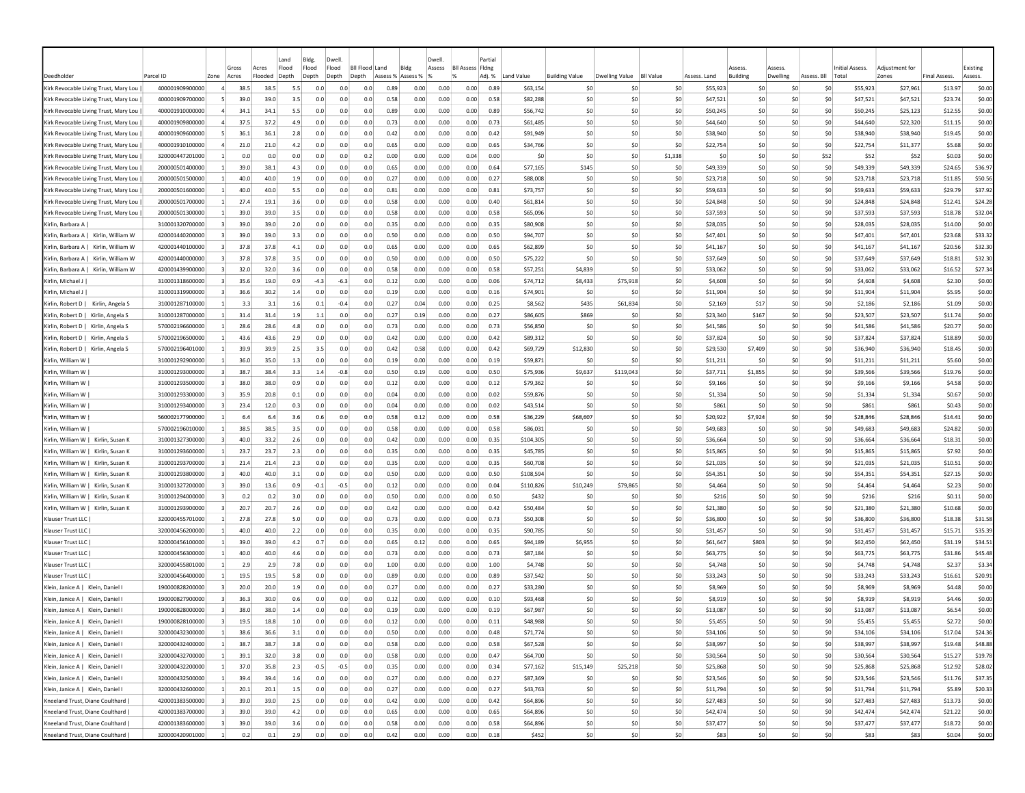|                                                                                |                                    |                         | Gross        | Acres        | Land<br>Flood | Bldg.<br>Flood | Dwell<br>Flood | <b>BII Flood</b><br>Land |              | Bldg              | Dwell.<br>Assess | <b>BII Assess Fidng</b> | Partial      |                      |                       |                |                  |                      | <i><b>SSESS</b></i> | Assess   |                | Initial Assess.                    | Adiustment fo        |                     | Existing          |
|--------------------------------------------------------------------------------|------------------------------------|-------------------------|--------------|--------------|---------------|----------------|----------------|--------------------------|--------------|-------------------|------------------|-------------------------|--------------|----------------------|-----------------------|----------------|------------------|----------------------|---------------------|----------|----------------|------------------------------------|----------------------|---------------------|-------------------|
| Deedholde                                                                      | Parcel ID                          | Zone                    | Acres        | Flooded      | Depth         | Depth          | Depth          | Depth                    |              | Assess % Assess % |                  | %                       | Adj. %       | Land Value           | <b>Building Value</b> | Dwelling Value | <b>BII Value</b> | Assess, Land         | <b>Building</b>     | Dwelling | Assess, Bll    | Total                              | Zones                | <b>Final Assess</b> | Assess.           |
| Kirk Revocable Living Trust, Mary Lou                                          | 400001909900000                    | $\overline{a}$          | 38.5         | 38.5         | 5.5           | 0.0            | 0.0            | 0.0                      | 0.89         | 0.00              | 0.00             | 0.00                    | 0.89         | \$63,154             | \$0                   | -SO            | \$0              | \$55,923             | \$0                 |          | -SO            | S0<br>\$55,923                     | \$27,961             | \$13.97             | \$0.00            |
| Kirk Revocable Living Trust, Mary Lou                                          | 400001909700000                    |                         | 39.C         | 39.0         | 3.5           | 0.0            | 0.0            | 0.0                      | 0.58         | 0.00              | 0.00             | 0.00                    | 0.58         | \$82,288             | \$0                   | \$0            | \$0              | \$47,521             | \$0                 |          | \$C            | \$0<br>\$47,521                    | \$47,521             | \$23.74             | \$0.00            |
| Kirk Revocable Living Trust. Mary Lou                                          | 400001910000000                    |                         | 34.1         | 34.1         | 5.5           | 0.0            | 0.0            | 0.0                      | 0.89         | 0.00              | 0.00             | 0.00                    | 0.89         | \$56,742             | \$0                   | \$0            | \$0              | \$50,245             | SO                  |          | \$0            | \$0<br>\$50,245                    | \$25,123             | \$12.55             | \$0.00            |
| Kirk Revocable Living Trust, Mary Lou                                          | 400001909800000                    |                         | 37.5         | 37.2         | 4.9           | 0.0            | 0.0            | 0.0                      | 0.73         | 0.00              | 0.00             | 0.00                    | 0.73         | \$61,485             | \$0                   | S0             | \$0              | \$44,640             | \$0                 |          | \$0            | \$0<br>\$44,640                    | \$22,320             | \$11.15             | \$0.00            |
| Kirk Revocable Living Trust, Mary Lou                                          | 400001909600000                    | -5                      | 36.1         | 36.1         | 2.8           | 0.0            | 0.0            | 0.0                      | 0.42         | 0.00              | 0.00             | 0.00                    | 0.42         | \$91,949             | \$0                   | \$0            | \$0              | \$38,940             | \$0                 |          | \$0            | \$0<br>\$38,940                    | \$38,940             | \$19.45             | \$0.00            |
| Kirk Revocable Living Trust, Mary Lou                                          | 400001910100000                    | $\overline{4}$          | 21.0         | 21.0         | 4.2           | 0.0            | 0.0            | 0.0                      | 0.65         | 0.00              | 0.00             | 0.00                    | 0.65         | \$34,766             | \$0                   | \$0            | \$0              | \$22,754             | \$0                 |          | \$0            | \$0<br>\$22,754                    | \$11,377             | \$5.68              | \$0.00            |
| Kirk Revocable Living Trust, Mary Lou                                          | 320000447201000                    |                         | 0.0          | 0.0          | 0.0           | 0.0            | 0.0            | 0.2                      | 0.00         | 0.00              | 0.00             | 0.04                    | 0.00         | \$0                  | \$0                   | S0             | \$1,338          | S0                   | \$0                 |          | \$0<br>\$52    | \$52                               | \$52                 | \$0.03              | \$0.00            |
| Kirk Revocable Living Trust, Mary Lou                                          | 200000501400000                    | -11                     | 39.0         | 38.1         | 4.3           | 0.0            | 0.0            | 0.0                      | 0.65         | 0.00              | 0.00             | 0.00                    | 0.64         | \$77,165             | \$145                 | S0             | \$0              | \$49,339             | \$0                 |          | S0             | S0<br>\$49,339                     | \$49,339             | \$24.65             | \$36.97           |
| Kirk Revocable Living Trust, Mary Lou                                          | 200000501500000                    | -1                      | 40.0         | 40.0         | 1.9           | 0.0            | 0.0            | 0.0                      | 0.27         | 0.00              | 0.00             | 0.00                    | 0.27         | \$88,008             | \$0                   | S0             | \$0              | \$23,718             | \$0                 |          | \$0            | \$0<br>\$23,718                    | \$23,718             | \$11.85             | \$50.56           |
| Kirk Revocable Living Trust, Mary Lou                                          | 200000501600000                    |                         | 40.0         | 40.0         | 5.5           | 0.0            | 0.0            | 0.0                      | 0.81         | 0.00              | 0.00             | 0.00                    | 0.81         | \$73,757             | \$0                   | \$0            | \$0              | \$59,633             | \$0                 |          | \$0            | \$0<br>\$59,633                    | \$59,633             | \$29.79             | \$37.92           |
| Kirk Revocable Living Trust, Mary Lou                                          | 200000501700000<br>200000501300000 |                         | 27.4         | 19.1         | 3.6           | 0.0            | 0.0            | 0.0                      | 0.58         | 0.00              | 0.00             | 0.00                    | 0.40         | \$61,814             | \$0                   | \$0            | \$0              | \$24,848             | \$0                 |          | \$C            | \$0<br>\$24,848                    | \$24,848             | \$12.41             | \$24.28           |
| Kirk Revocable Living Trust, Mary Lou                                          |                                    |                         | 39.0         | 39.0         | 3.5           | 0.0            | 0.0            | 0.0                      | 0.58         | 0.00              | 0.00             | 0.00                    | 0.58         | \$65,096             | \$0                   | \$0            | \$0              | \$37,593             | \$0                 |          | \$C            | \$0<br>\$37,593                    | \$37,593             | \$18.78             | \$32.04           |
| Kirlin, Barbara A                                                              | 310001320700000                    |                         | 39.0<br>39.0 | 39.0<br>39.0 | 2.0<br>3.3    | 0.0<br>0.0     | 0.0<br>0.0     | 0.0<br>0.0               | 0.35<br>0.50 | 0.00<br>0.00      | 0.00<br>0.00     | 0.00<br>0.00            | 0.35<br>0.50 | \$80,908             | \$0<br>\$0            | \$0<br>\$0     | \$0<br>\$0       | \$28,035<br>\$47,401 | \$0<br>\$0          |          | \$0<br>\$0     | \$0<br>\$28,035<br>\$0<br>\$47,401 | \$28,035             | \$14.00<br>\$23.68  | \$0.00<br>\$33.32 |
| Kirlin, Barbara A   Kirlin, William W<br>Kirlin, Barbara A   Kirlin, William W | 420001440200000<br>420001440100000 | -3                      | 37.8         | 37.8         | 4.1           | 0.0            | 0.0            | 0.0                      | 0.65         | 0.00              | 0.00             | 0.00                    | 0.65         | \$94,707<br>\$62,899 | \$0                   | S0             | \$0              | \$41,167             | \$0                 |          | \$0            | \$0<br>\$41,167                    | \$47,401<br>\$41,167 | \$20.56             | \$32.30           |
| Kirlin, Barbara A   Kirlin, William W                                          | 420001440000000                    | $\vert$ 3               | 37.8         | 37.8         | 3.5           | 0.0            | 0.0            | 0.0                      | 0.50         | 0.00              | 0.00             | 0.00                    | 0.50         | \$75,222             | \$0                   | \$0            | \$0              | \$37.649             | \$0                 |          | \$0            | \$0<br>\$37.649                    | \$37,649             | \$18.81             | \$32.30           |
| Kirlin, Barbara A   Kirlin, William W                                          | 420001439900000                    | $\vert$ 3               | 32.0         | 32.0         | 3.6           | 0.0            | 0.0            | 0.0                      | 0.58         | 0.00              | 0.00             | 0.00                    | 0.58         | \$57,251             | \$4,839               | \$0            | \$0              | \$33,062             | \$0                 |          | \$0            | \$0<br>\$33,062                    | \$33,062             | \$16.52             | \$27.34           |
| Kirlin, Michael J                                                              | 310001318600000                    | $\vert$ 3               | 35.6         | 19.0         | 0.9           | $-4.3$         | $-6.3$         | 0.0                      | 0.12         | 0.00              | 0.00             | 0.00                    | 0.06         | \$74,712             | \$8,433               | \$75,918       | \$0              | \$4,608              | \$0                 |          | \$0            | \$0<br>\$4,608                     | \$4,608              | \$2.30              | \$0.00            |
| Kirlin, Michael J                                                              | 310001319900000                    |                         | 36.6         | 30.2         | 1.4           | 0.0            | 0.0            | 0.0                      | 0.19         | 0.00              | 0.00             | 0.00                    | 0.16         | \$74,901             | \$0                   | \$0            | \$0              | \$11,904             | \$0                 |          | \$0            | \$0<br>\$11,904                    | \$11,904             | \$5.95              | \$0.00            |
| Kirlin, Robert D   Kirlin, Angela S                                            | 310001287100000                    | -1                      | 3.3          | 3.1          | 1.6           | 0.1            | $-0.4$         | 0.0                      | 0.27         | 0.04              | 0.00             | 0.00                    | 0.25         | \$8,562              | \$435                 | \$61,834       | \$0              | \$2,169              | \$17                |          | S0             | S0<br>\$2,186                      | \$2,186              | \$1.09              | \$0.00            |
| Kirlin, Robert D   Kirlin, Angela S                                            | 310001287000000                    | -11                     | 31.4         | 31.4         | 1.9           | 1.1            | 0.0            | 0.0                      | 0.27         | 0.19              | 0.00             | 0.00                    | 0.27         | \$86,605             | \$869                 | S0             | \$0              | \$23,340             | S <sub>167</sub>    |          | S <sub>0</sub> | \$0<br>\$23,507                    | \$23,507             | S <sub>11.74</sub>  | \$0.00            |
| Kirlin, Robert D   Kirlin, Angela S                                            | 570002196600000                    |                         | 28.6         | 28.6         | 4.8           | 0.0            | 0.0            | 0.0                      | 0.73         | 0.00              | 0.00             | 0.00                    | 0.73         | \$56,850             | \$0                   | S0             | \$0              | \$41,586             | S0                  |          | \$0            | \$0<br>\$41,586                    | \$41,586             | \$20.77             | \$0.00            |
| Kirlin, Robert D   Kirlin, Angela S                                            | 570002196500000                    |                         | 43.6         | 43.6         | 2.9           | 0.0            | 0.0            | 0.0                      | 0.42         | 0.00              | 0.00             | 0.00                    | 0.42         | \$89,312             | \$0                   | \$0            | \$0              | \$37,824             | \$0                 |          | \$0            | \$0<br>\$37,824                    | \$37,824             | \$18.89             | \$0.00            |
| Kirlin, Robert D   Kirlin, Angela S                                            | 570002196401000                    |                         | 39.9         | 39.9         | 2.5           | 3.5            | 0.0            | 0.0                      | 0.42         | 0.58              | 0.00             | 0.00                    | 0.42         | \$69,729             | \$12,830              | \$0            | \$0              | \$29,530             | \$7,409             |          | \$0            | \$0<br>\$36,940                    | \$36,940             | \$18.45             | \$0.00            |
| Kirlin, William W                                                              | 310001292900000                    |                         | 36.0         | 35.0         | 1.3           | 0.0            | 0.0            | 0.0                      | 0.19         | 0.00              | 0.00             | 0.00                    | 0.19         | \$59,871             | \$0                   | \$0            | \$0              | \$11,211             | \$0                 |          | \$0            | \$0<br>\$11,211                    | \$11,211             | \$5.60              | \$0.00            |
| Kirlin, William W                                                              | 310001293000000                    |                         | 38.7         | 38.4         | 3.3           | 1.4            | $-0.8$         | 0.0                      | 0.50         | 0.19              | 0.00             | 0.00                    | 0.50         | \$75,936             | \$9,637               | \$119,043      | \$0              | \$37,711             | \$1,855             |          | \$0            | \$0<br>\$39,566                    | \$39,566             | \$19.76             | \$0.00            |
| Kirlin, William W                                                              | 310001293500000                    |                         | 38.0         | 38.0         | 0.9           | 0.0            | 0.0            | 0.0                      | 0.12         | 0.00              | 0.00             | 0.00                    | 0.12         | \$79,362             | \$0                   | -SO            | \$0              | \$9,166              | S0                  |          | <b>SC</b>      | S0<br>\$9,166                      | \$9,166              | \$4.58              | \$0.00            |
| Kirlin, William W                                                              | 310001293300000                    | $\vert$ 3               | 35.9         | 20.8         | 0.1           | 0.0            | 0.0            | 0.0                      | 0.04         | 0.00              | 0.00             | 0.00                    | 0.02         | \$59,876             | \$0                   | \$0            | \$0              | \$1,334              | \$0                 |          | \$0            | \$0<br>\$1,334                     | \$1,334              | \$0.67              | \$0.00            |
| Kirlin, William W                                                              | 310001293400000                    | $\vert$ 3               | 23.4         | 12.0         | 0.3           | 0.0            | 0.0            | 0.0                      | 0.04         | 0.00              | 0.00             | 0.00                    | 0.02         | \$43,514             | \$0                   | -SO            | \$0              | \$861                | \$0                 |          | \$0            | \$0<br>\$861                       | \$861                | \$0.43              | \$0.00            |
| Kirlin, William W                                                              | 560002177900000                    |                         | 6.4          | 6.4          | 3.6           | 0.6            | 0.0            | 0.0                      | 0.58         | 0.12              | 0.00             | 0.00                    | 0.58         | \$36,229             | \$68,607              | \$0            | \$0              | \$20,922             | \$7,924             |          | \$0            | \$0<br>\$28,846                    | \$28,846             | \$14.41             | \$0.00            |
| Kirlin, William W                                                              | 570002196010000                    | $\mathbf{1}$            | 38.5         | 38.5         | 3.5           | 0.0            | 0.0            | 0.0                      | 0.58         | 0.00              | 0.00             | 0.00                    | 0.58         | \$86,031             | \$0                   | \$0            | \$0              | \$49,683             | \$0                 |          | \$0            | \$0<br>\$49,683                    | \$49,683             | \$24.82             | \$0.00            |
| Kirlin, William W   Kirlin, Susan K                                            | 310001327300000                    |                         | 40.0         | 33.2         | 2.6           | 0.0            | 0.0            | 0.0                      | 0.42         | 0.00              | 0.00             | 0.00                    | 0.35         | \$104,305            | \$0                   | \$0            | \$0              | \$36,664             | \$0                 |          | \$0            | \$36,664<br>\$0                    | \$36,664             | \$18.31             | \$0.00            |
| Kirlin, William W   Kirlin, Susan K                                            | 310001293600000                    | -11                     | 23.7         | 23.7         | 2.3           | 0.0            | 0.0            | 0.0                      | 0.35         | 0.00              | 0.00             | 0.00                    | 0.35         | \$45,785             | \$0                   | S0             | \$0              | \$15,865             | S0                  |          | \$0            | S0<br>\$15,865                     | \$15,865             | \$7.92              | \$0.00            |
| Kirlin, William W   Kirlin, Susan K                                            | 310001293700000                    | -3                      | 21.4         | 21.4         | 2.3           | 0.0            | 0.0            | 0.0                      | 0.35         | 0.00              | 0.00             | 0.00                    | 0.35         | \$60,708             | \$0                   | \$0            | \$0              | \$21,035             | \$0                 |          | \$0            | \$0<br>\$21,035                    | \$21,035             | \$10.51             | \$0.00            |
| Kirlin, William W   Kirlin, Susan K                                            | 310001293800000                    | -3                      | 40.0         | 40.0         | 3.1           | 0.0            | 0.0            | 0.0                      | 0.50         | 0.00              | 0.00             | 0.00                    | 0.50         | \$108,594            | \$0                   | \$0            | \$0              | \$54,351             | S0                  |          | \$0            | \$0<br>\$54,351                    | \$54,351             | \$27.15             | \$0.00            |
| Kirlin, William W  <br>Kirlin, Susan K                                         | 310001327200000                    | -3                      | 39.0         | 13.6         | 0.9           | $-0.1$         | $-0.5$         | 0.0                      | 0.12         | 0.00              | 0.00             | 0.00                    | 0.04         | \$110,826            | \$10,249              | \$79,865       | \$0              | \$4,464              | \$0                 |          | \$0            | \$0<br>\$4,464                     | \$4,464              | \$2.23              | \$0.00            |
| Kirlin, William W  <br>Kirlin, Susan K                                         | 310001294000000                    |                         | 0.2          | 0.2          | 3.0           | 0.0            | 0.0            | 0.0                      | 0.50         | 0.00              | 0.00             | 0.00                    | 0.50         | \$432                | \$0                   | \$0            | \$0              | \$216                | \$0                 |          | \$C            | \$0<br>\$216                       | \$216                | \$0.11              | \$0.00            |
| Kirlin, William W  <br>Kirlin, Susan I                                         | 310001293900000                    |                         | 20.7         | 20.7         | 2.6           | 0.0            | 0.0            | 0.0                      | 0.42         | 0.00              | 0.00             | 0.00                    | 0.42         | \$50,484             | \$0                   | \$0            | \$0              | \$21,380             | \$0                 |          | \$C            | \$0<br>\$21,380                    | \$21,380             | \$10.68             | \$0.00            |
| Klauser Trust LLC                                                              | 320000455701000                    |                         | 27.8         | 27.8         | 5.0           | 0.0            | 0.0            | 0.0                      | 0.73         | 0.00              | 0.00             | 0.00                    | 0.73         | \$50,308             | \$0                   | S0             | \$0              | \$36,800             | \$0                 |          | \$0            | \$0<br>\$36,800                    | \$36,800             | \$18.38             | \$31.58           |
| Klauser Trust LLC                                                              | 320000456200000                    |                         | 40.0         | 40.0         | 2.2           | 0.0            | 0.0            | 0.0                      | 0.35         | 0.00              | 0.00             | 0.00                    | 0.35         | \$90,785             | \$0                   | \$0            | \$0              | \$31,457             | \$0                 |          | -SO            | \$0<br>\$31,457                    | \$31,457             | \$15.71             | \$35.39           |
| Klauser Trust LLC                                                              | 320000456100000                    |                         | 39.0         | 39.0         | 4.2           | 0.7            | 0.0            | 0.0                      | 0.65         | 0.12              | 0.00             | 0.00                    | 0.65         | \$94,189             | \$6,955               | \$0            | \$0              | \$61.647             | \$803               |          | \$0            | \$0<br>\$62,450                    | \$62,450             | \$31.19             | \$34.51           |
| Klauser Trust LLC                                                              | 320000456300000                    |                         | 40.0         | 40.0         | 4.6           | 0.0            | 0.0            | 0.0                      | 0.73         | 0.00              | 0.00             | 0.00                    | 0.73         | \$87,184             | \$0                   | \$0            | \$0              | \$63,775             | \$0                 |          | \$0            | \$0<br>\$63,775                    | \$63,775             | \$31.86             | \$45.48           |
| Klauser Trust LLC                                                              | 320000455801000                    |                         | 2.9          | 2.9          | 7.8           | 0.0            | 0.0            | 0.0                      | 1.00         | 0.00              | 0.00             | 0.00                    | 1.00         | \$4,748              | \$0                   | \$0            | \$0              | \$4,748              | \$0                 |          | \$C            | \$0<br>\$4,748                     | \$4,748              | \$2.37              | \$3.34            |
| Klauser Trust LLC                                                              | 320000456400000                    | $\mathbf{1}$            | 19.5         | 19.5         | 5.8           | 0.0            | 0.0            | 0.0                      | 0.89         | 0.00              | 0.00             | 0.00                    | 0.89         | \$37,542             | \$0                   | \$0            | \$0              | \$33,243             | \$0                 |          | \$0            | \$0<br>\$33,243                    | \$33,243             | \$16.61             | \$20.91           |
| Klein, Janice A   Klein, Daniel I                                              | 190000828200000                    | -31                     | 20.0         | 20.0         | 1.9           | 0.0            | 0.0            | 0.0                      | 0.27         | 0.00              | 0.00             | 0.00                    | 0.27         | \$33,280             | S0                    | S0             | S0               | \$8,969              | S0                  |          | S0             | S0<br>\$8,969                      | \$8,969              | <b>S4.48</b>        | \$0.00            |
| Klein, Janice A   Klein, Daniel                                                | 190000827900000                    |                         | 36.3         | 30.0         | 0.6           | 0.0            | 0.0            | 0.0                      | 0.12         | 0.00              | 0.00             | 0.00                    | 0.10         | \$93,468             | S0                    | S0             | S0               | \$8,919              | -SO                 |          | S0             | .so<br>\$8,919                     | \$8,919              | S4.46               | \$0.00            |
| Klein, Janice A   Klein, Daniel I                                              | 190000828000000                    |                         | 38.0         | 38.0         | 1.4           | 0.0            | 0.0            | 0.0                      | 0.19         | 0.00              | 0.00             | 0.00                    | 0.19         | \$67,987             | \$0                   | S0             | S0               | \$13,087             | S0                  |          | \$0            | \$0<br>\$13,087                    | \$13,087             | \$6.54              | \$0.00            |
| Klein, Janice A   Klein, Daniel I                                              | 190000828100000                    |                         | 19.5         | 18.8         | $1.0$         | 0.0            | 0.0            | 0.0                      | 0.12         | 0.00              | 0.00             | 0.00                    | 0.11         | \$48,988             | \$0                   | S0             | \$0              | \$5,455              | S0                  |          | \$0            | \$0<br>\$5,455                     | \$5,455              | \$2.72              | \$0.00            |
| Klein, Janice A   Klein, Daniel I                                              | 320000432300000                    | $\mathbf{1}$            | 38.6         | 36.6         | 3.1           | 0.0            | 0.0            | 0.0                      | 0.50         | 0.00              | 0.00             | 0.00                    | 0.48         | \$71,774             | \$0                   | \$0            | \$0              | \$34,106             | \$0                 |          | 50             | \$0<br>\$34,106                    | \$34,106             | \$17.04             | \$24.36           |
| Klein, Janice A   Klein, Daniel I                                              | 320000432400000                    | $\mathbf{1}$            | 38.7         | 38.7         | 3.8           | 0.0            | 0.0            | 0.0                      | 0.58         | 0.00              | 0.00             | 0.00                    | 0.58         | \$67,528             | \$0                   | \$0            | 50               | \$38,997             | \$0                 |          | 50             | \$0<br>\$38,997                    | \$38,997             | \$19.48             | \$48.88           |
| Klein, Janice A   Klein, Daniel I                                              | 320000432700000                    | $\mathbf{1}$            | 39.1         | 32.0         | 3.8           | 0.0            | 0.0            | 0.0                      | 0.58         | 0.00              | 0.00             | 0.00                    | 0.47         | \$64,700             | \$0                   | \$0            | 50               | \$30,564             | \$0                 |          | 50             | \$0<br>\$30,564                    | \$30,564             | \$15.27             | \$19.78           |
| Klein, Janice A   Klein, Daniel I                                              | 320000432200000                    | $\overline{1}$          | 37.0         | 35.8         | 2.3           | $-0.5$         | $-0.5$         | 0.0                      | 0.35         | 0.00              | 0.00             | 0.00                    | 0.34         | \$77,162             | \$15,149              | \$25,218       | 50               | \$25,868             | \$0                 |          | \$0            | \$0<br>\$25,868                    | \$25,868             | \$12.92             | \$28.02           |
| Klein, Janice A   Klein, Daniel I                                              | 320000432500000                    | $\mathbf{1}$            | 39.4         | 39.4         | 1.6           | 0.0            | 0.0            | 0.0                      | 0.27         | 0.00              | 0.00             | 0.00                    | 0.27         | \$87,369             | \$0                   | \$0            | \$0              | \$23,546             | 50                  |          | 50             | 50<br>\$23,546                     | \$23,546             | \$11.76             | \$37.35           |
| Klein, Janice A   Klein, Daniel I                                              | 320000432600000                    | $\vert$ 1               | 20.1         | 20.1         | 1.5           | 0.0            | 0.0            | 0.0                      | 0.27         | 0.00              | 0.00             | 0.00                    | 0.27         | \$43,763             | \$0                   | \$0            | \$0              | \$11,794             | \$0                 |          | 50             | 50<br>\$11,794                     | \$11,794             | \$5.89              | \$20.33           |
| Kneeland Trust, Diane Coulthard                                                | 420001383500000                    | $\overline{\mathbf{3}}$ | 39.0         | 39.0         | 2.5           | 0.0            | 0.0            | 0.0                      | 0.42         | 0.00              | 0.00             | 0.00                    | 0.42         | \$64,896             | \$0                   | \$0            | \$0              | \$27,483             | \$0                 |          | 50             | \$0<br>\$27,483                    | \$27,483             | \$13.73             | \$0.00            |
| Kneeland Trust, Diane Coulthard                                                | 420001383700000                    | $\overline{\mathbf{3}}$ | 39.0         | 39.0         | 4.2           | 0.0            | 0.0            | 0.0                      | 0.65         | 0.00              | 0.00             | 0.00                    | 0.65         | \$64,896             | \$0                   | \$0            | \$0              | \$42,474             | 50                  |          | 50             | \$0<br>\$42,474                    | \$42,474             | \$21.22             | \$0.00            |
| Kneeland Trust, Diane Coulthard                                                | 420001383600000                    | $\overline{\mathbf{3}}$ | 39.0         | 39.0         | 3.6           | 0.0            | 0.0            | 0.0                      | 0.58         | 0.00              | 0.00             | 0.00                    | 0.58         | \$64,896             | \$0                   | \$0            | \$0              | \$37,477             | \$0                 |          | 50             | \$0<br>\$37,477                    | \$37,477             | \$18.72             | \$0.00            |
| Kneeland Trust, Diane Coulthard                                                | 320000420901000                    | $\vert$ 1               | 0.2          | 0.1          | 2.9           | 0.0            | 0.0            | 0.0                      | 0.42         | 0.00              | 0.00             | 0.00                    | 0.18         | \$452                | 50                    | \$0            | \$0              | \$83                 | \$0                 |          | 50             | \$0<br>\$83                        | \$83                 | \$0.04              | \$0.00            |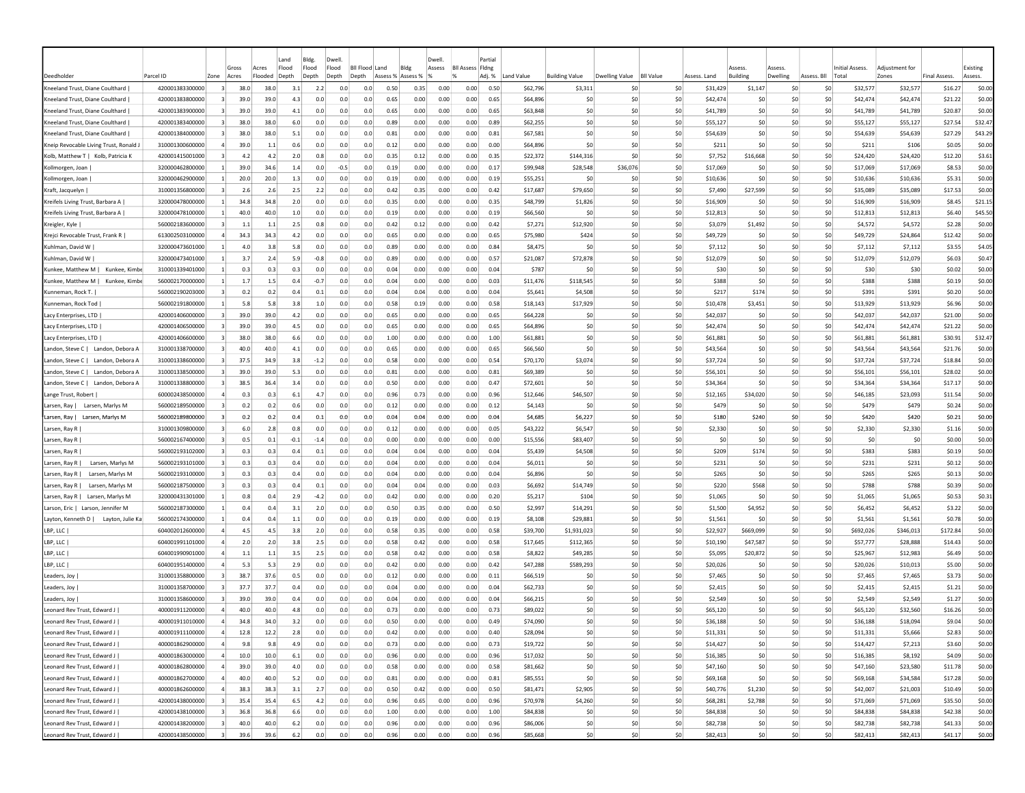|                                                                           |                                    |                                  |              |              | Land       | Bldg.      | Dwell                     |            |                   |              | Dwell.       |                         | Partial      |                      |                       |                |                  |                      |                |            |                |                      |                     |                     |                   |
|---------------------------------------------------------------------------|------------------------------------|----------------------------------|--------------|--------------|------------|------------|---------------------------|------------|-------------------|--------------|--------------|-------------------------|--------------|----------------------|-----------------------|----------------|------------------|----------------------|----------------|------------|----------------|----------------------|---------------------|---------------------|-------------------|
|                                                                           |                                    |                                  | Gross        | Acres        | Flood      | Flood      | Flood<br><b>BII Flood</b> |            | Land              | Bldg         | Assess       | <b>Bll Assess Fldng</b> |              |                      |                       |                |                  |                      | Assess         | Assess     |                | Initial Assess.      | Adjustment for      |                     | Existing          |
| Deedholder                                                                | Parcel ID                          | Zone                             | Acres        | Flooded      | Depth      | Depth      | Depth<br>Depth            |            | Assess % Assess % |              | 1%           |                         | Adj. %       | Land Value           | <b>Building Value</b> | Dwelling Value | <b>BII Value</b> | Assess, Land         | Building       | Dwelling   | Assess. Bll    | Total                | Zones               | <b>Final Assess</b> | Assess.           |
| Kneeland Trust, Diane Coulthard                                           | 420001383300000                    | $\overline{3}$                   | 38.0         | 38.0         | 3.1        | 2.2        | 0.0                       | 0.0        | 0.50              | 0.35         | 0.00         | 0.00                    | 0.50         | \$62,796             | \$3,311               | -SO            | \$0              | \$31,429             | \$1,147        | -SO        | S0             | \$32,577             | \$32,577            | \$16.27             | \$0.00            |
| Kneeland Trust, Diane Coulthard<br>Kneeland Trust. Diane Coulthard        | 420001383800000<br>420001383900000 |                                  | 39.0<br>39.0 | 39.0<br>39.0 | 4.3<br>4.1 | 0.0<br>0.0 | 0.0<br>0.0                | 0.0        | 0.65<br>0.65      | 0.00<br>0.00 | 0.00<br>0.00 | 0.00<br>0.00            | 0.65<br>0.65 | \$64,896<br>\$63,848 | -SO<br>\$0            | \$0<br>\$0     | \$0<br>\$0       | \$42,474<br>\$41.789 | \$0<br>S0      | \$0<br>\$0 | \$0<br>\$0     | \$42,474<br>\$41,789 | \$42,474            | \$21.22<br>\$20.87  | \$0.00<br>\$0.00  |
|                                                                           | 420001383400000                    |                                  | 38.0         | 38.0         | 6.0        | 0.0        | 0.0                       | 0.0<br>0.0 | 0.89              |              |              |                         |              |                      |                       | -SO            | \$0              |                      |                | \$0        |                |                      | \$41,789            |                     |                   |
| Kneeland Trust, Diane Coulthard                                           |                                    |                                  | 38.0         | 38.0         | 5.1        | 0.0        | 0.0                       | 0.0        | 0.81              | 0.00         | 0.00         | 0.00                    | 0.89         | \$62,255             | \$0                   | -SO            |                  | \$55,127             | \$0            | \$0        | \$0<br>\$0     | \$55,127             | \$55,127            | \$27.54             | \$32.47           |
| Kneeland Trust, Diane Coulthard<br>Kneip Revocable Living Trust, Ronald J | 420001384000000<br>310001300600000 | $\overline{a}$                   | 39.0         | 1.1          | 0.6        | 0.0        | 0.0                       | 0.0        | 0.12              | 0.00<br>0.00 | 0.00<br>0.00 | 0.00<br>0.00            | 0.81<br>0.00 | \$67,581<br>\$64,896 | \$C<br>\$0            | \$0            | \$0<br>\$0       | \$54,639<br>\$211    | \$0<br>\$0     | \$0        | \$0            | \$54,639<br>\$211    | \$54,639<br>\$106   | \$27.29<br>\$0.05   | \$43.29<br>\$0.00 |
| Kolb, Matthew T   Kolb, Patricia K                                        | 420001415001000                    |                                  | 4.2          | 4.2          | 2.0        | 0.8        | 0.0                       | 0.0        | 0.35              | 0.12         | 0.00         | 0.00                    | 0.35         | \$22,372             | \$144,316             | -SO            | \$0              | \$7,752              | \$16,668       | S0         | S <sub>0</sub> | \$24,420             | \$24,420            | \$12.20             | \$3.61            |
| Kollmorgen, Joan                                                          | 320000462800000                    | -11                              | 39.0         | 34.6         | 1.4        | 0.0        | $-0.5$                    | 0.0        | 0.19              | 0.00         | 0.00         | 0.00                    | 0.17         | \$99,948             | \$28,548              | \$36,076       | \$0              | \$17,069             | -SO            | S0         | S0             | \$17,069             | \$17,069            | \$8.53              | \$0.00            |
| Kollmorgen, Joan                                                          | 320000462900000                    |                                  | 20.0         | 20.0         | 1.3        | 0.0        | 0.0                       | 0.0        | 0.19              | 0.00         | 0.00         | 0.00                    | 0.19         | \$55,251             | \$0                   | -SO            | -SO              | \$10,636             | S <sub>0</sub> | \$0        | \$0            | \$10,636             | \$10,636            | \$5.31              | \$0.00            |
| Kraft, Jacquelyn                                                          | 310001356800000                    |                                  | 2.6          | 2.6          | 2.5        | 2.2        | 0.0                       | 0.0        | 0.42              | 0.35         | 0.00         | 0.00                    | 0.42         | \$17,687             | \$79,650              | \$0            | \$0              | \$7,490              | \$27,599       | \$0        | \$0            | \$35,089             | \$35,089            | \$17.53             | \$0.00            |
| Kreifels Living Trust, Barbara A                                          | 320000478000000                    |                                  | 34.8         | 34.8         | 2.0        | 0.0        | 0.0                       | 0.0        | 0.35              | 0.00         | 0.00         | 0.00                    | 0.35         | \$48,799             | \$1,826               | -SO            | \$0              | \$16,909             | \$0            | \$0        | \$0            | \$16,909             | \$16,909            | \$8.45              | \$21.15           |
| Kreifels Living Trust, Barbara A                                          | 320000478100000                    |                                  | 40.0         | 40.0         | 1.0        | 0.0        | 0.0                       | 0.0        | 0.19              | 0.00         | 0.00         | 0.00                    | 0.19         | \$66,560             | \$C                   | \$0            | \$0              | \$12,813             | \$0            | \$0        | \$0            | \$12,813             | \$12,813            | \$6.40              | \$45.50           |
| Kreigler, Kyle                                                            | 560002183600000                    |                                  | 1.1          | 1.1          | 2.5        | 0.8        | 0.0                       | 0.0        | 0.42              | 0.12         | 0.00         | 0.00                    | 0.42         | \$7,271              | \$12,920              | \$0            | \$0              | \$3,079              | \$1,492        | \$0        | \$0            | \$4,572              | \$4,572             | \$2.28              | \$0.00            |
| Krejci Revocable Trust, Frank R                                           | 613002503100000                    |                                  | 34.3         | 34.3         | 4.2        | 0.0        | 0.0                       | 0.0        | 0.65              | 0.00         | 0.00         | 0.00                    | 0.65         | \$75,980             | \$424                 | \$0            | \$0              | \$49,729             | S0             | \$0        | \$0            | \$49,729             | \$24,864            | \$12.42             | \$0.00            |
| Kuhlman, David W                                                          | 320000473601000                    |                                  | 4.0          | 3.8          | 5.8        | 0.0        | 0.0                       | 0.0        | 0.89              | 0.00         | 0.00         | 0.00                    | 0.84         | \$8,475              | \$0                   | \$0            | \$0              | \$7,112              | S <sub>0</sub> | \$0        | \$0            | \$7,112              | \$7,112             | \$3.55              | \$4.05            |
| Kuhlman, David W                                                          | 320000473401000                    |                                  | 3.7          | 2.4          | 5.9        | $-0.8$     | 0.0                       | 0.0        | 0.89              | 0.00         | 0.00         | 0.00                    | 0.57         | \$21,087             | \$72,878              | \$0            | \$0              | \$12,079             | S <sub>0</sub> | \$0        | \$0            | \$12,079             | \$12,079            | \$6.03              | \$0.47            |
| Kunkee, Matthew M  <br>Kunkee, Kimb                                       | 310001339401000                    |                                  | 0.3          | 0.3          | 0.3        | 0.0        | 0.0                       | 0.0        | 0.04              | 0.00         | 0.00         | 0.00                    | 0.04         | \$787                | \$0                   | -SO            | \$0              | \$30                 | \$0            | \$0        | \$0            | \$30                 | \$30                | \$0.02              | \$0.00            |
| Kunkee, Matthew M  <br>Kunkee, Kimb                                       | 560002170000000                    | $\overline{1}$                   | 1.7          | 1.5          | 0.4        | $-0.7$     | 0.0                       | 0.0        | 0.04              | 0.00         | 0.00         | 0.00                    | 0.03         | \$11,476             | \$118,545             | \$0            | \$0              | \$388                | \$0            | \$0        | \$0            | \$388                | \$388               | \$0.19              | \$0.00            |
| Kunneman, Rock T.                                                         | 560002190203000                    |                                  | 0.2          | 0.2          | 0.4        | 0.1        | 0.0                       | 0.0        | 0.04              | 0.04         | 0.00         | 0.00                    | 0.04         | \$5,641              | \$4,508               | -SO            | \$0              | \$217                | \$174          | \$0        | \$0            | \$391                | \$391               | \$0.20              | \$0.00            |
| Kunneman, Rock Tod                                                        | 560002191800000                    | -1                               | 5.8          | 5.8          | 3.8        | 1.0        | 0.0                       | 0.0        | 0.58              | 0.19         | 0.00         | 0.00                    | 0.58         | \$18,143             | \$17,929              | -SO            | \$0              | \$10,478             | \$3,451        | \$0        | \$0            | \$13,929             | \$13,929            | \$6.96              | \$0.00            |
| Lacy Enterprises, LTD                                                     | 420001406000000                    | -31                              | 39.0         | 39.0         | 4.2        | 0.0        | 0.0                       | 0.0        | 0.65              | 0.00         | 0.00         | 0.00                    | 0.65         | \$64,228             | \$0                   | S0             | -SO              | \$42.037             | S <sub>0</sub> | \$0        | \$0            | \$42,037             | \$42,037            | \$21.00             | \$0.00            |
| Lacy Enterprises, LTD                                                     | 420001406500000                    |                                  | 39.0         | 39.0         | 4.5        | 0.0        | 0.0                       | 0.0        | 0.65              | 0.00         | 0.00         | 0.00                    | 0.65         | \$64,896             | \$0                   | -SO            | \$0              | \$42,474             | S <sub>0</sub> | \$0        | \$0            | \$42,474             | \$42,474            | \$21.22             | \$0.00            |
| Lacy Enterprises, LTD                                                     | 420001406600000                    |                                  | 38.0         | 38.0         | 6.6        | 0.0        | 0.0                       | 0.0        | 1.00              | 0.00         | 0.00         | 0.00                    | 1.00         | \$61,881             | \$C                   | \$0            | \$0              | \$61,881             | \$0            | \$0        | \$0            | \$61,881             | \$61,881            | \$30.91             | \$32.47           |
| Landon, Steve C   Landon, Debora A                                        | 310001338700000                    |                                  | 40.0         | 40.0         | 4.1        | 0.0        | 0.0                       | 0.0        | 0.65              | 0.00         | 0.00         | 0.00                    | 0.65         | \$66,560             | \$C                   | -SO            | \$0              | \$43,564             | \$0            | \$C        | \$0            | \$43,564             | \$43,564            | \$21.76             | \$0.00            |
| Landon, Steve C  <br>Landon, Debora A                                     | 310001338600000                    |                                  | 37.5         | 34.9         | 3.8        | $-1.2$     | 0.0                       | 0.0        | 0.58              | 0.00         | 0.00         | 0.00                    | 0.54         | \$70,170             | \$3,074               | \$0            | \$0              | \$37,724             | \$0            | \$0        | \$0            | \$37,724             | \$37,724            | \$18.84             | \$0.00            |
| Landon, Steve C  <br>Landon, Debora A                                     | 310001338500000                    |                                  | 39.0         | 39.0         | 5.3        | 0.0        | 0.0                       | 0.0        | 0.81              | 0.00         | 0.00         | 0.00                    | 0.81         | \$69,389             | \$0                   | \$0            | \$0              | \$56,101             | \$0            | \$0        | \$0            | \$56,101             | \$56,101            | \$28.02             | \$0.00            |
| Landon, Steve C  <br>Landon, Debora A                                     | 310001338800000                    |                                  | 38.5         | 36.4         | 3.4        | 0.0        | 0.0                       | 0.0        | 0.50              | 0.00         | 0.00         | 0.00                    | 0.47         | \$72,601             | \$0                   | \$0            | \$0              | \$34,364             | \$0            | \$0        | \$0            | \$34,364             | \$34,364            | \$17.17             | \$0.00            |
| Lange Trust, Robert                                                       | 600002438500000                    |                                  | 0.3          | 0.3          | 6.1        | 4.7        | 0.0                       | 0.0        | 0.96              | 0.73         | 0.00         | 0.00                    | 0.96         | \$12,646             | \$46,507              | \$0            | \$0              | \$12.165             | \$34,020       | S0         | \$0            | \$46,185             | \$23,093            | \$11.54             | \$0.00            |
| Larsen, Ray   Larsen, Marlys M                                            | 560002189500000                    |                                  | 0.2          | 0.2          | 0.6        | 0.0        | 0.0                       | 0.0        | 0.12              | 0.00         | 0.00         | 0.00                    | 0.12         | \$4,143              | \$0                   | -SO            | \$0              | <b>\$479</b>         | \$0            | \$0        | \$0            | \$479                | \$479               | \$0.24              | \$0.00            |
| Larsen, Ray<br>Larsen, Marlys M                                           | 560002189800000                    |                                  | 0.2          | 0.2          | 0.4        | 0.1        | 0.0                       | 0.0        | 0.04              | 0.04         | 0.00         | 0.00                    | 0.04         | \$4,685              | \$6,227               | -SO            | \$0              | \$180                | \$240          | \$0        | \$0            | \$420                | \$420               | \$0.21              | \$0.00            |
| Larsen, Ray R                                                             | 310001309800000                    |                                  | 6.0          | 2.8          | 0.8        | 0.0        | 0.0                       | 0.0        | 0.12              | 0.00         | 0.00         | 0.00                    | 0.05         | \$43,222             | \$6,547               | \$0            | \$0              | \$2,330              | \$0            | \$0        | \$0            | \$2,330              | \$2,330             | \$1.16              | \$0.00            |
| Larsen, Ray R                                                             | 560002167400000                    |                                  | 0.5          | 0.1          | $-0.1$     | $-1.4$     | 0.0                       | 0.0        | 0.00              | 0.00         | 0.00         | 0.00                    | 0.00         | \$15,556             | \$83,407              | -SO            | \$0              | \$0                  | \$0            | \$0        | \$0            | \$0                  | \$0                 | \$0.00              | \$0.00            |
| Larsen, Ray R                                                             | 560002193102000                    |                                  | 0.3          | 0.3          | 0.4        | 0.1        | 0.0                       | 0.0        | 0.04              | 0.04         | 0.00         | 0.00                    | 0.04         | \$5,439              | \$4,508               | S0             | \$0              | \$209                | \$174          | SO.        | S0             | \$383                | \$383               | \$0.19              | \$0.00            |
| Larsen, Marlys M<br>Larsen, Ray R                                         | 560002193101000                    |                                  | 0.3          | 0.3          | 0.4        | 0.0        | 0.0                       | 0.0        | 0.04              | 0.00         | 0.00         | 0.00                    | 0.04         | \$6,011              | \$0                   | -SO            | \$0              | \$231                | S <sub>0</sub> | \$0        | \$0            | \$231                | \$231               | \$0.12              | \$0.00            |
| Larsen, Ray R  <br>Larsen, Marlys M                                       | 560002193100000                    |                                  | 0.3          | 0.3          | 0.4        | 0.0        | 0.0                       | 0.0        | 0.04              | 0.00         | 0.00         | 0.00                    | 0.04         | \$6,896              | \$0                   | -SO            | \$0              | \$265                | S <sub>0</sub> | S0         | \$0            | \$265                | \$265               | \$0.13              | \$0.00            |
| Larsen, Ray R  <br>Larsen, Marlys M                                       | 560002187500000                    |                                  | 0.3          | 0.3          | 0.4        | 0.1        | 0.0                       | 0.0        | 0.04              | 0.04         | 0.00         | 0.00                    | 0.03         | \$6,692              | \$14,749              | -SO            | \$0              | \$220                | \$568          | \$0        | \$0            | \$788                | \$788               | \$0.39              | \$0.00            |
| Larsen, Ray R  <br>Larsen, Marlys M                                       | 320000431301000                    |                                  | 0.8          | 0.4          | 2.9        | $-4.2$     | 0.0                       | 0.0        | 0.42              | 0.00         | 0.00         | 0.00                    | 0.20         | \$5,217              | \$104                 | -SO            | \$0              | \$1,065              | \$0            | \$C        | \$0            | \$1,065              | \$1,065             | \$0.53              | \$0.31            |
| Larson, Eric   Larson, Jennifer M                                         | 560002187300000                    |                                  | 0.4          | 0.4          | 3.1        | 2.0        | 0.0                       | 0.0        | 0.50              | 0.35         | 0.00         | 0.00                    | 0.50         | \$2,997              | \$14,291              | \$0            | \$0              | \$1,500              | \$4,952        | \$0        | \$0            | \$6,452              | \$6,452             | \$3.22              | \$0.00            |
| Layton, Kenneth D  <br>Layton, Julie Ka                                   | 560002174300000                    |                                  | 0.4          | 0.4          | 1.1        | 0.0        | 0.0                       | 0.0        | 0.19              | 0.00         | 0.00         | 0.00                    | 0.19         | \$8,108              | \$29,881              | \$0            | \$0              | \$1,561              | S0             | \$0        | \$0            | \$1,561              | \$1,561             | \$0.78              | \$0.00            |
| LBP, LLC                                                                  | 604002012600000                    |                                  | 4.5          | 4.5          | 3.8        | 2.0        | 0.0                       | 0.0        | 0.58              | 0.35         | 0.00         | 0.00                    | 0.58         | \$39,700             | \$1,931,023           | \$0            | \$0              | \$22,927             | \$669,099      | \$0        | \$0            | \$692,026            | \$346,013           | \$172.84            | \$0.00            |
| LBP, LLC                                                                  | 604001991101000                    |                                  | 2.0          | 2.0          | 3.8        | 2.5        | 0.0                       | 0.0        | 0.58              | 0.42         | 0.00         | 0.00                    | 0.58         | \$17,645             | \$112,365             | \$0            | \$0              | \$10,190             | \$47,587       | \$0        | \$0            | \$57,777             | \$28,888            | \$14.43             | \$0.00            |
| LBP, LLC                                                                  | 604001990901000                    |                                  | 1.1          | 1.1          | 3.5        | 2.5        | 0.0                       | 0.0        | 0.58              | 0.42         | 0.00         | 0.00                    | 0.58         | \$8,822              | \$49,285              | \$0            | \$0              | \$5,095              | \$20,872       | \$0        | \$0            | \$25,967             | \$12,983            | \$6.49              | \$0.00            |
| LBP, LLC                                                                  | 604001951400000                    |                                  | 5.3          | 5.3          | 2.9        | 0.0        | 0.0                       | 0.0        | 0.42              | 0.00         | 0.00         | 0.00                    | 0.42         | \$47,288             | \$589,293             | -SO            | \$0              | \$20,026             | \$0            | \$0        | \$0            | \$20,026             | \$10,013            | \$5.00              | \$0.00            |
| Leaders, Joy                                                              | 310001358800000                    | $\overline{3}$                   | 38.7         | 37.6         | 0.5        | 0.0        | 0.0                       | 0.0        | 0.12              | 0.00         | 0.00         | 0.00                    | 0.11         | \$66,519             | -SO                   | -SO            | \$0              | \$7,465              | \$0            | \$0        | \$0            | \$7,465              | \$7,465             | \$3.73              | \$0.00            |
| Leaders, Joy                                                              | 310001358700000                    | -31                              | 37.7         | 37.7         | 0.4        | 0.0        | 0.0                       | 0.0        | 0.04              | 0.00         | 0.00         | 0.00                    | 0.04         | \$62,733             | \$0                   | -SO            | \$0              | \$2,415              | -SO            | S0         | S0             | \$2,415              | \$2,415             | \$1.21              | \$0.00            |
| Leaders, Joy                                                              | 310001358600000                    |                                  | 39.0         | 39.0         | 0.4        | 0.0        | 0.0                       | 0.0        | 0.04              | 0.00         | 0.00         | 0.00                    | 0.04         | \$66,215             | -SO                   | -SO            | \$0              | \$2,549              | -SO            | S0         | S0             | \$2,549              | \$2,549             | \$1.27              | \$0.00            |
| Leonard Rev Trust, Edward L                                               | 400001911200000                    |                                  | 40.0         | 40.0         | 4.8        | 0.0        | 0.0                       | 0.0        | 0.73              | 0.00         | 0.00         | 0.00                    | 0.73         | \$89,022             | \$0                   | -SO            | \$0              | \$65.120             | S <sub>0</sub> | \$0        | \$0            | \$65,120             | \$32,560            | \$16.26             | \$0.00            |
| Leonard Rev Trust, Edward J                                               | 400001911010000                    |                                  | 34.8         | 34.0         | 3.2        | 0.0        | 0.0                       | 0.0        | 0.50              | 0.00         | 0.00         | 0.00                    | 0.49         | \$74,090             | \$0                   | -SO            | \$0              | \$36,188             | S <sub>0</sub> | \$0        | \$0            | \$36,188             | \$18,094            | \$9.04              | \$0.00            |
| Leonard Rev Trust, Edward J                                               | 400001911100000                    | $\overline{4}$                   | 12.8         | 12.2         | 2.8        | 0.0        | 0.0                       | 0.0        | 0.42              | 0.00         | 0.00         | 0.00                    | 0.40         | \$28,094             | \$0                   | \$0            | \$0              | \$11,331             | \$0            | \$0        | \$0            | \$11,331             | \$5,666             | \$2.83              | \$0.00            |
| Leonard Rev Trust, Edward J                                               | 400001862900000                    | $\overline{a}$                   | 9.8          | 9.8          | 4.9        | 0.0        | 0.0                       | 0.0        | 0.73              | 0.00         | 0.00         | 0.00                    | 0.73         | \$19,722             | \$0                   | \$0            | \$0              | \$14,427             | \$0            | 50         | \$0            | \$14,427             | \$7,213             | \$3.60              | \$0.00            |
| Leonard Rev Trust, Edward J                                               | 400001863000000                    | $\overline{4}$<br>$\overline{a}$ | 10.0         | 10.0         | 6.1        | 0.0        | 0.0<br>0.0                | 0.0        | 0.96              | 0.00         | 0.00         | 0.00                    | 0.96         | \$17,032             | \$0                   | 50<br>\$0      | \$0              | \$16,385             | \$0            | 50         | \$0            | \$16,385             | \$8,192<br>\$23,580 | \$4.09              | \$0.00            |
| Leonard Rev Trust, Edward J                                               | 400001862800000<br>400001862700000 | $\overline{a}$                   | 39.0<br>40.0 | 39.0<br>40.0 | 4.0<br>5.2 | 0.0<br>0.0 | 0.0                       | 0.0<br>0.0 | 0.58<br>0.81      | 0.00<br>0.00 | 0.00<br>0.00 | 0.00<br>0.00            | 0.58<br>0.81 | \$81,662<br>\$85,551 | \$0<br>\$0            | 50             | \$0<br>50        | \$47,160<br>\$69,168 | \$0<br>\$0     | 50<br>50   | \$0<br>50      | \$47,160             | \$34,584            | \$11.78<br>\$17.28  | \$0.00<br>\$0.00  |
| Leonard Rev Trust, Edward J  <br>Leonard Rev Trust, Edward J              | 400001862600000                    | $\overline{a}$                   | 38.3         | 38.3         | 3.1        | 2.7        | 0.0                       | 0.0        | 0.50              | 0.42         | 0.00         | 0.00                    | 0.50         | \$81,471             | \$2,905               | \$0            | \$0              | \$40,776             | \$1,230        | 50         | 50             | \$69,168<br>\$42,007 | \$21,003            | \$10.49             | \$0.00            |
| Leonard Rev Trust, Edward J                                               | 420001438000000                    | $\vert$ 3                        | 35.4         | 35.4         | 6.5        | 4.2        | 0.0                       | 0.0        | 0.96              | 0.65         | 0.00         | 0.00                    | 0.96         | \$70,978             | \$4,260               | \$0            | \$0              | \$68,281             | \$2,788        | \$0        | \$0            | \$71,069             | \$71,069            | \$35.50             | \$0.00            |
| Leonard Rev Trust, Edward J                                               | 420001438100000                    | $\overline{\mathbf{3}}$          | 36.8         | 36.8         | 6.6        | 0.0        | 0.0                       | 0.0        | 1.00              | 0.00         | 0.00         | 0.00                    | 1.00         | \$84,838             | \$0                   | 50             | \$0              | \$84,838             | \$0            | \$0        | \$0            | \$84,838             | \$84,838            | \$42.38             | \$0.00            |
| Leonard Rev Trust, Edward J                                               | 420001438200000                    | $\overline{3}$                   | 40.0         | 40.0         | 6.2        | 0.0        | 0.0                       | 0.0        | 0.96              | 0.00         | 0.00         | 0.00                    | 0.96         | \$86,006             | \$0                   | \$0            | \$0              | \$82,738             | \$0            | \$0        | \$0            | \$82,738             | \$82,738            | \$41.33             | \$0.00            |
| Leonard Rev Trust, Edward J                                               | 420001438500000                    |                                  | 39.6         | 39.6         | 6.2        | 0.0        | 0.0                       | 0.0        | 0.96              | 0.00         | 0.00         | 0.00                    | 0.96         | \$85,668             | \$0                   | \$0            | \$0              | \$82,413             | \$0            | \$0        | \$0            | \$82,413             | \$82,413            | \$41.17             | \$0.00            |
|                                                                           |                                    |                                  |              |              |            |            |                           |            |                   |              |              |                         |              |                      |                       |                |                  |                      |                |            |                |                      |                     |                     |                   |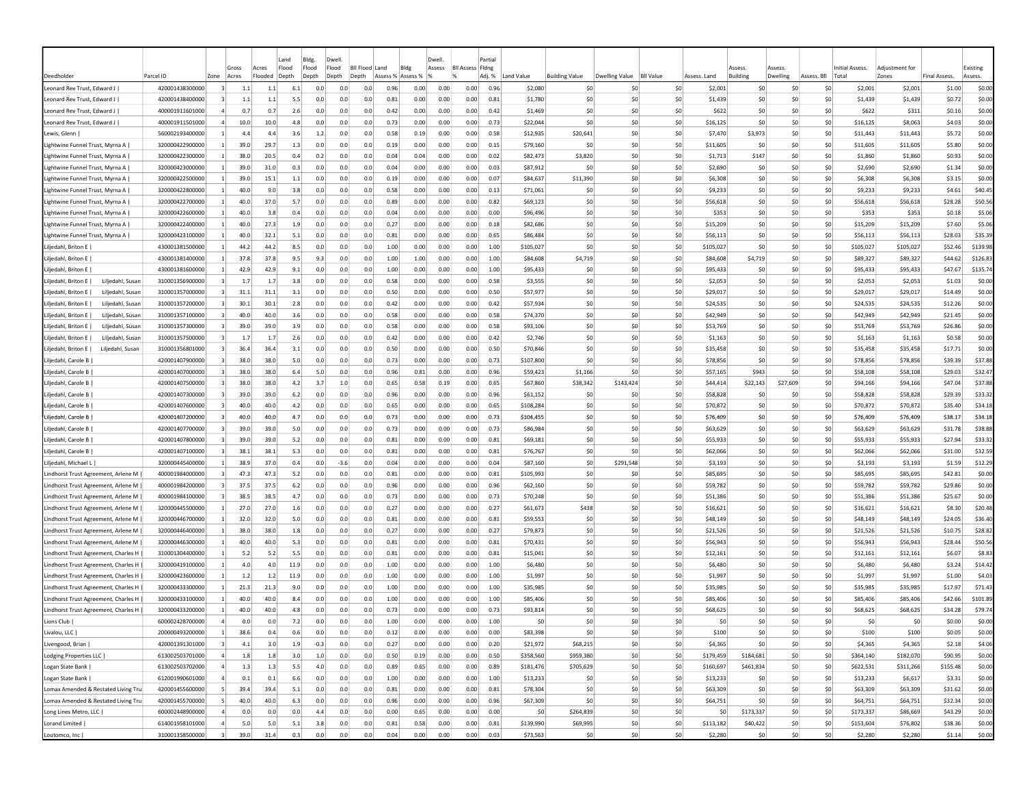|                                                                            |                                    |                | Gross                  | Land<br>Flood<br>Acres | Bldg.<br>Flood |            | Dwell<br>Flood | <b>BII Flood</b> | Land              | Bldg         | Dwell<br>Assess | <b>BII Assess Fidng</b> | Partial      |                      |                       |                       |                  |                      | <i><b>SSESS</b></i> | Assess     |                | <b>Initial Assess.</b> | Adiustment fo        |                     | Existing         |
|----------------------------------------------------------------------------|------------------------------------|----------------|------------------------|------------------------|----------------|------------|----------------|------------------|-------------------|--------------|-----------------|-------------------------|--------------|----------------------|-----------------------|-----------------------|------------------|----------------------|---------------------|------------|----------------|------------------------|----------------------|---------------------|------------------|
| Deedholde                                                                  | Parcel ID                          | Zone           | Acres                  | Flooded<br>Depth       | Depth          |            | Depth          | Depth            | Assess % Assess % |              |                 | $\alpha$                | Adj. %       | Land Value           | <b>Building Value</b> | Dwelling Value        | <b>BII Value</b> | Assess, Land         | <b>Building</b>     | Dwelling   | Assess, Bll    | Total                  | Zones                | <b>Final Assess</b> | Assess.          |
| Leonard Rev Trust. Edward J                                                | 420001438300000                    | 3              | 1.1                    | 1.1                    | 6.1            | 0.0        | 0.0            | 0.0              | 0.96              | 0.00         | 0.00            | 0.00                    | 0.96         | \$2,080              | \$C                   | -SO                   | \$0              | \$2,001              | S0                  | S0         | S0             | \$2,001                | \$2,001              | \$1.00              | \$0.00           |
| Leonard Rev Trust, Edward J                                                | 420001438400000<br>400001911601000 |                | 1.1<br>0.7             | 1.1<br>0.7             | 5.5<br>2.6     | 0.0<br>0.0 | 0.0<br>0.0     | 0.0<br>0.0       | 0.81<br>0.42      | 0.00<br>0.00 | 0.00<br>0.00    | 0.00<br>0.00            | 0.81<br>0.42 | \$1,780<br>\$1,469   | \$C<br>\$0            | \$0<br>S0             | \$0<br>\$0       | \$1,439<br>\$622     | \$0<br>S0           | \$C<br>\$0 | S0<br>\$0      | \$1,439<br><b>S622</b> | \$1,439<br>\$311     | \$0.72<br>\$0.16    | \$0.00<br>\$0.00 |
| Leonard Rev Trust, Edward J<br>Leonard Rev Trust, Edward J                 | 400001911501000                    |                | 10.0                   | 10.0                   | 4.8            | 0.0        | 0.0            | 0.0              | 0.73              | 0.00         | 0.00            | 0.00                    | 0.73         | \$22,044             | \$C                   | S0                    | \$0              | \$16,125             | \$C                 | \$0        | \$0            | \$16,125               | \$8,063              | \$4.03              | \$0.00           |
| Lewis, Glenn                                                               | 560002193400000                    |                | 4.4                    | 4.4                    | 3.6            | 1.2        | 0.0            | 0.0              | 0.58              | 0.19         | 0.00            | 0.00                    | 0.58         | \$12,935             | \$20,641              | S0                    | \$0              | \$7,470              | \$3,973             | \$C        | S0             | \$11,443               | \$11,443             | \$5.72              | \$0.00           |
| Lightwine Funnel Trust, Myrna A                                            | 320000422900000                    |                | 39.0                   | 29.7                   | 1.3            | 0.0        | 0.0            | 0.0              | 0.19              | 0.00         | 0.00            | 0.00                    | 0.15         | \$79,160             | \$C                   | \$0                   | \$0              | \$11,605             | \$0                 | \$0        | \$0            | \$11,605               | \$11,605             | \$5.80              | \$0.00           |
| Lightwine Funnel Trust, Myrna A                                            | 320000422300000                    | -11            | 38.0                   | 20.5                   | 0.4            | 0.2        | 0.0            | 0.0              | 0.04              | 0.04         | 0.00            | 0.00                    | 0.02         | \$82,473             | \$3,820               | S <sub>0</sub>        | \$0              | \$1,713              | \$147               | S0         | S0             | \$1,860                | \$1,860              | \$0.93              | \$0.00           |
| Lightwine Funnel Trust, Myrna A                                            | 320000423000000                    | -11            | 39.0                   | 31.0                   | 0.3            | 0.0        | 0.0            | 0.0              | 0.04              | 0.00         | 0.00            | 0.00                    | 0.03         | \$87,912             | \$C                   | -SO                   | \$0              | \$2,690              | \$0                 | S0         | S0             | \$2,690                | \$2,690              | \$1.34              | \$0.00           |
| Lightwine Funnel Trust, Myrna A                                            | 320000422500000                    | -11            | 39.0                   | 15.1                   | 1.1            | 0.0        | 0.0            | 0.0              | 0.19              | 0.00         | 0.00            | 0.00                    | 0.07         | \$84,637             | \$11,390              | S <sub>0</sub>        | \$0              | \$6,308              | \$0                 | \$0        | \$0            | \$6,308                | \$6,308              | \$3.15              | \$0.00           |
| Lightwine Funnel Trust, Myrna A                                            | 320000422800000                    |                | 40.0                   | 9.0                    | 3.8            | 0.0        | 0.0            | 0.0              | 0.58              | 0.00         | 0.00            | 0.00                    | 0.13         | \$71,061             | \$0                   | \$0                   | \$0              | \$9,233              | \$0                 | \$C        | \$0            | \$9,233                | \$9,233              | \$4.61              | \$40.45          |
| Lightwine Funnel Trust, Myrna A                                            | 320000422700000                    |                | 40.0                   | 37.0                   | 5.7            | 0.0        | 0.0            | 0.0              | 0.89              | 0.00         | 0.00            | 0.00                    | 0.82         | \$69,123             | \$C                   | S <sub>0</sub>        | \$0              | \$56,618             | \$C                 | \$C        | \$0            | \$56,618               | \$56,618             | \$28.28             | \$50.56          |
| Lightwine Funnel Trust, Myrna A                                            | 320000422600000                    |                | 40.0                   | 3.8                    | 0.4            | 0.0        | 0.0            | 0.0              | 0.04              | 0.00         | 0.00            | 0.00                    | 0.00         | \$96,496             | \$C                   | \$0                   | \$0              | \$353                | \$0                 | \$0        | \$0            | \$353                  | \$353                | \$0.18              | \$5.06           |
| Lightwine Funnel Trust, Myrna A                                            | 320000422400000                    |                | 40.0                   | 27.3                   | 1.9            | 0.0        | 0.0            | 0.0              | 0.27              | 0.00         | 0.00            | 0.00                    | 0.18         | \$82,686             | \$C                   | \$0                   | \$0              | \$15,209             | \$0                 | \$0        | \$0            | \$15,209               | \$15,209             | \$7.60              | \$5.06           |
| Lightwine Funnel Trust, Myrna A                                            | 320000423100000                    |                | 40.0                   | 32.1                   | 5.1            | 0.0        | 0.0            | 0.0              | 0.81              | 0.00         | 0.00            | 0.00                    | 0.65         | \$86,484             | \$C                   | S <sub>0</sub>        | \$0              | \$56,113             | \$0                 | \$0        | \$0            | \$56,113               | \$56,113             | \$28.03             | \$35.39          |
| Liljedahl, Briton E                                                        | 430001381500000                    |                | 44.2                   | 44.2                   | 8.5            | 0.0        | 0.0            | 0.0              | 1.00              | 0.00         | 0.00            | 0.00                    | 1.00         | \$105,027            | \$C                   | S <sub>0</sub>        | \$0              | \$105,027            | S0                  | \$0        | \$0            | \$105,027              | \$105,027            | \$52.46             | \$139.98         |
| Liljedahl, Briton E                                                        | 430001381400000                    |                | 37.8                   | 37.8                   | 9.5            | 9.3        | 0.0            | 0.0              | 1.00              | 1.00         | 0.00            | 0.00                    | 1.00         | \$84,608             | \$4,719               | \$0                   | \$0              | \$84,608             | \$4,719             | \$0        | \$0            | \$89,327               | \$89,327             | \$44.62             | \$126.83         |
| Liljedahl, Briton E                                                        | 430001381600000                    |                | 42.9                   | 42.9                   | 9.1            | 0.0        | 0.0            | 0.0              | 1.00              | 0.00         | 0.00            | 0.00                    | 1.00         | \$95,433             | \$C                   | S <sub>0</sub>        | \$0              | \$95,433             | \$C                 | \$0        | \$0            | \$95,433               | \$95,433             | \$47.67             | \$135.74         |
| Liljedahl, Susan<br>Liljedahl, Briton E                                    | 310001356900000                    | 3              | 1.7                    | 1.7                    | 3.8            | 0.0        | 0.0            | 0.0              | 0.58              | 0.00         | 0.00            | 0.00                    | 0.58         | \$3,555              | \$C                   | \$0                   | \$0              | \$2,053              | \$0                 | \$0        | \$0            | \$2,053                | \$2,053              | \$1.03              | \$0.00           |
| Liljedahl, Briton E  <br>Liljedahl, Susan                                  | 310001357000000                    |                | 31.1                   | 31.1                   | 3.1            | 0.0        | 0.0            | 0.0              | 0.50              | 0.00         | 0.00            | 0.00                    | 0.50         | \$57,977             | \$C                   | S <sub>0</sub>        | \$0              | \$29,017             | \$C                 | \$0        | \$0            | \$29,017               | \$29,017             | \$14.49             | \$0.00           |
| Liljedahl, Briton E  <br>Liljedahl, Susan                                  | 310001357200000                    | 3              | 30.1                   | 30.1                   | 2.8            | 0.0        | 0.0            | 0.0              | 0.42              | 0.00         | 0.00            | 0.00                    | 0.42         | \$57,934             | <b>SC</b>             | -SO                   | \$0              | \$24,535             | \$0                 | S0         | S0             | \$24,535               | \$24,535             | \$12.26             | \$0.00           |
| Liljedahl, Briton E  <br>Liljedahl, Susan                                  | 310001357100000                    | -31            | 40.0                   | 40.0                   | 3.6            | 0.0        | 0.0            | 0.0              | 0.58              | 0.00         | 0.00            | 0.00                    | 0.58         | \$74,370             | \$0                   | S <sub>0</sub>        | SO.              | \$42,949             | \$0                 | \$0        | \$0            | \$42,949               | \$42,949             | \$21.45             | \$0.00           |
| iljedahl, Briton E  <br>Liljedahl, Susan                                   | 310001357300000                    |                | 39.0                   | 39.0                   | 3.9            | 0.0        | 0.0            | 0.0              | 0.58              | 0.00         | 0.00            | 0.00                    | 0.58         | \$93,106             | \$C                   | S <sub>0</sub>        | \$0              | \$53,769             | \$0                 | \$0        | \$0            | \$53,769               | \$53,769             | \$26.86             | \$0.00           |
| iljedahl, Briton E  <br>Liljedahl, Susan                                   | 310001357500000                    |                | 1.7                    | 1.7                    | 2.6            | 0.0        | 0.0            | 0.0              | 0.42              | 0.00         | 0.00            | 0.00                    | 0.42         | \$2,746              | \$C                   | \$0                   | \$0              | \$1,163              | \$0                 | \$C        | \$0            | \$1,163                | \$1,163              | \$0.58              | \$0.00           |
| iljedahl, Briton E  <br>Liljedahl, Susan                                   | 310001356801000                    |                | 36.4                   | 36.4                   | 3.1            | 0.0        | 0.0            | 0.0              | 0.50              | 0.00         | 0.00            | 0.00                    | 0.50         | \$70,846             | \$C                   | S <sub>0</sub>        | \$0              | \$35,458             | \$0                 | \$C        | \$0            | \$35,458               | \$35,458             | \$17.71             | \$0.00           |
| Liljedahl, Carole B                                                        | 420001407900000                    |                | 38.0                   | 38.0                   | 5.0            | 0.0        | 0.0            | 0.0              | 0.73              | 0.00         | 0.00            | 0.00                    | 0.73         | \$107,800            | \$0                   | \$0                   | \$0              | \$78,856             | \$0                 | \$0        | \$0            | \$78,856               | \$78,856             | \$39.39             | \$37.88          |
| Liljedahl, Carole B                                                        | 420001407000000                    | $\vert$ 3      | 38.0                   | 38.0                   | 6.4            | 5.0        | 0.0            | 0.0              | 0.96              | 0.81         | 0.00            | 0.00                    | 0.96         | \$59,423             | \$1,166               | \$0                   | \$0              | \$57,165             | \$943               | \$0        | \$0            | \$58,108               | \$58,108             | \$29.03             | \$32.47          |
| Liljedahl, Carole B                                                        | 420001407500000                    | $\mathbf{R}$   | 38.0                   | 38.0                   | 4.2            | 3.7        | 1.0            | 0.0              | 0.65              | 0.58         | 0.19            | 0.00                    | 0.65         | \$67,860             | \$38,342              | \$143,424             | \$0              | \$44,414             | \$22,143            | \$27,609   | S0             | \$94,166               | \$94,166             | \$47.04             | \$37.88          |
| Liljedahl, Carole B                                                        | 420001407300000                    | $\vert$ 3      | 39.0                   | 39.0                   | 6.2            | 0.0        | 0.0            | 0.0              | 0.96              | 0.00         | 0.00            | 0.00                    | 0.96         | \$61.152             | \$C                   | S0                    | \$0              | \$58,828             | <b>SC</b>           | \$C        | \$0            | \$58,828               | \$58,828             | \$29.39             | \$33.32          |
| Liljedahl, Carole B                                                        | 420001407600000                    | $\vert$ 3      | 40.0                   | 40.0                   | 4.2            | 0.0        | 0.0            | 0.0              | 0.65              | 0.00         | 0.00            | 0.00                    | 0.65         | \$108,284            | \$C                   | S0                    | \$0              | \$70,872             | \$C                 | \$C        | \$0            | \$70,872               | \$70,872             | \$35.40             | \$34.18          |
| Liljedahl, Carole B                                                        | 420001407200000                    | 3              | 40.0                   | 40.0                   | 4.7            | 0.0        | 0.0            | 0.0              | 0.73              | 0.00         | 0.00            | 0.00                    | 0.73         | \$104,455            | \$C                   | S0                    | \$0              | \$76,409             | \$C                 | \$C        | \$0            | \$76,409               | \$76,409             | \$38.17             | \$34.18          |
| Liljedahl, Carole B                                                        | 420001407700000                    | 3              | 39.0                   | 39.0                   | 5.0            | 0.0        | 0.0            | 0.0              | 0.73              | 0.00         | 0.00            | 0.00                    | 0.73         | \$86,984             | \$C                   | \$0                   | \$0              | \$63,629             | \$C                 | \$0        | \$0            | \$63,629               | \$63,629             | \$31.78             | \$38.88          |
| Liljedahl, Carole B                                                        | 420001407800000                    |                | 39.0                   | 39.0                   | 5.2            | 0.0        | 0.0            | 0.0              | 0.81              | 0.00         | 0.00            | 0.00                    | 0.81         | \$69,181             | \$C                   | \$0                   | \$0              | \$55,933             | \$0                 | \$0        | S <sub>0</sub> | \$55,933               | \$55,933             | \$27.94             | \$33.32          |
| Liljedahl, Carole B                                                        | 420001407100000                    | 3              | 38.1                   | 38.1                   | 5.3            | 0.0        | 0.0            | 0.0              | 0.81              | 0.00         | 0.00            | 0.00                    | 0.81         | \$76,767             | \$0                   | -SO                   | \$0              | \$62,066             | S0                  | S0         | S0             | \$62,066               | \$62,066             | \$31.00             | \$32.59          |
| Liljedahl, Michael L                                                       | 320000445400000                    |                | 38.9                   | 37.0                   | 0.4            | 0.0        | $-3.6$         | 0.0              | 0.04              | 0.00         | 0.00            | 0.00                    | 0.04         | \$87,160             | \$0                   | \$291.548             | \$0              | \$3,193              | \$0                 | S0         | \$0            | \$3,193                | \$3,193              | \$1.59              | \$12.29          |
| Lindhorst Trust Agreement, Arlene M                                        | 400001984000000                    | 3<br>3         | 47.3                   | 47.3                   | 5.2<br>6.2     | 0.0<br>0.0 | 0.0<br>0.0     | 0.0<br>0.0       | 0.81<br>0.96      | 0.00         | 0.00            | 0.00                    | 0.81         | \$105,993            | \$0                   | S <sub>0</sub>        | SO.              | \$85.695             | \$0                 | \$0<br>\$C | \$0<br>\$0     | \$85,695               | \$85,695             | \$42.81             | \$0.00           |
| Lindhorst Trust Agreement, Arlene M<br>Lindhorst Trust Agreement, Arlene M | 400001984200000<br>400001984100000 |                | 37.5<br>38.5           | 37.5<br>38.5           | 4.7            | 0.0        | 0.0            | 0.0              | 0.73              | 0.00<br>0.00 | 0.00<br>0.00    | 0.00<br>0.00            | 0.96<br>0.73 | \$62,160<br>\$70,248 | \$0<br>\$C            | \$0<br>S <sub>0</sub> | \$0<br>\$0       | \$59,782<br>\$51,386 | \$0<br>\$C          | \$C        | \$0            | \$59,782<br>\$51,386   | \$59,782<br>\$51,386 | \$29.86<br>\$25.67  | \$0.00<br>\$0.00 |
| Lindhorst Trust Agreement, Arlene M                                        | 320000445500000                    |                | 27.0                   | 27.0                   | 1.6            | 0.0        | 0.0            | 0.0              | 0.27              | 0.00         | 0.00            | 0.00                    | 0.27         | \$61,673             | \$438                 | \$0                   | \$0              | \$16,621             | \$0                 | \$0        | \$0            | \$16,621               | \$16,621             | \$8.30              | \$20.48          |
| Lindhorst Trust Agreement, Arlene M                                        | 320000446700000                    |                | 32.0                   | 32.0                   | 5.0            | 0.0        | 0.0            | 0.0              | 0.81              | 0.00         | 0.00            | 0.00                    | 0.81         | \$59,553             | \$C                   | S <sub>0</sub>        | \$0              | \$48,149             | \$0                 | \$0        | \$0            | \$48,149               | \$48,149             | \$24.05             | \$36.40          |
| Lindhorst Trust Agreement, Arlene M                                        | 320000446400000                    |                | 38.0                   | 38.0                   | 1.8            | 0.0        | 0.0            | 0.0              | 0.27              | 0.00         | 0.00            | 0.00                    | 0.27         | \$79,873             | \$C                   | -SO                   | \$0              | \$21,526             | \$0                 | \$0        | S0             | \$21,526               | \$21,526             | \$10.75             | \$28.82          |
| Lindhorst Trust Agreement, Arlene M                                        | 320000446300000                    |                | 40.0                   | 40.0                   | 5.3            | 0.0        | 0.0            | 0.0              | 0.81              | 0.00         | 0.00            | 0.00                    | 0.81         | \$70,431             | \$0                   | S <sub>0</sub>        | \$0              | \$56,943             | \$0                 | \$0        | \$0            | \$56,943               | \$56,943             | \$28.44             | \$50.56          |
| Lindhorst Trust Agreement, Charles H                                       | 310001304400000                    |                | 5.2                    | 5.2                    | 5.5            | 0.0        | 0.0            | 0.0              | 0.81              | 0.00         | 0.00            | 0.00                    | 0.81         | \$15,041             | \$C                   | \$0                   | \$0              | \$12,161             | \$0                 | \$C        | \$0            | \$12,161               | \$12,161             | \$6.07              | \$8.83           |
| Lindhorst Trust Agreement, Charles H                                       | 320000419100000                    |                | 4.0                    | 4.0                    | 11.9           | 0.0        | 0.0            | 0.0              | 1.00              | 0.00         | 0.00            | 0.00                    | 1.00         | \$6,480              | \$C                   | S <sub>0</sub>        | \$0              | \$6,480              | \$0                 | \$C        | \$0            | \$6,480                | \$6,480              | \$3.24              | \$14.42          |
| Lindhorst Trust Agreement, Charles H                                       | 320000423600000                    |                | 1.2                    | $1.2$                  | 11.9           | 0.0        | 0.0            | 0.0              | 1.00              | 0.00         | 0.00            | 0.00                    | 1.00         | \$1,997              | \$C                   | \$0                   | \$0              | \$1,997              | \$C                 | \$0        | \$0            | \$1,997                | \$1,997              | \$1.00              | \$4.03           |
| Lindhorst Trust Agreement, Charles H                                       | 320000433300000                    | -11            | 21.3                   | 21.3                   | 9.0            | 0.0        | 0.0            | 0.0              | 1.00              | 0.00         | 0.00            | 0.00                    | 1.00         | \$35,985             | S0                    | -SO                   | SO.              | \$35,985             | \$0                 | S0         | S0             | \$35,985               | \$35,985             | \$17.97             | \$71.43          |
| Lindhorst Trust Agreement, Charles H                                       | 320000433100000                    |                | 40.0                   | 40.0                   | 8.4            | 0.0        | 0.0            | 0.0              | 1.00              | 0.00         | 0.00            | 0.00                    | 1.00         | \$85,406             | <b>SC</b>             | -SO                   | \$0              | \$85,406             | -SC                 | so         | -SO            | \$85,406               | \$85,406             | \$42.66             | \$101.89         |
| Lindhorst Trust Agreement, Charles H                                       | 320000433200000                    |                | 40.0                   | 40.0                   | 4.8            | 0.0        | 0.0            | 0.0              | 0.73              | 0.00         | 0.00            | 0.00                    | 0.73         | \$93.814             | \$0                   | S <sub>0</sub>        | \$0              | \$68,625             | \$0                 | \$C        | \$0            | \$68,625               | \$68,625             | \$34.28             | \$79.74          |
| Lions Club                                                                 | 600002428700000                    |                | 0.0                    | 0.0                    | 7.2            | 0.0        | 0.0            | 0.0              | 1.00              | 0.00         | 0.00            | 0.00                    | 1.00         | \$0                  | \$0                   | S0                    | \$0              | \$0                  | S0                  | \$0        | \$0            | 50                     | \$0                  | \$0.00              | \$0.00           |
| Livalou, LLC                                                               | 200000493200000                    |                | 38.6<br>$\mathbf{1}$   | 0.4                    | 0.6            | 0.0        | 0.0            | 0.0              | 0.12              | 0.00         | 0.00            | 0.00                    | 0.00         | \$83,398             | \$0                   | \$0                   | \$0              | \$100                | \$0                 | \$0        | \$0            | \$100                  | \$100                | \$0.05              | \$0.00           |
| ivengood, Brian                                                            | 420001391301000                    | $\vert$ 3      | 4.1                    | 3.0                    | 1.9            | $-0.3$     | 0.0            | 0.0              | 0.27              | 0.00         | 0.00            | 0.00                    | 0.20         | \$21,972             | \$68,215              | \$0                   | \$0              | \$4,365              | \$0                 | 50         | \$0            | \$4,365                | \$4,365              | \$2.18              | \$4.06           |
| Lodging Properties LLC                                                     | 613002503701000                    | $\overline{a}$ | 1.8                    | 1.8                    | 3.0            | 1.0        | 0.0            | 0.0              | 0.50              | 0.19         | 0.00            | 0.00                    | 0.50         | \$358,560            | \$959,380             | \$0                   | \$0              | \$179,459            | \$184,681           | 50         | \$0            | \$364,140              | \$182,070            | \$90.95             | \$0.00           |
| Logan State Bank                                                           | 613002503702000                    | $\overline{a}$ | 1.3                    | 1.3                    | 5.5            | 4.0        | 0.0            | 0.0              | 0.89              | 0.65         | 0.00            | 0.00                    | 0.89         | \$181,476            | \$705,629             | 50                    | \$0              | \$160,697            | \$461,834           | 50         | \$0            | \$622,531              | \$311,266            | \$155.48            | \$0.00           |
| Logan State Bank                                                           | 612001990601000                    | $\overline{a}$ | 0.1                    | 0.1                    | 6.6            | 0.0        | 0.0            | 0.0              | 1.00              | 0.00         | 0.00            | 0.00                    | 1.00         | \$13,233             | \$0                   | 50                    | \$0              | \$13,233             | \$0                 | 50         | 50             | \$13,233               | \$6,617              | \$3.31              | \$0.00           |
| Lomax Amended & Restated Living Tru:                                       | 420001455600000                    |                | 5 <sup>1</sup><br>39.4 | 39.4                   | 5.1            | 0.0        | 0.0            | 0.0              | 0.81              | 0.00         | 0.00            | 0.00                    | 0.81         | \$78,304             | \$0                   | \$0                   | \$0              | \$63,309             | \$0                 | 50         | \$0            | \$63,309               | \$63,309             | \$31.62             | \$0.00           |
| Lomax Amended & Restated Living Tru:                                       | 420001455700000                    | $\mathbf{5}$   | 40.0                   | 40.0                   | 6.3            | 0.0        | 0.0            | 0.0              | 0.96              | 0.00         | 0.00            | 0.00                    | 0.96         | \$67,309             | \$0                   | \$0                   | \$0              | \$64,751             | \$0                 | 50         | \$0            | \$64,751               | \$64,751             | \$32.34             | \$0.00           |
| Long Lines Metro, LLC                                                      | 600002448900000                    | $\overline{4}$ | 0.0                    | 0.0                    | 0.0            | 4.4        | 0.0            | 0.0              | 0.00              | 0.65         | 0.00            | 0.00                    | 0.00         | \$0                  | \$264,839             | \$0                   | \$0              | \$0                  | \$173,337           | 50         | \$0            | \$173,337              | \$86,669             | \$43.29             | \$0.00           |
| Lorand Limited                                                             | 614001958101000                    | $\overline{a}$ | 5.0                    | 5.0                    | 5.1            | 3.8        | 0.0            | 0.0              | 0.81              | 0.58         | 0.00            | 0.00                    | 0.81         | \$139,990            | \$69,995              | \$0                   | \$0              | \$113,182            | \$40,422            | 50         | \$0            | \$153,604              | \$76,802             | \$38.36             | \$0.00           |
| Loutomco, Inc                                                              | 310001358500000                    | $\vert$ 3      | 39.0                   | 31.4                   | 0.3            | 0.0        | 0.0            | 0.0              | 0.04              | 0.00         | 0.00            | 0.00                    | 0.03         | \$73,563             | \$0                   | \$0                   | \$0              | \$2,280              | \$0                 | 50         | \$0            | \$2,280                | \$2,280              | \$1.14              | \$0.00           |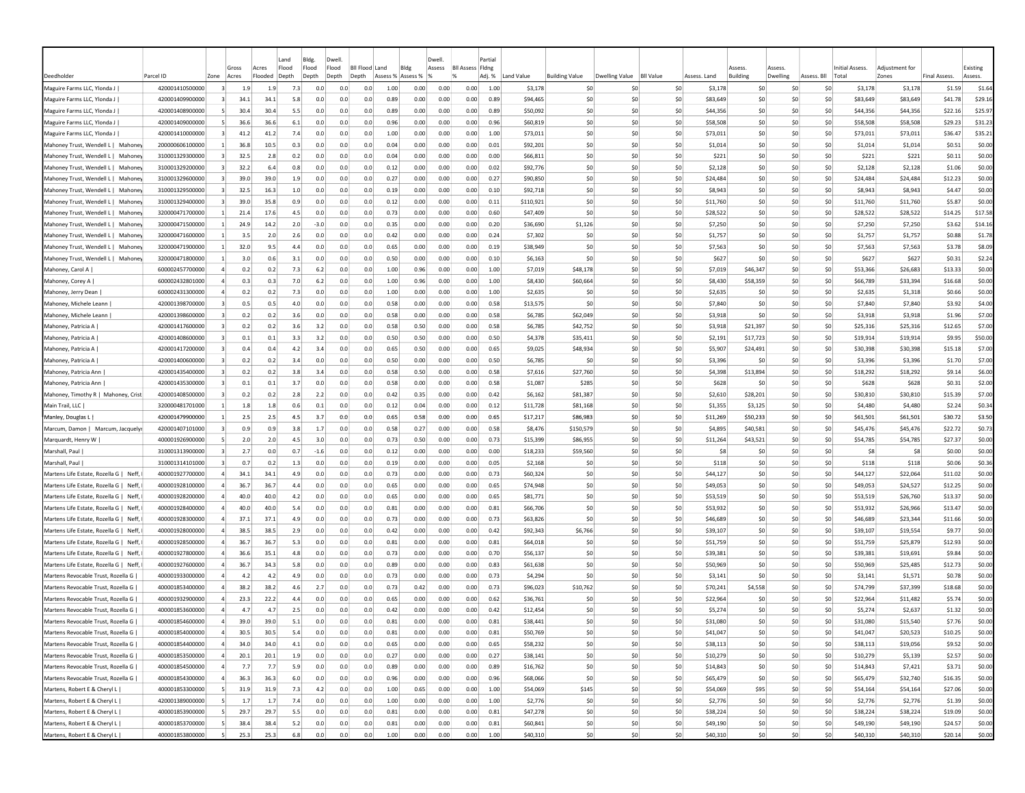|                                                              |                                    |                          |            |            | Land       | Bldg.      | Dwell                     |            |                   |              | Dwell        |                         | Partial      |                    |                       |                   |                  |                    |                       |          |             |                                   |                     |                     |                  |
|--------------------------------------------------------------|------------------------------------|--------------------------|------------|------------|------------|------------|---------------------------|------------|-------------------|--------------|--------------|-------------------------|--------------|--------------------|-----------------------|-------------------|------------------|--------------------|-----------------------|----------|-------------|-----------------------------------|---------------------|---------------------|------------------|
|                                                              |                                    |                          | Gross      | Acres      | Flood      | Flood      | Flood<br><b>BII Flood</b> |            | Land              | Bldg         | Assess       | <b>Bll Assess Fldng</b> |              |                    |                       |                   |                  |                    | ssess                 | Assess   |             | Initial Assess                    | Adiustment for      |                     | Existing         |
| Deedholder                                                   | Parcel ID                          | Zone                     | Acres      | Flooded    | Depth      | Depth      | Depth<br>Depth            |            | Assess % Assess % |              |              |                         | Adj. %       | Land Value         | <b>Building Value</b> | Dwelling Value    | <b>BII Value</b> | Assess, Land       | <b>Building</b>       | Dwelling | Assess. Bll | Total                             | Zones               | <b>Final Assess</b> | Assess.          |
| Maguire Farms LLC, Ylonda J                                  | 420001410500000                    | $\overline{3}$           | 1.9        | 1.9        | 7.3        | 0.0        | 0.0                       | 0.0        | 1.00              | 0.00         | 0.00         | 0.00                    | 1.00         | \$3,178            |                       | \$0<br>-SO        | \$0              | \$3,178            | -SO                   |          | -SO         | \$3,178<br>S0                     | \$3,178             | \$1.59              | \$1.64           |
| Maguire Farms LLC, Ylonda J                                  | 420001409900000                    |                          | 34.1       | 34.1       | 5.8        | 0.0        | 0.0                       | 0.0        | 0.89              | 0.00         | 0.00         | 0.00                    | 0.89         | \$94,465           |                       | \$0<br>\$0        | \$0              | \$83,649           | \$0                   |          | \$0         | \$0<br>\$83,649                   | \$83,649            | \$41.78             | \$29.16          |
| Maguire Farms LLC, Ylonda J                                  | 420001408900000                    |                          | 30.4       | 30.4       | 5.5        | 0.0        | 0.0                       | 0.0        | 0.89              | 0.00         | 0.00         | 0.00                    | 0.89         | \$50,092           |                       | \$0<br>\$0        | \$0              | \$44,356           | S <sub>0</sub>        |          | \$0         | \$0<br>\$44,356                   | \$44,356            | \$22.16             | \$25.97          |
| Maguire Farms LLC, Ylonda J                                  | 420001409000000                    | -5                       | 36.6       | 36.6       | 6.1        | 0.0        | 0.0                       | 0.0        | 0.96              | 0.00         | 0.00         | 0.00                    | 0.96         | \$60,819           |                       | \$0<br>-SO        | \$0              | \$58,508           | \$0                   |          | \$0         | \$0<br>\$58,508                   | \$58,508            | \$29.23             | \$31.23          |
| Maguire Farms LLC, Ylonda J                                  | 420001410000000                    |                          | 41.2       | 41.2       | 7.4        | 0.0        | 0.0                       | 0.0        | 1.00              | 0.00         | 0.00         | 0.00                    | 1.00         | \$73,011           |                       | \$C<br>-SO        | \$0              | \$73,011           | \$0                   |          | \$0         | \$0<br>\$73,011                   | \$73,011            | \$36.47             | \$35.21          |
| Mahoney Trust, Wendell L   Mahoney                           | 200000606100000                    |                          | 36.8       | 10.5       | 0.3        | 0.0        | 0.0                       | 0.0        | 0.04              | 0.00         | 0.00         | 0.00                    | 0.01         | \$92,201           |                       | \$0<br>\$0        | \$0              | \$1,014            | \$0                   |          | \$0         | \$0<br>\$1,014                    | \$1,014             | \$0.51              | \$0.00           |
| Mahoney Trust, Wendell L   Mahone                            | 310001329300000                    | -31                      | 32.5       | 2.8        | 0.2        | 0.0        | 0.0                       | 0.0        | 0.04              | 0.00         | 0.00         | 0.00                    | 0.00         | \$66,811           |                       | \$0<br>\$0        | \$0              |                    | \$221<br>S0           |          | S0          | S0<br>\$221                       | \$221               | \$0.11              | \$0.00           |
| Mahoney Trust, Wendell L   Mahone                            | 310001329200000                    | -31                      | 32.2       | 6.4        | 0.8        | 0.0        | 0.0                       | 0.0        | 0.12              | 0.00         | 0.00         | 0.00                    | 0.02         | \$92,776           |                       | \$0<br>-SO        | \$0              | \$2,128            | S0                    |          | S0          | S0<br>\$2,128                     | \$2,128             | \$1.06              | \$0.00           |
| Mahoney Trust, Wendell L   Mahone                            | 310001329600000                    | -31                      | 39.0       | 39.0       | 1.9        | 0.0        | 0.0                       | 0.0        | 0.27              | 0.00         | 0.00         | 0.00                    | 0.27         | \$90,850           |                       | \$0<br>-SO        | \$0              | \$24,484           | S <sub>0</sub>        |          | \$0         | \$0<br>\$24,484                   | \$24,484            | \$12.23             | \$0.00           |
| Mahoney Trust, Wendell L  <br>Mahone                         | 310001329500000                    |                          | 32.5       | 16.3       | 1.0        | 0.0        | 0.0                       | 0.0        | 0.19              | 0.00         | 0.00         | 0.00                    | 0.10         | \$92,718           |                       | \$0<br>\$0        | \$0              | \$8,943            | \$0                   |          | \$0         | \$0<br>\$8,943                    | \$8,943             | \$4.47              | \$0.00           |
| Mahoney Trust, Wendell L  <br>Mahone                         | 310001329400000                    |                          | 39.0       | 35.8       | 0.9        | 0.0        | 0.0                       | 0.0        | 0.12              | 0.00         | 0.00         | 0.00                    | 0.11         | \$110,921          |                       | \$C<br>-SO        | \$0              | \$11,760           | \$0                   |          | \$C         | \$0<br>\$11,760                   | \$11,760            | \$5.87              | \$0.00           |
| Mahoney Trust, Wendell L  <br>Mahone                         | 320000471700000                    |                          | 21.4       | 17.6       | 4.5        | 0.0        | 0.0                       | 0.0        | 0.73              | 0.00         | 0.00         | 0.00                    | 0.60         | \$47,409           |                       | \$0<br>\$0        | \$0              | \$28,522           | \$0                   |          | \$0         | \$0<br>\$28,522                   | \$28,522            | \$14.25             | \$17.58          |
| Mahoney Trust, Wendell L  <br>Mahone                         | 320000471500000                    |                          | 24.9       | 14.2       | 2.0        | $-3.0$     | 0.0                       | 0.0        | 0.35              | 0.00         | 0.00         | 0.00                    | 0.20         | \$36,690           | \$1,126               | \$0               | \$0              | \$7,250            | \$0                   |          | \$0         | \$0<br>\$7,250                    | \$7,250             | \$3.62              | \$14.16          |
| Mahoney Trust, Wendell L  <br>Mahone                         | 320000471600000                    |                          | 3.5        | 2.0        | 2.6        | 0.0        | 0.0                       | 0.0        | 0.42              | 0.00         | 0.00         | 0.00                    | 0.24         | \$7,302            |                       | \$0<br>\$0        | \$0              | \$1,757            | \$0                   |          | \$0         | \$0<br>\$1,757                    | \$1,757             | \$0.88              | \$1.78           |
| Mahoney Trust, Wendell L  <br>Mahone                         | 320000471900000                    |                          | 32.0       | 9.5        | 4.4        | 0.0        | 0.0                       | 0.0        | 0.65              | 0.00         | 0.00         | 0.00                    | 0.19         | \$38,949           |                       | \$0<br>\$0        | \$0              | \$7,563            | S <sub>0</sub>        |          | \$0         | \$0<br>\$7,563                    | \$7,563             | \$3.78              | \$8.09           |
| Mahoney Trust, Wendell L   Mahone                            | 320000471800000                    |                          | 3.0        | 0.6        | 3.1        | 0.0        | 0.0                       | 0.0        | 0.50              | 0.00         | 0.00         | 0.00                    | 0.10         | \$6.163            |                       | \$0<br>\$0        | \$0              |                    | \$627<br>\$0          |          | \$0         | \$0<br>\$627                      | \$627               | \$0.31              | \$2.24           |
| Mahoney, Carol A                                             | 600002457700000                    |                          | 0.2        | 0.2        | 7.3        | 6.2        | 0.0                       | 0.0        | 1.00              | 0.96         | 0.00         | 0.00                    | 1.00         | \$7,019            | \$48,178              | -SO               | \$0              | \$7,019            | \$46,347              |          | \$0         | \$0<br>\$53,366                   | \$26,683            | \$13.33             | \$0.00           |
| Mahoney, Corey A                                             | 600002432801000                    |                          | 0.3        | 0.3        | 7.0        | 6.2        | 0.0                       | 0.0        | 1.00              | 0.96         | 0.00         | 0.00                    | 1.00         | \$8,430            | \$60,664              | \$0               | \$0              | \$8,430            | \$58,359              |          | \$0         | \$0<br>\$66,789                   | \$33,394            | \$16.68             | \$0.00           |
| Mahoney, Jerry Dean                                          | 600002431300000                    |                          | 0.2        | 0.2        | 7.3        | 0.0        | 0.0<br>0.0                | 0.0        | 1.00              | 0.00         | 0.00         | 0.00                    | 1.00         | \$2,635            |                       | \$C<br>\$0<br>-SO | \$0              | \$2,635            | \$0                   |          | \$0<br>S0   | \$0<br>\$2,635                    | \$1,318             | \$0.66              | \$0.00           |
| Mahoney, Michele Leann                                       | 420001398700000<br>420001398600000 |                          | 0.5        | 0.5        | 4.0        | 0.0        |                           | 0.0        | 0.58<br>0.58      | 0.00<br>0.00 | 0.00         | 0.00<br>0.00            | 0.58         | \$13,575           |                       | \$0<br>-SO        | \$0<br>\$0       | \$7,840<br>\$3,918 | -SO<br>S <sub>0</sub> |          | S0          | S0<br>\$7,840<br>\$0              | \$7,840             | \$3.92              | \$4.00           |
| Mahoney, Michele Leann                                       |                                    |                          | 0.2        | 0.2        | 3.6        | 0.0        | 0.0                       | 0.0        |                   |              | 0.00         |                         | 0.58         | \$6,785            | \$62,049              |                   |                  |                    |                       |          |             | \$3,918                           | \$3,918             | \$1.96              | \$7.00           |
| Mahoney, Patricia A                                          | 420001417600000<br>420001408600000 |                          | 0.2        | 0.2        | 3.6        | 3.2        | 0.0<br>0.0                | 0.0<br>0.0 | 0.58              | 0.50         | 0.00         | 0.00                    | 0.58         | \$6,785            | \$42,752              | \$0               | \$0              | \$3,918            | \$21,397              |          | \$0         | \$0<br>\$25,316                   | \$25,316            | \$12.65             | \$7.00           |
| Mahoney, Patricia A<br>Mahoney, Patricia A                   | 420001417200000                    |                          | 0.1        | 0.1<br>0.4 | 3.3<br>4.2 | 3.2<br>3.4 | 0.0                       |            | 0.50              | 0.50         | 0.00         | 0.00                    | 0.50         | \$4,378            | \$35,411              | \$0               | \$0              | \$2,191            | \$17,723              |          | \$0<br>\$0  | \$0<br>\$19,914<br>\$0            | \$19,914            | \$9.95              | \$50.00          |
|                                                              |                                    |                          | 0.4        |            |            |            |                           | 0.0        | 0.65              | 0.50         | 0.00         | 0.00                    | 0.65         | \$9,025            | \$48,934              | \$0               | \$0              | \$5,907            | \$24,491              |          |             | \$30,398                          | \$30,398            | \$15.18             | \$7.00           |
| Mahoney, Patricia A                                          | 420001400600000<br>420001435400000 |                          | 0.2<br>0.2 | 0.2<br>0.2 | 3.4<br>3.8 | 0.0<br>3.4 | 0.0<br>0.0                | 0.0<br>0.0 | 0.50<br>0.58      | 0.00<br>0.50 | 0.00<br>0.00 | 0.00<br>0.00            | 0.50<br>0.58 | \$6,785            | \$27,760              | \$0<br>\$0<br>\$0 | \$0<br>\$0       | \$3,396<br>\$4,398 | \$0<br>\$13,894       |          | \$0<br>S0   | \$0<br>\$3,396<br>\$0<br>\$18,292 | \$3,396<br>\$18,292 | \$1.70<br>\$9.14    | \$7.00<br>\$6.00 |
| Mahoney, Patricia Ann                                        | 420001435300000                    |                          | 0.1        | 0.1        | 3.7        | 0.0        | 0.0                       | 0.0        | 0.58              | 0.00         | 0.00         | 0.00                    | 0.58         | \$7,616<br>\$1,087 |                       | \$0               | \$0              |                    | \$628<br>S0           |          | \$0         | \$0<br>\$628                      | \$628               | \$0.31              | \$2.00           |
| Mahoney, Patricia Ann<br>Mahoney, Timothy R   Mahoney, Crist | 420001408500000                    |                          | 0.2        | 0.2        | 2.8        | 2.2        | 0.0                       | 0.0        | 0.42              | 0.35         | 0.00         | 0.00                    | 0.42         | \$6,162            | \$285<br>\$81,387     | \$0               | \$0              | \$2,610            | \$28,201              |          | \$0         | \$30,810<br>\$0                   | \$30,810            | \$15.39             | \$7.00           |
| Main Trail, LLC                                              | 320000481701000                    |                          | 1.8        | 1.8        | 0.6        | 0.1        | 0.0                       | 0.0        | 0.12              | 0.04         | 0.00         | 0.00                    | 0.12         | \$11,728           | \$81,168              | -SO               | \$0              | \$1,355            | \$3,125               |          | \$0         | \$0<br>\$4,480                    | \$4,480             | \$2.24              | \$0.34           |
| Manley, Douglas L                                            | 420001479900000                    |                          | 2.5        | 2.5        | 4.5        | 3.7        | 0.0                       | 0.0        | 0.65              | 0.58         | 0.00         | 0.00                    | 0.65         | \$17,217           | \$86,983              | -SO               | \$0              | \$11,269           | \$50,233              |          | \$0         | \$0<br>\$61,501                   | \$61,501            | \$30.72             | \$3.50           |
| Marcum, Damon   Marcum, Jacquely                             | 420001407101000                    |                          | 0.9        | 0.9        | 3.8        | 1.7        | 0.0                       | 0.0        | 0.58              | 0.27         | 0.00         | 0.00                    | 0.58         | \$8,476            | \$150,579             | \$0               | \$0              | \$4,895            | \$40,581              |          | \$0         | \$0<br>\$45,476                   | \$45,476            | \$22.72             | \$0.73           |
| Marquardt, Henry W                                           | 400001926900000                    |                          | 2.0        | 2.0        | 4.5        | 3.0        | 0.0                       | 0.0        | 0.73              | 0.50         | 0.00         | 0.00                    | 0.73         | \$15,399           | \$86,955              | \$0               | \$0              | \$11,264           | \$43,521              |          | \$0         | \$54,785<br>S <sub>0</sub>        | \$54,785            | \$27.37             | \$0.00           |
| Marshall, Paul                                               | 310001313900000                    |                          | 2.7        | 0.0        | 0.7        | $-1.6$     | 0.0                       | 0.0        | 0.12              | 0.00         | 0.00         | 0.00                    | 0.00         | \$18,233           | \$59,560              | S0                | \$0              |                    | -S8<br>-SO            |          | S0          | S0                                | <b>S8</b><br>S8     | \$0.00              | \$0.00           |
| Marshall, Paul                                               | 310001314101000                    |                          | 0.7        | 0.2        | 1.3        | 0.0        | 0.0                       | 0.0        | 0.19              | 0.00         | 0.00         | 0.00                    | 0.05         | \$2,168            |                       | \$0<br>S0         | \$0              |                    | \$118<br>\$0          |          | \$0         | \$0<br>\$118                      | \$118               | \$0.06              | \$0.36           |
| Martens Life Estate, Rozella G   Neff.                       | 400001927700000                    |                          | 34.1       | 34.1       | 4.9        | 0.0        | 0.0                       | 0.0        | 0.73              | 0.00         | 0.00         | 0.00                    | 0.73         | \$60,324           |                       | \$0<br>-SO        | \$0              | \$44,127           | S <sub>0</sub>        |          | \$0         | \$44,127<br>\$0                   | \$22,064            | \$11.02             | \$0.00           |
| Martens Life Estate, Rozella G   Neff,                       | 400001928100000                    |                          | 36.7       | 36.7       | 4.4        | 0.0        | 0.0                       | 0.0        | 0.65              | 0.00         | 0.00         | 0.00                    | 0.65         | \$74,948           |                       | \$0<br>\$0        | \$0              | \$49,053           | \$0                   |          | \$0         | \$0<br>\$49,053                   | \$24,527            | \$12.25             | \$0.00           |
| Martens Life Estate, Rozella G   Neff,                       | 400001928200000                    |                          | 40.0       | 40.0       | 4.2        | 0.0        | 0.0                       | 0.0        | 0.65              | 0.00         | 0.00         | 0.00                    | 0.65         | \$81,771           |                       | \$0<br>-SO        | \$0              | \$53,519           | \$0                   |          | \$C         | \$0<br>\$53,519                   | \$26,760            | \$13.37             | \$0.00           |
| Martens Life Estate, Rozella G   Neff,                       | 400001928400000                    |                          | 40.0       | 40.0       | 5.4        | 0.0        | 0.0                       | 0.0        | 0.81              | 0.00         | 0.00         | 0.00                    | 0.81         | \$66,706           |                       | \$C<br>\$0        | \$0              | \$53,932           | \$0                   |          | \$0         | \$0<br>\$53,932                   | \$26,966            | \$13.47             | \$0.00           |
| Martens Life Estate, Rozella G   Neff,                       | 400001928300000                    |                          | 37.1       | 37.1       | 4.9        | 0.0        | 0.0                       | 0.0        | 0.73              | 0.00         | 0.00         | 0.00                    | 0.73         | \$63,826           |                       | \$0<br>\$0        | \$0              | \$46,689           | \$0                   |          | \$0         | \$0<br>\$46,689                   | \$23,344            | \$11.66             | \$0.00           |
| Martens Life Estate, Rozella G   Neff                        | 400001928000000                    |                          | 38.5       | 38.5       | 2.9        | 0.0        | 0.0                       | 0.0        | 0.42              | 0.00         | 0.00         | 0.00                    | 0.42         | \$92,343           | \$6,766               | \$0               | \$0              | \$39,107           | \$0                   |          | \$0         | \$0<br>\$39,107                   | \$19,554            | \$9.77              | \$0.00           |
| Martens Life Estate, Rozella G   Neff,                       | 400001928500000                    |                          | 36.7       | 36.7       | 5.3        | 0.0        | 0.0                       | 0.0        | 0.81              | 0.00         | 0.00         | 0.00                    | 0.81         | \$64,018           |                       | \$0<br>\$0        | \$0              | \$51,759           | \$0                   |          | \$0         | \$0<br>\$51,759                   | \$25,879            | \$12.93             | \$0.00           |
| Martens Life Estate, Rozella G   Neff,                       | 400001927800000                    | $\overline{a}$           | 36.6       | 35.1       | 4.8        | 0.0        | 0.0                       | 0.0        | 0.73              | 0.00         | 0.00         | 0.00                    | 0.70         | \$56,137           |                       | \$0<br>\$0        | \$0              | \$39,381           | \$0                   |          | \$0         | \$0<br>\$39,381                   | \$19,691            | \$9.84              | \$0.00           |
| Martens Life Estate, Rozella G   Neff,                       | 400001927600000                    |                          | 36.7       | 34.3       | 5.8        | 0.0        | 0.0                       | 0.0        | 0.89              | 0.00         | 0.00         | 0.00                    | 0.83         | \$61,638           |                       | \$0<br>-SO        | \$0              | \$50,969           | \$0                   |          | \$0         | \$0<br>\$50,969                   | \$25,485            | \$12.73             | \$0.00           |
| Martens Revocable Trust. Rozella G                           | 400001933000000                    |                          | 4.2        | 4.2        | 4.9        | 0.0        | 0.0                       | 0.0        | 0.73              | 0.00         | 0.00         | 0.00                    | 0.73         | \$4,294            |                       | \$0<br>\$0        | \$0              | \$3,141            | \$0                   |          | \$0         | \$0<br>\$3,141                    | \$1,571             | \$0.78              | \$0.00           |
| Martens Revocable Trust. Rozella G                           | 400001853400000                    |                          | 38.2       | 38.2       | 4.6        | 2.7        | 0.0                       | 0.0        | 0.73              | 0.42         | 0.00         | 0.00                    | 0.73         | \$96,023           | \$10,762              | -SO               | \$0              | \$70,241           | \$4,558               |          | S0          | S0<br>\$74,799                    | \$37,399            | \$18.68             | \$0.00           |
| Martens Revocable Trust, Rozella G                           | 400001932900000                    |                          | 23.3       | 22.2       | 4.4        | 0.0        | 0.0                       | 0.0        | 0.65              | 0.00         | 0.00         | 0.00                    | 0.62         | \$36,761           |                       | -SO<br>-SO        | \$0              | \$22,964           | -SO                   |          | S0          | S0<br>\$22,964                    | \$11,482            | \$5.74              | \$0.00           |
| Martens Revocable Trust, Rozella G                           | 400001853600000                    |                          | 4.7        | 4.7        | 2.5        | 0.0        | 0.0                       | 0.0        | 0.42              | 0.00         | 0.00         | 0.00                    | 0.42         | \$12,454           |                       | \$0<br>-SO        | \$0              | \$5,274            | S <sub>0</sub>        |          | \$0         | \$0<br>\$5,274                    | \$2,637             | \$1.32              | \$0.00           |
| Martens Revocable Trust, Rozella G                           | 400001854600000                    |                          | 39.0       | 39.0       | 5.1        | 0.0        | 0.0                       | 0.0        | 0.81              | 0.00         | 0.00         | 0.00                    | 0.81         | \$38,441           |                       | \$0<br>-SO        | \$0              | \$31,080           | S <sub>0</sub>        |          | \$0         | \$0<br>\$31,080                   | \$15,540            | \$7.76              | \$0.00           |
| Martens Revocable Trust, Rozella G                           | 400001854000000                    | $\overline{4}$           | 30.5       | 30.5       | 5.4        | 0.0        | 0.0                       | 0.0        | 0.81              | 0.00         | 0.00         | 0.00                    | 0.81         | \$50,769           |                       | \$0<br>\$0        | \$0              | \$41,047           | \$0                   |          | \$0         | \$0<br>\$41,047                   | \$20,523            | \$10.25             | \$0.00           |
| Martens Revocable Trust, Rozella G                           | 400001854400000                    | $\overline{4}$           | 34.0       | 34.0       | 4.1        | 0.0        | 0.0                       | 0.0        | 0.65              | 0.00         | 0.00         | 0.00                    | 0.65         | \$58,232           |                       | \$0<br>\$0        | \$0              | \$38,113           | \$0                   |          | \$0         | \$0<br>\$38,113                   | \$19,056            | \$9.52              | \$0.00           |
| Martens Revocable Trust, Rozella G                           | 400001853500000                    | $\overline{4}$           | 20.1       | 20.1       | 1.9        | 0.0        | 0.0                       | 0.0        | 0.27              | 0.00         | 0.00         | 0.00                    | 0.27         | \$38,141           |                       | \$0<br>\$0        | \$0              | \$10,279           | \$0                   |          | \$0         | \$0<br>\$10,279                   | \$5,139             | \$2.57              | \$0.00           |
| Martens Revocable Trust, Rozella G                           | 400001854500000                    | $\vert$                  | 7.7        | 7.7        | 5.9        | 0.0        | 0.0                       | 0.0        | 0.89              | 0.00         | 0.00         | 0.00                    | 0.89         | \$16,762           |                       | 50<br>\$0         | \$0              | \$14,843           | \$0                   |          | 50          | \$0<br>\$14,843                   | \$7,421             | \$3.71              | \$0.00           |
| Martens Revocable Trust, Rozella G                           | 400001854300000                    | $\overline{a}$           | 36.3       | 36.3       | 6.0        | 0.0        | 0.0                       | 0.0        | 0.96              | 0.00         | 0.00         | 0.00                    | 0.96         | \$68,066           |                       | \$0<br>50         | \$0              | \$65,479           | \$0                   |          | 50          | 50<br>\$65,479                    | \$32,740            | \$16.35             | \$0.00           |
| Martens, Robert E & Cheryl L                                 | 400001853300000                    | -51                      | 31.9       | 31.9       | 7.3        | 4.2        | 0.0                       | 0.0        | 1.00              | 0.65         | 0.00         | 0.00                    | 1.00         | \$54,069           |                       | \$145<br>\$0      | \$0              | \$54,069           | \$95                  |          | 50          | 50<br>\$54,164                    | \$54,164            | \$27.06             | \$0.00           |
| Martens, Robert E & Cheryl L                                 | 420001389000000                    | $\overline{\phantom{a}}$ | 1.7        | 1.7        | 7.4        | 0.0        | 0.0                       | 0.0        | 1.00              | 0.00         | 0.00         | 0.00                    | 1.00         | \$2,776            |                       | \$0<br>\$0        | \$0              | \$2,776            | \$0                   |          | 50          | \$0<br>\$2,776                    | \$2,776             | \$1.39              | \$0.00           |
| Martens, Robert E & Cheryl L                                 | 400001853900000                    | 5 <sup>1</sup>           | 29.7       | 29.7       | 5.5        | 0.0        | 0.0                       | 0.0        | 0.81              | 0.00         | 0.00         | 0.00                    | 0.81         | \$47,278           |                       | \$0<br> 50        | 50               | \$38,224           | \$0                   |          | \$0         | \$0<br>\$38,224                   | \$38,224            | \$19.09             | \$0.00           |
| Martens, Robert E & Cheryl L                                 | 400001853700000                    | -5                       | 38.4       | 38.4       | 5.2        | 0.0        | 0.0                       | 0.0        | 0.81              | 0.00         | 0.00         | 0.00                    | 0.81         | \$60,841           |                       | \$0<br>\$0        | \$0              | \$49,190           | \$0                   |          | \$0         | \$0<br>\$49,190                   | \$49,190            | \$24.57             | \$0.00           |
| Martens, Robert E & Cheryl L                                 | 400001853800000                    | -51                      | 25.3       | 25.3       | 6.8        | 0.0        | 0.0                       | 0.0        | 1.00              | 0.00         | 0.00         | 0.00                    | 1.00         | \$40,310           |                       | \$0<br>50         | \$0              | \$40,310           | \$0                   |          | 50          | \$0<br>\$40,310                   | \$40,310            | \$20.14             | \$0.00           |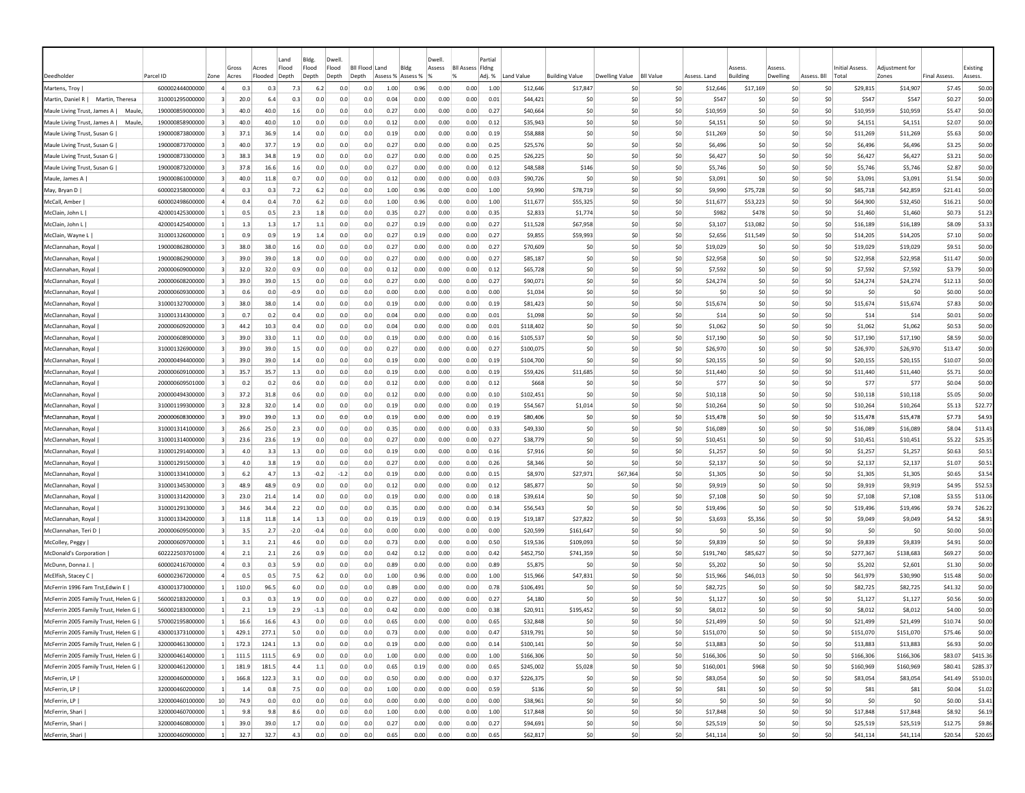|                                                        |                                    |                             |              |                  | Land           | Bldg.        | Dwell                     |     |                                   |              | Dwell  |                         | Partial        |                        |                                   |                       |                  |                   |                          |                                        |                   |                         |                        |                     |                   |
|--------------------------------------------------------|------------------------------------|-----------------------------|--------------|------------------|----------------|--------------|---------------------------|-----|-----------------------------------|--------------|--------|-------------------------|----------------|------------------------|-----------------------------------|-----------------------|------------------|-------------------|--------------------------|----------------------------------------|-------------------|-------------------------|------------------------|---------------------|-------------------|
|                                                        |                                    |                             | Gross        | Acres<br>Flooded | Flood<br>Depth | Flood        | Flood<br><b>BII Flood</b> |     | Land<br>Bldg<br>Assess % Assess % |              | Assess | <b>Bll Assess Fldng</b> |                |                        |                                   |                       | <b>BII Value</b> | Assess, Land      | ssess<br><b>Building</b> | <i><b><u>SSESS</u></b></i><br>Dwelling |                   | Initial Assess<br>Total | Adjustment fo<br>Zones | <b>Final Assess</b> | Existing          |
| Deedholder                                             | Parcel ID<br>600002444000000       | Zone                        | Acres<br>0.3 | 0.3              | 7.3            | Depth<br>6.2 | Depth<br>Depth<br>0.0     | 0.0 | 1.00                              | 0.96         | 0.00   | 0.00                    | Adj. %<br>1.00 | Land Value<br>\$12,646 | <b>Building Value</b><br>\$17,847 | Dwelling Value<br>-SO | \$0              |                   | \$17,169                 | -SO                                    | Assess. Bll<br>S0 | \$29,815                | \$14,907               | \$7.45              | Assess.<br>\$0.00 |
| Martens, Troy<br>Martin, Daniel R  <br>Martin, Theresa | 310001295000000                    |                             | 20.0         | 6.4              | 0.3            | 0.0          | 0.0                       | 0.0 | 0.04                              | 0.00         | 0.00   | 0.00                    | 0.01           | \$44,421               | -SO                               | \$0                   | \$0              | \$12,646<br>\$547 | -SC                      | \$C                                    | \$0               | \$547                   | \$547                  | \$0.27              | \$0.00            |
| Maule Living Trust, James A  <br>Maule                 | 190000859000000                    |                             | 40.0         | 40.0             | 1.6            | 0.0          | 0.0                       | 0.0 | 0.27                              | 0.00         | 0.00   | 0.00                    | 0.27           | \$40,664               | -SO                               | -SO                   | \$0              | \$10,959          | S <sub>0</sub>           | \$0                                    | \$0               | \$10,959                | \$10,959               | \$5.47              | \$0.00            |
| Maule Living Trust, James A  <br>Maule                 | 190000858900000                    |                             | 40.0         | 40.0             | 1.0            | 0.0          | 0.0                       | 0.0 | 0.12                              | 0.00         | 0.00   | 0.00                    | 0.12           | \$35,943               | \$C                               | -SO                   | \$0              | \$4,151           | \$0                      | \$0                                    | \$0               | \$4,151                 | \$4,151                | \$2.07              | \$0.00            |
| Maule Living Trust, Susan G                            | 190000873800000                    |                             | 37.1         | 36.9             | 1.4            | 0.0          | 0.0                       | 0.0 | 0.19                              | 0.00         | 0.00   | 0.00                    | 0.19           | \$58,888               | \$0                               | -SO                   | \$0              | \$11,269          | \$0                      | \$0                                    | \$0               | \$11,269                | \$11,269               | \$5.63              | \$0.00            |
| Maule Living Trust, Susan G                            | 190000873700000                    |                             | 40.0         | 37.7             | 1.9            | 0.0          | 0.0                       | 0.0 | 0.27                              | 0.00         | 0.00   | 0.00                    | 0.25           | \$25,576               | \$0                               | -SO                   | \$0              | \$6,496           | \$0                      | \$0                                    | \$0               | \$6,496                 | \$6,496                | \$3.25              | \$0.00            |
| Maule Living Trust, Susan G                            | 190000873300000                    | -31                         | 38.3         | 34.8             | 1.9            | 0.0          | 0.0                       | 0.0 | 0.27                              | 0.00         | 0.00   | 0.00                    | 0.25           | \$26,225               | \$0                               | -SO                   | \$0              | \$6,427           | S0                       | S0                                     | S0                | \$6,427                 | \$6,427                | \$3.21              | \$0.00            |
| Maule Living Trust, Susan G                            | 190000873200000                    | -31                         | 37.8         | 16.6             | 1.6            | 0.0          | 0.0                       | 0.0 | 0.27                              | 0.00         | 0.00   | 0.00                    | 0.12           | \$48,588               | \$146                             | -SO                   | \$0              | \$5,746           | -SO                      | S0                                     | S0                | \$5,746                 | \$5,746                | \$2.87              | \$0.00            |
| Maule, James A                                         | 190000861000000                    |                             | 40.0         | 11.8             | 0.7            | 0.0          | 0.0                       | 0.0 | 0.12                              | 0.00         | 0.00   | 0.00                    | 0.03           | \$90,726               | \$0                               | -SO                   | -SO              | \$3.091           | S <sub>0</sub>           | S0                                     | \$0               | \$3,091                 | \$3,091                | \$1.54              | \$0.00            |
| May, Bryan D                                           | 600002358000000                    |                             | 0.3          | 0.3              | 7.2            | 6.2          | 0.0                       | 0.0 | 1.00                              | 0.96         | 0.00   | 0.00                    | 1.00           | \$9,990                | \$78,719                          | \$0                   | \$0              | \$9,990           | \$75,728                 | \$0                                    | \$0               | \$85,718                | \$42,859               | \$21.41             | \$0.00            |
| McCall, Amber                                          | 600002498600000                    |                             | 0.4          | 0.4              | 7.0            | 6.2          | 0.0                       | 0.0 | 1.00                              | 0.96         | 0.00   | 0.00                    | 1.00           | \$11,677               | \$55,325                          | -SO                   | \$0              | \$11,677          | \$53,223                 | \$0                                    | \$0               | \$64,900                | \$32,450               | \$16.21             | \$0.00            |
| McClain, John L                                        | 420001425300000                    |                             | 0.5          | 0.5              | 2.3            | 1.8          | 0.0                       | 0.0 | 0.35                              | 0.27         | 0.00   | 0.00                    | 0.35           | \$2,833                | \$1,774                           | \$0                   | \$0              | \$982             | \$478                    | \$0                                    | \$0               | \$1,460                 | \$1,460                | \$0.73              | \$1.23            |
| McClain, John L                                        | 420001425400000                    |                             | 1.3          | 1.3              | 1.7            | 1.1          | 0.0                       | 0.0 | 0.27                              | 0.19         | 0.00   | 0.00                    | 0.27           | \$11,528               | \$67,958                          | \$0                   | \$0              | \$3,107           | \$13,082                 | \$0                                    | \$0               | \$16,189                | \$16,189               | \$8.09              | \$3.33            |
| McClain, Wayne L                                       | 310001326000000                    |                             | 0.9          | 0.9              | 1.9            | 1.4          | 0.0                       | 0.0 | 0.27                              | 0.19         | 0.00   | 0.00                    | 0.27           | \$9,855                | \$59,993                          | \$0                   | \$0              | \$2,656           | \$11,549                 | \$0                                    | \$0               | \$14,205                | \$14,205               | \$7.10              | \$0.00            |
| McClannahan, Royal                                     | 190000862800000                    |                             | 38.0         | 38.0             | 1.6            | 0.0          | 0.0                       | 0.0 | 0.27                              | 0.00         | 0.00   | 0.00                    | 0.27           | \$70,609               | -SO                               | -SO                   | \$0              | \$19,029          | -SO                      | \$0                                    | \$0               | \$19,029                | \$19,029               | \$9.51              | \$0.00            |
| McClannahan, Royal                                     | 190000862900000                    | $\overline{3}$              | 39.0         | 39.0             | 1.8            | 0.0          | 0.0                       | 0.0 | 0.27                              | 0.00         | 0.00   | 0.00                    | 0.27           | \$85.187               | \$0                               | -SO                   | \$0              | \$22,958          | S <sub>0</sub>           | \$0                                    | \$0               | \$22,958                | \$22,958               | \$11.47             | \$0.00            |
| McClannahan, Royal                                     | 200000609000000                    | $\vert$ 3                   | 32.0         | 32.0             | 0.9            | 0.0          | 0.0                       | 0.0 | 0.12                              | 0.00         | 0.00   | 0.00                    | 0.12           | \$65,728               | \$C                               | -SO                   | \$0              | \$7,592           | \$0                      | \$0                                    | \$0               | \$7,592                 | \$7,592                | \$3.79              | \$0.00            |
| McClannahan, Royal                                     | 200000608200000                    | $\vert$ 3                   | 39.0         | 39.0             | 1.5            | 0.0          | 0.0                       | 0.0 | 0.27                              | 0.00         | 0.00   | 0.00                    | 0.27           | \$90,071               | \$0                               | \$0                   | \$0              | \$24,274          | \$0                      | \$0                                    | \$0               | \$24,274                | \$24,274               | \$12.13             | \$0.00            |
| McClannahan, Royal                                     | 200000609300000                    |                             | 0.6          | 0.0              | $-0.9$         | 0.0          | 0.0                       | 0.0 | 0.00                              | 0.00         | 0.00   | 0.00                    | 0.00           | \$1,034                | \$0                               | -SO                   | \$0              | \$0               | \$0                      | \$0                                    | \$0               | \$0                     | \$0                    | \$0.00              | \$0.00            |
| McClannahan, Royal                                     | 310001327000000                    | -31                         | 38.0         | 38.0             | 1.4            | 0.0          | 0.0                       | 0.0 | 0.19                              | 0.00         | 0.00   | 0.00                    | 0.19           | \$81,423               | -SO                               | -SO                   | \$0              | \$15,674          | -SO                      | S0                                     | S0                | \$15,674                | \$15,674               | \$7.83              | \$0.00            |
| McClannahan, Royal                                     | 310001314300000                    | -31                         | 0.7          | 0.2              | 0.4            | 0.0          | 0.0                       | 0.0 | 0.04                              | 0.00         | 0.00   | 0.00                    | 0.01           | \$1,098                | \$0                               | -SO                   | \$0              | <b>S14</b>        | S <sub>0</sub>           | \$0                                    | \$0               | \$14                    | \$14                   | \$0.01              | \$0.00            |
| McClannahan, Royal                                     | 200000609200000                    |                             | 44.2         | 10.3             | 0.4            | 0.0          | 0.0                       | 0.0 | 0.04                              | 0.00         | 0.00   | 0.00                    | 0.01           | \$118,402              | -SO                               | -SO                   | \$0              | \$1,062           | S <sub>0</sub>           | \$0                                    | \$0               | \$1,062                 | \$1,062                | \$0.53              | \$0.00            |
| McClannahan, Royal                                     | 200000608900000                    |                             | 39.0         | 33.0             | 1.1            | 0.0          | 0.0                       | 0.0 | 0.19                              | 0.00         | 0.00   | 0.00                    | 0.16           | \$105,537              | \$0                               | \$0                   | \$0              | \$17,190          | \$0                      | \$C                                    | \$0               | \$17,190                | \$17,190               | \$8.59              | \$0.00            |
| McClannahan, Royal                                     | 310001326900000                    |                             | 39.0         | 39.0             | 1.5            | 0.0          | 0.0                       | 0.0 | 0.27                              | 0.00         | 0.00   | 0.00                    | 0.27           | \$100,075              | \$C                               | -SO                   | \$0              | \$26,970          | \$0                      | \$C                                    | \$0               | \$26,970                | \$26,970               | \$13.47             | \$0.00            |
| McClannahan, Royal                                     | 200000494400000                    |                             | 39.0         | 39.0             | 1.4            | 0.0          | 0.0                       | 0.0 | 0.19                              | 0.00         | 0.00   | 0.00                    | 0.19           | \$104,700              | \$0                               | \$0                   | \$0              | \$20,155          | \$0                      | \$0                                    | \$0               | \$20,155                | \$20,155               | \$10.07             | \$0.00            |
| McClannahan, Royal                                     | 200000609100000                    |                             | 35.7         | 35.7             | 1.3            | 0.0          | 0.0                       | 0.0 | 0.19                              | 0.00         | 0.00   | 0.00                    | 0.19           | \$59,426               | \$11,685                          | -SO                   | \$0              | \$11,440          | \$0                      | \$0                                    | \$0               | \$11,440                | \$11,440               | \$5.71              | \$0.00            |
| McClannahan, Royal                                     | 200000609501000                    |                             | 0.2          | 0.2              | 0.6            | 0.0          | 0.0                       | 0.0 | 0.12                              | 0.00         | 0.00   | 0.00                    | 0.12           | \$668                  | -SO                               | -SO                   | \$0              | \$77              | S0                       | \$C                                    | \$0               | \$77                    | \$77                   | \$0.04              | \$0.00            |
| McClannahan, Royal                                     | 200000494300000                    | $\overline{3}$              | 37.2         | 31.8             | 0.6            | 0.0          | 0.0                       | 0.0 | 0.12                              | 0.00         | 0.00   | 0.00                    | 0.10           | \$102,451              | \$0                               | \$0                   | \$0              | \$10,118          | S <sub>0</sub>           | \$0                                    | \$0               | \$10,118                | \$10,118               | \$5.05              | \$0.00            |
| McClannahan, Royal                                     | 310001199300000                    | $\vert$ 3                   | 32.8         | 32.0             | 1.4            | 0.0          | 0.0                       | 0.0 | 0.19                              | 0.00         | 0.00   | 0.00                    | 0.19           | \$54,567               | \$1,014                           | -SO                   | \$0              | \$10,264          | \$0                      | \$0                                    | \$0               | \$10,264                | \$10,264               | \$5.13              | \$22.77           |
| McClannahan, Royal                                     | 200000608300000                    |                             | 39.0         | 39.0             | 1.3            | 0.0          | 0.0                       | 0.0 | 0.19                              | 0.00         | 0.00   | 0.00                    | 0.19           | \$80,406               | <b>SC</b>                         | -SO                   | \$0              | \$15,478          | \$C                      | \$C                                    | \$0               | \$15,478                | \$15,478               | \$7.73              | \$4.93            |
| McClannahan, Royal                                     | 310001314100000                    |                             | 26.6         | 25.0             | 2.3            | 0.0          | 0.0                       | 0.0 | 0.35                              | 0.00         | 0.00   | 0.00                    | 0.33           | \$49,330               | \$C                               | -SO                   | \$0              | \$16,089          | \$0                      | \$0                                    | S <sub>0</sub>    | \$16,089                | \$16,089               | \$8.04              | \$13.43           |
| McClannahan, Royal                                     | 310001314000000                    |                             | 23.6         | 23.6             | 1.9            | 0.0          | 0.0                       | 0.0 | 0.27                              | 0.00         | 0.00   | 0.00                    | 0.27           | \$38,779               | \$0                               | -SO                   | \$0              | \$10,451          | \$0                      | \$0                                    | S <sub>0</sub>    | \$10,451                | \$10,451               | \$5.22              | \$25.35           |
| McClannahan, Royal                                     | 310001291400000                    |                             | 4.0          | 3.3              | 1.3            | 0.0          | 0.0                       | 0.0 | 0.19                              | 0.00         | 0.00   | 0.00                    | 0.16           | \$7,916                | \$0                               | -SO                   | \$0              | \$1,257           | S0                       | -SO                                    | S0                | \$1,257                 | \$1,257                | \$0.63              | \$0.51            |
| McClannahan, Royal                                     | 310001291500000                    |                             | 4.0          | 3.8              | 1.9            | 0.0          | 0.0                       | 0.0 | 0.27                              | 0.00         | 0.00   | 0.00                    | 0.26           | \$8,346                | \$0                               | -SO                   | \$0              | \$2,137           | \$0                      | \$0                                    | \$0               | \$2,137                 | \$2,137                | \$1.07              | \$0.51            |
| McClannahan, Royal                                     | 310001334100000                    |                             | 6.2          | 4.7              | 1.3            | $-0.2$       | $-1.2$                    | 0.0 | 0.19                              | 0.00         | 0.00   | 0.00                    | 0.15           | \$8,970                | \$27,971                          | \$67,364              | -SO              | \$1,305           | S <sub>0</sub>           | \$0                                    | \$0               | \$1,305                 | \$1,305                | \$0.65              | \$3.54            |
| McClannahan, Royal                                     | 310001345300000                    |                             | 48.9         | 48.9             | 0.9            | 0.0          | 0.0                       | 0.0 | 0.12                              | 0.00         | 0.00   | 0.00                    | 0.12           | \$85,877               | \$0                               | \$0                   | \$0              | \$9,919           | \$0                      | \$0                                    | \$0               | \$9,919                 | \$9,919                | \$4.95              | \$52.53           |
| McClannahan, Royal                                     | 310001314200000                    |                             | 23.0         | 21.4             | 1.4            | 0.0          | 0.0                       | 0.0 | 0.19                              | 0.00         | 0.00   | 0.00                    | 0.18           | \$39,614               | \$C                               | -SO                   | \$0              | \$7,108           | \$0                      | \$C                                    | \$0               | \$7,108                 | \$7,108                | \$3.55              | \$13.06           |
| McClannahan, Royal                                     | 310001291300000                    |                             | 34.6         | 34.4             | 2.2            | 0.0          | 0.0                       | 0.0 | 0.35                              | 0.00         | 0.00   | 0.00                    | 0.34           | \$56,543               | \$C                               | \$0                   | \$0              | \$19,496          | \$0                      | \$0                                    | \$0               | \$19,496                | \$19,496               | \$9.74              | \$26.22           |
| McClannahan, Royal                                     | 310001334200000                    |                             | 11.8         | 11.8             | 1.4            | 1.3          | 0.0                       | 0.0 | 0.19                              | 0.19         | 0.00   | 0.00                    | 0.19           | \$19,187               | \$27,822                          | -SO                   | \$0              | \$3,693           | \$5,356                  | \$0                                    | \$0               | \$9,049                 | \$9,049                | \$4.52              | \$8.91            |
| McClannahan, Teri D                                    | 200000609500000                    |                             | 3.5          | 2.7              | $-2.0$         | $-0.4$       | 0.0                       | 0.0 | 0.00                              | 0.00         | 0.00   | 0.00                    | 0.00           | \$20,599               | \$161,647                         | -SO                   | \$0              | \$0               | S0                       | \$0                                    | \$0               | \$0                     | \$0                    | \$0.00              | \$0.00            |
| McColley, Peggy                                        | 200000609700000                    |                             | 3.1          | 2.1              | 4.6            | 0.0          | 0.0                       | 0.0 | 0.73                              | 0.00         | 0.00   | 0.00                    | 0.50           | \$19,536               | \$109,093                         | \$0                   | \$0              | \$9,839           | S <sub>0</sub>           | \$0                                    | \$0               | \$9,839                 | \$9,839                | \$4.91              | \$0.00            |
| McDonald's Corporation                                 | 602222503701000                    |                             | 2.1          | 2.1              | 2.6            | 0.9          | 0.0                       | 0.0 | 0.42                              | 0.12         | 0.00   | 0.00                    | 0.42           | \$452,750              | \$741,359                         | \$0                   | \$0              | \$191,740         | \$85,627                 | \$0                                    | \$0               | \$277,367               | \$138,683              | \$69.27             | \$0.00            |
| McDunn, Donna J.                                       | 600002416700000                    |                             | 0.3          | 0.3              | 5.9            | 0.0          | 0.0                       | 0.0 | 0.89                              | 0.00         | 0.00   | 0.00                    | 0.89           | \$5,875                | \$C                               | -SO                   | \$0              | \$5,202           | \$0                      | \$C                                    | \$0               | \$5,202                 | \$2,601                | \$1.30              | \$0.00            |
| McElfish, Stacey C                                     | 600002367200000                    |                             | 0.5          | 0.5              | 7.5            | 6.2          | 0.0                       | 0.0 | 1.00                              | 0.96         | 0.00   | 0.00                    | 1.00           | \$15,966               | \$47,831                          | \$0                   | \$0              | \$15,966          | \$46,013                 | \$0                                    | \$0               | \$61,979                | \$30,990               | \$15.48             | \$0.00            |
| McFerrin 1996 Fam Trst, Edwin E                        | 430001373000000                    |                             | 110.0        | 96.5             | 6.0            | 0.0          | 0.0                       | 0.0 | 0.89                              | 0.00         | 0.00   | 0.00                    | 0.78           | \$106,491              | -SO                               | -SO                   | \$0              | \$82,725          | S0                       | S0                                     | S0                | \$82,725                | \$82,725               | \$41.32             | \$0.00            |
| McFerrin 2005 Family Trust, Helen G                    | 560002183200000                    |                             | 0.3          | 0.3              | 1.9            | 0.0          | 0.0                       | 0.0 | $0.2^{\circ}$                     | 0.00         | 0.00   | 0.00                    | $0.2^{\circ}$  | \$4,180                | -SO                               | -SO                   | \$0              | \$1,127           | -SO                      | so                                     | S0                | \$1,127                 | \$1,127                | \$0.56              | \$0.00            |
| McFerrin 2005 Family Trust, Helen G                    | 560002183000000                    |                             | 2.1          | 1.9              | 2.9            | $-1.3$       | 0.0                       | 0.0 | 0.42                              | 0.00         | 0.00   | 0.00                    | 0.38           | \$20.911               | \$195,452                         | -SO                   | \$0              | \$8,012           | S <sub>0</sub>           | \$0                                    | \$0               | \$8,012                 | \$8,012                | \$4.00              | \$0.00            |
| McFerrin 2005 Family Trust, Helen G                    | 570002195800000                    |                             | 16.6         | 16.6             | 4.3            | 0.0          | 0.0                       | 0.0 | 0.65                              | 0.00         | 0.00   | 0.00                    | 0.65           | \$32,848               | \$0                               | -SO                   | \$0              | \$21,499          | S <sub>0</sub>           | \$0                                    | \$0               | \$21,499                | \$21,499               | \$10.74             | \$0.00            |
| McFerrin 2005 Family Trust, Helen G                    | 430001373100000                    |                             | 429.1        | 277.1            | 5.0            | 0.0          | 0.0                       | 0.0 | 0.73                              | 0.00         | 0.00   | 0.00                    | 0.47           | \$319,791              | \$0                               | \$0                   | \$0              | \$151,070         | \$0                      | \$0                                    | \$0               | \$151,070               | \$151,070              | \$75.46             | \$0.00            |
| McFerrin 2005 Family Trust, Helen G                    | 320000461300000                    | $\vert$ 1                   | 172.3        | 124.1            | 1.3            | 0.0          | 0.0                       | 0.0 | 0.19                              | 0.00         | 0.00   | 0.00                    | 0.14           | \$100,141              | \$0                               | \$0                   | \$0              | \$13,883          | \$0                      | 50                                     | \$0               | \$13,883                | \$13,883               | \$6.93              | \$0.00            |
| McFerrin 2005 Family Trust, Helen G                    | 320000461400000                    | $\vert$ 1<br>$\vert$ 1      | 111.5        | 111.5            | 6.9            | 0.0          | 0.0                       | 0.0 | 1.00                              | 0.00         | 0.00   | 0.00                    | 1.00           | \$166,306              | \$0                               | 50                    | \$0              | \$166,306         | \$0                      | 50                                     | \$0               | \$166,306               | \$166,306              | \$83.07             | \$415.36          |
| McFerrin 2005 Family Trust, Helen G                    | 320000461200000                    |                             | 181.9        | 181.5            | 4.4            | 1.1          | 0.0                       | 0.0 | 0.65                              | 0.19         | 0.00   | 0.00                    | 0.65           | \$245,002              | \$5,028                           | 50                    | \$0              | \$160,001         | \$968                    | 50                                     | \$0               | \$160,969               | \$160,969              | \$80.41             | \$285.37          |
| McFerrin, LP                                           | 320000460000000<br>320000460200000 | $\vert$ 1                   | 166.8        | 122.3            | 3.1            | 0.0          | 0.0                       | 0.0 | 0.50                              | 0.00         | 0.00   | 0.00                    | 0.37           | \$226,375              | \$0                               | 50                    | \$0              | \$83,054          | \$0                      | 50                                     | 50                | \$83,054                | \$83,054               | \$41.49             | \$510.01          |
| McFerrin, LP                                           |                                    | $\vert$ 1                   | 1.4          | 0.8              | 7.5            | 0.0          | 0.0                       | 0.0 | 1.00                              | 0.00         | 0.00   | 0.00                    | 0.59           | \$136                  | \$0                               | \$0                   | \$0              | \$81              | \$0                      | 50                                     | \$0               | \$81                    | \$81                   | \$0.04              | \$1.02            |
| McFerrin, LP                                           | 320000460100000                    | 10<br>$\vert$ 1             | 74.9         | 0.0              | 0.0            | 0.0          | 0.0                       | 0.0 | 0.00                              | 0.00         | 0.00   | 0.00                    | 0.00           | \$38,961               | \$0<br>\$0                        | \$0<br>50             | \$0<br>50        | \$0               | \$0                      | 50<br>\$0                              | \$0               | \$0                     | \$0<br>\$17,848        | \$0.00              | \$3.41            |
| McFerrin, Shari<br>McFerrin, Shari                     | 320000460700000                    |                             | 9.8          | 9.8              | 8.6            | 0.0          | 0.0                       | 0.0 | 1.00                              | 0.00         | 0.00   | 0.00                    | 1.00           | \$17,848               |                                   |                       |                  | \$17,848          | \$0                      |                                        | \$0               | \$17,848                |                        | \$8.92              | \$6.19            |
|                                                        | 320000460800000<br>320000460900000 | $\vert$ 1<br>$\overline{1}$ | 39.0         | 39.0<br>32.7     | 1.7<br>4.3     | 0.0<br>0.0   | 0.0<br>0.0                | 0.0 | 0.27                              | 0.00<br>0.00 | 0.00   | 0.00                    | 0.27           | \$94,691               | \$0<br>\$0                        | \$0<br>\$0            | \$0<br>\$0       | \$25,519          | \$0<br>\$0               | \$0<br>\$0                             | \$0               | \$25,519                | \$25,519               | \$12.75             | \$9.86            |
| McFerrin, Shari                                        |                                    |                             | 32.7         |                  |                |              |                           | 0.0 | 0.65                              |              | 0.00   | 0.00                    | 0.65           | \$62,817               |                                   |                       |                  | \$41,114          |                          |                                        | \$0               | \$41,114                | \$41,114               | \$20.54             | \$20.65           |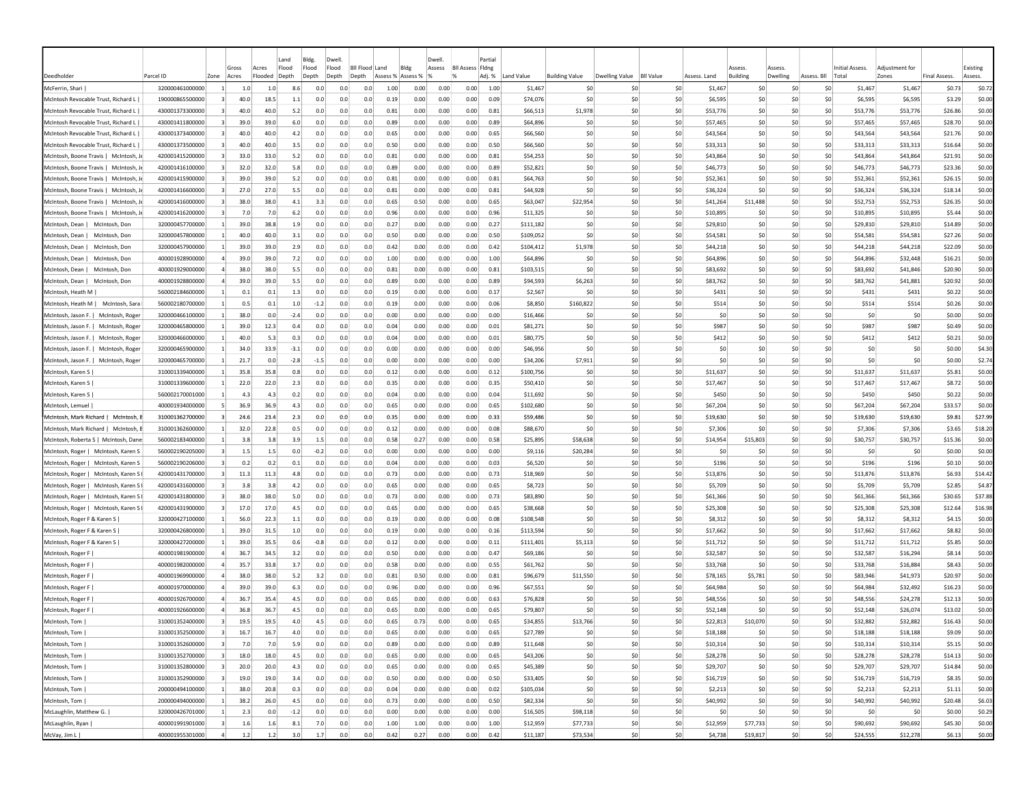|                                        |                 |                         |                | Land                               | Bldg.            | Dwell          |                           |                           |      | Dwell  |                                     | Partia |            |                       |                |                  |              |                          |                                 |             |                                 |                         |                     |                     |
|----------------------------------------|-----------------|-------------------------|----------------|------------------------------------|------------------|----------------|---------------------------|---------------------------|------|--------|-------------------------------------|--------|------------|-----------------------|----------------|------------------|--------------|--------------------------|---------------------------------|-------------|---------------------------------|-------------------------|---------------------|---------------------|
| Deedholder                             | Parcel ID       | Zone                    | Gross<br>Acres | Flood<br>Acres<br>Flooded<br>Depth | Flood<br>Depth   | Flood<br>Depth | <b>BII Flood</b><br>Depth | Land<br>Assess % Assess % | Bldg | Assess | <b>BII Assess Fidng</b><br>$\alpha$ | Adj. % | Land Value | <b>Building Value</b> | Dwelling Value | <b>BII Value</b> | Assess, Land | ssess<br><b>Building</b> | <i><b>SSESS</b></i><br>Dwelling | Assess. Bll | <b>Initial Assess.</b><br>Total | Adiustment for<br>Zones | <b>Final Assess</b> | Existing<br>Assess. |
| McFerrin, Shari                        | 320000461000000 |                         | 1.0            | 1.0                                | 8.6<br>0.0       | 0.0            | 0.0                       | 1.00                      | 0.00 | 0.00   | 0.00                                | 1.00   | \$1,467    | \$C                   | -SO            | \$0              | \$1,467      | S0                       | <b>SC</b>                       | S0          | \$1,467                         | \$1,467                 | \$0.73              | \$0.72              |
| McIntosh Revocable Trust, Richard L    | 190000865500000 |                         | 40.0           | 18.5                               | 1.1<br>0.0       | 0.0            | 0.0                       | 0.19                      | 0.00 | 0.00   | 0.00                                | 0.09   | \$74,076   | \$C                   | \$0            | \$0              | \$6,595      | \$C                      | \$C                             | \$0         | \$6,595                         | \$6,595                 | \$3.29              | \$0.00              |
| McIntosh Revocable Trust, Richard L    | 430001373300000 | 3                       | 40.0           | 40.0                               | 5.2<br>0.0       | 0.0            | 0.0                       | 0.81                      | 0.00 | 0.00   | 0.00                                | 0.81   | \$66,513   | \$1,978               | S <sub>0</sub> | \$0              | \$53,776     | \$0                      | \$C                             | \$0         | \$53,776                        | \$53,776                | \$26.86             | \$0.00              |
| McIntosh Revocable Trust, Richard L    | 430001411800000 | 3                       | 39.0           | 39.0                               | 6.0<br>0.0       | 0.0            | 0.0                       | 0.89                      | 0.00 | 0.00   | 0.00                                | 0.89   | \$64,896   | \$C                   | S <sub>0</sub> | \$0              | \$57,465     | \$0                      | \$0                             | \$0         | \$57,465                        | \$57,465                | \$28.70             | \$0.00              |
| McIntosh Revocable Trust, Richard L    | 430001373400000 |                         | 40.0           | 40.0                               | 4.2<br>0.0       | 0.0            | 0.0                       | 0.65                      | 0.00 | 0.00   | 0.00                                | 0.65   | \$66,560   | \$C                   | \$0            | \$0              | \$43,564     | \$C                      | \$C                             | \$0         | \$43,564                        | \$43,564                | \$21.76             | \$0.00              |
| McIntosh Revocable Trust, Richard L    | 430001373500000 |                         | 40.0           | 40.0                               | 3.5<br>0.0       | 0.0            | 0.0                       | 0.50                      | 0.00 | 0.00   | 0.00                                | 0.50   | \$66,560   | \$0                   | \$0            | \$0              | \$33,313     | \$0                      | \$0                             | \$0         | \$33,313                        | \$33,313                | \$16.64             | \$0.00              |
| McIntosh, Boone Travis   McIntosh, J   | 420001415200000 | 3                       | 33.0           | 33.0                               | 5.2<br>0.0       | 0.0            | 0.0                       | 0.81                      | 0.00 | 0.00   | 0.00                                | 0.81   | \$54,253   | \$C                   | -SO            | \$0              | \$43,864     | \$0                      | S0                              | S0          | \$43,864                        | \$43,864                | \$21.91             | \$0.00              |
| McIntosh, Boone Travis   McIntosh, J   | 420001416100000 | -31                     | 32.0           | 32.0                               | 5.8<br>0.0       | 0.0            | 0.0                       | 0.89                      | 0.00 | 0.00   | 0.00                                | 0.89   | \$52,821   | \$0                   | -SO            | \$0              | \$46,773     | \$0                      | S0                              | S0          | \$46,773                        | \$46,773                | \$23.36             | \$0.00              |
| McIntosh, Boone Travis   McIntosh, J   | 420001415900000 | 3                       | 39.0           | 39.0                               | 5.2<br>0.0       | 0.0            | 0.0                       | 0.81                      | 0.00 | 0.00   | 0.00                                | 0.81   | \$64,763   | \$0                   | S <sub>0</sub> | SO.              | \$52,361     | \$0                      | \$0                             | \$0         | \$52,361                        | \$52,361                | \$26.15             | \$0.00              |
| McIntosh, Boone Travis   McIntosh, J   | 420001416600000 | $\vert$ 3               | 27.0           | 27.0                               | 5.5<br>0.0       | 0.0            | 0.0                       | 0.81                      | 0.00 | 0.00   | 0.00                                | 0.81   | \$44,928   | \$0                   | \$0            | \$0              | \$36,324     | \$0                      | \$0                             | \$0         | \$36,324                        | \$36,324                | \$18.14             | \$0.00              |
| McIntosh, Boone Travis   McIntosh, J   | 420001416000000 |                         | 38.0           | 38.0                               | 4.1<br>3.3       | 0.0            | 0.0                       | 0.65                      | 0.50 | 0.00   | 0.00                                | 0.65   | \$63,047   | \$22,954              | \$0            | \$0              | \$41,264     | \$11,488                 | \$C                             | \$0         | \$52,753                        | \$52,753                | \$26.35             | \$0.00              |
| McIntosh, Boone Travis   McIntosh, J   | 420001416200000 |                         | 7.0            | 7.0                                | 6.2<br>0.0       | 0.0            | 0.0                       | 0.96                      | 0.00 | 0.00   | 0.00                                | 0.96   | \$11,325   | \$C                   | \$0            | \$0              | \$10,895     | \$C                      | \$C                             | \$0         | \$10,895                        | \$10,895                | \$5.44              | \$0.00              |
| McIntosh, Dean  <br>McIntosh, Don      | 320000457700000 |                         | 39.0           | 38.8                               | 1.9<br>0.0       | 0.0            | 0.0                       | 0.27                      | 0.00 | 0.00   | 0.00                                | 0.27   | \$111,182  | \$C                   | \$0            | \$0              | \$29,810     | \$0                      | \$0                             | \$0         | \$29,810                        | \$29,810                | \$14.89             | \$0.00              |
| McIntosh, Dean<br>McIntosh, Don        | 320000457800000 |                         | 40.0           | 40.0                               | 3.1<br>0.0       | 0.0            | 0.0                       | 0.50                      | 0.00 | 0.00   | 0.00                                | 0.50   | \$109,052  | \$C                   | \$0            | \$0              | \$54,581     | \$0                      | \$0                             | \$0         | \$54,581                        | \$54,581                | \$27.26             | \$0.00              |
| McIntosh, Dean  <br>McIntosh, Don      | 320000457900000 |                         | 39.0           | 39.0                               | 2.9<br>0.0       | 0.0            | 0.0                       | 0.42                      | 0.00 | 0.00   | 0.00                                | 0.42   | \$104,412  | \$1,978               | S0             | \$0              | \$44,218     | S0                       | \$0                             | \$0         | \$44,218                        | \$44,218                | \$22.09             | \$0.00              |
| McIntosh, Dean  <br>McIntosh. Don      | 400001928900000 |                         | 39.0           | 39.0                               | 7.2<br>0.0       | 0.0            | 0.0                       | 1.00                      | 0.00 | 0.00   | 0.00                                | 1.00   | \$64,896   | \$C                   | S0             | \$0              | \$64,896     | S0                       | \$0                             | \$0         | S64.896                         | \$32,448                | \$16.21             | \$0.00              |
| McIntosh, Dean  <br>McIntosh, Don      | 400001929000000 |                         | 38.0           | 38.0                               | 5.5<br>0.0       | 0.0            | 0.0                       | 0.81                      | 0.00 | 0.00   | 0.00                                | 0.81   | \$103,515  | \$C                   | S0             | \$0              | \$83,692     | \$0                      | \$0                             | \$0         | \$83,692                        | \$41,846                | \$20.90             | \$0.00              |
| McIntosh, Dean  <br>McIntosh, Don      | 400001928800000 | $\overline{a}$          | 39.0           | 39.0                               | 5.5<br>0.0       | 0.0            | 0.0                       | 0.89                      | 0.00 | 0.00   | 0.00                                | 0.89   | \$94,593   | \$6,263               | \$0            | \$0              | \$83,762     | \$0                      | \$0                             | \$0         | \$83,762                        | \$41,881                | \$20.92             | \$0.00              |
| McIntosh, Heath M                      | 560002184600000 |                         | 0.1            | 0.1                                | 1.3<br>0.0       | 0.0            | 0.0                       | 0.19                      | 0.00 | 0.00   | 0.00                                | 0.17   | \$2,567    | \$C                   | \$0            | \$0              | \$431        | \$C                      | \$0                             | \$0         | \$431                           | \$431                   | \$0.22              | \$0.00              |
| McIntosh, Heath M   McIntosh, Sara     | 560002180700000 | -1                      | 0.5            | 0.1                                | 1.0<br>$-1.2$    | 0.0            | 0.0                       | 0.19                      | 0.00 | 0.00   | 0.00                                | 0.06   | \$8,850    | \$160,822             | -SO            | \$0              | \$514        | \$0                      | S0                              | S0          | \$514                           | \$514                   | \$0.26              | \$0.00              |
| McIntosh, Jason F.   McIntosh, Roger   | 320000466100000 | -11                     | 38.0           | 0.0                                | $-2.4$<br>0.0    | 0.0            | 0.0                       | 0.00                      | 0.00 | 0.00   | 0.00                                | 0.00   | \$16,466   | S0                    | S <sub>0</sub> | SO.              | S0           | \$0                      | \$0                             | S0          | -SO                             | \$0                     | \$0.00              | \$0.00              |
| McIntosh, Jason F.   McIntosh, Roger   | 320000465800000 |                         | 39.0           | 12.3                               | 0.4<br>0.0       | 0.0            | 0.0                       | 0.04                      | 0.00 | 0.00   | 0.00                                | 0.01   | \$81,271   | \$C                   | S <sub>0</sub> | \$0              | \$987        | \$0                      | \$0                             | \$0         | \$987                           | \$987                   | \$0.49              | \$0.00              |
| McIntosh, Jason F.   McIntosh, Roger   | 320000466000000 |                         | 40.0           | 5.3                                | 0.3<br>0.0       | 0.0            | 0.0                       | 0.04                      | 0.00 | 0.00   | 0.00                                | 0.01   | \$80,775   | \$C                   | \$0            | \$0              | \$412        | \$0                      | \$C                             | \$0         | \$412                           | \$412                   | \$0.21              | \$0.00              |
| McIntosh, Jason F.   McIntosh, Roger   | 320000465900000 |                         | 34.0           | 33.9                               | $-3.1$<br>0.0    | 0.0            | 0.0                       | 0.00                      | 0.00 | 0.00   | 0.00                                | 0.00   | \$46,956   | \$C                   | S <sub>0</sub> | \$0              | \$0          | \$C                      | \$C                             | \$0         | \$0                             | \$0                     | \$0.00              | \$4.30              |
| McIntosh, Jason F.  <br>McIntosh, Roge | 320000465700000 |                         | 21.7           | 0.0                                | $-2.8$<br>$-1.5$ | 0.0            | 0.0                       | 0.00                      | 0.00 | 0.00   | 0.00                                | 0.00   | \$34,206   | \$7,911               | \$0            | \$0              | \$0          | \$0                      | so                              | \$0         | \$0                             | \$0                     | \$0.00              | \$2.74              |
| McIntosh, Karen S                      | 310001339400000 |                         | 35.8           | 35.8                               | 0.8<br>0.0       | 0.0            | 0.0                       | 0.12                      | 0.00 | 0.00   | 0.00                                | 0.12   | \$100,756  | \$C                   | -SO            | \$0              | \$11,637     | S0                       | S0                              | \$0         | \$11,637                        | \$11,637                | \$5.81              | \$0.00              |
| McIntosh, Karen S                      | 310001339600000 |                         | 22.0           | 22.0                               | 2.3<br>0.0       | 0.0            | 0.0                       | 0.35                      | 0.00 | 0.00   | 0.00                                | 0.35   | \$50,410   | \$C                   | -SO            | \$0              | \$17,467     | -SC                      | <b>SC</b>                       | S0          | \$17,467                        | \$17,467                | \$8.72              | \$0.00              |
| McIntosh, Karen S                      | 560002170001000 | -11                     | 4.3            | 4.3                                | 0.2<br>0.0       | 0.0            | 0.0                       | 0.04                      | 0.00 | 0.00   | 0.00                                | 0.04   | \$11,692   | \$0                   | S0             | \$0              | \$450        | S0                       | \$0                             | \$0         | \$450                           | \$450                   | \$0.22              | \$0.00              |
| McIntosh, Lemuel                       | 400001934000000 | $\mathbf{5}$            | 36.9           | 36.9                               | 4.3<br>0.0       | 0.0            | 0.0                       | 0.65                      | 0.00 | 0.00   | 0.00                                | 0.65   | \$102,680  | \$0                   | \$0            | \$0              | \$67,204     | \$C                      | \$0                             | \$0         | \$67,204                        | \$67,204                | \$33.57             | \$0.00              |
| McIntosh, Mark Richard   McIntosh,     | 310001362700000 | 3                       | 24.6           | 23.4                               | 2.3<br>0.0       | 0.0            | 0.0                       | 0.35                      | 0.00 | 0.00   | 0.00                                | 0.33   | \$59,486   | \$0                   | \$0            | \$0              | \$19,630     | \$C                      | \$C                             | \$0         | \$19,630                        | \$19,630                | \$9.81              | \$27.99             |
| McIntosh, Mark Richard   McIntosh,     | 310001362600000 |                         | 32.0           | 22.8                               | 0.5<br>0.0       | 0.0            | 0.0                       | 0.12                      | 0.00 | 0.00   | 0.00                                | 0.08   | \$88,670   | \$C                   | \$0            | \$0              | \$7,306      | \$0                      | \$0                             | \$0         | \$7,306                         | \$7,306                 | \$3.65              | \$18.20             |
| McIntosh, Roberta S   McIntosh, Dane   | 560002183400000 |                         | 3.8            | 3.8                                | 3.9<br>$1.5\,$   | 0.0            | 0.0                       | 0.58                      | 0.27 | 0.00   | 0.00                                | 0.58   | \$25,895   | \$58,638              | \$0            | \$0              | \$14,954     | \$15,803                 | \$0                             | \$0         | \$30,757                        | \$30,757                | \$15.36             | \$0.00              |
| McIntosh, Roger   McIntosh, Karen S    | 560002190205000 | -3                      | 1.5            | $1.5\,$                            | 0.0<br>-0.2      | 0.0            | 0.0                       | 0.00                      | 0.00 | 0.00   | 0.00                                | 0.00   | \$9,116    | \$20,284              | -SO            | \$0              | -SO          | -SC                      | S0                              | S0          | -SO                             | -SO                     | \$0.00              | \$0.00              |
| McIntosh, Roger   McIntosh, Karen S    | 560002190206000 |                         | 0.2            | 0.2                                | 0.1<br>0.0       | 0.0            | 0.0                       | 0.04                      | 0.00 | 0.00   | 0.00                                | 0.03   | \$6,520    | <b>SC</b>             | S <sub>0</sub> | \$0              | \$196        | \$0                      | S0                              | \$0         | \$196                           | \$196                   | \$0.10              | \$0.00              |
| McIntosh, Roger   McIntosh, Karen S    | 420001431700000 | -3                      | 11.3           | 11.3                               | 4.8<br>0.0       | 0.0            | 0.0                       | 0.73                      | 0.00 | 0.00   | 0.00                                | 0.73   | \$18,969   | <b>SC</b>             | S <sub>0</sub> | \$0              | \$13,876     | \$0                      | \$0                             | \$0         | \$13,876                        | \$13,876                | \$6.93              | \$14.42             |
| McIntosh, Roger   McIntosh, Karen S    | 420001431600000 |                         | 3.8            | 3.8                                | 4.2<br>0.0       | 0.0            | 0.0                       | 0.65                      | 0.00 | 0.00   | 0.00                                | 0.65   | \$8,723    | \$C                   | \$0            | \$0              | \$5,709      | \$0                      | \$C                             | \$0         | \$5,709                         | \$5,709                 | \$2.85              | \$4.87              |
| McIntosh, Roger  <br>McIntosh, Karen S | 420001431800000 |                         | 38.0           | 38.0                               | 5.0<br>0.0       | 0.0            | 0.0                       | 0.73                      | 0.00 | 0.00   | 0.00                                | 0.73   | \$83,890   | \$C                   | \$0            | \$0              | \$61,366     | \$C                      | \$C                             | \$0         | \$61,366                        | \$61,366                | \$30.65             | \$37.88             |
| McIntosh, Roger   McIntosh, Karen S    | 420001431900000 |                         | 17.0           | 17.0                               | 4.5<br>0.0       | 0.0            | 0.0                       | 0.65                      | 0.00 | 0.00   | 0.00                                | 0.65   | \$38,668   | \$C                   | \$0            | \$0              | \$25,308     | \$C                      | \$C                             | \$0         | \$25,308                        | \$25,308                | \$12.64             | \$16.98             |
| McIntosh, Roger F & Karen S            | 320000427100000 |                         | 56.0           | 22.3                               | 1.1<br>0.0       | 0.0            | 0.0                       | 0.19                      | 0.00 | 0.00   | 0.00                                | 0.08   | \$108,548  | \$C                   | -SO            | \$0              | \$8,312      | S0                       | \$0                             | \$0         | \$8,312                         | \$8,312                 | \$4.15              | \$0.00              |
| McIntosh, Roger F & Karen S            | 320000426800000 |                         | 39.0           | 31.5                               | 1.0<br>0.0       | 0.0            | 0.0                       | 0.19                      | 0.00 | 0.00   | 0.00                                | 0.16   | \$113,594  | \$0                   | S0             | \$0              | \$17,662     | S0                       | \$0                             | \$0         | \$17,662                        | \$17,662                | \$8.82              | \$0.00              |
| McIntosh, Roger F & Karen S            | 320000427200000 |                         | 39.0           | 35.5                               | 0.6<br>$-0.8$    | 0.0            | 0.0                       | 0.12                      | 0.00 | 0.00   | 0.00                                | 0.11   | \$111,401  | \$5,113               | S0             | \$0              | \$11,712     | S0                       | \$0                             | \$0         | \$11,712                        | \$11,712                | \$5.85              | \$0.00              |
| McIntosh, Roger F                      | 400001981900000 |                         | 36.7           | 34.5                               | 3.2<br>0.0       | 0.0            | 0.0                       | 0.50                      | 0.00 | 0.00   | 0.00                                | 0.47   | \$69,186   | \$C                   | \$0            | \$0              | \$32,587     | \$0                      | \$0                             | \$0         | \$32,587                        | \$16,294                | \$8.14              | \$0.00              |
| McIntosh, Roger F                      | 400001982000000 |                         | 35.7           | 33.8                               | 3.7<br>0.0       | 0.0            | 0.0                       | 0.58                      | 0.00 | 0.00   | 0.00                                | 0.55   | \$61,762   | \$C                   | \$0            | \$0              | \$33,768     | \$C                      | \$C                             | \$0         | \$33,768                        | \$16,884                | \$8.43              | \$0.00              |
| McIntosh, Roger F                      | 400001969900000 | $\Delta$                | 38.0           | 38.0                               | 5.2<br>3.2       | 0.0            | 0.0                       | 0.81                      | 0.50 | 0.00   | 0.00                                | 0.81   | \$96,679   | \$11,550              | \$0            | \$0              | \$78,165     | \$5,781                  | \$0                             | \$0         | \$83,946                        | \$41,973                | \$20.97             | \$0.00              |
| McIntosh, Roger F                      | 400001970000000 | 4                       | 39.0           | 39.0                               | 6.3<br>0.0       | 0.0            | 0.0                       | 0.96                      | 0.00 | 0.00   | 0.00                                | 0.96   | \$67,551   | <b>SC</b>             | -SO            | S0               | \$64,984     | S0                       | S0                              | S0          | \$64,984                        | \$32,492                | \$16.23             | \$0.00              |
| McIntosh, Roger F                      | 400001926700000 |                         | 36.7           | 35.4                               | 4.5<br>0.0       | 0.0            | 0.0                       | 0.65                      | 0.00 | 0.00   | 0.00                                | 0.63   | \$76,828   | <b>SC</b>             | -SO            | \$0              | \$48,556     | -SC                      | so                              | -SO         | \$48,556                        | \$24,278                | \$12.13             | \$0.00              |
| McIntosh, Roger F                      | 400001926600000 |                         | 36.8           | 36.7                               | 4.5<br>0.0       | 0.0            | 0.0                       | 0.65                      | 0.00 | 0.00   | 0.00                                | 0.65   | \$79,807   | \$0                   | S0             | \$0              | \$52,148     | S0                       | \$0                             | \$0         | \$52,148                        | \$26,074                | \$13.02             | \$0.00              |
| McIntosh, Tom                          | 310001352400000 |                         | 19.5           | 19.5                               | 4.0<br>4.5       | 0.0            | 0.0                       | 0.65                      | 0.73 | 0.00   | 0.00                                | 0.65   | \$34,855   | \$13,766              | S0             | \$0              | \$22,813     | \$10,070                 | \$0                             | \$0         | \$32,882                        | \$32,882                | \$16.43             | \$0.00              |
| McIntosh, Tom                          | 310001352500000 | $\vert$ 3               | 16.7           | 16.7                               | 4.0<br>0.0       | 0.0            | 0.0                       | 0.65                      | 0.00 | 0.00   | 0.00                                | 0.65   | \$27,789   | \$0                   | \$0            | \$0              | \$18,188     | \$0                      | \$0                             | \$0         | \$18,188                        | \$18,188                | \$9.09              | \$0.00              |
| McIntosh, Tom                          | 310001352600000 | $\vert$ 3               | 7.0            | 7.0                                | 5.9<br>0.0       | 0.0            | 0.0                       | 0.89                      | 0.00 | 0.00   | 0.00                                | 0.89   | \$11,648   | \$0                   | \$0            | \$0              | \$10,314     | \$0                      | 50                              | \$0         | \$10,314                        | \$10,314                | \$5.15              | \$0.00              |
| McIntosh, Tom                          | 310001352700000 | $\overline{\mathbf{3}}$ | 18.0           | 18.0                               | 4.5<br>0.0       | 0.0            | 0.0                       | 0.65                      | 0.00 | 0.00   | 0.00                                | 0.65   | \$43,206   | \$0                   | \$0            | \$0              | \$28,278     | \$0                      | 50                              | \$0         | \$28,278                        | \$28,278                | \$14.13             | \$0.00              |
| McIntosh, Tom                          | 310001352800000 | $\overline{3}$          | 20.0           | 20.0                               | 4.3<br>0.0       | 0.0            | 0.0                       | 0.65                      | 0.00 | 0.00   | 0.00                                | 0.65   | \$45,389   | \$0                   | 50             | \$0              | \$29,707     | \$0                      | 50                              | \$0         | \$29,707                        | \$29,707                | \$14.84             | \$0.00              |
| McIntosh, Tom                          | 310001352900000 | $\overline{\mathbf{3}}$ | 19.0           | 19.0                               | 3.4<br>0.0       | 0.0            | 0.0                       | 0.50                      | 0.00 | 0.00   | 0.00                                | 0.50   | \$33,405   | \$0                   | 50             | \$0              | \$16,719     | \$0                      | 50                              | 50          | \$16,719                        | \$16,719                | \$8.35              | \$0.00              |
| McIntosh, Tom                          | 200000494100000 |                         | 1<br>38.0      | 20.8                               | 0.3<br>0.0       | 0.0            | 0.0                       | 0.04                      | 0.00 | 0.00   | 0.00                                | 0.02   | \$105,034  | \$0                   | \$0            | \$0              | \$2,213      | \$0                      | 50                              | 50          | \$2,213                         | \$2,213                 | \$1.11              | \$0.00              |
| McIntosh, Tom                          | 200000494000000 | $\mathbf{1}$            | 38.2           | 26.0                               | 4.5<br>0.0       | 0.0            | 0.0                       | 0.73                      | 0.00 | 0.00   | 0.00                                | 0.50   | \$82,334   | \$0                   | \$0            | \$0              | \$40,992     | \$0                      | \$0                             | \$0         | \$40,992                        | \$40,992                | \$20.48             | \$6.03              |
| McLaughlin, Matthew G.                 | 320000426701000 |                         | 1<br>2.3       | 0.0                                | $-1.2$<br>0.0    | 0.0            | 0.0                       | 0.00                      | 0.00 | 0.00   | 0.00                                | 0.00   | \$16,505   | \$98,118              | \$0            | \$0              | \$0          | \$0                      | 50                              | \$0         | \$0                             | \$0                     | \$0.00              | \$0.29              |
| McLaughlin, Ryan                       | 400001991901000 | 3                       | 1.6            | 1.6                                | 8.1<br>7.0       | 0.0            | 0.0                       | 1.00                      | 1.00 | 0.00   | 0.00                                | 1.00   | \$12,959   | \$77,733              | \$0            | \$0              | \$12,959     | \$77,733                 | 50                              | \$0         | \$90,692                        | \$90,692                | \$45.30             | \$0.00              |
| McVay, Jim L                           | 400001955301000 | $\vert$ 4               | 1.2            | 1.2                                | 3.0<br>1.7       | 0.0            | 0.0                       | 0.42                      | 0.27 | 0.00   | 0.00                                | 0.42   | \$11,187   | \$73,534              | \$0            | \$0              | \$4,738      | \$19,817                 | 50                              | \$0         | \$24,555                        | \$12,278                | \$6.13              | \$0.00              |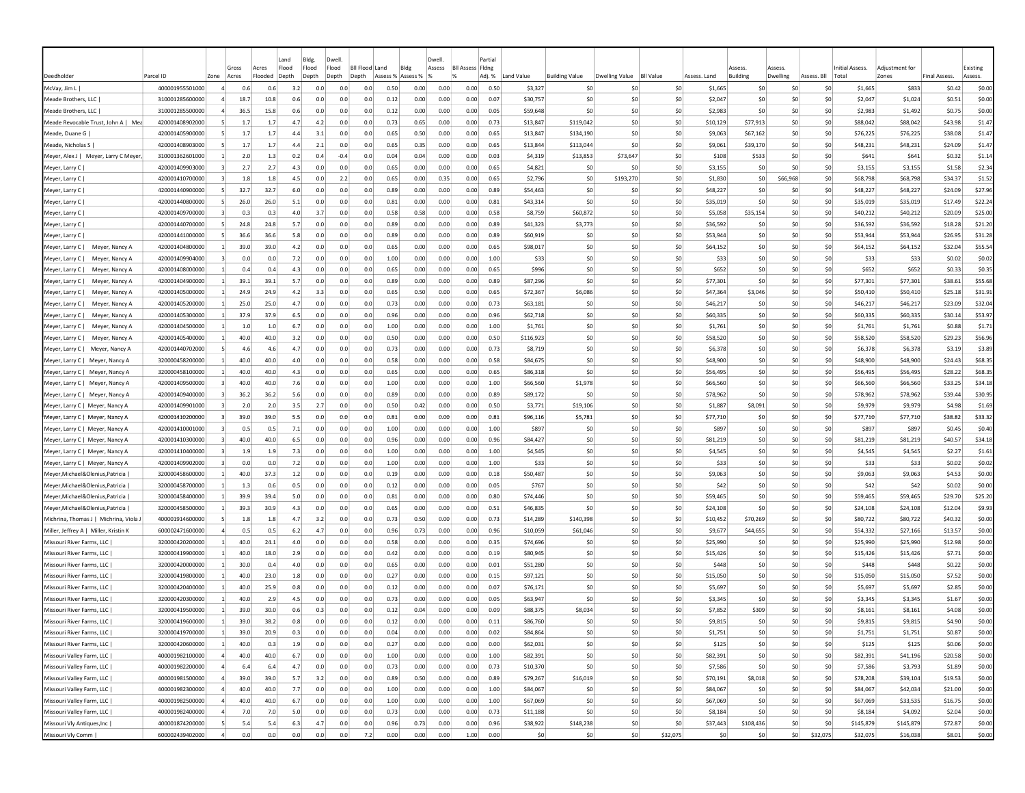|                                                        |                                    |                |              |              | Land       | Bldg.      | Dwell          |                |                   |              | Dwell        |                         | Partial      |                      |                       |                |                  |                      |                         |            |             |                      |                     |                     |                  |
|--------------------------------------------------------|------------------------------------|----------------|--------------|--------------|------------|------------|----------------|----------------|-------------------|--------------|--------------|-------------------------|--------------|----------------------|-----------------------|----------------|------------------|----------------------|-------------------------|------------|-------------|----------------------|---------------------|---------------------|------------------|
|                                                        |                                    |                | Gross        | Acres        | Flood      | Flood      | Flood          | Bil Flood Land |                   | Bldg         | Assess       | <b>BII Assess Fidne</b> |              |                      |                       |                |                  |                      | Assess                  | Assess     |             | Initial Assess.      | Adiustment for      |                     | Existing         |
| Deedholder                                             | Parcel ID                          | Zone           | Acres        | Flooded      | Depth      | Depth      | Depth<br>Depth |                | Assess % Assess % |              |              |                         | Adj. %       | Land Value           | <b>Building Value</b> | Dwelling Value | <b>BII Value</b> | Assess. Land         | Building                | Dwelling   | Assess. Bll | Total                | Zones               | <b>Final Assess</b> | Assess.          |
| McVay, Jim L                                           | 400001955501000                    | $\overline{a}$ | 0.6          | 0.6          | 3.2        | 0.0        | 0.0            | 0.0            | 0.50              | 0.00         | 0.00         | 0.00                    | 0.50         | \$3,327              | -SO                   | -SC            | \$0              | \$1,665              | \$0                     | -SO        | \$0         | \$1,665              | \$833               | \$0.42              | \$0.00           |
| Meade Brothers, LLC                                    | 310001285600000                    |                | 18.7         | 10.8         | 0.6        | 0.0        | 0.0            | 0.0            | 0.12              | 0.00         | 0.00         | 0.00                    | 0.07         | \$30,757             | \$0                   | \$0            | \$0              | \$2,047              | \$0                     | \$0        | \$0         | \$2,047              | \$1,024             | \$0.51              | \$0.00           |
| Meade Brothers, LLC                                    | 310001285500000                    |                | 36.5         | 15.8         | 0.6        | 0.0        | 0.0            | 0.0            | 0.12              | 0.00         | 0.00         | 0.00                    | 0.05         | \$59,648             | \$0                   | -SO            | \$0              | \$2,983              | \$0                     | \$0        | \$0         | \$2,983              | \$1,492             | \$0.75              | \$0.00           |
| Meade Revocable Trust, John A   Mea                    | 420001408902000                    |                | 1.7          | 1.7          | 4.7        | 4.2        | 0.0            | 0.0            | 0.73              | 0.65         | 0.00         | 0.00                    | 0.73         | \$13,847             | \$119,042             | -SO            | \$0              | \$10.129             | \$77,913                | \$0        | \$0         | \$88,042             | \$88,042            | \$43.98             | \$1.47           |
| Meade, Duane G                                         | 420001405900000                    |                | 1.7          | 1.7          | 4.4        | 3.1        | 0.0            | 0.0            | 0.65              | 0.50         | 0.00         | 0.00                    | 0.65         | \$13,847             | \$134,190             | \$0            | \$0              | \$9,063              | \$67,162                | \$0        | \$0         | \$76,225             | \$76.225            | \$38.08             | \$1.47           |
| Meade, Nicholas S                                      | 420001408903000                    |                | 1.7          | 1.7          | 4.4        | 2.1        | 0.0            | 0.0            | 0.65              | 0.35         | 0.00         | 0.00                    | 0.65         | \$13,844             | \$113,044             | -SO            | \$0              | \$9,061              | \$39,170                | \$0        | \$0         | \$48,231             | \$48,231            | \$24.09             | \$1.47           |
| Meyer, Alex J   Meyer, Larry C Meyer,                  | 310001362601000                    | $\overline{1}$ | 2.0          | 1.3          | 0.2        | 0.4        | $-0.4$         | 0.0            | 0.04              | 0.04         | 0.00         | 0.00                    | 0.03         | \$4,319              | \$13,853              | \$73,647       | \$0              | \$108                | \$533                   | \$0        | \$0         | \$641                | \$641               | \$0.32              | \$1.14           |
| Meyer, Larry C                                         | 420001409903000                    |                | 2.7          | 2.7          | 4.3        | 0.0        | 0.0            | 0.0            | 0.65              | 0.00         | 0.00         | 0.00                    | 0.65         | \$4,821              | -SO                   | \$0            | \$0              | \$3,155              | \$0                     | \$0        | \$0         | \$3,155              | \$3,155             | \$1.58              | \$2.34           |
| Meyer, Larry C                                         | 420001410700000                    |                | 1.8          | 1.8          | 4.5        | 0.0        | 2.2            | 0.0            | 0.65              | 0.00         | 0.35         | 0.00                    | 0.65         | \$2,796              | \$0                   | \$193,270      | \$0              | \$1,830              | -SO                     | \$66,968   | \$0         | \$68,798             | \$68,798            | \$34.37             | \$1.52           |
| Meyer, Larry C                                         | 420001440900000                    | -51            | 32.7         | 32.7         | 6.0        | 0.0        | 0.0            | 0.0            | 0.89              | 0.00         | 0.00         | 0.00                    | 0.89         | \$54,463             | \$0                   | -SO            | -SO              | \$48,227             | S <sub>0</sub>          | \$0        | \$0         | \$48,227             | \$48,227            | \$24.09             | \$27.96          |
| Meyer, Larry C                                         | 420001440800000                    |                | 26.0         | 26.0         | 5.1        | 0.0        | 0.0            | 0.0            | 0.81              | 0.00         | 0.00         | 0.00                    | 0.81         | \$43,314             | \$0                   | -SO            | \$0              | \$35,019             | S <sub>0</sub>          | \$0        | \$0         | \$35,019             | \$35,019            | \$17.49             | \$22.24          |
| Meyer, Larry C                                         | 420001409700000                    |                | 0.3          | 0.3          | 4.0        | 3.7        | 0.0            | 0.0            | 0.58              | 0.58         | 0.00         | 0.00                    | 0.58         | \$8,759              | \$60,872              | \$0            | \$0              | \$5,058              | \$35,154                | \$0        | \$0         | \$40,212             | \$40,212            | \$20.09             | \$25.00          |
| Meyer, Larry C                                         | 420001440700000                    |                | 24.8         | 24.8         | 5.7        | 0.0        | 0.0            | 0.0            | 0.89              | 0.00         | 0.00         | 0.00                    | 0.89         | \$41,323             | \$3,773               | -SO            | \$0              | \$36,592             | \$0                     | \$0        | \$0         | \$36,592             | \$36,592            | \$18.28             | \$21.20          |
| Meyer, Larry C                                         | 420001441000000                    |                | 36.6         | 36.6         | 5.8        | 0.0        | 0.0            | 0.0            | 0.89              | 0.00         | 0.00         | 0.00                    | 0.89         | \$60,919             | \$0                   | \$0            | \$0              | \$53,944             | \$0                     | \$0        | \$0         | \$53,944             | \$53,944            | \$26.95             | \$31.28          |
| Meyer, Larry C  <br>Meyer, Nancy A                     | 420001404800000                    |                | 39.0         | 39.0         | 4.2        | 0.0        | 0.0            | 0.0            | 0.65              | 0.00         | 0.00         | 0.00                    | 0.65         | \$98,017             | \$0                   | -SO            | \$0              | \$64,152             | S0                      | S0         | \$0         | \$64,152             | \$64,152            | \$32.04             | \$55.54          |
| Meyer, Larry C  <br>Meyer, Nancy A                     | 420001409904000                    |                | 0.0          | 0.0          | 7.2        | 0.0        | 0.0            | 0.0            | 1.00              | 0.00         | 0.00         | 0.00                    | 1.00         | \$33                 | -SO                   | -SO            | \$0              | \$33                 | S0                      | \$0        | \$0         | \$33                 | \$33                | \$0.02              | \$0.02           |
| Meyer, Larry C  <br>Meyer, Nancy A                     | 420001408000000                    |                | 0.4          | 0.4          | 4.3        | 0.0        | 0.0            | 0.0            | 0.65              | 0.00         | 0.00         | 0.00                    | 0.65         | \$996                | \$0                   | \$0            | \$0              | \$652                | S <sub>0</sub>          | \$0        | \$0         | \$652                | \$652               | \$0.33              | \$0.35           |
| Meyer, Larry C  <br>Meyer, Nancy A                     | 420001404900000                    |                | 39.1         | 39.1         | 5.7        | 0.0        | 0.0            | 0.0            | 0.89              | 0.00         | 0.00         | 0.00                    | 0.89         | \$87,296             | \$0                   | -SO            | \$0              | \$77,301             | S <sub>0</sub>          | \$0        | \$0         | \$77,301             | \$77,301            | \$38.61             | \$55.68          |
| Meyer, Larry C  <br>Meyer, Nancy A                     | 420001405000000                    |                | 24.9         | 24.9         | 4.2        | 3.3        | 0.0            | 0.0            | 0.65              | 0.50         | 0.00         | 0.00                    | 0.65         | \$72,367             | \$6,086               | -SO            | \$0              | \$47,364             | \$3,046                 | \$0        | \$0         | \$50,410             | \$50,410            | \$25.18             | \$31.91          |
| Meyer, Larry C  <br>Meyer, Nancy A                     | 420001405200000                    |                | 25.0         | 25.0         | 4.7        | 0.0        | 0.0            | 0.0            | 0.73              | 0.00         | 0.00         | 0.00                    | 0.73         | \$63,181             | -SO                   | -SO            | \$0              | \$46,217             | \$0                     | \$0        | \$0         | \$46,217             | \$46,217            | \$23.09             | \$32.04          |
| Meyer, Larry C   Meyer, Nancy A                        | 420001405300000                    | -11            | 37.9         | 37.9         | 6.5        | 0.0        | 0.0            | 0.0            | 0.96              | 0.00         | 0.00         | 0.00                    | 0.96         | \$62,718             | -SO                   | -SO            | \$0              | \$60,335             | S0                      | \$0        | S0          | \$60,335             | \$60,335            | \$30.14             | \$53.97          |
| Meyer, Larry C   Meyer, Nancy A                        | 420001404500000                    | -1             | 1.0          | 1.0          | 6.7        | 0.0        | 0.0            | 0.0            | 1.00              | 0.00         | 0.00         | 0.00                    | 1.00         | \$1,761              | -SO                   | -SO            | \$0              | \$1,761              | -SO                     | S0         | S0          | \$1,761              | \$1,761             | \$0.88              | \$1.71           |
| Meyer, Larry C   Meyer, Nancy A                        | 420001405400000                    |                | 40.0         | 40.0         | 3.2        | 0.0        | 0.0            | 0.0            | 0.50              | 0.00         | 0.00         | 0.00                    | 0.50         | \$116,923            | \$0                   | -SO            | \$0              | \$58,520             | S <sub>0</sub>          | S0         | \$0         | \$58,520             | \$58,520            | \$29.23             | \$56.96          |
| Meyer, Larry C   Meyer, Nancy A                        | 420001440702000                    |                | 4.6          | 4.6          | 4.7        | 0.0        | 0.0            | 0.0            | 0.73              | 0.00         | 0.00         | 0.00                    | 0.73         | \$8,719              | \$0                   | -SO            | \$0              | \$6.378              | S <sub>0</sub>          | \$0        | \$0         | \$6,378              | \$6,378             | \$3.19              | \$3.89           |
| Meyer, Larry C   Meyer, Nancy A                        | 320000458200000                    |                | 40.0         | 40.0         | 4.0        | 0.0        | 0.0            | 0.0            | 0.58              | 0.00         | 0.00         | 0.00                    | 0.58         | \$84,675             | \$0                   | -SO            | \$0              | \$48,900             | \$0                     | \$0        | \$0         | \$48,900             | \$48,900            | \$24.43             | \$68.35          |
| Meyer, Larry C   Meyer, Nancy A                        | 320000458100000                    |                | 40.0         | 40.0         | 4.3        | 0.0        | 0.0            | 0.0            | 0.65              | 0.00         | 0.00         | 0.00                    | 0.65         | \$86,318             | \$0                   | \$0            | \$0              | \$56,495             | \$0                     | \$0        | \$0         | \$56,495             | \$56,495            | \$28.22             | \$68.35          |
| Meyer, Larry C   Meyer, Nancy A                        | 420001409500000                    |                | 40.0         | 40.0         | 7.6        | 0.0        | 0.0            | 0.0            | 1.00              | 0.00         | 0.00         | 0.00                    | 1.00         | \$66,560             | \$1,978               | \$0            | \$0              | \$66,560             | \$0                     | \$0        | \$0         | \$66,560             | \$66,560            | \$33.25             | \$34.18          |
| Meyer, Larry C   Meyer, Nancy A                        | 420001409400000                    |                | 36.2         | 36.2         | 5.6        | 0.0        | 0.0            | 0.0            | 0.89              | 0.00         | 0.00         | 0.00                    | 0.89         | \$89,172             | \$0                   | \$0            | \$0              | \$78,962             | \$0                     | \$0        | \$0         | \$78,962             | \$78,962            | \$39.44             | \$30.95          |
| Meyer, Larry C   Meyer, Nancy A                        | 420001409901000                    |                | 2.0          | 2.0          | 3.5        | 2.7        | 0.0            | 0.0            | 0.50              | 0.42         | 0.00         | 0.00                    | 0.50         | \$3,771              | \$19,106              | \$0            | \$0              | \$1,887              | \$8,091                 | \$0        | \$0         | \$9,979              | \$9,979             | \$4.98              | \$1.69           |
| Meyer, Larry C   Meyer, Nancy A                        | 420001410200000                    | 3              | 39.0         | 39.0         | 5.5        | 0.0        | 0.0            | 0.0            | 0.81              | 0.00         | 0.00         | 0.00                    | 0.81         | \$96,116             | \$5,781               | \$0            | \$0              | \$77,710             | \$0                     | \$0        | \$0         | \$77,710             | \$77,710            | \$38.82             | \$33.32          |
| Meyer, Larry C   Meyer, Nancy A                        | 420001410001000                    |                | 0.5          | 0.5          | 7.1        | 0.0        | 0.0            | 0.0            | 1.00              | 0.00         | 0.00         | 0.00                    | 1.00         | <b>S897</b>          | \$C                   | -SO            | \$0              | \$897                | \$0                     | \$0        | \$0         | <b>S897</b>          | \$897               | <b>SO.45</b>        | \$0.40           |
| Meyer, Larry C   Meyer, Nancy A                        | 420001410300000                    |                | 40.0         | 40.0         | 6.5        | 0.0        | 0.0            | 0.0            | 0.96              | 0.00         | 0.00         | 0.00                    | 0.96         | \$84,427             | \$0                   | -SO            | \$0              | \$81,219             | \$0                     | \$0        | \$0         | \$81,219             | \$81,219            | \$40.57             | \$34.18          |
| Meyer, Larry C   Meyer, Nancy A                        | 420001410400000                    |                | 1.9          | 1.9          | 7.3        | 0.0        | 0.0            | 0.0            | 1.00              | 0.00         | 0.00         | 0.00                    | 1.00         | \$4,545              | \$0                   | \$0            | \$0              | \$4,545              | \$0                     | \$0        | \$0         | \$4,545              | \$4,545             | \$2.27              | \$1.61           |
| Meyer, Larry C   Meyer, Nancy A                        | 420001409902000                    | -31            | 0.0          | 0.0          | 7.2        | 0.0        | 0.0            | 0.0            | 1.00              | 0.00         | 0.00         | 0.00                    | 1.00         | \$33                 | \$0                   | -SO            | \$0              | \$33                 | -SO                     | S0         | S0          | \$33                 | \$33                | \$0.02              | \$0.02           |
| Meyer, Michael & Olenius, Patricia                     | 320000458600000                    |                | 40.0         | 37.3         | 1.2        | 0.0        | 0.0            | 0.0            | 0.19              | 0.00         | 0.00         | 0.00                    | 0.18         | \$50,487             | S0                    | -SO            | \$0              | \$9,063              | -SO                     | \$0        | \$0         | \$9,063              | \$9,063             | \$4.53              | \$0.00           |
| Meyer, Michael & Olenius, Patricia                     | 320000458700000                    |                | 1.3          | 0.6          | 0.5        | 0.0        | 0.0            | 0.0            | 0.12              | 0.00         | 0.00         | 0.00                    | 0.05         | S767                 | \$0                   | -SO            | \$0              | \$42                 | \$0                     | \$0        | \$0         | \$42                 | \$42                | \$0.02              | \$0.00           |
| Meyer, Michael & Olenius, Patricia                     | 320000458400000                    |                | 39.9         | 39.4         | 5.0        | 0.0        | 0.0            | 0.0            | 0.81              | 0.00         | 0.00         | 0.00                    | 0.80         | \$74,446             | \$0                   | -SO            | \$0              | \$59,465             | S0                      | \$0        | \$0         | \$59,465             | \$59,465            | \$29.70             | \$25.20          |
| Meyer, Michael & Olenius, Patricia                     | 320000458500000                    |                | 39.3         | 30.9         | 4.3        | 0.0        | 0.0            | 0.0            | 0.65              | 0.00         | 0.00         | 0.00                    | 0.51         | \$46,835             | \$0                   | \$0            | \$0              | \$24,108             | \$0                     | \$C        | \$0         | \$24,108             | \$24,108            | \$12.04             | \$9.93           |
| Michrina, Thomas J   Michrina, Viola.                  | 400001914600000                    |                | 1.8          | 1.8          | 4.7        | 3.2        | 0.0            | 0.0            | 0.73              | 0.50         | 0.00         | 0.00                    | 0.73         | \$14,289             | \$140,398             | \$0            | \$0              | \$10,452             | \$70,269                | \$0        | \$0         | \$80,722             | \$80,722            | \$40.32             | \$0.00           |
| Miller, Jeffrey A   Miller, Kristin K                  | 600002471600000                    |                | 0.5          | 0.5          | 6.2        | 4.7        | 0.0            | 0.0            | 0.96              | 0.73         | 0.00         | 0.00                    | 0.96         | \$10,059             | \$61,046              | \$0            | \$0              | \$9,677              | \$44,655                | \$0        | \$0         | \$54,332             | \$27,166            | \$13.57             | \$0.00           |
| Missouri River Farms, LLC<br>Missouri River Farms, LLC | 320000420200000<br>320000419900000 | $\vert$ 1      | 40.0<br>40.0 | 24.1<br>18.0 | 4.0<br>2.9 | 0.0        | 0.0<br>0.0     | 0.0            | 0.58<br>0.42      | 0.00<br>0.00 | 0.00<br>0.00 | 0.00<br>0.00            | 0.35<br>0.19 | \$74,696<br>\$80,945 | -SO                   | -SO<br>-SO     | \$0<br>\$0       | \$25,990<br>\$15,426 | S0<br>S <sub>0</sub>    | S0<br>S0   | \$0<br>\$0  | \$25,990             | \$25,990            | \$12.98<br>\$7.71   | \$0.00<br>\$0.00 |
|                                                        |                                    |                |              |              |            | 0.0        |                | 0.0            |                   |              |              |                         |              |                      | S0                    |                |                  |                      |                         |            |             | \$15,426             | \$15,426            |                     |                  |
| Missouri River Farms, LLC                              | 320000420000000                    |                | 30.0<br>40.0 | 0.4          | 4.0<br>1.8 | 0.0<br>0.0 | 0.0<br>0.0     | 0.0<br>0.0     | 0.65              | 0.00         | 0.00         | 0.00                    | 0.01         | \$51,280             | \$0                   | \$0<br>-SO     | \$0              | \$448                | S <sub>0</sub>          | \$0<br>\$0 | \$0<br>\$0  | \$448                | \$448               | \$0.22              | \$0.00           |
| Missouri River Farms, LLC                              | 320000419800000                    |                |              | 23.0         |            |            |                |                | 0.27              | 0.00         | 0.00         | 0.00                    | 0.15         | \$97,121             | \$C                   | -SO            | \$0              | \$15,050             | \$0                     |            |             | \$15,050             | \$15,050            | \$7.52              | \$0.00           |
| Missouri River Farms, LLC                              | 320000420400000                    |                | 40.0         | 25.9         | 0.8        | 0.0        | 0.0            | 0.0            | 0.12              | 0.00         | 0.00         | 0.00                    | 0.07         | \$76,171             | \$0                   | -SO            | \$0              | \$5,697              | \$0                     | \$0        | \$0         | \$5,697              | \$5,697             | \$2.85              | \$0.00           |
| Missouri River Farms, LLC                              | 320000420300000                    |                | 40.0<br>39.0 | 2.9<br>30.0  | 4.5<br>0.6 | 0.0<br>0.3 | 0.0<br>0.0     | 0.0<br>0.0     | 0.73<br>0.12      | 0.00<br>0.04 | 0.00<br>0.00 | 0.00<br>0.00            | 0.05<br>0.09 | \$63,947             | \$0                   | -SO            | \$0              | \$3,345              | \$0                     | S0<br>S0   | S0<br>S0    | \$3,345              | \$3,345             | \$1.67              | \$0.00           |
| Missouri River Farms, LLC<br>Missouri River Farms, LLC | 320000419500000<br>320000419600000 |                | 39.0         | 38.2         | 0.8        | 0.0        | 0.0            | 0.0            | 0.12              | 0.00         | 0.00         | 0.00                    | 0.11         | \$88,375<br>\$86,760 | \$8,034<br>\$0        | -SO            | \$0<br>\$0       | \$7,852<br>\$9,815   | \$309<br>S <sub>0</sub> | \$0        | \$0         | \$8,161<br>\$9,815   | \$8,161<br>\$9,815  | \$4.08<br>\$4.90    | \$0.00<br>\$0.00 |
| Missouri River Farms, LLC                              |                                    | $\vert$ 1      | 39.0         | 20.9         | 0.3        |            |                | 0.0            |                   |              |              | 0.00                    | 0.02         |                      | \$0                   | 50             |                  |                      | \$0                     | 50         |             |                      |                     | \$0.87              |                  |
|                                                        | 320000419700000                    | $\vert$ 1      |              |              |            | 0.0        | 0.0            |                | 0.04              | 0.00         | 0.00         |                         |              | \$84,864             |                       |                | \$0              | \$1,751              |                         |            | \$0         | \$1,751              | \$1,751             |                     | \$0.00           |
| Missouri River Farms, LLC                              | 320000420600000                    | $\overline{4}$ | 40.0         | 0.3          | 1.9        | 0.0        | 0.0            | 0.0            | 0.27              | 0.00         | 0.00         | 0.00                    | 0.00         | \$62,031             | \$0                   | \$0            | \$0              | \$125                | \$0                     | \$0        | \$0         | \$125                | \$125               | \$0.06              | \$0.00           |
| Missouri Valley Farm, LLC                              | 400001982100000                    | $\Delta$       | 40.0         | 40.0         | 6.7        | 0.0        | 0.0            | 0.0            | 1.00              | 0.00         | 0.00         | 0.00                    | 1.00         | \$82,391<br>\$10,370 | \$0<br>\$0            | \$0<br>50      | \$0<br>\$0       | \$82,391             | \$0                     | \$0<br>\$0 | \$0<br>\$0  | \$82,391             | \$41,196<br>\$3,793 | \$20.58             | \$0.00<br>\$0.00 |
| Missouri Valley Farm, LLC                              | 400001982200000                    | $\overline{a}$ | 6.4<br>39.0  | 6.4<br>39.0  | 4.7<br>5.7 | 0.0<br>3.2 | 0.0<br>0.0     | 0.0<br>0.0     | 0.73<br>0.89      | 0.00<br>0.50 | 0.00<br>0.00 | 0.00                    | 0.73<br>0.89 | \$79,267             | \$16,019              | 50             | 50               | \$7,586<br>\$70,191  | \$0<br>\$8,018          | 50         | \$0         | \$7,586              | \$39,104            | \$1.89<br>\$19.53   | \$0.00           |
| Missouri Valley Farm, LLC                              | 400001981500000<br>400001982300000 | $\overline{a}$ | 40.0         | 40.0         | 7.7        | 0.0        | 0.0            |                |                   | 0.00         |              | 0.00                    |              | \$84,067             | \$0                   | \$0            | \$0              | \$84,067             |                         | 50         | \$0         | \$78,208             | \$42,034            | \$21.00             | \$0.00           |
| Missouri Valley Farm, LLC<br>Missouri Valley Farm, LLC | 400001982500000                    | $\overline{a}$ | 40.0         | 40.0         | 6.7        | 0.0        | 0.0            | 0.0<br>0.0     | 1.00<br>1.00      | 0.00         | 0.00<br>0.00 | 0.00<br>0.00            | 1.00<br>1.00 | \$67,069             | \$0                   | \$0            | \$0              | \$67,069             | \$0<br>\$0              | 50         | 50          | \$84,067<br>\$67,069 | \$33,535            | \$16.75             | \$0.00           |
| Missouri Valley Farm, LLC                              | 400001982400000                    | $\overline{4}$ | 7.0          | 7.0          | 5.0        | 0.0        | 0.0            | 0.0            | 0.73              | 0.00         | 0.00         | 0.00                    | 0.73         | \$11,188             | \$0                   | \$0            | 50               | \$8,184              | \$0                     | \$0        | \$0         | \$8,184              | \$4,092             | \$2.04              | \$0.00           |
|                                                        | 400001874200000                    |                | 5.4          |              |            | 4.7        |                |                |                   |              |              |                         |              |                      | \$148,238             | \$0            | \$0              |                      | \$108,436               | \$0        | \$0         | \$145,879            | \$145,879           | \$72.87             |                  |
| Missouri Vly Antiques, Inc                             | 600002439402000                    | $\Delta$       |              | 5.4          | 6.3        |            | 0.0            | 0.0            | 0.96              | 0.73         | 0.00         | 0.00                    | 0.96         | \$38,922<br>\$0      | \$0                   | 50             | \$32,075         | \$37,443<br>\$0      |                         | 50         | \$32,075    | \$32,075             | \$16,038            |                     | \$0.00           |
| Missouri Vly Comm                                      |                                    |                | 0.0          | 0.0          | 0.0        | 0.0        | 0.0            | 7.2            | 0.00              | 0.00         | 0.00         | 1.00                    | 0.00         |                      |                       |                |                  |                      | \$0                     |            |             |                      |                     | \$8.01              | \$0.00           |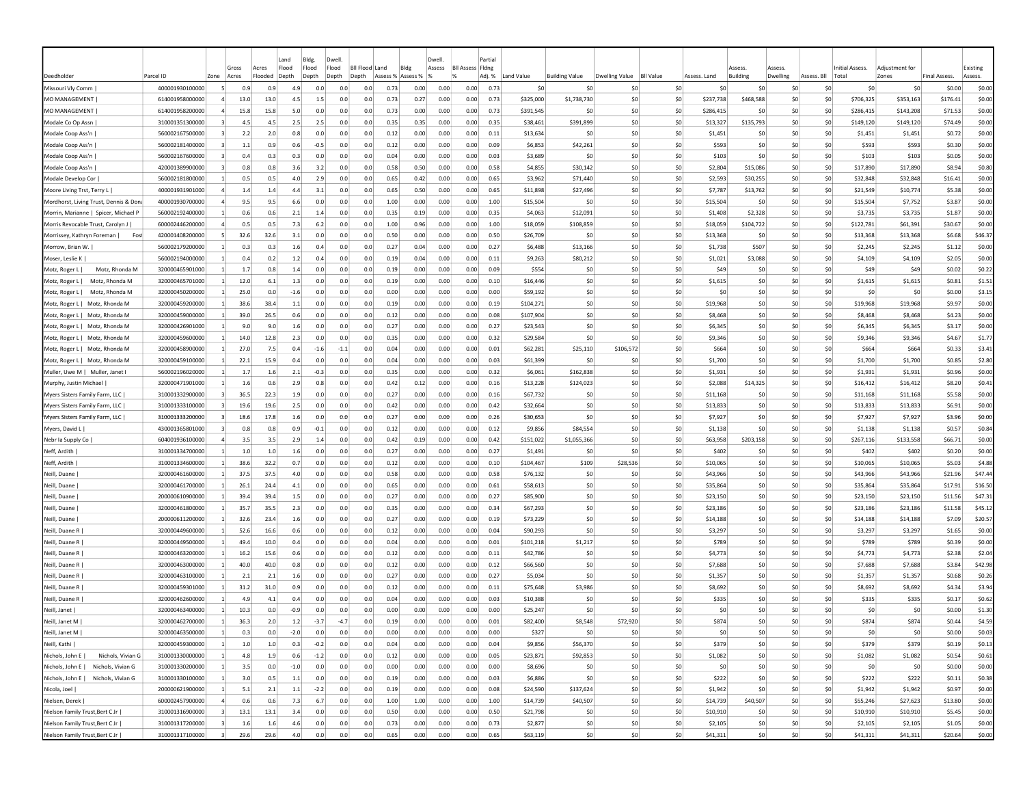|                                        |                                    |              | Gross                 | Land<br>Flood<br>Acres | Bldg.<br>Flood |               | Dwell<br>Flood | Bil Flood Land |                   | Bldg         | Dwell<br>Assess | <b>BII Assess Fidne</b> | Partia       |                      |                       |                |                  |                      | Assess          | Assess     |                 | Initial Assess.      | Adiustment for      |                     | Existing           |
|----------------------------------------|------------------------------------|--------------|-----------------------|------------------------|----------------|---------------|----------------|----------------|-------------------|--------------|-----------------|-------------------------|--------------|----------------------|-----------------------|----------------|------------------|----------------------|-----------------|------------|-----------------|----------------------|---------------------|---------------------|--------------------|
| Deedholder                             | Parcel ID                          | Zone         | Acres                 | Flooded<br>Depth       | Depth          |               | Depth          | Depth          | Assess % Assess % |              |                 |                         | Adj. %       | Land Value           | <b>Building Value</b> | Dwelling Value | <b>BII Value</b> | Assess. Land         | <b>Building</b> | Dwelling   | Assess. Bll     | Total                | Zones               | <b>Final Assess</b> | Assess.            |
| Missouri Vly Comm                      | 400001930100000                    |              | 0.9                   | 0.9                    | 4.9            | 0.0           | 0.0            | 0.0            | 0.73              | 0.00         | 0.00            | 0.00                    | 0.73         | \$0                  | \$C                   | -\$C           | \$0              | \$0                  | \$0             | \$0        | \$0             | \$0                  | \$0                 | \$0.00              | \$0.00             |
| MO MANAGEMENT                          | 614001958000000                    |              | 13.0                  | 13.0                   | 4.5            | 1.5           | 0.0            | 0.0            | 0.73              | 0.27         | 0.00            | 0.00                    | 0.73         | \$325,000            | \$1,738,730           | \$0            | \$0              | \$237,738            | \$468,588       | \$0        | \$0             | \$706,325            | \$353,163           | \$176.41            | \$0.00             |
| MO MANAGEMENT                          | 614001958200000                    |              | 15.8                  | 15.8                   | 5.0            | 0.0           | 0.0            | 0.0            | 0.73              | 0.00         | 0.00            | 0.00                    | 0.73         | \$391,545            | \$C                   | \$0            | \$0              | \$286,415            | S0              | \$0        | \$0             | \$286,415            | \$143,208           | \$71.53             | \$0.00             |
| Modale Co Op Assn                      | 310001351300000                    | 3            | 4.5                   | 4.5                    | 2.5            | 2.5           | 0.0            | 0.0            | 0.35              | 0.35         | 0.00            | 0.00                    | 0.35         | \$38,461             | \$391,899             | \$0            | \$0              | \$13,327             | \$135,793       | \$0        | \$0             | \$149,120            | \$149,120           | \$74.49             | \$0.00             |
| Modale Coop Ass'n                      | 560002167500000                    | 3            | 2.2                   | 2.0                    | 0.8            | 0.0           | 0.0            | 0.0            | 0.12              | 0.00         | 0.00            | 0.00                    | 0.11         | \$13,634             | \$C                   | S0             | \$0              | \$1,451              | -SC             | \$0        | \$0             | \$1,451              | \$1,451             | \$0.72              | \$0.00             |
| Modale Coop Ass'n                      | 560002181400000<br>560002167600000 | 3<br>3       | 1.1<br>0.4            | 0.9<br>0.3             | 0.6<br>0.3     | $-0.5$<br>0.0 | 0.0<br>0.0     | 0.0<br>0.0     | 0.12<br>0.04      | 0.00<br>0.00 | 0.00<br>0.00    | 0.00<br>0.00            | 0.09<br>0.03 | \$6,853<br>\$3,689   | \$42,261<br>\$0       | \$0<br>\$0     | \$0<br>\$0       | \$593<br>\$103       | \$0<br>\$0      | \$0<br>\$0 | \$0<br>\$0      | \$593<br>\$103       | \$593<br>\$103      | \$0.30<br>\$0.05    | \$0.00<br>\$0.00   |
| Modale Coop Ass'n<br>Modale Coop Ass'n | 420001389900000                    |              | 0.8                   | 0.8                    | 3.6            | 3.2           | 0.0            | 0.0            | 0.58              | 0.50         | 0.00            | 0.00                    | 0.58         | \$4,855              | \$30,142              | \$0            | \$0              | \$2,804              | \$15,086        | \$0        | \$0             | \$17,890             | \$17,890            | \$8.94              | \$0.80             |
| Modale Develop Cor                     | 560002181800000                    | -1           | 0.5                   | 0.5                    | 4.0            | 2.9           | 0.0            | 0.0            | 0.65              | 0.42         | 0.00            | 0.00                    | 0.65         | \$3,962              | \$71,440              | S0             | \$0              | \$2,593              | \$30,255        | \$0        | \$0             | \$32,848             | \$32,848            | \$16.41             | \$0.00             |
| Moore Living Trst, Terry L             | 400001931901000                    | 4            | 1.4                   | 1.4                    | 4.4            | 3.1           | 0.0            | 0.0            | 0.65              | 0.50         | 0.00            | 0.00                    | 0.65         | \$11,898             | \$27,496              | S0             | \$0              | \$7.787              | \$13,762        | \$0        | \$0             | \$21,549             | \$10,774            | \$5.38              | \$0.00             |
| Mordhorst, Living Trust, Dennis & Dona | 400001930700000                    |              | 9.5                   | 9.5                    | 6.6            | 0.0           | 0.0            | 0.0            | 1.00              | 0.00         | 0.00            | 0.00                    | 1.00         | \$15,504             | \$0                   | \$0            | \$0              | \$15,504             | -SO             | \$0        | \$0             | \$15,504             | \$7,752             | \$3.87              | \$0.00             |
| Morrin, Marianne   Spicer, Michael P   | 560002192400000                    |              | 0.6                   | 0.6                    | 2.1            | 1.4           | 0.0            | 0.0            | 0.35              | 0.19         | 0.00            | 0.00                    | 0.35         | \$4,063              | \$12,091              | \$0            | \$0              | \$1,408              | \$2,328         | \$0        | \$0             | \$3,735              | \$3,735             | \$1.87              | \$0.00             |
| Morris Revocable Trust, Carolyn J      | 600002446200000                    |              | 0.5                   | 0.5                    | 7.3            | 6.2           | 0.0            | 0.0            | 1.00              | 0.96         | 0.00            | 0.00                    | 1.00         | \$18,059             | \$108,859             | \$0            | \$0              | \$18,059             | \$104,722       | \$C        | \$0             | \$122,781            | \$61,391            | \$30.67             | \$0.00             |
| Morrissey, Kathryn Foreman  <br>Fost   | 420001408200000                    |              | 32.6                  | 32.6                   | 3.1            | 0.0           | 0.0            | 0.0            | 0.50              | 0.00         | 0.00            | 0.00                    | 0.50         | \$26,709             | \$C                   | \$0            | \$0              | \$13,368             | \$0             | \$0        | \$0             | \$13,368             | \$13,368            | \$6.68              | \$46.37            |
| Morrow, Brian W.                       | 560002179200000                    |              | 0.3                   | 0.3                    | 1.6            | 0.4           | 0.0            | 0.0            | 0.27              | 0.04         | 0.00            | 0.00                    | 0.27         | \$6,488              | \$13,166              | -SO            | \$0              | \$1,738              | \$507           | \$0        | \$0             | \$2,245              | \$2,245             | \$1.12              | \$0.00             |
| Moser, Leslie K                        | 560002194000000                    |              | 0.4                   | 0.2                    | 1.2            | 0.4           | 0.0            | 0.0            | 0.19              | 0.04         | 0.00            | 0.00                    | 0.11         | \$9,263              | \$80,212              | \$0            | \$0              | \$1,021              | \$3,088         | \$0        | \$0             | \$4,109              | \$4,109             | \$2.05              | \$0.00             |
| Motz, Rhonda M<br>Motz, Roger L        | 320000465901000                    | -1           | 1.7                   | 0.8                    | 1.4            | 0.0           | 0.0            | 0.0            | 0.19              | 0.00         | 0.00            | 0.00                    | 0.09         | \$554                | \$C                   | \$0            | \$0              | \$49                 | \$C             | \$0        | \$0             | \$49                 | \$49                | \$0.02              | \$0.22             |
| Motz, Roger L  <br>Motz, Rhonda M      | 320000465701000                    |              | $\mathbf{1}$<br>12.0  | 6.1                    | 1.3            | 0.0           | 0.0            | 0.0            | 0.19              | 0.00         | 0.00            | 0.00                    | 0.10         | \$16,446             | \$C                   | S0             | \$0              | \$1,615              | \$C             | \$0        | \$0             | \$1,615              | \$1,615             | \$0.81              | \$1.51             |
| Motz, Roger L  <br>Motz, Rhonda M      | 320000450200000                    |              | 25.0                  | 0.0                    | $-1.6$         | 0.0           | 0.0            | 0.0            | 0.00              | 0.00         | 0.00            | 0.00                    | 0.00         | \$59,192             | \$C                   | S0             | \$0              | \$0                  | \$C             | \$0        | \$0             | \$0                  | \$0                 | \$0.00              | \$3.15             |
| Motz, Roger L   Motz, Rhonda M         | 320000459200000                    |              | 38.6                  | 38.4                   | $1.1\,$        | 0.0           | 0.0            | 0.0            | 0.19              | 0.00         | 0.00            | 0.00                    | 0.19         | \$104,271            | \$0                   | \$0            | \$0              | \$19,968             | \$0             | \$0        | \$0             | \$19,968             | \$19,968            | \$9.97              | \$0.00             |
| Motz, Roger L   Motz, Rhonda M         | 320000459000000                    |              | 39.0<br>-11           | 26.5                   | 0.6            | 0.0           | 0.0            | 0.0            | 0.12              | 0.00         | 0.00            | 0.00                    | 0.08         | \$107,904            | \$0                   | S0             | \$0              | \$8,468              | S0              | S0         | S0              | \$8,468              | \$8,468             | \$4.23              | \$0.00             |
| Motz, Roger L   Motz, Rhonda M         | 320000426901000                    | -1           | 9.0                   | 9.0                    | 1.6            | 0.0           | 0.0            | 0.0            | 0.27              | 0.00         | 0.00            | 0.00                    | 0.27         | \$23,543             | \$0                   | S0             | \$0              | \$6,345              | S0              | S0         | S0              | \$6,345              | \$6,345             | \$3.17              | \$0.00             |
| Motz, Roger L   Motz, Rhonda M         | 320000459600000                    |              | 14.0<br>-11           | 12.8                   | 2.3            | 0.0           | 0.0            | 0.0            | 0.35              | 0.00         | 0.00            | 0.00                    | 0.32         | \$29,584             | \$0                   | S0             | \$0              | \$9.346              | S0              | \$0        | \$0             | \$9,346              | \$9,346             | \$4.67              | \$1.77             |
| Motz, Roger L   Motz, Rhonda M         | 320000458900000                    |              | 27.0                  | 7.5                    | 0.4            | -1.6          | $-1.1$         | 0.0            | 0.04              | 0.00         | 0.00            | 0.00                    | 0.01         | \$62,281             | \$25,110              | \$106,572      | \$0              | \$664                | S0              | \$0        | \$0             | <b>S664</b>          | \$664               | \$0.33              | \$3.41             |
| Motz, Roger L   Motz, Rhonda M         | 320000459100000                    |              | 22.1                  | 15.9                   | 0.4            | 0.0           | 0.0            | 0.0            | 0.04              | 0.00         | 0.00            | 0.00                    | 0.03         | \$61,399             | \$C                   | \$0            | \$0              | \$1,700              | \$0             | \$0        | \$0             | \$1,700              | \$1,700             | \$0.85              | \$2.80             |
| Muller, Uwe M   Muller, Janet          | 560002196020000                    |              | 1.7                   | 1.6                    | 2.1            | $-0.3$        | 0.0            | 0.0            | 0.35              | 0.00         | 0.00            | 0.00                    | 0.32         | \$6,061              | \$162,838             | \$0            | \$0              | \$1,931              | \$0             | \$0        | \$0             | \$1,931              | \$1,931             | \$0.96              | \$0.00             |
| Murphy, Justin Michael                 | 320000471901000                    |              | 1.6                   | 0.6                    | 2.9            | 0.8           | 0.0            | 0.0            | 0.42              | 0.12         | 0.00            | 0.00                    | 0.16         | \$13,228             | \$124,023             | \$0            | \$0              | \$2,088              | \$14,325        | \$0        | \$0             | \$16,412             | \$16,412            | \$8.20              | \$0.41             |
| Myers Sisters Family Farm, LLC         | 310001332900000                    | 3            | 36.5                  | 22.3                   | 1.9            | 0.0           | 0.0            | 0.0            | 0.27              | 0.00         | 0.00            | 0.00                    | 0.16         | \$67,732             | \$C                   | \$0            | \$0              | \$11,168             | -SC             | \$0        | \$0             | \$11,168             | \$11,168            | \$5.58              | \$0.00             |
| Myers Sisters Family Farm, LLC         | 310001333100000                    | 3            | 19.6                  | 19.6                   | 2.5            | 0.0           | 0.0            | 0.0            | 0.42              | 0.00         | 0.00            | 0.00                    | 0.42         | \$32,664             | \$C                   | \$0            | \$0              | \$13,833             | S0              | \$0        | \$0             | \$13,833             | \$13,833            | \$6.91              | \$0.00             |
| Myers Sisters Family Farm, LLC         | 310001333200000                    | 3            | 18.6                  | 17.8                   | 1.6            | 0.0           | 0.0            | 0.0            | 0.27              | 0.00         | 0.00            | 0.00                    | 0.26         | \$30,653             | \$0                   | \$0            | \$0              | \$7,927              | \$0             | \$0        | \$0             | \$7,927              | \$7,927             | \$3.96              | \$0.00             |
| Myers, David L                         | 430001365801000                    |              | 0.8                   | 0.8                    | 0.9            | $-0.1$        | 0.0            | 0.0            | 0.12              | 0.00         | 0.00            | 0.00                    | 0.12         | \$9,856              | \$84,554              | \$0            | \$0              | \$1,138              | \$0             | \$0        | \$0             | \$1,138              | \$1,138             | \$0.57              | \$0.84             |
| Nebr Ia Supply Co                      | 604001936100000                    |              | 3.5                   | 3.5                    | 2.9            | 1.4           | 0.0            | 0.0            | 0.42              | 0.19         | 0.00            | 0.00                    | 0.42         | \$151,022            | \$1,055,366           | \$0            | \$0              | \$63,958             | \$203,158       | \$0        | \$0             | \$267,116            | \$133,558           | \$66.71             | \$0.00             |
| Neff, Ardith                           | 310001334700000                    | $\mathbf{1}$ | 1.0                   | 1.0                    | 1.6            | 0.0           | 0.0            | 0.0            | 0.27              | 0.00         | 0.00            | 0.00                    | 0.27         | \$1,491              | \$C                   | \$0            | \$0              | \$402                | \$C             | \$0        | \$0             | \$402                | \$402               | \$0.20              | \$0.00             |
| Neff, Ardith                           | 310001334600000                    |              | $\vert$ 1<br>38.6     | 32.2                   | 0.7            | 0.0           | 0.0            | 0.0            | 0.12              | 0.00         | 0.00            | 0.00                    | 0.10         | \$104,467            | \$109                 | \$28,536       | SO.              | \$10,065             | S0              | \$0        | S0              | \$10,065             | \$10,065            | \$5.03              | \$4.88             |
| Neill, Duane                           | 320000461600000                    |              | 37.5<br>-11           | 37.5                   | 4.0            | 0.0           | 0.0            | 0.0            | 0.58              | 0.00         | 0.00            | 0.00                    | 0.58         | \$76,132             | <b>SC</b>             | -SO            | \$0              | \$43,966             | <b>SC</b>       | \$0        | \$0             | \$43,966             | \$43,966            | \$21.96             | \$47.44            |
| Neill, Duane                           | 320000461700000                    |              | 26.1<br>-11           | 24.4                   | 4.1            | 0.0           | 0.0            | 0.0            | 0.65              | 0.00         | 0.00            | 0.00                    | 0.61         | \$58,613             | \$0                   | S0             | \$0              | \$35,864             | S0              | \$0        | \$0             | \$35,864             | \$35,864            | \$17.91             | \$16.50            |
| Neill, Duane                           | 200000610900000                    |              | 39.4                  | 39.4                   | 1.5            | 0.0           | 0.0            | 0.0            | 0.27              | 0.00         | 0.00            | 0.00                    | 0.27         | \$85,900             | \$0                   | S0             | \$0              | \$23,150             | S0              | \$0        | \$0             | \$23,150             | \$23,150            | \$11.56             | \$47.31            |
| Neill, Duane                           | 320000461800000<br>200000611200000 |              | 35.7<br>32.6          | 35.5<br>23.4           | 2.3<br>1.6     | 0.0<br>0.0    | 0.0<br>0.0     | 0.0<br>0.0     | 0.35<br>0.27      | 0.00<br>0.00 | 0.00<br>0.00    | 0.00<br>0.00            | 0.34<br>0.19 | \$67,293<br>\$73,229 | \$0<br>\$C            | \$0<br>\$0     | \$0              | \$23,186<br>\$14,188 | \$0<br>\$0      | \$C<br>\$0 | \$0<br>\$0      | \$23,186<br>\$14,188 | \$23,186            | \$11.58<br>\$7.09   | \$45.12<br>\$20.57 |
| Neill, Duane<br>Neill, Duane R         | 320000449600000                    |              | 52.6                  | 16.6                   | 0.6            | 0.0           | 0.0            | 0.0            | 0.12              | 0.00         | 0.00            | 0.00                    | 0.04         | \$90,293             | \$C                   | \$0            | \$0<br>\$0       | \$3,297              | \$0             | \$0        | \$0             | \$3,297              | \$14,188<br>\$3,297 | \$1.65              | \$0.00             |
| Neill, Duane R                         | 320000449500000                    |              | 49.4<br>$\vert$ 1     | 10.0                   | 0.4            | 0.0           | 0.0            | 0.0            | 0.04              | 0.00         | 0.00            | 0.00                    | 0.01         | \$101,218            | \$1,217               | S0             | \$0              | \$789                | \$0             | \$0        | \$0             | \$789                | \$789               | \$0.39              | \$0.00             |
| Neill, Duane R                         | 320000463200000                    |              | 16.2<br>$\vert$ 1     | 15.6                   | 0.6            | 0.0           | 0.0            | 0.0            | 0.12              | 0.00         | 0.00            | 0.00                    | 0.11         | \$42,786             | \$C                   | S0             | \$0              | \$4,773              | S0              | \$0        | \$0             | \$4,773              | \$4,773             | \$2.38              | \$2.04             |
| Neill, Duane R                         | 320000463000000                    |              | 40.0                  | 40.0                   | 0.8            | 0.0           | 0.0            | 0.0            | 0.12              | 0.00         | 0.00            | 0.00                    | 0.12         | \$66,560             | \$C                   | \$0            | \$0              | \$7,688              | \$0             | \$C        | \$0             | \$7,688              | \$7,688             | \$3.84              | \$42.98            |
| Neill, Duane R                         | 320000463100000                    |              | 2.1                   | 2.1                    | 1.6            | 0.0           | 0.0            | 0.0            | 0.27              | 0.00         | 0.00            | 0.00                    | 0.27         | \$5,034              | \$0                   | S0             | \$0              | \$1,357              | \$C             | \$C        | \$0             | \$1,357              | \$1,357             | \$0.68              | \$0.26             |
| Neill, Duane F                         | 320000459301000                    |              | 31.2                  | 31.0                   | 0.9            | 0.0           | 0.0            | 0.0            | 0.12              | 0.00         | 0.00            | 0.00                    | 0.11         | \$75,648             | \$3,986               | \$0            | \$0              | \$8,692              | \$0             | \$0        | \$0             | \$8,692              | \$8,692             | \$4.34              | \$3.94             |
| Neill, Duane R                         | 320000462600000                    |              | 4.9                   | 4.1                    | 0.4            | 0.0           | 0.0            | 0.0            | 0.04              | 0.00         | 0.00            | 0.00                    | 0.03         | \$10,388             | \$C                   | \$0            | \$0              | \$335                | \$C             | so         | \$0             | \$335                | \$335               | \$0.17              | \$0.62             |
| Neill, Janet                           | 320000463400000                    |              | 10.3                  | 0.0                    | $-0.9$         | 0.0           | 0.0            | 0.0            | 0.00              | 0.00         | 0.00            | 0.00                    | 0.00         | \$25,247             | <b>SC</b>             | -SO            | \$0              | -SO                  | S0              | S0         | S0              | S0                   | S <sub>0</sub>      | \$0.00              | \$1.30             |
| Neill, Janet M                         | 320000462700000                    |              | 36.3                  | 2.0                    | $1.2$          | $-3.7$        | $-4.7$         | 0.0            | 0.19              | 0.00         | 0.00            | 0.00                    | 0.01         | \$82,400             | \$8,548               | \$72,920       | \$0              | \$874                | S0              | \$0        | \$0             | \$874                | \$874               | \$0.44              | \$4.59             |
| Neill, Janet M                         | 320000463500000                    |              | 0.3<br>$\mathbf{1}$   | 0.0                    | $-2.0$         | 0.0           | 0.0            | 0.0            | 0.00              | 0.00         | 0.00            | 0.00                    | 0.00         | \$327                | 50                    | 50             | \$0              | \$0                  | \$0             | 50         | 50              | \$0                  | 50                  | \$0.00              | \$0.03             |
| Neill, Kathi                           | 320000459300000                    |              | $\mathbf{1}$<br>1.0   | 1.0                    | 0.3            | $-0.2$        | 0.0            | 0.0            | 0.04              | 0.00         | 0.00            | 0.00                    | 0.04         | \$9,856              | \$56,370              | 50             | \$0              | \$379                | \$0             | \$0        | \$0             | \$379                | \$379               | \$0.19              | \$0.13             |
| Nichols, Vivian G<br>Nichols, John E   | 310001330000000                    |              | 4.8<br>$\mathbf{1}$   | 1.9                    | 0.6            | $-1.2$        | 0.0            | 0.0            | 0.12              | 0.00         | 0.00            | 0.00                    | 0.05         | \$23,871             | \$92,853              | \$0            | \$0              | \$1,082              | \$0             | \$0        | \$0             | \$1,082              | \$1,082             | \$0.54              | \$0.61             |
| Nichols, John E   Nichols, Vivian G    | 310001330200000                    |              | $\mathbf{1}$<br>3.5   | 0.0                    | $-1.0$         | 0.0           | 0.0            | 0.0            | 0.00              | 0.00         | 0.00            | 0.00                    | 0.00         | \$8,696              | \$0                   | 50             | \$0              | \$0                  | \$0             | 50         | \$0             | \$0                  | \$0                 | \$0.00              | \$0.00             |
| Nichols, John E   Nichols, Vivian G    | 310001330100000                    |              | 3.0<br>1 <sup>1</sup> | 0.5                    | 1.1            | 0.0           | 0.0            | 0.0            | 0.19              | 0.00         | 0.00            | 0.00                    | 0.03         | \$6,886              | \$0                   | 50             | \$0              | \$222                | \$0             | 50         | \$0             | \$222                | \$222               | \$0.11              | \$0.38             |
| Nicola, Joel                           | 200000621900000                    |              | 5.1<br>$\vert$ 1      | 2.1                    | 1.1            | $-2.2$        | 0.0            | 0.0            | 0.19              | 0.00         | 0.00            | 0.00                    | 0.08         | \$24,590             | \$137,624             | 50             | \$0              | \$1,942              | \$0             | 50         | \$0             | \$1,942              | \$1,942             | \$0.97              | \$0.00             |
| Nielsen, Derek                         | 600002457900000                    |              | $\overline{4}$<br>0.6 | 0.6                    | 7.3            | 6.7           | 0.0            | 0.0            | 1.00              | 1.00         | 0.00            | 0.00                    | 1.00         | \$14,739             | \$40,507              | \$0            | \$0              | \$14,739             | \$40,507        | 50         | 50              | \$55,246             | \$27,623            | \$13.80             | \$0.00             |
| Nielson Family Trust,Bert C Jr         | 310001316900000                    |              | 13.1<br>$\vert$ 3     | 13.1                   | 3.4            | 0.0           | 0.0            | 0.0            | 0.50              | 0.00         | 0.00            | 0.00                    | 0.50         | \$21,798             | \$0                   | 50             | \$0              | \$10,910             | \$0             | \$0        | \$0             | \$10,910             | \$10,910            | \$5.45              | \$0.00             |
| Nielson Family Trust, Bert C Jr        | 310001317200000                    |              | $\vert$ 3<br>1.6      | 1.6                    | 4.6            | 0.0           | 0.0            | 0.0            | 0.73              | 0.00         | 0.00            | 0.00                    | 0.73         | \$2,877              | \$0                   | \$0            | \$0              | \$2,105              | \$0             | \$0        | \$0             | \$2,105              | \$2,105             | \$1.05              | \$0.00             |
| Nielson Family Trust, Bert C Jr        | 310001317100000                    |              | $\vert$ 3<br>29.6     | 29.6                   | 4.0            | 0.0           | 0.0            | 0.0            | 0.65              | 0.00         | 0.00            | 0.00                    | 0.65         | \$63,119             | \$0                   | 50             | \$0              | \$41,311             | 50              | 50         | 50 <sub>2</sub> | \$41,311             | \$41,311            | \$20.64             | \$0.00             |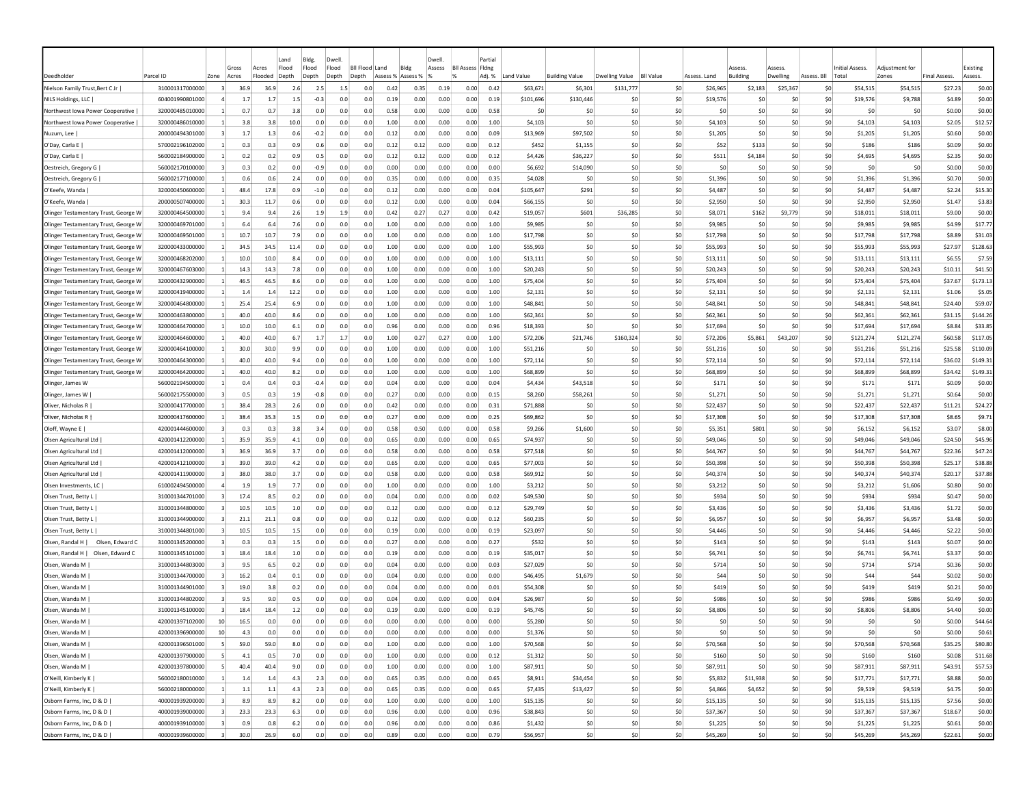| Deedholde                            | Parcel ID       | Zone                   | Gross<br>Acres        | Land<br>Flood<br>Acres<br>·looded<br>Depth |      | Bldg.<br>Flood<br>Depth | Dwell<br>Flood<br>Depth | Bil Flood<br>Depth | Land<br>Assess % | Bldg<br>Assess 9 | Dwell<br>Assess | <b>BII Assess Fidne</b> | Partia<br>Adj. %  | Land Value | <b>Building Value</b> | <b>Dwelling Value</b> | <b>BII Value</b> | Assess. Land | 229224<br><b>Building</b> | 229224<br>Dwelling | Assess. Bll            | <b>Initial Assess</b><br>Tota | Adiustment fo<br>Zones | <b>Final Assess</b> | Existing<br>Assess. |
|--------------------------------------|-----------------|------------------------|-----------------------|--------------------------------------------|------|-------------------------|-------------------------|--------------------|------------------|------------------|-----------------|-------------------------|-------------------|------------|-----------------------|-----------------------|------------------|--------------|---------------------------|--------------------|------------------------|-------------------------------|------------------------|---------------------|---------------------|
| Nielson Family Trust, Bert C Jr      | 310001317000000 |                        | 36.9                  | 36.9                                       | 2.6  | 2.5                     | 1.5                     | 0.0                | 0.42             | 0.35             | 0.19            | 0.00                    | 0.42              | \$63,671   | \$6,301               | \$131,777             | \$0              | \$26,965     | \$2,183                   | \$25,367           | S0                     | \$54,515                      | \$54,515               | \$27.23             | \$0.00              |
| NILS Holdings, LLC                   | 604001990801000 |                        | 1.7                   | 1.7                                        | 1.5  | $-0.3$                  | 0.0                     | 0.0                | 0.19             | 0.00             | 0.00            | 0.00                    | 0.19              | \$101,696  | \$130,446             | S0                    | \$0              | \$19,576     | -SC                       | \$C                | \$0                    | \$19,576                      | \$9,788                | \$4.89              | \$0.00              |
| Northwest Iowa Power Cooperative     | 320000485010000 |                        | 0.7                   | 0.7                                        | 3.8  | 0.0                     | 0.0                     | 0.0                | 0.58             | 0.00             | 0.00            | 0.00                    | 0.58              | \$0        | \$C                   | S0                    | \$0              | \$0          | \$C                       | \$C                | \$0                    | -SO                           | \$0                    | \$0.00              | \$0.00              |
| Northwest Iowa Power Cooperative     | 320000486010000 |                        | 3.8                   | 3.8                                        | 10.0 | 0.0                     | 0.0                     | 0.0                | 1.00             | 0.00             | 0.00            | 0.00                    | 1.00              | \$4,103    | \$0                   | S <sub>0</sub>        | \$0              | \$4,103      | \$0                       | \$0                | \$0                    | \$4,103                       | \$4,103                | \$2.05              | \$12.57             |
| Nuzum, Lee                           | 200000494301000 |                        | 1.7                   | 1.3                                        | 0.6  | $-0.2$                  | 0.0                     | 0.0                | 0.12             | 0.00             | 0.00            | 0.00                    | 0.09              | \$13,969   | \$97.502              | S <sub>0</sub>        | \$0              | \$1,205      | S0                        | \$0                | \$0                    | \$1,205                       | \$1,205                | \$0.60              | \$0.00              |
| O'Day, Carla E                       | 570002196102000 |                        | 0.3                   | 0.3                                        | 0.9  | 0.6                     | 0.0                     | 0.0                | 0.12             | 0.12             | 0.00            | 0.00                    | 0.12              | \$452      | \$1,155               | S0                    | \$0              | \$52         | \$133                     | \$C                | \$0                    | \$186                         | \$186                  | \$0.09              | \$0.00              |
| O'Day, Carla E                       | 560002184900000 | $\vert$ 1              | 0.2                   | 0.2                                        | 0.9  | 0.5                     | 0.0                     | 0.0                | 0.12             | 0.12             | 0.00            | 0.00                    | 0.12              | \$4,426    | \$36,227              | \$0                   | \$0              | \$511        | \$4,184                   | \$0                | \$0                    | \$4,695                       | \$4,695                | \$2.35              | \$0.00              |
| Oestreich, Gregory G                 | 560002170100000 |                        | 0.3                   | 0.2                                        | 0.0  | -0.9                    | 0.0                     | 0.0                | 0.00             | 0.00             | 0.00            | 0.00                    | 0.00              | \$6,692    | \$14,090              | \$0                   | \$0              | \$0          | \$C                       | \$0                | \$0                    | \$0                           | \$0                    | \$0.00              | \$0.00              |
| Oestreich, Gregory G                 | 560002177100000 | -1                     | 0.6                   | 0.6                                        | 2.4  | 0.0                     | 0.0                     | 0.0                | 0.35             | 0.00             | 0.00            | 0.00                    | 0.35              | \$4,028    | <b>SC</b>             | S0                    | \$0              | \$1,396      | <b>SC</b>                 | S0                 | \$0                    | \$1,396                       | \$1,396                | \$0.70              | \$0.00              |
| O'Keefe, Wanda                       | 320000450600000 | -11                    | 48.4                  | 17.8                                       | 0.9  | $-1.0$                  | 0.0                     | 0.0                | 0.12             | 0.00             | 0.00            | 0.00                    | 0.04              | \$105,647  | \$291                 | S0                    | \$0              | \$4,487      | S0                        | \$0                | \$0                    | \$4,487                       | \$4,487                | \$2.24              | \$15.30             |
| O'Keefe, Wanda                       | 200000507400000 |                        | 30.3                  | 11.7                                       | 0.6  | 0.0                     | 0.0                     | 0.0                | 0.12             | 0.00             | 0.00            | 0.00                    | 0.04              | \$66,155   | \$C                   | S0                    | \$0              | \$2,950      | \$0                       | \$0                | \$0                    | \$2,950                       | \$2,950                | \$1.47              | \$3.83              |
| Olinger Testamentary Trust, George W | 320000464500000 |                        | 9.4                   | 9.4                                        | 2.6  | 1.9                     | 1.9                     | 0.0                | 0.42             | 0.27             | 0.27            | 0.00                    | 0.42              | \$19,057   | \$601                 | \$36,285              | \$0              | \$8,071      | \$162                     | \$9,779            | \$0                    | \$18,011                      | \$18,011               | \$9.00              | \$0.00              |
| Olinger Testamentary Trust, George W | 320000469701000 |                        | 6.4                   | 6.4                                        | 7.6  | 0.0                     | 0.0                     | 0.0                | 1.00             | 0.00             | 0.00            | 0.00                    | 1.00              | \$9,985    | \$C                   | \$0                   | \$0              | \$9,985      | \$C                       | \$C                | \$0                    | \$9,985                       | \$9,985                | \$4.99              | \$17.77             |
| Olinger Testamentary Trust, George W | 320000469501000 |                        | 10.7                  | 10.7                                       | 7.9  | 0.0                     | 0.0                     | 0.0                | 1.00             | 0.00             | 0.00            | 0.00                    | 1.00              | \$17,798   | \$C                   | \$0                   | \$0              | \$17,798     | \$0                       | <b>SC</b>          | \$0                    | \$17,798                      | \$17,798               | \$8.89              | \$31.03             |
| Olinger Testamentary Trust, George W | 320000433000000 |                        | 34.5                  | 34.5                                       | 11.4 | 0.0                     | 0.0                     | 0.0                | 1.00             | 0.00             | 0.00            | 0.00                    | 1.00              | \$55,993   | \$0                   | S <sub>0</sub>        | \$0              | \$55,993     | \$0                       | \$0                | \$0                    | \$55,993                      | \$55,993               | \$27.97             | \$128.63            |
| Olinger Testamentary Trust, George W | 320000468202000 |                        | 10.0                  | 10.0                                       | 8.4  | 0.0                     | 0.0                     | 0.0                | 1.00             | 0.00             | 0.00            | 0.00                    | 1.00              | \$13,111   | \$C                   | -SO                   | \$0              | \$13,111     | \$0                       | \$C                | \$0                    | \$13,111                      | \$13,111               | \$6.55              | \$7.59              |
| Olinger Testamentary Trust, George W | 320000467603000 | -11                    | 14.3                  | 14.3                                       | 7.8  | 0.0                     | 0.0                     | 0.0                | 1.00             | 0.00             | 0.00            | 0.00                    | 1.00              | \$20,243   | \$0                   | S <sub>0</sub>        | \$0              | \$20.243     | \$0                       | \$C                | \$0                    | \$20,243                      | \$20,243               | \$10.11             | \$41.50             |
| Olinger Testamentary Trust, George W | 320000432900000 |                        | 46.5                  | 46.5                                       | 8.6  | 0.0                     | 0.0                     | 0.0                | 1.00             | 0.00             | 0.00            | 0.00                    | 1.00              | \$75,404   | \$C                   | S <sub>0</sub>        | \$0              | \$75,404     | \$0                       | \$C                | \$0                    | \$75,404                      | \$75,404               | \$37.67             | \$173.13            |
| Olinger Testamentary Trust, George W | 320000419400000 |                        | 1.4                   | 1.4                                        | 12.2 | 0.0                     | 0.0                     | 0.0                | 1.00             | 0.00             | 0.00            | 0.00                    | 1.00              | \$2,131    | \$C                   | -SC                   | \$0              | \$2,131      | \$C                       | \$C                | \$0                    | \$2,131                       | \$2,131                | \$1.06              | \$5.05              |
| Olinger Testamentary Trust, George W | 320000464800000 |                        | 25.4                  | 25.4                                       | 6.9  | 0.0                     | 0.0                     | 0.0                | 1.00             | 0.00             | 0.00            | 0.00                    | 1.00              | \$48,841   | \$C                   | \$0                   | \$0              | \$48,841     | \$C                       | \$C                | \$0                    | \$48,841                      | \$48,841               | \$24.40             | \$59.07             |
| Olinger Testamentary Trust, George W | 320000463800000 |                        | 40.0                  | 40.0                                       | 8.6  | 0.0                     | 0.0                     | 0.0                | 1.00             | 0.00             | 0.00            | 0.00                    | 1.00              | \$62,361   | \$0                   | S <sub>0</sub>        | \$0              | \$62,361     | \$0                       | \$0                | S0                     | \$62,361                      | \$62,361               | \$31.15             | \$144.26            |
| Olinger Testamentary Trust, George W | 320000464700000 | -1                     | 10.0                  | 10.0                                       | 6.1  | 0.0                     | 0.0                     | 0.0                | 0.96             | 0.00             | 0.00            | 0.00                    | 0.96              | \$18,393   | \$0                   | -SO                   | \$0              | \$17,694     | \$0                       | \$0                | S0                     | \$17,694                      | \$17,694               | \$8.84              | \$33.85             |
| Olinger Testamentary Trust, George W | 320000464600000 |                        | 40.0                  | 40.0                                       | 6.7  | 1.7                     | 1.7                     | 0.0                | 1.00             | 0.27             | 0.27            | 0.00                    | 1.00              | \$72,206   | \$21,746              | \$160,324             | SO.              | \$72,206     | \$5,861                   | \$43,207           | \$0                    | \$121,274                     | \$121,274              | \$60.58             | \$117.05            |
| Olinger Testamentary Trust, George W | 320000464100000 |                        | 30.0                  | 30.0                                       | 9.9  | 0.0                     | 0.0                     | 0.0                | 1.00             | 0.00             | 0.00            | 0.00                    | 1.00              | \$51,216   | \$0                   | S <sub>0</sub>        | \$0              | \$51,216     | \$C                       | \$C                | \$0                    | \$51,216                      | \$51,216               | \$25.58             | \$110.09            |
| Olinger Testamentary Trust, George W | 320000464300000 |                        | 40.0                  | 40.0                                       | 9.4  | 0.0                     | 0.0                     | 0.0                | 1.00             | 0.00             | 0.00            | 0.00                    | 1.00              | \$72,114   | \$0                   | -SC                   | \$0              | \$72,114     | \$0                       | \$C                | \$0                    | \$72,114                      | \$72,114               | \$36.02             | \$149.31            |
| Olinger Testamentary Trust, George W | 320000464200000 |                        | 40.0                  | 40.0                                       | 8.2  | 0.0                     | 0.0                     | 0.0                | 1.00             | 0.00             | 0.00            | 0.00                    | 1.00              | \$68,899   | \$0                   | \$0                   | \$0              | \$68,899     | \$0                       | \$0                | \$0                    | \$68,899                      | \$68,899               | \$34.42             | \$149.31            |
| Olinger, James W                     | 560002194500000 |                        | 0.4                   | 0.4                                        | 0.3  | -0.4                    | 0.0                     | 0.0                | 0.04             | 0.00             | 0.00            | 0.00                    | 0.04              | \$4,434    | \$43,518              | \$0                   | \$0              | \$171        | \$0                       | \$0                | \$0                    | \$171                         | \$171                  | \$0.09              | \$0.00              |
| Olinger, James W                     | 560002175500000 |                        | 0.5                   | 0.3                                        | 1.9  | $-0.8$                  | 0.0                     | 0.0                | 0.27             | 0.00             | 0.00            | 0.00                    | 0.15              | \$8,260    | \$58,261              | \$0                   | \$0              | \$1,271      | \$0                       | \$0                | \$0                    | \$1,271                       | \$1,271                | \$0.64              | \$0.00              |
| Oliver, Nicholas R                   | 320000417700000 |                        | 38.4                  | 28.3                                       | 2.6  | 0.0                     | 0.0                     | 0.0                | 0.42             | 0.00             | 0.00            | 0.00                    | 0.31              | \$71,888   | \$C                   | S0                    | \$0              | \$22,437     | S0                        | \$C                | \$0                    | \$22,437                      | \$22,437               | \$11.21             | \$24.27             |
| Oliver, Nicholas R                   | 320000417600000 | $\uparrow$             | 38.4                  | 35.3                                       | 1.5  | 0.0                     | 0.0                     | 0.0                | 0.27             | 0.00             | 0.00            | 0.00                    | 0.25              | \$69,862   | \$0                   | \$0                   | \$0              | \$17,308     | \$0                       | \$0                | \$0                    | \$17,308                      | \$17,308               | \$8.65              | \$9.71              |
| Oloff, Wayne E                       | 420001444600000 |                        | 0.3                   | 0.3                                        | 3.8  | 3.4                     | 0.0                     | 0.0                | 0.58             | 0.50             | 0.00            | 0.00                    | 0.58              | \$9,266    | \$1,600               | \$0                   | \$0              | \$5,351      | \$801                     | \$0                | \$0                    | \$6,152                       | \$6,152                | \$3.07              | \$8.00              |
| Olsen Agricultural Ltd               | 420001412200000 | $\mathbf{1}$           | 35.9                  | 35.9                                       | 4.1  | 0.0                     | 0.0                     | 0.0                | 0.65             | 0.00             | 0.00            | 0.00                    | 0.65              | \$74,937   | \$C                   | S <sub>0</sub>        | \$0              | \$49,046     | \$C                       | \$C                | \$0                    | \$49,046                      | \$49,046               | \$24.50             | \$45.96             |
| Olsen Agricultural Ltd               | 420001412000000 | 3                      | 36.9                  | 36.9                                       | 3.7  | 0.0                     | 0.0                     | 0.0                | 0.58             | 0.00             | 0.00            | 0.00                    | 0.58              | \$77,518   | \$C                   | \$0                   | \$0              | \$44,767     | \$C                       | \$0                | \$0                    | \$44,767                      | \$44,767               | \$22.36             | \$47.24             |
| Olsen Agricultural Ltd               | 420001412100000 | $\vert$ 3              | 39.0                  | 39.0                                       | 4.2  | 0.0                     | 0.0                     | 0.0                | 0.65             | 0.00             | 0.00            | 0.00                    | 0.65              | \$77,003   | S0                    | -SO                   | SO.              | \$50,398     | S0                        | S0                 | S0                     | \$50,398                      | \$50,398               | \$25.17             | \$38.88             |
| Olsen Agricultural Ltd               | 420001411900000 |                        | 38.0                  | 38.0                                       | 3.7  | 0.0                     | 0.0                     | 0.0                | 0.58             | 0.00             | 0.00            | 0.00                    | 0.58              | \$69,912   | <b>SC</b>             | S <sub>0</sub>        | \$0              | \$40,374     | -SC                       | \$0                | -SO                    | \$40,374                      | \$40,374               | \$20.17             | \$37.88             |
| Olsen Investments, LC                | 610002494500000 | 4                      | 1.9                   | 1.9                                        | 7.7  | 0.0                     | 0.0                     | 0.0                | 1.00             | 0.00             | 0.00            | 0.00                    | 1.00              | \$3,212    | \$0                   | S0                    | SO.              | \$3,212      | S0                        | \$0                | \$0                    | \$3,212                       | \$1,606                | \$0.80              | \$0.00              |
| Olsen Trust, Betty L                 | 310001344701000 |                        | 17.4                  | 8.5                                        | 0.2  | 0.0                     | 0.0                     | 0.0                | 0.04             | 0.00             | 0.00            | 0.00                    | 0.02              | \$49,530   | \$0                   | S0                    | \$0              | \$934        | S0                        | \$0                | \$0                    | \$934                         | \$934                  | \$0.47              | \$0.00              |
| Olsen Trust, Betty L                 | 310001344800000 |                        | 10.5                  | 10.5                                       | 1.0  | 0.0                     | 0.0                     | 0.0                | 0.12             | 0.00             | 0.00            | 0.00                    | 0.12              | \$29,749   | \$0                   | \$0                   | \$0              | \$3,436      | \$0                       | \$C                | \$0                    | \$3,436                       | \$3,436                | \$1.72              | \$0.00              |
| Olsen Trust, Betty L                 | 310001344900000 |                        | 21.1                  | 21.1                                       | 0.8  | 0.0                     | 0.0                     | 0.0                | 0.12             | 0.00             | 0.00            | 0.00                    | 0.12              | \$60,235   | \$C                   | \$0                   | \$0              | \$6,957      | \$0                       | \$0                | \$0                    | \$6,957                       | \$6,957                | \$3.48              | \$0.00              |
| Olsen Trust, Betty L                 | 310001344801000 |                        | 10.5                  | 10.5                                       | 1.5  | 0.0                     | 0.0                     | 0.0                | 0.19             | 0.00             | 0.00            | 0.00                    | 0.19              | \$23,097   | \$C                   | \$0                   | \$0              | \$4,446      | \$0                       | so                 | \$0                    | \$4,446                       | \$4,446                | \$2.22              | \$0.00              |
| Olsen, Randal H<br>Olsen, Edward C   | 310001345200000 | $\mathbf{R}$           | 0.3                   | 0.3                                        | 1.5  | 0.0                     | 0.0                     | 0.0                | 0.27             | 0.00             | 0.00            | 0.00                    | 0.27              | \$532      | \$0                   | S <sub>0</sub>        | \$0              | \$143        | \$0                       | \$0                | \$0                    | \$143                         | \$143                  | \$0.07              | \$0.00              |
| Olsen, Randal H  <br>Olsen, Edward C | 310001345101000 | 3                      | 18.4                  | 18.4                                       | 1.0  | 0.0                     | 0.0                     | 0.0                | 0.19             | 0.00             | 0.00            | 0.00                    | 0.19              | \$35,017   | \$0                   | S <sub>0</sub>        | \$0              | \$6,741      | \$0                       | \$0                | \$0                    | \$6,741                       | \$6,741                | \$3.37              | \$0.00              |
| Olsen, Wanda M                       | 310001344803000 |                        | 9.5                   | 6.5                                        | 0.2  | 0.0                     | 0.0                     | 0.0                | 0.04             | 0.00             | 0.00            | 0.00                    | 0.03              | \$27,029   | \$C                   | \$0                   | \$0              | \$714        | \$0                       | \$C                | \$0                    | \$714                         | \$714                  | \$0.36              | \$0.00              |
| Olsen, Wanda M                       | 310001344700000 |                        | 16.2                  | 0.4                                        | 0.1  | 0.0                     | 0.0                     | 0.0                | 0.04             | 0.00             | 0.00            | 0.00                    | 0.00              | \$46,495   | \$1,679               | S0                    | \$0              | \$44         | \$C                       | ŚC                 | \$0                    | \$44                          | \$44                   | \$0.02              | \$0.00              |
| Olsen, Wanda M                       | 310001344901000 |                        | 19.0                  | 3.8                                        | 0.2  | 0.0                     | 0.0                     | 0.0                | 0.04             | 0.00             | 0.00            | 0.00                    | 0.01              | \$54,308   | \$C                   | S <sub>0</sub>        | \$0              | \$419        | \$0                       | \$0                | \$0                    | \$419                         | \$419                  | \$0.21              | \$0.00              |
| Olsen, Wanda M                       | 310001344802000 |                        | 9.5                   | 9.0                                        | 0.5  | 0.0                     | 0.0                     | 0.0                | 0.04             | 0.00             | 0.00            | 0.00                    | 0.04              | \$26,987   | \$C                   | S <sub>0</sub>        | \$0              | \$986        | <b>SC</b>                 | so                 | S0                     | \$986                         | \$986                  | \$0.49              | \$0.00              |
| Olsen, Wanda M                       | 310001345100000 |                        | 18.4                  | 18.4                                       | 1.2  | 0.0                     | 0.0                     | 0.0                | 0.19             | 0.00             | 0.00            | 0.00                    | 0.19              | \$45,745   | <b>SC</b>             | -SO                   | \$0              | \$8,806      | -SC                       | S0                 | S0                     | \$8,806                       | \$8,806                | \$4.40              | \$0.00              |
| Olsen, Wanda M                       | 420001397102000 | 10                     | 16.5                  | 0.0                                        | 0.0  | 0.0                     | 0.0                     | 0.0                | 0.00             | 0.00             | 0.00            | 0.00                    | 0.00              | \$5,280    | \$0                   | S <sub>0</sub>        | \$0              | \$0          | S0                        | \$0                | \$0                    | 50                            | \$0                    | \$0.00              | \$44.64             |
| Olsen, Wanda M                       | 420001396900000 | 10                     | 4.3                   | 0.0                                        | 0.0  | 0.0                     | 0.0                     | 0.0                | 0.00             | 0.00             | 0.00            | 0.00                    | 0.00              | \$1,376    | \$0                   | 50 <sub>1</sub>       | \$0              | \$0          | \$0                       | 50                 | 50                     | <b>SO</b>                     | \$0                    | \$0.00              | \$0.61              |
| Olsen, Wanda M                       | 420001396501000 | $\mathbf{5}$           | 59.0                  | 59.0                                       | 8.0  | 0.0                     | 0.0                     | 0.0                | 1.00             | 0.00             | 0.00            | 0.00                    | 1.00              | \$70,568   | \$0                   | \$0                   | \$0              | \$70,568     | \$0                       | 50                 | \$0                    | \$70,568                      | \$70,568               | \$35.25             | \$80.80             |
| Olsen, Wanda M                       | 420001397900000 | $\mathbf{5}$           | 4.1                   | 0.5                                        | 7.0  | 0.0                     | 0.0                     | 0.0                | 1.00             | 0.00             | 0.00            | 0.00                    | 0.12              | \$1,312    | \$0                   | \$0                   | \$0              | \$160        | \$0                       | \$0                | \$0                    | \$160                         | \$160                  | \$0.08              | \$11.68             |
| Olsen, Wanda M                       | 420001397800000 | $\mathbf{5}$           | 40.4                  | 40.4                                       | 9.0  | 0.0                     | 0.0                     | 0.0                | 1.00             | 0.00             | 0.00            | 0.00                    | 1.00              | \$87,911   | \$0                   | \$0                   | \$0              | \$87,911     | \$0                       | 50                 | \$0                    | \$87,911                      | \$87,911               | \$43.91             | \$57.53             |
| O'Neill, Kimberly K                  | 560002180010000 |                        | 1 <sup>1</sup><br>1.4 | 1.4                                        | 4.3  | 2.3                     | 0.0                     | 0.0                | 0.65             | 0.35             | 0.00            | 0.00                    | 0.65              | \$8,911    | \$34,454              | 50                    | \$0              | \$5,832      | \$11,938                  | 50                 | \$0                    | \$17,771                      | \$17,771               | \$8.88              | \$0.00              |
| O'Neill, Kimberly K                  | 560002180000000 | $\vert$ 1              | $1.1$                 | 1.1                                        | 4.3  | 2.3                     | 0.0                     | 0.0                | 0.65             | 0.35             | 0.00            | 0.00                    | 0.65              | \$7,435    | \$13,427              | 50                    | \$0              | \$4,866      | \$4,652                   | 50                 | \$0                    | \$9,519                       | \$9,519                | \$4.75              | \$0.00              |
| Osborn Farms, Inc, D & D             | 400001939200000 | $\vert$ 3              | 8.9                   | 8.9                                        | 8.2  | 0.0                     | 0.0                     | 0.0                | 1.00             | 0.00             | 0.00            | 0.00                    | 1.00              | \$15,135   | \$0                   | \$0                   | \$0              | \$15,135     | \$0                       | 50                 | 50                     | \$15,135                      | \$15,135               | \$7.56              | \$0.00              |
| Osborn Farms, Inc, D & D             | 400001939000000 | $\vert$ 3              | 23.3                  | 23.3                                       | 6.3  | 0.0                     | 0.0                     | 0.0                | 0.96             | 0.00             | 0.00            | 0.00                    | 0.96              | \$38,843   | \$0                   | \$0                   | \$0              | \$37,367     | \$0                       | \$0                | \$0                    | \$37,367                      | \$37,367               | \$18.67             | \$0.00              |
| Osborn Farms, Inc, D & D             | 400001939100000 | $\vert$ 3<br>$\vert$ 3 | 0.9                   | 0.8                                        | 6.2  | 0.0                     | 0.0                     | 0.0                | 0.96             | 0.00             | 0.00            | 0.00                    | 0.86<br>0.00 0.79 | \$1,432    | \$0<br>50             | \$0<br>50             | \$0<br>\$0       | \$1,225      | \$0<br>50                 | \$0<br>50          | \$0<br>50 <sub>2</sub> | \$1,225                       | \$1,225<br>\$45,269    | \$0.61              | \$0.00              |
| Osborn Farms, Inc, D & D             | 400001939600000 |                        | 30.0                  | 26.9                                       | 6.0  | 0.0                     | 0.0                     | 0.0                | 0.89             | 0.00             | 0.00            |                         |                   | \$56,957   |                       |                       |                  | \$45,269     |                           |                    |                        | \$45,269                      |                        | \$22.61             | \$0.00              |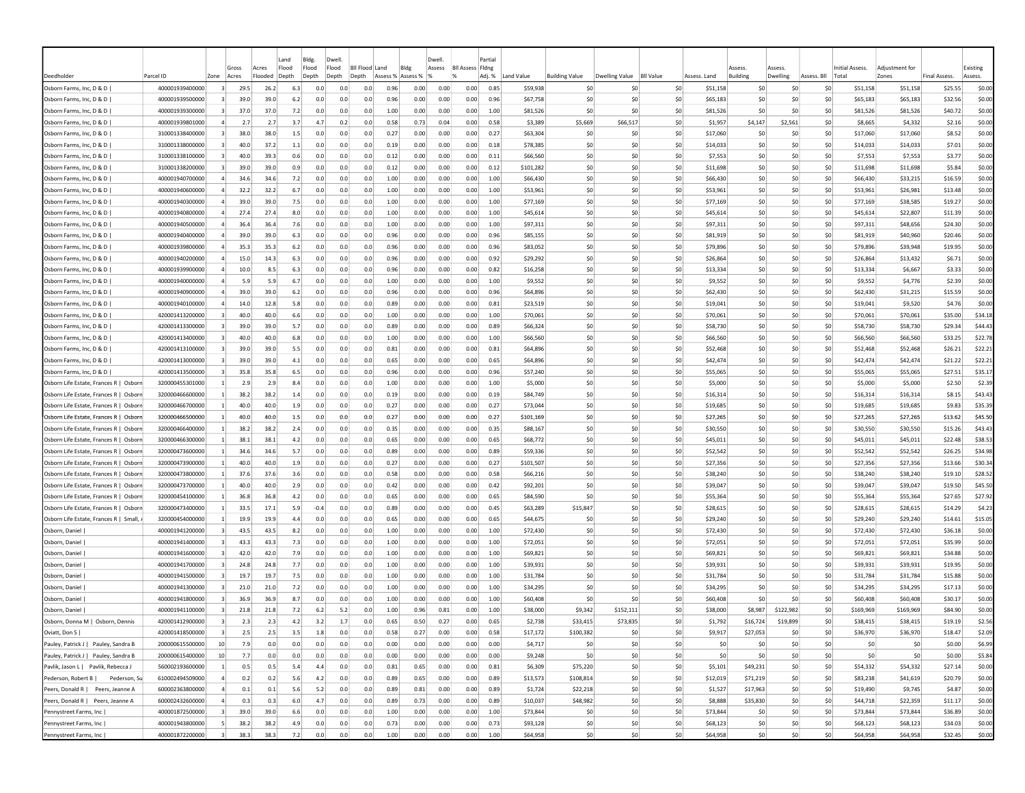|                                        |                 |                         |                |                  | Land           | Bldg.          | Dwell          |                           |                           |      | Dwell. |                                          | Partial |            |                       |                |                  |              |                |                    |                      |                 |                        |              |                    |
|----------------------------------------|-----------------|-------------------------|----------------|------------------|----------------|----------------|----------------|---------------------------|---------------------------|------|--------|------------------------------------------|---------|------------|-----------------------|----------------|------------------|--------------|----------------|--------------------|----------------------|-----------------|------------------------|--------------|--------------------|
| Deedholder                             | Parcel ID       | Zone                    | Gross<br>Acres | Acres<br>Flooded | Flood<br>Depth | Flood<br>Depth | Flood<br>Depth | <b>BII Flood</b><br>Depth | Land<br>Assess % Assess % | Bldg | Assess | <b>Bll Assess Fldng</b><br>$\frac{9}{6}$ | Adj. %  | Land Value | <b>Building Value</b> | Dwelling Value | <b>BII Value</b> | Assess, Land | Building       | Asses:<br>Dwelling | Assess. Bll<br>Total | Initial Assess. | Adiustment fo<br>Zones | Final Assess | Existing<br>Assess |
| Osborn Farms, Inc, D & D               | 400001939400000 | $\overline{3}$          | 29.5           | 26.2             | 6.3            | 0.0            | 0.0            | 0.0                       | 0.96                      | 0.00 | 0.00   | 0.00                                     | 0.85    | \$59,938   | S0                    | -SO            | \$0              | \$51,158     | -SO            | S0                 | S0                   | \$51,158        | \$51,158               | \$25.55      | \$0.00             |
| Osborn Farms, Inc, D & D               | 400001939500000 |                         | 39.0           | 39.0             | 6.2            | 0.0            | 0.0            | 0.0                       | 0.96                      | 0.00 | 0.00   | 0.00                                     | 0.96    | \$67,758   | \$0                   | \$0            | \$C              | \$65,183     | \$0            | \$0                | S0                   | \$65,183        | \$65,183               | \$32.56      | \$0.00             |
| Osborn Farms, Inc, D & D               | 400001939300000 | $\overline{3}$          | 37.0           | 37.0             | 7.2            | 0.0            | 0.0            | 0.0                       | 1.00                      | 0.00 | 0.00   | 0.00                                     | 1.00    | \$81.526   | \$0                   | \$0            | \$0              | \$81.526     | \$0            | \$0                | \$0                  | \$81.526        | \$81,526               | \$40.72      | \$0.00             |
| Osborn Farms, Inc, D & D               | 400001939801000 | $\overline{4}$          | 2.7            | 2.7              | 3.7            | 4.7            | 0.2            | 0.0                       | 0.58                      | 0.73 | 0.04   | 0.00                                     | 0.58    | \$3,389    | \$5,669               | \$66,517       | \$0              | \$1,957      | \$4,147        | \$2,561            | \$0                  | \$8,665         | \$4,332                | \$2.16       | \$0.00             |
| Osborn Farms, Inc, D & D               | 310001338400000 | $\overline{\mathbf{3}}$ | 38.0           | 38.0             | 1.5            | 0.0            | 0.0            | 0.0                       | 0.27                      | 0.00 | 0.00   | 0.00                                     | 0.27    | \$63,304   | \$0                   | -SO            | \$0              | \$17,060     | -SC            | \$0                | S0                   | \$17,060        | \$17,060               | \$8.52       | \$0.00             |
| Osborn Farms, Inc, D & D               | 310001338000000 | $\vert$ 3               | 40.0           | 37.2             | $1.1\,$        | 0.0            | 0.0            | 0.0                       | 0.19                      | 0.00 | 0.00   | 0.00                                     | 0.18    | \$78,385   | \$0                   | \$0            | \$0              | \$14,033     | \$0            | \$0                | \$0                  | \$14,033        | \$14,033               | \$7.01       | \$0.00             |
| Osborn Farms, Inc, D & D               | 310001338100000 | $\vert$ 3               | 40.0           | 39.3             | 0.6            | 0.0            | 0.0            | 0.0                       | 0.12                      | 0.00 | 0.00   | 0.00                                     | 0.11    | \$66,560   | S0                    | -SO            | \$0              | \$7,553      | S <sub>0</sub> | S0                 | S0                   | \$7,553         | \$7,553                | \$3.77       | \$0.00             |
| Osborn Farms, Inc, D & D               | 310001338200000 | -3                      | 39.0           | 39.0             | 0.9            | 0.0            | 0.0            | 0.0                       | 0.12                      | 0.00 | 0.00   | 0.00                                     | 0.12    | \$101,282  | S0                    | -SO            | \$0              | \$11,698     | -SO            | S0                 | S0                   | \$11,698        | \$11,698               | \$5.84       | \$0.00             |
| Osborn Farms, Inc, D & D               | 400001940700000 | $\overline{a}$          | 34.6           | 34.6             | 7.2            | 0.0            | 0.0            | 0.0                       | 1.00                      | 0.00 | 0.00   | 0.00                                     | 1.00    | \$66,430   | S0                    | -SO            | -SO              | \$66,430     | S <sub>0</sub> | S0                 | S0                   | \$66,430        | \$33,215               | \$16.59      | \$0.00             |
| Osborn Farms, Inc, D & D               | 400001940600000 | $\overline{4}$          | 32.2           | 32.2             | 6.7            | 0.0            | 0.0            | 0.0                       | 1.00                      | 0.00 | 0.00   | 0.00                                     | 1.00    | \$53,961   | \$0                   | -SO            | \$0              | \$53,961     | \$0            | \$0                | \$0                  | \$53,961        | \$26,981               | \$13.48      | \$0.00             |
| Osborn Farms, Inc, D & D               | 400001940300000 |                         | 39.0           | 39.0             | 7.5            | 0.0            | 0.0            | 0.0                       | 1.00                      | 0.00 | 0.00   | 0.00                                     | 1.00    | \$77,169   | \$0                   | -SO            | \$0              | \$77,169     | \$0            | \$0                | \$0                  | \$77,169        | \$38,585               | \$19.27      | \$0.00             |
| Osborn Farms, Inc, D & D               | 400001940800000 | $\overline{4}$          | 27.4           | 27.4             | 8.0            | 0.0            | 0.0            | 0.0                       | 1.00                      | 0.00 | 0.00   | 0.00                                     | 1.00    | \$45,614   | \$0                   | \$0            | \$0              | \$45,614     | \$0            | \$0                | \$0                  | \$45,614        | \$22,807               | \$11.39      | \$0.00             |
| Osborn Farms, Inc, D & D               | 400001940500000 | 4                       | 36.4           | 36.4             | 7.6            | 0.0            | 0.0            | 0.0                       | 1.00                      | 0.00 | 0.00   | 0.00                                     | 1.00    | \$97,311   | \$0                   | \$0            | \$0              | \$97,311     | \$0            | \$0                | \$0                  | \$97,311        | \$48,656               | \$24.30      | \$0.00             |
| Osborn Farms, Inc, D & D               | 400001940400000 | $\overline{a}$          | 39.0           | 39.0             | 6.3            | 0.0            | 0.0            | 0.0                       | 0.96                      | 0.00 | 0.00   | 0.00                                     | 0.96    | \$85,155   | \$0                   | -SO            | \$0              | \$81,919     | \$0            | S0                 | S0                   | \$81,919        | \$40,960               | \$20.46      | \$0.00             |
| Osborn Farms, Inc, D & D               | 400001939800000 | $\overline{a}$          | 35.3           | 35.3             | 6.2            | 0.0            | 0.0            | 0.0                       | 0.96                      | 0.00 | 0.00   | 0.00                                     | 0.96    | \$83,052   | S0                    | \$0            | \$0              | \$79.896     | S <sub>0</sub> | S0                 | \$0                  | \$79,896        | \$39,948               | \$19.95      | \$0.00             |
| Osborn Farms, Inc, D & D               | 400001940200000 | $\overline{a}$          | 15.0           | 14.3             | 6.3            | 0.0            | 0.0            | 0.0                       | 0.96                      | 0.00 | 0.00   | 0.00                                     | 0.92    | \$29,292   | \$0                   | \$0            | \$0              | \$26,864     | S <sub>0</sub> | S0                 | S0                   | \$26,864        | \$13,432               | \$6.71       | \$0.00             |
| Osborn Farms, Inc, D & D               | 400001939900000 | $\overline{4}$          | 10.0           | 8.5              | 6.3            | 0.0            | 0.0            | 0.0                       | 0.96                      | 0.00 | 0.00   | 0.00                                     | 0.82    | \$16,258   | S0                    | -SO            | \$0              | \$13,334     | \$0            | \$0                | S0                   | \$13,334        | \$6,667                | \$3.33       | \$0.00             |
| Osborn Farms, Inc, D & D               | 400001940000000 | $\overline{a}$          | 5.9            | 5.9              | 6.7            | 0.0            | 0.0            | 0.0                       | 1.00                      | 0.00 | 0.00   | 0.00                                     | 1.00    | \$9,552    | \$0                   | \$0            | \$0              | \$9,552      | \$0            | \$0                | \$0                  | \$9,552         | \$4,776                | \$2.39       | \$0.00             |
| Osborn Farms, Inc, D & D               | 400001940900000 | 4                       | 39.0           | 39.0             | 6.2            | 0.0            | 0.0            | 0.0                       | 0.96                      | 0.00 | 0.00   | 0.00                                     | 0.96    | \$64,896   | \$0                   | -SO            | \$0              | \$62,430     | \$0            | \$0                | \$0                  | \$62,430        | \$31,215               | \$15.59      | \$0.00             |
| Osborn Farms, Inc, D & D               | 400001940100000 | $\overline{a}$          | 14.0           | 12.8             | 5.8            | 0.0            | 0.0            | 0.0                       | 0.89                      | 0.00 | 0.00   | 0.00                                     | 0.81    | \$23,519   | S0                    | -SO            | \$0              | \$19,041     | \$0            | S0                 | S0                   | \$19,041        | \$9,520                | \$4.76       | \$0.00             |
| Osborn Farms, Inc, D & D               | 420001413200000 | -3                      | 40.0           | 40.0             | 6.6            | 0.0            | 0.0            | 0.0                       | 1.00                      | 0.00 | 0.00   | 0.00                                     | 1.00    | \$70,061   | S0                    | -SO            | \$0              | \$70,061     | \$0            | \$0                | S0                   | \$70,061        | \$70,061               | \$35.00      | \$34.18            |
| Osborn Farms, Inc, D & D               | 420001413300000 | -3                      | 39.0           | 39.0             | 5.7            | 0.0            | 0.0            | 0.0                       | 0.89                      | 0.00 | 0.00   | 0.00                                     | 0.89    | \$66,324   | S0                    | -SO            | -SO              | \$58,730     | S <sub>0</sub> | S0                 | S0                   | \$58,730        | \$58,730               | \$29.34      | \$44.43            |
| Osborn Farms, Inc, D & D               | 420001413400000 | 3                       | 40.0           | 40.0             | 6.8            | 0.0            | 0.0            | 0.0                       | 1.00                      | 0.00 | 0.00   | 0.00                                     | 1.00    | \$66,560   | \$0                   | \$0            | \$0              | \$66,560     | \$0            | \$0                | \$0                  | \$66,560        | \$66,560               | \$33.25      | \$22.78            |
| Osborn Farms, Inc, D & D               | 420001413100000 |                         | 39.0           | 39.0             | 5.5            | 0.0            | 0.0            | 0.0                       | 0.81                      | 0.00 | 0.00   | 0.00                                     | 0.81    | \$64,896   | \$0                   | -SO            | \$0              | \$52,468     | \$0            | \$0                | S0                   | \$52,468        | \$52,468               | \$26.21      | \$22.21            |
| Osborn Farms, Inc, D & D               | 420001413000000 | 3                       | 39.0           | 39.0             | 4.1            | 0.0            | 0.0            | 0.0                       | 0.65                      | 0.00 | 0.00   | 0.00                                     | 0.65    | \$64,896   | \$0                   | -SO            | \$0              | \$42,474     | \$0            | \$0                | \$0                  | \$42,474        | \$42,474               | \$21.22      | \$22.21            |
| Osborn Farms, Inc, D & D               | 420001413500000 | 3                       | 35.8           | 35.8             | 6.5            | 0.0            | 0.0            | 0.0                       | 0.96                      | 0.00 | 0.00   | 0.00                                     | 0.96    | \$57,240   | \$0                   | -SO            | \$0              | \$55,065     | \$0            | S0                 | S0                   | \$55,065        | \$55,065               | \$27.51      | \$35.17            |
| Osborn Life Estate, Frances R   Osborn | 320000455301000 |                         | 2.9            | 2.9              | 8.4            | 0.0            | 0.0            | 0.0                       | 1.00                      | 0.00 | 0.00   | 0.00                                     | 1.00    | \$5,000    | \$0                   | \$0            | \$0              | \$5,000      | S0             | S0                 | \$0                  | \$5,000         | \$5,000                | \$2.50       | \$2.39             |
| Osborn Life Estate, Frances R   Osborn | 320000466600000 | $\mathbf{1}$            | 38.2           | 38.2             | 1.4            | 0.0            | 0.0            | 0.0                       | 0.19                      | 0.00 | 0.00   | 0.00                                     | 0.19    | \$84,749   | \$0                   | \$0            | \$0              | \$16,314     | \$0            | \$0                | \$0                  | \$16,314        | \$16,314               | \$8.15       | \$43.43            |
| Osborn Life Estate, Frances R   Osborn | 320000466700000 | $\mathbf{1}$            | 40.0           | 40.0             | 1.9            | 0.0            | 0.0            | 0.0                       | 0.27                      | 0.00 | 0.00   | 0.00                                     | 0.27    | \$73,044   | \$0                   | -SO            | \$0              | \$19,685     | \$0            | \$0                | \$0                  | \$19,685        | \$19,685               | \$9.83       | \$35.39            |
| Osborn Life Estate, Frances R   Osborn | 320000466500000 | <sup>1</sup>            | 40.0           | 40.0             | 1.5            | 0.0            | 0.0            | 0.0                       | 0.27                      | 0.00 | 0.00   | 0.00                                     | 0.27    | \$101,169  | \$0                   | -SO            | \$0              | \$27,265     | \$0            | \$0                | \$0                  | \$27,265        | \$27,265               | \$13.62      | \$45.50            |
| Osborn Life Estate, Frances R   Osborn | 320000466400000 | $\vert$ 1               | 38.2           | 38.2             | 2.4            | 0.0            | 0.0            | 0.0                       | 0.35                      | 0.00 | 0.00   | 0.00                                     | 0.35    | \$88,167   | \$0                   | \$0            | \$0              | \$30,550     | \$0            | \$0                | \$0                  | \$30,550        | \$30,550               | \$15.26      | \$43.43            |
| Osborn Life Estate, Frances R   Osborn | 320000466300000 | -1                      | 38.1           | 38.1             | 4.2            | 0.0            | 0.0            | 0.0                       | 0.65                      | 0.00 | 0.00   | 0.00                                     | 0.65    | \$68,772   | \$0                   | \$0            | \$0              | \$45,011     | \$0            | \$0                | \$0                  | \$45,011        | \$45,011               | \$22.48      | \$38.53            |
| Osborn Life Estate, Frances R   Osborr | 320000473600000 | $\vert$ 1               | 34.6           | 34.6             | 5.7            | 0.0            | 0.0            | 0.0                       | 0.89                      | 0.00 | 0.00   | 0.00                                     | 0.89    | \$59,336   | S0                    | -SO            | \$0              | \$52,542     | -SO            | \$0                | \$0                  | \$52,542        | \$52,542               | \$26.25      | \$34.98            |
| Osborn Life Estate, Frances R   Osbori | 320000473900000 | -11                     | 40.0           | 40.0             | 1.9            | 0.0            | 0.0            | 0.0                       | 0.27                      | 0.00 | 0.00   | 0.00                                     | 0.27    | \$101,507  | S0                    | -SO            | \$0              | \$27,356     | S <sub>0</sub> | \$0                | \$0                  | \$27,356        | \$27,356               | \$13.66      | \$30.34            |
| Osborn Life Estate, Frances R   Osborn | 320000473800000 | -1                      | 37.6           | 37.6             | 3.6            | 0.0            | 0.0            | 0.0                       | 0.58                      | 0.00 | 0.00   | 0.00                                     | 0.58    | \$66,216   | S0                    | -SO            | \$0              | \$38,240     | S <sub>0</sub> | \$0                | \$0                  | \$38,240        | \$38,240               | \$19.10      | \$28.52            |
| Osborn Life Estate, Frances R   Osborn | 320000473700000 | $\mathbf{1}$            | 40.0           | 40.0             | 2.9            | 0.0            | 0.0            | 0.0                       | 0.42                      | 0.00 | 0.00   | 0.00                                     | 0.42    | \$92,201   | \$0                   | \$0            | \$0              | \$39,047     | \$0            | \$0                | \$0                  | \$39,047        | \$39,047               | \$19.50      | \$45.50            |
| Osborn Life Estate, Frances R   Osborn | 320000454100000 |                         | 36.8           | 36.8             | 4.2            | 0.0            | 0.0            | 0.0                       | 0.65                      | 0.00 | 0.00   | 0.00                                     | 0.65    | \$84,590   | -SO                   | -SO            | \$0              | \$55,364     | \$0            | \$C                | \$0                  | \$55,364        | \$55,364               | \$27.65      | \$27.92            |
| Osborn Life Estate, Frances R   Osborn | 320000473400000 | $\mathbf{1}$            | 33.5           | 17.1             | 5.9            | $-0.4$         | 0.0            | 0.0                       | 0.89                      | 0.00 | 0.00   | 0.00                                     | 0.45    | \$63,289   | \$15,847              | \$0            | \$0              | \$28,615     | \$0            | \$0                | \$0                  | \$28,615        | \$28,615               | \$14.29      | \$4.23             |
| Osborn Life Estate, Frances R   Small, | 320000454000000 | $\vert$ 1               | 19.9           | 19.9             | 4.4            | 0.0            | 0.0            | 0.0                       | 0.65                      | 0.00 | 0.00   | 0.00                                     | 0.65    | \$44,675   | \$0                   | -SO            | \$0              | \$29,240     | \$0            | S0                 | \$0                  | \$29,240        | \$29,240               | \$14.61      | \$15.05            |
| Osborn, Daniel                         | 400001941200000 | 3                       | 43.5           | 43.5             | 8.2            | 0.0            | 0.0            | 0.0                       | 1.00                      | 0.00 | 0.00   | 0.00                                     | 1.00    | \$72,430   | \$0                   | \$0            | \$0              | \$72,430     | \$0            | S0                 | S0                   | \$72,430        | \$72,430               | \$36.18      | \$0.00             |
| Osborn, Daniel                         | 400001941400000 | $\overline{3}$          | 43.3           | 43.3             | 7.3            | 0.0            | 0.0            | 0.0                       | 1.00                      | 0.00 | 0.00   | 0.00                                     | 1.00    | \$72,051   | \$0                   | \$0            | \$0              | \$72.051     | \$0            | \$0                | \$0                  | \$72,051        | \$72,051               | \$35.99      | \$0.00             |
| Osborn, Daniel                         | 400001941600000 | 3                       | 42.0           | 42.0             | 7.9            | 0.0            | 0.0            | 0.0                       | 1.00                      | 0.00 | 0.00   | 0.00                                     | 1.00    | \$69,821   | \$0                   | -SO            | \$0              | \$69,821     | \$0            | \$0                | S0                   | \$69,821        | \$69,821               | \$34.88      | \$0.00             |
| Osborn, Daniel                         | 400001941700000 | $\overline{\mathbf{3}}$ | 24.8           | 24.8             | 7.7            | 0.0            | 0.0            | 0.0                       | 1.00                      | 0.00 | 0.00   | 0.00                                     | 1.00    | \$39,931   | S0                    | S0             | \$0              | \$39,931     | \$0            | \$0                | \$0                  | \$39,931        | \$39,931               | \$19.95      | \$0.00             |
| Osborn, Daniel                         | 400001941500000 | $\overline{\mathbf{3}}$ | 19.7           | 19.7             | 7.5            | 0.0            | 0.0            | 0.0                       | 1.00                      | 0.00 | 0.00   | 0.00                                     | 1.00    | \$31,784   | \$0                   | S0             | \$0              | \$31,784     | \$0            | \$0                | \$0                  | \$31,784        | \$31,784               | \$15.88      | \$0.00             |
| Osborn, Daniel                         | 400001941300000 | -3                      | 21.0           | 21.0             | 7.2            | 0.0            | 0.0            | 0.0                       | 1.00                      | 0.00 | 0.00   | 0.00                                     | 1.00    | \$34,295   | S0                    | -SO            | \$0              | \$34,295     | -SO            | S0                 | S0                   | \$34,295        | \$34,295               | \$17.13      | \$0.00             |
| Osborn, Daniel                         | 400001941800000 | 3                       | 36.9           | 36.9             | 8.7            | 0.0            | 0.0            | 0.0                       | 1.00                      | 0.00 | 0.00   | 0.00                                     | 1.00    | \$60,408   | S0                    | -SO            | \$0              | \$60,408     | -SO            | \$0                | S0                   | \$60,408        | \$60,408               | \$30.17      | \$0.00             |
| Osborn, Daniel                         | 400001941100000 | - 3                     | 21.8           | 21.8             | 7.2            | 6.2            | 5.2            | 0.0                       | 1.00                      | 0.96 | 0.81   | 0.00                                     | 1.00    | \$38,000   | \$9,342               | \$152.111      | \$0              | \$38,000     | \$8,987        | \$122,982          | \$0                  | \$169,969       | \$169,969              | \$84.90      | \$0.00             |
| Osborn, Donna M   Osborn, Dennis       | 420001412900000 | 3                       | 2.3            | 2.3              | 4.2            | 3.2            | 1.7            | 0.0                       | 0.65                      | 0.50 | 0.27   | 0.00                                     | 0.65    | \$2,738    | \$33,415              | \$73,835       | \$0              | \$1,792      | \$16,724       | \$19,899           | \$0                  | \$38,415        | \$38,415               | \$19.19      | \$2.56             |
| Oviatt, Don S                          | 420001418500000 | $\vert$ 3               | 2.5            | 2.5              | 3.5            | 1.8            | 0.0            | 0.0                       | 0.58                      | 0.27 | 0.00   | 0.00                                     | 0.58    | \$17,172   | \$100,382             | \$0            | \$0              | \$9,917      | \$27,053       | \$0                | \$0                  | \$36,970        | \$36,970               | \$18.47      | \$2.09             |
| Pauley, Patrick J   Pauley, Sandra B   | 200000615500000 | 10                      | 7.9            | 0.0              | 0.0            | 0.0            | 0.0            | 0.0                       | 0.00                      | 0.00 | 0.00   | 0.00                                     | 0.00    | \$4,717    | \$0                   | \$0            | \$0              |              | \$0<br>\$0     | \$0                | \$0                  | \$0             | \$0                    | \$0.00       | \$6.99             |
| Pauley, Patrick J   Pauley, Sandra B   | 200000615400000 | 10                      | 7.7            | 0.0              | 0.0            | 0.0            | 0.0            | 0.0                       | 0.00                      | 0.00 | 0.00   | 0.00                                     | 0.00    | \$9,248    | \$0                   | \$0            | \$0              |              | \$0<br>\$0     | \$0                | \$0                  | \$0             | \$0                    | \$0.00       | \$5.84             |
| Pavlik, Jason L   Pavlik, Rebecca J    | 560002193600000 | $\vert$ 1               | 0.5            | 0.5              | 5.4            | 4.4            | 0.0            | 0.0                       | 0.81                      | 0.65 | 0.00   | 0.00                                     | 0.81    | \$6,309    | \$75,220              | \$0            | \$0              | \$5,101      | \$49,231       | -SO                | \$0                  | \$54,332        | \$54,332               | \$27.14      | \$0.00             |
| Pederson, Su<br>Pederson, Robert B I   | 610002494509000 | $\sim$                  | 0.2            | 0.2              | 5.6            | 4.2            | 0.0            | 0.0                       | 0.89                      | 0.65 | 0.00   | 0.00                                     | 0.89    | \$13,573   | \$108,814             | \$0            | \$0              | \$12,019     | \$71,219       | 50                 | \$0                  | \$83,238        | \$41,619               | \$20.79      | \$0.00             |
| Peers, Donald R   Peers, Jeanne A      | 600002363800000 | $\overline{a}$          | 0.1            | 0.1              | 5.6            | 5.2            | 0.0            | 0.0                       | 0.89                      | 0.81 | 0.00   | 0.00                                     | 0.89    | \$1,724    | \$22,218              | \$0            | \$0              | \$1,527      | \$17,963       | \$0                | SO                   | \$19,490        | \$9,745                | \$4.87       | \$0.00             |
| Peers, Donald R   Peers, Jeanne A      | 600002432600000 | $\overline{4}$          | 0.3            | 0.3              | 6.0            | 4.7            | 0.0            | 0.0                       | 0.89                      | 0.73 | 0.00   | 0.00                                     | 0.89    | \$10,037   | \$48,982              | 50             | \$0              | \$8,888      | \$35,830       | 50                 | \$0                  | \$44,718        | \$22,359               | \$11.17      | \$0.00             |
| Pennystreet Farms, Inc                 | 400001872500000 | $\vert$ 3               | 39.0           | 39.0             | 6.6            | 0.0            | 0.0            | 0.0                       | 1.00                      | 0.00 | 0.00   | 0.00                                     | 1.00    | \$73,844   | \$0                   | 50             | 50               | \$73,844     | \$0            | \$0                | \$0                  | \$73,844        | \$73,844               | \$36.89      | \$0.00             |
| Pennystreet Farms, Inc                 | 400001943800000 | 5 <sub>l</sub>          | 38.2           | 38.2             | 4.9            | 0.0            | 0.0            | 0.0                       | 0.73                      | 0.00 | 0.00   | 0.00                                     | 0.73    | \$93,128   | \$0                   | \$0            | \$0              | \$68,123     | \$0            | \$0                | \$0                  | \$68,123        | \$68,123               | \$34.03      | \$0.00             |
| Pennystreet Farms, Inc                 | 400001872200000 | $\vert$ 3               | 38.3           | 38.3             | 7.2            | 0.0            | 0.0            | 0.0                       | 1.00                      | 0.00 | 0.00   | 0.00                                     | 1.00    | \$64,958   | \$0                   | \$0            | \$0              | \$64,958     | 50             | 50                 | \$0                  | \$64,958        | \$64,958               | \$32.45      | \$0.00             |
|                                        |                 |                         |                |                  |                |                |                |                           |                           |      |        |                                          |         |            |                       |                |                  |              |                |                    |                      |                 |                        |              |                    |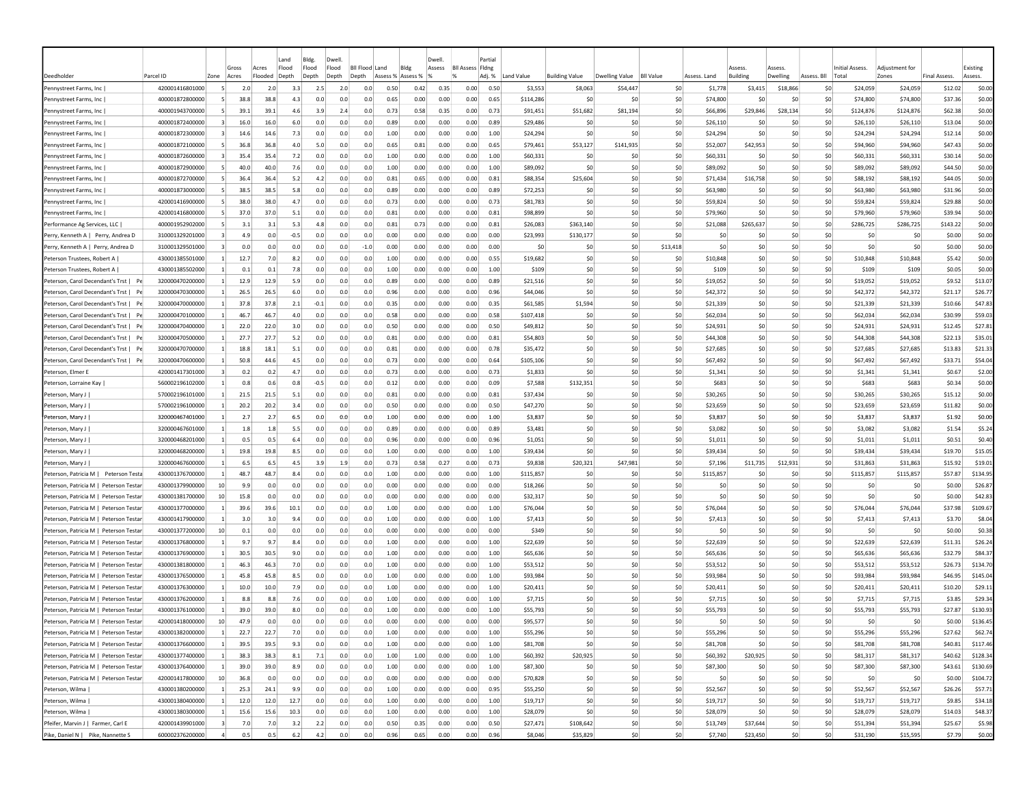| Flood<br><b>BII Assess Fidne</b><br>Existing<br>Flood<br>Flood<br>Bil Flood Land<br>Blde<br>Gross<br>Acres<br>Assess<br>159221<br>229224<br>Initial Assess.<br>Adiustment for<br><b>Building Value</b><br><b>Dwelling Value</b><br><b>BII Value</b><br><b>Building</b><br>Zones<br>Deedholde<br>Parcel ID<br>Zone<br>Acres<br>Flooded<br>Depth<br>Depth<br>Depth<br>Depth<br>Assess %<br>Assess %<br>Adj. %<br>Land Value<br>Assess. Land<br>Dwelling<br>Assess. Bll<br>Total<br><b>Final Assess</b><br>Assess.<br>420001416801000<br>2.5<br>0.50<br>0.42<br>0.35<br>0.00<br>0.50<br>\$3,553<br>\$8,063<br>\$54,447<br>\$0<br>\$18,866<br>\$24,059<br>\$24,059<br>\$12.02<br>Pennystreet Farms, Inc<br>2.0<br>2.0<br>3.3<br>2.0<br>0.0<br>\$1,778<br>\$3,415<br>S0<br>Pennystreet Farms, Inc<br>400001872800000<br>38.8<br>38.8<br>4.3<br>0.0<br>0.65<br>0.00<br>0.00<br>0.00<br>\$114,286<br>\$C<br>\$0<br>\$74,800<br>\$C<br>\$0<br>\$74,800<br>\$74,800<br>\$37.36<br>\$0.00<br>0.0<br>0.0<br>0.65<br>-SO<br>S0<br>0.73<br>\$51,682<br>\$81,194<br>\$0<br>\$28,134<br>\$0<br>\$124,876<br>\$62.38<br>\$0.00<br>Pennystreet Farms, Inc<br>400001943700000<br>39.1<br>39.1<br>4.6<br>3.9<br>2.4<br>0.0<br>0.58<br>0.35<br>0.00<br>0.73<br>\$91,451<br>\$66,896<br>\$29,846<br>\$124,876<br>0.89<br>0.00<br>\$0<br>\$0.00<br>400001872400000<br>16.0<br>16.0<br>0.0<br>0.00<br>0.00<br>0.89<br>\$29,486<br>-SO<br>\$26,110<br>\$0<br>\$0<br>\$26,110<br>\$26,110<br>\$13.04<br>Pennystreet Farms, Inc<br>6.0<br>0.0<br>0.0<br>-SO<br>-SO<br>\$0<br>\$0.00<br>400001872300000<br>14.6<br>7.3<br>0.0<br>1.00<br>0.00<br>1.00<br>\$24,294<br>\$0<br>-SO<br>\$24.294<br>S <sub>0</sub><br>\$0<br>\$0<br>\$24,294<br>\$24,294<br>\$12.14<br>Pennystreet Farms, Inc.<br>$\overline{3}$<br>14.6<br>0.0<br>0.0<br>0.00<br>0.00<br>Pennystreet Farms, Inc.<br>400001872100000<br>-5<br>36.8<br>36.8<br>4.0<br>5.0<br>0.0<br>0.0<br>0.65<br>0.81<br>0.00<br>0.00<br>0.65<br>\$79,461<br>\$53,127<br>\$141,935<br>\$0<br>\$52,007<br>\$42,953<br>\$0<br>\$0<br>\$94,960<br>\$94,960<br>\$47.43<br>\$0.00<br>35.4<br>35.4<br>7.2<br>0.0<br>0.0<br>1.00<br>0.00<br>0.00<br>0.00<br>1.00<br>\$60,331<br>\$0<br>\$0<br>\$0<br>\$60,331<br>\$30.14<br>\$0.00<br>Pennystreet Farms, Inc.<br>400001872600000<br>$\vert$ 3<br>0.0<br>-SO<br>-SO<br>\$60,331<br>S <sub>0</sub><br>\$60,331<br>400001872900000<br>40.0<br>40.0<br>1.00<br>0.00<br>0.00<br>1.00<br>\$89,092<br>\$C<br>-SO<br>\$0<br>\$89,092<br>\$0<br>\$0<br>\$89,092<br>\$89,092<br>\$44.50<br>\$0.00<br>Pennystreet Farms, Inc<br>7.6<br>0.0<br>0.0<br>0.0<br>0.00<br>S <sub>0</sub><br>\$0<br>\$0.00<br>Pennystreet Farms, Inc<br>400001872700000<br>36.4<br>36.4<br>5.2<br>4.2<br>0.0<br>0.0<br>0.81<br>0.65<br>0.00<br>0.00<br>0.81<br>\$88,354<br>\$25,604<br>-SO<br>\$71,434<br>\$16,758<br>\$0<br>S0<br>\$88,192<br>\$88,192<br>\$44.05<br>-51<br>400001873000000<br>38.5<br>38.5<br>0.89<br>0.00<br>0.89<br>-SO<br>\$0<br>\$0<br>\$63,980<br>\$63,980<br>\$31.96<br>\$0.00<br>Pennystreet Farms, Inc.<br>5.8<br>0.0<br>0.0<br>0.0<br>0.00<br>0.00<br>\$72,253<br>-SO<br>\$63,980<br>-SO<br>S0<br>-51<br>\$59,824<br>420001416900000<br>38.0<br>38.0<br>4.7<br>0.73<br>0.00<br>\$81,783<br>-SO<br>-SO<br>\$0<br>\$59,824<br>S <sub>0</sub><br>\$0<br>\$0<br>\$59,824<br>\$29.88<br>\$0.00<br>Pennystreet Farms, Inc<br>0.0<br>0.0<br>0.0<br>0.00<br>0.00<br>0.73<br>Pennystreet Farms, Inc<br>420001416800000<br>37.0<br>37.0<br>0.0<br>0.0<br>0.81<br>0.00<br>0.00<br>0.00<br>0.81<br>\$98,899<br>\$C<br>-SO<br>\$0<br>\$79,960<br>\$0<br>\$C<br>\$0<br>\$79,960<br>\$79,960<br>\$39.94<br>\$0.00<br>5.1<br>0.0<br>Performance Ag Services, LLC<br>400001952902000<br>5.3<br>0.0<br>0.81<br>0.73<br>0.00<br>0.00<br>\$26,083<br>\$363,140<br>-SO<br>\$0<br>\$21,088<br>\$265,637<br>\$0<br>\$0<br>\$286,725<br>\$286,725<br>\$143.22<br>\$0.00<br>3.1<br>3.1<br>4.8<br>0.0<br>0.81<br>Perry, Kenneth A   Perry, Andrea D<br>310001329201000<br>0.0<br>0.00<br>0.00<br>0.00<br>0.00<br>\$23,993<br>\$130,177<br>\$0<br>\$0<br>\$0<br>\$0.00<br>\$0.00<br>4.9<br>0.0<br>$-0.5$<br>0.0<br>0.0<br>0.00<br>\$0<br>-SC<br>so<br>\$0<br>S0<br>\$0<br>\$0<br>-SO<br>\$0<br>\$0.00<br>Perry, Kenneth A   Perry, Andrea D<br>310001329501000<br>0.0<br>0.0<br>0.0<br>0.0<br>0.0<br>$-1.0$<br>0.00<br>0.00<br>0.00<br>0.00<br>0.00<br>S0<br>-SO<br>-SO<br>\$13,418<br>\$0<br>S0<br>\$0.00<br>\$19,682<br>\$C<br>\$10,848<br>\$0.00<br>Peterson Trustees, Robert A<br>430001385501000<br>12.7<br>7.0<br>8.2<br>0.0<br>0.0<br>0.0<br>1.00<br>0.00<br>0.00<br>0.00<br>0.55<br>-SO<br>-SO<br>\$0<br>\$10,848<br>S0<br>S0<br>\$10,848<br>\$5.42<br>430001385502000<br>\$0<br>\$0<br>\$0.00<br>0.0<br>1.00<br>0.00<br>0.00<br>0.00<br>\$109<br>\$0<br>-SO<br>\$109<br>S <sub>0</sub><br>\$0<br>\$109<br>\$109<br>\$0.05<br>Peterson Trustees, Robert A<br>0.1<br>0.1<br>7.8<br>0.0<br>0.0<br>1.00<br>\$0<br>Peterson, Carol Decendant's Trst   Pe<br>320000470200000<br>12.9<br>12.9<br>5.9<br>0.0<br>0.0<br>0.0<br>0.89<br>0.00<br>0.00<br>0.00<br>0.89<br>\$21,516<br>-SO<br>-SO<br>\$19,052<br>\$0<br>\$0<br>\$0<br>\$19,052<br>\$19,052<br>\$9.52<br>\$13.07<br>Peterson, Carol Decendant's Trst   Pe<br>320000470300000<br>26.5<br>26.5<br>6.0<br>0.0<br>0.0<br>0.0<br>0.96<br>0.00<br>0.00<br>0.00<br>0.96<br>\$44,046<br>\$C<br>-SC<br>\$0<br>\$42,372<br>\$0<br>\$C<br>\$0<br>\$42,372<br>\$42,372<br>\$21.17<br>\$26.77<br>320000470000000<br>37.8<br>37.8<br>2.1<br>0.35<br>0.00<br>0.00<br>0.35<br>\$61,585<br>\$1,594<br>\$0<br>\$0<br>\$0<br>\$0<br>\$21,339<br>\$21,339<br>\$10.66<br>\$47.83<br>Peterson, Carol Decendant's Trst   P<br>$-0.1$<br>0.0<br>0.0<br>0.00<br>\$21,339<br>\$0<br>\$0<br>Peterson, Carol Decendant's Trst   Pe<br>320000470100000<br>46.7<br>46.7<br>4.0<br>0.0<br>0.0<br>0.0<br>0.58<br>0.00<br>0.00<br>0.00<br>0.58<br>\$107,418<br>-SO<br>-SO<br>\$62,034<br>S0<br>\$0<br>\$0<br>\$62,034<br>\$62,034<br>\$30.99<br>\$59.03<br>\$0<br>Peterson, Carol Decendant's Trst   Pe<br>320000470400000<br>22.0<br>22.0<br>3.0<br>0.0<br>0.0<br>0.0<br>0.50<br>0.00<br>0.00<br>0.00<br>0.50<br>\$49,812<br>-SO<br>-SO<br>\$24,931<br>-SO<br>S0<br>S0<br>\$24,931<br>\$24,931<br>\$12.45<br>\$27.81<br>-1<br>320000470500000<br>27.7<br>27.7<br>0.81<br>0.00<br>\$54,803<br>\$0<br>\$44,308<br>S <sub>0</sub><br>\$0<br>\$44,308<br>\$44,308<br>\$22.13<br>\$35.01<br>Peterson, Carol Decendant's Trst   Pe<br>0.0<br>0.0<br>0.00<br>0.00<br>0.81<br>-SO<br>-SO<br>S0<br>5.2<br>0.0<br>320000470700000<br>18.8<br>0.00<br>\$0<br>-SO<br>\$0<br>\$27,685<br>S <sub>0</sub><br>\$0<br>\$0<br>\$27,685<br>\$27,685<br>\$13.83<br>\$21.33<br>Peterson, Carol Decendant's Trst   Pe<br>18.1<br>0.0<br>0.0<br>0.81<br>0.00<br>0.00<br>0.78<br>\$35,472<br>5.1<br>0.0<br>Peterson, Carol Decendant's Trst   Pe<br>320000470600000<br>50.8<br>44.6<br>4.5<br>0.0<br>0.0<br>0.73<br>0.00<br>0.00<br>0.00<br>\$105,106<br>\$C<br>-SC<br>\$0<br>\$67,492<br>\$0<br>\$C<br>\$0<br>\$67,492<br>\$67,492<br>\$33.71<br>\$54.04<br>0.0<br>0.64<br>Peterson, Elmer E<br>420001417301000<br>4.7<br>0.0<br>0.73<br>0.00<br>0.00<br>0.00<br>0.73<br>\$1,833<br>\$C<br>\$0<br>\$0<br>\$1,341<br>\$0<br>\$0<br>\$0<br>\$1,341<br>\$1,341<br>\$0.67<br>\$2.00<br>0.2<br>0.2<br>0.0<br>0.0<br>560002196102000<br>0.8<br>0.12<br>0.00<br>0.00<br>0.00<br>0.09<br>\$7,588<br>\$132,351<br>\$0<br>\$0<br>\$683<br>\$0<br>\$0<br>\$683<br>\$683<br>\$0.34<br>\$0.00<br>Peterson, Lorraine Kay<br>0.6<br>0.8<br>-0.5<br>0.0<br>0.0<br>so<br>\$0<br>570002196101000<br>0.81<br>0.00<br>\$37,434<br>-SO<br>\$0<br>\$0<br>\$0<br>\$30,265<br>\$30,265<br>\$0.00<br>Peterson, Mary J<br>21.5<br>21.5<br>5.1<br>0.0<br>0.0<br>0.0<br>0.00<br>0.00<br>0.81<br>-SO<br>\$30,265<br>\$15.12<br>\$0<br>\$0.00<br>570002196100000<br>20.2<br>20.2<br>0.0<br>0.50<br>0.00<br>0.00<br>0.00<br>0.50<br>\$47,270<br>-SO<br>-SO<br>\$23.659<br>S <sub>0</sub><br>\$0<br>\$0<br>\$23,659<br>\$23,659<br>\$11.82<br>3.4<br>0.0<br>0.0<br>Peterson, Mary J<br>320000467401000<br>1.00<br>\$0<br>\$3,837<br>\$3,837<br>\$3,837<br>\$0.00<br>2.7<br>2.7<br>0.0<br>0.00<br>0.00<br>0.00<br>1.00<br>\$3,837<br>\$0<br>-SO<br>\$0<br>\$0<br>\$0<br>\$1.92<br>Peterson, Mary J<br>6.5<br>0.0<br>0.0<br>\$0<br>Peterson, Mary J<br>320000467601000<br>1.8<br>1.8<br>5.5<br>0.0<br>0.0<br>0.0<br>0.89<br>0.00<br>0.00<br>0.00<br>0.89<br>\$3,481<br>\$C<br>-SO<br>\$3,082<br>\$0<br>\$0<br>\$0<br>\$3,082<br>\$3,082<br>\$1.54<br>\$5.24<br>Peterson, Mary J<br>320000468201000<br>0.5<br>0.5<br>0.0<br>0.96<br>0.00<br>0.00<br>0.00<br>0.96<br>\$1,051<br>\$0<br>-SC<br>\$0<br>\$1,011<br>S <sub>0</sub><br>\$C<br>\$0<br>\$1,011<br>\$1,011<br>\$0.51<br>\$0.40<br>6.4<br>0.0<br>0.0<br>19.8<br>19.8<br>8.5<br>1.00<br>0.00<br>0.00<br>1.00<br>\$39,434<br>\$0<br>-SO<br>\$0<br>\$39,434<br>\$0<br>\$0<br>\$39,434<br>\$39,434<br>\$19.70<br>\$15.05<br>Peterson, Mary J<br>320000468200000<br>0.0<br>0.0<br>0.0<br>0.00<br>\$0<br>\$0<br>\$19.01<br>Peterson, Mary J<br>320000467600000<br>6.5<br>6.5<br>4.5<br>3.9<br>1.9<br>0.0<br>0.73<br>0.58<br>0.27<br>0.00<br>0.73<br>\$9,838<br>\$20,321<br>\$47,981<br>\$7,196<br>\$11,735<br>\$12,931<br>S0<br>\$31,863<br>\$31,863<br>\$15.92<br>-1<br>\$0<br>\$115,857<br>\$115,857<br>\$57.87<br>\$134.95<br>Peterson, Patricia M   Peterson Testa<br>430001376700000<br>48.7<br>48.7<br>8.4<br>0.0<br>0.0<br>0.0<br>1.00<br>0.00<br>0.00<br>0.00<br>1.00<br>\$115,857<br>-SO<br>-SO<br>\$115,857<br>-SC<br>S0<br>S0<br>Peterson, Patricia M   Peterson Testar<br>430001379900000<br>0.00<br>0.00<br>\$18,266<br>\$0<br>\$0<br>\$0<br>\$0<br>\$0<br>-SO<br>\$0<br>\$0.00<br>\$26.87<br>10 <sup>1</sup><br>9.9<br>0.0<br>0.0<br>0.0<br>0.0<br>0.00<br>0.00<br>0.00<br>-SO<br>-SO<br>0.0<br>\$0<br>\$0<br>\$42.83<br>Peterson, Patricia M   Peterson Testa<br>430001381700000<br>0.00<br>0.00<br>\$32,317<br>\$0<br>-SO<br>\$0<br>S <sub>0</sub><br>\$0<br>\$0<br>-SO<br>\$0.00<br>10 <sup>1</sup><br>15.8<br>0.0<br>0.0<br>0.0<br>0.0<br>0.00<br>0.00<br>0.00<br>0.0<br>Peterson, Patricia M   Peterson Testa<br>430001377000000<br>39.6<br>39.6<br>10.1<br>0.0<br>0.0<br>1.00<br>0.00<br>0.00<br>0.00<br>1.00<br>\$76,044<br>\$0<br>\$0<br>\$0<br>\$76,044<br>\$0<br>\$C<br>\$0<br>\$76,044<br>\$76,044<br>\$37.98<br>\$109.67<br>0.0<br>430001417900000<br>1.00<br>0.00<br>0.00<br>\$7,413<br>\$0<br>\$0<br>\$0<br>\$7,413<br>\$0<br>\$0<br>\$0<br>\$7,413<br>\$8.04<br>Peterson, Patricia M   Peterson Testa<br>3.0<br>3.0<br>9.4<br>0.0<br>0.0<br>0.0<br>0.00<br>1.00<br>\$7,413<br>\$3.70<br>Peterson, Patricia M   Peterson Testa<br>430001377200000<br>0.1<br>0.0<br>0.00<br>0.00<br>0.00<br>0.00<br>0.00<br>\$C<br>\$0<br>\$0<br>\$C<br>\$0<br>\$0<br>\$0<br>\$0.00<br>\$0.38<br>10<br>0.0<br>0.0<br>0.0<br>0.0<br>\$349<br>-SO<br>so<br>430001376800000<br>-SO<br>\$0<br>\$22,639<br>\$0<br>\$22,639<br>\$22,639<br>\$11.31<br>\$26.24<br>Peterson, Patricia M   Peterson Testa<br>9.7<br>9.7<br>8.4<br>0.0<br>0.0<br>0.0<br>1.00<br>0.00<br>0.00<br>0.00<br>1.00<br>\$22,639<br>-SO<br>S0<br>S0<br>\$84.37<br>430001376900000<br>30.5<br>30.5<br>1.00<br>0.00<br>1.00<br>\$0<br>-SO<br>\$0<br>\$65.636<br>\$0<br>\$0<br>\$0<br>\$65,636<br>\$32.79<br>Peterson, Patricia M   Peterson Testa<br>9.0<br>0.0<br>0.0<br>0.0<br>0.00<br>0.00<br>\$65,636<br>\$65,636<br>\$0<br>\$134.70<br>Peterson, Patricia M   Peterson Testa<br>430001381800000<br>46.3<br>46.3<br>7.0<br>1.00<br>0.00<br>0.00<br>0.00<br>1.00<br>\$53,512<br>\$0<br>-SO<br>\$53.512<br>\$0<br>\$0<br>\$0<br>\$53,512<br>\$53,512<br>\$26.73<br>0.0<br>0.0<br>0.0<br>\$0<br>Peterson, Patricia M   Peterson Testa<br>430001376500000<br>45.8<br>45.8<br>8.5<br>0.0<br>0.0<br>1.00<br>0.00<br>0.00<br>0.00<br>1.00<br>\$93,984<br>-SO<br>-SC<br>\$93,984<br>\$C<br>\$C<br>\$0<br>\$93,984<br>\$93,984<br>\$46.95<br>\$145.04<br>0.0<br>Peterson, Patricia M   Peterson Testa<br>10.0<br>10.0<br>7.9<br>1.00<br>0.00<br>0.00<br>\$0<br>\$0<br>\$0<br>\$20,411<br>\$29.11<br>430001376300000<br>0.0<br>0.0<br>0.0<br>0.00<br>1.00<br>\$20,411<br>-SO<br>\$20,411<br>\$0<br>\$0<br>\$20,411<br>\$10.20<br>Peterson, Patricia M   Peterson Testa<br>\$0<br>\$7,715<br>\$7,715<br>\$29.34<br>430001376200000<br>8.3<br>8.8<br>7.6<br>0.0<br>0.0<br>0.0<br>1.00<br>0.00<br>0.00<br>0.00<br>1.00<br>\$7,715<br>-SO<br>-SO<br>S0<br>so<br>S0<br>\$7,715<br>\$3.85<br>\$0<br>\$130.93<br>Peterson, Patricia M   Peterson Testa<br>430001376100000<br>39.0<br>39.0<br>8.0<br>0.0<br>0.0<br>0.0<br>1.00<br>0.00<br>0.00<br>0.00<br>1.00<br>\$55,793<br>\$0<br>-SO<br>\$55,793<br>-SO<br>S0<br>S0<br>\$55,793<br>\$55,793<br>\$27.87<br>Peterson, Patricia M   Peterson Testan<br>420001418000000<br>\$0<br>\$0<br>\$0<br>10 <sup>1</sup><br>47.9<br>0.0<br>0.0<br>0.0<br>0.00<br>0.00<br>0.00<br>0.00<br>0.00<br>\$95.577<br>\$0<br>-SO<br>S0<br>\$0<br>\$0<br>\$0<br>\$0.00<br>0.0<br>0.0<br>430001382000000<br>50<br>50<br>50<br>50<br>50<br>\$62.74<br>Peterson, Patricia M   Peterson Testar<br>22.7<br>22.7<br>7.0<br>0.0<br>0.0<br>0.0<br>1.00<br>0.00<br>0.00<br>0.00<br>1.00<br>\$55,296<br>-SO<br>\$55,296<br>\$55,296<br>\$55,296<br>\$27.62<br>$\mathbf{1}$<br>430001376600000<br>39.5<br>0.00<br>\$81,708<br>\$0<br>\$0<br>\$0<br>\$81,708<br>\$0<br>\$0<br>\$0<br>\$81,708<br>\$81,708<br>\$40.81<br>\$117.46<br>Peterson, Patricia M   Peterson Testar<br>$\vert$ 1<br>39.5<br>9.3<br>0.0<br>0.0<br>0.0<br>1.00<br>0.00<br>0.00<br>1.00<br>430001377400000<br>38.3<br>38.3<br>1.00<br>0.00<br>\$60,392<br>\$20,925<br>\$0<br>\$0<br>\$20,925<br>\$0<br>\$0<br>\$81,317<br>\$40.62<br>\$128.34<br>Peterson, Patricia M   Peterson Testar<br>$\vert$ 1<br>8.1<br>7.1<br>0.0<br>0.0<br>1.00<br>0.00<br>1.00<br>\$60,392<br>\$81,317<br>\$0<br>\$0<br>Peterson, Patricia M   Peterson Testan<br>430001376400000<br>$\vert$ 1<br>39.0<br>39.0<br>8.9<br>0.0<br>0.0<br>0.0<br>1.00<br>0.00<br>0.00<br>0.00<br>1.00<br>\$87,300<br>\$0<br>\$87,300<br>\$0<br>\$0<br>\$0<br>\$87,300<br>\$87,300<br>\$43.61<br>\$0<br>\$0<br>50<br>\$0<br>\$0<br>420001417800000<br>10<br>36.8<br>0.0<br>0.0<br>0.0<br>0.0<br>0.00<br>0.00<br>0.00<br>0.00<br>\$70,828<br>\$0<br>\$0<br>\$0<br>\$0<br>\$0.00<br>Peterson, Patricia M   Peterson Testar<br>0.0<br>0.00<br>\$0<br>\$52,567<br>\$55,250<br>\$0<br>\$0<br>\$52,567<br>50<br>\$0<br>\$52,567<br>\$57.71<br>430001380200000<br>25.3<br>24.1<br>9.9<br>0.0<br>0.0<br>1.00<br>0.00<br>0.00<br>0.00<br>0.95<br>\$0<br>\$26.26<br>Peterson, Wilma<br>$\overline{1}$<br>0.0<br>430001380400000<br>$\blacksquare$<br>12.0<br>12.0<br>12.7<br>0.0<br>0.0<br>1.00<br>0.00<br>0.00<br>0.00<br>\$19,717<br>\$0<br>\$0<br>\$0<br>\$19,717<br>\$0<br>50<br>50<br>\$19,717<br>\$19,717<br>\$9.85<br>Peterson, Wilma  <br>0.0<br>1.00<br>15.6<br>0.00<br>0.00<br>\$28,079<br>\$0<br>\$0<br>\$0<br>\$0<br>\$0<br>\$0<br>\$28,079<br>Peterson, Wilma  <br>430001380300000<br>$\vert$ 1<br>15.6<br>10.3<br>0.0<br>0.0<br>0.0<br>1.00<br>0.00<br>1.00<br>\$28,079<br>\$28,079<br>\$14.03<br>2.2<br>\$108,642<br>\$0<br>\$0<br>\$0<br>Pfeifer, Marvin J   Farmer, Carl E<br>420001439901000<br>$\vert$ 3<br>7.0<br>7.0<br>3.2<br>0.0<br>0.0<br>0.50<br>0.35<br>0.00<br>0.00<br>0.50<br>\$27,471<br>\$13,749<br>\$37,644<br>\$0<br>\$51,394<br>\$51,394<br>\$25.67<br>50 <sub>2</sub><br>\$35,829<br>50<br>50<br>\$15,595<br>600002376200000<br>$\Delta$<br>0.5<br>0.5<br>6.2<br>4.2<br>0.0<br>0.0<br>0.96<br>0.65<br>0.00<br>0.00<br>0.96<br>\$8,046<br>\$7,740<br>\$23,450<br>\$0<br>\$31,190<br>\$7.79 |                                   |  |  | Land | Bldg. | Dwel |  | Dwell | Partia |  |  |  |  |  |          |
|----------------------------------------------------------------------------------------------------------------------------------------------------------------------------------------------------------------------------------------------------------------------------------------------------------------------------------------------------------------------------------------------------------------------------------------------------------------------------------------------------------------------------------------------------------------------------------------------------------------------------------------------------------------------------------------------------------------------------------------------------------------------------------------------------------------------------------------------------------------------------------------------------------------------------------------------------------------------------------------------------------------------------------------------------------------------------------------------------------------------------------------------------------------------------------------------------------------------------------------------------------------------------------------------------------------------------------------------------------------------------------------------------------------------------------------------------------------------------------------------------------------------------------------------------------------------------------------------------------------------------------------------------------------------------------------------------------------------------------------------------------------------------------------------------------------------------------------------------------------------------------------------------------------------------------------------------------------------------------------------------------------------------------------------------------------------------------------------------------------------------------------------------------------------------------------------------------------------------------------------------------------------------------------------------------------------------------------------------------------------------------------------------------------------------------------------------------------------------------------------------------------------------------------------------------------------------------------------------------------------------------------------------------------------------------------------------------------------------------------------------------------------------------------------------------------------------------------------------------------------------------------------------------------------------------------------------------------------------------------------------------------------------------------------------------------------------------------------------------------------------------------------------------------------------------------------------------------------------------------------------------------------------------------------------------------------------------------------------------------------------------------------------------------------------------------------------------------------------------------------------------------------------------------------------------------------------------------------------------------------------------------------------------------------------------------------------------------------------------------------------------------------------------------------------------------------------------------------------------------------------------------------------------------------------------------------------------------------------------------------------------------------------------------------------------------------------------------------------------------------------------------------------------------------------------------------------------------------------------------------------------------------------------------------------------------------------------------------------------------------------------------------------------------------------------------------------------------------------------------------------------------------------------------------------------------------------------------------------------------------------------------------------------------------------------------------------------------------------------------------------------------------------------------------------------------------------------------------------------------------------------------------------------------------------------------------------------------------------------------------------------------------------------------------------------------------------------------------------------------------------------------------------------------------------------------------------------------------------------------------------------------------------------------------------------------------------------------------------------------------------------------------------------------------------------------------------------------------------------------------------------------------------------------------------------------------------------------------------------------------------------------------------------------------------------------------------------------------------------------------------------------------------------------------------------------------------------------------------------------------------------------------------------------------------------------------------------------------------------------------------------------------------------------------------------------------------------------------------------------------------------------------------------------------------------------------------------------------------------------------------------------------------------------------------------------------------------------------------------------------------------------------------------------------------------------------------------------------------------------------------------------------------------------------------------------------------------------------------------------------------------------------------------------------------------------------------------------------------------------------------------------------------------------------------------------------------------------------------------------------------------------------------------------------------------------------------------------------------------------------------------------------------------------------------------------------------------------------------------------------------------------------------------------------------------------------------------------------------------------------------------------------------------------------------------------------------------------------------------------------------------------------------------------------------------------------------------------------------------------------------------------------------------------------------------------------------------------------------------------------------------------------------------------------------------------------------------------------------------------------------------------------------------------------------------------------------------------------------------------------------------------------------------------------------------------------------------------------------------------------------------------------------------------------------------------------------------------------------------------------------------------------------------------------------------------------------------------------------------------------------------------------------------------------------------------------------------------------------------------------------------------------------------------------------------------------------------------------------------------------------------------------------------------------------------------------------------------------------------------------------------------------------------------------------------------------------------------------------------------------------------------------------------------------------------------------------------------------------------------------------------------------------------------------------------------------------------------------------------------------------------------------------------------------------------------------------------------------------------------------------------------------------------------------------------------------------------------------------------------------------------------------------------------------------------------------------------------------------------------------------------------------------------------------------------------------------------------------------------------------------------------------------------------------------------------------------------------------------------------------------------------------------------------------------------------------------------------------------------------------------------------------------------------------------------------------------------------------------------------------------------------------------------------------------------------------------------------------------------------------------------------------------------------------------------------------------------------------------------------------------------------------------------------------------------------------------------------------------------------------------------------------------------------------------------------------------------------------------------------------------------------------------------------------------------------------------------------------------------------------------------------------------------------------------------------------------------------------------------------------------------------------------------------------------------------------------------------------------------------------------------------------------------------------------------------------------------------------------------------------------------------------------------------------------------------------------------------------------------------------------------------------------------------------------------------------------------------------------------------------------------------------------------------------------------------------------------------------------------------------------------------------------------------------------------------------------------------------------------------------------------------------------------------------------------------------------------------------------------------------------------------------------------------------------------------------------------------------------------------------------------------------------------------------------------------------------------------------------------------------------------------------------------------------------------------------------------------------------------------------------------------------------------------------------------------------------------------------------------------------------------------------------------------------------------------------------------------------------------------------------------------------------------------------------------------------------------------------------------------------------------------------------------------------------------------------------------------------------------------------------------------------------------------------------------------------------------------------------------------------------------------------------------------------------------------------------------------------------------------------------------------------------------------------------------------------------------------------------------------------------------------------------------------------------------------------------------------------------------------------------------------------------------------------------------------------------------------------------------------------------------------------------------------------------------------------------------------------------------------------------------------------------------------------------------------------------------------------------------------------------------------------------------------------------------------------------------------------------------------------------------------------------------------------------------------------------------------------------------------------------------------------------------------------------------------------------------------------------------------------------------------------------------------------------------------------------------------------------------------------------------------------------------------------------------------------------------------------------------------------------------------------------------------------------------------------------------------------------------------------------------------------------------------------------------------------------------------------------------------------------------------------------------------------------------------------------------------------------------------------------------------------------------------------------------------------------------------------------------------------------------------------------------------------------------------------------------------------------------------------------------------------------------------------------------------------------------------------------------------------------------------------------------------------------------------------------------------------------------------------------------------------------------------------------------------------------------------------------------------------------------------------------------------------------------------------------------------------------------------------------------------------------------------------------------------------------------------------------------------------------------------------------------------------------------------------------------------------------------------------------------------------------------------------------------------------------------------------------------------------------------------------------------------------------------------------------------------------------------------------------------------------------------------------------------------------------------------------------------------------------------------------------------------|-----------------------------------|--|--|------|-------|------|--|-------|--------|--|--|--|--|--|----------|
|                                                                                                                                                                                                                                                                                                                                                                                                                                                                                                                                                                                                                                                                                                                                                                                                                                                                                                                                                                                                                                                                                                                                                                                                                                                                                                                                                                                                                                                                                                                                                                                                                                                                                                                                                                                                                                                                                                                                                                                                                                                                                                                                                                                                                                                                                                                                                                                                                                                                                                                                                                                                                                                                                                                                                                                                                                                                                                                                                                                                                                                                                                                                                                                                                                                                                                                                                                                                                                                                                                                                                                                                                                                                                                                                                                                                                                                                                                                                                                                                                                                                                                                                                                                                                                                                                                                                                                                                                                                                                                                                                                                                                                                                                                                                                                                                                                                                                                                                                                                                                                                                                                                                                                                                                                                                                                                                                                                                                                                                                                                                                                                                                                                                                                                                                                                                                                                                                                                                                                                                                                                                                                                                                                                                                                                                                                                                                                                                                                                                                                                                                                                                                                                                                                                                                                                                                                                                                                                                                                                                                                                                                                                                                                                                                                                                                                                                                                                                                                                                                                                                                                                                                                                                                                                                                                                                                                                                                                                                                                                                                                                                                                                                                                                                                                                                                                                                                                                                                                                                                                                                                                                                                                                                                                                                                                                                                                                                                                                                                                                                                                                                                                                                                                                                                                                                                                                                                                                                                                                                                                                                                                                                                                                                                                                                                                                                                                                                                                                                                                                                                                                                                                                                                                                                                                                                                                                                                                                                                                                                                                                                                                                                                                                                                                                                                                                                                                                                                                                                                                                                                                                                                                                                                                                                                                                                                                                                                                                                                                                                                                                                                                                                                                                                                                                                                                                                                                                                                                                                                                                                                                                                                                                                                                                                                                                                                                                                                                                                                                                                                                                                                                                                                                                                                                                                                                                                                                                                                                                                                                                                                                                                                                                                                                                                                                                                                                                                                                                                                                                                                                                                                                                                                                                                                                                                                                                                                                                                                                                                                                                                                                                                                                                                                                                                                                                                                                                                                                                                                                                                                                                                                                                                                                                                                                                                                                                                                                                                                                                                                                                                                                                                                                                                                                                                                                                                                                                                                                                                                                                                                                                                                                                                                                                                |                                   |  |  |      |       |      |  |       |        |  |  |  |  |  |          |
|                                                                                                                                                                                                                                                                                                                                                                                                                                                                                                                                                                                                                                                                                                                                                                                                                                                                                                                                                                                                                                                                                                                                                                                                                                                                                                                                                                                                                                                                                                                                                                                                                                                                                                                                                                                                                                                                                                                                                                                                                                                                                                                                                                                                                                                                                                                                                                                                                                                                                                                                                                                                                                                                                                                                                                                                                                                                                                                                                                                                                                                                                                                                                                                                                                                                                                                                                                                                                                                                                                                                                                                                                                                                                                                                                                                                                                                                                                                                                                                                                                                                                                                                                                                                                                                                                                                                                                                                                                                                                                                                                                                                                                                                                                                                                                                                                                                                                                                                                                                                                                                                                                                                                                                                                                                                                                                                                                                                                                                                                                                                                                                                                                                                                                                                                                                                                                                                                                                                                                                                                                                                                                                                                                                                                                                                                                                                                                                                                                                                                                                                                                                                                                                                                                                                                                                                                                                                                                                                                                                                                                                                                                                                                                                                                                                                                                                                                                                                                                                                                                                                                                                                                                                                                                                                                                                                                                                                                                                                                                                                                                                                                                                                                                                                                                                                                                                                                                                                                                                                                                                                                                                                                                                                                                                                                                                                                                                                                                                                                                                                                                                                                                                                                                                                                                                                                                                                                                                                                                                                                                                                                                                                                                                                                                                                                                                                                                                                                                                                                                                                                                                                                                                                                                                                                                                                                                                                                                                                                                                                                                                                                                                                                                                                                                                                                                                                                                                                                                                                                                                                                                                                                                                                                                                                                                                                                                                                                                                                                                                                                                                                                                                                                                                                                                                                                                                                                                                                                                                                                                                                                                                                                                                                                                                                                                                                                                                                                                                                                                                                                                                                                                                                                                                                                                                                                                                                                                                                                                                                                                                                                                                                                                                                                                                                                                                                                                                                                                                                                                                                                                                                                                                                                                                                                                                                                                                                                                                                                                                                                                                                                                                                                                                                                                                                                                                                                                                                                                                                                                                                                                                                                                                                                                                                                                                                                                                                                                                                                                                                                                                                                                                                                                                                                                                                                                                                                                                                                                                                                                                                                                                                                                                                                                                                |                                   |  |  |      |       |      |  |       |        |  |  |  |  |  |          |
|                                                                                                                                                                                                                                                                                                                                                                                                                                                                                                                                                                                                                                                                                                                                                                                                                                                                                                                                                                                                                                                                                                                                                                                                                                                                                                                                                                                                                                                                                                                                                                                                                                                                                                                                                                                                                                                                                                                                                                                                                                                                                                                                                                                                                                                                                                                                                                                                                                                                                                                                                                                                                                                                                                                                                                                                                                                                                                                                                                                                                                                                                                                                                                                                                                                                                                                                                                                                                                                                                                                                                                                                                                                                                                                                                                                                                                                                                                                                                                                                                                                                                                                                                                                                                                                                                                                                                                                                                                                                                                                                                                                                                                                                                                                                                                                                                                                                                                                                                                                                                                                                                                                                                                                                                                                                                                                                                                                                                                                                                                                                                                                                                                                                                                                                                                                                                                                                                                                                                                                                                                                                                                                                                                                                                                                                                                                                                                                                                                                                                                                                                                                                                                                                                                                                                                                                                                                                                                                                                                                                                                                                                                                                                                                                                                                                                                                                                                                                                                                                                                                                                                                                                                                                                                                                                                                                                                                                                                                                                                                                                                                                                                                                                                                                                                                                                                                                                                                                                                                                                                                                                                                                                                                                                                                                                                                                                                                                                                                                                                                                                                                                                                                                                                                                                                                                                                                                                                                                                                                                                                                                                                                                                                                                                                                                                                                                                                                                                                                                                                                                                                                                                                                                                                                                                                                                                                                                                                                                                                                                                                                                                                                                                                                                                                                                                                                                                                                                                                                                                                                                                                                                                                                                                                                                                                                                                                                                                                                                                                                                                                                                                                                                                                                                                                                                                                                                                                                                                                                                                                                                                                                                                                                                                                                                                                                                                                                                                                                                                                                                                                                                                                                                                                                                                                                                                                                                                                                                                                                                                                                                                                                                                                                                                                                                                                                                                                                                                                                                                                                                                                                                                                                                                                                                                                                                                                                                                                                                                                                                                                                                                                                                                                                                                                                                                                                                                                                                                                                                                                                                                                                                                                                                                                                                                                                                                                                                                                                                                                                                                                                                                                                                                                                                                                                                                                                                                                                                                                                                                                                                                                                                                                                                                                                                |                                   |  |  |      |       |      |  |       |        |  |  |  |  |  | \$0.00   |
|                                                                                                                                                                                                                                                                                                                                                                                                                                                                                                                                                                                                                                                                                                                                                                                                                                                                                                                                                                                                                                                                                                                                                                                                                                                                                                                                                                                                                                                                                                                                                                                                                                                                                                                                                                                                                                                                                                                                                                                                                                                                                                                                                                                                                                                                                                                                                                                                                                                                                                                                                                                                                                                                                                                                                                                                                                                                                                                                                                                                                                                                                                                                                                                                                                                                                                                                                                                                                                                                                                                                                                                                                                                                                                                                                                                                                                                                                                                                                                                                                                                                                                                                                                                                                                                                                                                                                                                                                                                                                                                                                                                                                                                                                                                                                                                                                                                                                                                                                                                                                                                                                                                                                                                                                                                                                                                                                                                                                                                                                                                                                                                                                                                                                                                                                                                                                                                                                                                                                                                                                                                                                                                                                                                                                                                                                                                                                                                                                                                                                                                                                                                                                                                                                                                                                                                                                                                                                                                                                                                                                                                                                                                                                                                                                                                                                                                                                                                                                                                                                                                                                                                                                                                                                                                                                                                                                                                                                                                                                                                                                                                                                                                                                                                                                                                                                                                                                                                                                                                                                                                                                                                                                                                                                                                                                                                                                                                                                                                                                                                                                                                                                                                                                                                                                                                                                                                                                                                                                                                                                                                                                                                                                                                                                                                                                                                                                                                                                                                                                                                                                                                                                                                                                                                                                                                                                                                                                                                                                                                                                                                                                                                                                                                                                                                                                                                                                                                                                                                                                                                                                                                                                                                                                                                                                                                                                                                                                                                                                                                                                                                                                                                                                                                                                                                                                                                                                                                                                                                                                                                                                                                                                                                                                                                                                                                                                                                                                                                                                                                                                                                                                                                                                                                                                                                                                                                                                                                                                                                                                                                                                                                                                                                                                                                                                                                                                                                                                                                                                                                                                                                                                                                                                                                                                                                                                                                                                                                                                                                                                                                                                                                                                                                                                                                                                                                                                                                                                                                                                                                                                                                                                                                                                                                                                                                                                                                                                                                                                                                                                                                                                                                                                                                                                                                                                                                                                                                                                                                                                                                                                                                                                                                                                                                                |                                   |  |  |      |       |      |  |       |        |  |  |  |  |  |          |
|                                                                                                                                                                                                                                                                                                                                                                                                                                                                                                                                                                                                                                                                                                                                                                                                                                                                                                                                                                                                                                                                                                                                                                                                                                                                                                                                                                                                                                                                                                                                                                                                                                                                                                                                                                                                                                                                                                                                                                                                                                                                                                                                                                                                                                                                                                                                                                                                                                                                                                                                                                                                                                                                                                                                                                                                                                                                                                                                                                                                                                                                                                                                                                                                                                                                                                                                                                                                                                                                                                                                                                                                                                                                                                                                                                                                                                                                                                                                                                                                                                                                                                                                                                                                                                                                                                                                                                                                                                                                                                                                                                                                                                                                                                                                                                                                                                                                                                                                                                                                                                                                                                                                                                                                                                                                                                                                                                                                                                                                                                                                                                                                                                                                                                                                                                                                                                                                                                                                                                                                                                                                                                                                                                                                                                                                                                                                                                                                                                                                                                                                                                                                                                                                                                                                                                                                                                                                                                                                                                                                                                                                                                                                                                                                                                                                                                                                                                                                                                                                                                                                                                                                                                                                                                                                                                                                                                                                                                                                                                                                                                                                                                                                                                                                                                                                                                                                                                                                                                                                                                                                                                                                                                                                                                                                                                                                                                                                                                                                                                                                                                                                                                                                                                                                                                                                                                                                                                                                                                                                                                                                                                                                                                                                                                                                                                                                                                                                                                                                                                                                                                                                                                                                                                                                                                                                                                                                                                                                                                                                                                                                                                                                                                                                                                                                                                                                                                                                                                                                                                                                                                                                                                                                                                                                                                                                                                                                                                                                                                                                                                                                                                                                                                                                                                                                                                                                                                                                                                                                                                                                                                                                                                                                                                                                                                                                                                                                                                                                                                                                                                                                                                                                                                                                                                                                                                                                                                                                                                                                                                                                                                                                                                                                                                                                                                                                                                                                                                                                                                                                                                                                                                                                                                                                                                                                                                                                                                                                                                                                                                                                                                                                                                                                                                                                                                                                                                                                                                                                                                                                                                                                                                                                                                                                                                                                                                                                                                                                                                                                                                                                                                                                                                                                                                                                                                                                                                                                                                                                                                                                                                                                                                                                                                                                |                                   |  |  |      |       |      |  |       |        |  |  |  |  |  |          |
|                                                                                                                                                                                                                                                                                                                                                                                                                                                                                                                                                                                                                                                                                                                                                                                                                                                                                                                                                                                                                                                                                                                                                                                                                                                                                                                                                                                                                                                                                                                                                                                                                                                                                                                                                                                                                                                                                                                                                                                                                                                                                                                                                                                                                                                                                                                                                                                                                                                                                                                                                                                                                                                                                                                                                                                                                                                                                                                                                                                                                                                                                                                                                                                                                                                                                                                                                                                                                                                                                                                                                                                                                                                                                                                                                                                                                                                                                                                                                                                                                                                                                                                                                                                                                                                                                                                                                                                                                                                                                                                                                                                                                                                                                                                                                                                                                                                                                                                                                                                                                                                                                                                                                                                                                                                                                                                                                                                                                                                                                                                                                                                                                                                                                                                                                                                                                                                                                                                                                                                                                                                                                                                                                                                                                                                                                                                                                                                                                                                                                                                                                                                                                                                                                                                                                                                                                                                                                                                                                                                                                                                                                                                                                                                                                                                                                                                                                                                                                                                                                                                                                                                                                                                                                                                                                                                                                                                                                                                                                                                                                                                                                                                                                                                                                                                                                                                                                                                                                                                                                                                                                                                                                                                                                                                                                                                                                                                                                                                                                                                                                                                                                                                                                                                                                                                                                                                                                                                                                                                                                                                                                                                                                                                                                                                                                                                                                                                                                                                                                                                                                                                                                                                                                                                                                                                                                                                                                                                                                                                                                                                                                                                                                                                                                                                                                                                                                                                                                                                                                                                                                                                                                                                                                                                                                                                                                                                                                                                                                                                                                                                                                                                                                                                                                                                                                                                                                                                                                                                                                                                                                                                                                                                                                                                                                                                                                                                                                                                                                                                                                                                                                                                                                                                                                                                                                                                                                                                                                                                                                                                                                                                                                                                                                                                                                                                                                                                                                                                                                                                                                                                                                                                                                                                                                                                                                                                                                                                                                                                                                                                                                                                                                                                                                                                                                                                                                                                                                                                                                                                                                                                                                                                                                                                                                                                                                                                                                                                                                                                                                                                                                                                                                                                                                                                                                                                                                                                                                                                                                                                                                                                                                                                                                                                                |                                   |  |  |      |       |      |  |       |        |  |  |  |  |  |          |
|                                                                                                                                                                                                                                                                                                                                                                                                                                                                                                                                                                                                                                                                                                                                                                                                                                                                                                                                                                                                                                                                                                                                                                                                                                                                                                                                                                                                                                                                                                                                                                                                                                                                                                                                                                                                                                                                                                                                                                                                                                                                                                                                                                                                                                                                                                                                                                                                                                                                                                                                                                                                                                                                                                                                                                                                                                                                                                                                                                                                                                                                                                                                                                                                                                                                                                                                                                                                                                                                                                                                                                                                                                                                                                                                                                                                                                                                                                                                                                                                                                                                                                                                                                                                                                                                                                                                                                                                                                                                                                                                                                                                                                                                                                                                                                                                                                                                                                                                                                                                                                                                                                                                                                                                                                                                                                                                                                                                                                                                                                                                                                                                                                                                                                                                                                                                                                                                                                                                                                                                                                                                                                                                                                                                                                                                                                                                                                                                                                                                                                                                                                                                                                                                                                                                                                                                                                                                                                                                                                                                                                                                                                                                                                                                                                                                                                                                                                                                                                                                                                                                                                                                                                                                                                                                                                                                                                                                                                                                                                                                                                                                                                                                                                                                                                                                                                                                                                                                                                                                                                                                                                                                                                                                                                                                                                                                                                                                                                                                                                                                                                                                                                                                                                                                                                                                                                                                                                                                                                                                                                                                                                                                                                                                                                                                                                                                                                                                                                                                                                                                                                                                                                                                                                                                                                                                                                                                                                                                                                                                                                                                                                                                                                                                                                                                                                                                                                                                                                                                                                                                                                                                                                                                                                                                                                                                                                                                                                                                                                                                                                                                                                                                                                                                                                                                                                                                                                                                                                                                                                                                                                                                                                                                                                                                                                                                                                                                                                                                                                                                                                                                                                                                                                                                                                                                                                                                                                                                                                                                                                                                                                                                                                                                                                                                                                                                                                                                                                                                                                                                                                                                                                                                                                                                                                                                                                                                                                                                                                                                                                                                                                                                                                                                                                                                                                                                                                                                                                                                                                                                                                                                                                                                                                                                                                                                                                                                                                                                                                                                                                                                                                                                                                                                                                                                                                                                                                                                                                                                                                                                                                                                                                                                                                                                |                                   |  |  |      |       |      |  |       |        |  |  |  |  |  |          |
|                                                                                                                                                                                                                                                                                                                                                                                                                                                                                                                                                                                                                                                                                                                                                                                                                                                                                                                                                                                                                                                                                                                                                                                                                                                                                                                                                                                                                                                                                                                                                                                                                                                                                                                                                                                                                                                                                                                                                                                                                                                                                                                                                                                                                                                                                                                                                                                                                                                                                                                                                                                                                                                                                                                                                                                                                                                                                                                                                                                                                                                                                                                                                                                                                                                                                                                                                                                                                                                                                                                                                                                                                                                                                                                                                                                                                                                                                                                                                                                                                                                                                                                                                                                                                                                                                                                                                                                                                                                                                                                                                                                                                                                                                                                                                                                                                                                                                                                                                                                                                                                                                                                                                                                                                                                                                                                                                                                                                                                                                                                                                                                                                                                                                                                                                                                                                                                                                                                                                                                                                                                                                                                                                                                                                                                                                                                                                                                                                                                                                                                                                                                                                                                                                                                                                                                                                                                                                                                                                                                                                                                                                                                                                                                                                                                                                                                                                                                                                                                                                                                                                                                                                                                                                                                                                                                                                                                                                                                                                                                                                                                                                                                                                                                                                                                                                                                                                                                                                                                                                                                                                                                                                                                                                                                                                                                                                                                                                                                                                                                                                                                                                                                                                                                                                                                                                                                                                                                                                                                                                                                                                                                                                                                                                                                                                                                                                                                                                                                                                                                                                                                                                                                                                                                                                                                                                                                                                                                                                                                                                                                                                                                                                                                                                                                                                                                                                                                                                                                                                                                                                                                                                                                                                                                                                                                                                                                                                                                                                                                                                                                                                                                                                                                                                                                                                                                                                                                                                                                                                                                                                                                                                                                                                                                                                                                                                                                                                                                                                                                                                                                                                                                                                                                                                                                                                                                                                                                                                                                                                                                                                                                                                                                                                                                                                                                                                                                                                                                                                                                                                                                                                                                                                                                                                                                                                                                                                                                                                                                                                                                                                                                                                                                                                                                                                                                                                                                                                                                                                                                                                                                                                                                                                                                                                                                                                                                                                                                                                                                                                                                                                                                                                                                                                                                                                                                                                                                                                                                                                                                                                                                                                                                                                                                                |                                   |  |  |      |       |      |  |       |        |  |  |  |  |  |          |
|                                                                                                                                                                                                                                                                                                                                                                                                                                                                                                                                                                                                                                                                                                                                                                                                                                                                                                                                                                                                                                                                                                                                                                                                                                                                                                                                                                                                                                                                                                                                                                                                                                                                                                                                                                                                                                                                                                                                                                                                                                                                                                                                                                                                                                                                                                                                                                                                                                                                                                                                                                                                                                                                                                                                                                                                                                                                                                                                                                                                                                                                                                                                                                                                                                                                                                                                                                                                                                                                                                                                                                                                                                                                                                                                                                                                                                                                                                                                                                                                                                                                                                                                                                                                                                                                                                                                                                                                                                                                                                                                                                                                                                                                                                                                                                                                                                                                                                                                                                                                                                                                                                                                                                                                                                                                                                                                                                                                                                                                                                                                                                                                                                                                                                                                                                                                                                                                                                                                                                                                                                                                                                                                                                                                                                                                                                                                                                                                                                                                                                                                                                                                                                                                                                                                                                                                                                                                                                                                                                                                                                                                                                                                                                                                                                                                                                                                                                                                                                                                                                                                                                                                                                                                                                                                                                                                                                                                                                                                                                                                                                                                                                                                                                                                                                                                                                                                                                                                                                                                                                                                                                                                                                                                                                                                                                                                                                                                                                                                                                                                                                                                                                                                                                                                                                                                                                                                                                                                                                                                                                                                                                                                                                                                                                                                                                                                                                                                                                                                                                                                                                                                                                                                                                                                                                                                                                                                                                                                                                                                                                                                                                                                                                                                                                                                                                                                                                                                                                                                                                                                                                                                                                                                                                                                                                                                                                                                                                                                                                                                                                                                                                                                                                                                                                                                                                                                                                                                                                                                                                                                                                                                                                                                                                                                                                                                                                                                                                                                                                                                                                                                                                                                                                                                                                                                                                                                                                                                                                                                                                                                                                                                                                                                                                                                                                                                                                                                                                                                                                                                                                                                                                                                                                                                                                                                                                                                                                                                                                                                                                                                                                                                                                                                                                                                                                                                                                                                                                                                                                                                                                                                                                                                                                                                                                                                                                                                                                                                                                                                                                                                                                                                                                                                                                                                                                                                                                                                                                                                                                                                                                                                                                                                                                                                |                                   |  |  |      |       |      |  |       |        |  |  |  |  |  |          |
|                                                                                                                                                                                                                                                                                                                                                                                                                                                                                                                                                                                                                                                                                                                                                                                                                                                                                                                                                                                                                                                                                                                                                                                                                                                                                                                                                                                                                                                                                                                                                                                                                                                                                                                                                                                                                                                                                                                                                                                                                                                                                                                                                                                                                                                                                                                                                                                                                                                                                                                                                                                                                                                                                                                                                                                                                                                                                                                                                                                                                                                                                                                                                                                                                                                                                                                                                                                                                                                                                                                                                                                                                                                                                                                                                                                                                                                                                                                                                                                                                                                                                                                                                                                                                                                                                                                                                                                                                                                                                                                                                                                                                                                                                                                                                                                                                                                                                                                                                                                                                                                                                                                                                                                                                                                                                                                                                                                                                                                                                                                                                                                                                                                                                                                                                                                                                                                                                                                                                                                                                                                                                                                                                                                                                                                                                                                                                                                                                                                                                                                                                                                                                                                                                                                                                                                                                                                                                                                                                                                                                                                                                                                                                                                                                                                                                                                                                                                                                                                                                                                                                                                                                                                                                                                                                                                                                                                                                                                                                                                                                                                                                                                                                                                                                                                                                                                                                                                                                                                                                                                                                                                                                                                                                                                                                                                                                                                                                                                                                                                                                                                                                                                                                                                                                                                                                                                                                                                                                                                                                                                                                                                                                                                                                                                                                                                                                                                                                                                                                                                                                                                                                                                                                                                                                                                                                                                                                                                                                                                                                                                                                                                                                                                                                                                                                                                                                                                                                                                                                                                                                                                                                                                                                                                                                                                                                                                                                                                                                                                                                                                                                                                                                                                                                                                                                                                                                                                                                                                                                                                                                                                                                                                                                                                                                                                                                                                                                                                                                                                                                                                                                                                                                                                                                                                                                                                                                                                                                                                                                                                                                                                                                                                                                                                                                                                                                                                                                                                                                                                                                                                                                                                                                                                                                                                                                                                                                                                                                                                                                                                                                                                                                                                                                                                                                                                                                                                                                                                                                                                                                                                                                                                                                                                                                                                                                                                                                                                                                                                                                                                                                                                                                                                                                                                                                                                                                                                                                                                                                                                                                                                                                                                                                                                                |                                   |  |  |      |       |      |  |       |        |  |  |  |  |  |          |
|                                                                                                                                                                                                                                                                                                                                                                                                                                                                                                                                                                                                                                                                                                                                                                                                                                                                                                                                                                                                                                                                                                                                                                                                                                                                                                                                                                                                                                                                                                                                                                                                                                                                                                                                                                                                                                                                                                                                                                                                                                                                                                                                                                                                                                                                                                                                                                                                                                                                                                                                                                                                                                                                                                                                                                                                                                                                                                                                                                                                                                                                                                                                                                                                                                                                                                                                                                                                                                                                                                                                                                                                                                                                                                                                                                                                                                                                                                                                                                                                                                                                                                                                                                                                                                                                                                                                                                                                                                                                                                                                                                                                                                                                                                                                                                                                                                                                                                                                                                                                                                                                                                                                                                                                                                                                                                                                                                                                                                                                                                                                                                                                                                                                                                                                                                                                                                                                                                                                                                                                                                                                                                                                                                                                                                                                                                                                                                                                                                                                                                                                                                                                                                                                                                                                                                                                                                                                                                                                                                                                                                                                                                                                                                                                                                                                                                                                                                                                                                                                                                                                                                                                                                                                                                                                                                                                                                                                                                                                                                                                                                                                                                                                                                                                                                                                                                                                                                                                                                                                                                                                                                                                                                                                                                                                                                                                                                                                                                                                                                                                                                                                                                                                                                                                                                                                                                                                                                                                                                                                                                                                                                                                                                                                                                                                                                                                                                                                                                                                                                                                                                                                                                                                                                                                                                                                                                                                                                                                                                                                                                                                                                                                                                                                                                                                                                                                                                                                                                                                                                                                                                                                                                                                                                                                                                                                                                                                                                                                                                                                                                                                                                                                                                                                                                                                                                                                                                                                                                                                                                                                                                                                                                                                                                                                                                                                                                                                                                                                                                                                                                                                                                                                                                                                                                                                                                                                                                                                                                                                                                                                                                                                                                                                                                                                                                                                                                                                                                                                                                                                                                                                                                                                                                                                                                                                                                                                                                                                                                                                                                                                                                                                                                                                                                                                                                                                                                                                                                                                                                                                                                                                                                                                                                                                                                                                                                                                                                                                                                                                                                                                                                                                                                                                                                                                                                                                                                                                                                                                                                                                                                                                                                                                                                                                |                                   |  |  |      |       |      |  |       |        |  |  |  |  |  |          |
|                                                                                                                                                                                                                                                                                                                                                                                                                                                                                                                                                                                                                                                                                                                                                                                                                                                                                                                                                                                                                                                                                                                                                                                                                                                                                                                                                                                                                                                                                                                                                                                                                                                                                                                                                                                                                                                                                                                                                                                                                                                                                                                                                                                                                                                                                                                                                                                                                                                                                                                                                                                                                                                                                                                                                                                                                                                                                                                                                                                                                                                                                                                                                                                                                                                                                                                                                                                                                                                                                                                                                                                                                                                                                                                                                                                                                                                                                                                                                                                                                                                                                                                                                                                                                                                                                                                                                                                                                                                                                                                                                                                                                                                                                                                                                                                                                                                                                                                                                                                                                                                                                                                                                                                                                                                                                                                                                                                                                                                                                                                                                                                                                                                                                                                                                                                                                                                                                                                                                                                                                                                                                                                                                                                                                                                                                                                                                                                                                                                                                                                                                                                                                                                                                                                                                                                                                                                                                                                                                                                                                                                                                                                                                                                                                                                                                                                                                                                                                                                                                                                                                                                                                                                                                                                                                                                                                                                                                                                                                                                                                                                                                                                                                                                                                                                                                                                                                                                                                                                                                                                                                                                                                                                                                                                                                                                                                                                                                                                                                                                                                                                                                                                                                                                                                                                                                                                                                                                                                                                                                                                                                                                                                                                                                                                                                                                                                                                                                                                                                                                                                                                                                                                                                                                                                                                                                                                                                                                                                                                                                                                                                                                                                                                                                                                                                                                                                                                                                                                                                                                                                                                                                                                                                                                                                                                                                                                                                                                                                                                                                                                                                                                                                                                                                                                                                                                                                                                                                                                                                                                                                                                                                                                                                                                                                                                                                                                                                                                                                                                                                                                                                                                                                                                                                                                                                                                                                                                                                                                                                                                                                                                                                                                                                                                                                                                                                                                                                                                                                                                                                                                                                                                                                                                                                                                                                                                                                                                                                                                                                                                                                                                                                                                                                                                                                                                                                                                                                                                                                                                                                                                                                                                                                                                                                                                                                                                                                                                                                                                                                                                                                                                                                                                                                                                                                                                                                                                                                                                                                                                                                                                                                                                                                                                                |                                   |  |  |      |       |      |  |       |        |  |  |  |  |  |          |
|                                                                                                                                                                                                                                                                                                                                                                                                                                                                                                                                                                                                                                                                                                                                                                                                                                                                                                                                                                                                                                                                                                                                                                                                                                                                                                                                                                                                                                                                                                                                                                                                                                                                                                                                                                                                                                                                                                                                                                                                                                                                                                                                                                                                                                                                                                                                                                                                                                                                                                                                                                                                                                                                                                                                                                                                                                                                                                                                                                                                                                                                                                                                                                                                                                                                                                                                                                                                                                                                                                                                                                                                                                                                                                                                                                                                                                                                                                                                                                                                                                                                                                                                                                                                                                                                                                                                                                                                                                                                                                                                                                                                                                                                                                                                                                                                                                                                                                                                                                                                                                                                                                                                                                                                                                                                                                                                                                                                                                                                                                                                                                                                                                                                                                                                                                                                                                                                                                                                                                                                                                                                                                                                                                                                                                                                                                                                                                                                                                                                                                                                                                                                                                                                                                                                                                                                                                                                                                                                                                                                                                                                                                                                                                                                                                                                                                                                                                                                                                                                                                                                                                                                                                                                                                                                                                                                                                                                                                                                                                                                                                                                                                                                                                                                                                                                                                                                                                                                                                                                                                                                                                                                                                                                                                                                                                                                                                                                                                                                                                                                                                                                                                                                                                                                                                                                                                                                                                                                                                                                                                                                                                                                                                                                                                                                                                                                                                                                                                                                                                                                                                                                                                                                                                                                                                                                                                                                                                                                                                                                                                                                                                                                                                                                                                                                                                                                                                                                                                                                                                                                                                                                                                                                                                                                                                                                                                                                                                                                                                                                                                                                                                                                                                                                                                                                                                                                                                                                                                                                                                                                                                                                                                                                                                                                                                                                                                                                                                                                                                                                                                                                                                                                                                                                                                                                                                                                                                                                                                                                                                                                                                                                                                                                                                                                                                                                                                                                                                                                                                                                                                                                                                                                                                                                                                                                                                                                                                                                                                                                                                                                                                                                                                                                                                                                                                                                                                                                                                                                                                                                                                                                                                                                                                                                                                                                                                                                                                                                                                                                                                                                                                                                                                                                                                                                                                                                                                                                                                                                                                                                                                                                                                                                                                                                |                                   |  |  |      |       |      |  |       |        |  |  |  |  |  |          |
|                                                                                                                                                                                                                                                                                                                                                                                                                                                                                                                                                                                                                                                                                                                                                                                                                                                                                                                                                                                                                                                                                                                                                                                                                                                                                                                                                                                                                                                                                                                                                                                                                                                                                                                                                                                                                                                                                                                                                                                                                                                                                                                                                                                                                                                                                                                                                                                                                                                                                                                                                                                                                                                                                                                                                                                                                                                                                                                                                                                                                                                                                                                                                                                                                                                                                                                                                                                                                                                                                                                                                                                                                                                                                                                                                                                                                                                                                                                                                                                                                                                                                                                                                                                                                                                                                                                                                                                                                                                                                                                                                                                                                                                                                                                                                                                                                                                                                                                                                                                                                                                                                                                                                                                                                                                                                                                                                                                                                                                                                                                                                                                                                                                                                                                                                                                                                                                                                                                                                                                                                                                                                                                                                                                                                                                                                                                                                                                                                                                                                                                                                                                                                                                                                                                                                                                                                                                                                                                                                                                                                                                                                                                                                                                                                                                                                                                                                                                                                                                                                                                                                                                                                                                                                                                                                                                                                                                                                                                                                                                                                                                                                                                                                                                                                                                                                                                                                                                                                                                                                                                                                                                                                                                                                                                                                                                                                                                                                                                                                                                                                                                                                                                                                                                                                                                                                                                                                                                                                                                                                                                                                                                                                                                                                                                                                                                                                                                                                                                                                                                                                                                                                                                                                                                                                                                                                                                                                                                                                                                                                                                                                                                                                                                                                                                                                                                                                                                                                                                                                                                                                                                                                                                                                                                                                                                                                                                                                                                                                                                                                                                                                                                                                                                                                                                                                                                                                                                                                                                                                                                                                                                                                                                                                                                                                                                                                                                                                                                                                                                                                                                                                                                                                                                                                                                                                                                                                                                                                                                                                                                                                                                                                                                                                                                                                                                                                                                                                                                                                                                                                                                                                                                                                                                                                                                                                                                                                                                                                                                                                                                                                                                                                                                                                                                                                                                                                                                                                                                                                                                                                                                                                                                                                                                                                                                                                                                                                                                                                                                                                                                                                                                                                                                                                                                                                                                                                                                                                                                                                                                                                                                                                                                                                                                                |                                   |  |  |      |       |      |  |       |        |  |  |  |  |  |          |
|                                                                                                                                                                                                                                                                                                                                                                                                                                                                                                                                                                                                                                                                                                                                                                                                                                                                                                                                                                                                                                                                                                                                                                                                                                                                                                                                                                                                                                                                                                                                                                                                                                                                                                                                                                                                                                                                                                                                                                                                                                                                                                                                                                                                                                                                                                                                                                                                                                                                                                                                                                                                                                                                                                                                                                                                                                                                                                                                                                                                                                                                                                                                                                                                                                                                                                                                                                                                                                                                                                                                                                                                                                                                                                                                                                                                                                                                                                                                                                                                                                                                                                                                                                                                                                                                                                                                                                                                                                                                                                                                                                                                                                                                                                                                                                                                                                                                                                                                                                                                                                                                                                                                                                                                                                                                                                                                                                                                                                                                                                                                                                                                                                                                                                                                                                                                                                                                                                                                                                                                                                                                                                                                                                                                                                                                                                                                                                                                                                                                                                                                                                                                                                                                                                                                                                                                                                                                                                                                                                                                                                                                                                                                                                                                                                                                                                                                                                                                                                                                                                                                                                                                                                                                                                                                                                                                                                                                                                                                                                                                                                                                                                                                                                                                                                                                                                                                                                                                                                                                                                                                                                                                                                                                                                                                                                                                                                                                                                                                                                                                                                                                                                                                                                                                                                                                                                                                                                                                                                                                                                                                                                                                                                                                                                                                                                                                                                                                                                                                                                                                                                                                                                                                                                                                                                                                                                                                                                                                                                                                                                                                                                                                                                                                                                                                                                                                                                                                                                                                                                                                                                                                                                                                                                                                                                                                                                                                                                                                                                                                                                                                                                                                                                                                                                                                                                                                                                                                                                                                                                                                                                                                                                                                                                                                                                                                                                                                                                                                                                                                                                                                                                                                                                                                                                                                                                                                                                                                                                                                                                                                                                                                                                                                                                                                                                                                                                                                                                                                                                                                                                                                                                                                                                                                                                                                                                                                                                                                                                                                                                                                                                                                                                                                                                                                                                                                                                                                                                                                                                                                                                                                                                                                                                                                                                                                                                                                                                                                                                                                                                                                                                                                                                                                                                                                                                                                                                                                                                                                                                                                                                                                                                                                                                                                |                                   |  |  |      |       |      |  |       |        |  |  |  |  |  |          |
|                                                                                                                                                                                                                                                                                                                                                                                                                                                                                                                                                                                                                                                                                                                                                                                                                                                                                                                                                                                                                                                                                                                                                                                                                                                                                                                                                                                                                                                                                                                                                                                                                                                                                                                                                                                                                                                                                                                                                                                                                                                                                                                                                                                                                                                                                                                                                                                                                                                                                                                                                                                                                                                                                                                                                                                                                                                                                                                                                                                                                                                                                                                                                                                                                                                                                                                                                                                                                                                                                                                                                                                                                                                                                                                                                                                                                                                                                                                                                                                                                                                                                                                                                                                                                                                                                                                                                                                                                                                                                                                                                                                                                                                                                                                                                                                                                                                                                                                                                                                                                                                                                                                                                                                                                                                                                                                                                                                                                                                                                                                                                                                                                                                                                                                                                                                                                                                                                                                                                                                                                                                                                                                                                                                                                                                                                                                                                                                                                                                                                                                                                                                                                                                                                                                                                                                                                                                                                                                                                                                                                                                                                                                                                                                                                                                                                                                                                                                                                                                                                                                                                                                                                                                                                                                                                                                                                                                                                                                                                                                                                                                                                                                                                                                                                                                                                                                                                                                                                                                                                                                                                                                                                                                                                                                                                                                                                                                                                                                                                                                                                                                                                                                                                                                                                                                                                                                                                                                                                                                                                                                                                                                                                                                                                                                                                                                                                                                                                                                                                                                                                                                                                                                                                                                                                                                                                                                                                                                                                                                                                                                                                                                                                                                                                                                                                                                                                                                                                                                                                                                                                                                                                                                                                                                                                                                                                                                                                                                                                                                                                                                                                                                                                                                                                                                                                                                                                                                                                                                                                                                                                                                                                                                                                                                                                                                                                                                                                                                                                                                                                                                                                                                                                                                                                                                                                                                                                                                                                                                                                                                                                                                                                                                                                                                                                                                                                                                                                                                                                                                                                                                                                                                                                                                                                                                                                                                                                                                                                                                                                                                                                                                                                                                                                                                                                                                                                                                                                                                                                                                                                                                                                                                                                                                                                                                                                                                                                                                                                                                                                                                                                                                                                                                                                                                                                                                                                                                                                                                                                                                                                                                                                                                                                                                                |                                   |  |  |      |       |      |  |       |        |  |  |  |  |  |          |
|                                                                                                                                                                                                                                                                                                                                                                                                                                                                                                                                                                                                                                                                                                                                                                                                                                                                                                                                                                                                                                                                                                                                                                                                                                                                                                                                                                                                                                                                                                                                                                                                                                                                                                                                                                                                                                                                                                                                                                                                                                                                                                                                                                                                                                                                                                                                                                                                                                                                                                                                                                                                                                                                                                                                                                                                                                                                                                                                                                                                                                                                                                                                                                                                                                                                                                                                                                                                                                                                                                                                                                                                                                                                                                                                                                                                                                                                                                                                                                                                                                                                                                                                                                                                                                                                                                                                                                                                                                                                                                                                                                                                                                                                                                                                                                                                                                                                                                                                                                                                                                                                                                                                                                                                                                                                                                                                                                                                                                                                                                                                                                                                                                                                                                                                                                                                                                                                                                                                                                                                                                                                                                                                                                                                                                                                                                                                                                                                                                                                                                                                                                                                                                                                                                                                                                                                                                                                                                                                                                                                                                                                                                                                                                                                                                                                                                                                                                                                                                                                                                                                                                                                                                                                                                                                                                                                                                                                                                                                                                                                                                                                                                                                                                                                                                                                                                                                                                                                                                                                                                                                                                                                                                                                                                                                                                                                                                                                                                                                                                                                                                                                                                                                                                                                                                                                                                                                                                                                                                                                                                                                                                                                                                                                                                                                                                                                                                                                                                                                                                                                                                                                                                                                                                                                                                                                                                                                                                                                                                                                                                                                                                                                                                                                                                                                                                                                                                                                                                                                                                                                                                                                                                                                                                                                                                                                                                                                                                                                                                                                                                                                                                                                                                                                                                                                                                                                                                                                                                                                                                                                                                                                                                                                                                                                                                                                                                                                                                                                                                                                                                                                                                                                                                                                                                                                                                                                                                                                                                                                                                                                                                                                                                                                                                                                                                                                                                                                                                                                                                                                                                                                                                                                                                                                                                                                                                                                                                                                                                                                                                                                                                                                                                                                                                                                                                                                                                                                                                                                                                                                                                                                                                                                                                                                                                                                                                                                                                                                                                                                                                                                                                                                                                                                                                                                                                                                                                                                                                                                                                                                                                                                                                                                                                                                |                                   |  |  |      |       |      |  |       |        |  |  |  |  |  |          |
|                                                                                                                                                                                                                                                                                                                                                                                                                                                                                                                                                                                                                                                                                                                                                                                                                                                                                                                                                                                                                                                                                                                                                                                                                                                                                                                                                                                                                                                                                                                                                                                                                                                                                                                                                                                                                                                                                                                                                                                                                                                                                                                                                                                                                                                                                                                                                                                                                                                                                                                                                                                                                                                                                                                                                                                                                                                                                                                                                                                                                                                                                                                                                                                                                                                                                                                                                                                                                                                                                                                                                                                                                                                                                                                                                                                                                                                                                                                                                                                                                                                                                                                                                                                                                                                                                                                                                                                                                                                                                                                                                                                                                                                                                                                                                                                                                                                                                                                                                                                                                                                                                                                                                                                                                                                                                                                                                                                                                                                                                                                                                                                                                                                                                                                                                                                                                                                                                                                                                                                                                                                                                                                                                                                                                                                                                                                                                                                                                                                                                                                                                                                                                                                                                                                                                                                                                                                                                                                                                                                                                                                                                                                                                                                                                                                                                                                                                                                                                                                                                                                                                                                                                                                                                                                                                                                                                                                                                                                                                                                                                                                                                                                                                                                                                                                                                                                                                                                                                                                                                                                                                                                                                                                                                                                                                                                                                                                                                                                                                                                                                                                                                                                                                                                                                                                                                                                                                                                                                                                                                                                                                                                                                                                                                                                                                                                                                                                                                                                                                                                                                                                                                                                                                                                                                                                                                                                                                                                                                                                                                                                                                                                                                                                                                                                                                                                                                                                                                                                                                                                                                                                                                                                                                                                                                                                                                                                                                                                                                                                                                                                                                                                                                                                                                                                                                                                                                                                                                                                                                                                                                                                                                                                                                                                                                                                                                                                                                                                                                                                                                                                                                                                                                                                                                                                                                                                                                                                                                                                                                                                                                                                                                                                                                                                                                                                                                                                                                                                                                                                                                                                                                                                                                                                                                                                                                                                                                                                                                                                                                                                                                                                                                                                                                                                                                                                                                                                                                                                                                                                                                                                                                                                                                                                                                                                                                                                                                                                                                                                                                                                                                                                                                                                                                                                                                                                                                                                                                                                                                                                                                                                                                                                                                                                                |                                   |  |  |      |       |      |  |       |        |  |  |  |  |  |          |
|                                                                                                                                                                                                                                                                                                                                                                                                                                                                                                                                                                                                                                                                                                                                                                                                                                                                                                                                                                                                                                                                                                                                                                                                                                                                                                                                                                                                                                                                                                                                                                                                                                                                                                                                                                                                                                                                                                                                                                                                                                                                                                                                                                                                                                                                                                                                                                                                                                                                                                                                                                                                                                                                                                                                                                                                                                                                                                                                                                                                                                                                                                                                                                                                                                                                                                                                                                                                                                                                                                                                                                                                                                                                                                                                                                                                                                                                                                                                                                                                                                                                                                                                                                                                                                                                                                                                                                                                                                                                                                                                                                                                                                                                                                                                                                                                                                                                                                                                                                                                                                                                                                                                                                                                                                                                                                                                                                                                                                                                                                                                                                                                                                                                                                                                                                                                                                                                                                                                                                                                                                                                                                                                                                                                                                                                                                                                                                                                                                                                                                                                                                                                                                                                                                                                                                                                                                                                                                                                                                                                                                                                                                                                                                                                                                                                                                                                                                                                                                                                                                                                                                                                                                                                                                                                                                                                                                                                                                                                                                                                                                                                                                                                                                                                                                                                                                                                                                                                                                                                                                                                                                                                                                                                                                                                                                                                                                                                                                                                                                                                                                                                                                                                                                                                                                                                                                                                                                                                                                                                                                                                                                                                                                                                                                                                                                                                                                                                                                                                                                                                                                                                                                                                                                                                                                                                                                                                                                                                                                                                                                                                                                                                                                                                                                                                                                                                                                                                                                                                                                                                                                                                                                                                                                                                                                                                                                                                                                                                                                                                                                                                                                                                                                                                                                                                                                                                                                                                                                                                                                                                                                                                                                                                                                                                                                                                                                                                                                                                                                                                                                                                                                                                                                                                                                                                                                                                                                                                                                                                                                                                                                                                                                                                                                                                                                                                                                                                                                                                                                                                                                                                                                                                                                                                                                                                                                                                                                                                                                                                                                                                                                                                                                                                                                                                                                                                                                                                                                                                                                                                                                                                                                                                                                                                                                                                                                                                                                                                                                                                                                                                                                                                                                                                                                                                                                                                                                                                                                                                                                                                                                                                                                                                                                                                |                                   |  |  |      |       |      |  |       |        |  |  |  |  |  |          |
|                                                                                                                                                                                                                                                                                                                                                                                                                                                                                                                                                                                                                                                                                                                                                                                                                                                                                                                                                                                                                                                                                                                                                                                                                                                                                                                                                                                                                                                                                                                                                                                                                                                                                                                                                                                                                                                                                                                                                                                                                                                                                                                                                                                                                                                                                                                                                                                                                                                                                                                                                                                                                                                                                                                                                                                                                                                                                                                                                                                                                                                                                                                                                                                                                                                                                                                                                                                                                                                                                                                                                                                                                                                                                                                                                                                                                                                                                                                                                                                                                                                                                                                                                                                                                                                                                                                                                                                                                                                                                                                                                                                                                                                                                                                                                                                                                                                                                                                                                                                                                                                                                                                                                                                                                                                                                                                                                                                                                                                                                                                                                                                                                                                                                                                                                                                                                                                                                                                                                                                                                                                                                                                                                                                                                                                                                                                                                                                                                                                                                                                                                                                                                                                                                                                                                                                                                                                                                                                                                                                                                                                                                                                                                                                                                                                                                                                                                                                                                                                                                                                                                                                                                                                                                                                                                                                                                                                                                                                                                                                                                                                                                                                                                                                                                                                                                                                                                                                                                                                                                                                                                                                                                                                                                                                                                                                                                                                                                                                                                                                                                                                                                                                                                                                                                                                                                                                                                                                                                                                                                                                                                                                                                                                                                                                                                                                                                                                                                                                                                                                                                                                                                                                                                                                                                                                                                                                                                                                                                                                                                                                                                                                                                                                                                                                                                                                                                                                                                                                                                                                                                                                                                                                                                                                                                                                                                                                                                                                                                                                                                                                                                                                                                                                                                                                                                                                                                                                                                                                                                                                                                                                                                                                                                                                                                                                                                                                                                                                                                                                                                                                                                                                                                                                                                                                                                                                                                                                                                                                                                                                                                                                                                                                                                                                                                                                                                                                                                                                                                                                                                                                                                                                                                                                                                                                                                                                                                                                                                                                                                                                                                                                                                                                                                                                                                                                                                                                                                                                                                                                                                                                                                                                                                                                                                                                                                                                                                                                                                                                                                                                                                                                                                                                                                                                                                                                                                                                                                                                                                                                                                                                                                                                                                                                                |                                   |  |  |      |       |      |  |       |        |  |  |  |  |  |          |
|                                                                                                                                                                                                                                                                                                                                                                                                                                                                                                                                                                                                                                                                                                                                                                                                                                                                                                                                                                                                                                                                                                                                                                                                                                                                                                                                                                                                                                                                                                                                                                                                                                                                                                                                                                                                                                                                                                                                                                                                                                                                                                                                                                                                                                                                                                                                                                                                                                                                                                                                                                                                                                                                                                                                                                                                                                                                                                                                                                                                                                                                                                                                                                                                                                                                                                                                                                                                                                                                                                                                                                                                                                                                                                                                                                                                                                                                                                                                                                                                                                                                                                                                                                                                                                                                                                                                                                                                                                                                                                                                                                                                                                                                                                                                                                                                                                                                                                                                                                                                                                                                                                                                                                                                                                                                                                                                                                                                                                                                                                                                                                                                                                                                                                                                                                                                                                                                                                                                                                                                                                                                                                                                                                                                                                                                                                                                                                                                                                                                                                                                                                                                                                                                                                                                                                                                                                                                                                                                                                                                                                                                                                                                                                                                                                                                                                                                                                                                                                                                                                                                                                                                                                                                                                                                                                                                                                                                                                                                                                                                                                                                                                                                                                                                                                                                                                                                                                                                                                                                                                                                                                                                                                                                                                                                                                                                                                                                                                                                                                                                                                                                                                                                                                                                                                                                                                                                                                                                                                                                                                                                                                                                                                                                                                                                                                                                                                                                                                                                                                                                                                                                                                                                                                                                                                                                                                                                                                                                                                                                                                                                                                                                                                                                                                                                                                                                                                                                                                                                                                                                                                                                                                                                                                                                                                                                                                                                                                                                                                                                                                                                                                                                                                                                                                                                                                                                                                                                                                                                                                                                                                                                                                                                                                                                                                                                                                                                                                                                                                                                                                                                                                                                                                                                                                                                                                                                                                                                                                                                                                                                                                                                                                                                                                                                                                                                                                                                                                                                                                                                                                                                                                                                                                                                                                                                                                                                                                                                                                                                                                                                                                                                                                                                                                                                                                                                                                                                                                                                                                                                                                                                                                                                                                                                                                                                                                                                                                                                                                                                                                                                                                                                                                                                                                                                                                                                                                                                                                                                                                                                                                                                                                                                                                                                |                                   |  |  |      |       |      |  |       |        |  |  |  |  |  |          |
|                                                                                                                                                                                                                                                                                                                                                                                                                                                                                                                                                                                                                                                                                                                                                                                                                                                                                                                                                                                                                                                                                                                                                                                                                                                                                                                                                                                                                                                                                                                                                                                                                                                                                                                                                                                                                                                                                                                                                                                                                                                                                                                                                                                                                                                                                                                                                                                                                                                                                                                                                                                                                                                                                                                                                                                                                                                                                                                                                                                                                                                                                                                                                                                                                                                                                                                                                                                                                                                                                                                                                                                                                                                                                                                                                                                                                                                                                                                                                                                                                                                                                                                                                                                                                                                                                                                                                                                                                                                                                                                                                                                                                                                                                                                                                                                                                                                                                                                                                                                                                                                                                                                                                                                                                                                                                                                                                                                                                                                                                                                                                                                                                                                                                                                                                                                                                                                                                                                                                                                                                                                                                                                                                                                                                                                                                                                                                                                                                                                                                                                                                                                                                                                                                                                                                                                                                                                                                                                                                                                                                                                                                                                                                                                                                                                                                                                                                                                                                                                                                                                                                                                                                                                                                                                                                                                                                                                                                                                                                                                                                                                                                                                                                                                                                                                                                                                                                                                                                                                                                                                                                                                                                                                                                                                                                                                                                                                                                                                                                                                                                                                                                                                                                                                                                                                                                                                                                                                                                                                                                                                                                                                                                                                                                                                                                                                                                                                                                                                                                                                                                                                                                                                                                                                                                                                                                                                                                                                                                                                                                                                                                                                                                                                                                                                                                                                                                                                                                                                                                                                                                                                                                                                                                                                                                                                                                                                                                                                                                                                                                                                                                                                                                                                                                                                                                                                                                                                                                                                                                                                                                                                                                                                                                                                                                                                                                                                                                                                                                                                                                                                                                                                                                                                                                                                                                                                                                                                                                                                                                                                                                                                                                                                                                                                                                                                                                                                                                                                                                                                                                                                                                                                                                                                                                                                                                                                                                                                                                                                                                                                                                                                                                                                                                                                                                                                                                                                                                                                                                                                                                                                                                                                                                                                                                                                                                                                                                                                                                                                                                                                                                                                                                                                                                                                                                                                                                                                                                                                                                                                                                                                                                                                                                                                                |                                   |  |  |      |       |      |  |       |        |  |  |  |  |  |          |
|                                                                                                                                                                                                                                                                                                                                                                                                                                                                                                                                                                                                                                                                                                                                                                                                                                                                                                                                                                                                                                                                                                                                                                                                                                                                                                                                                                                                                                                                                                                                                                                                                                                                                                                                                                                                                                                                                                                                                                                                                                                                                                                                                                                                                                                                                                                                                                                                                                                                                                                                                                                                                                                                                                                                                                                                                                                                                                                                                                                                                                                                                                                                                                                                                                                                                                                                                                                                                                                                                                                                                                                                                                                                                                                                                                                                                                                                                                                                                                                                                                                                                                                                                                                                                                                                                                                                                                                                                                                                                                                                                                                                                                                                                                                                                                                                                                                                                                                                                                                                                                                                                                                                                                                                                                                                                                                                                                                                                                                                                                                                                                                                                                                                                                                                                                                                                                                                                                                                                                                                                                                                                                                                                                                                                                                                                                                                                                                                                                                                                                                                                                                                                                                                                                                                                                                                                                                                                                                                                                                                                                                                                                                                                                                                                                                                                                                                                                                                                                                                                                                                                                                                                                                                                                                                                                                                                                                                                                                                                                                                                                                                                                                                                                                                                                                                                                                                                                                                                                                                                                                                                                                                                                                                                                                                                                                                                                                                                                                                                                                                                                                                                                                                                                                                                                                                                                                                                                                                                                                                                                                                                                                                                                                                                                                                                                                                                                                                                                                                                                                                                                                                                                                                                                                                                                                                                                                                                                                                                                                                                                                                                                                                                                                                                                                                                                                                                                                                                                                                                                                                                                                                                                                                                                                                                                                                                                                                                                                                                                                                                                                                                                                                                                                                                                                                                                                                                                                                                                                                                                                                                                                                                                                                                                                                                                                                                                                                                                                                                                                                                                                                                                                                                                                                                                                                                                                                                                                                                                                                                                                                                                                                                                                                                                                                                                                                                                                                                                                                                                                                                                                                                                                                                                                                                                                                                                                                                                                                                                                                                                                                                                                                                                                                                                                                                                                                                                                                                                                                                                                                                                                                                                                                                                                                                                                                                                                                                                                                                                                                                                                                                                                                                                                                                                                                                                                                                                                                                                                                                                                                                                                                                                                                                                                                |                                   |  |  |      |       |      |  |       |        |  |  |  |  |  |          |
|                                                                                                                                                                                                                                                                                                                                                                                                                                                                                                                                                                                                                                                                                                                                                                                                                                                                                                                                                                                                                                                                                                                                                                                                                                                                                                                                                                                                                                                                                                                                                                                                                                                                                                                                                                                                                                                                                                                                                                                                                                                                                                                                                                                                                                                                                                                                                                                                                                                                                                                                                                                                                                                                                                                                                                                                                                                                                                                                                                                                                                                                                                                                                                                                                                                                                                                                                                                                                                                                                                                                                                                                                                                                                                                                                                                                                                                                                                                                                                                                                                                                                                                                                                                                                                                                                                                                                                                                                                                                                                                                                                                                                                                                                                                                                                                                                                                                                                                                                                                                                                                                                                                                                                                                                                                                                                                                                                                                                                                                                                                                                                                                                                                                                                                                                                                                                                                                                                                                                                                                                                                                                                                                                                                                                                                                                                                                                                                                                                                                                                                                                                                                                                                                                                                                                                                                                                                                                                                                                                                                                                                                                                                                                                                                                                                                                                                                                                                                                                                                                                                                                                                                                                                                                                                                                                                                                                                                                                                                                                                                                                                                                                                                                                                                                                                                                                                                                                                                                                                                                                                                                                                                                                                                                                                                                                                                                                                                                                                                                                                                                                                                                                                                                                                                                                                                                                                                                                                                                                                                                                                                                                                                                                                                                                                                                                                                                                                                                                                                                                                                                                                                                                                                                                                                                                                                                                                                                                                                                                                                                                                                                                                                                                                                                                                                                                                                                                                                                                                                                                                                                                                                                                                                                                                                                                                                                                                                                                                                                                                                                                                                                                                                                                                                                                                                                                                                                                                                                                                                                                                                                                                                                                                                                                                                                                                                                                                                                                                                                                                                                                                                                                                                                                                                                                                                                                                                                                                                                                                                                                                                                                                                                                                                                                                                                                                                                                                                                                                                                                                                                                                                                                                                                                                                                                                                                                                                                                                                                                                                                                                                                                                                                                                                                                                                                                                                                                                                                                                                                                                                                                                                                                                                                                                                                                                                                                                                                                                                                                                                                                                                                                                                                                                                                                                                                                                                                                                                                                                                                                                                                                                                                                                                                                                                |                                   |  |  |      |       |      |  |       |        |  |  |  |  |  |          |
|                                                                                                                                                                                                                                                                                                                                                                                                                                                                                                                                                                                                                                                                                                                                                                                                                                                                                                                                                                                                                                                                                                                                                                                                                                                                                                                                                                                                                                                                                                                                                                                                                                                                                                                                                                                                                                                                                                                                                                                                                                                                                                                                                                                                                                                                                                                                                                                                                                                                                                                                                                                                                                                                                                                                                                                                                                                                                                                                                                                                                                                                                                                                                                                                                                                                                                                                                                                                                                                                                                                                                                                                                                                                                                                                                                                                                                                                                                                                                                                                                                                                                                                                                                                                                                                                                                                                                                                                                                                                                                                                                                                                                                                                                                                                                                                                                                                                                                                                                                                                                                                                                                                                                                                                                                                                                                                                                                                                                                                                                                                                                                                                                                                                                                                                                                                                                                                                                                                                                                                                                                                                                                                                                                                                                                                                                                                                                                                                                                                                                                                                                                                                                                                                                                                                                                                                                                                                                                                                                                                                                                                                                                                                                                                                                                                                                                                                                                                                                                                                                                                                                                                                                                                                                                                                                                                                                                                                                                                                                                                                                                                                                                                                                                                                                                                                                                                                                                                                                                                                                                                                                                                                                                                                                                                                                                                                                                                                                                                                                                                                                                                                                                                                                                                                                                                                                                                                                                                                                                                                                                                                                                                                                                                                                                                                                                                                                                                                                                                                                                                                                                                                                                                                                                                                                                                                                                                                                                                                                                                                                                                                                                                                                                                                                                                                                                                                                                                                                                                                                                                                                                                                                                                                                                                                                                                                                                                                                                                                                                                                                                                                                                                                                                                                                                                                                                                                                                                                                                                                                                                                                                                                                                                                                                                                                                                                                                                                                                                                                                                                                                                                                                                                                                                                                                                                                                                                                                                                                                                                                                                                                                                                                                                                                                                                                                                                                                                                                                                                                                                                                                                                                                                                                                                                                                                                                                                                                                                                                                                                                                                                                                                                                                                                                                                                                                                                                                                                                                                                                                                                                                                                                                                                                                                                                                                                                                                                                                                                                                                                                                                                                                                                                                                                                                                                                                                                                                                                                                                                                                                                                                                                                                                                                                                                |                                   |  |  |      |       |      |  |       |        |  |  |  |  |  |          |
|                                                                                                                                                                                                                                                                                                                                                                                                                                                                                                                                                                                                                                                                                                                                                                                                                                                                                                                                                                                                                                                                                                                                                                                                                                                                                                                                                                                                                                                                                                                                                                                                                                                                                                                                                                                                                                                                                                                                                                                                                                                                                                                                                                                                                                                                                                                                                                                                                                                                                                                                                                                                                                                                                                                                                                                                                                                                                                                                                                                                                                                                                                                                                                                                                                                                                                                                                                                                                                                                                                                                                                                                                                                                                                                                                                                                                                                                                                                                                                                                                                                                                                                                                                                                                                                                                                                                                                                                                                                                                                                                                                                                                                                                                                                                                                                                                                                                                                                                                                                                                                                                                                                                                                                                                                                                                                                                                                                                                                                                                                                                                                                                                                                                                                                                                                                                                                                                                                                                                                                                                                                                                                                                                                                                                                                                                                                                                                                                                                                                                                                                                                                                                                                                                                                                                                                                                                                                                                                                                                                                                                                                                                                                                                                                                                                                                                                                                                                                                                                                                                                                                                                                                                                                                                                                                                                                                                                                                                                                                                                                                                                                                                                                                                                                                                                                                                                                                                                                                                                                                                                                                                                                                                                                                                                                                                                                                                                                                                                                                                                                                                                                                                                                                                                                                                                                                                                                                                                                                                                                                                                                                                                                                                                                                                                                                                                                                                                                                                                                                                                                                                                                                                                                                                                                                                                                                                                                                                                                                                                                                                                                                                                                                                                                                                                                                                                                                                                                                                                                                                                                                                                                                                                                                                                                                                                                                                                                                                                                                                                                                                                                                                                                                                                                                                                                                                                                                                                                                                                                                                                                                                                                                                                                                                                                                                                                                                                                                                                                                                                                                                                                                                                                                                                                                                                                                                                                                                                                                                                                                                                                                                                                                                                                                                                                                                                                                                                                                                                                                                                                                                                                                                                                                                                                                                                                                                                                                                                                                                                                                                                                                                                                                                                                                                                                                                                                                                                                                                                                                                                                                                                                                                                                                                                                                                                                                                                                                                                                                                                                                                                                                                                                                                                                                                                                                                                                                                                                                                                                                                                                                                                                                                                                                                                                |                                   |  |  |      |       |      |  |       |        |  |  |  |  |  |          |
|                                                                                                                                                                                                                                                                                                                                                                                                                                                                                                                                                                                                                                                                                                                                                                                                                                                                                                                                                                                                                                                                                                                                                                                                                                                                                                                                                                                                                                                                                                                                                                                                                                                                                                                                                                                                                                                                                                                                                                                                                                                                                                                                                                                                                                                                                                                                                                                                                                                                                                                                                                                                                                                                                                                                                                                                                                                                                                                                                                                                                                                                                                                                                                                                                                                                                                                                                                                                                                                                                                                                                                                                                                                                                                                                                                                                                                                                                                                                                                                                                                                                                                                                                                                                                                                                                                                                                                                                                                                                                                                                                                                                                                                                                                                                                                                                                                                                                                                                                                                                                                                                                                                                                                                                                                                                                                                                                                                                                                                                                                                                                                                                                                                                                                                                                                                                                                                                                                                                                                                                                                                                                                                                                                                                                                                                                                                                                                                                                                                                                                                                                                                                                                                                                                                                                                                                                                                                                                                                                                                                                                                                                                                                                                                                                                                                                                                                                                                                                                                                                                                                                                                                                                                                                                                                                                                                                                                                                                                                                                                                                                                                                                                                                                                                                                                                                                                                                                                                                                                                                                                                                                                                                                                                                                                                                                                                                                                                                                                                                                                                                                                                                                                                                                                                                                                                                                                                                                                                                                                                                                                                                                                                                                                                                                                                                                                                                                                                                                                                                                                                                                                                                                                                                                                                                                                                                                                                                                                                                                                                                                                                                                                                                                                                                                                                                                                                                                                                                                                                                                                                                                                                                                                                                                                                                                                                                                                                                                                                                                                                                                                                                                                                                                                                                                                                                                                                                                                                                                                                                                                                                                                                                                                                                                                                                                                                                                                                                                                                                                                                                                                                                                                                                                                                                                                                                                                                                                                                                                                                                                                                                                                                                                                                                                                                                                                                                                                                                                                                                                                                                                                                                                                                                                                                                                                                                                                                                                                                                                                                                                                                                                                                                                                                                                                                                                                                                                                                                                                                                                                                                                                                                                                                                                                                                                                                                                                                                                                                                                                                                                                                                                                                                                                                                                                                                                                                                                                                                                                                                                                                                                                                                                                                                                                                |                                   |  |  |      |       |      |  |       |        |  |  |  |  |  |          |
|                                                                                                                                                                                                                                                                                                                                                                                                                                                                                                                                                                                                                                                                                                                                                                                                                                                                                                                                                                                                                                                                                                                                                                                                                                                                                                                                                                                                                                                                                                                                                                                                                                                                                                                                                                                                                                                                                                                                                                                                                                                                                                                                                                                                                                                                                                                                                                                                                                                                                                                                                                                                                                                                                                                                                                                                                                                                                                                                                                                                                                                                                                                                                                                                                                                                                                                                                                                                                                                                                                                                                                                                                                                                                                                                                                                                                                                                                                                                                                                                                                                                                                                                                                                                                                                                                                                                                                                                                                                                                                                                                                                                                                                                                                                                                                                                                                                                                                                                                                                                                                                                                                                                                                                                                                                                                                                                                                                                                                                                                                                                                                                                                                                                                                                                                                                                                                                                                                                                                                                                                                                                                                                                                                                                                                                                                                                                                                                                                                                                                                                                                                                                                                                                                                                                                                                                                                                                                                                                                                                                                                                                                                                                                                                                                                                                                                                                                                                                                                                                                                                                                                                                                                                                                                                                                                                                                                                                                                                                                                                                                                                                                                                                                                                                                                                                                                                                                                                                                                                                                                                                                                                                                                                                                                                                                                                                                                                                                                                                                                                                                                                                                                                                                                                                                                                                                                                                                                                                                                                                                                                                                                                                                                                                                                                                                                                                                                                                                                                                                                                                                                                                                                                                                                                                                                                                                                                                                                                                                                                                                                                                                                                                                                                                                                                                                                                                                                                                                                                                                                                                                                                                                                                                                                                                                                                                                                                                                                                                                                                                                                                                                                                                                                                                                                                                                                                                                                                                                                                                                                                                                                                                                                                                                                                                                                                                                                                                                                                                                                                                                                                                                                                                                                                                                                                                                                                                                                                                                                                                                                                                                                                                                                                                                                                                                                                                                                                                                                                                                                                                                                                                                                                                                                                                                                                                                                                                                                                                                                                                                                                                                                                                                                                                                                                                                                                                                                                                                                                                                                                                                                                                                                                                                                                                                                                                                                                                                                                                                                                                                                                                                                                                                                                                                                                                                                                                                                                                                                                                                                                                                                                                                                                                                                                                |                                   |  |  |      |       |      |  |       |        |  |  |  |  |  |          |
|                                                                                                                                                                                                                                                                                                                                                                                                                                                                                                                                                                                                                                                                                                                                                                                                                                                                                                                                                                                                                                                                                                                                                                                                                                                                                                                                                                                                                                                                                                                                                                                                                                                                                                                                                                                                                                                                                                                                                                                                                                                                                                                                                                                                                                                                                                                                                                                                                                                                                                                                                                                                                                                                                                                                                                                                                                                                                                                                                                                                                                                                                                                                                                                                                                                                                                                                                                                                                                                                                                                                                                                                                                                                                                                                                                                                                                                                                                                                                                                                                                                                                                                                                                                                                                                                                                                                                                                                                                                                                                                                                                                                                                                                                                                                                                                                                                                                                                                                                                                                                                                                                                                                                                                                                                                                                                                                                                                                                                                                                                                                                                                                                                                                                                                                                                                                                                                                                                                                                                                                                                                                                                                                                                                                                                                                                                                                                                                                                                                                                                                                                                                                                                                                                                                                                                                                                                                                                                                                                                                                                                                                                                                                                                                                                                                                                                                                                                                                                                                                                                                                                                                                                                                                                                                                                                                                                                                                                                                                                                                                                                                                                                                                                                                                                                                                                                                                                                                                                                                                                                                                                                                                                                                                                                                                                                                                                                                                                                                                                                                                                                                                                                                                                                                                                                                                                                                                                                                                                                                                                                                                                                                                                                                                                                                                                                                                                                                                                                                                                                                                                                                                                                                                                                                                                                                                                                                                                                                                                                                                                                                                                                                                                                                                                                                                                                                                                                                                                                                                                                                                                                                                                                                                                                                                                                                                                                                                                                                                                                                                                                                                                                                                                                                                                                                                                                                                                                                                                                                                                                                                                                                                                                                                                                                                                                                                                                                                                                                                                                                                                                                                                                                                                                                                                                                                                                                                                                                                                                                                                                                                                                                                                                                                                                                                                                                                                                                                                                                                                                                                                                                                                                                                                                                                                                                                                                                                                                                                                                                                                                                                                                                                                                                                                                                                                                                                                                                                                                                                                                                                                                                                                                                                                                                                                                                                                                                                                                                                                                                                                                                                                                                                                                                                                                                                                                                                                                                                                                                                                                                                                                                                                                                                                                                                |                                   |  |  |      |       |      |  |       |        |  |  |  |  |  |          |
|                                                                                                                                                                                                                                                                                                                                                                                                                                                                                                                                                                                                                                                                                                                                                                                                                                                                                                                                                                                                                                                                                                                                                                                                                                                                                                                                                                                                                                                                                                                                                                                                                                                                                                                                                                                                                                                                                                                                                                                                                                                                                                                                                                                                                                                                                                                                                                                                                                                                                                                                                                                                                                                                                                                                                                                                                                                                                                                                                                                                                                                                                                                                                                                                                                                                                                                                                                                                                                                                                                                                                                                                                                                                                                                                                                                                                                                                                                                                                                                                                                                                                                                                                                                                                                                                                                                                                                                                                                                                                                                                                                                                                                                                                                                                                                                                                                                                                                                                                                                                                                                                                                                                                                                                                                                                                                                                                                                                                                                                                                                                                                                                                                                                                                                                                                                                                                                                                                                                                                                                                                                                                                                                                                                                                                                                                                                                                                                                                                                                                                                                                                                                                                                                                                                                                                                                                                                                                                                                                                                                                                                                                                                                                                                                                                                                                                                                                                                                                                                                                                                                                                                                                                                                                                                                                                                                                                                                                                                                                                                                                                                                                                                                                                                                                                                                                                                                                                                                                                                                                                                                                                                                                                                                                                                                                                                                                                                                                                                                                                                                                                                                                                                                                                                                                                                                                                                                                                                                                                                                                                                                                                                                                                                                                                                                                                                                                                                                                                                                                                                                                                                                                                                                                                                                                                                                                                                                                                                                                                                                                                                                                                                                                                                                                                                                                                                                                                                                                                                                                                                                                                                                                                                                                                                                                                                                                                                                                                                                                                                                                                                                                                                                                                                                                                                                                                                                                                                                                                                                                                                                                                                                                                                                                                                                                                                                                                                                                                                                                                                                                                                                                                                                                                                                                                                                                                                                                                                                                                                                                                                                                                                                                                                                                                                                                                                                                                                                                                                                                                                                                                                                                                                                                                                                                                                                                                                                                                                                                                                                                                                                                                                                                                                                                                                                                                                                                                                                                                                                                                                                                                                                                                                                                                                                                                                                                                                                                                                                                                                                                                                                                                                                                                                                                                                                                                                                                                                                                                                                                                                                                                                                                                                                                                                                |                                   |  |  |      |       |      |  |       |        |  |  |  |  |  |          |
|                                                                                                                                                                                                                                                                                                                                                                                                                                                                                                                                                                                                                                                                                                                                                                                                                                                                                                                                                                                                                                                                                                                                                                                                                                                                                                                                                                                                                                                                                                                                                                                                                                                                                                                                                                                                                                                                                                                                                                                                                                                                                                                                                                                                                                                                                                                                                                                                                                                                                                                                                                                                                                                                                                                                                                                                                                                                                                                                                                                                                                                                                                                                                                                                                                                                                                                                                                                                                                                                                                                                                                                                                                                                                                                                                                                                                                                                                                                                                                                                                                                                                                                                                                                                                                                                                                                                                                                                                                                                                                                                                                                                                                                                                                                                                                                                                                                                                                                                                                                                                                                                                                                                                                                                                                                                                                                                                                                                                                                                                                                                                                                                                                                                                                                                                                                                                                                                                                                                                                                                                                                                                                                                                                                                                                                                                                                                                                                                                                                                                                                                                                                                                                                                                                                                                                                                                                                                                                                                                                                                                                                                                                                                                                                                                                                                                                                                                                                                                                                                                                                                                                                                                                                                                                                                                                                                                                                                                                                                                                                                                                                                                                                                                                                                                                                                                                                                                                                                                                                                                                                                                                                                                                                                                                                                                                                                                                                                                                                                                                                                                                                                                                                                                                                                                                                                                                                                                                                                                                                                                                                                                                                                                                                                                                                                                                                                                                                                                                                                                                                                                                                                                                                                                                                                                                                                                                                                                                                                                                                                                                                                                                                                                                                                                                                                                                                                                                                                                                                                                                                                                                                                                                                                                                                                                                                                                                                                                                                                                                                                                                                                                                                                                                                                                                                                                                                                                                                                                                                                                                                                                                                                                                                                                                                                                                                                                                                                                                                                                                                                                                                                                                                                                                                                                                                                                                                                                                                                                                                                                                                                                                                                                                                                                                                                                                                                                                                                                                                                                                                                                                                                                                                                                                                                                                                                                                                                                                                                                                                                                                                                                                                                                                                                                                                                                                                                                                                                                                                                                                                                                                                                                                                                                                                                                                                                                                                                                                                                                                                                                                                                                                                                                                                                                                                                                                                                                                                                                                                                                                                                                                                                                                                                                                                                |                                   |  |  |      |       |      |  |       |        |  |  |  |  |  |          |
|                                                                                                                                                                                                                                                                                                                                                                                                                                                                                                                                                                                                                                                                                                                                                                                                                                                                                                                                                                                                                                                                                                                                                                                                                                                                                                                                                                                                                                                                                                                                                                                                                                                                                                                                                                                                                                                                                                                                                                                                                                                                                                                                                                                                                                                                                                                                                                                                                                                                                                                                                                                                                                                                                                                                                                                                                                                                                                                                                                                                                                                                                                                                                                                                                                                                                                                                                                                                                                                                                                                                                                                                                                                                                                                                                                                                                                                                                                                                                                                                                                                                                                                                                                                                                                                                                                                                                                                                                                                                                                                                                                                                                                                                                                                                                                                                                                                                                                                                                                                                                                                                                                                                                                                                                                                                                                                                                                                                                                                                                                                                                                                                                                                                                                                                                                                                                                                                                                                                                                                                                                                                                                                                                                                                                                                                                                                                                                                                                                                                                                                                                                                                                                                                                                                                                                                                                                                                                                                                                                                                                                                                                                                                                                                                                                                                                                                                                                                                                                                                                                                                                                                                                                                                                                                                                                                                                                                                                                                                                                                                                                                                                                                                                                                                                                                                                                                                                                                                                                                                                                                                                                                                                                                                                                                                                                                                                                                                                                                                                                                                                                                                                                                                                                                                                                                                                                                                                                                                                                                                                                                                                                                                                                                                                                                                                                                                                                                                                                                                                                                                                                                                                                                                                                                                                                                                                                                                                                                                                                                                                                                                                                                                                                                                                                                                                                                                                                                                                                                                                                                                                                                                                                                                                                                                                                                                                                                                                                                                                                                                                                                                                                                                                                                                                                                                                                                                                                                                                                                                                                                                                                                                                                                                                                                                                                                                                                                                                                                                                                                                                                                                                                                                                                                                                                                                                                                                                                                                                                                                                                                                                                                                                                                                                                                                                                                                                                                                                                                                                                                                                                                                                                                                                                                                                                                                                                                                                                                                                                                                                                                                                                                                                                                                                                                                                                                                                                                                                                                                                                                                                                                                                                                                                                                                                                                                                                                                                                                                                                                                                                                                                                                                                                                                                                                                                                                                                                                                                                                                                                                                                                                                                                                                                                                                |                                   |  |  |      |       |      |  |       |        |  |  |  |  |  |          |
|                                                                                                                                                                                                                                                                                                                                                                                                                                                                                                                                                                                                                                                                                                                                                                                                                                                                                                                                                                                                                                                                                                                                                                                                                                                                                                                                                                                                                                                                                                                                                                                                                                                                                                                                                                                                                                                                                                                                                                                                                                                                                                                                                                                                                                                                                                                                                                                                                                                                                                                                                                                                                                                                                                                                                                                                                                                                                                                                                                                                                                                                                                                                                                                                                                                                                                                                                                                                                                                                                                                                                                                                                                                                                                                                                                                                                                                                                                                                                                                                                                                                                                                                                                                                                                                                                                                                                                                                                                                                                                                                                                                                                                                                                                                                                                                                                                                                                                                                                                                                                                                                                                                                                                                                                                                                                                                                                                                                                                                                                                                                                                                                                                                                                                                                                                                                                                                                                                                                                                                                                                                                                                                                                                                                                                                                                                                                                                                                                                                                                                                                                                                                                                                                                                                                                                                                                                                                                                                                                                                                                                                                                                                                                                                                                                                                                                                                                                                                                                                                                                                                                                                                                                                                                                                                                                                                                                                                                                                                                                                                                                                                                                                                                                                                                                                                                                                                                                                                                                                                                                                                                                                                                                                                                                                                                                                                                                                                                                                                                                                                                                                                                                                                                                                                                                                                                                                                                                                                                                                                                                                                                                                                                                                                                                                                                                                                                                                                                                                                                                                                                                                                                                                                                                                                                                                                                                                                                                                                                                                                                                                                                                                                                                                                                                                                                                                                                                                                                                                                                                                                                                                                                                                                                                                                                                                                                                                                                                                                                                                                                                                                                                                                                                                                                                                                                                                                                                                                                                                                                                                                                                                                                                                                                                                                                                                                                                                                                                                                                                                                                                                                                                                                                                                                                                                                                                                                                                                                                                                                                                                                                                                                                                                                                                                                                                                                                                                                                                                                                                                                                                                                                                                                                                                                                                                                                                                                                                                                                                                                                                                                                                                                                                                                                                                                                                                                                                                                                                                                                                                                                                                                                                                                                                                                                                                                                                                                                                                                                                                                                                                                                                                                                                                                                                                                                                                                                                                                                                                                                                                                                                                                                                                                                                                                |                                   |  |  |      |       |      |  |       |        |  |  |  |  |  |          |
|                                                                                                                                                                                                                                                                                                                                                                                                                                                                                                                                                                                                                                                                                                                                                                                                                                                                                                                                                                                                                                                                                                                                                                                                                                                                                                                                                                                                                                                                                                                                                                                                                                                                                                                                                                                                                                                                                                                                                                                                                                                                                                                                                                                                                                                                                                                                                                                                                                                                                                                                                                                                                                                                                                                                                                                                                                                                                                                                                                                                                                                                                                                                                                                                                                                                                                                                                                                                                                                                                                                                                                                                                                                                                                                                                                                                                                                                                                                                                                                                                                                                                                                                                                                                                                                                                                                                                                                                                                                                                                                                                                                                                                                                                                                                                                                                                                                                                                                                                                                                                                                                                                                                                                                                                                                                                                                                                                                                                                                                                                                                                                                                                                                                                                                                                                                                                                                                                                                                                                                                                                                                                                                                                                                                                                                                                                                                                                                                                                                                                                                                                                                                                                                                                                                                                                                                                                                                                                                                                                                                                                                                                                                                                                                                                                                                                                                                                                                                                                                                                                                                                                                                                                                                                                                                                                                                                                                                                                                                                                                                                                                                                                                                                                                                                                                                                                                                                                                                                                                                                                                                                                                                                                                                                                                                                                                                                                                                                                                                                                                                                                                                                                                                                                                                                                                                                                                                                                                                                                                                                                                                                                                                                                                                                                                                                                                                                                                                                                                                                                                                                                                                                                                                                                                                                                                                                                                                                                                                                                                                                                                                                                                                                                                                                                                                                                                                                                                                                                                                                                                                                                                                                                                                                                                                                                                                                                                                                                                                                                                                                                                                                                                                                                                                                                                                                                                                                                                                                                                                                                                                                                                                                                                                                                                                                                                                                                                                                                                                                                                                                                                                                                                                                                                                                                                                                                                                                                                                                                                                                                                                                                                                                                                                                                                                                                                                                                                                                                                                                                                                                                                                                                                                                                                                                                                                                                                                                                                                                                                                                                                                                                                                                                                                                                                                                                                                                                                                                                                                                                                                                                                                                                                                                                                                                                                                                                                                                                                                                                                                                                                                                                                                                                                                                                                                                                                                                                                                                                                                                                                                                                                                                                                                                                                                |                                   |  |  |      |       |      |  |       |        |  |  |  |  |  |          |
|                                                                                                                                                                                                                                                                                                                                                                                                                                                                                                                                                                                                                                                                                                                                                                                                                                                                                                                                                                                                                                                                                                                                                                                                                                                                                                                                                                                                                                                                                                                                                                                                                                                                                                                                                                                                                                                                                                                                                                                                                                                                                                                                                                                                                                                                                                                                                                                                                                                                                                                                                                                                                                                                                                                                                                                                                                                                                                                                                                                                                                                                                                                                                                                                                                                                                                                                                                                                                                                                                                                                                                                                                                                                                                                                                                                                                                                                                                                                                                                                                                                                                                                                                                                                                                                                                                                                                                                                                                                                                                                                                                                                                                                                                                                                                                                                                                                                                                                                                                                                                                                                                                                                                                                                                                                                                                                                                                                                                                                                                                                                                                                                                                                                                                                                                                                                                                                                                                                                                                                                                                                                                                                                                                                                                                                                                                                                                                                                                                                                                                                                                                                                                                                                                                                                                                                                                                                                                                                                                                                                                                                                                                                                                                                                                                                                                                                                                                                                                                                                                                                                                                                                                                                                                                                                                                                                                                                                                                                                                                                                                                                                                                                                                                                                                                                                                                                                                                                                                                                                                                                                                                                                                                                                                                                                                                                                                                                                                                                                                                                                                                                                                                                                                                                                                                                                                                                                                                                                                                                                                                                                                                                                                                                                                                                                                                                                                                                                                                                                                                                                                                                                                                                                                                                                                                                                                                                                                                                                                                                                                                                                                                                                                                                                                                                                                                                                                                                                                                                                                                                                                                                                                                                                                                                                                                                                                                                                                                                                                                                                                                                                                                                                                                                                                                                                                                                                                                                                                                                                                                                                                                                                                                                                                                                                                                                                                                                                                                                                                                                                                                                                                                                                                                                                                                                                                                                                                                                                                                                                                                                                                                                                                                                                                                                                                                                                                                                                                                                                                                                                                                                                                                                                                                                                                                                                                                                                                                                                                                                                                                                                                                                                                                                                                                                                                                                                                                                                                                                                                                                                                                                                                                                                                                                                                                                                                                                                                                                                                                                                                                                                                                                                                                                                                                                                                                                                                                                                                                                                                                                                                                                                                                                                                                                                |                                   |  |  |      |       |      |  |       |        |  |  |  |  |  |          |
|                                                                                                                                                                                                                                                                                                                                                                                                                                                                                                                                                                                                                                                                                                                                                                                                                                                                                                                                                                                                                                                                                                                                                                                                                                                                                                                                                                                                                                                                                                                                                                                                                                                                                                                                                                                                                                                                                                                                                                                                                                                                                                                                                                                                                                                                                                                                                                                                                                                                                                                                                                                                                                                                                                                                                                                                                                                                                                                                                                                                                                                                                                                                                                                                                                                                                                                                                                                                                                                                                                                                                                                                                                                                                                                                                                                                                                                                                                                                                                                                                                                                                                                                                                                                                                                                                                                                                                                                                                                                                                                                                                                                                                                                                                                                                                                                                                                                                                                                                                                                                                                                                                                                                                                                                                                                                                                                                                                                                                                                                                                                                                                                                                                                                                                                                                                                                                                                                                                                                                                                                                                                                                                                                                                                                                                                                                                                                                                                                                                                                                                                                                                                                                                                                                                                                                                                                                                                                                                                                                                                                                                                                                                                                                                                                                                                                                                                                                                                                                                                                                                                                                                                                                                                                                                                                                                                                                                                                                                                                                                                                                                                                                                                                                                                                                                                                                                                                                                                                                                                                                                                                                                                                                                                                                                                                                                                                                                                                                                                                                                                                                                                                                                                                                                                                                                                                                                                                                                                                                                                                                                                                                                                                                                                                                                                                                                                                                                                                                                                                                                                                                                                                                                                                                                                                                                                                                                                                                                                                                                                                                                                                                                                                                                                                                                                                                                                                                                                                                                                                                                                                                                                                                                                                                                                                                                                                                                                                                                                                                                                                                                                                                                                                                                                                                                                                                                                                                                                                                                                                                                                                                                                                                                                                                                                                                                                                                                                                                                                                                                                                                                                                                                                                                                                                                                                                                                                                                                                                                                                                                                                                                                                                                                                                                                                                                                                                                                                                                                                                                                                                                                                                                                                                                                                                                                                                                                                                                                                                                                                                                                                                                                                                                                                                                                                                                                                                                                                                                                                                                                                                                                                                                                                                                                                                                                                                                                                                                                                                                                                                                                                                                                                                                                                                                                                                                                                                                                                                                                                                                                                                                                                                                                                                                                                |                                   |  |  |      |       |      |  |       |        |  |  |  |  |  |          |
|                                                                                                                                                                                                                                                                                                                                                                                                                                                                                                                                                                                                                                                                                                                                                                                                                                                                                                                                                                                                                                                                                                                                                                                                                                                                                                                                                                                                                                                                                                                                                                                                                                                                                                                                                                                                                                                                                                                                                                                                                                                                                                                                                                                                                                                                                                                                                                                                                                                                                                                                                                                                                                                                                                                                                                                                                                                                                                                                                                                                                                                                                                                                                                                                                                                                                                                                                                                                                                                                                                                                                                                                                                                                                                                                                                                                                                                                                                                                                                                                                                                                                                                                                                                                                                                                                                                                                                                                                                                                                                                                                                                                                                                                                                                                                                                                                                                                                                                                                                                                                                                                                                                                                                                                                                                                                                                                                                                                                                                                                                                                                                                                                                                                                                                                                                                                                                                                                                                                                                                                                                                                                                                                                                                                                                                                                                                                                                                                                                                                                                                                                                                                                                                                                                                                                                                                                                                                                                                                                                                                                                                                                                                                                                                                                                                                                                                                                                                                                                                                                                                                                                                                                                                                                                                                                                                                                                                                                                                                                                                                                                                                                                                                                                                                                                                                                                                                                                                                                                                                                                                                                                                                                                                                                                                                                                                                                                                                                                                                                                                                                                                                                                                                                                                                                                                                                                                                                                                                                                                                                                                                                                                                                                                                                                                                                                                                                                                                                                                                                                                                                                                                                                                                                                                                                                                                                                                                                                                                                                                                                                                                                                                                                                                                                                                                                                                                                                                                                                                                                                                                                                                                                                                                                                                                                                                                                                                                                                                                                                                                                                                                                                                                                                                                                                                                                                                                                                                                                                                                                                                                                                                                                                                                                                                                                                                                                                                                                                                                                                                                                                                                                                                                                                                                                                                                                                                                                                                                                                                                                                                                                                                                                                                                                                                                                                                                                                                                                                                                                                                                                                                                                                                                                                                                                                                                                                                                                                                                                                                                                                                                                                                                                                                                                                                                                                                                                                                                                                                                                                                                                                                                                                                                                                                                                                                                                                                                                                                                                                                                                                                                                                                                                                                                                                                                                                                                                                                                                                                                                                                                                                                                                                                                                                                                |                                   |  |  |      |       |      |  |       |        |  |  |  |  |  |          |
|                                                                                                                                                                                                                                                                                                                                                                                                                                                                                                                                                                                                                                                                                                                                                                                                                                                                                                                                                                                                                                                                                                                                                                                                                                                                                                                                                                                                                                                                                                                                                                                                                                                                                                                                                                                                                                                                                                                                                                                                                                                                                                                                                                                                                                                                                                                                                                                                                                                                                                                                                                                                                                                                                                                                                                                                                                                                                                                                                                                                                                                                                                                                                                                                                                                                                                                                                                                                                                                                                                                                                                                                                                                                                                                                                                                                                                                                                                                                                                                                                                                                                                                                                                                                                                                                                                                                                                                                                                                                                                                                                                                                                                                                                                                                                                                                                                                                                                                                                                                                                                                                                                                                                                                                                                                                                                                                                                                                                                                                                                                                                                                                                                                                                                                                                                                                                                                                                                                                                                                                                                                                                                                                                                                                                                                                                                                                                                                                                                                                                                                                                                                                                                                                                                                                                                                                                                                                                                                                                                                                                                                                                                                                                                                                                                                                                                                                                                                                                                                                                                                                                                                                                                                                                                                                                                                                                                                                                                                                                                                                                                                                                                                                                                                                                                                                                                                                                                                                                                                                                                                                                                                                                                                                                                                                                                                                                                                                                                                                                                                                                                                                                                                                                                                                                                                                                                                                                                                                                                                                                                                                                                                                                                                                                                                                                                                                                                                                                                                                                                                                                                                                                                                                                                                                                                                                                                                                                                                                                                                                                                                                                                                                                                                                                                                                                                                                                                                                                                                                                                                                                                                                                                                                                                                                                                                                                                                                                                                                                                                                                                                                                                                                                                                                                                                                                                                                                                                                                                                                                                                                                                                                                                                                                                                                                                                                                                                                                                                                                                                                                                                                                                                                                                                                                                                                                                                                                                                                                                                                                                                                                                                                                                                                                                                                                                                                                                                                                                                                                                                                                                                                                                                                                                                                                                                                                                                                                                                                                                                                                                                                                                                                                                                                                                                                                                                                                                                                                                                                                                                                                                                                                                                                                                                                                                                                                                                                                                                                                                                                                                                                                                                                                                                                                                                                                                                                                                                                                                                                                                                                                                                                                                                                                                                                |                                   |  |  |      |       |      |  |       |        |  |  |  |  |  |          |
|                                                                                                                                                                                                                                                                                                                                                                                                                                                                                                                                                                                                                                                                                                                                                                                                                                                                                                                                                                                                                                                                                                                                                                                                                                                                                                                                                                                                                                                                                                                                                                                                                                                                                                                                                                                                                                                                                                                                                                                                                                                                                                                                                                                                                                                                                                                                                                                                                                                                                                                                                                                                                                                                                                                                                                                                                                                                                                                                                                                                                                                                                                                                                                                                                                                                                                                                                                                                                                                                                                                                                                                                                                                                                                                                                                                                                                                                                                                                                                                                                                                                                                                                                                                                                                                                                                                                                                                                                                                                                                                                                                                                                                                                                                                                                                                                                                                                                                                                                                                                                                                                                                                                                                                                                                                                                                                                                                                                                                                                                                                                                                                                                                                                                                                                                                                                                                                                                                                                                                                                                                                                                                                                                                                                                                                                                                                                                                                                                                                                                                                                                                                                                                                                                                                                                                                                                                                                                                                                                                                                                                                                                                                                                                                                                                                                                                                                                                                                                                                                                                                                                                                                                                                                                                                                                                                                                                                                                                                                                                                                                                                                                                                                                                                                                                                                                                                                                                                                                                                                                                                                                                                                                                                                                                                                                                                                                                                                                                                                                                                                                                                                                                                                                                                                                                                                                                                                                                                                                                                                                                                                                                                                                                                                                                                                                                                                                                                                                                                                                                                                                                                                                                                                                                                                                                                                                                                                                                                                                                                                                                                                                                                                                                                                                                                                                                                                                                                                                                                                                                                                                                                                                                                                                                                                                                                                                                                                                                                                                                                                                                                                                                                                                                                                                                                                                                                                                                                                                                                                                                                                                                                                                                                                                                                                                                                                                                                                                                                                                                                                                                                                                                                                                                                                                                                                                                                                                                                                                                                                                                                                                                                                                                                                                                                                                                                                                                                                                                                                                                                                                                                                                                                                                                                                                                                                                                                                                                                                                                                                                                                                                                                                                                                                                                                                                                                                                                                                                                                                                                                                                                                                                                                                                                                                                                                                                                                                                                                                                                                                                                                                                                                                                                                                                                                                                                                                                                                                                                                                                                                                                                                                                                                                                                                                |                                   |  |  |      |       |      |  |       |        |  |  |  |  |  |          |
|                                                                                                                                                                                                                                                                                                                                                                                                                                                                                                                                                                                                                                                                                                                                                                                                                                                                                                                                                                                                                                                                                                                                                                                                                                                                                                                                                                                                                                                                                                                                                                                                                                                                                                                                                                                                                                                                                                                                                                                                                                                                                                                                                                                                                                                                                                                                                                                                                                                                                                                                                                                                                                                                                                                                                                                                                                                                                                                                                                                                                                                                                                                                                                                                                                                                                                                                                                                                                                                                                                                                                                                                                                                                                                                                                                                                                                                                                                                                                                                                                                                                                                                                                                                                                                                                                                                                                                                                                                                                                                                                                                                                                                                                                                                                                                                                                                                                                                                                                                                                                                                                                                                                                                                                                                                                                                                                                                                                                                                                                                                                                                                                                                                                                                                                                                                                                                                                                                                                                                                                                                                                                                                                                                                                                                                                                                                                                                                                                                                                                                                                                                                                                                                                                                                                                                                                                                                                                                                                                                                                                                                                                                                                                                                                                                                                                                                                                                                                                                                                                                                                                                                                                                                                                                                                                                                                                                                                                                                                                                                                                                                                                                                                                                                                                                                                                                                                                                                                                                                                                                                                                                                                                                                                                                                                                                                                                                                                                                                                                                                                                                                                                                                                                                                                                                                                                                                                                                                                                                                                                                                                                                                                                                                                                                                                                                                                                                                                                                                                                                                                                                                                                                                                                                                                                                                                                                                                                                                                                                                                                                                                                                                                                                                                                                                                                                                                                                                                                                                                                                                                                                                                                                                                                                                                                                                                                                                                                                                                                                                                                                                                                                                                                                                                                                                                                                                                                                                                                                                                                                                                                                                                                                                                                                                                                                                                                                                                                                                                                                                                                                                                                                                                                                                                                                                                                                                                                                                                                                                                                                                                                                                                                                                                                                                                                                                                                                                                                                                                                                                                                                                                                                                                                                                                                                                                                                                                                                                                                                                                                                                                                                                                                                                                                                                                                                                                                                                                                                                                                                                                                                                                                                                                                                                                                                                                                                                                                                                                                                                                                                                                                                                                                                                                                                                                                                                                                                                                                                                                                                                                                                                                                                                                                                                                |                                   |  |  |      |       |      |  |       |        |  |  |  |  |  |          |
|                                                                                                                                                                                                                                                                                                                                                                                                                                                                                                                                                                                                                                                                                                                                                                                                                                                                                                                                                                                                                                                                                                                                                                                                                                                                                                                                                                                                                                                                                                                                                                                                                                                                                                                                                                                                                                                                                                                                                                                                                                                                                                                                                                                                                                                                                                                                                                                                                                                                                                                                                                                                                                                                                                                                                                                                                                                                                                                                                                                                                                                                                                                                                                                                                                                                                                                                                                                                                                                                                                                                                                                                                                                                                                                                                                                                                                                                                                                                                                                                                                                                                                                                                                                                                                                                                                                                                                                                                                                                                                                                                                                                                                                                                                                                                                                                                                                                                                                                                                                                                                                                                                                                                                                                                                                                                                                                                                                                                                                                                                                                                                                                                                                                                                                                                                                                                                                                                                                                                                                                                                                                                                                                                                                                                                                                                                                                                                                                                                                                                                                                                                                                                                                                                                                                                                                                                                                                                                                                                                                                                                                                                                                                                                                                                                                                                                                                                                                                                                                                                                                                                                                                                                                                                                                                                                                                                                                                                                                                                                                                                                                                                                                                                                                                                                                                                                                                                                                                                                                                                                                                                                                                                                                                                                                                                                                                                                                                                                                                                                                                                                                                                                                                                                                                                                                                                                                                                                                                                                                                                                                                                                                                                                                                                                                                                                                                                                                                                                                                                                                                                                                                                                                                                                                                                                                                                                                                                                                                                                                                                                                                                                                                                                                                                                                                                                                                                                                                                                                                                                                                                                                                                                                                                                                                                                                                                                                                                                                                                                                                                                                                                                                                                                                                                                                                                                                                                                                                                                                                                                                                                                                                                                                                                                                                                                                                                                                                                                                                                                                                                                                                                                                                                                                                                                                                                                                                                                                                                                                                                                                                                                                                                                                                                                                                                                                                                                                                                                                                                                                                                                                                                                                                                                                                                                                                                                                                                                                                                                                                                                                                                                                                                                                                                                                                                                                                                                                                                                                                                                                                                                                                                                                                                                                                                                                                                                                                                                                                                                                                                                                                                                                                                                                                                                                                                                                                                                                                                                                                                                                                                                                                                                                                                                                                |                                   |  |  |      |       |      |  |       |        |  |  |  |  |  |          |
|                                                                                                                                                                                                                                                                                                                                                                                                                                                                                                                                                                                                                                                                                                                                                                                                                                                                                                                                                                                                                                                                                                                                                                                                                                                                                                                                                                                                                                                                                                                                                                                                                                                                                                                                                                                                                                                                                                                                                                                                                                                                                                                                                                                                                                                                                                                                                                                                                                                                                                                                                                                                                                                                                                                                                                                                                                                                                                                                                                                                                                                                                                                                                                                                                                                                                                                                                                                                                                                                                                                                                                                                                                                                                                                                                                                                                                                                                                                                                                                                                                                                                                                                                                                                                                                                                                                                                                                                                                                                                                                                                                                                                                                                                                                                                                                                                                                                                                                                                                                                                                                                                                                                                                                                                                                                                                                                                                                                                                                                                                                                                                                                                                                                                                                                                                                                                                                                                                                                                                                                                                                                                                                                                                                                                                                                                                                                                                                                                                                                                                                                                                                                                                                                                                                                                                                                                                                                                                                                                                                                                                                                                                                                                                                                                                                                                                                                                                                                                                                                                                                                                                                                                                                                                                                                                                                                                                                                                                                                                                                                                                                                                                                                                                                                                                                                                                                                                                                                                                                                                                                                                                                                                                                                                                                                                                                                                                                                                                                                                                                                                                                                                                                                                                                                                                                                                                                                                                                                                                                                                                                                                                                                                                                                                                                                                                                                                                                                                                                                                                                                                                                                                                                                                                                                                                                                                                                                                                                                                                                                                                                                                                                                                                                                                                                                                                                                                                                                                                                                                                                                                                                                                                                                                                                                                                                                                                                                                                                                                                                                                                                                                                                                                                                                                                                                                                                                                                                                                                                                                                                                                                                                                                                                                                                                                                                                                                                                                                                                                                                                                                                                                                                                                                                                                                                                                                                                                                                                                                                                                                                                                                                                                                                                                                                                                                                                                                                                                                                                                                                                                                                                                                                                                                                                                                                                                                                                                                                                                                                                                                                                                                                                                                                                                                                                                                                                                                                                                                                                                                                                                                                                                                                                                                                                                                                                                                                                                                                                                                                                                                                                                                                                                                                                                                                                                                                                                                                                                                                                                                                                                                                                                                                                                                                                |                                   |  |  |      |       |      |  |       |        |  |  |  |  |  |          |
|                                                                                                                                                                                                                                                                                                                                                                                                                                                                                                                                                                                                                                                                                                                                                                                                                                                                                                                                                                                                                                                                                                                                                                                                                                                                                                                                                                                                                                                                                                                                                                                                                                                                                                                                                                                                                                                                                                                                                                                                                                                                                                                                                                                                                                                                                                                                                                                                                                                                                                                                                                                                                                                                                                                                                                                                                                                                                                                                                                                                                                                                                                                                                                                                                                                                                                                                                                                                                                                                                                                                                                                                                                                                                                                                                                                                                                                                                                                                                                                                                                                                                                                                                                                                                                                                                                                                                                                                                                                                                                                                                                                                                                                                                                                                                                                                                                                                                                                                                                                                                                                                                                                                                                                                                                                                                                                                                                                                                                                                                                                                                                                                                                                                                                                                                                                                                                                                                                                                                                                                                                                                                                                                                                                                                                                                                                                                                                                                                                                                                                                                                                                                                                                                                                                                                                                                                                                                                                                                                                                                                                                                                                                                                                                                                                                                                                                                                                                                                                                                                                                                                                                                                                                                                                                                                                                                                                                                                                                                                                                                                                                                                                                                                                                                                                                                                                                                                                                                                                                                                                                                                                                                                                                                                                                                                                                                                                                                                                                                                                                                                                                                                                                                                                                                                                                                                                                                                                                                                                                                                                                                                                                                                                                                                                                                                                                                                                                                                                                                                                                                                                                                                                                                                                                                                                                                                                                                                                                                                                                                                                                                                                                                                                                                                                                                                                                                                                                                                                                                                                                                                                                                                                                                                                                                                                                                                                                                                                                                                                                                                                                                                                                                                                                                                                                                                                                                                                                                                                                                                                                                                                                                                                                                                                                                                                                                                                                                                                                                                                                                                                                                                                                                                                                                                                                                                                                                                                                                                                                                                                                                                                                                                                                                                                                                                                                                                                                                                                                                                                                                                                                                                                                                                                                                                                                                                                                                                                                                                                                                                                                                                                                                                                                                                                                                                                                                                                                                                                                                                                                                                                                                                                                                                                                                                                                                                                                                                                                                                                                                                                                                                                                                                                                                                                                                                                                                                                                                                                                                                                                                                                                                                                                                                                                                |                                   |  |  |      |       |      |  |       |        |  |  |  |  |  |          |
|                                                                                                                                                                                                                                                                                                                                                                                                                                                                                                                                                                                                                                                                                                                                                                                                                                                                                                                                                                                                                                                                                                                                                                                                                                                                                                                                                                                                                                                                                                                                                                                                                                                                                                                                                                                                                                                                                                                                                                                                                                                                                                                                                                                                                                                                                                                                                                                                                                                                                                                                                                                                                                                                                                                                                                                                                                                                                                                                                                                                                                                                                                                                                                                                                                                                                                                                                                                                                                                                                                                                                                                                                                                                                                                                                                                                                                                                                                                                                                                                                                                                                                                                                                                                                                                                                                                                                                                                                                                                                                                                                                                                                                                                                                                                                                                                                                                                                                                                                                                                                                                                                                                                                                                                                                                                                                                                                                                                                                                                                                                                                                                                                                                                                                                                                                                                                                                                                                                                                                                                                                                                                                                                                                                                                                                                                                                                                                                                                                                                                                                                                                                                                                                                                                                                                                                                                                                                                                                                                                                                                                                                                                                                                                                                                                                                                                                                                                                                                                                                                                                                                                                                                                                                                                                                                                                                                                                                                                                                                                                                                                                                                                                                                                                                                                                                                                                                                                                                                                                                                                                                                                                                                                                                                                                                                                                                                                                                                                                                                                                                                                                                                                                                                                                                                                                                                                                                                                                                                                                                                                                                                                                                                                                                                                                                                                                                                                                                                                                                                                                                                                                                                                                                                                                                                                                                                                                                                                                                                                                                                                                                                                                                                                                                                                                                                                                                                                                                                                                                                                                                                                                                                                                                                                                                                                                                                                                                                                                                                                                                                                                                                                                                                                                                                                                                                                                                                                                                                                                                                                                                                                                                                                                                                                                                                                                                                                                                                                                                                                                                                                                                                                                                                                                                                                                                                                                                                                                                                                                                                                                                                                                                                                                                                                                                                                                                                                                                                                                                                                                                                                                                                                                                                                                                                                                                                                                                                                                                                                                                                                                                                                                                                                                                                                                                                                                                                                                                                                                                                                                                                                                                                                                                                                                                                                                                                                                                                                                                                                                                                                                                                                                                                                                                                                                                                                                                                                                                                                                                                                                                                                                                                                                                                                                                |                                   |  |  |      |       |      |  |       |        |  |  |  |  |  |          |
|                                                                                                                                                                                                                                                                                                                                                                                                                                                                                                                                                                                                                                                                                                                                                                                                                                                                                                                                                                                                                                                                                                                                                                                                                                                                                                                                                                                                                                                                                                                                                                                                                                                                                                                                                                                                                                                                                                                                                                                                                                                                                                                                                                                                                                                                                                                                                                                                                                                                                                                                                                                                                                                                                                                                                                                                                                                                                                                                                                                                                                                                                                                                                                                                                                                                                                                                                                                                                                                                                                                                                                                                                                                                                                                                                                                                                                                                                                                                                                                                                                                                                                                                                                                                                                                                                                                                                                                                                                                                                                                                                                                                                                                                                                                                                                                                                                                                                                                                                                                                                                                                                                                                                                                                                                                                                                                                                                                                                                                                                                                                                                                                                                                                                                                                                                                                                                                                                                                                                                                                                                                                                                                                                                                                                                                                                                                                                                                                                                                                                                                                                                                                                                                                                                                                                                                                                                                                                                                                                                                                                                                                                                                                                                                                                                                                                                                                                                                                                                                                                                                                                                                                                                                                                                                                                                                                                                                                                                                                                                                                                                                                                                                                                                                                                                                                                                                                                                                                                                                                                                                                                                                                                                                                                                                                                                                                                                                                                                                                                                                                                                                                                                                                                                                                                                                                                                                                                                                                                                                                                                                                                                                                                                                                                                                                                                                                                                                                                                                                                                                                                                                                                                                                                                                                                                                                                                                                                                                                                                                                                                                                                                                                                                                                                                                                                                                                                                                                                                                                                                                                                                                                                                                                                                                                                                                                                                                                                                                                                                                                                                                                                                                                                                                                                                                                                                                                                                                                                                                                                                                                                                                                                                                                                                                                                                                                                                                                                                                                                                                                                                                                                                                                                                                                                                                                                                                                                                                                                                                                                                                                                                                                                                                                                                                                                                                                                                                                                                                                                                                                                                                                                                                                                                                                                                                                                                                                                                                                                                                                                                                                                                                                                                                                                                                                                                                                                                                                                                                                                                                                                                                                                                                                                                                                                                                                                                                                                                                                                                                                                                                                                                                                                                                                                                                                                                                                                                                                                                                                                                                                                                                                                                                                                                                                |                                   |  |  |      |       |      |  |       |        |  |  |  |  |  |          |
|                                                                                                                                                                                                                                                                                                                                                                                                                                                                                                                                                                                                                                                                                                                                                                                                                                                                                                                                                                                                                                                                                                                                                                                                                                                                                                                                                                                                                                                                                                                                                                                                                                                                                                                                                                                                                                                                                                                                                                                                                                                                                                                                                                                                                                                                                                                                                                                                                                                                                                                                                                                                                                                                                                                                                                                                                                                                                                                                                                                                                                                                                                                                                                                                                                                                                                                                                                                                                                                                                                                                                                                                                                                                                                                                                                                                                                                                                                                                                                                                                                                                                                                                                                                                                                                                                                                                                                                                                                                                                                                                                                                                                                                                                                                                                                                                                                                                                                                                                                                                                                                                                                                                                                                                                                                                                                                                                                                                                                                                                                                                                                                                                                                                                                                                                                                                                                                                                                                                                                                                                                                                                                                                                                                                                                                                                                                                                                                                                                                                                                                                                                                                                                                                                                                                                                                                                                                                                                                                                                                                                                                                                                                                                                                                                                                                                                                                                                                                                                                                                                                                                                                                                                                                                                                                                                                                                                                                                                                                                                                                                                                                                                                                                                                                                                                                                                                                                                                                                                                                                                                                                                                                                                                                                                                                                                                                                                                                                                                                                                                                                                                                                                                                                                                                                                                                                                                                                                                                                                                                                                                                                                                                                                                                                                                                                                                                                                                                                                                                                                                                                                                                                                                                                                                                                                                                                                                                                                                                                                                                                                                                                                                                                                                                                                                                                                                                                                                                                                                                                                                                                                                                                                                                                                                                                                                                                                                                                                                                                                                                                                                                                                                                                                                                                                                                                                                                                                                                                                                                                                                                                                                                                                                                                                                                                                                                                                                                                                                                                                                                                                                                                                                                                                                                                                                                                                                                                                                                                                                                                                                                                                                                                                                                                                                                                                                                                                                                                                                                                                                                                                                                                                                                                                                                                                                                                                                                                                                                                                                                                                                                                                                                                                                                                                                                                                                                                                                                                                                                                                                                                                                                                                                                                                                                                                                                                                                                                                                                                                                                                                                                                                                                                                                                                                                                                                                                                                                                                                                                                                                                                                                                                                                                                                                                |                                   |  |  |      |       |      |  |       |        |  |  |  |  |  |          |
|                                                                                                                                                                                                                                                                                                                                                                                                                                                                                                                                                                                                                                                                                                                                                                                                                                                                                                                                                                                                                                                                                                                                                                                                                                                                                                                                                                                                                                                                                                                                                                                                                                                                                                                                                                                                                                                                                                                                                                                                                                                                                                                                                                                                                                                                                                                                                                                                                                                                                                                                                                                                                                                                                                                                                                                                                                                                                                                                                                                                                                                                                                                                                                                                                                                                                                                                                                                                                                                                                                                                                                                                                                                                                                                                                                                                                                                                                                                                                                                                                                                                                                                                                                                                                                                                                                                                                                                                                                                                                                                                                                                                                                                                                                                                                                                                                                                                                                                                                                                                                                                                                                                                                                                                                                                                                                                                                                                                                                                                                                                                                                                                                                                                                                                                                                                                                                                                                                                                                                                                                                                                                                                                                                                                                                                                                                                                                                                                                                                                                                                                                                                                                                                                                                                                                                                                                                                                                                                                                                                                                                                                                                                                                                                                                                                                                                                                                                                                                                                                                                                                                                                                                                                                                                                                                                                                                                                                                                                                                                                                                                                                                                                                                                                                                                                                                                                                                                                                                                                                                                                                                                                                                                                                                                                                                                                                                                                                                                                                                                                                                                                                                                                                                                                                                                                                                                                                                                                                                                                                                                                                                                                                                                                                                                                                                                                                                                                                                                                                                                                                                                                                                                                                                                                                                                                                                                                                                                                                                                                                                                                                                                                                                                                                                                                                                                                                                                                                                                                                                                                                                                                                                                                                                                                                                                                                                                                                                                                                                                                                                                                                                                                                                                                                                                                                                                                                                                                                                                                                                                                                                                                                                                                                                                                                                                                                                                                                                                                                                                                                                                                                                                                                                                                                                                                                                                                                                                                                                                                                                                                                                                                                                                                                                                                                                                                                                                                                                                                                                                                                                                                                                                                                                                                                                                                                                                                                                                                                                                                                                                                                                                                                                                                                                                                                                                                                                                                                                                                                                                                                                                                                                                                                                                                                                                                                                                                                                                                                                                                                                                                                                                                                                                                                                                                                                                                                                                                                                                                                                                                                                                                                                                                                                                                                |                                   |  |  |      |       |      |  |       |        |  |  |  |  |  |          |
|                                                                                                                                                                                                                                                                                                                                                                                                                                                                                                                                                                                                                                                                                                                                                                                                                                                                                                                                                                                                                                                                                                                                                                                                                                                                                                                                                                                                                                                                                                                                                                                                                                                                                                                                                                                                                                                                                                                                                                                                                                                                                                                                                                                                                                                                                                                                                                                                                                                                                                                                                                                                                                                                                                                                                                                                                                                                                                                                                                                                                                                                                                                                                                                                                                                                                                                                                                                                                                                                                                                                                                                                                                                                                                                                                                                                                                                                                                                                                                                                                                                                                                                                                                                                                                                                                                                                                                                                                                                                                                                                                                                                                                                                                                                                                                                                                                                                                                                                                                                                                                                                                                                                                                                                                                                                                                                                                                                                                                                                                                                                                                                                                                                                                                                                                                                                                                                                                                                                                                                                                                                                                                                                                                                                                                                                                                                                                                                                                                                                                                                                                                                                                                                                                                                                                                                                                                                                                                                                                                                                                                                                                                                                                                                                                                                                                                                                                                                                                                                                                                                                                                                                                                                                                                                                                                                                                                                                                                                                                                                                                                                                                                                                                                                                                                                                                                                                                                                                                                                                                                                                                                                                                                                                                                                                                                                                                                                                                                                                                                                                                                                                                                                                                                                                                                                                                                                                                                                                                                                                                                                                                                                                                                                                                                                                                                                                                                                                                                                                                                                                                                                                                                                                                                                                                                                                                                                                                                                                                                                                                                                                                                                                                                                                                                                                                                                                                                                                                                                                                                                                                                                                                                                                                                                                                                                                                                                                                                                                                                                                                                                                                                                                                                                                                                                                                                                                                                                                                                                                                                                                                                                                                                                                                                                                                                                                                                                                                                                                                                                                                                                                                                                                                                                                                                                                                                                                                                                                                                                                                                                                                                                                                                                                                                                                                                                                                                                                                                                                                                                                                                                                                                                                                                                                                                                                                                                                                                                                                                                                                                                                                                                                                                                                                                                                                                                                                                                                                                                                                                                                                                                                                                                                                                                                                                                                                                                                                                                                                                                                                                                                                                                                                                                                                                                                                                                                                                                                                                                                                                                                                                                                                                                                                                                                |                                   |  |  |      |       |      |  |       |        |  |  |  |  |  |          |
|                                                                                                                                                                                                                                                                                                                                                                                                                                                                                                                                                                                                                                                                                                                                                                                                                                                                                                                                                                                                                                                                                                                                                                                                                                                                                                                                                                                                                                                                                                                                                                                                                                                                                                                                                                                                                                                                                                                                                                                                                                                                                                                                                                                                                                                                                                                                                                                                                                                                                                                                                                                                                                                                                                                                                                                                                                                                                                                                                                                                                                                                                                                                                                                                                                                                                                                                                                                                                                                                                                                                                                                                                                                                                                                                                                                                                                                                                                                                                                                                                                                                                                                                                                                                                                                                                                                                                                                                                                                                                                                                                                                                                                                                                                                                                                                                                                                                                                                                                                                                                                                                                                                                                                                                                                                                                                                                                                                                                                                                                                                                                                                                                                                                                                                                                                                                                                                                                                                                                                                                                                                                                                                                                                                                                                                                                                                                                                                                                                                                                                                                                                                                                                                                                                                                                                                                                                                                                                                                                                                                                                                                                                                                                                                                                                                                                                                                                                                                                                                                                                                                                                                                                                                                                                                                                                                                                                                                                                                                                                                                                                                                                                                                                                                                                                                                                                                                                                                                                                                                                                                                                                                                                                                                                                                                                                                                                                                                                                                                                                                                                                                                                                                                                                                                                                                                                                                                                                                                                                                                                                                                                                                                                                                                                                                                                                                                                                                                                                                                                                                                                                                                                                                                                                                                                                                                                                                                                                                                                                                                                                                                                                                                                                                                                                                                                                                                                                                                                                                                                                                                                                                                                                                                                                                                                                                                                                                                                                                                                                                                                                                                                                                                                                                                                                                                                                                                                                                                                                                                                                                                                                                                                                                                                                                                                                                                                                                                                                                                                                                                                                                                                                                                                                                                                                                                                                                                                                                                                                                                                                                                                                                                                                                                                                                                                                                                                                                                                                                                                                                                                                                                                                                                                                                                                                                                                                                                                                                                                                                                                                                                                                                                                                                                                                                                                                                                                                                                                                                                                                                                                                                                                                                                                                                                                                                                                                                                                                                                                                                                                                                                                                                                                                                                                                                                                                                                                                                                                                                                                                                                                                                                                                                                                                                                |                                   |  |  |      |       |      |  |       |        |  |  |  |  |  | \$136.45 |
|                                                                                                                                                                                                                                                                                                                                                                                                                                                                                                                                                                                                                                                                                                                                                                                                                                                                                                                                                                                                                                                                                                                                                                                                                                                                                                                                                                                                                                                                                                                                                                                                                                                                                                                                                                                                                                                                                                                                                                                                                                                                                                                                                                                                                                                                                                                                                                                                                                                                                                                                                                                                                                                                                                                                                                                                                                                                                                                                                                                                                                                                                                                                                                                                                                                                                                                                                                                                                                                                                                                                                                                                                                                                                                                                                                                                                                                                                                                                                                                                                                                                                                                                                                                                                                                                                                                                                                                                                                                                                                                                                                                                                                                                                                                                                                                                                                                                                                                                                                                                                                                                                                                                                                                                                                                                                                                                                                                                                                                                                                                                                                                                                                                                                                                                                                                                                                                                                                                                                                                                                                                                                                                                                                                                                                                                                                                                                                                                                                                                                                                                                                                                                                                                                                                                                                                                                                                                                                                                                                                                                                                                                                                                                                                                                                                                                                                                                                                                                                                                                                                                                                                                                                                                                                                                                                                                                                                                                                                                                                                                                                                                                                                                                                                                                                                                                                                                                                                                                                                                                                                                                                                                                                                                                                                                                                                                                                                                                                                                                                                                                                                                                                                                                                                                                                                                                                                                                                                                                                                                                                                                                                                                                                                                                                                                                                                                                                                                                                                                                                                                                                                                                                                                                                                                                                                                                                                                                                                                                                                                                                                                                                                                                                                                                                                                                                                                                                                                                                                                                                                                                                                                                                                                                                                                                                                                                                                                                                                                                                                                                                                                                                                                                                                                                                                                                                                                                                                                                                                                                                                                                                                                                                                                                                                                                                                                                                                                                                                                                                                                                                                                                                                                                                                                                                                                                                                                                                                                                                                                                                                                                                                                                                                                                                                                                                                                                                                                                                                                                                                                                                                                                                                                                                                                                                                                                                                                                                                                                                                                                                                                                                                                                                                                                                                                                                                                                                                                                                                                                                                                                                                                                                                                                                                                                                                                                                                                                                                                                                                                                                                                                                                                                                                                                                                                                                                                                                                                                                                                                                                                                                                                                                                                                                                                |                                   |  |  |      |       |      |  |       |        |  |  |  |  |  |          |
|                                                                                                                                                                                                                                                                                                                                                                                                                                                                                                                                                                                                                                                                                                                                                                                                                                                                                                                                                                                                                                                                                                                                                                                                                                                                                                                                                                                                                                                                                                                                                                                                                                                                                                                                                                                                                                                                                                                                                                                                                                                                                                                                                                                                                                                                                                                                                                                                                                                                                                                                                                                                                                                                                                                                                                                                                                                                                                                                                                                                                                                                                                                                                                                                                                                                                                                                                                                                                                                                                                                                                                                                                                                                                                                                                                                                                                                                                                                                                                                                                                                                                                                                                                                                                                                                                                                                                                                                                                                                                                                                                                                                                                                                                                                                                                                                                                                                                                                                                                                                                                                                                                                                                                                                                                                                                                                                                                                                                                                                                                                                                                                                                                                                                                                                                                                                                                                                                                                                                                                                                                                                                                                                                                                                                                                                                                                                                                                                                                                                                                                                                                                                                                                                                                                                                                                                                                                                                                                                                                                                                                                                                                                                                                                                                                                                                                                                                                                                                                                                                                                                                                                                                                                                                                                                                                                                                                                                                                                                                                                                                                                                                                                                                                                                                                                                                                                                                                                                                                                                                                                                                                                                                                                                                                                                                                                                                                                                                                                                                                                                                                                                                                                                                                                                                                                                                                                                                                                                                                                                                                                                                                                                                                                                                                                                                                                                                                                                                                                                                                                                                                                                                                                                                                                                                                                                                                                                                                                                                                                                                                                                                                                                                                                                                                                                                                                                                                                                                                                                                                                                                                                                                                                                                                                                                                                                                                                                                                                                                                                                                                                                                                                                                                                                                                                                                                                                                                                                                                                                                                                                                                                                                                                                                                                                                                                                                                                                                                                                                                                                                                                                                                                                                                                                                                                                                                                                                                                                                                                                                                                                                                                                                                                                                                                                                                                                                                                                                                                                                                                                                                                                                                                                                                                                                                                                                                                                                                                                                                                                                                                                                                                                                                                                                                                                                                                                                                                                                                                                                                                                                                                                                                                                                                                                                                                                                                                                                                                                                                                                                                                                                                                                                                                                                                                                                                                                                                                                                                                                                                                                                                                                                                                                                                                                |                                   |  |  |      |       |      |  |       |        |  |  |  |  |  |          |
|                                                                                                                                                                                                                                                                                                                                                                                                                                                                                                                                                                                                                                                                                                                                                                                                                                                                                                                                                                                                                                                                                                                                                                                                                                                                                                                                                                                                                                                                                                                                                                                                                                                                                                                                                                                                                                                                                                                                                                                                                                                                                                                                                                                                                                                                                                                                                                                                                                                                                                                                                                                                                                                                                                                                                                                                                                                                                                                                                                                                                                                                                                                                                                                                                                                                                                                                                                                                                                                                                                                                                                                                                                                                                                                                                                                                                                                                                                                                                                                                                                                                                                                                                                                                                                                                                                                                                                                                                                                                                                                                                                                                                                                                                                                                                                                                                                                                                                                                                                                                                                                                                                                                                                                                                                                                                                                                                                                                                                                                                                                                                                                                                                                                                                                                                                                                                                                                                                                                                                                                                                                                                                                                                                                                                                                                                                                                                                                                                                                                                                                                                                                                                                                                                                                                                                                                                                                                                                                                                                                                                                                                                                                                                                                                                                                                                                                                                                                                                                                                                                                                                                                                                                                                                                                                                                                                                                                                                                                                                                                                                                                                                                                                                                                                                                                                                                                                                                                                                                                                                                                                                                                                                                                                                                                                                                                                                                                                                                                                                                                                                                                                                                                                                                                                                                                                                                                                                                                                                                                                                                                                                                                                                                                                                                                                                                                                                                                                                                                                                                                                                                                                                                                                                                                                                                                                                                                                                                                                                                                                                                                                                                                                                                                                                                                                                                                                                                                                                                                                                                                                                                                                                                                                                                                                                                                                                                                                                                                                                                                                                                                                                                                                                                                                                                                                                                                                                                                                                                                                                                                                                                                                                                                                                                                                                                                                                                                                                                                                                                                                                                                                                                                                                                                                                                                                                                                                                                                                                                                                                                                                                                                                                                                                                                                                                                                                                                                                                                                                                                                                                                                                                                                                                                                                                                                                                                                                                                                                                                                                                                                                                                                                                                                                                                                                                                                                                                                                                                                                                                                                                                                                                                                                                                                                                                                                                                                                                                                                                                                                                                                                                                                                                                                                                                                                                                                                                                                                                                                                                                                                                                                                                                                                                                                                |                                   |  |  |      |       |      |  |       |        |  |  |  |  |  |          |
|                                                                                                                                                                                                                                                                                                                                                                                                                                                                                                                                                                                                                                                                                                                                                                                                                                                                                                                                                                                                                                                                                                                                                                                                                                                                                                                                                                                                                                                                                                                                                                                                                                                                                                                                                                                                                                                                                                                                                                                                                                                                                                                                                                                                                                                                                                                                                                                                                                                                                                                                                                                                                                                                                                                                                                                                                                                                                                                                                                                                                                                                                                                                                                                                                                                                                                                                                                                                                                                                                                                                                                                                                                                                                                                                                                                                                                                                                                                                                                                                                                                                                                                                                                                                                                                                                                                                                                                                                                                                                                                                                                                                                                                                                                                                                                                                                                                                                                                                                                                                                                                                                                                                                                                                                                                                                                                                                                                                                                                                                                                                                                                                                                                                                                                                                                                                                                                                                                                                                                                                                                                                                                                                                                                                                                                                                                                                                                                                                                                                                                                                                                                                                                                                                                                                                                                                                                                                                                                                                                                                                                                                                                                                                                                                                                                                                                                                                                                                                                                                                                                                                                                                                                                                                                                                                                                                                                                                                                                                                                                                                                                                                                                                                                                                                                                                                                                                                                                                                                                                                                                                                                                                                                                                                                                                                                                                                                                                                                                                                                                                                                                                                                                                                                                                                                                                                                                                                                                                                                                                                                                                                                                                                                                                                                                                                                                                                                                                                                                                                                                                                                                                                                                                                                                                                                                                                                                                                                                                                                                                                                                                                                                                                                                                                                                                                                                                                                                                                                                                                                                                                                                                                                                                                                                                                                                                                                                                                                                                                                                                                                                                                                                                                                                                                                                                                                                                                                                                                                                                                                                                                                                                                                                                                                                                                                                                                                                                                                                                                                                                                                                                                                                                                                                                                                                                                                                                                                                                                                                                                                                                                                                                                                                                                                                                                                                                                                                                                                                                                                                                                                                                                                                                                                                                                                                                                                                                                                                                                                                                                                                                                                                                                                                                                                                                                                                                                                                                                                                                                                                                                                                                                                                                                                                                                                                                                                                                                                                                                                                                                                                                                                                                                                                                                                                                                                                                                                                                                                                                                                                                                                                                                                                                                                                                |                                   |  |  |      |       |      |  |       |        |  |  |  |  |  | \$130.69 |
|                                                                                                                                                                                                                                                                                                                                                                                                                                                                                                                                                                                                                                                                                                                                                                                                                                                                                                                                                                                                                                                                                                                                                                                                                                                                                                                                                                                                                                                                                                                                                                                                                                                                                                                                                                                                                                                                                                                                                                                                                                                                                                                                                                                                                                                                                                                                                                                                                                                                                                                                                                                                                                                                                                                                                                                                                                                                                                                                                                                                                                                                                                                                                                                                                                                                                                                                                                                                                                                                                                                                                                                                                                                                                                                                                                                                                                                                                                                                                                                                                                                                                                                                                                                                                                                                                                                                                                                                                                                                                                                                                                                                                                                                                                                                                                                                                                                                                                                                                                                                                                                                                                                                                                                                                                                                                                                                                                                                                                                                                                                                                                                                                                                                                                                                                                                                                                                                                                                                                                                                                                                                                                                                                                                                                                                                                                                                                                                                                                                                                                                                                                                                                                                                                                                                                                                                                                                                                                                                                                                                                                                                                                                                                                                                                                                                                                                                                                                                                                                                                                                                                                                                                                                                                                                                                                                                                                                                                                                                                                                                                                                                                                                                                                                                                                                                                                                                                                                                                                                                                                                                                                                                                                                                                                                                                                                                                                                                                                                                                                                                                                                                                                                                                                                                                                                                                                                                                                                                                                                                                                                                                                                                                                                                                                                                                                                                                                                                                                                                                                                                                                                                                                                                                                                                                                                                                                                                                                                                                                                                                                                                                                                                                                                                                                                                                                                                                                                                                                                                                                                                                                                                                                                                                                                                                                                                                                                                                                                                                                                                                                                                                                                                                                                                                                                                                                                                                                                                                                                                                                                                                                                                                                                                                                                                                                                                                                                                                                                                                                                                                                                                                                                                                                                                                                                                                                                                                                                                                                                                                                                                                                                                                                                                                                                                                                                                                                                                                                                                                                                                                                                                                                                                                                                                                                                                                                                                                                                                                                                                                                                                                                                                                                                                                                                                                                                                                                                                                                                                                                                                                                                                                                                                                                                                                                                                                                                                                                                                                                                                                                                                                                                                                                                                                                                                                                                                                                                                                                                                                                                                                                                                                                                                                                                                |                                   |  |  |      |       |      |  |       |        |  |  |  |  |  | \$104.72 |
|                                                                                                                                                                                                                                                                                                                                                                                                                                                                                                                                                                                                                                                                                                                                                                                                                                                                                                                                                                                                                                                                                                                                                                                                                                                                                                                                                                                                                                                                                                                                                                                                                                                                                                                                                                                                                                                                                                                                                                                                                                                                                                                                                                                                                                                                                                                                                                                                                                                                                                                                                                                                                                                                                                                                                                                                                                                                                                                                                                                                                                                                                                                                                                                                                                                                                                                                                                                                                                                                                                                                                                                                                                                                                                                                                                                                                                                                                                                                                                                                                                                                                                                                                                                                                                                                                                                                                                                                                                                                                                                                                                                                                                                                                                                                                                                                                                                                                                                                                                                                                                                                                                                                                                                                                                                                                                                                                                                                                                                                                                                                                                                                                                                                                                                                                                                                                                                                                                                                                                                                                                                                                                                                                                                                                                                                                                                                                                                                                                                                                                                                                                                                                                                                                                                                                                                                                                                                                                                                                                                                                                                                                                                                                                                                                                                                                                                                                                                                                                                                                                                                                                                                                                                                                                                                                                                                                                                                                                                                                                                                                                                                                                                                                                                                                                                                                                                                                                                                                                                                                                                                                                                                                                                                                                                                                                                                                                                                                                                                                                                                                                                                                                                                                                                                                                                                                                                                                                                                                                                                                                                                                                                                                                                                                                                                                                                                                                                                                                                                                                                                                                                                                                                                                                                                                                                                                                                                                                                                                                                                                                                                                                                                                                                                                                                                                                                                                                                                                                                                                                                                                                                                                                                                                                                                                                                                                                                                                                                                                                                                                                                                                                                                                                                                                                                                                                                                                                                                                                                                                                                                                                                                                                                                                                                                                                                                                                                                                                                                                                                                                                                                                                                                                                                                                                                                                                                                                                                                                                                                                                                                                                                                                                                                                                                                                                                                                                                                                                                                                                                                                                                                                                                                                                                                                                                                                                                                                                                                                                                                                                                                                                                                                                                                                                                                                                                                                                                                                                                                                                                                                                                                                                                                                                                                                                                                                                                                                                                                                                                                                                                                                                                                                                                                                                                                                                                                                                                                                                                                                                                                                                                                                                                                                                                                |                                   |  |  |      |       |      |  |       |        |  |  |  |  |  |          |
|                                                                                                                                                                                                                                                                                                                                                                                                                                                                                                                                                                                                                                                                                                                                                                                                                                                                                                                                                                                                                                                                                                                                                                                                                                                                                                                                                                                                                                                                                                                                                                                                                                                                                                                                                                                                                                                                                                                                                                                                                                                                                                                                                                                                                                                                                                                                                                                                                                                                                                                                                                                                                                                                                                                                                                                                                                                                                                                                                                                                                                                                                                                                                                                                                                                                                                                                                                                                                                                                                                                                                                                                                                                                                                                                                                                                                                                                                                                                                                                                                                                                                                                                                                                                                                                                                                                                                                                                                                                                                                                                                                                                                                                                                                                                                                                                                                                                                                                                                                                                                                                                                                                                                                                                                                                                                                                                                                                                                                                                                                                                                                                                                                                                                                                                                                                                                                                                                                                                                                                                                                                                                                                                                                                                                                                                                                                                                                                                                                                                                                                                                                                                                                                                                                                                                                                                                                                                                                                                                                                                                                                                                                                                                                                                                                                                                                                                                                                                                                                                                                                                                                                                                                                                                                                                                                                                                                                                                                                                                                                                                                                                                                                                                                                                                                                                                                                                                                                                                                                                                                                                                                                                                                                                                                                                                                                                                                                                                                                                                                                                                                                                                                                                                                                                                                                                                                                                                                                                                                                                                                                                                                                                                                                                                                                                                                                                                                                                                                                                                                                                                                                                                                                                                                                                                                                                                                                                                                                                                                                                                                                                                                                                                                                                                                                                                                                                                                                                                                                                                                                                                                                                                                                                                                                                                                                                                                                                                                                                                                                                                                                                                                                                                                                                                                                                                                                                                                                                                                                                                                                                                                                                                                                                                                                                                                                                                                                                                                                                                                                                                                                                                                                                                                                                                                                                                                                                                                                                                                                                                                                                                                                                                                                                                                                                                                                                                                                                                                                                                                                                                                                                                                                                                                                                                                                                                                                                                                                                                                                                                                                                                                                                                                                                                                                                                                                                                                                                                                                                                                                                                                                                                                                                                                                                                                                                                                                                                                                                                                                                                                                                                                                                                                                                                                                                                                                                                                                                                                                                                                                                                                                                                                                                                                                                |                                   |  |  |      |       |      |  |       |        |  |  |  |  |  | \$34.18  |
|                                                                                                                                                                                                                                                                                                                                                                                                                                                                                                                                                                                                                                                                                                                                                                                                                                                                                                                                                                                                                                                                                                                                                                                                                                                                                                                                                                                                                                                                                                                                                                                                                                                                                                                                                                                                                                                                                                                                                                                                                                                                                                                                                                                                                                                                                                                                                                                                                                                                                                                                                                                                                                                                                                                                                                                                                                                                                                                                                                                                                                                                                                                                                                                                                                                                                                                                                                                                                                                                                                                                                                                                                                                                                                                                                                                                                                                                                                                                                                                                                                                                                                                                                                                                                                                                                                                                                                                                                                                                                                                                                                                                                                                                                                                                                                                                                                                                                                                                                                                                                                                                                                                                                                                                                                                                                                                                                                                                                                                                                                                                                                                                                                                                                                                                                                                                                                                                                                                                                                                                                                                                                                                                                                                                                                                                                                                                                                                                                                                                                                                                                                                                                                                                                                                                                                                                                                                                                                                                                                                                                                                                                                                                                                                                                                                                                                                                                                                                                                                                                                                                                                                                                                                                                                                                                                                                                                                                                                                                                                                                                                                                                                                                                                                                                                                                                                                                                                                                                                                                                                                                                                                                                                                                                                                                                                                                                                                                                                                                                                                                                                                                                                                                                                                                                                                                                                                                                                                                                                                                                                                                                                                                                                                                                                                                                                                                                                                                                                                                                                                                                                                                                                                                                                                                                                                                                                                                                                                                                                                                                                                                                                                                                                                                                                                                                                                                                                                                                                                                                                                                                                                                                                                                                                                                                                                                                                                                                                                                                                                                                                                                                                                                                                                                                                                                                                                                                                                                                                                                                                                                                                                                                                                                                                                                                                                                                                                                                                                                                                                                                                                                                                                                                                                                                                                                                                                                                                                                                                                                                                                                                                                                                                                                                                                                                                                                                                                                                                                                                                                                                                                                                                                                                                                                                                                                                                                                                                                                                                                                                                                                                                                                                                                                                                                                                                                                                                                                                                                                                                                                                                                                                                                                                                                                                                                                                                                                                                                                                                                                                                                                                                                                                                                                                                                                                                                                                                                                                                                                                                                                                                                                                                                                                                                                |                                   |  |  |      |       |      |  |       |        |  |  |  |  |  | \$48.37  |
|                                                                                                                                                                                                                                                                                                                                                                                                                                                                                                                                                                                                                                                                                                                                                                                                                                                                                                                                                                                                                                                                                                                                                                                                                                                                                                                                                                                                                                                                                                                                                                                                                                                                                                                                                                                                                                                                                                                                                                                                                                                                                                                                                                                                                                                                                                                                                                                                                                                                                                                                                                                                                                                                                                                                                                                                                                                                                                                                                                                                                                                                                                                                                                                                                                                                                                                                                                                                                                                                                                                                                                                                                                                                                                                                                                                                                                                                                                                                                                                                                                                                                                                                                                                                                                                                                                                                                                                                                                                                                                                                                                                                                                                                                                                                                                                                                                                                                                                                                                                                                                                                                                                                                                                                                                                                                                                                                                                                                                                                                                                                                                                                                                                                                                                                                                                                                                                                                                                                                                                                                                                                                                                                                                                                                                                                                                                                                                                                                                                                                                                                                                                                                                                                                                                                                                                                                                                                                                                                                                                                                                                                                                                                                                                                                                                                                                                                                                                                                                                                                                                                                                                                                                                                                                                                                                                                                                                                                                                                                                                                                                                                                                                                                                                                                                                                                                                                                                                                                                                                                                                                                                                                                                                                                                                                                                                                                                                                                                                                                                                                                                                                                                                                                                                                                                                                                                                                                                                                                                                                                                                                                                                                                                                                                                                                                                                                                                                                                                                                                                                                                                                                                                                                                                                                                                                                                                                                                                                                                                                                                                                                                                                                                                                                                                                                                                                                                                                                                                                                                                                                                                                                                                                                                                                                                                                                                                                                                                                                                                                                                                                                                                                                                                                                                                                                                                                                                                                                                                                                                                                                                                                                                                                                                                                                                                                                                                                                                                                                                                                                                                                                                                                                                                                                                                                                                                                                                                                                                                                                                                                                                                                                                                                                                                                                                                                                                                                                                                                                                                                                                                                                                                                                                                                                                                                                                                                                                                                                                                                                                                                                                                                                                                                                                                                                                                                                                                                                                                                                                                                                                                                                                                                                                                                                                                                                                                                                                                                                                                                                                                                                                                                                                                                                                                                                                                                                                                                                                                                                                                                                                                                                                                                                                                                                |                                   |  |  |      |       |      |  |       |        |  |  |  |  |  | \$5.98   |
|                                                                                                                                                                                                                                                                                                                                                                                                                                                                                                                                                                                                                                                                                                                                                                                                                                                                                                                                                                                                                                                                                                                                                                                                                                                                                                                                                                                                                                                                                                                                                                                                                                                                                                                                                                                                                                                                                                                                                                                                                                                                                                                                                                                                                                                                                                                                                                                                                                                                                                                                                                                                                                                                                                                                                                                                                                                                                                                                                                                                                                                                                                                                                                                                                                                                                                                                                                                                                                                                                                                                                                                                                                                                                                                                                                                                                                                                                                                                                                                                                                                                                                                                                                                                                                                                                                                                                                                                                                                                                                                                                                                                                                                                                                                                                                                                                                                                                                                                                                                                                                                                                                                                                                                                                                                                                                                                                                                                                                                                                                                                                                                                                                                                                                                                                                                                                                                                                                                                                                                                                                                                                                                                                                                                                                                                                                                                                                                                                                                                                                                                                                                                                                                                                                                                                                                                                                                                                                                                                                                                                                                                                                                                                                                                                                                                                                                                                                                                                                                                                                                                                                                                                                                                                                                                                                                                                                                                                                                                                                                                                                                                                                                                                                                                                                                                                                                                                                                                                                                                                                                                                                                                                                                                                                                                                                                                                                                                                                                                                                                                                                                                                                                                                                                                                                                                                                                                                                                                                                                                                                                                                                                                                                                                                                                                                                                                                                                                                                                                                                                                                                                                                                                                                                                                                                                                                                                                                                                                                                                                                                                                                                                                                                                                                                                                                                                                                                                                                                                                                                                                                                                                                                                                                                                                                                                                                                                                                                                                                                                                                                                                                                                                                                                                                                                                                                                                                                                                                                                                                                                                                                                                                                                                                                                                                                                                                                                                                                                                                                                                                                                                                                                                                                                                                                                                                                                                                                                                                                                                                                                                                                                                                                                                                                                                                                                                                                                                                                                                                                                                                                                                                                                                                                                                                                                                                                                                                                                                                                                                                                                                                                                                                                                                                                                                                                                                                                                                                                                                                                                                                                                                                                                                                                                                                                                                                                                                                                                                                                                                                                                                                                                                                                                                                                                                                                                                                                                                                                                                                                                                                                                                                                                                                                                                | Pike, Daniel N   Pike, Nannette S |  |  |      |       |      |  |       |        |  |  |  |  |  | \$0.00   |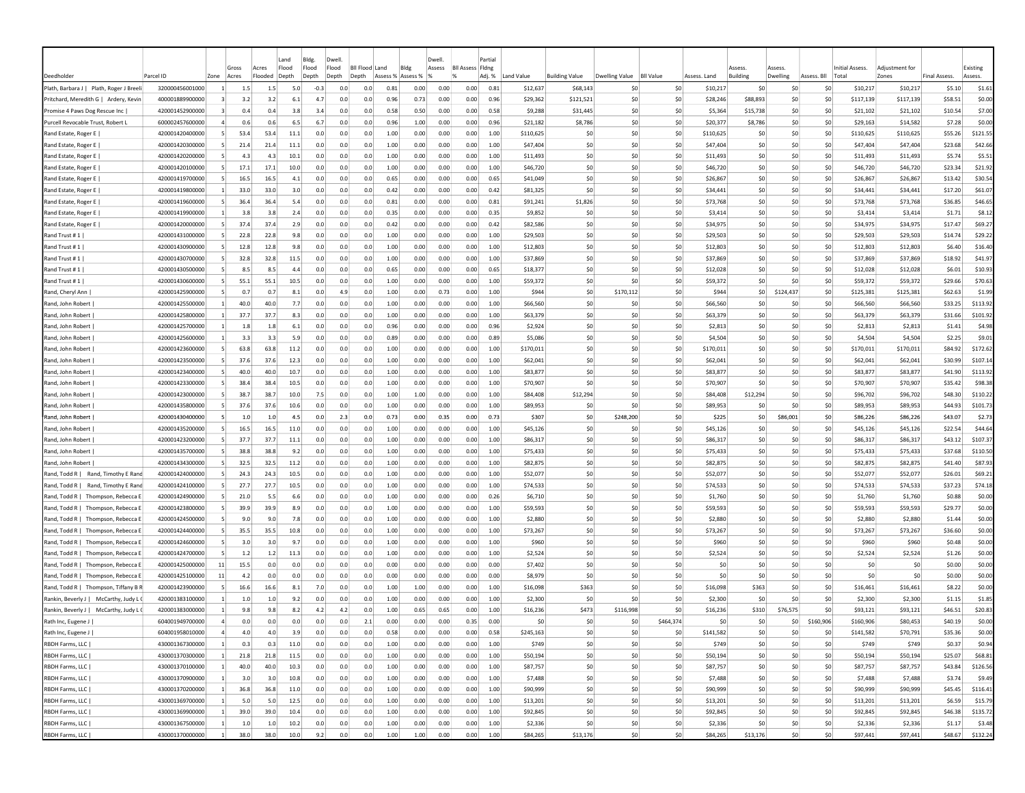|                                        |                 |                |                |                  | Land           | Bldg.          | Dwel                    |                |                  |          | Dwell  |                         | Partia |             |                       |                       |                  |              |                           |                    |                 |                          |                         |                     |                     |
|----------------------------------------|-----------------|----------------|----------------|------------------|----------------|----------------|-------------------------|----------------|------------------|----------|--------|-------------------------|--------|-------------|-----------------------|-----------------------|------------------|--------------|---------------------------|--------------------|-----------------|--------------------------|-------------------------|---------------------|---------------------|
| Deedholder                             | Parcel ID       | Zone           | Gross<br>Acres | Acres<br>Flooded | Flood<br>Depth | Flood<br>Depth | Flood<br>Depth<br>Depth | Bil Flood Land | Blde<br>Assess % | Assess % | Assess | <b>BII Assess Fidne</b> | Adj. % | Land Value  | <b>Building Value</b> | <b>Dwelling Value</b> | <b>BII Value</b> | Assess. Land | Assess<br><b>Building</b> | Assess<br>Dwelling | Assess. Bll     | Initial Assess.<br>Total | Adiustment for<br>Zones | <b>Final Assess</b> | Existing<br>Assess. |
| Plath, Barbara J   Plath, Roger J Bree | 320000456001000 |                | 1.5            | 1.5              | 5.0            | $-0.3$         | 0.0                     | 0.0            | 0.81             | 0.00     | 0.00   | 0.00                    | 0.81   | \$12,637    | \$68,143              | -SC                   | \$0              | \$10,217     | \$0                       | \$0                | \$0             | \$10,217                 | \$10,217                | \$5.10              | \$1.61              |
| Pritchard, Meredith G   Ardery, Kevir  | 400001889900000 |                | 3.2            | 3.2              | 6.1            | 4.7            | 0.0                     | 0.0            | 0.96             | 0.73     | 0.00   | 0.00                    | 0.96   | \$29,362    | \$121,521             | \$0                   | \$0              | \$28,246     | \$88,893                  | \$0                | \$0             | \$117,139                | \$117,139               | \$58.51             | \$0.00              |
| Promise 4 Paws Dog Rescue Inc          | 420001452900000 |                | 0.4            | 0.4              | 3.8            | 3.4            | 0.0                     | 0.0            | 0.58             | 0.50     | 0.00   | 0.00                    | 0.58   | \$9,288     | \$31,445              | \$0                   | \$0              | \$5,364      | \$15,738                  | \$0                | \$0             | \$21,102                 | \$21,102                | \$10.54             | \$7.00              |
| Purcell Revocable Trust, Robert I      | 600002457600000 |                | 0.6            | 0.6              | 6.5            | 6.7            | 0.0                     | 0.0            | 0.96             | 1.00     | 0.00   | 0.00                    | 0.96   | \$21,182    | \$8,786               | \$0                   | \$0              | \$20,377     | \$8,786                   | S0                 | \$0             | \$29,163                 | \$14,582                | \$7.28              | \$0.00              |
| Rand Estate, Roger E                   | 420001420400000 | -51            | 53.4           | 53.4             | 11.1           | 0.0            | 0.0                     | 0.0            | 1.00             | 0.00     | 0.00   | 0.00                    | 1.00   | \$110,625   | -SO                   | -SO                   | \$0              | \$110,625    | S <sub>0</sub>            | \$0                | \$0             | \$110,625                | \$110,625               | \$55.26             | \$121.55            |
| Rand Estate, Roger E                   | 420001420300000 | -5             | 21.4           | 21.4             | 11.1           | 0.0            | 0.0                     | 0.0            | 1.00             | 0.00     | 0.00   | 0.00                    | 1.00   | \$47,404    | -SO                   | -SO                   | \$0              | \$47,404     | S <sub>0</sub>            | \$0                | \$0             | \$47,404                 | \$47,404                | \$23.68             | \$42.66             |
| Rand Estate, Roger E                   | 420001420200000 | -51            | 4.3            | 4.3              | 10.1           | 0.0            | 0.0                     | 0.0            | 1.00             | 0.00     | 0.00   | 0.00                    | 1.00   | \$11,493    | \$0                   | \$0                   | \$0              | \$11,493     | \$0                       | \$0                | \$0             | \$11,493                 | \$11,493                | \$5.74              | \$5.51              |
| Rand Estate, Roger E                   | 420001420100000 |                | 17.1           | 17.1             | 10.0           | 0.0            | 0.0                     | 0.0            | 1.00             | 0.00     | 0.00   | 0.00                    | 1.00   | \$46,720    | \$C                   | -SO                   | \$0              | \$46,720     | \$0                       | \$0                | \$0             | \$46,720                 | \$46,720                | \$23.34             | \$21.92             |
| Rand Estate, Roger E                   | 420001419700000 | -51            | 16.5           | 16.5             | 4.1            | 0.0            | 0.0                     | 0.0            | 0.65             | 0.00     | 0.00   | 0.00                    | 0.65   | \$41,049    | -SO                   | -SO                   | \$0              | \$26,867     | S <sub>0</sub>            | \$0                | S0              | \$26,867                 | \$26,867                | \$13.42             | \$30.54             |
| Rand Estate, Roger E                   | 420001419800000 | -11            | 33.0           | 33.0             | 3.0            | 0.0            | 0.0                     | 0.0            | 0.42             | 0.00     | 0.00   | 0.00                    | 0.42   | \$81,325    | \$0                   | -SO                   | \$0              | \$34,441     | S <sub>0</sub>            | \$0                | \$0             | \$34,441                 | \$34,441                | \$17.20             | \$61.07             |
| Rand Estate, Roger E                   | 420001419600000 |                | 36.4           | 36.4             | 5.4            | 0.0            | 0.0                     | 0.0            | 0.81             | 0.00     | 0.00   | 0.00                    | 0.81   | \$91,241    | \$1,826               | -SO                   | \$0              | \$73.768     | S <sub>0</sub>            | \$0                | \$0             | \$73,768                 | \$73,768                | \$36.85             | \$46.65             |
| Rand Estate, Roger E                   | 420001419900000 |                | 3.8            | 3.8              | 2.4            | 0.0            | 0.0                     | 0.0            | 0.35             | 0.00     | 0.00   | 0.00                    | 0.35   | \$9,852     | \$0                   | \$0                   | \$0              | \$3,414      | \$0                       | \$C                | \$0             | \$3,414                  | \$3,414                 | \$1.71              | \$8.12              |
| Rand Estate, Roger E                   | 420001420000000 |                | 37.4           | 37.4             | 2.9            | 0.0            | 0.0                     | 0.0            | 0.42             | 0.00     | 0.00   | 0.00                    | 0.42   | \$82,586    | \$C                   | -SO                   | \$0              | \$34,975     | \$0                       | \$C                | \$0             | \$34,975                 | \$34,975                | \$17.47             | \$69.27             |
| Rand Trust #1                          | 420001431000000 |                | 22.8           | 22.8             | 9.8            | 0.0            | 0.0                     | 0.0            | 1.00             | 0.00     | 0.00   | 0.00                    | 1.00   | \$29,503    | \$0                   | \$0                   | \$0              | \$29,503     | \$0                       | \$0                | \$0             | \$29,503                 | \$29,503                | \$14.74             | \$29.22             |
| Rand Trust #1                          | 420001430900000 |                | 12.8           | 12.8             | 9.8            | 0.0            | 0.0                     | 0.0            | 1.00             | 0.00     | 0.00   | 0.00                    | 1.00   | \$12,803    | \$0                   | -SO                   | \$0              | \$12,803     | \$0                       | \$0                | \$0             | \$12,803                 | \$12,803                | \$6.40              | \$16.40             |
| Rand Trust #1                          | 420001430700000 |                | 32.8           | 32.8             | 11.5           | 0.0            | 0.0                     | 0.0            | 1.00             | 0.00     | 0.00   | 0.00                    | 1.00   | \$37,869    | \$C                   | -SO                   | \$0              | \$37,869     | S0                        | \$0                | \$0             | \$37,869                 | \$37,869                | \$18.92             | \$41.97             |
| Rand Trust #1                          | 420001430500000 |                | 8.5            | 8.5              | 4.4            | 0.0            | 0.0                     | 0.0            | 0.65             | 0.00     | 0.00   | 0.00                    | 0.65   | \$18,377    | \$0                   | -SO                   | \$0              | \$12,028     | S <sub>0</sub>            | \$0                | \$0             | \$12,028                 | \$12,028                | \$6.01              | \$10.93             |
| Rand Trust #1                          | 420001430600000 |                | 55.1           | 55.1             | 10.5           | 0.0            | 0.0                     | 0.0            | 1.00             | 0.00     | 0.00   | 0.00                    | 1.00   | \$59,372    | \$0                   | -SO                   | \$0              | \$59,372     | \$0                       | \$0                | \$0             | \$59,372                 | \$59,372                | \$29.66             | \$70.63             |
| Rand, Cheryl Ann                       | 420001425900000 |                | 0.7            | 0.7              | 8.1            | 0.0            | 4.9                     | 0.0            | 1.00             | 0.00     | 0.73   | 0.00                    | 1.00   | <b>S944</b> | \$C                   | \$170,112             | \$0              | \$944        | \$0                       | \$124,437          | \$0             | \$125,381                | \$125,381               | \$62.63             | \$1.99              |
| Rand, John Robert                      | 420001425500000 |                | 40.0           | 40.0             | 7.7            | 0.0            | 0.0                     | 0.0            | 1.00             | 0.00     | 0.00   | 0.00                    | 1.00   | \$66,560    | \$0                   | -SO                   | \$0              | \$66,560     | -SC                       | \$0                | \$0             | \$66,560                 | \$66,560                | \$33.25             | \$113.92            |
| Rand, John Robert                      | 420001425800000 | -11            | 37.7           | 37.7             | 8.3            | 0.0            | 0.0                     | 0.0            | 1.00             | 0.00     | 0.00   | 0.00                    | 1.00   | \$63,379    | \$0                   | -SO                   | \$0              | \$63,379     | -SO                       | \$0                | S0              | \$63,379                 | \$63,379                | \$31.66             | \$101.92            |
| Rand, John Robert                      | 420001425700000 | -1             | 1.8            | 1.8              | 6.1            | 0.0            | 0.0                     | 0.0            | 0.96             | 0.00     | 0.00   | 0.00                    | 0.96   | \$2,924     | S0                    | -SO                   | \$0              | \$2,813      | -SO                       | S0                 | S0              | \$2,813                  | \$2,813                 | \$1.41              | \$4.98              |
| Rand, John Robert                      | 420001425600000 |                | 3.3            | 3.3              | 5.9            | 0.0            | 0.0                     | 0.0            | 0.89             | 0.00     | 0.00   | 0.00                    | 0.89   | \$5,086     | \$0                   | -SO                   | \$0              | \$4.504      | S <sub>0</sub>            | \$0                | \$0             | \$4,504                  | \$4,504                 | \$2.25              | \$9.01              |
| Rand, John Robert                      | 420001423600000 |                | 63.8           | 63.8             | 11.2           | 0.0            | 0.0                     | 0.0            | 1.00             | 0.00     | 0.00   | 0.00                    | 1.00   | \$170,011   | \$0                   | -SO                   | \$0              | \$170,011    | S <sub>0</sub>            | \$0                | \$0             | \$170,011                | \$170,011               | \$84.92             | \$172.62            |
| Rand, John Robert                      | 420001423500000 |                | 37.6           | 37.6             | 12.3           | 0.0            | 0.0                     | 0.0            | 1.00             | 0.00     | 0.00   | 0.00                    | 1.00   | \$62,041    | \$0                   | -SO                   | \$0              | \$62,041     | \$0                       | \$C                | \$0             | \$62,041                 | \$62,041                | \$30.99             | \$107.14            |
| Rand, John Robert                      | 420001423400000 |                | 40.0           | 40.0             | 10.7           | 0.0            | 0.0                     | 0.0            | 1.00             | 0.00     | 0.00   | 0.00                    | 1.00   | \$83,877    | \$0                   | \$0                   | \$0              | \$83,877     | \$0                       | \$0                | \$0             | \$83,877                 | \$83,877                | \$41.90             | \$113.92            |
| Rand, John Robert                      | 420001423300000 |                | 38.4           | 38.4             | 10.5           | 0.0            | 0.0                     | 0.0            | 1.00             | 0.00     | 0.00   | 0.00                    | 1.00   | \$70,907    | \$0                   | \$0                   | \$0              | \$70,907     | \$0                       | \$0                | \$0             | \$70,907                 | \$70,907                | \$35.42             | \$98.38             |
| Rand, John Robert                      | 420001423000000 |                | 38.7           | 38.7             | 10.0           | 7.5            | 0.0                     | 0.0            | 1.00             | 1.00     | 0.00   | 0.00                    | 1.00   | \$84,408    | \$12,294              | \$0                   | \$0              | \$84,408     | \$12,294                  | \$0                | \$0             | \$96,702                 | \$96,702                | \$48.30             | \$110.22            |
| Rand, John Robert                      | 420001435800000 |                | 37.6           | 37.6             | 10.6           | 0.0            | 0.0                     | 0.0            | 1.00             | 0.00     | 0.00   | 0.00                    | 1.00   | \$89,953    | \$0                   | \$0                   | \$0              | \$89,953     | S <sub>0</sub>            | \$0                | \$0             | \$89,953                 | \$89,953                | \$44.93             | \$101.73            |
| Rand, John Robert                      | 420001430400000 | -5             | 1.0            | 1.0              | 4.5            | 0.0            | 2.3                     | 0.0            | 0.73             | 0.00     | 0.35   | 0.00                    | 0.73   | \$307       | \$0                   | \$248,200             | \$0              | \$225        | \$0                       | \$86,001           | \$0             | \$86,226                 | \$86,226                | \$43.07             | \$2.73              |
| Rand, John Robert                      | 420001435200000 | -5             | 16.5           | 16.5             | 11.0           | 0.0            | 0.0                     | 0.0            | 1.00             | 0.00     | 0.00   | 0.00                    | 1.00   | \$45,126    | \$C                   | -SO                   | \$0              | \$45,126     | -SC                       | \$C                | \$0             | \$45,126                 | \$45,126                | \$22.54             | \$44.64             |
| Rand, John Robert                      | 420001423200000 | -5             | 37.7           | 37.7             | 11.1           | 0.0            | 0.0                     | 0.0            | 1.00             | 0.00     | 0.00   | 0.00                    | 1.00   | \$86,317    | \$0                   | -SO                   | \$0              | \$86,317     | S <sub>0</sub>            | \$C                | \$0             | \$86,317                 | \$86,317                | \$43.12             | \$107.37            |
| Rand, John Robert                      | 420001435700000 | -51            | 38.8           | 38.8             | 9.2            | 0.0            | 0.0                     | 0.0            | 1.00             | 0.00     | 0.00   | 0.00                    | 1.00   | \$75,433    | \$C                   | -SO                   | \$0              | \$75,433     | \$0                       | \$0                | \$0             | \$75,433                 | \$75,433                | \$37.68             | \$110.50            |
| Rand, John Robert                      | 420001434300000 | -51            | 32.5           | 32.5             | 11.2           | 0.0            | 0.0                     | 0.0            | 1.00             | 0.00     | 0.00   | 0.00                    | 1.00   | \$82,875    | -SO                   | -SO                   | \$0              | \$82,875     | -SO                       | S0                 | S0              | \$82,875                 | \$82,875                | \$41.40             | \$87.93             |
| Rand, Timothy E Rand<br>Rand, Todd R   | 420001424000000 | -51            | 24.3           | 24.3             | 10.5           | 0.0            | 0.0                     | 0.0            | 1.00             | 0.00     | 0.00   | 0.00                    | 1.00   | \$52,077    | -SO                   | -SO                   | \$0              | \$52,077     | -SO                       | \$0                | S0              | \$52,077                 | \$52,077                | \$26.01             | \$69.21             |
| Rand, Todd R  <br>Rand, Timothy E Rand | 420001424100000 |                | 27.7           | 27.7             | 10.5           | 0.0            | 0.0                     | 0.0            | 1.00             | 0.00     | 0.00   | 0.00                    | 1.00   | \$74,533    | \$0                   | -SO                   | \$0              | \$74,533     | S0                        | \$0                | \$0             | \$74,533                 | \$74,533                | \$37.23             | \$74.18             |
| Rand, Todd R   Thompson, Rebecca E     | 420001424900000 |                | 21.0           | 5.5              | 6.6            | 0.0            | 0.0                     | 0.0            | 1.00             | 0.00     | 0.00   | 0.00                    | 0.26   | \$6,710     | \$0                   | -SO                   | \$0              | \$1.760      | S0                        | \$0                | \$0             | \$1,760                  | \$1,760                 | \$0.88              | \$0.00              |
| Rand, Todd R   Thompson, Rebecca E     | 420001423800000 |                | 39.9           | 39.9             | 8.9            | 0.0            | 0.0                     | 0.0            | 1.00             | 0.00     | 0.00   | 0.00                    | 1.00   | \$59,593    | \$0                   | \$0                   | \$0              | \$59,593     | \$0                       | \$C                | \$0             | \$59,593                 | \$59,593                | \$29.77             | \$0.00              |
| Rand, Todd R   Thompson, Rebecca E     | 420001424500000 |                | 9.0            | 9.0              | 7.8            | 0.0            | 0.0                     | 0.0            | 1.00             | 0.00     | 0.00   | 0.00                    | 1.00   | \$2,880     | \$0                   | \$0                   | \$0              | \$2,880      | \$0                       | \$0                | \$0             | \$2,880                  | \$2,880                 | \$1.44              | \$0.00              |
| Rand, Todd R   Thompson, Rebecca I     | 420001424400000 |                | 35.5           | 35.5             | 10.8           | 0.0            | 0.0                     | 0.0            | 1.00             | 0.00     | 0.00   | 0.00                    | 1.00   | \$73,267    | \$0                   | \$0                   | \$0              | \$73,267     | \$0                       | \$0                | \$0             | \$73,267                 | \$73,267                | \$36.60             | \$0.00              |
| Rand, Todd R   Thompson, Rebecca &     | 420001424600000 |                | 3.0            | 3.0              | 9.7            | 0.0            | 0.0                     | 0.0            | 1.00             | 0.00     | 0.00   | 0.00                    | 1.00   | \$960       | \$0                   | -SO                   | \$0              | \$960        | \$0                       | \$0                | \$0             | \$960                    | \$960                   | \$0.48              | \$0.00              |
| Rand, Todd R   Thompson, Rebecca E     | 420001424700000 |                | 1.2            | 1.2              | 11.3           | 0.0            | 0.0                     | 0.0            | 1.00             | 0.00     | 0.00   | 0.00                    | 1.00   | \$2,524     | \$0                   | -SO                   | \$0              | \$2.524      | S0                        | \$0                | \$0             | \$2,524                  | \$2,524                 | \$1.26              | \$0.00              |
| Rand, Todd R   Thompson, Rebecca B     | 420001425000000 | 11             | 15.5           | 0.0              | 0.0            | 0.0            | 0.0                     | 0.0            | 0.00             | 0.00     | 0.00   | 0.00                    | 0.00   | \$7,402     | \$0                   | \$0                   | \$0              | \$0          | S0                        | \$0                | \$0             | \$0                      | \$0                     | \$0.00              | \$0.00              |
| Rand, Todd R   Thompson, Rebecca I     | 420001425100000 | 11             | 4.2            | 0.0              | 0.0            | 0.0            | 0.0                     | 0.0            | 0.00             | 0.00     | 0.00   | 0.00                    | 0.00   | \$8,979     | \$C                   | -SO                   | \$0              | \$0          | S0                        | \$C                | \$0             | \$0                      | \$0                     | \$0.00              | \$0.00              |
| Rand, Todd R   Thompson, Tiffany B     | 420001423900000 |                | 16.6           | 16.6             | 8.1            | 7.0            | 0.0                     | 0.0            | 1.00             | 1.00     | 0.00   | 0.00                    | 1.00   | \$16,098    | \$363                 | \$0                   | \$0              | \$16,098     | \$363                     | \$0                | \$0             | \$16,461                 | \$16,461                | \$8.22              | \$0.00              |
| Rankin, Beverly J   McCarthy, Judy L   | 420001383100000 |                | 1.0            | 1.0              | 9.2            | 0.0            | 0.0                     | 0.0            | 1.00             | 0.00     | 0.00   | 0.00                    | 1.00   | \$2,300     | -SO                   | -SO                   | \$0              | \$2,300      | \$0                       | \$0                | S0              | \$2,300                  | \$2,300                 | \$1.15              | \$1.85              |
| Rankin, Beverly J   McCarthy, Judy L   | 420001383000000 |                | 9.8            | 9.8              | 8.2            | 4.2            | 4.2                     | 0.0            | 1.00             | 0.65     | 0.65   | 0.00                    | 1.00   | \$16,236    | \$473                 | \$116,998             | \$0              | \$16,236     | \$310                     | \$76,575           | S0              | \$93,121                 | \$93,121                | \$46.51             | \$20.83             |
| Rath Inc, Eugene J                     | 604001949700000 |                | 0.0            | 0.0              | 0.0            | 0.0            | 0.0                     | 2.1            | 0.00             | 0.00     | 0.00   | 0.35                    | 0.00   | \$0         | \$0                   | S0                    | \$464,374        | \$0          | S <sub>0</sub>            | \$0                | \$160,906       | \$160,906                | \$80,453                | \$40.19             | \$0.00              |
| Rath Inc, Eugene J                     | 604001958010000 | $\overline{4}$ | 4.0            | 4.0              | 3.9            | 0.0            | 0.0                     | 0.0            | 0.58             | 0.00     | 0.00   | 0.00                    | 0.58   | \$245,163   | \$0                   | 50                    | \$0              | \$141,582    | \$0                       | 50                 | \$0             | \$141,582                | \$70,791                | \$35.36             | \$0.00              |
| RBDH Farms, LLC                        | 430001367300000 | $\vert$ 1      | 0.3            | 0.3              | 11.0           | 0.0            | 0.0                     | 0.0            | 1.00             | 0.00     | 0.00   | 0.00                    | 1.00   | \$749       | \$0                   | \$0                   | \$0              | \$749        | \$0                       | \$0                | \$0             | \$749                    | \$749                   | \$0.37              | \$0.94              |
| RBDH Farms, LLC                        | 430001370300000 | $\vert$ 1      | 21.8           | 21.8             | 11.5           | 0.0            | 0.0                     | 0.0            | 1.00             | 0.00     | 0.00   | 0.00                    | 1.00   | \$50,194    | \$0                   | \$0                   | \$0              | \$50,194     | \$0                       | \$0                | \$0             | \$50,194                 | \$50,194                | \$25.07             | \$68.81             |
| RBDH Farms, LLC                        | 430001370100000 | $\vert$ 1      | 40.0           | 40.0             | 10.3           | 0.0            | 0.0                     | 0.0            | 1.00             | 0.00     | 0.00   | 0.00                    | 1.00   | \$87,757    | \$0                   | 50                    | \$0              | \$87,757     | \$0                       | 50                 | \$0             | \$87,757                 | \$87,757                | \$43.84             | \$126.56            |
| RBDH Farms, LLC                        | 430001370900000 | $\overline{1}$ | 3.0            | 3.0              | 10.8           | 0.0            | 0.0                     | 0.0            | 1.00             | 0.00     | 0.00   | 0.00                    | 1.00   | \$7,488     | \$0                   | 50                    | \$0              | \$7,488      | \$0                       | 50                 | \$0             | \$7,488                  | \$7,488                 | \$3.74              | \$9.49              |
| RBDH Farms, LLC                        | 430001370200000 | $\vert$ 1      | 36.8           | 36.8             | 11.0           | 0.0            | 0.0                     | 0.0            | 1.00             | 0.00     | 0.00   | 0.00                    | 1.00   | \$90,999    | \$0                   | \$0                   | \$0              | \$90,999     | \$0                       | 50                 | \$0             | \$90,999                 | \$90,999                | \$45.45             | \$116.41            |
| RBDH Farms, LLC                        | 430001369700000 | $\vert$ 1      | 5.0            | 5.0              | 12.5           | 0.0            | 0.0                     | 0.0            | 1.00             | 0.00     | 0.00   | 0.00                    | 1.00   | \$13,201    | \$0                   | \$0                   | \$0              | \$13,201     | \$0                       | 50                 | \$0             | \$13,201                 | \$13,201                | \$6.59              | \$15.79             |
| RBDH Farms, LLC                        | 430001369900000 | $\mathbf{1}$   | 39.0           | 39.0             | 10.4           | 0.0            | 0.0                     | 0.0            | 1.00             | 0.00     | 0.00   | 0.00                    | 1.00   | \$92,845    | \$0                   | \$0                   | \$0              | \$92,845     | \$0                       | \$0                | \$0             | \$92,845                 | \$92,845                | \$46.38             | \$135.72            |
| RBDH Farms, LLC                        | 430001367500000 |                | 1.0            | 1.0              | 10.2           | 0.0            | 0.0                     | 0.0            | 1.00             | 0.00     | 0.00   | 0.00                    | 1.00   | \$2,336     | \$0                   | \$0                   | \$0              | \$2,336      | \$0                       | \$0                | \$0             | \$2,336                  | \$2,336                 | \$1.17              | \$3.48              |
| RBDH Farms, LLC                        | 430001370000000 | $\vert$ 1      | 38.0           | 38.0             | 10.0           | 9.2            | 0.0                     | 0.0            | 1.00             | 1.00     | 0.00   | 0.00                    | 1.00   | \$84,265    | \$13,176              | 50                    | \$0              | \$84,265     | \$13,176                  | 50                 | 50 <sub>2</sub> | \$97,441                 | \$97,441                |                     | \$48.67 \$132.24    |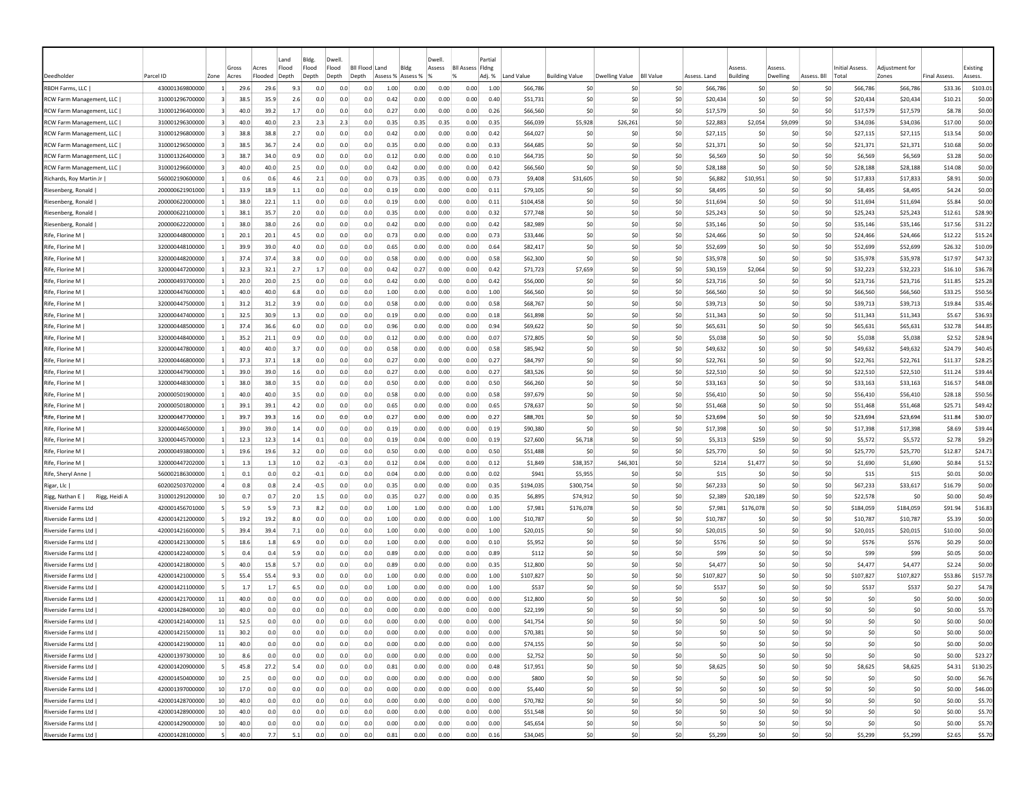|                                   |                 |                 | Gross | Acres   | Land<br>Flood | Bldg.<br>Flood | Dwell<br>Flood | Bll Flood Land | Bldg              |      | Dwell<br>Assess | <b>BII Assess Fidne</b> | Partia |            |                       |                                    |     |              | Assess          | Assess         |             | Initial Assess. | Adiustment fo |                     | Existing |
|-----------------------------------|-----------------|-----------------|-------|---------|---------------|----------------|----------------|----------------|-------------------|------|-----------------|-------------------------|--------|------------|-----------------------|------------------------------------|-----|--------------|-----------------|----------------|-------------|-----------------|---------------|---------------------|----------|
| Deedholde                         | Parcel ID       | Zone            | Acres | Flooded | Depth         | Depth          | Depth          | Depth          | Assess % Assess % |      |                 |                         | Adj. % | Land Value | <b>Building Value</b> | Dwelling Value<br><b>BII Value</b> |     | Assess. Land | <b>Building</b> | Dwelling       | Assess. Bll | Total           | Zones         | <b>Final Assess</b> | Assess.  |
| RBDH Farms, LLC                   | 430001369800000 |                 | 29.6  | 29.6    | 9.3           | 0.0            | 0.0            | 0.0            | 1.00              | 0.00 | 0.00            | 0.00                    | 1.00   | \$66,786   | \$0                   | S0                                 | \$0 | \$66,786     | \$0             | \$C            | \$0         | \$66,786        | \$66,786      | \$33.36             | \$103.01 |
| RCW Farm Management, LLC          | 310001296700000 |                 | 38.5  | 35.9    | 2.6           | 0.0            | 0.0            | 0.0            | 0.42              | 0.00 | 0.00            | 0.00                    | 0.40   | \$51,731   | \$0                   | \$0                                | \$0 | \$20,434     | \$0             | \$0            | \$0         | \$20,434        | \$20,434      | \$10.21             | \$0.00   |
| <b>RCW Farm Management, LLC</b>   | 310001296400000 | -31             | 40.0  | 39.2    | 1.7           | 0.0            | 0.0            | 0.0            | 0.27              | 0.00 | 0.00            | 0.00                    | 0.26   | \$66,560   | \$0                   | \$0                                | \$0 | \$17,579     | \$0             | \$0            | \$0         | \$17,579        | \$17,579      | \$8.78              | \$0.00   |
| RCW Farm Management, LLC          | 310001296300000 | 3               | 40.0  | 40.0    | 2.3           | 2.3            | 2.3            | 0.0            | 0.35              | 0.35 | 0.35            | 0.00                    | 0.35   | \$66,039   | \$5,928               | \$26,261                           | \$0 | \$22,883     | \$2,054         | \$9,099        | \$0         | \$34,036        | \$34,036      | \$17.00             | \$0.00   |
| RCW Farm Management, LLC          | 310001296800000 | $\vert$ 3       | 38.8  | 38.8    | 2.7           | 0.0            | 0.0            | 0.0            | 0.42              | 0.00 | 0.00            | 0.00                    | 0.42   | \$64,027   | \$0                   | S0                                 | \$0 | \$27,115     | S0              | -SO            | \$0         | \$27.115        | \$27,115      | \$13.54             | \$0.00   |
| RCW Farm Management, LLC          | 310001296500000 | $\vert$ 3       | 38.5  | 36.7    | 2.4           | 0.0            | 0.0            | 0.0            | 0.35              | 0.00 | 0.00            | 0.00                    | 0.33   | \$64,685   | \$0                   | \$0                                | \$0 | \$21,371     | \$0             | \$0            | \$0         | \$21,371        | \$21,371      | \$10.68             | \$0.00   |
| RCW Farm Management, LLC          | 310001326400000 | $\vert$ 3       | 38.7  | 34.0    | 0.9           | 0.0            | 0.0            | 0.0            | 0.12              | 0.00 | 0.00            | 0.00                    | 0.10   | \$64,735   | \$0                   | \$0                                | \$0 | \$6,569      | \$0             | 50             | \$0         | \$6,569         | \$6,569       | \$3.28              | \$0.00   |
| RCW Farm Management, LLC          | 310001296600000 |                 | 40.0  | 40.0    | 2.5           | 0.0            | 0.0            | 0.0            | 0.42              | 0.00 | 0.00            | 0.00                    | 0.42   | \$66,560   | \$0                   | \$0                                | \$0 | \$28,188     | \$0             | \$0            | \$0         | \$28,188        | \$28,188      | \$14.08             | \$0.00   |
| Richards, Roy Martin Jr           | 560002190600000 | -1              | 0.6   | 0.6     | 4.6           | 2.1            | 0.0            | 0.0            | 0.73              | 0.35 | 0.00            | 0.00                    | 0.73   | \$9,408    | \$31,605              | \$0                                | \$0 | \$6,882      | \$10,951        | \$0            | \$0         | \$17,833        | \$17,833      | \$8.91              | \$0.00   |
| Riesenberg, Ronald                | 200000621901000 | -11             | 33.9  | 18.9    | 1.1           | 0.0            | 0.0            | 0.0            | 0.19              | 0.00 | 0.00            | 0.00                    | 0.11   | \$79,105   | \$0                   | \$0                                | 50  | \$8,495      | S0              | \$0            | \$0         | \$8,495         | \$8,495       | \$4.24              | \$0.00   |
| Riesenberg, Ronald                | 200000622000000 |                 | 38.0  | 22.1    | 1.1           | 0.0            | 0.0            | 0.0            | 0.19              | 0.00 | 0.00            | 0.00                    | 0.11   | \$104,458  | \$0                   | \$0                                | \$0 | \$11,694     | \$0             | \$0            | \$0         | \$11,694        | \$11,694      | \$5.84              | \$0.00   |
| Riesenberg, Ronald                | 200000622100000 |                 | 38.1  | 35.7    | 2.0           | 0.0            | 0.0            | 0.0            | 0.35              | 0.00 | 0.00            | 0.00                    | 0.32   | \$77,748   | \$0                   | \$0                                | \$0 | \$25,243     | \$0             | \$C            | \$0         | \$25,243        | \$25,243      | \$12.61             | \$28.90  |
| Riesenberg, Ronald                | 200000622200000 |                 | 38.0  | 38.0    | 2.6           | 0.0            | 0.0            | 0.0            | 0.42              | 0.00 | 0.00            | 0.00                    | 0.42   | \$82,989   | \$0                   | \$C                                | \$0 | \$35,146     | \$0             | \$C            | \$0         | \$35,146        | \$35,146      | \$17.56             | \$31.22  |
| Rife, Florine M                   | 320000448000000 |                 | 20.1  | 20.1    | 4.5           | 0.0            | 0.0            | 0.0            | 0.73              | 0.00 | 0.00            | 0.00                    | 0.73   | \$33,446   | \$0                   | \$0                                | \$0 | \$24,466     | \$0             | \$0            | \$0         | \$24,466        | \$24,466      | \$12.22             | \$15.24  |
| Rife, Florine M                   | 320000448100000 |                 | 39.9  | 39.0    | 4.0           | 0.0            | 0.0            | 0.0            | 0.65              | 0.00 | 0.00            | 0.00                    | 0.64   | \$82,417   | \$0                   | S0                                 | \$0 | \$52,699     | \$0             | -SO            | \$0         | \$52,699        | \$52,699      | \$26.32             | \$10.09  |
| Rife, Florine M                   | 320000448200000 |                 | 37.4  | 37.4    | 3.8           | 0.0            | 0.0            | 0.0            | 0.58              | 0.00 | 0.00            | 0.00                    | 0.58   | \$62,300   | \$0                   | S0                                 | \$0 | \$35,978     | \$0             | -SO            | \$0         | \$35,978        | \$35,978      | \$17.97             | \$47.32  |
| Rife, Florine M                   | 320000447200000 | -11             | 32.3  | 32.1    | 2.7           | 1.7            | 0.0            | 0.0            | 0.42              | 0.27 | 0.00            | 0.00                    | 0.42   | \$71,723   | \$7,659               | \$0                                | \$0 | \$30.159     | \$2,064         | \$0            | \$0         | \$32,223        | \$32,223      | \$16.10             | \$36.78  |
| Rife, Florine M                   | 200000493700000 | 1               | 20.0  | 20.0    | 2.5           | 0.0            | 0.0            | 0.0            | 0.42              | 0.00 | 0.00            | 0.00                    | 0.42   | \$56,000   | \$0                   | S0                                 | \$0 | \$23,716     | \$0             | \$0            | \$0         | \$23,716        | \$23,716      | \$11.85             | \$25.28  |
| Rife, Florine M                   | 320000447600000 |                 | 40.0  | 40.0    | 6.8           | 0.0            | 0.0            | 0.0            | 1.00              | 0.00 | 0.00            | 0.00                    | 1.00   | \$66,560   | \$0                   | S0                                 | \$0 | \$66,560     | \$0             | \$0            | \$0         | \$66,560        | \$66,560      | \$33.25             | \$50.56  |
| Rife, Florine M                   | 320000447500000 |                 | 31.2  | 31.2    | 3.9           | 0.0            | 0.0            | 0.0            | 0.58              | 0.00 | 0.00            | 0.00                    | 0.58   | \$68,767   | \$0                   | \$0                                | \$0 | \$39,713     | \$0             | \$0            | \$0         | \$39,713        | \$39,713      | \$19.84             | \$35.46  |
| Rife, Florine M                   | 320000447400000 | -1              | 32.5  | 30.9    | 1.3           | 0.0            | 0.0            | 0.0            | 0.19              | 0.00 | 0.00            | 0.00                    | 0.18   | \$61,898   | \$0                   | S0                                 | \$0 | \$11,343     | \$0             | \$0            | S0          | \$11,343        | \$11,343      | \$5.67              | \$36.93  |
| Rife, Florine M                   | 320000448500000 | -11             | 37.4  | 36.6    | 6.0           | 0.0            | 0.0            | 0.0            | 0.96              | 0.00 | 0.00            | 0.00                    | 0.94   | \$69,622   | \$0                   | S0                                 | \$0 | \$65,631     | \$0             | S0             | S0          | \$65,631        | \$65,631      | \$32.78             | \$44.85  |
| Rife, Florine M                   | 320000448400000 | -11             | 35.2  | 21.1    | 0.9           | 0.0            | 0.0            | 0.0            | 0.12              | 0.00 | 0.00            | 0.00                    | 0.07   | \$72,805   | \$0                   | S0                                 | 50  | \$5,038      | S0              | \$0            | \$0         | \$5,038         | \$5,038       | \$2.52              | \$28.94  |
| Rife, Florine M                   | 320000447800000 |                 | 40.0  | 40.0    | 3.7           | 0.0            | 0.0            | 0.0            | 0.58              | 0.00 | 0.00            | 0.00                    | 0.58   | \$85,942   | \$0                   | S0                                 | \$0 | \$49,632     | S0              | \$0            | \$0         | \$49,632        | \$49,632      | \$24.79             | \$40.45  |
| Rife, Florine M                   | 320000446800000 |                 | 37.3  | 37.1    | 1.8           | 0.0            | 0.0            | 0.0            | 0.27              | 0.00 | 0.00            | 0.00                    | 0.27   | \$84,797   | \$0                   | \$C                                | \$0 | \$22,761     | \$0             | \$0            | \$0         | \$22,761        | \$22,761      | \$11.37             | \$28.25  |
| Rife, Florine M                   | 320000447900000 |                 | 39.0  | 39.0    | 1.6           | 0.0            | 0.0            | 0.0            | 0.27              | 0.00 | 0.00            | 0.00                    | 0.27   | \$83,526   | \$0                   | \$0                                | \$0 | \$22,510     | \$0             | \$0            | \$0         | \$22,510        | \$22,510      | \$11.24             | \$39.44  |
| Rife, Florine M                   | 320000448300000 |                 | 38.0  | 38.0    | 3.5           | 0.0            | 0.0            | 0.0            | 0.50              | 0.00 | 0.00            | 0.00                    | 0.50   | \$66,260   | \$0                   | \$0                                | \$0 | \$33,163     | \$0             | \$0            | \$0         | \$33,163        | \$33,163      | \$16.57             | \$48.08  |
| Rife, Florine M                   | 200000501900000 |                 | 40.0  | 40.0    | 3.5           | 0.0            | 0.0            | 0.0            | 0.58              | 0.00 | 0.00            | 0.00                    | 0.58   | \$97,679   | \$0                   | S0                                 | \$0 | \$56,410     | \$0             | -SO            | \$0         | \$56,410        | \$56,410      | \$28.18             | \$50.56  |
| Rife, Florine M                   | 200000501800000 | -11             | 39.1  | 39.1    | 4.2           | 0.0            | 0.0            | 0.0            | 0.65              | 0.00 | 0.00            | 0.00                    | 0.65   | \$78,637   | \$0                   | \$0                                | \$0 | \$51,468     | \$0             | \$0            | \$0         | \$51,468        | \$51,468      | \$25.71             | \$49.42  |
| Rife, Florine M                   | 320000447700000 | -1              | 39.7  | 39.3    | 1.6           | 0.0            | 0.0            | 0.0            | 0.27              | 0.00 | 0.00            | 0.00                    | 0.27   | \$88,701   | \$0                   | \$0                                | \$0 | \$23.694     | \$0             | \$0            | \$0         | \$23,694        | \$23,694      | \$11.84             | \$30.07  |
| Rife, Florine M                   | 320000446500000 |                 | 39.0  | 39.0    | 1.4           | 0.0            | 0.0            | 0.0            | 0.19              | 0.00 | 0.00            | 0.00                    | 0.19   | \$90,380   | \$0                   | \$0                                | \$0 | \$17,398     | \$0             | \$0            | \$0         | \$17,398        | \$17,398      | \$8.69              | \$39.44  |
| Rife, Florine M                   | 320000445700000 |                 | 12.3  | 12.3    | 1.4           | 0.1            | 0.0            | 0.0            | 0.19              | 0.04 | 0.00            | 0.00                    | 0.19   | \$27,600   | \$6,718               | \$0                                | \$0 | \$5,313      | \$259           | \$0            | \$0         | \$5,572         | \$5,572       | \$2.78              | \$9.29   |
| Rife, Florine M                   | 200000493800000 | 1               | 19.6  | 19.6    | 3.2           | 0.0            | 0.0            | 0.0            | 0.50              | 0.00 | 0.00            | 0.00                    | 0.50   | \$51,488   | \$0                   | \$0                                | \$0 | \$25,770     | \$0             | \$0            | \$0         | \$25,770        | \$25,770      | \$12.87             | \$24.71  |
| Rife, Florine M                   | 320000447202000 | -11             | 1.3   | 1.3     | 1.0           | 0.2            | $-0.3$         | 0.0            | 0.12              | 0.04 | 0.00            | 0.00                    | 0.12   | \$1,849    | \$38,357              | \$46,301                           | \$0 | \$214        | \$1,477         | S <sub>0</sub> | \$0         | \$1,690         | \$1,690       | \$0.84              | \$1.52   |
| Rife, Sheryl Anne                 | 560002186300000 |                 | 0.1   | 0.0     | 0.2           | $-0.1$         | 0.0            | 0.0            | 0.04              | 0.00 | 0.00            | 0.00                    | 0.02   | \$941      | \$5,955               | S0                                 | \$0 | \$15         | \$0             | \$0            | \$0         | \$15            | \$15          | \$0.01              | \$0.00   |
| Rigar, Llc                        | 602002503702000 | 4               | 0.8   | 0.8     | 2.4           | $-0.5$         | 0.0            | 0.0            | 0.35              | 0.00 | 0.00            | 0.00                    | 0.35   | \$194,035  | \$300,754             | S0                                 | \$0 | \$67,233     | \$0             | \$0            | \$0         | \$67,233        | \$33,617      | \$16.79             | \$0.00   |
| Rigg, Nathan E  <br>Rigg, Heidi A | 310001291200000 | 10              | 0.7   | 0.7     | 2.0           | 1.5            | 0.0            | 0.0            | 0.35              | 0.27 | 0.00            | 0.00                    | 0.35   | \$6,895    | \$74,912              | \$0                                | \$0 | \$2,389      | \$20,189        | -SO            | \$0         | \$22,578        | \$0           | \$0.00              | \$0.49   |
| Riverside Farms Ltd               | 420001456701000 |                 | 5.9   | 5.9     | 7.3           | 8.2            | 0.0            | 0.0            | 1.00              | 1.00 | 0.00            | 0.00                    | 1.00   | \$7,981    | \$176,078             | \$0                                | \$0 | \$7,981      | \$176,078       | \$0            | \$0         | \$184,059       | \$184,059     | \$91.94             | \$16.83  |
| Riverside Farms Ltd               | 420001421200000 |                 | 19.2  | 19.2    | 8.0           | 0.0            | 0.0            | 0.0            | 1.00              | 0.00 | 0.00            | 0.00                    | 1.00   | \$10,787   | \$0                   | \$0                                | \$0 | \$10,787     | \$0             | \$0            | \$0         | \$10,787        | \$10,787      | \$5.39              | \$0.00   |
| Riverside Farms Ltd               | 420001421600000 |                 | 39.4  | 39.4    | 7.1           | 0.0            | 0.0            | 0.0            | 1.00              | 0.00 | 0.00            | 0.00                    | 1.00   | \$20,015   | \$0                   | \$0                                | \$0 | \$20,015     | \$0             | \$C            | \$0         | \$20,015        | \$20,015      | \$10.00             | \$0.00   |
| Riverside Farms Ltd               | 420001421300000 | -5              | 18.6  | 1.8     | 6.9           | 0.0            | 0.0            | 0.0            | 1.00              | 0.00 | 0.00            | 0.00                    | 0.10   | \$5,952    | \$0                   | \$0                                | \$0 | \$576        | \$0             | -SO            | \$0         | \$576           | \$576         | \$0.29              | \$0.00   |
| Riverside Farms Ltd               | 420001422400000 | -51             | 0.4   | 0.4     | 5.9           | 0.0            | 0.0            | 0.0            | 0.89              | 0.00 | 0.00            | 0.00                    | 0.89   | \$112      | \$0                   | \$0                                | \$0 | \$99         | S0              | \$0            | \$0         | \$99            | \$99          | \$0.05              | \$0.00   |
| Riverside Farms Ltd               | 420001421800000 | -5              | 40.0  | 15.8    | 5.7           | 0.0            | 0.0            | 0.0            | 0.89              | 0.00 | 0.00            | 0.00                    | 0.35   | \$12,800   | \$0                   | \$0                                | \$0 | \$4,477      | \$0             | \$0            | \$0         | \$4,477         | \$4,477       | \$2.24              | \$0.00   |
| Riverside Farms Ltd               | 420001421000000 | 5               | 55.4  | 55.4    | 9.3           | 0.0            | 0.0            | 0.0            | 1.00              | 0.00 | 0.00            | 0.00                    | 1.00   | \$107,827  | \$0                   | \$0                                | \$0 | \$107,827    | \$0             | \$0            | \$0         | \$107,827       | \$107,827     | \$53.86             | \$157.78 |
| Riverside Farms Ltd               | 420001421100000 | -5              | 1.7   | 1.7     | 6.5           | 0.0            | 0.0            | 0.0            | 1.00              | 0.00 | 0.00            | 0.00                    | 1.00   | \$537      | \$0                   | \$0                                | \$0 | \$537        | \$0             | \$0            | \$0         | \$537           | \$537         | \$0.27              | \$4.78   |
| Riverside Farms Ltd               | 420001421700000 | 11              | 40.0  | 0.0     | 0.0           | 0.0            | 0.0            | 0.0            | 0.00              | 0.00 | 0.00            | 0.00                    | 0.00   | \$12,800   | \$0                   | \$0                                | \$0 | \$C          | \$0             | S0             | S0          | s٥              | \$0           | \$0.00              | \$0.00   |
| Riverside Farms Ltd               | 420001428400000 | 10              | 40.0  | 0.0     | 0.0           | 0.0            | 0.0            | 0.0            | 0.00              | 0.00 | 0.00            | 0.00                    | 0.00   | \$22,199   | \$0                   | S0                                 | \$0 | S0           | -SO             | S0             | S0          | \$0             | S0            | \$0.00              | \$5.70   |
| Riverside Farms Ltd               | 420001421400000 | 11              | 52.5  | 0.0     | 0.0           | 0.0            | 0.0            | 0.0            | 0.00              | 0.00 | 0.00            | 0.00                    | 0.00   | \$41,754   | \$0                   | \$0                                | \$0 | \$0          | \$0             | \$0            | \$0         | \$0             | \$0           | \$0.00              | \$0.00   |
| Riverside Farms Ltd               | 420001421500000 | 11              | 30.2  | 0.0     | 0.0           | 0.0            | 0.0            | 0.0            | 0.00              | 0.00 | 0.00            | 0.00                    | 0.00   | \$70,381   | -SO                   | 50                                 | 50  | \$0          | \$0             | S <sub>0</sub> | \$0         | \$0             | \$0           | \$0.00              | \$0.00   |
| Riverside Farms Ltd               | 420001421900000 | 11              | 40.0  | 0.0     | 0.0           | 0.0            | 0.0            | 0.0            | 0.00              | 0.00 | 0.00            | 0.00                    | 0.00   | \$74,155   | \$0                   | \$0                                | \$0 | \$0          | \$0             | 50             | \$0         | 50              | \$0           | \$0.00              | \$0.00   |
| Riverside Farms Ltd               | 420001397300000 | 10 <sup>1</sup> | 8.6   | 0.0     | 0.0           | 0.0            | 0.0            | 0.0            | 0.00              | 0.00 | 0.00            | 0.00                    | 0.00   | \$2,752    | \$0                   | \$0                                | \$0 | \$0          | \$0             | 50             | \$0         | 50              | \$0           | \$0.00              | \$23.27  |
| Riverside Farms Ltd               | 420001420900000 | $\mathbf{5}$    | 45.8  | 27.2    | 5.4           | 0.0            | 0.0            | 0.0            | 0.81              | 0.00 | 0.00            | 0.00                    | 0.48   | \$17,951   | \$0                   | \$0                                | \$0 | \$8,625      | \$0             | 50             | \$0         | \$8,625         | \$8,625       | \$4.31              | \$130.25 |
| Riverside Farms Ltd               | 420001450400000 | 10 <sup>1</sup> | 2.5   | 0.0     | 0.0           | 0.0            | 0.0            | 0.0            | 0.00              | 0.00 | 0.00            | 0.00                    | 0.00   | \$800      | \$0                   | \$0                                | \$0 | \$0          | \$0             | 50             | \$0         | \$0             | 50            | \$0.00              | \$6.76   |
| Riverside Farms Ltd               | 420001397000000 | 10 <sup>1</sup> | 17.0  | 0.0     | 0.0           | 0.0            | 0.0            | 0.0            | 0.00              | 0.00 | 0.00            | 0.00                    | 0.00   | \$5,440    | \$0                   | \$0                                | \$0 | \$0          | \$0             | 50             | \$0         | \$0             | \$0           | \$0.00              | \$46.00  |
| <b>Riverside Farms Ltd</b>        | 420001428700000 | 10 <sup>1</sup> | 40.0  | 0.0     | 0.0           | 0.0            | 0.0            | 0.0            | 0.00              | 0.00 | 0.00            | 0.00                    | 0.00   | \$70,782   | \$0                   | \$0                                | 50  | \$0          | \$0             | 50             | \$0         | \$0             | \$0           | \$0.00              | \$5.70   |
| Riverside Farms Ltd               | 420001428900000 | 10 <sup>1</sup> | 40.0  | 0.0     | 0.0           | 0.0            | 0.0            | 0.0            | 0.00              | 0.00 | 0.00            | 0.00                    | 0.00   | \$51,548   | \$0                   | \$0                                | \$0 | \$0          | \$0             | 50             | \$0         | 50              | \$0           | \$0.00              | \$5.70   |
| Riverside Farms Ltd               | 420001429000000 | 10 <sup>1</sup> | 40.0  | 0.0     | 0.0           | 0.0            | 0.0            | 0.0            | 0.00              | 0.00 | 0.00            | 0.00                    | 0.00   | \$45,654   | \$0                   | \$0                                | \$0 | \$0          | \$0             | \$0            | \$0         | 50              | \$0           | \$0.00              | \$5.70   |
| Riverside Farms Ltd               | 420001428100000 | -51             | 40.0  | 7.7     | 5.1           | 0.0            | 0.0            | 0.0            | 0.81              | 0.00 | 0.00            | 0.00                    | 0.16   | \$34,045   | 50                    | 50                                 | \$0 | \$5,299      | 50              | 50             | \$0         | \$5,299         | \$5,299       | \$2.65              | \$5.70   |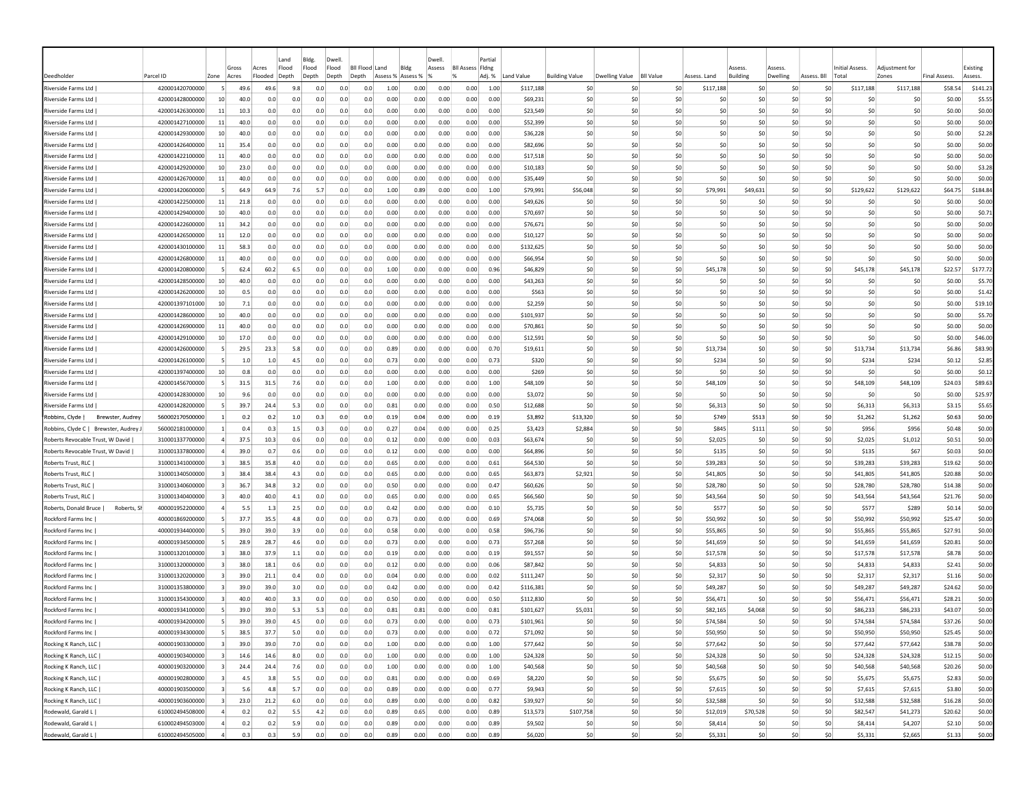|                                          |                                    |                         |                |                  | Land           | Bldg.          | Dwel                    |                 |                  |                  | Dwell        |                         | Partia       |                        |                       |                       |                  |                      |                           |                    |             |                                       |                         |                     |                     |
|------------------------------------------|------------------------------------|-------------------------|----------------|------------------|----------------|----------------|-------------------------|-----------------|------------------|------------------|--------------|-------------------------|--------------|------------------------|-----------------------|-----------------------|------------------|----------------------|---------------------------|--------------------|-------------|---------------------------------------|-------------------------|---------------------|---------------------|
| Deedholder                               | Parcel ID                          | Zone                    | Gross<br>Acres | Acres<br>Flooded | Flood<br>Depth | Flood<br>Depth | Flood<br>Depth<br>Depth | <b>BILFlood</b> | Land<br>Assess % | Blde<br>Assess % | Assess       | <b>BII Assess Fidne</b> | Adj. %       | Land Value             | <b>Building Value</b> | <b>Dwelling Value</b> | <b>BII Value</b> | Assess. Land         | Assess<br><b>Building</b> | 229224<br>Dwelling | Assess. Bll | Initial Assess.<br>Tota               | Adiustment for<br>Zones | <b>Final Assess</b> | Existing<br>Assess. |
| Riverside Farms Ltd                      | 420001420700000                    |                         | 49.6           | 49.6             | 9.8            | 0.0            | 0.0                     | 0.0             | 1.00             | 0.00             | 0.00         | 0.00                    | 1.00         | \$117,188              | -SO                   |                       | \$0              | \$117,188            | S0                        |                    | \$C         | \$117,188<br>S <sub>0</sub>           | \$117,188               | \$58.54             | \$141.23            |
| Riverside Farms Ltd                      | 420001428000000                    | 10                      | 40.0           | 0.0              | 0.0            | 0.0            | 0.0                     | 0.0             | 0.00             | 0.00             | 0.00         | 0.00                    | 0.00         | \$69,231               | \$C                   | \$0                   | \$0              |                      | \$0<br>\$0                |                    | \$C         | \$0<br>\$0                            | \$0                     | \$0.00              | \$5.55              |
| Riverside Farms Ltd                      | 420001426300000                    | 11                      | 10.3           | 0.0              | 0.0            | 0.0            | 0.0                     | 0.0             | 0.00             | 0.00             | 0.00         | 0.00                    | 0.00         | \$23,549               | \$0                   | -SO                   | \$0              |                      | S0<br>S0                  |                    | S0          | S0<br>S0                              | S0                      | \$0.00              | \$0.00              |
| Riverside Farms Ltd                      | 420001427100000                    | 11                      | 40.0           | 0.0              | 0.0            | 0.0            | 0.0                     | 0.0             | 0.00             | 0.00             | 0.00         | 0.00                    | 0.00         | \$52,399               | \$0                   | -SO                   | \$0              |                      | \$0<br>S <sub>0</sub>     |                    | \$0         | \$0<br>\$0                            | \$0                     | \$0.00              | \$0.00              |
| Riverside Farms Ltd                      | 420001429300000                    | 10                      | 40.0           | 0.0              | 0.0            | 0.0            | 0.0                     | 0.0             | 0.00             | 0.00             | 0.00         | 0.00                    | 0.00         | \$36,228               | \$0                   | -SO                   | \$0              |                      | \$0<br>S <sub>0</sub>     |                    | \$0         | \$0<br>\$0                            | \$0                     | \$0.00              | \$2.28              |
| Riverside Farms Ltd                      | 420001426400000                    | 11                      | 35.4           | 0.0              | 0.0            | 0.0            | 0.0                     | 0.0             | 0.00             | 0.00             | 0.00         | 0.00                    | 0.00         | \$82,696               | \$0                   | -SO                   | \$0              |                      | \$0<br>S <sub>0</sub>     |                    | \$0         | \$0<br>\$0                            | \$0                     | \$0.00              | \$0.00              |
| Riverside Farms Ltd                      | 420001422100000                    | 11                      | 40.0           | 0.0              | 0.0            | 0.0            | 0.0                     | 0.0             | 0.00             | 0.00             | 0.00         | 0.00                    | 0.00         | \$17,518               | \$0                   | \$0                   | \$0              |                      | \$0<br>\$0                |                    | \$0         | \$0<br>\$0                            | \$0                     | \$0.00              | \$0.00              |
| Riverside Farms Ltd                      | 420001429200000                    | 10 <sup>1</sup>         | 23.0           | 0.0              | 0.0            | 0.0            | 0.0                     | 0.0             | 0.00             | 0.00             | 0.00         | 0.00                    | 0.00         | \$10,183               | \$0                   | -SO                   | \$0              |                      | \$0<br>\$0                |                    | \$0         | \$0<br>\$0                            | \$0                     | \$0.00              | \$3.28              |
| Riverside Farms Ltd                      | 420001426700000                    | -11                     | 40.0           | 0.0              | 0.0            | 0.0            | 0.0                     | 0.0             | 0.00             | 0.00             | 0.00         | 0.00                    | 0.00         | \$35,449               | -SO                   | -SO                   | \$0              |                      | \$0<br>-SO                |                    | -SO         | \$0<br>S0                             | \$0                     | \$0.00              | \$0.00              |
| Riverside Farms Ltd                      | 420001420600000                    | -51                     | 64.9           | 64.9             | 7.6            | 5.7            | 0.0                     | 0.0             | 1.00             | 0.89             | 0.00         | 0.00                    | 1.00         | \$79,991               | \$56,048              | -SO                   | \$0              | \$79,991             | \$49,631                  |                    | \$0         | \$0<br>\$129,622                      | \$129,622               | \$64.75             | \$184.84            |
| Riverside Farms Ltd                      | 420001422500000                    | -11                     | 21.8           | 0.0              | 0.0            | 0.0            | 0.0                     | 0.0             | 0.00             | 0.00             | 0.00         | 0.00                    | 0.00         | \$49,626               | -SO                   | -SO                   | -SO              |                      | S <sub>0</sub><br>S0      |                    | \$0         | \$0<br>\$0                            | \$0                     | \$0.00              | \$0.00              |
| Riverside Farms Ltd                      | 420001429400000                    | 10 <sup>1</sup>         | 40.0           | 0.0              | 0.0            | 0.0            | 0.0                     | 0.0             | 0.00             | 0.00             | 0.00         | 0.00                    | 0.00         | \$70,697               | \$0                   | \$0                   | \$0              |                      | \$0<br>\$0                |                    | \$0         | \$0<br>\$0                            | \$0                     | \$0.00              | \$0.71              |
| Riverside Farms Ltd                      | 420001422600000                    | -11                     | 34.2           | 0.0              | 0.0            | 0.0            | 0.0                     | 0.0             | 0.00             | 0.00             | 0.00         | 0.00                    | 0.00         | \$76,671               | \$C                   | -SC                   | \$0              |                      | \$0<br>-SC                |                    | ŚC          | \$0<br>\$0                            | \$0                     | \$0.00              | \$0.00              |
| Riverside Farms Ltd                      | 420001426500000                    | 11                      | 12.0           | 0.0              | 0.0            | 0.0            | 0.0                     | 0.0             | 0.00             | 0.00             | 0.00         | 0.00                    | 0.00         | \$10,127               | \$0                   | -SO                   | \$0              |                      | \$0<br>S0                 |                    | sc          | \$0<br>\$0                            | \$0                     | \$0.00              | \$0.00              |
| Riverside Farms Ltd                      | 420001430100000                    | 11                      | 58.3           | 0.0              | 0.0            | 0.0            | 0.0                     | 0.0             | 0.00             | 0.00             | 0.00         | 0.00                    | 0.00         | \$132,625              | \$0                   | -SO                   | \$0              |                      | S0<br>-SO                 |                    | -SO         | \$0<br>S0                             | \$0                     | \$0.00              | \$0.00              |
| Riverside Farms Ltd                      | 420001426800000                    | 11                      | 40.0           | 0.0              | 0.0            | 0.0            | 0.0                     | 0.0             | 0.00             | 0.00             | 0.00         | 0.00                    | 0.00         | \$66,954               | \$0                   | -SO                   | \$0              |                      | \$0<br>-SO                |                    | sc          | \$0<br>\$0                            | \$0                     | \$0.00              | \$0.00              |
| Riverside Farms Ltd                      | 420001420800000                    |                         | 62.4           | 60.2             | 6.5            | 0.0            | 0.0                     | 0.0             | 1.00             | 0.00             | 0.00         | 0.00                    | 0.96         | \$46,829               | \$0                   | -SO                   | \$0              | \$45.178             | S <sub>0</sub>            |                    | \$0         | \$45,178<br>\$0                       | \$45,178                | \$22.57             | \$177.72            |
| Riverside Farms Ltd                      | 420001428500000                    | 10                      | 40.0           | 0.0              | 0.0            | 0.0            | 0.0                     | 0.0             | 0.00             | 0.00             | 0.00         | 0.00                    | 0.00         | \$43,263               | \$C                   | -SO                   | \$0              |                      | \$0<br>S <sub>0</sub>     |                    | \$0         | \$0<br>\$0                            | \$0                     | \$0.00              | \$5.70              |
| Riverside Farms Ltd                      | 420001426200000                    | 10                      | 0.5            | 0.0              | 0.0            | 0.0            | 0.0                     | 0.0             | 0.00             | 0.00             | 0.00         | 0.00                    | 0.00         | \$563                  | \$C                   | -SC                   | \$0              |                      | \$0<br>-SC                |                    | \$C         | \$0<br>\$0                            | \$0                     | \$0.00              | \$1.42              |
| Riverside Farms Ltd                      | 420001397101000                    | 10 <sup>1</sup>         | 7.1            | 0.0              | 0.0            | 0.0            | 0.0                     | 0.0             | 0.00             | 0.00             | 0.00         | 0.00                    | 0.00         | \$2,259                | \$0                   | -SO                   | \$0              |                      | \$0<br>\$0                |                    | S0          | S0<br>\$0                             | \$0                     | \$0.00              | \$19.10             |
| Riverside Farms Ltd                      | 420001428600000                    | 10 <sup>1</sup>         | 40.0           | 0.0              | 0.0            | 0.0            | 0.0                     | 0.0             | 0.00             | 0.00             | 0.00         | 0.00                    | 0.00         | \$101,937              | \$0                   | -SO                   | \$0              |                      | S0<br>S0                  |                    | S0          | S0<br>\$0                             | S0                      | \$0.00              | \$5.70              |
| Riverside Farms Ltd                      | 420001426900000                    | -11                     | 40.0           | 0.0              | 0.0            | 0.0            | 0.0                     | 0.0             | 0.00             | 0.00             | 0.00         | 0.00                    | 0.00         | \$70,861               | -SO                   | -SO                   | \$0              |                      | S0<br>-SO                 |                    | S0          | S0<br>S0                              | \$0                     | \$0.00              | \$0.00              |
| Riverside Farms Ltd                      | 420001429100000                    | 10 <sup>1</sup>         | 17.0           | 0.0              | 0.0            | 0.0            | 0.0                     | 0.0             | 0.00             | 0.00             | 0.00         | 0.00                    | 0.00         | \$12,591               | \$0                   | -SO                   | \$0              |                      | \$0<br>-SO                |                    | S0          | \$0<br>\$0                            | \$0                     | \$0.00              | \$46.00             |
| Riverside Farms Ltd                      | 420001426000000                    |                         | 29.5           | 23.3             | 5.8            | 0.0            | 0.0                     | 0.0             | 0.89             | 0.00             | 0.00         | 0.00                    | 0.70         | \$19,611               | \$0                   | -SO                   | \$0              | \$13,734             | S <sub>0</sub>            |                    | \$0         | \$0<br>\$13,734                       | \$13,734                | \$6.86              | \$83.90             |
| Riverside Farms Ltd                      | 420001426100000                    |                         | $1.0$          | 1.0              | 4.5            | 0.0            | 0.0                     | 0.0             | 0.73             | 0.00             | 0.00         | 0.00                    | 0.73         | \$320                  | \$0                   | -SO                   | \$0              | \$234                | \$0                       |                    | \$C         | \$0<br>\$234                          | \$234                   | \$0.12              | \$2.85              |
| Riverside Farms Ltd                      | 420001397400000                    | 10 <sup>1</sup>         | 0.8            | 0.0              | 0.0            | 0.0            | 0.0                     | 0.0             | 0.00             | 0.00             | 0.00         | 0.00                    | 0.00         | \$269                  | \$0                   | \$0                   | \$0              |                      | \$0<br>\$0                |                    | \$0         | \$0<br>\$0                            | \$0                     | \$0.00              | \$0.12              |
| Riverside Farms Ltd                      | 420001456700000                    |                         | 31.5           | 31.5             | 7.6            | 0.0            | 0.0                     | 0.0             | 1.00             | 0.00             | 0.00         | 0.00                    | 1.00         | \$48,109               | \$0                   | \$0                   | \$0              | \$48,109             | \$0                       |                    | \$C         | \$0<br>\$48,109                       | \$48,109                | \$24.03             | \$89.63             |
| Riverside Farms Ltd                      | 420001428300000                    | 10                      | 9.6            | 0.0              | 0.0            | 0.0            | 0.0                     | 0.0             | 0.00             | 0.00             | 0.00         | 0.00                    | 0.00         | \$3,072                | \$0                   | \$0                   | \$0              |                      | \$0<br>S0                 |                    | -SO         | \$0<br>-SO                            | \$0                     | \$0.00              | \$25.97             |
| Riverside Farms Ltd                      | 420001428200000                    |                         | 39.7           | 24.4             | 5.3            | 0.0            | 0.0                     | 0.0             | 0.81             | 0.00             | 0.00         | 0.00                    | 0.50         | \$12,688               | \$0                   | -SO                   | \$0              | \$6,313              | S <sub>0</sub>            |                    | \$0         | \$0<br>\$6,313                        | \$6,313                 | \$3.15              | \$5.65              |
| Robbins, Clyde  <br>Brewster, Audrey     | 560002170500000                    |                         | 0.2            | 0.2              | 1.0            | 0.3            | 0.0                     | 0.0             | 0.19             | 0.04             | 0.00         | 0.00                    | 0.19         | \$3,892                | \$13,320              | -SO                   | \$0              | \$749                | \$513                     |                    | \$0         | \$0<br>\$1,262                        | \$1,262                 | \$0.63              | \$0.00              |
| Robbins, Clyde C   Brewster, Audrey      | 560002181000000                    |                         | 0.4            | 0.3              | 1.5            | 0.3            | 0.0                     | 0.0             | 0.27             | 0.04             | 0.00         | 0.00                    | 0.25         | \$3,423                | \$2,884               | -SO                   | \$0              | <b>\$845</b>         | \$111                     |                    | \$0         | \$0<br>\$956                          | \$956                   | \$0.48              | \$0.00              |
| Roberts Revocable Trust, W David         | 310001337700000                    |                         | 37.5           | 10.3             | 0.6            | 0.0            | 0.0                     | 0.0             | 0.12             | 0.00             | 0.00         | 0.00                    | 0.03         | \$63,674               | \$C                   | -SC                   | \$0              | \$2,025              | \$0                       |                    | \$C         | \$0<br>\$2,025                        | \$1,012                 | \$0.51              | \$0.00              |
| Roberts Revocable Trust, W David         | 310001337800000                    |                         | 39.0           | 0.7              | 0.6            | 0.0            | 0.0                     | 0.0             | 0.12             | 0.00             | 0.00         | 0.00                    | 0.00         | \$64,896               | \$C                   | \$0                   | \$0              | \$135                | \$0                       |                    | \$0         | \$0<br>\$135                          | \$67                    | \$0.03              | \$0.00              |
| Roberts Trust, RLC                       | 310001341000000                    | -31                     | 38.5           | 35.8             | 4.0            | 0.0            | 0.0                     | 0.0             | 0.65             | 0.00             | 0.00         | 0.00                    | 0.61         | \$64,530               | \$0                   | -SO                   | \$0              | \$39,283             | -SO                       |                    | S0          | S0<br>\$39,283                        | \$39,283                | \$19.62             | \$0.00              |
| Roberts Trust, RLC                       | 310001340500000                    |                         | 38.4           | 38.4             | 4.3            | 0.0            | 0.0                     | 0.0             | 0.65             | 0.00             | 0.00         | 0.00                    | 0.65         | \$63,873               | \$2,921               | -SO                   | \$0              | \$41,805             | -SO                       |                    | S0          | S0<br>\$41,805                        | \$41,805                | \$20.88             | \$0.00              |
| Roberts Trust, RLC                       | 310001340600000                    |                         | 36.7           | 34.8             | 3.2            | 0.0            | 0.0                     | 0.0             | 0.50             | 0.00             | 0.00         | 0.00                    | 0.47         | \$60,626               | S0                    | -SO                   | \$0              | \$28,780             | -SO                       |                    | \$0         | \$28,780<br>S0                        | \$28,780                | \$14.38             | \$0.00              |
| Roberts Trust, RLC                       | 310001340400000                    |                         | 40.0           | 40.0             | 4.1            | 0.0            | 0.0                     | 0.0             | 0.65             | 0.00             | 0.00         | 0.00                    | 0.65         | \$66,560               | -SO                   | -SO                   | \$0              | \$43,564             | S <sub>0</sub>            |                    | \$0         | \$0<br>\$43,564                       | \$43,564                | \$21.76             | \$0.00              |
| Roberts, Donald Bruce<br>Roberts, Sł     | 400001952200000                    |                         | 5.5            | 1.3              | 2.5            | 0.0            | 0.0                     | 0.0             | 0.42             | 0.00             | 0.00         | 0.00                    | 0.10         | \$5,735                | \$C                   | \$0                   | \$0              | \$577                | \$0                       |                    | \$C         | \$0<br>\$577                          | \$289                   | \$0.14              | \$0.00              |
| Rockford Farms Inc                       | 400001869200000                    |                         | 37.7           | 35.5             | 4.8            | 0.0            | 0.0                     | 0.0             | 0.73             | 0.00             | 0.00         | 0.00                    | 0.69         | \$74,068               | \$C                   | \$0                   | \$0              | \$50,992             | \$0                       |                    | \$0         | \$0<br>\$50,992                       | \$50,992                | \$25.47             | \$0.00              |
| Rockford Farms Inc                       | 400001934400000                    |                         | 39.0           | 39.0             | 3.9            | 0.0            | 0.0                     | 0.0             | 0.58             | 0.00             | 0.00         | 0.00                    | 0.58         | \$96,736               | \$C                   | \$0                   | \$0              | \$55,865             | \$0                       |                    | \$C         | \$0<br>\$55,865                       | \$55,865                | \$27.91             | \$0.00              |
| Rockford Farms Inc                       | 400001934500000                    |                         | 28.9<br>38.0   | 28.7<br>37.9     | 4.6            | 0.0            | 0.0                     | 0.0             | 0.73<br>0.19     | 0.00<br>0.00     | 0.00<br>0.00 | 0.00<br>0.00            | 0.73         | \$57,268               | \$0<br>\$0            | -SO<br>-SO            | \$0<br>\$0       | \$41,659             | -SO<br>S <sub>0</sub>     |                    | \$0<br>\$0  | \$0<br>\$41,659<br>\$0                | \$41,659                | \$20.81<br>\$8.78   | \$0.00<br>\$0.00    |
| Rockford Farms Inc                       | 310001320100000                    |                         |                |                  | 1.1            | 0.0            | 0.0                     | 0.0             |                  |                  |              |                         | 0.19         | \$91,557               |                       |                       |                  | \$17,578             |                           |                    |             | \$17,578                              | \$17,578                |                     |                     |
| Rockford Farms Inc                       | 310001320000000<br>310001320200000 |                         | 38.0           | 18.1             | 0.6<br>0.4     | 0.0<br>0.0     | 0.0<br>0.0              | 0.0<br>0.0      | 0.12<br>0.04     | 0.00             | 0.00         | 0.00                    | 0.06         | \$87,842               | \$0<br>\$C            | -SO<br>-SO            | \$0<br>\$0       | \$4,833              | S <sub>0</sub><br>-SC     |                    | \$C<br>\$C  | \$0<br>\$4,833<br>\$0                 | \$4,833                 | \$2.41              | \$0.00              |
| Rockford Farms Inc<br>Rockford Farms Inc | 310001353800000                    |                         | 39.0<br>39.0   | 21.1<br>39.0     | 3.0            | 0.0            | 0.0                     | 0.0             | 0.42             | 0.00<br>0.00     | 0.00<br>0.00 | 0.00<br>0.00            | 0.02<br>0.42 | \$111,247<br>\$116,381 | \$C                   | -SO                   | \$0              | \$2,317<br>\$49,287  | \$0                       |                    | \$0         | \$2,317<br>S <sub>0</sub><br>\$49,287 | \$2,317<br>\$49,287     | \$1.16<br>\$24.62   | \$0.00<br>\$0.00    |
| Rockford Farms Inc                       | 310001354300000                    |                         | 40.0           | 40.0             | 3.3            | 0.0            | 0.0                     | 0.0             | 0.50             | 0.00             | 0.00         | 0.00                    | 0.50         | \$112,830              | \$C                   | -SO                   | \$0              | \$56,471             | \$0                       |                    | so          | S0<br>\$56,471                        |                         | \$28.21             | \$0.00              |
| Rockford Farms Inc                       | 400001934100000                    |                         | 39.0           | 39.0             | 5.3            | 5.3            | 0.0                     | 0.0             | 0.81             | 0.81             | 0.00         | 0.00                    | 0.81         | \$101,627              | \$5,031               | -SO                   | \$0              | \$82,165             | \$4,068                   |                    | S0          | S0<br>\$86,233                        | \$56,471<br>\$86,233    | \$43.07             | \$0.00              |
| Rockford Farms Inc                       | 400001934200000                    |                         | 39.0           | 39.0             | 4.5            | 0.0            | 0.0                     | 0.0             | 0.73             | 0.00             | 0.00         | 0.00                    | 0.73         | \$101,961              | \$0                   | -SO                   | \$0              | \$74,584             | S <sub>0</sub>            |                    | \$0         | \$74,584<br>\$0                       | \$74,584                | \$37.26             | \$0.00              |
| Rockford Farms Inc                       | 400001934300000                    | -51                     | 38.5           | 37.7             | 5.0            | 0.0            | 0.0                     | 0.0             | 0.73             | 0.00             | 0.00         | 0.00                    | 0.72         | \$71,092               | \$0                   | 50                    | \$0              |                      | 50                        |                    | 50          | 50<br>\$50,950                        | \$50,950                | \$25.45             | \$0.00              |
| Rocking K Ranch, LLC                     | 400001903300000                    | $\overline{\mathbf{3}}$ | 39.0           | 39.0             | 7.0            | 0.0            | 0.0                     | 0.0             | 1.00             | 0.00             | 0.00         | 0.00                    | 1.00         | \$77,642               | \$0                   | 50                    | \$0              | \$50,950<br>\$77,642 | \$0                       |                    | \$0         | \$0<br>\$77,642                       | \$77,642                | \$38.78             | \$0.00              |
| Rocking K Ranch, LLC                     | 400001903400000                    | $\vert$ 3               | 14.6           | 14.6             | 8.0            | 0.0            | 0.0                     | 0.0             | 1.00             | 0.00             | 0.00         | 0.00                    | 1.00         | \$24,328               | \$0                   | \$0                   | \$0              | \$24,328             | \$0                       |                    | \$0         | \$0<br>\$24,328                       | \$24,328                | \$12.15             | \$0.00              |
| Rocking K Ranch, LLC                     | 400001903200000                    | $\vert$ 3               | 24.4           | 24.4             | 7.6            | 0.0            | 0.0                     | 0.0             | 1.00             | 0.00             | 0.00         | 0.00                    | 1.00         | \$40,568               | \$0                   | 50                    | \$0              | \$40,568             | \$0                       |                    | \$0         | \$0<br>\$40,568                       | \$40,568                | \$20.26             | \$0.00              |
| Rocking K Ranch, LLC                     | 400001902800000                    | $\overline{3}$          | 4.5            | 3.8              | 5.5            | 0.0            | 0.0                     | 0.0             | 0.81             | 0.00             | 0.00         | 0.00                    | 0.69         | \$8,220                | \$0                   | 50                    | 50               | \$5,675              | \$0                       |                    | 50          | \$0<br>\$5,675                        | \$5,675                 | \$2.83              | \$0.00              |
| Rocking K Ranch, LLC                     | 400001903500000                    | $\mathbf{R}$            | 5.6            | 4.8              | 5.7            | 0.0            | 0.0                     | 0.0             | 0.89             | 0.00             | 0.00         | 0.00                    | 0.77         | \$9,943                | \$0                   | \$0                   | \$0              | \$7,615              | \$0                       |                    | 50          | \$0<br>\$7,615                        | \$7,615                 | \$3.80              | \$0.00              |
| Rocking K Ranch, LLC                     | 400001903600000                    | $\overline{\mathbf{3}}$ | 23.0           | 21.2             | 6.0            | 0.0            | 0.0                     | 0.0             | 0.89             | 0.00             | 0.00         | 0.00                    | 0.82         | \$39,927               | \$0                   | \$0                   | \$0              | \$32,588             | \$0                       |                    | 50          | 50<br>\$32,588                        | \$32,588                | \$16.28             | \$0.00              |
| Rodewald, Garald L                       | 610002494508000                    | $\overline{4}$          | 0.2            | 0.2              | 5.5            | 4.2            | 0.0                     | 0.0             | 0.89             | 0.65             | 0.00         | 0.00                    | 0.89         | \$13,573               | \$107,758             | 50                    | \$0              | \$12,019             | \$70,528                  |                    | \$0         | \$0<br>\$82,547                       | \$41,273                | \$20.62             | \$0.00              |
| Rodewald, Garald L                       | 610002494503000                    | $\overline{a}$          | 0.2            | 0.2              | 5.9            | 0.0            | 0.0                     | 0.0             | 0.89             | 0.00             | 0.00         | 0.00                    | 0.89         | \$9,502                | \$0                   | \$0                   | \$0              | \$8,414              | \$0                       |                    | \$0         | \$0<br>\$8,414                        | \$4,207                 | \$2.10              | \$0.00              |
| Rodewald, Garald L                       | 610002494505000                    | $\Delta$                | 0.3            | 0.3              | 5.9            | 0.0            | 0.0                     | 0.0             | 0.89             | 0.00             | 0.00         | 0.00                    | 0.89         | \$6,020                | \$0                   | \$0                   | \$0              | \$5,331              | 50                        |                    | \$0         | 50<br>\$5,331                         | \$2,665                 | \$1.33              | \$0.00              |
|                                          |                                    |                         |                |                  |                |                |                         |                 |                  |                  |              |                         |              |                        |                       |                       |                  |                      |                           |                    |             |                                       |                         |                     |                     |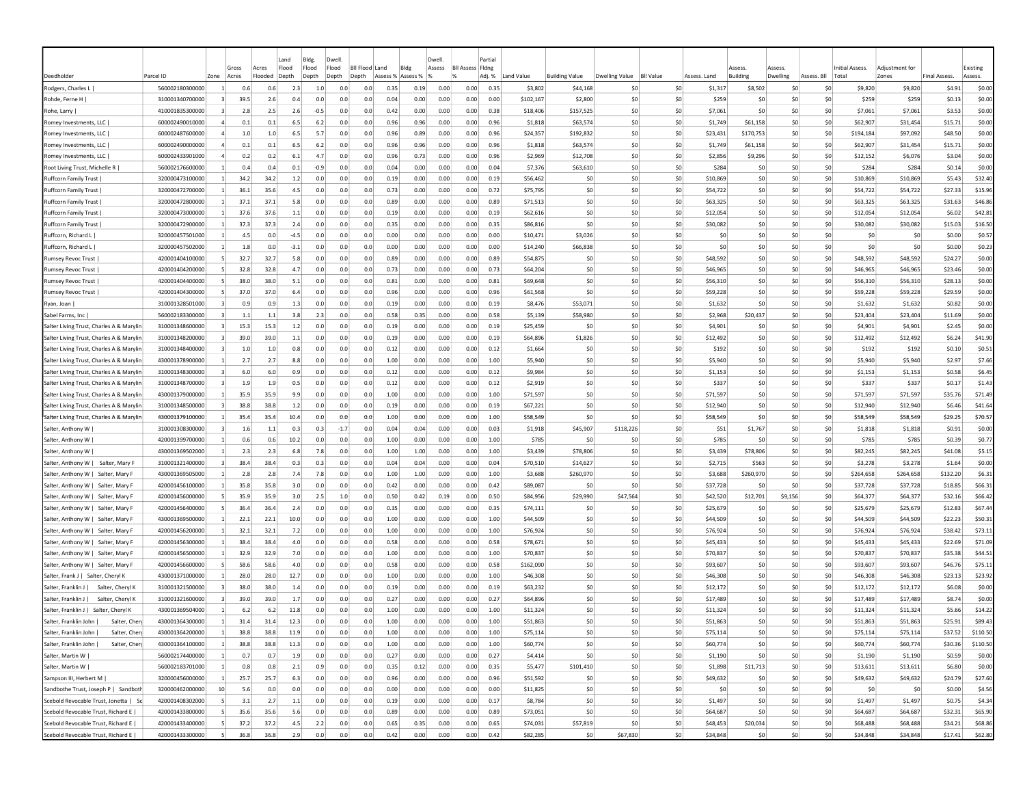|                                                                          |                                    |                |             |             | Land       | Bldg.         | Dwell          |                  |                   |              | Dwell        |                         | Partial       |                       |                       |                |                  |                    |                    |                |             |                        |                       |                     |                  |
|--------------------------------------------------------------------------|------------------------------------|----------------|-------------|-------------|------------|---------------|----------------|------------------|-------------------|--------------|--------------|-------------------------|---------------|-----------------------|-----------------------|----------------|------------------|--------------------|--------------------|----------------|-------------|------------------------|-----------------------|---------------------|------------------|
|                                                                          |                                    |                | Gross       | Acres       | Flood      | Flood         | Flood          | <b>BII Flood</b> | Land              | Bldg         | Assess       | <b>Bll Assess Fldng</b> |               |                       |                       |                |                  |                    | Assess             | Assess         |             | <b>Initial Assess.</b> | Adjustment for        |                     | Existing         |
| Deedholder                                                               | Parcel ID                          | Zone           | Acres       | Flooded     | Depth      | Depth         | Depth<br>Depth |                  | Assess % Assess % |              |              |                         | Adj. %        | Land Value            | <b>Building Value</b> | Dwelling Value | <b>BII Value</b> | Assess, Land       | <b>Building</b>    | Dwelling       | Assess. Bll | Total                  | Zones                 | <b>Final Assess</b> | Assess.          |
| Rodgers, Charles L                                                       | 560002180300000                    |                | 0.6         | 0.6         | 2.3        | 1.0           | 0.0            | 0.0              | 0.35              | 0.19         | 0.00         | 0.00                    | 0.35          | \$3,802               | \$44,168              | -SO            | \$0<br>\$0       | \$1,317            | \$8,502            | -SO            | S0<br>\$0   | \$9,820                | \$9,820               | \$4.91              | \$0.00           |
| Rohde, Ferne H<br>Rohe, Larry                                            | 310001340700000<br>410001835300000 |                | 39.5<br>2.8 | 2.6<br>2.5  | 0.4<br>2.6 | 0.0<br>$-0.5$ | 0.0<br>0.0     | 0.0<br>0.0       | 0.04<br>0.42      | 0.00<br>0.00 | 0.00<br>0.00 | 0.00<br>0.00            | 0.00<br>0.38  | \$102,167<br>\$18,406 | \$2,800<br>\$157,525  | \$0<br>\$0     | \$0              | \$259<br>\$7,061   | S0<br>\$0          | \$C<br>\$0     | \$0         | \$259<br>\$7,061       | \$259<br>\$7,061      | \$0.13<br>\$3.53    | \$0.00<br>\$0.00 |
| Romey Investments, LLC                                                   | 600002490010000                    |                | 0.1         | 0.1         | 6.5        | 6.2           | 0.0            | 0.0              | 0.96              | 0.96         | 0.00         | 0.00                    | 0.96          | \$1,818               | \$63,574              | -SO            | \$0              | \$1,749            | \$61,158           | \$0            | \$0         | \$62,907               | \$31,454              | \$15.71             | \$0.00           |
| Romey Investments, LLC                                                   | 600002487600000                    |                | 1.0         | 1.0         | 6.5        | 5.7           | 0.0            | 0.0              | 0.96              | 0.89         | 0.00         | 0.00                    | 0.96          | \$24,357              | \$192,832             | -SO            | \$0              | \$23,431           | \$170,753          | \$0            | \$0         | \$194,184              | \$97,092              | \$48.50             | \$0.00           |
| Romey Investments, LLC                                                   | 600002490000000                    |                | 0.1         | 0.1         | 6.5        | 6.2           | 0.0            | 0.0              | 0.96              | 0.96         | 0.00         | 0.00                    | 0.96          | \$1,818               | \$63,574              | -SO            | \$0              | \$1,749            | \$61,158           | \$0            | \$0         | \$62,907               | \$31,454              | \$15.71             | \$0.00           |
| Romey Investments, LLC                                                   | 600002433901000                    |                | 0.2         | 0.2         | 6.1        | 4.7           | 0.0            | 0.0              | 0.96              | 0.73         | 0.00         | 0.00                    | 0.96          | \$2,969               | \$12,708              | -SO            | \$0              | \$2,856            | \$9,296            | \$0            | S0          | \$12,152               | \$6,076               | \$3.04              | \$0.00           |
| Root Living Trust, Michelle R                                            | 560002176600000                    |                | 0.4         | 0.4         | 0.1        | $-0.9$        | 0.0            | 0.0              | 0.04              | 0.00         | 0.00         | 0.00                    | 0.04          | \$7,376               | \$63,610              | -SO            | \$0              | \$284              | S0                 | \$0            | S0          | \$284                  | \$284                 | \$0.14              | \$0.00           |
| Ruffcorn Family Trust                                                    | 320000473100000                    | -11            | 34.2        | 34.2        | 1.2        | 0.0           | 0.0            | 0.0              | 0.19              | 0.00         | 0.00         | 0.00                    | 0.19          | \$56,462              | -SO                   | -SO            | \$0              | \$10,869           | S <sub>0</sub>     | \$0            | \$0         | \$10,869               | \$10,869              | \$5.43              | \$32.40          |
| <b>Ruffcorn Family Trust</b>                                             | 320000472700000                    |                | 36.1        | 35.6        | 4.5        | 0.0           | 0.0            | 0.0              | 0.73              | 0.00         | 0.00         | 0.00                    | 0.72          | \$75,795              | \$0                   | \$0            | \$0              | \$54,722           | \$0                | \$0            | \$0         | \$54,722               | \$54,722              | \$27.33             | \$15.96          |
| <b>Ruffcorn Family Trust</b>                                             | 320000472800000                    |                | 37.1        | 37.1        | 5.8        | 0.0           | 0.0            | 0.0              | 0.89              | 0.00         | 0.00         | 0.00                    | 0.89          | \$71,513              | \$C                   | -SO            | \$0              | \$63,325           | \$0                | \$C            | \$0         | \$63,325               | \$63,325              | \$31.63             | \$46.86          |
| <b>Ruffcorn Family Trust</b>                                             | 320000473000000                    |                | 37.6        | 37.6        | 1.1        | 0.0           | 0.0            | 0.0              | 0.19              | 0.00         | 0.00         | 0.00                    | 0.19          | \$62,616              | \$C                   | \$0            | \$0              | \$12,054           | \$0                | \$0            | \$0         | \$12,054               | \$12,054              | \$6.02              | \$42.81          |
| <b>Ruffcorn Family Trust</b>                                             | 320000472900000                    |                | 37.3        | 37.3        | 2.4        | 0.0           | 0.0            | 0.0              | 0.35              | 0.00         | 0.00         | 0.00                    | 0.35          | \$86,816              | \$0                   | \$0            | \$0              | \$30,082           | \$0                | \$0            | \$0         | \$30,082               | \$30,082              | \$15.03             | \$16.50          |
| Ruffcorn, Richard L                                                      | 320000457501000                    |                | 4.5         | 0.0         | -4.5       | 0.0           | 0.0            | 0.0              | 0.00              | 0.00         | 0.00         | 0.00                    | 0.00          | \$10,471              | \$3,026               | -SO            | \$0              | \$0                | \$0                | \$0            | \$0         | \$0                    | \$0                   | \$0.00              | \$0.57           |
| Ruffcorn, Richard L                                                      | 320000457502000                    |                | 1.8         | 0.0         | $-3.1$     | 0.0           | 0.0            | 0.0              | 0.00              | 0.00         | 0.00         | 0.00                    | 0.00          | \$14,240              | \$66,838              | -SO            | \$0              | \$0                | S <sub>0</sub>     | \$0            | \$0         | \$0                    | \$0                   | \$0.00              | \$0.23           |
| <b>Rumsey Revoc Trust</b>                                                | 420001404100000                    | -51            | 32.7        | 32.7        | 5.8        | 0.0           | 0.0            | 0.0              | 0.89              | 0.00         | 0.00         | 0.00                    | 0.89          | \$54,875              | -SO                   | -SO            | \$0              | \$48,592           | S <sub>0</sub>     | \$0            | \$0         | \$48,592               | \$48,592              | \$24.27             | \$0.00           |
| Rumsey Revoc Trust                                                       | 420001404200000                    | -5             | 32.8        | 32.8        | 4.7        | 0.0           | 0.0            | 0.0              | 0.73              | 0.00         | 0.00         | 0.00                    | 0.73          | \$64,204              | \$C                   | -SO            | \$0              | \$46,965           | S <sub>0</sub>     | \$0            | \$0         | \$46,965               | \$46,965              | \$23.46             | \$0.00           |
| Rumsey Revoc Trust                                                       | 420001404400000                    | -5             | 38.0        | 38.0        | 5.1        | 0.0           | 0.0            | 0.0              | 0.81              | 0.00         | 0.00         | 0.00                    | 0.81          | \$69,648              | \$0                   | \$0            | \$0              | \$56,310           | \$0                | \$0            | \$0         | \$56,310               | \$56,310              | \$28.13             | \$0.00           |
| Rumsey Revoc Trust                                                       | 420001404300000                    |                | 37.0        | 37.0        | 6.4        | 0.0           | 0.0            | 0.0              | 0.96              | 0.00         | 0.00         | 0.00                    | 0.96          | \$61,568              | \$0                   | -SO            | \$0              | \$59,228           | \$0                | \$0            | \$0         | \$59,228               | \$59,228              | \$29.59             | \$0.00           |
| Ryan, Joan                                                               | 310001328501000                    |                | 0.9         | 0.9         | 1.3        | 0.0           | 0.0            | 0.0              | 0.19              | 0.00         | 0.00         | 0.00                    | 0.19          | \$8,476               | \$53,071              | -SO            | \$0              | \$1,632            | -SO                | \$0            | S0          | \$1,632                | \$1,632               | \$0.82              | \$0.00           |
| Sabel Farms, Inc.                                                        | 560002183300000                    | -31            | 1.1         | 1.1         | 3.8        | 2.3           | 0.0            | 0.0              | 0.58              | 0.35         | 0.00         | 0.00                    | 0.58          | \$5,139               | \$58,980              | -SO            | \$0              | \$2,968            | \$20,437           | \$0            | \$0         | \$23,404               | \$23,404              | \$11.69             | \$0.00           |
| Salter Living Trust, Charles A & Marylin                                 | 310001348600000                    |                | 15.3        | 15.3        | 1.2        | 0.0           | 0.0            | 0.0              | 0.19              | 0.00         | 0.00         | 0.00                    | 0.19          | \$25,459              | -SO                   | -SO            | \$0              | \$4,901            | S0                 | \$0            | \$0         | \$4,901                | \$4,901               | \$2.45              | \$0.00           |
| Salter Living Trust, Charles A & Marylin                                 | 310001348200000                    |                | 39.0        | 39.0        | 1.1        | 0.0           | 0.0            | 0.0              | 0.19              | 0.00         | 0.00         | 0.00                    | 0.19          | \$64,896              | \$1,826               | \$0            | \$0              | \$12,492           | \$0                | \$C            | \$0         | \$12,492               | \$12,492              | \$6.24              | \$41.90          |
| Salter Living Trust, Charles A & Marylin                                 | 310001348400000                    |                | 1.0         | 1.0         | 0.8        | 0.0           | 0.0            | 0.0              | 0.12              | 0.00         | 0.00         | 0.00                    | 0.12          | \$1,664               | \$C                   | -SO            | \$0              | \$192              | \$0                | \$C            | \$0         | \$192                  | \$192                 | \$0.10              | \$0.51           |
| Salter Living Trust, Charles A & Marylin                                 | 430001378900000                    |                | 2.7         | 2.7         | 8.8        | 0.0           | 0.0            | 0.0              | 1.00              | 0.00         | 0.00         | 0.00                    | 1.00          | \$5,940               | \$0                   | \$0            | \$0              | \$5,940            | \$0                | \$0            | \$0         | \$5,940                | \$5,940               | \$2.97              | \$7.66           |
| Salter Living Trust, Charles A & Marylin                                 | 310001348300000                    |                | 6.0         | 6.0         | 0.9        | 0.0           | 0.0            | 0.0              | 0.12              | 0.00         | 0.00         | 0.00                    | 0.12          | \$9,984               | \$0                   | \$0            | \$0              | \$1,153            | \$0                | \$0            | \$0         | \$1,153                | \$1,153               | \$0.58              | \$6.45           |
| Salter Living Trust, Charles A & Marylin                                 | 310001348700000                    |                | 1.9         | 1.9         | 0.5        | 0.0           | 0.0            | 0.0              | 0.12              | 0.00         | 0.00         | 0.00                    | 0.12          | \$2,919               | \$0                   | -SO            | \$0              | \$337              | \$0                | \$0            | \$0         | \$337                  | \$337                 | \$0.17              | \$1.43           |
| Salter Living Trust, Charles A & Marylin                                 | 430001379000000                    |                | 35.9        | 35.9        | 9.9        | 0.0           | 0.0            | 0.0              | 1.00              | 0.00         | 0.00         | 0.00                    | 1.00          | \$71,597              | \$0                   | -SO            | \$0              | \$71,597           | S0                 | \$0            | \$0         | \$71,597               | \$71,597              | \$35.76             | \$71.49          |
| Salter Living Trust, Charles A & Marylin                                 | 310001348500000                    | $\vert$ 3      | 38.8        | 38.8        | 1.2        | 0.0           | 0.0            | 0.0              | 0.19              | 0.00         | 0.00         | 0.00                    | 0.19          | \$67,221              | \$0                   | -SO            | \$0              | \$12,940           | \$0                | \$0            | \$0         | \$12,940               | \$12,940              | \$6.46              | \$41.64          |
| Salter Living Trust, Charles A & Marylin                                 | 430001379100000                    |                | 35.4        | 35.4        | 10.4       | 0.0           | 0.0            | 0.0              | 1.00              | 0.00         | 0.00         | 0.00                    | 1.00          | \$58,549              | \$C                   | \$0            | \$0              | \$58,549           | \$C                | \$0            | \$0         | \$58,549               | \$58,549              | \$29.25             | \$70.57          |
| Salter, Anthony W                                                        | 310001308300000                    |                | 1.6         | $1.1\,$     | 0.3        | 0.3           | $-1.7$         | 0.0              | 0.04              | 0.04         | 0.00         | 0.00                    | 0.03          | \$1,918               | \$45,907              | \$118,226      | \$0              | \$51               | \$1,767            | \$0            | \$0         | \$1,818                | \$1,818               | \$0.91              | \$0.00           |
| Salter, Anthony W                                                        | 420001399700000                    |                | 0.6         | 0.6         | 10.2       | 0.0           | 0.0            | 0.0              | 1.00              | 0.00         | 0.00         | 0.00                    | 1.00          | \$785                 | \$C                   | -SO            | \$0              | \$785              | \$0                | \$0            | \$0         | \$785                  | \$785                 | \$0.39              | \$0.77           |
| Salter, Anthony W                                                        | 430001369502000                    |                | 2.3<br>38.4 | 2.3<br>38.4 | 6.8<br>0.3 | 7.8           | 0.0<br>0.0     | 0.0<br>0.0       | 1.00<br>0.04      | 1.00<br>0.04 | 0.00<br>0.00 | 0.00<br>0.00            | 1.00<br>0.04  | \$3,439               | \$78,806              | -SO<br>-SO     | \$0              | \$3,439            | \$78,806           | \$0<br>\$0     | \$0<br>\$0  | \$82,245               | \$82,245              | \$41.08             | \$5.15<br>\$0.00 |
| Salter, Anthony W   Salter, Mary F                                       | 310001321400000<br>430001369505000 |                | 2.8         | 2.8         | 7.4        | 0.3<br>7.8    | 0.0            | 0.0              | 1.00              | 1.00         | 0.00         | 0.00                    | 1.00          | \$70,510<br>\$3,688   | \$14,627              | -SO            | \$0<br>-SO       | \$2,715<br>\$3,688 | \$563<br>\$260,970 | \$0            | \$0         | \$3,278<br>\$264,658   | \$3,278               | \$1.64<br>\$132.20  | \$6.31           |
| Salter, Anthony W   Salter, Mary F<br>Salter, Anthony W   Salter, Mary F | 420001456100000                    |                | 35.8        | 35.8        | 3.0        | 0.0           | 0.0            | 0.0              | 0.42              | 0.00         | 0.00         | 0.00                    | 0.42          | \$89,087              | \$260,970<br>\$0      | \$0            | \$0              | \$37,728           | \$0                | \$0            | \$0         | \$37,728               | \$264,658<br>\$37,728 | \$18.85             | \$66.31          |
| Salter, Anthony W   Salter, Mary F                                       | 420001456000000                    |                | 35.9        | 35.9        | 3.0        | 2.5           | 1.0            | 0.0              | 0.50              | 0.42         | 0.19         | 0.00                    | 0.50          | \$84,956              | \$29,990              | \$47,564       | \$0              | \$42,520           | \$12,701           | \$9,156        | \$0         | \$64,377               | \$64,377              | \$32.16             | \$66.42          |
| Salter, Anthony W   Salter, Mary F                                       | 420001456400000                    |                | 36.4        | 36.4        | 2.4        | 0.0           | 0.0            | 0.0              | 0.35              | 0.00         | 0.00         | 0.00                    | 0.35          | \$74,111              | -SO                   | -SC            | \$0              | \$25,679           | -SC                | \$0            | \$0         | \$25,679               | \$25,679              | \$12.83             | \$67.44          |
| Salter, Anthony W   Salter, Mary F                                       | 430001369500000                    |                | 22.1        | 22.1        | 10.0       | 0.0           | 0.0            | 0.0              | 1.00              | 0.00         | 0.00         | 0.00                    | 1.00          | \$44,509              | -SO                   | -SO            | \$0              | \$44,509           | S0                 | \$0            | \$0         | \$44,509               | \$44,509              | \$22.23             | \$50.31          |
| Salter, Anthony W   Salter, Mary F                                       | 420001456200000                    |                | 32.1        | 32.1        | 7.2        | 0.0           | 0.0            | 0.0              | 1.00              | 0.00         | 0.00         | 0.00                    | 1.00          | \$76,924              | -SO                   | -SO            | \$0              | \$76,924           | S0                 | \$0            | \$0         | \$76,924               | \$76,924              | \$38.42             | \$73.11          |
| Salter, Anthony W   Salter, Mary F                                       | 420001456300000                    |                | 38.4        | 38.4        | 4.0        | 0.0           | 0.0            | 0.0              | 0.58              | 0.00         | 0.00         | 0.00                    | 0.58          | \$78,671              | \$0                   | -SO            | \$0              | \$45.433           | S <sub>0</sub>     | \$0            | \$0         | \$45,433               | \$45,433              | \$22.69             | \$71.09          |
| Salter, Anthony W   Salter, Mary F                                       | 420001456500000                    |                | 32.9        | 32.9        | 7.0        | 0.0           | 0.0            | 0.0              | 1.00              | 0.00         | 0.00         | 0.00                    | 1.00          | \$70,837              | \$0                   | -SO            | \$0              | \$70,837           | \$0                | \$0            | \$0         | \$70,837               | \$70,837              | \$35.38             | \$44.51          |
| Salter, Anthony W   Salter, Mary F                                       | 420001456600000                    |                | 58.6        | 58.6        | 4.0        | 0.0           | 0.0            | 0.0              | 0.58              | 0.00         | 0.00         | 0.00                    | 0.58          | \$162,090             | -SO                   | -SO            | \$0              | \$93,607           | \$0                | \$0            | \$0         | \$93,607               | \$93,607              | \$46.76             | \$75.11          |
| Salter, Frank J   Salter, Cheryl K                                       | 430001371000000                    |                | 28.0        | 28.0        | 12.7       | 0.0           | 0.0            | 0.0              | 1.00              | 0.00         | 0.00         | 0.00                    | 1.00          | \$46,308              | \$0                   | -SO            | \$0              | \$46,308           | \$0                | \$0            | \$0         | \$46,308               | \$46,308              | \$23.13             | \$23.92          |
| Salter, Franklin J  <br>Salter, Chervl K                                 | 310001321500000                    | -31            | 38.0        | 38.0        | 1.4        | 0.0           | 0.0            | 0.0              | 0.19              | 0.00         | 0.00         | 0.00                    | 0.19          | \$63,232              | -SO                   | -SO            | \$0              | \$12,172           | -SO                | S0             | S0          | \$12,172               | \$12,172              | \$6.08              | \$0.00           |
| Salter, Franklin J  <br>Salter, Cheryl K                                 | 310001321600000                    |                | 39.0        | 39.0        | 1.7        | 0.0           | 0.0            | 0.0              | $0.2^{\circ}$     | 0.00         | 0.00         | 0.00                    | $0.2^{\circ}$ | \$64,896              | -SO                   | -SO            | \$0              | \$17,489           | -SO                | S0             | -SO         | \$17,489               | \$17,489              | \$8.74              | \$0.00           |
| Salter, Franklin J   Salter, Cheryl K                                    | 430001369504000                    |                | 6.2         | 6.2         | 11.8       | 0.0           | 0.0            | 0.0              | 1.00              | 0.00         | 0.00         | 0.00                    | 1.00          | \$11.324              | \$0                   | -SO            | \$0              | \$11.324           | S <sub>0</sub>     | \$0            | \$0         | \$11,324               | \$11,324              | \$5.66              | \$14.22          |
| Salter, Franklin John  <br>Salter, Chen                                  | 430001364300000                    |                | 31.4        | 31.4        | 12.3       | 0.0           | 0.0            | 0.0              | 1.00              | 0.00         | 0.00         | 0.00                    | 1.00          | \$51,863              | -SO                   | -SO            | \$0              | \$51,863           | S <sub>0</sub>     | \$0            | \$0         | \$51,863               | \$51,863              | \$25.91             | \$89.43          |
| Salter, Franklin John  <br>Salter, Chery                                 | 430001364200000                    |                | 38.8        | 38.8        | 11.9       | 0.0           | 0.0            | 0.0              | 1.00              | 0.00         | 0.00         | 0.00                    | 1.00          | \$75,114              | \$0                   | \$0            | \$0              | \$75,114           | \$0                | \$0            | \$0         | \$75,114               | \$75,114              | \$37.52             | \$110.50         |
| Salter, Franklin John<br>Salter, Chen                                    | 430001364100000                    |                | 38.8        | 38.8        | 11.3       | 0.0           | 0.0            | 0.0              | 1.00              | 0.00         | 0.00         | 0.00                    | 1.00          | \$60,774              | \$0                   | \$0            | \$0              | \$60,774           | \$0                | \$0            | \$0         | \$60,774               | \$60,774              | \$30.36             | \$110.50         |
| Salter, Martin W                                                         | 560002174400000                    | $\vert$ 1      | 0.7         | 0.7         | 1.9        | 0.0           | 0.0            | 0.0              | 0.27              | 0.00         | 0.00         | 0.00                    | 0.27          | \$4,414               | \$0                   | \$0            | \$0              | \$1,190            | \$0                | \$0            | \$0         | \$1,190                | \$1,190               | \$0.59              | \$0.00           |
| Salter, Martin W                                                         | 560002183701000                    | $\vert$ 1      | 0.8         | 0.8         | 2.1        | 0.9           | 0.0            | 0.0              | 0.35              | 0.12         | 0.00         | 0.00                    | 0.35          | \$5,477               | \$101,410             | 50             | \$0              | \$1,898            | \$11,713           | S <sub>0</sub> | \$0         | \$13,611               | \$13,611              | \$6.80              | \$0.00           |
| Sampson III, Herbert M                                                   | 320000456000000                    | $\vert$ 1      | 25.7        | 25.7        | 6.3        | 0.0           | 0.0            | 0.0              | 0.96              | 0.00         | 0.00         | 0.00                    | 0.96          | \$51,592              | \$0                   | 50             | \$0              | \$49,632           | \$0                | 50             | \$0         | \$49,632               | \$49,632              | \$24.79             | \$27.60          |
| Sandbothe Trust, Joseph P   Sandboth                                     | 320000462000000                    | 10             | 5.6         | 0.0         | 0.0        | 0.0           | 0.0            | 0.0              | 0.00              | 0.00         | 0.00         | 0.00                    | 0.00          | \$11,825              | \$0                   | \$0            | \$0              | \$0                | \$0                | 50             | \$0         | \$0                    | \$0                   | \$0.00              | \$4.56           |
| Scebold Revocable Trust, Jonetta   Sc                                    | 420001408302000                    | -5             | 3.1         | 2.7         | 1.1        | 0.0           | 0.0            | 0.0              | 0.19              | 0.00         | 0.00         | 0.00                    | 0.17          | \$8,784               | \$0                   | \$0            | \$0              | \$1,497            | \$0                | 50             | \$0         | \$1,497                | \$1,497               | \$0.75              | \$4.34           |
| Scebold Revocable Trust, Richard E                                       | 420001433800000                    | 5 <sup>1</sup> | 35.6        | 35.6        | 5.6        | 0.0           | 0.0            | 0.0              | 0.89              | 0.00         | 0.00         | 0.00                    | 0.89          | \$73,051              | \$0                   | \$0            | \$0              | \$64,687           | \$0                | \$0            | \$0         | \$64,687               | \$64,687              | \$32.31             | \$65.90          |
| Scebold Revocable Trust, Richard E                                       | 420001433400000                    | -5             | 37.2        | 37.2        | 4.5        | 2.2           | 0.0            | 0.0              | 0.65              | 0.35         | 0.00         | 0.00                    | 0.65          | \$74,031              | \$57,819              | \$0            | \$0              | \$48,453           | \$20,034           | \$0            | \$0         | \$68,488               | \$68,488              | \$34.21             | \$68.86          |
| Scebold Revocable Trust, Richard E                                       | 420001433300000                    | -51            | 36.8        | 36.8        | 2.9        | 0.0           | 0.0            | 0.0              | 0.42              | 0.00         | 0.00         | 0.00                    | 0.42          | \$82,285              | \$0                   | \$67,830       | \$0              | \$34,848           | \$0                | \$0            | \$0         | \$34,848               | \$34,848              | \$17.41             | \$62.80          |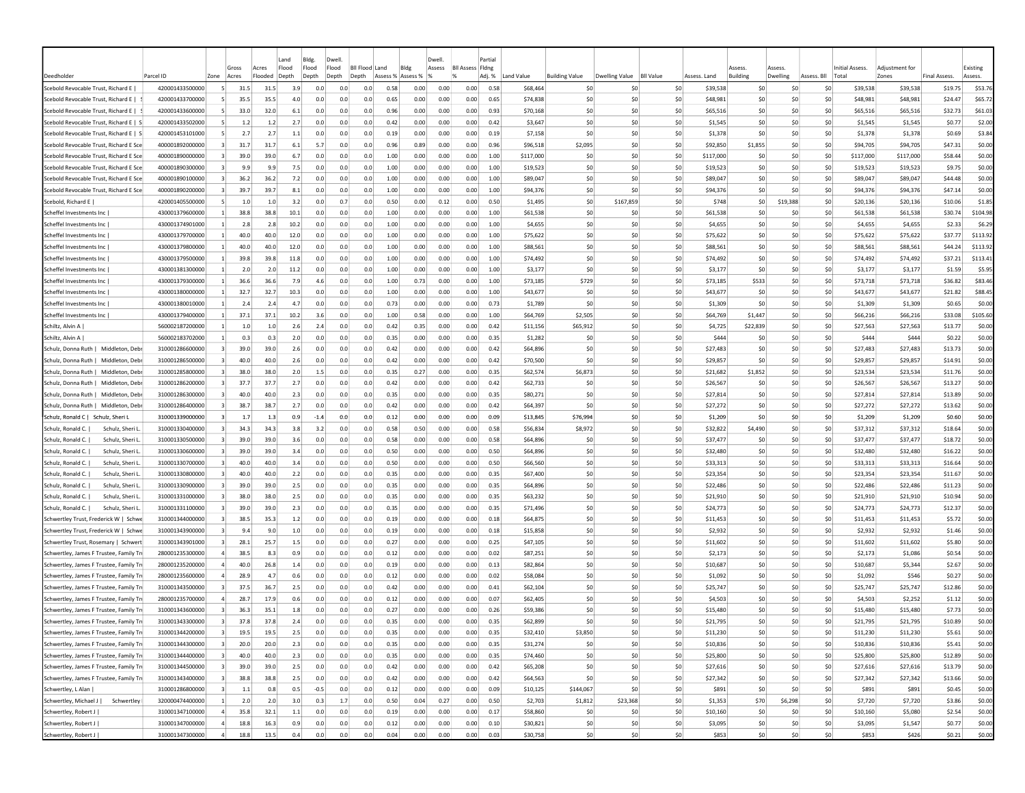|                                         |                 |                         | Gross                           | Land<br>Flood<br>Acres | Bldg.<br>Flood | Dwell<br>Flood | <b>BII Flood</b> | Bldg<br>Land      |      | Dwell<br>Assess | <b>BII Assess Fidng</b> | Partia |            |                       |                |                  |              | <b>ssess</b>    | <i><b>SSESS</b></i> |                | Initial Assess | Adiustment fo |                     | Existing |
|-----------------------------------------|-----------------|-------------------------|---------------------------------|------------------------|----------------|----------------|------------------|-------------------|------|-----------------|-------------------------|--------|------------|-----------------------|----------------|------------------|--------------|-----------------|---------------------|----------------|----------------|---------------|---------------------|----------|
| Deedholde                               | Parcel ID       | Zone                    | Acres                           | Flooded<br>Depth       | Depth          | Depth          | Depth            | Assess % Assess % |      |                 |                         | Adj. % | Land Value | <b>Building Value</b> | Dwelling Value | <b>BII Value</b> | Assess, Land | <b>Building</b> | Dwelling            | Assess, Bll    | Total          | Zones         | <b>Final Assess</b> | Assess   |
| Scebold Revocable Trust, Richard E      | 420001433500000 | -51                     | 31.5                            | 31.5                   | 3.9<br>0.0     | 0.0            | 0.0              | 0.58              | 0.00 | 0.00            | 0.00                    | 0.58   | \$68,464   | <b>SC</b>             | -SO            | \$0              | \$39,538     | S0              | <b>SC</b>           | S0             | \$39,538       | \$39,538      | \$19.75             | \$53.76  |
| Scebold Revocable Trust, Richard E      | 420001433700000 |                         | 35.5                            | 35.5                   | 4.0<br>0.0     | 0.0            | 0.0              | 0.65              | 0.00 | 0.00            | 0.00                    | 0.65   | \$74,838   | \$C                   | S0             | \$0              | \$48,981     | \$C             | \$C                 | \$0            | \$48,981       | \$48,981      | \$24.47             | \$65.72  |
| Scebold Revocable Trust. Richard E      | 420001433600000 |                         | 33.0                            | 32.0                   | 6.1<br>0.0     | 0.0            | 0.0              | 0.96              | 0.00 | 0.00            | 0.00                    | 0.93   | \$70,168   | \$0                   | S <sub>0</sub> | \$0              | S65.516      | \$C             | \$C                 | \$0            | \$65.516       | \$65,516      | \$32.73             | \$61.03  |
| Scebold Revocable Trust, Richard E   S  | 420001433502000 |                         | 1.2                             | 1.2                    | 2.7<br>0.0     | 0.0            | 0.0              | 0.42              | 0.00 | 0.00            | 0.00                    | 0.42   | \$3,647    | \$C                   | S <sub>0</sub> | \$0              | \$1,545      | \$C             | \$C                 | \$0            | \$1,545        | \$1,545       | \$0.77              | \$2.00   |
| Scebold Revocable Trust, Richard E   S  | 420001453101000 |                         | 2.7                             | 2.7                    | 1.1<br>0.0     | 0.0            | 0.0              | 0.19              | 0.00 | 0.00            | 0.00                    | 0.19   | \$7,158    | \$C                   | S <sub>0</sub> | \$0              | \$1,378      | \$C             | \$C                 | \$0            | \$1,378        | \$1,378       | \$0.69              | \$3.84   |
| Scebold Revocable Trust, Richard E Sce  | 400001892000000 |                         | 31.7                            | 31.7                   | 6.1<br>5.7     | 0.0            | 0.0              | 0.96              | 0.89 | 0.00            | 0.00                    | 0.96   | \$96,518   | \$2,095               | \$0            | \$0              | \$92,850     | \$1,855         | \$0                 | \$0            | \$94,705       | \$94,705      | \$47.31             | \$0.00   |
| Scebold Revocable Trust, Richard E Sce  | 400001890000000 | -3                      | 39.0                            | 39.0                   | 6.7<br>0.0     | 0.0            | 0.0              | 1.00              | 0.00 | 0.00            | 0.00                    | 1.00   | \$117,000  | <b>SC</b>             | -SO            | \$0              | \$117,000    | \$0             | S0                  | S0             | \$117,000      | \$117,000     | \$58.44             | \$0.00   |
| Scebold Revocable Trust, Richard E Sce  | 400001890300000 | -3                      | 9.9                             | 9.9                    | 7.5<br>0.0     | 0.0            | 0.0              | 1.00              | 0.00 | 0.00            | 0.00                    | 1.00   | \$19,523   | <b>SC</b>             | -SO            | S0               | \$19,523     | \$0             | S0                  | S0             | \$19,523       | \$19,523      | \$9.75              | \$0.00   |
| Scebold Revocable Trust, Richard E Sce  | 400001890100000 | -3                      | 36.2                            | 36.2                   | 7.2<br>0.0     | 0.0            | 0.0              | 1.00              | 0.00 | 0.00            | 0.00                    | 1.00   | \$89,047   | S0                    | S <sub>0</sub> | SO.              | S89.047      | \$0             | \$0                 | S0             | \$89,047       | \$89,047      | \$44.48             | \$0.00   |
| Scebold Revocable Trust, Richard E Sce  | 400001890200000 |                         | 39.7                            | 39.7                   | 8.1<br>0.0     | 0.0            | 0.0              | 1.00              | 0.00 | 0.00            | 0.00                    | 1.00   | \$94,376   | \$0                   | \$0            | \$0              | \$94,376     | \$0             | \$C                 | \$0            | \$94,376       | \$94,376      | \$47.14             | \$0.00   |
| Scebold, Richard E                      | 420001405500000 |                         | 1.0                             | 1.0                    | 3.2<br>0.0     | 0.7            | 0.0              | 0.50              | 0.00 | 0.12            | 0.00                    | 0.50   | \$1,495    | \$C                   | \$167,859      | \$0              | \$748        | \$0             | \$19,388            | \$0            | \$20,136       | \$20,136      | \$10.06             | \$1.85   |
| Scheffel Investments Inc                | 430001379600000 |                         | 38.8                            | 38.8                   | 10.1<br>0.0    | 0.0            | 0.0              | 1.00              | 0.00 | 0.00            | 0.00                    | 1.00   | \$61,538   | \$C                   | -SC            | \$0              | \$61,538     | \$C             | \$C                 | \$0            | \$61,538       | \$61,538      | \$30.74             | \$104.98 |
| Scheffel Investments Inc                | 430001374901000 |                         | 2.8                             | 2.8                    | 10.2<br>0.0    | 0.0            | 0.0              | 1.00              | 0.00 | 0.00            | 0.00                    | 1.00   | \$4,655    | \$C                   | \$0            | \$0              | \$4,655      | \$0             | \$C                 | \$0            | \$4,655        | \$4,655       | \$2.33              | \$6.29   |
| Scheffel Investments Inc                | 430001379700000 |                         | 40.0                            | 40.0                   | 12.0<br>0.0    | 0.0            | 0.0              | 1.00              | 0.00 | 0.00            | 0.00                    | 1.00   | \$75,622   | \$C                   | S0             | \$0              | \$75,622     | \$0             | S0                  | \$0            | \$75,622       | \$75,622      | \$37.77             | \$113.92 |
| Scheffel Investments Inc                | 430001379800000 |                         | 40.0                            | 40.0                   | 12.0<br>0.0    | 0.0            | 0.0              | 1.00              | 0.00 | 0.00            | 0.00                    | 1.00   | \$88,561   | \$0                   | S0             | \$0              | \$88,561     | S0              | \$0                 | \$0            | \$88,561       | \$88,561      | \$44.24             | \$113.92 |
| Scheffel Investments Inc                | 430001379500000 |                         | 39.8                            | 39.8                   | 11.8<br>0.0    | 0.0            | 0.0              | 1.00              | 0.00 | 0.00            | 0.00                    | 1.00   | \$74,492   | \$0                   | S0             | \$0              | \$74,492     | S0              | \$0                 | \$0            | \$74,492       | \$74,492      | \$37.21             | \$113.41 |
| Scheffel Investments Inc                | 430001381300000 |                         | 2.0                             | 2.0                    | 11.2<br>0.0    | 0.0            | 0.0              | 1.00              | 0.00 | 0.00            | 0.00                    | 1.00   | \$3,177    | \$C                   | S0             | \$0              | \$3,177      | \$0             | \$0                 | \$0            | \$3,177        | \$3,177       | \$1.59              | \$5.95   |
| Scheffel Investments Inc                | 430001379300000 | $\mathbf{1}$            | 36.6                            | 36.6                   | 7.9<br>4.6     | 0.0            | 0.0              | 1.00              | 0.73 | 0.00            | 0.00                    | 1.00   | \$73,185   | \$729                 | \$0            | \$0              | \$73,185     | \$533           | \$0                 | S <sub>0</sub> | \$73,718       | \$73,718      | \$36.82             | \$83.46  |
| Scheffel Investments Inc                | 430001380000000 |                         | 32.7                            | 32.7                   | 10.3<br>0.0    | 0.0            | 0.0              | 1.00              | 0.00 | 0.00            | 0.00                    | 1.00   | \$43,677   | \$C                   | \$0            | \$0              | \$43,677     | \$C             | \$0                 | S <sub>0</sub> | \$43,677       | \$43,677      | \$21.82             | \$88.45  |
| Scheffel Investments Inc                | 430001380010000 | -1                      | 2.4                             | 2.4                    | 4.7<br>0.0     | 0.0            | 0.0              | 0.73              | 0.00 | 0.00            | 0.00                    | 0.73   | \$1,789    | <b>SC</b>             | -SO            | \$0              | \$1,309      | S0              | S0                  | S0             | \$1,309        | \$1,309       | \$0.65              | \$0.00   |
| Scheffel Investments Inc                | 430001379400000 | -11                     | 37.1                            | 37.1                   | 10.2<br>3.6    | 0.0            | 0.0              | 1.00              | 0.58 | 0.00            | 0.00                    | 1.00   | \$64,769   | \$2,505               | S0             | SO.              | S64.769      | \$1,447         | S0                  | S0             | \$66,216       | \$66,216      | S33.08              | \$105.60 |
| Schiltz, Alvin A                        | 560002187200000 |                         | 1.0                             | 1.0                    | 2.6<br>2.4     | 0.0            | 0.0              | 0.42              | 0.35 | 0.00            | 0.00                    | 0.42   | \$11,156   | \$65,912              | S0             | \$0              | \$4,725      | \$22,839        | \$0                 | \$0            | \$27,563       | \$27,563      | \$13.77             | \$0.00   |
| Schiltz, Alvin A                        | 560002183702000 |                         | 0.3                             | 0.3                    | 2.0<br>0.0     | 0.0            | 0.0              | 0.35              | 0.00 | 0.00            | 0.00                    | 0.35   | \$1,282    | \$C                   | \$0            | \$0              | \$444        | \$0             | \$C                 | \$0            | \$444          | \$444         | \$0.22              | \$0.00   |
| Schulz, Donna Ruth  <br>Middleton, Deb  | 310001286600000 |                         | 39.0                            | 39.0                   | 2.6<br>0.0     | 0.0            | 0.0              | 0.42              | 0.00 | 0.00            | 0.00                    | 0.42   | \$64,896   | \$C                   | S <sub>0</sub> | \$0              | \$27,483     | \$C             | \$C                 | \$0            | \$27,483       | \$27,483      | \$13.73             | \$0.00   |
| Schulz, Donna Ruth  <br>Middleton, Deb  | 310001286500000 |                         | 40.0                            | 40.0                   | 2.6<br>0.0     | 0.0            | 0.0              | 0.42              | 0.00 | 0.00            | 0.00                    | 0.42   | \$70,500   | \$C                   | \$0            | \$0              | \$29,857     | \$0             | <b>SC</b>           | \$0            | \$29,857       | \$29,857      | \$14.91             | \$0.00   |
| Schulz, Donna Ruth  <br>Middleton, Deb  | 310001285800000 | -31                     | 38.0                            | 38.0                   | 2.0<br>$1.5\,$ | 0.0            | 0.0              | 0.35              | 0.27 | 0.00            | 0.00                    | 0.35   | \$62,574   | \$6,873               | -SO            | \$0              | \$21,682     | \$1,852         | S0                  | \$0            | \$23,534       | \$23,534      | \$11.76             | \$0.00   |
| Schulz, Donna Ruth  <br>Middleton, Deb  | 310001286200000 |                         | 37.7                            | 37.7                   | 2.7<br>0.0     | 0.0            | 0.0              | 0.42              | 0.00 | 0.00            | 0.00                    | 0.42   | \$62,733   | \$C                   | -SO            | \$0              | \$26,567     | \$C             | <b>SC</b>           | S0             | \$26,567       | \$26,567      | \$13.27             | \$0.00   |
| Schulz, Donna Ruth  <br>Middleton. Deb  | 310001286300000 | 3                       | 40.0                            | 40.0                   | 2.3<br>0.0     | 0.0            | 0.0              | 0.35              | 0.00 | 0.00            | 0.00                    | 0.35   | \$80,271   | \$0                   | S <sub>0</sub> | \$0              | \$27,814     | \$0             | \$0                 | \$0            | \$27,814       | \$27,814      | \$13.89             | \$0.00   |
| Schulz, Donna Ruth  <br>Middleton, Deb  | 310001286400000 | 3                       | 38.7                            | 38.7                   | 2.7<br>0.0     | 0.0            | 0.0              | 0.42              | 0.00 | 0.00            | 0.00                    | 0.42   | \$64,397   | \$C                   | S <sub>0</sub> | \$0              | \$27,272     | \$C             | \$0                 | \$0            | \$27,272       | \$27,272      | \$13.62             | \$0.00   |
| Schulz, Ronald C  <br>Schulz, Sheri I   | 310001339000000 |                         | 1.7                             | 1.3                    | 0.9<br>$-1.4$  | 0.0            | 0.0              | 0.12              | 0.00 | 0.00            | 0.00                    | 0.09   | \$13,845   | \$76,994              | S0             | \$0              | \$1,209      | \$C             | \$C                 | \$0            | \$1,209        | \$1,209       | \$0.60              | \$0.00   |
| Schulz, Ronald C.<br>Schulz, Sheri I    | 310001330400000 |                         | 34.3                            | 34.3                   | 3.8<br>3.2     | 0.0            | 0.0              | 0.58              | 0.50 | 0.00            | 0.00                    | 0.58   | \$56,834   | \$8,972               | \$0            | \$0              | \$32,822     | \$4,490         | \$0                 | \$0            | \$37,312       | \$37,312      | \$18.64             | \$0.00   |
| Schulz, Ronald C.<br>Schulz, Sheri L    | 310001330500000 |                         | 39.0                            | 39.0                   | 3.6<br>0.0     | 0.0            | 0.0              | 0.58              | 0.00 | 0.00            | 0.00                    | 0.58   | \$64,896   | \$C                   | \$0            | \$0              | \$37,477     | \$C             | \$0                 | \$0            | \$37,477       | \$37,477      | \$18.72             | \$0.00   |
| Schulz, Ronald C.  <br>Schulz, Sheri I  | 310001330600000 | 3                       | 39.0                            | 39.0                   | 3.4<br>0.0     | 0.0            | 0.0              | 0.50              | 0.00 | 0.00            | 0.00                    | 0.50   | \$64,896   | \$C                   | -SO            | \$0              | \$32,480     | \$0             | S0                  | S0             | \$32,480       | \$32,480      | \$16.22             | \$0.00   |
| Schulz, Ronald C.<br>Schulz, Sheri L    | 310001330700000 | -3.                     | 40.0                            | 40.0                   | 3.4<br>0.0     | 0.0            | 0.0              | 0.50              | 0.00 | 0.00            | 0.00                    | 0.50   | \$66,560   | S0                    | -SO            | \$0              | \$33,313     | S0              | S0                  | S0             | \$33,313       | \$33,313      | \$16.64             | \$0.00   |
| Schulz, Ronald C.  <br>Schulz, Sheri L  | 310001330800000 | -3                      | 40.0                            | 40.0                   | 2.2<br>0.0     | 0.0            | 0.0              | 0.35              | 0.00 | 0.00            | 0.00                    | 0.35   | S67.400    | <b>SC</b>             | S <sub>0</sub> | SO.              | \$23,354     | \$0             | \$0                 | \$0            | \$23,354       | \$23,354      | \$11.67             | \$0.00   |
| Schulz, Ronald C.<br>Schulz, Sheri L    | 310001330900000 | 3                       | 39.0                            | 39.0                   | 2.5<br>0.0     | 0.0            | 0.0              | 0.35              | 0.00 | 0.00            | 0.00                    | 0.35   | \$64,896   | \$C                   | S <sub>0</sub> | \$0              | \$22,486     | \$0             | \$C                 | \$0            | \$22,486       | \$22,486      | \$11.23             | \$0.00   |
| Schulz, Ronald C.<br>Schulz, Sheri L    | 310001331000000 |                         | 38.0                            | 38.0                   | 2.5<br>0.0     | 0.0            | 0.0              | 0.35              | 0.00 | 0.00            | 0.00                    | 0.35   | \$63,232   | \$C                   | S <sub>0</sub> | \$0              | \$21,910     | \$C             | \$C                 | \$0            | \$21,910       | \$21,910      | \$10.94             | \$0.00   |
| Schulz, Ronald C.<br>Schulz, Sheri L    | 310001331100000 |                         | 39.0                            | 39.0                   | 2.3<br>0.0     | 0.0            | 0.0              | 0.35              | 0.00 | 0.00            | 0.00                    | 0.35   | \$71,496   | \$C                   | \$0            | \$0              | \$24,773     | \$C             | so                  | \$0            | \$24,773       | \$24,773      | \$12.37             | \$0.00   |
| Schwertley Trust, Frederick W   Schwe   | 310001344000000 |                         | 38.5                            | 35.3                   | 1.2<br>0.0     | 0.0            | 0.0              | 0.19              | 0.00 | 0.00            | 0.00                    | 0.18   | \$64,875   | \$C                   | -SO            | \$0              | \$11,453     | \$0             | \$0                 | S0             | \$11,453       | \$11,453      | \$5.72              | \$0.00   |
| Schwertley Trust, Frederick W   Schwe   | 310001343900000 |                         | 9.4                             | 9.0                    | 1.0<br>0.0     | 0.0            | 0.0              | 0.19              | 0.00 | 0.00            | 0.00                    | 0.18   | \$15,858   | \$C                   | -SO            | \$0              | \$2,932      | \$0             | \$0                 | S0             | \$2,932        | \$2,932       | \$1.46              | \$0.00   |
| Schwertley Trust, Rosemary   Schwert    | 310001343901000 |                         | 28.1                            | 25.7                   | 1.5<br>0.0     | 0.0            | 0.0              | 0.27              | 0.00 | 0.00            | 0.00                    | 0.25   | \$47,105   | \$0                   | S <sub>0</sub> | \$0              | \$11,602     | \$0             | \$0                 | \$0            | \$11,602       | \$11,602      | \$5.80              | \$0.00   |
| Schwertley, James F Trustee, Family Tri | 280001235300000 |                         | 38.5                            | 8.3                    | 0.9<br>0.0     | 0.0            | 0.0              | 0.12              | 0.00 | 0.00            | 0.00                    | 0.02   | \$87,251   | \$C                   | S <sub>0</sub> | \$0              | \$2,173      | \$0             | \$C                 | \$0            | \$2,173        | \$1,086       | \$0.54              | \$0.00   |
| Schwertley, James F Trustee, Family Tr  | 280001235200000 |                         | 40.0                            | 26.8                   | 1.4<br>0.0     | 0.0            | 0.0              | 0.19              | 0.00 | 0.00            | 0.00                    | 0.13   | \$82,864   | \$C                   | S <sub>0</sub> | \$0              | \$10,687     | \$0             | \$C                 | \$0            | \$10,687       | \$5,344       | \$2.67              | \$0.00   |
| Schwertley, James F Trustee, Family Tr  | 280001235600000 |                         | 28.9                            | 4.7                    | 0.6<br>0.0     | 0.0            | 0.0              | 0.12              | 0.00 | 0.00            | 0.00                    | 0.02   | \$58,084   | \$C                   | \$0            | \$0              | \$1,092      | \$C             | \$0                 | \$0            | \$1,092        | \$546         | \$0.27              | \$0.00   |
| Schwertley, James F Trustee, Family Tr  | 310001343500000 | -31                     | 37.5                            | 36.7                   | 2.5<br>0.0     | 0.0            | 0.0              | 0.42              | 0.00 | 0.00            | 0.00                    | 0.41   | \$62,104   | S0                    | -SO            | S0               | \$25,747     | \$0             | S0                  | S0             | \$25,747       | \$25,747      | \$12.86             | \$0.00   |
| Schwertley, James F Trustee, Family Tr  | 280001235700000 |                         | 28.7                            | 17.9                   | 0.6<br>0.0     | 0.0            | 0.0              | 0.12              | 0.00 | 0.00            | 0.00                    | 0.0    | \$62,405   | <b>SC</b>             | -SO            | S0               | \$4,503      | -SC             | so                  | -SO            | \$4,503        | \$2,252       | \$1.12              | \$0.00   |
| Schwertley, James F Trustee, Family Tr  | 310001343600000 |                         | 36.3                            | 35.1                   | 1.8<br>0.0     | 0.0            | 0.0              | $0.2^{\circ}$     | 0.00 | 0.00            | 0.00                    | 0.26   | \$59,386   | <b>SC</b>             | -SO            | \$0              | \$15,480     | \$0             | \$C                 | S0             | \$15,480       | \$15,480      | \$7.73              | \$0.00   |
| Schwertley, James F Trustee, Family Tri | 310001343300000 |                         | 37.8                            | 37.8                   | 2.4<br>0.0     | 0.0            | 0.0              | 0.35              | 0.00 | 0.00            | 0.00                    | 0.35   | \$62,899   | \$C                   | S <sub>0</sub> | \$0              | \$21,795     | \$0             | \$0                 | \$0            | \$21,795       | \$21,795      | \$10.89             | \$0.00   |
| Schwertley, James F Trustee, Family Tri | 310001344200000 | $\vert$ 3               | 19.5                            | 19.5                   | 2.5<br>0.0     | 0.0            | 0.0              | 0.35              | 0.00 | 0.00            | 0.00                    | 0.35   | \$32,410   | \$3,850               | \$0            | \$0              | \$11,230     | \$0             | \$0                 | \$0            | \$11,230       | \$11,230      | \$5.61              | \$0.00   |
| Schwertley, James F Trustee, Family Tri | 310001344300000 | $\vert$ 3               | 20.0                            | 20.0                   | 2.3<br>0.0     | 0.0            | 0.0              | 0.35              | 0.00 | 0.00            | 0.00                    | 0.35   | \$31,274   | \$0                   | \$0            | \$0              | \$10,836     | \$0             | 50                  | \$0            | \$10,836       | \$10,836      | \$5.41              | \$0.00   |
| Schwertley, James F Trustee, Family Tri | 310001344400000 |                         | $\overline{\mathbf{3}}$<br>40.0 | 40.0                   | 2.3<br>0.0     | 0.0            | 0.0              | 0.35              | 0.00 | 0.00            | 0.00                    | 0.35   | \$74,460   | \$0                   | \$0            | \$0              | \$25,800     | \$0             | 50                  | \$0            | \$25,800       | \$25,800      | \$12.89             | \$0.00   |
| Schwertley, James F Trustee, Family Tri | 310001344500000 | $\overline{3}$          | 39.0                            | 39.0                   | 2.5<br>0.0     | 0.0            | 0.0              | 0.42              | 0.00 | 0.00            | 0.00                    | 0.42   | \$65,208   | \$0                   | 50             | \$0              | \$27,616     | \$0             | 50                  | \$0            | \$27,616       | \$27,616      | \$13.79             | \$0.00   |
| Schwertley, James F Trustee, Family Tri | 310001343400000 | $\overline{\mathbf{3}}$ | 38.8                            | 38.8                   | 2.5<br>0.0     | 0.0            | 0.0              | 0.42              | 0.00 | 0.00            | 0.00                    | 0.42   | \$64,563   | \$0                   | \$0            | \$0              | \$27,342     | \$0             | 50                  | 50             | \$27,342       | \$27,342      | \$13.66             | \$0.00   |
| Schwertley, L Alan                      | 310001286800000 | $\overline{\mathbf{3}}$ | 1.1                             | 0.8                    | 0.5<br>$-0.5$  | 0.0            | 0.0              | 0.12              | 0.00 | 0.00            | 0.00                    | 0.09   | \$10,125   | \$144,067             | \$0            | \$0              | \$891        | \$0             | 50                  | 50             | \$891          | \$891         | \$0.45              | \$0.00   |
| Schwertley, Michael J  <br>Schwertley   | 320000474400000 | $\mathbf{1}$            | 2.0                             | 2.0                    | 3.0<br>0.3     | 1.7            | 0.0              | 0.50              | 0.04 | 0.27            | 0.00                    | 0.50   | \$2,703    | \$1,812               | \$23,368       | \$0              | \$1,353      | \$70            | \$6,298             | \$0            | \$7,720        | \$7,720       | \$3.86              | \$0.00   |
| Schwertley, Robert J                    | 310001347100000 | $\sim$                  | 35.8                            | 32.1                   | $1.1$<br>0.0   | 0.0            | 0.0              | 0.19              | 0.00 | 0.00            | 0.00                    | 0.17   | \$58,860   | \$0                   | \$0            | \$0              | \$10,160     | \$0             | 50                  | \$0            | \$10,160       | \$5,080       | \$2.54              | \$0.00   |
| Schwertley, Robert J                    | 310001347000000 | $\overline{a}$          | 18.8                            | 16.3                   | 0.9<br>0.0     | 0.0            | 0.0              | 0.12              | 0.00 | 0.00            | 0.00                    | 0.10   | \$30,821   | \$0                   | \$0            | \$0              | \$3,095      | \$0             | \$0                 | \$0            | \$3,095        | \$1,547       | \$0.77              | \$0.00   |
| Schwertley, Robert J                    | 310001347300000 | $\overline{a}$          | 18.8                            | 13.5                   | 0.4<br>0.0     | 0.0            | 0.0              | 0.04              | 0.00 | 0.00            | 0.00                    | 0.03   | \$30,758   | \$0                   | \$0            | \$0              | \$853        | \$0             | \$0                 | \$0            | \$853          | \$426         | \$0.21              | \$0.00   |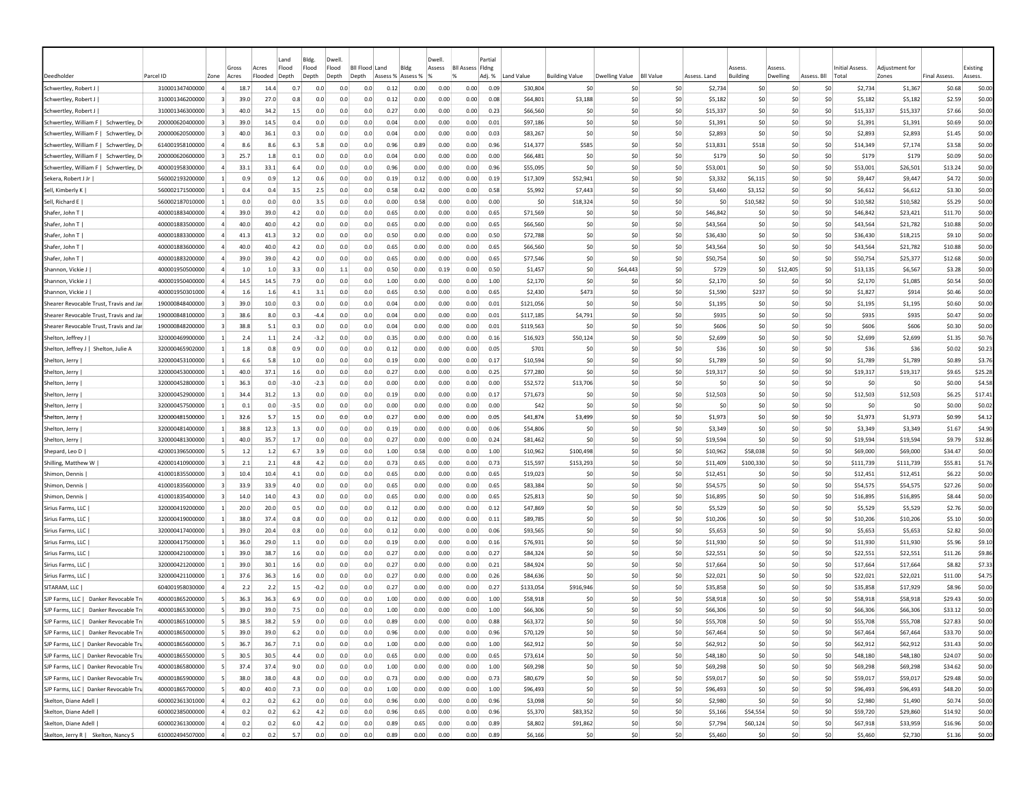|                                         |                 |                |                        | Land                               | Bldg.          | Dwell          |     |                         |                           |      | Dwell  |                                     | Partial |            |                       |                |                  |              |                    |                    |             |                          | Adjustment for |                     |                     |
|-----------------------------------------|-----------------|----------------|------------------------|------------------------------------|----------------|----------------|-----|-------------------------|---------------------------|------|--------|-------------------------------------|---------|------------|-----------------------|----------------|------------------|--------------|--------------------|--------------------|-------------|--------------------------|----------------|---------------------|---------------------|
| Deedholder                              | Parcel ID       | Zone           | Gross<br>Acres         | Flood<br>Acres<br>Flooded<br>Depth | Flood<br>Depth | Flood<br>Depth |     | Bll Flood Land<br>Depth | Bldg<br>Assess % Assess % |      | Assess | <b>BII Assess Fidng</b><br>$\alpha$ | Adj. %  | Land Value | <b>Building Value</b> | Dwelling Value | <b>BII Value</b> | Assess, Land | Assess<br>Building | Assess<br>Dwelling | Assess, Bll | Initial Assess.<br>Total | Zones          | <b>Final Assess</b> | Existing<br>Assess. |
| Schwertley, Robert J                    | 310001347400000 | $\overline{a}$ | 18.7                   | 14.4                               | 0.7            | 0.0            | 0.0 | 0.0                     | 0.12                      | 0.00 | 0.00   | 0.00                                | 0.09    | \$30,804   | \$C                   | -SO            | \$0              | \$2,734      | S0                 | S0                 | S0          | \$2,734                  | \$1,367        | \$0.68              | \$0.00              |
| Schwertley, Robert J                    | 310001346200000 |                | 39.0                   | 27.0                               | 0.8            | 0.0            | 0.0 | 0.0                     | 0.12                      | 0.00 | 0.00   | 0.00                                | 0.08    | \$64,801   | \$3,188               | \$0            | \$0              | \$5,182      | -SC                | -SC                | \$0         | \$5,182                  | \$5,182        | \$2.59              | \$0.00              |
| Schwertley, Robert J                    | 310001346300000 |                | 40.0                   | 34.2                               | 1.5            | 0.0            | 0.0 | 0.0                     | 0.27                      | 0.00 | 0.00   | 0.00                                | 0.23    | \$66,560   | \$C                   | S0             | \$0              | \$15,337     | S0                 | \$C                | \$0         | \$15,337                 | \$15,337       | \$7.66              | \$0.00              |
| Schwertley, William F   Schwertley, D   | 200000620400000 | 3              | 39.0                   | 14.5                               | 0.4            | 0.0            | 0.0 | 0.0                     | 0.04                      | 0.00 | 0.00   | 0.00                                | 0.01    | \$97,186   | \$C                   | S <sub>0</sub> | \$0              | \$1,391      | \$0                | \$0                | \$0         | \$1,391                  | \$1,391        | \$0.69              | \$0.00              |
| Schwertley, William F   Schwertley, D   | 200000620500000 |                | 40.0                   | 36.1                               | 0.3            | 0.0            | 0.0 | 0.0                     | 0.04                      | 0.00 | 0.00   | 0.00                                | 0.03    | \$83,267   | \$C                   | S <sub>0</sub> | \$0              | \$2,893      | \$C                | \$C                | \$0         | \$2,893                  | \$2,893        | \$1.45              | \$0.00              |
| Schwertley, William F   Schwertley, D   | 614001958100000 | $\overline{a}$ | 8.6                    | 8.6                                | 6.3            | 5.8            | 0.0 | 0.0                     | 0.96                      | 0.89 | 0.00   | 0.00                                | 0.96    | \$14,377   | \$585                 | \$0            | \$0              | \$13,831     | \$518              | \$0                | \$0         | \$14,349                 | \$7,174        | \$3.58              | \$0.00              |
| Schwertley, William F   Schwertley, D   | 200000620600000 | 3              | 25.7                   | 1.8                                | 0.1            | 0.0            | 0.0 | 0.0                     | 0.04                      | 0.00 | 0.00   | 0.00                                | 0.00    | \$66,481   | <b>SC</b>             | -SO            | \$0              | \$179        | \$0                | S0                 | S0          | \$179                    | \$179          | \$0.09              | \$0.00              |
| Schwertley, William F   Schwertley, D   | 400001958300000 |                | 33.1                   | 33.1                               | 6.4            | 0.0            | 0.0 | 0.0                     | 0.96                      | 0.00 | 0.00   | 0.00                                | 0.96    | \$55,095   | \$0                   | -SO            | \$0              | \$53,001     | \$0                | S0                 | S0          | \$53,001                 | \$26,501       | \$13.24             | \$0.00              |
| Sekera, Robert J Jr                     | 560002193200000 |                | 0.9                    | 0.9                                | 1.2            | 0.6            | 0.0 | 0.0                     | 0.19                      | 0.12 | 0.00   | 0.00                                | 0.19    | \$17,309   | \$52,941              | S0             | S0               | \$3,332      | \$6,115            | \$0                | \$0         | \$9,447                  | \$9,447        | \$4.72              | \$0.00              |
| Sell, Kimberly K                        | 560002171500000 |                | 0.4                    | 0.4                                | 3.5            | 2.5            | 0.0 | 0.0                     | 0.58                      | 0.42 | 0.00   | 0.00                                | 0.58    | \$5,992    | \$7,443               | \$0            | \$0              | \$3,460      | \$3,152            | \$0                | \$0         | \$6,612                  | \$6,612        | \$3.30              | \$0.00              |
| Sell, Richard E                         | 560002187010000 |                | 0.0                    | 0.0                                | 0.0            | 3.5            | 0.0 | 0.0                     | 0.00                      | 0.58 | 0.00   | 0.00                                | 0.00    | \$0        | \$18,324              | \$0            | \$0              | \$0          | \$10,582           | \$C                | \$0         | \$10,582                 | \$10,582       | \$5.29              | \$0.00              |
| Shafer, John T                          | 400001883400000 |                | 39.0                   | 39.0                               | 4.2            | 0.0            | 0.0 | 0.0                     | 0.65                      | 0.00 | 0.00   | 0.00                                | 0.65    | \$71,569   | \$C                   | \$0            | \$0              | \$46,842     | \$C                | \$0                | \$0         | \$46,842                 | \$23,421       | \$11.70             | \$0.00              |
| Shafer, John T                          | 400001883500000 |                | 40.0                   | 40.0                               | 4.2            | 0.0            | 0.0 | 0.0                     | 0.65                      | 0.00 | 0.00   | 0.00                                | 0.65    | \$66,560   | \$C                   | \$0            | \$0              | \$43,564     | \$C                | \$0                | \$0         | \$43,564                 | \$21,782       | \$10.88             | \$0.00              |
| Shafer, John T                          | 400001883300000 |                | 41.3                   | 41.3                               | 3.2            | 0.0            | 0.0 | 0.0                     | 0.50                      | 0.00 | 0.00   | 0.00                                | 0.50    | \$72,788   | \$C                   | S0             | \$0              | \$36,430     | \$0                | \$0                | \$0         | \$36,430                 | \$18,215       | \$9.10              | \$0.00              |
| Shafer, John T                          | 400001883600000 |                | 40.0                   | 40.0                               | 4.2            | 0.0            | 0.0 | 0.0                     | 0.65                      | 0.00 | 0.00   | 0.00                                | 0.65    | \$66,560   | \$0                   | S0             | \$0              | \$43.564     | S0                 | \$0                | \$0         | \$43,564                 | \$21,782       | \$10.88             | \$0.00              |
| Shafer, John T                          | 400001883200000 |                | 39.0                   | 39.0                               | 4.2            | 0.0            | 0.0 | 0.0                     | 0.65                      | 0.00 | 0.00   | 0.00                                | 0.65    | \$77.546   | \$0                   | S0             | \$0              | \$50.754     | S0                 | \$0                | \$0         | \$50,754                 | \$25,377       | \$12.68             | \$0.00              |
| Shannon, Vickie J                       | 400001950500000 |                | 1.0                    | 1.0                                | 3.3            | 0.0            | 1.1 | 0.0                     | 0.50                      | 0.00 | 0.19   | 0.00                                | 0.50    | \$1,457    | \$0                   | \$64,443       | \$0              | \$729        | \$0                | \$12,405           | \$0         | \$13,135                 | \$6,567        | \$3.28              | \$0.00              |
| Shannon, Vickie J                       | 400001950400000 | $\overline{a}$ | 14.5                   | 14.5                               | 7.9            | 0.0            | 0.0 | 0.0                     | 1.00                      | 0.00 | 0.00   | 0.00                                | 1.00    | \$2,170    | \$0                   | \$0            | \$0              | \$2,170      | \$C                | \$0                | \$0         | \$2,170                  | \$1,085        | \$0.54              | \$0.00              |
| Shannon, Vickie J                       | 400001950301000 |                | 1.6                    | 1.6                                | 4.1            | 3.1            | 0.0 | 0.0                     | 0.65                      | 0.50 | 0.00   | 0.00                                | 0.65    | \$2,430    | \$473                 | \$0            | \$0              | \$1,590      | \$237              | \$0                | \$0         | \$1,827                  | \$914          | \$0.46              | \$0.00              |
| Shearer Revocable Trust. Travis and Ja  | 190000848400000 | 3              | 39.0                   | 10.0                               | 0.3            | 0.0            | 0.0 | 0.0                     | 0.04                      | 0.00 | 0.00   | 0.00                                | 0.01    | \$121,056  | <b>SC</b>             | -SO            | SO.              | \$1,195      | \$0                | S0                 | S0          | \$1,195                  | \$1,195        | \$0.60              | \$0.00              |
| Shearer Revocable Trust. Travis and Jar | 190000848100000 | -31            | 38.6                   | 8.0                                | 0.3            | $-4.4$         | 0.0 | 0.0                     | 0.04                      | 0.00 | 0.00   | 0.00                                | 0.01    | \$117.185  | \$4,791               | S <sub>0</sub> | SO.              | \$935        | \$0                | \$0                | \$0         | \$935                    | \$935          | \$0.47              | \$0.00              |
| Shearer Revocable Trust, Travis and Ja  | 190000848200000 |                | 38.8                   | 5.1                                | 0.3            | 0.0            | 0.0 | 0.0                     | 0.04                      | 0.00 | 0.00   | 0.00                                | 0.01    | \$119,563  | \$C                   | S <sub>0</sub> | \$0              | \$606        | \$0                | \$0                | \$0         | \$606                    | \$606          | \$0.30              | \$0.00              |
| Shelton, Jeffrey J                      | 320000469900000 |                | 2.4                    | 1.1                                | 2.4            | $-3.2$         | 0.0 | 0.0                     | 0.35                      | 0.00 | 0.00   | 0.00                                | 0.16    | \$16,923   | \$50,124              | \$0            | \$0              | \$2,699      | \$0                | \$C                | \$0         | \$2,699                  | \$2,699        | \$1.35              | \$0.76              |
| Shelton, Jeffrey J   Shelton, Julie A   | 320000465902000 |                | 1.8                    | 0.8                                | 0.9            | 0.0            | 0.0 | 0.0                     | 0.12                      | 0.00 | 0.00   | 0.00                                | 0.05    | \$701      | \$C                   | S <sub>0</sub> | \$0              | \$36         | \$C                | \$C                | \$0         | \$36                     | \$36           | \$0.02              | \$0.23              |
| Shelton, Jerry                          | 320000453100000 |                | 6.6                    | 5.8                                | 1.0            | 0.0            | 0.0 | 0.0                     | 0.19                      | 0.00 | 0.00   | 0.00                                | 0.17    | \$10,594   | \$0                   | \$0            | \$0              | \$1,789      | \$0                | \$0                | \$0         | \$1,789                  | \$1,789        | \$0.89              | \$3.76              |
| Shelton, Jerry                          | 320000453000000 |                | 40.0                   | 37.1                               | 1.6            | 0.0            | 0.0 | 0.0                     | 0.27                      | 0.00 | 0.00   | 0.00                                | 0.25    | \$77,280   | \$C                   | \$0            | \$0              | \$19,317     | S0                 | \$0                | \$0         | \$19,317                 | \$19,317       | \$9.65              | \$25.28             |
| Shelton, Jerry                          | 320000452800000 |                | 36.                    | 0.0                                | $-3.0$         | $-2.3$         | 0.0 | 0.0                     | 0.00                      | 0.00 | 0.00   | 0.00                                | 0.00    | \$52,572   | \$13,706              | S0             | \$0              | \$0          | \$C                | \$C                | \$0         | \$0                      | \$0            | \$0.00              | \$4.58              |
| Shelton, Jerry                          | 320000452900000 | $\vert$ 1      | 34.4                   | 31.2                               | 1.3            | 0.0            | 0.0 | 0.0                     | 0.19                      | 0.00 | 0.00   | 0.00                                | 0.17    | \$71,673   | \$0                   | S0             | \$0              | \$12,503     | S0                 | \$0                | \$0         | \$12,503                 | \$12,503       | \$6.25              | \$17.41             |
| Shelton, Jerry                          | 320000457500000 |                | 0.1                    | 0.0                                | $-3.5$         | 0.0            | 0.0 | 0.0                     | 0.00                      | 0.00 | 0.00   | 0.00                                | 0.00    | \$42       | \$C                   | S0             | \$0              | \$0          | <b>SC</b>          | \$0                | \$0         | \$0                      | \$0            | \$0.00              | \$0.02              |
| Shelton, Jerry                          | 320000481500000 | $\mathbf{1}$   | 32.6                   | 5.7                                | 1.5            | 0.0            | 0.0 | 0.0                     | 0.27                      | 0.00 | 0.00   | 0.00                                | 0.05    | \$41,874   | \$3,499               | S0             | \$0              | \$1,973      | \$C                | \$C                | \$0         | \$1,973                  | \$1,973        | \$0.99              | \$4.12              |
| Shelton, Jerry                          | 320000481400000 |                | 38.8                   | 12.3                               | 1.3            | 0.0            | 0.0 | 0.0                     | 0.19                      | 0.00 | 0.00   | 0.00                                | 0.06    | \$54,806   | \$C                   | \$0            | \$0              | \$3,349      | \$C                | \$0                | \$0         | \$3,349                  | \$3,349        | \$1.67              | \$4.90              |
| Shelton, Jerry                          | 320000481300000 |                | 40.0                   | 35.7                               | 1.7            | 0.0            | 0.0 | 0.0                     | 0.27                      | 0.00 | 0.00   | 0.00                                | 0.24    | \$81,462   | \$C                   | \$0            | \$0              | \$19,594     | \$0                | \$0                | \$0         | \$19,594                 | \$19,594       | \$9.79              | \$32.86             |
| Shepard, Leo D                          | 420001396500000 | -5.            | 1.2                    | 1.2                                | 6.7            | 3.9            | 0.0 | 0.0                     | 1.00                      | 0.58 | 0.00   | 0.00                                | 1.00    | \$10,962   | \$100,498             | -SO            | \$0              | \$10,962     | \$58,038           | \$0                | \$0         | \$69,000                 | \$69,000       | \$34.47             | \$0.00              |
| Shilling, Matthew W                     | 420001410900000 | -3             | 2.1                    | 2.1                                | 4.8            | 4.2            | 0.0 | 0.0                     | 0.73                      | 0.65 | 0.00   | 0.00                                | 0.73    | \$15,597   | \$153,293             | S0             | \$0              | \$11,409     | \$100,330          | \$0                | \$0         | \$111,739                | \$111,739      | \$55.81             | \$1.76              |
| Shimon, Dennis                          | 410001835500000 | 3              | 10.4                   | 10.4                               | 4.1            | 0.0            | 0.0 | 0.0                     | 0.65                      | 0.00 | 0.00   | 0.00                                | 0.65    | \$19,023   | \$C                   | S0             | \$0              | \$12,451     | S0                 | \$0                | \$0         | \$12,451                 | \$12,451       | \$6.22              | \$0.00              |
| Shimon, Dennis                          | 410001835600000 | $\vert$ 3      | 33.9                   | 33.9                               | 4.0            | 0.0            | 0.0 | 0.0                     | 0.65                      | 0.00 | 0.00   | 0.00                                | 0.65    | \$83,384   | \$0                   | \$0            | \$0              | \$54,575     | \$0                | \$0                | \$0         | \$54,575                 | \$54,575       | \$27.26             | \$0.00              |
| Shimon, Dennis                          | 410001835400000 |                | 14.0                   | 14.0                               | 4.3            | 0.0            | 0.0 | 0.0                     | 0.65                      | 0.00 | 0.00   | 0.00                                | 0.65    | \$25,813   | \$C                   | \$0            | \$0              | \$16,895     | \$C                | \$C                | \$0         | \$16,895                 | \$16,895       | \$8.44              | \$0.00              |
| Sirius Farms, LLC                       | 320000419200000 |                | 20.0                   | 20.0                               | 0.5            | 0.0            | 0.0 | 0.0                     | 0.12                      | 0.00 | 0.00   | 0.00                                | 0.12    | \$47,869   | \$C                   | \$0            | \$0              | \$5,529      | \$0                | \$0                | \$0         | \$5,529                  | \$5,529        | \$2.76              | \$0.00              |
| Sirius Farms, LLC                       | 320000419000000 |                | 38.0                   | 37.4                               | 0.8            | 0.0            | 0.0 | 0.0                     | 0.12                      | 0.00 | 0.00   | 0.00                                | 0.11    | \$89,785   | \$C                   | S0             | \$0              | \$10,206     | S0                 | \$0                | \$0         | \$10,206                 | \$10,206       | \$5.10              | \$0.00              |
| Sirius Farms, LLC                       | 320000417400000 |                | 39.0                   | 20.4                               | 0.8            | 0.0            | 0.0 | 0.0                     | 0.12                      | 0.00 | 0.00   | 0.00                                | 0.06    | \$93,565   | \$C                   | -SO            | \$0              | \$5,653      | S0                 | \$0                | \$0         | \$5,653                  | \$5,653        | \$2.82              | \$0.00              |
| Sirius Farms, LLC                       | 320000417500000 |                | 36.0                   | 29.0                               | 1.1            | 0.0            | 0.0 | 0.0                     | 0.19                      | 0.00 | 0.00   | 0.00                                | 0.16    | \$76,931   | \$0                   | S0             | \$0              | \$11,930     | \$0                | \$0                | \$0         | \$11,930                 | \$11,930       | \$5.96              | \$9.10              |
| Sirius Farms, LLC                       | 320000421000000 |                | 39.0                   | 38.7                               | 1.6            | 0.0            | 0.0 | 0.0                     | 0.27                      | 0.00 | 0.00   | 0.00                                | 0.27    | \$84,324   | \$C                   | \$0            | \$0              | \$22,551     | \$0                | \$0                | \$0         | \$22,551                 | \$22,551       | \$11.26             | \$9.86              |
| Sirius Farms, LLC                       | 320000421200000 |                | 39.0                   | 30.1                               | 1.6            | 0.0            | 0.0 | 0.0                     | 0.27                      | 0.00 | 0.00   | 0.00                                | 0.21    | \$84,924   | \$C                   | S0             | \$0              | \$17,664     | \$0                | \$C                | \$0         | \$17,664                 | \$17,664       | \$8.82              | \$7.33              |
| Sirius Farms, LLC                       | 320000421100000 |                | 37.6                   | 36.3                               | 1.6            | 0.0            | 0.0 | 0.0                     | 0.27                      | 0.00 | 0.00   | 0.00                                | 0.26    | \$84,636   | \$0                   | \$0            | \$0              | \$22,021     | \$0                | \$0                | \$0         | \$22,021                 | \$22,021       | \$11.00             | \$4.75              |
| SITARAM, LLC                            | 604001958030000 | $\Delta$       | 2.2                    | 2.2                                | 1.5            | -0.2           | 0.0 | 0.0                     | 0.27                      | 0.00 | 0.00   | 0.00                                | 0.27    | \$133,054  | \$916,946             | -SO            | SO.              | \$35,858     | S0                 | S0                 | S0          | \$35,858                 | \$17,929       | \$8.96              | \$0.00              |
| SJP Farms, LLC   Danker Revocable Tru   | 400001865200000 |                | 36.3                   | 36.3                               | 6.9            | 0.0            | 0.0 | 0.0                     | 1.00                      | 0.00 | 0.00   | 0.00                                | 1.00    | \$58,918   | <b>SC</b>             | -SO            | SO.              | \$58,918     | -SC                | so                 | -SO         | \$58,918                 | \$58,918       | \$29.43             | \$0.00              |
| SJP Farms, LLC   Danker Revocable Tru   | 400001865300000 |                | 39.0                   | 39.0                               | 7.5            | 0.0            | 0.0 | 0.0                     | 1.00                      | 0.00 | 0.00   | 0.00                                | 1.00    | \$66,306   | \$C                   | S <sub>0</sub> | \$0              | \$66,306     | \$0                | \$0                | \$0         | \$66,306                 | \$66,306       | \$33.12             | \$0.00              |
| SJP Farms, LLC   Danker Revocable Tru   | 400001865100000 |                | 38.5                   | 38.2                               | 5.9            | 0.0            | 0.0 | 0.0                     | 0.89                      | 0.00 | 0.00   | 0.00                                | 0.88    | \$63,372   | \$0                   | S <sub>0</sub> | \$0              | \$55,708     | \$0                | \$0                | \$0         | \$55,708                 | \$55,708       | \$27.83             | \$0.00              |
| SJP Farms, LLC   Danker Revocable Tri   | 400001865000000 | -5             | 39.0                   | 39.0                               | 6.2            | 0.0            | 0.0 | 0.0                     | 0.96                      | 0.00 | 0.00   | 0.00                                | 0.96    | \$70,129   | \$0                   | \$0            | \$0              | \$67,464     | \$0                | 50                 | \$0         | \$67,464                 | \$67,464       | \$33.70             | \$0.00              |
| SJP Farms, LLC   Danker Revocable Tru   | 400001865600000 | $\mathbf{5}$   | 36.7                   | 36.7                               | 7.1            | 0.0            | 0.0 | 0.0                     | 1.00                      | 0.00 | 0.00   | 0.00                                | 1.00    | \$62,912   | \$0                   | \$0            | \$0              | \$62,912     | \$0                | 50                 | \$0         | \$62,912                 | \$62,912       | \$31.43             | \$0.00              |
| SJP Farms, LLC   Danker Revocable Tru   | 400001865500000 | -5             | 30.5                   | 30.5                               | 4.4            | 0.0            | 0.0 | 0.0                     | 0.65                      | 0.00 | 0.00   | 0.00                                | 0.65    | \$73,614   | \$0                   | \$0            | \$0              | \$48,180     | \$0                | 50                 | \$0         | \$48,180                 | \$48,180       | \$24.07             | \$0.00              |
| SJP Farms, LLC   Danker Revocable Tru   | 400001865800000 | 5 <sup>1</sup> | 37.4                   | 37.4                               | 9.0            | 0.0            | 0.0 | 0.0                     | 1.00                      | 0.00 | 0.00   | 0.00                                | 1.00    | \$69,298   | \$0                   | 50             | \$0              | \$69,298     | \$0                | 50                 | \$0         | \$69,298                 | \$69,298       | \$34.62             | \$0.00              |
| SJP Farms, LLC   Danker Revocable Tru   | 400001865900000 |                | 5 <sup>1</sup><br>38.0 | 38.0                               | 4.8            | 0.0            | 0.0 | 0.0                     | 0.73                      | 0.00 | 0.00   | 0.00                                | 0.73    | \$80,679   | \$0                   | 50             | 50               | \$59,017     | \$0                | 50                 | 50          | \$59,017                 | \$59,017       | \$29.48             | \$0.00              |
| SJP Farms, LLC   Danker Revocable Tru   | 400001865700000 |                | 5 <sup>1</sup><br>40.0 | 40.0                               | 7.3            | 0.0            | 0.0 | 0.0                     | 1.00                      | 0.00 | 0.00   | 0.00                                | 1.00    | \$96,493   | \$0                   | \$0            | \$0              | \$96,493     | \$0                | 50                 | 50          | \$96,493                 | \$96,493       | \$48.20             | \$0.00              |
| Skelton, Diane Adell                    | 600002361301000 | $\overline{4}$ | 0.2                    | 0.2                                | 6.2            | 0.0            | 0.0 | 0.0                     | 0.96                      | 0.00 | 0.00   | 0.00                                | 0.96    | \$3,098    | \$0                   | \$0            | \$0              | \$2,980      | \$0                | 50                 | \$0         | \$2,980                  | \$1,490        | \$0.74              | \$0.00              |
| Skelton, Diane Adell                    | 600002385000000 | $\overline{a}$ | 0.2                    | 0.2                                | 6.2            | 4.2            | 0.0 | 0.0                     | 0.96                      | 0.65 | 0.00   | 0.00                                | 0.96    | \$5,370    | \$83,352              | 50             | 50               | \$5,166      | \$54,554           | \$0                | \$0         | \$59,720                 | \$29,860       | \$14.92             | \$0.00              |
| Skelton, Diane Adell                    | 600002361300000 | $\overline{a}$ | 0.2                    | 0.2                                | 6.0            | 4.2            | 0.0 | 0.0                     | 0.89                      | 0.65 | 0.00   | 0.00                                | 0.89    | \$8,802    | \$91,862              | \$0            | \$0              | \$7,794      | \$60,124           | 50                 | \$0         | \$67,918                 | \$33,959       | \$16.96             | \$0.00              |
| Skelton, Jerry R   Skelton, Nancy S     | 610002494507000 | $\overline{a}$ | 0.2                    | 0.2                                | 5.7            | 0.0            | 0.0 | 0.0                     | 0.89                      | 0.00 | 0.00   | 0.00                                | 0.89    | \$6,166    | 50                    | \$0            | \$0              | \$5,460      | \$0                | 50                 | \$0         | \$5,460                  | \$2,730        | \$1.36              | \$0.00              |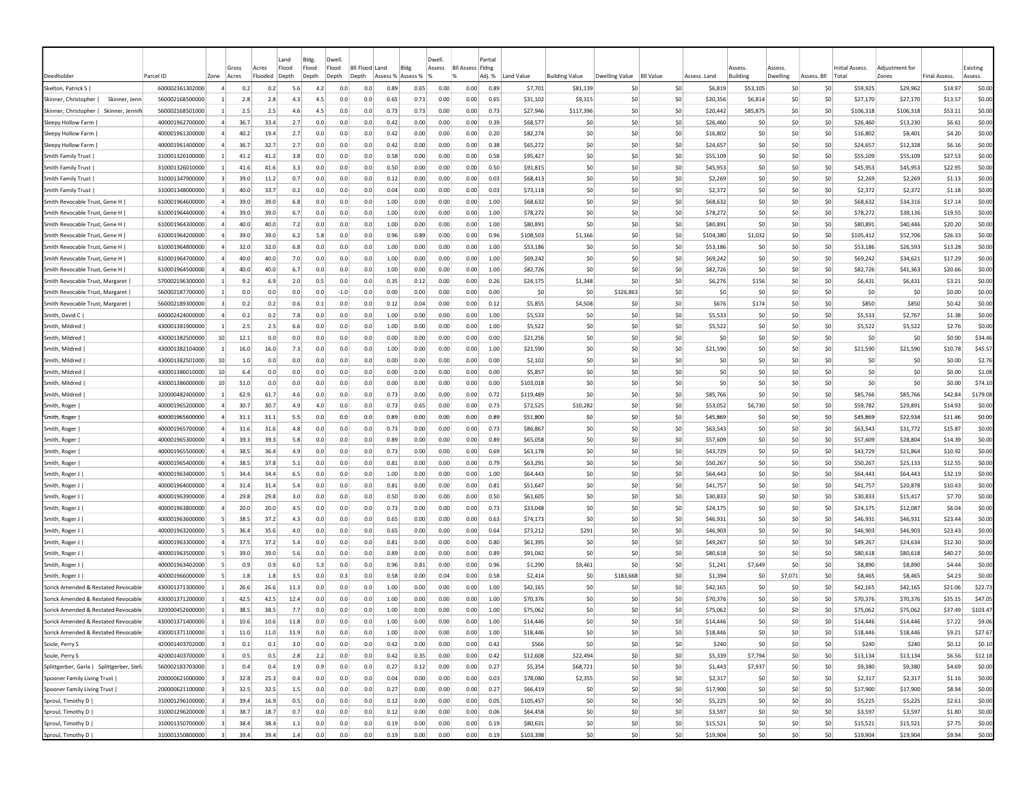|                                           |                 |                         | Gross                           | Land<br>Flood<br>Acres | Bldg.<br>Flood | Dwell<br>Flood |        | <b>Bll Flood Land</b> | Bldg              | Dwell<br>Assess | <b>BII Assess Fidne</b> | Partia      |            |                       |                 |                  |                | Assess          | Asspss   |                 | Initial Assess. | Adiustment for |                     | Existing |
|-------------------------------------------|-----------------|-------------------------|---------------------------------|------------------------|----------------|----------------|--------|-----------------------|-------------------|-----------------|-------------------------|-------------|------------|-----------------------|-----------------|------------------|----------------|-----------------|----------|-----------------|-----------------|----------------|---------------------|----------|
| Deedholde                                 | Parcel ID       | Zone                    | Acres                           | Flooded<br>Depth       | Depth          | Depth          | Depth  |                       | Assess % Assess % |                 |                         | Adj. %      | Land Value | <b>Building Value</b> | Dwelling Value  | <b>BII Value</b> | Assess. Land   | <b>Building</b> | Dwelling | Assess. Bll     | Total           | Zones          | <b>Final Assess</b> | Assess.  |
| Skelton, Patrick S                        | 600002361302000 | $\overline{a}$          | 0.2                             | 0.2                    | 5.6<br>4.2     |                | 0.0    | 0.0<br>0.89           | 0.65              | 0.00            | 0.00                    | 0.89        | \$7,701    | \$81,139              | -SC             | \$0              | \$6,819        | \$53,105        | \$C      | S0              | \$59,925        | \$29,962       | \$14.97             | \$0.00   |
| Skinner, Christopher  <br>Skinner, Jenn   | 560002168500000 |                         | 2.8                             | 2.8                    | 4.3            | 4.5            | 0.0    | 0.0<br>0.65           | 0.73              | 0.00            | 0.00                    | 0.65        | \$31,102   | \$9,315               | \$0             | \$0              | \$20,356       | \$6,814         | \$0      | \$0             | \$27,170        | \$27,170       | \$13.57             | \$0.00   |
| Skinner, Christopher  <br>Skinner, Jennif | 560002168501000 |                         | 2.5                             | 2.5                    | 4.6            | 4.5            | 0.0    | 0.73<br>0.0           | 0.73              | 0.00            | 0.00                    | 0.73        | \$27,946   | \$117,396             | \$0             | \$0              | \$20,442       | \$85,875        | \$0      | \$0             | \$106,318       | \$106,318      | \$53.11             | \$0.00   |
| Sleepy Hollow Farm                        | 400001962700000 | $\overline{a}$          | 36.7                            | 33.4                   | 2.7            | 0.0            | 0.0    | 0.0<br>0.42           | 0.00              | 0.00            | 0.00                    | 0.39        | \$68,577   | \$C                   | S0              | \$0              | \$26,460       | -SC             | \$0      | \$0             | \$26,460        | \$13,230       | \$6.61              | \$0.00   |
| Sleepy Hollow Farm                        | 400001961300000 |                         | 40.2                            | 19.4                   | 2.7            | 0.0            | 0.0    | 0.42<br>0.0           | 0.00              | 0.00            | 0.00                    | 0.20        | \$82,274   | \$C                   | S0              | \$0              | \$16,802       | S0              | \$0      | \$0             | \$16,802        | \$8,401        | \$4.20              | \$0.00   |
| Sleepy Hollow Farm                        | 400001961400000 |                         | 36.7                            | 32.7                   | 2.7            | 0.0            | 0.0    | 0.0<br>0.42           | 0.00              | 0.00            | 0.00                    | 0.38        | \$65,272   | \$C                   | S0              | \$0              | \$24,657       | <b>SC</b>       | \$C      | \$0             | \$24,657        | \$12,328       | \$6.16              | \$0.00   |
| Smith Family Trust                        | 310001326100000 | $\mathbf{1}$            | 41.2                            | 41.2                   | 3.8            | 0.0            | 0.0    | 0.0<br>0.58           | 0.00              | 0.00            | 0.00                    | 0.58        | \$95,427   | \$C                   | \$0             | \$0              | \$55,109       | \$0             | \$0      | \$0             | \$55,109        | \$55,109       | \$27.53             | \$0.00   |
| Smith Family Trust                        | 310001326010000 |                         | 41.6                            | 41.6                   | 3.3            | 0.0            | 0.0    | 0.0<br>0.50           | 0.00              | 0.00            | 0.00                    | 0.50        | \$91,815   | \$C                   | \$0             | \$0              | \$45,953       | \$0             | \$0      | \$0             | \$45,953        | \$45,953       | \$22.95             | \$0.00   |
| Smith Family Trust                        | 310001347900000 | 3                       | 39.C                            | 11.2                   | 0.7            | 0.0            | 0.0    | 0.0<br>0.12           | 0.00              | 0.00            | 0.00                    | 0.03        | \$68,413   | <b>SC</b>             | S0              | \$0              | \$2,269        | <b>SC</b>       | \$0      | -SO             | \$2,269         | \$2,269        | \$1.13              | \$0.00   |
| Smith Family Trust                        | 310001348000000 | -31                     | 40.0                            | 33.7                   | 0.2            | 0.0            | 0.0    | 0.0<br>0.04           | 0.00              | 0.00            | 0.00                    | 0.03        | \$73,118   | \$0                   | S0              | S0               | \$2,372        | S0              | \$0      | \$0             | \$2,372         | \$2,372        | \$1.18              | \$0.00   |
| Smith Revocable Trust, Gene H             | 610001964600000 |                         | 39.0                            | 39.0                   | 6.8            | 0.0            | 0.0    | 1.00<br>0.0           | 0.00              | 0.00            | 0.00                    | 1.00        | \$68,632   | \$0                   | S0              | \$0              | \$68,632       | S0              | \$0      | \$0             | \$68,632        | \$34,316       | \$17.14             | \$0.00   |
| Smith Revocable Trust, Gene H             | 610001964400000 |                         | 39.0                            | 39.0                   | 6.7            | 0.0            | 0.0    | 0.0<br>1.00           | 0.00              | 0.00            | 0.00                    | 1.00        | \$78,272   | \$C                   | \$0             | \$0              | \$78,272       | \$0             | \$0      | \$0             | \$78,272        | \$39,136       | \$19.55             | \$0.00   |
| Smith Revocable Trust, Gene H             | 610001964300000 |                         | 40.0                            | 40.0                   | 7.2            | 0.0            | 0.0    | 0.0<br>1.00           | 0.00              | 0.00            | 0.00                    | 1.00        | \$80,891   | \$C                   | S0              | \$0              | \$80,891       | <b>SC</b>       | \$0      | \$0             | \$80,891        | \$40,446       | \$20.20             | \$0.00   |
| Smith Revocable Trust, Gene H             | 610001964200000 |                         | 39.0                            | 39.0                   | 6.2            | 5.8            | 0.0    | 0.0<br>0.96           | 0.89              | 0.00            | 0.00                    | 0.96        | \$108,503  | \$1,166               | \$0             | \$0              | \$104,380      | \$1,032         | \$0      | \$0             | \$105,412       | \$52,706       | \$26.33             | \$0.00   |
| Smith Revocable Trust, Gene H             | 610001964800000 |                         | 32.0                            | 32.0                   | 6.8            | 0.0            | 0.0    | 1.00<br>0.0           | 0.00              | 0.00            | 0.00                    | 1.00        | \$53,186   | \$C                   | S0              | \$0              | \$53,186       | S0              | \$0      | \$0             | \$53,186        | \$26,593       | \$13.28             | \$0.00   |
| Smith Revocable Trust, Gene H             | 610001964700000 |                         | 40.0                            | 40.0                   | 7.0            | 0.0            | 0.0    | 1.00<br>0.0           | 0.00              | 0.00            | 0.00                    | 1.00        | \$69,242   | \$C                   | S0              | \$0              | \$69,242       | \$C             | \$0      | -SO             | \$69,242        | \$34,621       | \$17.29             | \$0.00   |
| Smith Revocable Trust, Gene H             | 610001964500000 |                         | 40.0                            | 40.0                   | 6.7            | 0.0            | 0.0    | 0.0<br>1.00           | 0.00              | 0.00            | 0.00                    | 1.00        | \$82,726   | \$C                   | \$0             | \$0              | \$82.726       | S0              | \$0      | \$0             | \$82,726        | \$41,363       | \$20.66             | \$0.00   |
| Smith Revocable Trust, Margaret           | 570002196300000 |                         | 9.2                             | 6.9                    | 2.0            | 0.5            | 0.0    | 0.0<br>0.35           | 0.12              | 0.00            | 0.00                    | 0.26        | \$24,175   | \$1,348               | \$0             | \$0              | \$6,276        | \$156           | \$0      | \$0             | \$6,431         | \$6,431        | \$3.21              | \$0.00   |
| Smith Revocable Trust, Margaret           | 560002187700000 |                         | 0.0                             | 0.0                    | 0.0            | 0.0            | $-1.0$ | 0.0<br>0.00           | 0.00              | 0.00            | 0.00                    | 0.00        | \$0        | \$C                   | \$126,863       | \$0              | S <sub>0</sub> | \$C             | \$C      | \$0             | \$0             | \$0            | \$0.00              | \$0.00   |
| Smith Revocable Trust, Margaret           | 560002189300000 |                         | 0.2                             | 0.2                    | 0.6            | 0.1            | 0.0    | 0.0<br>0.12           | 0.04              | 0.00            | 0.00                    | 0.12        | \$5,855    | \$4,508               | \$0             | \$0              | \$676          | \$174           | \$0      | \$0             | \$850           | \$850          | \$0.42              | \$0.00   |
| Smith, David C                            | 600002424000000 | 4                       | 0.2                             | 0.2                    | 7.8            | 0.0            | 0.0    | 0.0<br>1.00           | 0.00              | 0.00            | 0.00                    | 1.00        | \$5,533    | \$C                   | -SO             | \$0              | \$5,533        | S0              | \$0      | S0              | \$5,533         | \$2,767        | \$1.38              | \$0.00   |
| Smith, Mildred                            | 430001381900000 | -1                      | 2.5                             | 2.5                    | 6.6            | 0.0            | 0.0    | 0.0<br>1.00           | 0.00              | 0.00            | 0.00                    | 1.00        | \$5,522    | <b>SC</b>             | -SO             | \$0              | \$5,522        | S0              | S0       | S0              | \$5,522         | \$5,522        | \$2.76              | \$0.00   |
| Smith, Mildred                            | 430001382500000 | 10                      | 12.1                            | 0.0                    | 0.0            | 0.0            | 0.0    | 0.00<br>0.0           | 0.00              | 0.00            | 0.00                    | 0.00        | \$21,256   | \$0                   | S0              | SO.              | S <sub>0</sub> | S0              | \$0      | \$0             | -SO             | S <sub>0</sub> | \$0.00              | \$34.46  |
| Smith, Mildred                            | 430001382104000 |                         | 16.0                            | 16.0                   | 7.3            | 0.0            | 0.0    | 1.00<br>0.0           | 0.00              | 0.00            | 0.00                    | 1.00        | \$21,590   | \$0                   | S0              | \$0              | \$21.590       | S0              | \$0      | \$0             | \$21,590        | \$21,590       | \$10.78             | \$45.57  |
| Smith, Mildred                            | 430001382501000 | 10                      | 1.0                             | 0.0                    | 0.0            | 0.0            | 0.0    | 0.0<br>0.00           | 0.00              | 0.00            | 0.00                    | 0.00        | \$2,102    | \$C                   | \$0             | \$0              | \$0            | \$C             | \$C      | \$0             | S0              | \$0            | \$0.00              | \$2.76   |
| Smith, Mildred                            | 430001386010000 | 10                      | 6.4                             | 0.0                    | 0.0            | 0.0            | 0.0    | 0.0<br>0.00           | 0.00              | 0.00            | 0.00                    | 0.00        | \$5,857    | \$0                   | \$0             | \$0              | \$0            | \$0             | \$0      | \$0             | \$0             | \$0            | \$0.00              | \$1.08   |
| Smith, Mildred                            | 430001386000000 | 10                      | 51.0                            | 0.0                    | 0.0            | 0.0            | 0.0    | 0.0<br>0.00           | 0.00              | 0.00            | 0.00                    | 0.00        | \$103,018  | \$C                   | \$0             | \$0              | \$0            | \$C             | \$C      | \$0             | \$0             | \$0            | \$0.00              | \$74.10  |
| Smith, Mildred                            | 320000482400000 |                         | 62.9                            | 61.7                   | 4.6            | 0.0            | 0.0    | 0.73<br>0.0           | 0.00              | 0.00            | 0.00                    | 0.72        | \$119,489  | \$C                   | \$0             | \$0              | \$85,766       | \$0             | \$0      | \$0             | \$85,766        | \$85,766       | \$42.84             | \$179.08 |
| Smith, Roger                              | 400001965200000 | $\overline{a}$          | 30.7                            | 30.7                   | 4.9            | 4.0            | 0.0    | 0.0<br>0.73           | 0.65              | 0.00            | 0.00                    | 0.73        | \$72,525   | \$10,282              | S0              | \$0              | \$53,052       | \$6,730         | \$0      | \$0             | \$59,782        | \$29,891       | \$14.93             | \$0.00   |
| Smith, Roger                              | 400001965600000 | 4                       | 31.1                            | 31.1                   | 5.5            | 0.0            | 0.0    | 0.0<br>0.89           | 0.00              | 0.00            | 0.00                    | 0.89        | \$51,800   | \$C                   | \$0             | \$0              | \$45.869       | \$C             | \$0      | \$0             | \$45,869        | \$22,934       | \$11.46             | \$0.00   |
| Smith, Roger                              | 400001965700000 |                         | 31.6                            | 31.6                   | 4.8            | 0.0            | 0.0    | 0.0<br>0.73           | 0.00              | 0.00            | 0.00                    | 0.73        | \$86,867   | \$C                   | \$0             | \$0              | \$63,543       | \$C             | \$0      | \$0             | \$63,543        | \$31,772       | \$15.87             | \$0.00   |
| Smith, Roger                              | 400001965300000 |                         | 39.3                            | 39.3                   | 5.8            | 0.0            | 0.0    | 0.0<br>0.89           | 0.00              | 0.00            | 0.00                    | 0.89        | \$65,058   | \$C                   | \$0             | \$0              | \$57,609       | \$C             | \$C      | \$0             | \$57,609        | \$28,804       | \$14.39             | \$0.00   |
| Smith, Roger                              | 400001965500000 | $\Delta$                | 38.5                            | 36.4                   | 4.9            | 0.0            | 0.0    | 0.0<br>0.73           | 0.00              | 0.00            | 0.00                    | 0.69        | \$63,178   | \$C                   | \$0             | \$0              | \$43,729       | \$0             | \$0      | \$0             | \$43,729        | \$21,864       | \$10.92             | \$0.00   |
| Smith, Roger                              | 400001965400000 | $\overline{a}$          | 38.5                            | 37.8                   | 5.1            | 0.0            | 0.0    | 0.0<br>0.81           | 0.00              | 0.00            | 0.00                    | 0.79        | \$63,291   | S0                    | -SO             | SO.              | \$50,267       | S0              | S0       | S0              | \$50,267        | \$25,133       | \$12.55             | \$0.00   |
| Smith, Roger J                            | 400001963400000 |                         | 34.4                            | 34.4                   | 6.5            | 0.0            | 0.0    | 0.0<br>1.00           | 0.00              | 0.00            | 0.00                    | 1.00        | \$64,443   | <b>SC</b>             | S0              | \$0              | \$64,443       | -SC             | \$0      | -SO             | \$64,443        | \$64,443       | \$32.19             | \$0.00   |
| Smith, Roger J                            | 400001964000000 | 4                       | 31.4                            | 31.4                   | 5.4            | 0.0            | 0.0    | 0.81<br>0.0           | 0.00              | 0.00            | 0.00                    | 0.81        | \$51,647   | \$0                   | S0              | SO.              | \$41,757       | S0              | \$0      | \$0             | \$41,757        | \$20,878       | \$10.43             | \$0.00   |
| Smith, Roger J                            | 400001963900000 |                         | 29.8                            | 29.8                   | 3.0            | 0.0            | 0.0    | 0.50<br>0.0           | 0.00              | 0.00            | 0.00                    | 0.50        | \$61,605   | \$0                   | S0              | \$0              | \$30,833       | S0              | \$0      | \$0             | \$30,833        | \$15,417       | \$7.70              | \$0.00   |
| Smith, Roger J                            | 400001963800000 |                         | 20.0                            | 20.0                   | 4.5            | 0.0            | 0.0    | 0.0<br>0.73           | 0.00              | 0.00            | 0.00                    | 0.73        | \$33,048   | \$C                   | \$0             | \$0              | \$24,175       | \$0             | \$C      | \$0             | \$24,175        | \$12,087       | \$6.04              | \$0.00   |
| Smith, Roger J                            | 400001963600000 |                         | 38.5                            | 37.2                   | 4.3            | 0.0            | 0.0    | 0.0<br>0.65           | 0.00              | 0.00            | 0.00                    | 0.63        | \$74,173   | \$C                   | \$0             | \$0              | \$46,931       | \$0             | \$0      | \$0             | \$46,931        | \$46,931       | \$23.44             | \$0.00   |
| Smith, Roger J                            | 400001963200000 |                         | 36.4                            | 35.6                   | 4.0            | 0.0            | 0.0    | 0.0<br>0.65           | 0.00              | 0.00            | 0.00                    | 0.64        | \$73,212   | \$291                 | \$0             | \$0              | \$46,903       | \$0             | \$0      | \$0             | \$46,903        | \$46,903       | \$23.43             | \$0.00   |
| Smith, Roger J                            | 400001963300000 |                         | 37.5                            | 37.2                   | 5.4            | 0.0            | 0.0    | 0.81<br>0.0           | 0.00              | 0.00            | 0.00                    | 0.80        | \$61,395   | \$C                   | S0              | \$0              | \$49,267       | \$0             | \$0      | \$0             | \$49,267        | \$24,634       | \$12.30             | \$0.00   |
| Smith, Roger J                            | 400001963500000 | -51                     | 39.0                            | 39.0                   | 5.6            | 0.0            | 0.0    | 0.89<br>0.0           | 0.00              | 0.00            | 0.00                    | 0.89        | \$91.042   | \$0                   | S0              | \$0              | \$80,618       | S0              | \$0      | \$0             | \$80,618        | \$80,618       | \$40.27             | \$0.00   |
| Smith, Roger J                            | 400001963402000 |                         | 0.9                             | 0.9                    | 6.0            | 5.3            | 0.0    | 0.96<br>0.0           | 0.81              | 0.00            | 0.00                    | 0.96        | \$1,290    | \$9,461               | S0              | \$0              | \$1,241        | \$7,649         | \$0      | \$0             | \$8,890         | \$8,890        | \$4,44              | \$0.00   |
| Smith, Roger J                            | 400001966000000 |                         | 1.8                             | 1.8                    | 3.5            | 0.0            | 0.3    | 0.0<br>0.58           | 0.00              | 0.04            | 0.00                    | 0.58        | \$2,414    | \$C                   | \$183,668       | \$0              | \$1,394        | \$0             | \$7,071  | \$0             | \$8,465         | \$8,465        | \$4.23              | \$0.00   |
| Sorick Amended & Restated Revocable       | 430001371300000 |                         | 26.6                            | 26.6                   | 11.3           | 0.0            | 0.0    | 0.0<br>1.00           | 0.00              | 0.00            | 0.00                    | 1.00        | \$42,165   | \$C                   | \$0             | \$0              | \$42,165       | \$C             | \$0      | \$0             | \$42,165        | \$42,165       | \$21.06             | \$22.73  |
| Sorick Amended & Restated Revocable       | 430001371200000 |                         | 42.5                            | 42.5                   | 12.4           | 0.0            | 0.0    | 1.00<br>0.0           | 0.00              | 0.00            | 0.00                    | 1.00        | \$70,376   | \$C                   | \$0             | \$0              | \$70,376       | \$C             | so       | S0              | \$70,376        | \$70,376       | \$35.15             | \$47.05  |
| Sorick Amended & Restated Revocable       | 320000452600000 |                         | 38.5                            | 38.5                   | 7.7            | 0.0            | 0.0    | 0.0<br>1.00           | 0.00              | 0.00            | 0.00                    | 1.00        | \$75,062   | <b>SC</b>             | -SO             | \$0              | \$75,062       | S0              | S0       | S0              | \$75,062        | \$75,062       | \$37.49             | \$103.47 |
| Sorick Amended & Restated Revocable       | 430001371400000 |                         | 10.6                            | 10.6                   | 11.8           | 0.0            | 0.0    | 1.00<br>0.0           | 0.00              | 0.00            | 0.00                    | 1.00        | \$14,446   | \$0                   | S <sub>0</sub>  | \$0              | \$14,446       | \$0             | \$0      | \$0             | \$14,446        | \$14,446       | \$7.22              | \$9.06   |
| Sorick Amended & Restated Revocable       | 430001371100000 | $\vert$ 1               | 11.0                            | 11.0                   | 11.9           | 0.0            | 0.0    | 0.0<br>1.00           | 0.00              | 0.00            | 0.00                    | 1.00        | \$18,446   | \$0                   | 50 <sub>1</sub> | \$0              | \$18,446       | \$0             | 50       | \$0             | \$18,446        | \$18,446       | \$9.21              | \$27.67  |
| Soule, Perry S                            | 420001403702000 | $\overline{\mathbf{3}}$ | 0.1                             | 0.1                    | 3.0            | 0.0            | 0.0    | 0.0<br>0.42           | 0.00              | 0.00            | 0.00                    | 0.42        | \$566      | \$0                   | 50              | \$0              | \$240          | \$0             | \$0      | \$0             | \$240           | \$240          | \$0.12              | \$0.10   |
| Soule, Perry S                            | 420001403700000 | $\vert$ 3               | 0.5                             | 0.5                    | 2.8            | 2.2            | 0.0    | 0.0<br>0.42           | 0.35              | 0.00            | 0.00                    | 0.42        | \$12,608   | \$22,494              | \$0             | \$0              | \$5,339        | \$7,794         | \$0      | \$0             | \$13,134        | \$13,134       | \$6.56              | \$12.18  |
| Splittgerber, Garla   Splittgerber, Stefa | 560002183703000 | $\mathbf{1}$            | 0.4                             | 0.4                    | 1.9            | 0.9            | 0.0    | 0.0<br>0.27           | 0.12              | 0.00            | 0.00                    | 0.27        | \$5,354    | \$68,721              | 50              | \$0              | \$1,443        | \$7,937         | 50       | \$0             | \$9,380         | \$9,380        | \$4.69              | \$0.00   |
| Spooner Family Living Trust               | 200000621000000 |                         | $\overline{3}$<br>32.8          | 25.3                   | 0.4            | 0.0            | 0.0    | 0.0<br>0.04           | 0.00              | 0.00            | 0.00                    | 0.03        | \$78,080   | \$2,355               | 50              | \$0              | \$2,317        | \$0             | 50       | \$0             | \$2,317         | \$2,317        | \$1.16              | \$0.00   |
| Spooner Family Living Trust               | 200000621100000 |                         | $\overline{\mathbf{3}}$<br>32.5 | 32.5                   | 1.5            | 0.0            | 0.0    | 0.27<br>0.0           | 0.00              | 0.00            | 0.00                    | 0.27        | \$66,419   | \$0                   | 50              | \$0              | \$17,900       | \$0             | 50       | \$0             | \$17,900        | \$17,900       | \$8.94              | \$0.00   |
| Sproul, Timothy D                         | 310001296100000 |                         | $\overline{\mathbf{3}}$<br>39.4 | 16.9                   | 0.5            | 0.0            | 0.0    | 0.0<br>0.12           | 0.00              | 0.00            | 0.00                    | 0.05        | \$105,457  | \$0                   | \$0             | \$0              | \$5,225        | \$0             | 50       | 50              | \$5,225         | \$5,225        | \$2.61              | \$0.00   |
| Sproul, Timothy D                         | 310001296200000 |                         | $\overline{\mathbf{3}}$<br>38.7 | 18.7                   | 0.7            | 0.0            | 0.0    | 0.0<br>0.12           | 0.00              | 0.00            | 0.00                    | 0.06        | \$64,458   | \$0                   | \$0             | \$0              | \$3,597        | \$0             | \$0      | \$0             | \$3,597         | \$3,597        | \$1.80              | \$0.00   |
| Sproul, Timothy D                         | 310001350700000 | $\vert$ 3               | 38.4                            | 38.4                   | 1.1            | 0.0            | 0.0    | 0.0<br>0.19           | 0.00              | 0.00            | 0.00                    | 0.19        | \$80,631   | \$0                   | \$0             | \$0              | \$15,521       | \$0             | \$0      | \$0             | \$15,521        | \$15,521       | \$7.75              | \$0.00   |
| Sproul, Timothy D                         | 310001350800000 | $\vert$ 3               | 39.4                            | 39.4                   | 1.4            | 0.0            | 0.0    | 0.0<br>0.19           | 0.00              | 0.00            |                         | $0.00$ 0.19 | \$103,398  | 50                    | 50              | \$0              | \$19,904       | 50              | 50       | 50 <sub>2</sub> | \$19,904        | \$19,904       | \$9.94              | \$0.00   |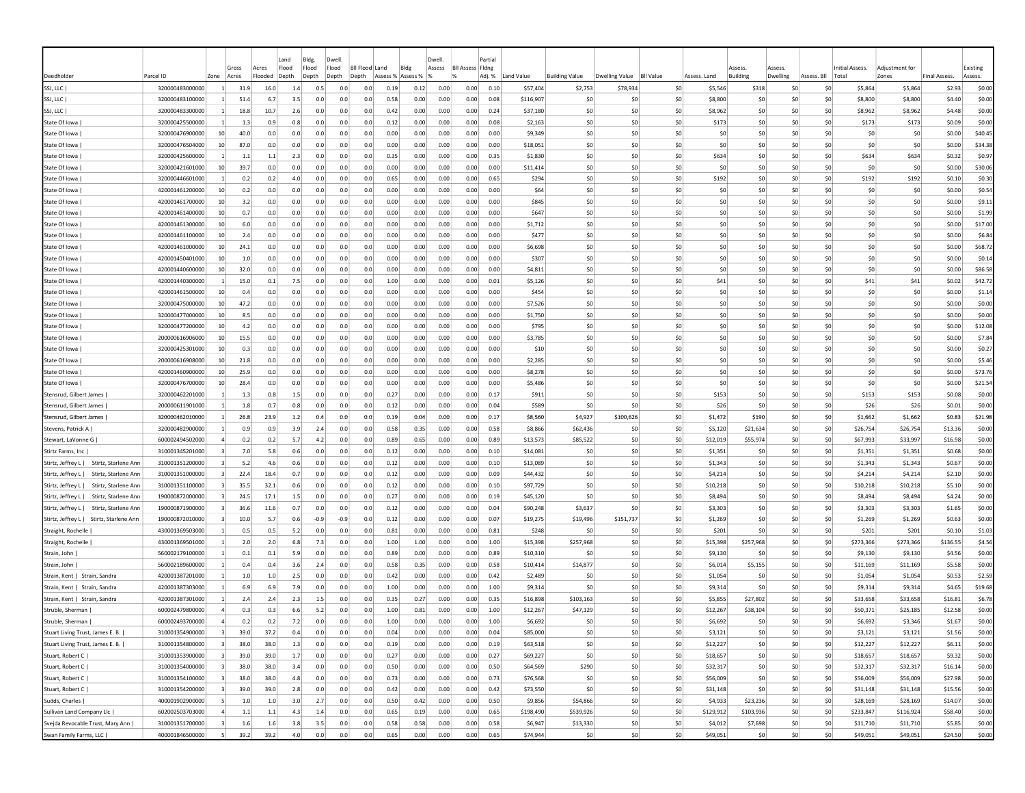|                                             |                 |                         | Gross | Land<br>Flood<br>Acres | Bldg.<br>Flood |         | Dwell<br>Flood | <b>BII Flood</b> | Land              | Bldg | Dwell<br>Assess | <b>BII Assess Fidng</b> | Partial |            |                       |                |                  |                | <i><b>SSESS</b></i> | <i><b>SSESS</b></i> |                | <b>Initial Assess.</b> | Adjustment for |                     | Existing |
|---------------------------------------------|-----------------|-------------------------|-------|------------------------|----------------|---------|----------------|------------------|-------------------|------|-----------------|-------------------------|---------|------------|-----------------------|----------------|------------------|----------------|---------------------|---------------------|----------------|------------------------|----------------|---------------------|----------|
| Deedholder                                  | Parcel ID       | Zone                    | Acres | Flooded<br>Depth       | Depth          |         | Depth          | Depth            | Assess % Assess % |      |                 | $\alpha$                | Adj. %  | Land Value | <b>Building Value</b> | Dwelling Value | <b>BII Value</b> | Assess, Land   | <b>Building</b>     | Dwelling            | Assess. Bll    | Total                  | Zones          | <b>Final Assess</b> | Assess.  |
| SSJ, LLC                                    | 320000483000000 | -11                     | 31.9  | 16.0                   | 1.4            | 0.5     | 0.0            | 0.0              | 0.19              | 0.12 | 0.00            | 0.00                    | 0.10    | \$57,404   | \$2,753               | \$78,934       | \$0              | \$5,546        | \$318               | <b>SC</b>           | S0             | \$5,864                | \$5,864        | \$2.93              | \$0.00   |
| SSJ, LLC                                    | 320000483100000 |                         | 51.4  | 6.7                    | 3.5            | 0.0     | 0.0            | 0.0              | 0.58              | 0.00 | 0.00            | 0.00                    | 0.08    | \$116,907  | \$C                   | S0             | \$0              | \$8,800        | \$C                 | \$C                 | \$0            | \$8,800                | \$8,800        | \$4.40              | \$0.00   |
| SSJ, LLC                                    | 320000483300000 |                         | 18.8  | 10.7                   | 2.6            | 0.0     | 0.0            | 0.0              | 0.42              | 0.00 | 0.00            | 0.00                    | 0.24    | \$37,180   | \$C                   | S <sub>0</sub> | \$0              | \$8,962        | \$0                 | \$C                 | \$0            | \$8,962                | \$8,962        | \$4,48              | \$0.00   |
| State Of Iowa                               | 320000425500000 | -1                      | 1.3   | 0.9                    | 0.8            | 0.0     | 0.0            | 0.0              | 0.12              | 0.00 | 0.00            | 0.00                    | 0.08    | \$2,163    | \$C                   | S <sub>0</sub> | \$0              | \$173          | \$0                 | \$C                 | \$0            | \$173                  | \$173          | \$0.09              | \$0.00   |
| State Of Iowa                               | 320000476900000 | 10                      | 40.0  | 0.0                    | 0.0            | 0.0     | 0.0            | 0.0              | 0.00              | 0.00 | 0.00            | 0.00                    | 0.00    | \$9,349    | \$C                   | \$0            | \$0              | \$0            | \$C                 | \$C                 | S0             | \$0                    | \$0            | \$0.00              | \$40.45  |
| State Of Iowa                               | 320000476504000 | 10 <sup>1</sup>         | 87.0  | 0.0                    | 0.0            | 0.0     | 0.0            | 0.0              | 0.00              | 0.00 | 0.00            | 0.00                    | 0.00    | \$18,051   | \$0                   | \$0            | \$0              | \$0            | \$0                 | \$0                 | \$0            | \$0                    | \$0            | \$0.00              | \$34.38  |
| State Of Iowa                               | 320000425600000 | -1                      | 1.1   | 1.1                    | 2.3            | 0.0     | 0.0            | 0.0              | 0.35              | 0.00 | 0.00            | 0.00                    | 0.35    | \$1,830    | \$C                   | -SO            | \$0              | \$634          | S0                  | S0                  | S0             | \$634                  | \$634          | \$0.32              | \$0.97   |
| State Of Iowa                               | 320000421601000 | 10                      | 39.7  | 0.0                    | 0.0            | 0.0     | 0.0            | 0.0              | 0.00              | 0.00 | 0.00            | 0.00                    | 0.00    | \$11,414   | \$0                   | -SO            | S0               | -SO            | S0                  | S0                  | S0             | S0                     | -SO            | \$0.00              | \$30.06  |
| State Of Iowa                               | 320000446601000 |                         | 0.2   | 0.2                    | 4.0            | 0.0     | 0.0            | 0.0              | 0.65              | 0.00 | 0.00            | 0.00                    | 0.65    | \$294      | \$0                   | S <sub>0</sub> | \$0              | \$192          | S0                  | \$0                 | \$0            | \$192                  | \$192          | \$0.10              | \$0.30   |
| State Of Iowa                               | 420001461200000 | 10 <sup>1</sup>         | 0.2   | 0.0                    | 0.0            | 0.0     | 0.0            | 0.0              | 0.00              | 0.00 | 0.00            | 0.00                    | 0.00    | \$64       | \$0                   | \$0            | \$0              | \$0            | \$0                 | \$C                 | \$0            | \$0                    | \$0            | \$0.00              | \$0.54   |
| State Of Iowa                               | 420001461700000 | 10                      | 3.2   | 0.0                    | 0.0            | 0.0     | 0.0            | 0.0              | 0.00              | 0.00 | 0.00            | 0.00                    | 0.00    | \$845      | \$C                   | \$0            | \$0              | \$0            | \$C                 | \$C                 | \$0            | \$0                    | \$0            | \$0.00              | \$9.11   |
| State Of Iowa                               | 420001461400000 | 10                      | 0.7   | 0.0                    | 0.0            | 0.0     | 0.0            | 0.0              | 0.00              | 0.00 | 0.00            | 0.00                    | 0.00    | \$647      | \$C                   | \$0            | \$0              | \$0            | \$0                 | \$C                 | \$0            | \$0                    | \$0            | \$0.00              | \$1.99   |
| State Of Iowa                               | 420001461300000 | 10                      | 6.0   | 0.0                    | 0.0            | 0.0     | 0.0            | 0.0              | 0.00              | 0.00 | 0.00            | 0.00                    | 0.00    | \$1,712    | \$C                   | \$0            | \$0              | \$0            | \$C                 | \$0                 | \$0            | \$0                    | \$0            | \$0.00              | \$17.00  |
| State Of Iowa                               | 420001461100000 | 10                      | 2.4   | 0.0                    | 0.0            | 0.0     | 0.0            | 0.0              | 0.00              | 0.00 | 0.00            | 0.00                    | 0.00    | \$477      | \$0                   | -SO            | \$0              | \$0            | S0                  | \$C                 | \$0            | S0                     | \$0            | \$0.00              | \$6.84   |
| State Of Iowa                               | 420001461000000 | 10 <sub>1</sub>         | 24.1  | 0.0                    | 0.0            | 0.0     | 0.0            | 0.0              | 0.00              | 0.00 | 0.00            | 0.00                    | 0.00    | \$6,698    | \$0                   | S <sub>0</sub> | \$0              | \$0            | S0                  | \$C                 | \$0            | \$0                    | \$0            | \$0.00              | \$68.72  |
| State Of Iowa                               | 420001450401000 | 10                      | 1.0   | 0.0                    | 0.0            | 0.0     | 0.0            | 0.0              | 0.00              | 0.00 | 0.00            | 0.00                    | 0.00    | \$307      | \$0                   | S <sub>0</sub> | \$0              | \$0            | S0                  | \$C                 | \$0            | \$0                    | \$0            | \$0.00              | \$0.14   |
| State Of Iowa                               | 420001440600000 | 10                      | 32.0  | 0.0                    | 0.0            | 0.0     | 0.0            | 0.0              | 0.00              | 0.00 | 0.00            | 0.00                    | 0.00    | \$4,811    | \$0                   | S <sub>0</sub> | \$0              | \$0            | S0                  | \$C                 | \$0            | \$0                    | \$0            | \$0.00              | \$86.58  |
| State Of Iowa                               | 420001440300000 | $\mathbf{1}$            | 15.0  | 0.1                    | 7.5            | 0.0     | 0.0            | 0.0              | 1.00              | 0.00 | 0.00            | 0.00                    | 0.01    | \$5,126    | \$0                   | \$0            | \$0              | \$41           | \$0                 | \$0                 | \$0            | \$41                   | \$41           | \$0.02              | \$42.72  |
| State Of Iowa                               | 420001461500000 | 10                      | 0.4   | 0.0                    | 0.0            | 0.0     | 0.0            | 0.0              | 0.00              | 0.00 | 0.00            | 0.00                    | 0.00    | \$454      | \$C                   | \$0            | \$0              | \$0            | \$0                 | \$0                 | \$0            | \$0                    | \$0            | \$0.00              | \$1.14   |
| State Of Iowa                               | 320000475000000 | 10                      | 47.2  | 0.0                    | 0.0            | 0.0     | 0.0            | 0.0              | 0.00              | 0.00 | 0.00            | 0.00                    | 0.00    | \$7,526    | <b>SC</b>             | -SO            | SO.              | S0             | S0                  | S0                  | S0             | S0                     | S0             | \$0.00              | \$0.00   |
| State Of Iowa                               | 320000477000000 | 10                      | 8.5   | 0.0                    | 0.0            | 0.0     | 0.0            | 0.0              | 0.00              | 0.00 | 0.00            | 0.00                    | 0.00    | \$1,750    | \$0                   | S <sub>0</sub> | \$0              | S <sub>0</sub> | S0                  | \$0                 | \$0            | S0                     | \$0            | \$0.00              | \$0.00   |
| State Of Iowa                               | 320000477200000 | 10                      | 4.2   | 0.0                    | 0.0            | 0.0     | 0.0            | 0.0              | 0.00              | 0.00 | 0.00            | 0.00                    | 0.00    | \$795      | \$0                   | S <sub>0</sub> | \$0              | \$0            | S0                  | \$0                 | \$0            | \$0                    | \$0            | \$0.00              | \$12.08  |
| State Of Iowa                               | 200000616906000 | 10 <sup>1</sup>         | 15.5  | 0.0                    | 0.0            | 0.0     | 0.0            | 0.0              | 0.00              | 0.00 | 0.00            | 0.00                    | 0.00    | \$3,785    | \$0                   | \$0            | \$0              | \$0            | \$0                 | \$C                 | \$0            | \$0                    | \$0            | \$0.00              | \$7.84   |
| State Of Iowa                               | 320000425301000 | 10                      | 0.3   | 0.0                    | 0.0            | 0.0     | 0.0            | 0.0              | 0.00              | 0.00 | 0.00            | 0.00                    | 0.00    | \$10       | \$C                   | S <sub>0</sub> | \$0              | \$0            | <b>SC</b>           | \$C                 | \$0            | \$0                    | \$0            | \$0.00              | \$0.27   |
| State Of Iowa                               | 200000616908000 | 10                      | 21.8  | 0.0                    | 0.0            | 0.0     | 0.0            | 0.0              | 0.00              | 0.00 | 0.00            | 0.00                    | 0.00    | \$2,285    | \$0                   | \$0            | \$0              | \$0            | \$0                 | so                  | \$0            | \$0                    | \$0            | \$0.00              | \$5.46   |
| State Of Iowa                               | 420001460900000 | 10                      | 25.9  | 0.0                    | 0.0            | 0.0     | 0.0            | 0.0              | 0.00              | 0.00 | 0.00            | 0.00                    | 0.00    | \$8,278    | \$0                   | -SO            | \$0              | S0             | S0                  | S0                  | \$0            | S0                     | \$0            | \$0.00              | \$73.76  |
| State Of Iowa                               | 320000476700000 | 10                      | 28.4  | 0.0                    | 0.0            | 0.0     | 0.0            | 0.0              | 0.00              | 0.00 | 0.00            | 0.00                    | 0.00    | \$5,486    | \$0                   | -SO            | \$0              | S0             | -SC                 | so                  | \$0            | -SO                    | S0             | \$0.00              | \$21.54  |
| Stensrud, Gilbert James                     | 320000462201000 | -11                     | 1.3   | 0.8                    | 1.5            | 0.0     | 0.0            | 0.0              | 0.27              | 0.00 | 0.00            | 0.00                    | 0.17    | \$911      | \$0                   | S0             | \$0              | \$153          | S0                  | \$0                 | \$0            | \$153                  | \$153          | \$0.08              | \$0.00   |
| Stensrud, Gilbert James                     | 200000611901000 |                         | 1.8   | 0.7                    | 0.8            | 0.0     | 0.0            | 0.0              | 0.12              | 0.00 | 0.00            | 0.00                    | 0.04    | \$589      | \$0                   | \$0            | \$0              | \$26           | \$0                 | \$0                 | \$0            | \$26                   | \$26           | \$0.01              | \$0.00   |
| Stensrud, Gilbert James                     | 320000462010000 | 1                       | 26.8  | 23.9                   | 1.2            | 0.4     | 0.0            | 0.0              | 0.19              | 0.04 | 0.00            | 0.00                    | 0.17    | \$8,560    | \$4,927               | \$100,626      | \$0              | \$1,472        | \$190               | \$C                 | \$0            | \$1,662                | \$1,662        | \$0.83              | \$21.98  |
| Stevens, Patrick A                          | 320000482900000 |                         | 0.9   | 0.9                    | 3.9            | 2.4     | 0.0            | 0.0              | 0.58              | 0.35 | 0.00            | 0.00                    | 0.58    | \$8,866    | \$62,436              | S0             | \$0              | \$5,120        | \$21,634            | \$0                 | \$0            | \$26,754               | \$26,754       | \$13.36             | \$0.00   |
| Stewart, LaVonne G                          | 600002494502000 |                         | 0.2   | 0.2                    | 5.7            | 4.2     | 0.0            | 0.0              | 0.89              | 0.65 | 0.00            | 0.00                    | 0.89    | \$13,573   | \$85,522              | \$0            | \$0              | \$12,019       | \$55,974            | \$0                 | S <sub>0</sub> | \$67,993               | \$33,997       | \$16.98             | \$0.00   |
| Stirtz Farms, Inc                           | 310001345201000 | -3                      | 7.0   | 5.8                    | 0.6            | 0.0     | 0.0            | 0.0              | 0.12              | 0.00 | 0.00            | 0.00                    | 0.10    | \$14,081   | <b>SC</b>             | -SO            | \$0              | \$1,351        | -SC                 | \$0                 | S0             | \$1,351                | \$1,351        | \$0.68              | \$0.00   |
| Stirtz, Jeffrey L   Stirtz, Starlene Ann    | 310001351200000 |                         | 5.2   | 4.6                    | 0.6            | 0.0     | 0.0            | 0.0              | 0.12              | 0.00 | 0.00            | 0.00                    | 0.10    | \$13,089   | S0                    | S <sub>0</sub> | \$0              | \$1,343        | \$0                 | \$0                 | S0             | \$1,343                | \$1,343        | \$0.67              | \$0.00   |
| Stirtz, Jeffrey L   Stirtz, Starlene Ann    | 310001351000000 | -3                      | 22.4  | 18.4                   | 0.7            | 0.0     | 0.0            | 0.0              | 0.12              | 0.00 | 0.00            | 0.00                    | 0.09    | \$44,432   | \$0                   | S <sub>0</sub> | SO.              | \$4,214        | \$0                 | \$0                 | \$0            | \$4,214                | \$4,214        | \$2.10              | \$0.00   |
| Stirtz, Jeffrey L   Stirtz, Starlene Ann    | 310001351100000 | 3                       | 35.5  | 32.1                   | 0.6            | 0.0     | 0.0            | 0.0              | 0.12              | 0.00 | 0.00            | 0.00                    | 0.10    | \$97,729   | \$0                   | \$0            | \$0              | \$10,218       | \$0                 | \$0                 | \$0            | \$10,218               | \$10,218       | \$5.10              | \$0.00   |
| Stirtz, Jeffrey L  <br>Stirtz, Starlene Ann | 190000872000000 |                         | 24.5  | 17.1                   | 1.5            | 0.0     | 0.0            | 0.0              | 0.27              | 0.00 | 0.00            | 0.00                    | 0.19    | \$45,120   | \$C                   | \$0            | \$0              | \$8,494        | \$C                 | \$C                 | \$0            | \$8,494                | \$8,494        | \$4.24              | \$0.00   |
| Stirtz, Jeffrey L  <br>Stirtz, Starlene Ann | 190000871900000 |                         | 36.6  | 11.6                   | 0.7            | 0.0     | 0.0            | 0.0              | 0.12              | 0.00 | 0.00            | 0.00                    | 0.04    | \$90,248   | \$3,637               | \$0            | \$0              | \$3,303        | \$0                 | \$C                 | \$0            | \$3,303                | \$3,303        | \$1.65              | \$0.00   |
| Stirtz, Jeffrey L   Stirtz, Starlene Ann    | 190000872010000 |                         | 10.0  | 5.7                    | 0.6            | -0.9    | $-0.9$         | 0.0              | 0.12              | 0.00 | 0.00            | 0.00                    | 0.07    | \$19,275   | \$19,496              | \$151,737      | \$0              | \$1,269        | \$0                 | \$0                 | \$0            | \$1,269                | \$1,269        | \$0.63              | \$0.00   |
| Straight, Rochelle                          | 430001369503000 |                         | 0.5   | 0.5                    | 5.2            | 0.0     | 0.0            | 0.0              | 0.81              | 0.00 | 0.00            | 0.00                    | 0.81    | \$248      | \$C                   | S0             | \$0              | \$201          | \$0                 | \$0                 | \$0            | \$201                  | \$201          | \$0.10              | \$1.03   |
| Straight, Rochelle                          | 430001369501000 |                         | 2.0   | 2.0                    | 6.8            | 7.3     | 0.0            | 0.0              | 1.00              | 1.00 | 0.00            | 0.00                    | 1.00    | \$15,398   | \$257,968             | \$0            | \$0              | \$15,398       | \$257,968           | \$0                 | \$0            | \$273,366              | \$273,366      | \$136.55            | \$4.56   |
| Strain, John                                | 560002179100000 |                         | 0.1   | 0.1                    | 5.9            | 0.0     | 0.0            | 0.0              | 0.89              | 0.00 | 0.00            | 0.00                    | 0.89    | \$10,310   | \$C                   | \$0            | \$0              | \$9,130        | \$C                 | \$C                 | \$0            | \$9,130                | \$9,130        | \$4.56              | \$0.00   |
| Strain, John                                | 560002189600000 |                         | 0.4   | 0.4                    | 3.6            | 2.4     | 0.0            | 0.0              | 0.58              | 0.35 | 0.00            | 0.00                    | 0.58    | \$10,414   | \$14,877              | \$0            | \$0              | \$6,014        | \$5,155             | \$C                 | \$0            | \$11,169               | \$11,169       | \$5.58              | \$0.00   |
| Strain, Kent   Strain, Sandra               | 420001387201000 |                         | 1.0   | 1.0                    | 2.5            | 0.0     | 0.0            | 0.0              | 0.42              | 0.00 | 0.00            | 0.00                    | 0.42    | \$2,489    | \$C                   | \$0            | \$0              | \$1,054        | \$C                 | \$0                 | S <sub>0</sub> | \$1,054                | \$1,054        | \$0.53              | \$2.59   |
| Strain, Kent   Strain, Sandra               | 420001387303000 |                         | 6.9   | 6.9                    | 7.9            | 0.0     | 0.0            | 0.0              | 1.00              | 0.00 | 0.00            | 0.00                    | 1.00    | \$9,314    | \$0                   | -SO            | \$0              | \$9,314        | S0                  | \$0                 | S0             | \$9,314                | \$9,314        | \$4.65              | \$19.68  |
| Strain, Kent   Strain, Sandra               | 420001387301000 |                         | 2.4   | 2.4                    | 2.3            | $1.5\,$ | 0.0            | 0.0              | 0.35              | 0.27 | 0.00            | 0.00                    | 0.35    | \$16,898   | \$103,163             | -SO            | \$0              | \$5,855        | \$27,802            | so                  | -SO            | \$33,658               | \$33,658       | \$16.81             | \$6.78   |
| Struble, Sherman                            | 600002479800000 |                         | 0.3   | 0.3                    | 6.6            | 5.2     | 0.0            | 0.0              | 1.00              | 0.81 | 0.00            | 0.00                    | 1.00    | \$12,267   | \$47,129              | S0             | \$0              | \$12,267       | \$38,104            | \$C                 | \$0            | \$50,371               | \$25,185       | \$12.58             | \$0.00   |
| Struble, Sherman                            | 600002493700000 |                         | 0.2   | 0.2                    | 7.2            | 0.0     | 0.0            | 0.0              | 1.00              | 0.00 | 0.00            | 0.00                    | 1.00    | \$6,692    | \$0                   | S0             | \$0              | \$6,692        | S0                  | \$0                 | \$0            | \$6,692                | \$3,346        | \$1.67              | \$0.00   |
| Stuart Living Trust, James E. B.            | 310001354900000 | $\vert$ 3               | 39.0  | 37.2                   | 0.4            | 0.0     | 0.0            | 0.0              | 0.04              | 0.00 | 0.00            | 0.00                    | 0.04    | \$85,000   | \$0                   | \$0            | \$0              | \$3,121        | \$0                 | \$0                 | \$0            | \$3,121                | \$3,121        | \$1.56              | \$0.00   |
| Stuart Living Trust, James E. B.            | 310001354800000 | $\vert$ 3               | 38.0  | 38.0                   | 1.3            | 0.0     | 0.0            | 0.0              | 0.19              | 0.00 | 0.00            | 0.00                    | 0.19    | \$63,518   | \$0                   | \$0            | \$0              | \$12,227       | \$0                 | 50                  | \$0            | \$12,227               | \$12,227       | \$6.11              | \$0.00   |
| Stuart, Robert C                            | 310001353900000 | $\overline{\mathbf{3}}$ | 39.0  | 39.0                   | 1.7            | 0.0     | 0.0            | 0.0              | 0.27              | 0.00 | 0.00            | 0.00                    | 0.27    | \$69,227   | \$0                   | \$0            | \$0              | \$18,657       | \$0                 | 50                  | \$0            | \$18,657               | \$18,657       | \$9.32              | \$0.00   |
| Stuart, Robert C                            | 310001354000000 | $\overline{\mathbf{3}}$ | 38.0  | 38.0                   | 3.4            | 0.0     | 0.0            | 0.0              | 0.50              | 0.00 | 0.00            | 0.00                    | 0.50    | \$64,569   | \$290                 | \$0            | \$0              | \$32,317       | \$0                 | 50                  | \$0            | \$32,317               | \$32,317       | \$16.14             | \$0.00   |
| Stuart, Robert C                            | 310001354100000 | $\overline{\mathbf{3}}$ | 38.0  | 38.0                   | 4.8            | 0.0     | 0.0            | 0.0              | 0.73              | 0.00 | 0.00            | 0.00                    | 0.73    | \$76,568   | \$0                   | 50             | \$0              | \$56,009       | \$0                 | 50                  | 50             | \$56,009               | \$56,009       | \$27.98             | \$0.00   |
| Stuart, Robert C                            | 310001354200000 | $\overline{\mathbf{3}}$ | 39.0  | 39.0                   | 2.8            | 0.0     | 0.0            | 0.0              | 0.42              | 0.00 | 0.00            | 0.00                    | 0.42    | \$73,550   | \$0                   | \$0            | \$0              | \$31,148       | \$0                 | 50                  | 50             | \$31,148               | \$31,148       | \$15.56             | \$0.00   |
| Sudds, Charles                              | 400001902900000 | $\mathbf{5}$            | 1.0   | 1.0                    | 3.0            | 2.7     | 0.0            | 0.0              | 0.50              | 0.42 | 0.00            | 0.00                    | 0.50    | \$9,856    | \$54,866              | \$0            | \$0              | \$4,933        | \$23,236            | 50                  | \$0            | \$28,169               | \$28,169       | \$14.07             | \$0.00   |
| Sullivan Land Company Llc                   | 602002503703000 | $\sim$                  | $1.1$ | 1.1                    | 4.3            | 1.4     | 0.0            | 0.0              | 0.65              | 0.19 | 0.00            | 0.00                    | 0.65    | \$198,490  | \$539,926             | 50             | \$0              | \$129,912      | \$103,936           | \$0                 | \$0            | \$233,847              | \$116,924      | \$58.40             | \$0.00   |
| Svejda Revocable Trust, Mary Ann            | 310001351700000 | 3                       | 1.6   | 1.6                    | 3.8            | 3.5     | 0.0            | 0.0              | 0.58              | 0.58 | 0.00            | 0.00                    | 0.58    | \$6,947    | \$13,330              | \$0            | \$0              | \$4,012        | \$7,698             | 50                  | \$0            | \$11,710               | \$11,710       | \$5.85              | \$0.00   |
| Swan Family Farms, LLC                      | 400001846500000 | -51                     | 39.2  | 39.2                   | 4.0            | 0.0     | 0.0            | 0.0              | 0.65              | 0.00 | 0.00            | 0.00                    | 0.65    | \$74,944   | \$0                   | \$0            | \$0              | \$49,051       | \$0                 | 50                  | \$0            | \$49,051               | \$49,051       | \$24.50             | \$0.00   |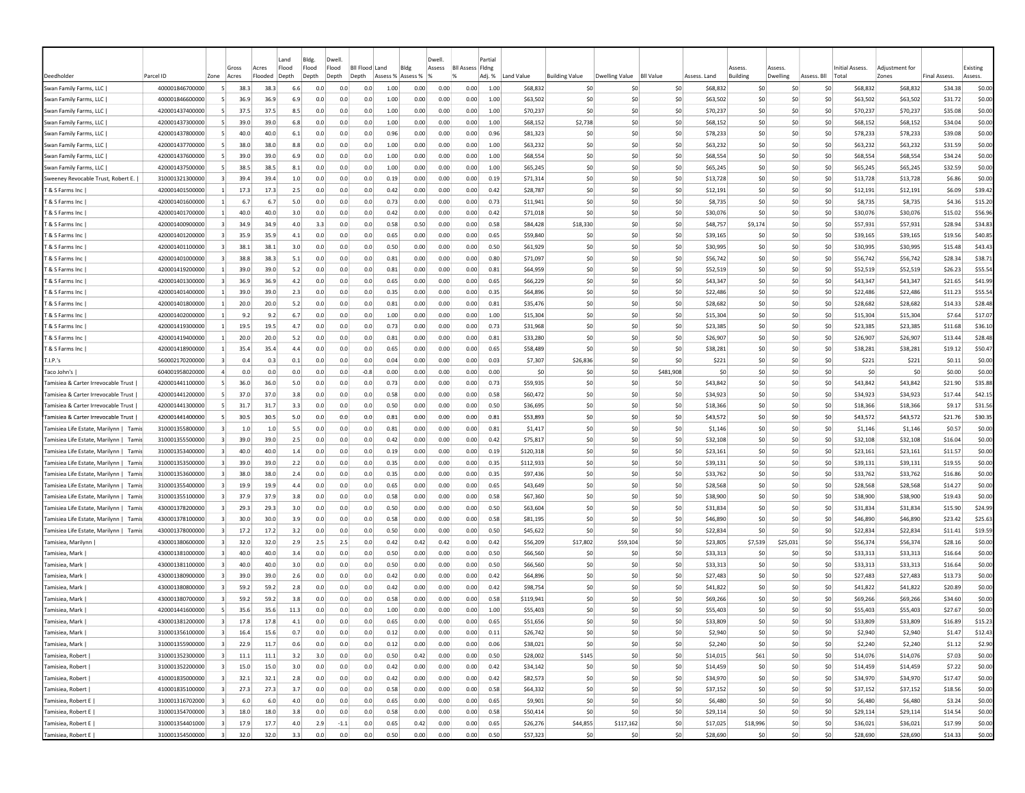|                                        |                                    |                         |             |              | Land       | Bldg.      | Dwell                     |            |                   |              | Dwell.       |                         | Partial      |                      |                       |                |                  |                     |                |                            |             |                     |                     |                     |                    |
|----------------------------------------|------------------------------------|-------------------------|-------------|--------------|------------|------------|---------------------------|------------|-------------------|--------------|--------------|-------------------------|--------------|----------------------|-----------------------|----------------|------------------|---------------------|----------------|----------------------------|-------------|---------------------|---------------------|---------------------|--------------------|
|                                        |                                    |                         | Gross       | Acres        | Flood      | Flood      | Flood<br><b>BII Flood</b> |            | Land<br>Bldg      |              | Assess       | <b>Bll Assess Fldng</b> |              |                      |                       |                |                  |                     | Assess         | <i><b><u>SSESS</u></b></i> |             | Initial Assess.     | Adiustment fo       |                     | Existing           |
| Deedholder                             | Parcel ID                          | Zone                    | Acres       | Flooded      | Depth      | Depth      | Depth<br>Depth            |            | Assess % Assess % |              |              |                         | Adj. %       | Land Value           | <b>Building Value</b> | Dwelling Value | <b>BII Value</b> | Assess, Land        | Building       | Dwelling                   | Assess, Bll | Total               | Zones               | <b>Final Assess</b> | Assess.            |
| Swan Family Farms, LLC                 | 400001846700000                    | -51                     | 38.3        | 38.3         | 6.6        | 0.0        | 0.0                       | 0.0        | 1.00              | 0.00         | 0.00         | 0.00                    | 1.00         | \$68,832             | \$0                   | -SO            | \$0              | \$68,832            | \$0            | -SO                        | S0          | \$68,832            | \$68,832            | \$34.38             | \$0.00             |
| Swan Family Farms, LLC                 | 400001846600000                    |                         | 36.9        | 36.9         | 6.9        | 0.0        | 0.0                       | 0.0        | 1.00              | 0.00         | 0.00         | 0.00                    | 1.00         | \$63,502             | \$0                   | \$0            | \$0              | \$63,502            | \$0            | \$0                        | \$0         | \$63,502            | \$63,502            | \$31.72             | \$0.00             |
| Swan Family Farms, LLC                 | 420001437400000                    |                         | 37.5        | 37.5         | 8.5        | 0.0        | 0.0                       | 0.0        | 1.00              | 0.00         | 0.00         | 0.00                    | 1.00         | \$70,237             | \$0                   | \$0            | \$0              | \$70.237            | \$0            | \$0                        | \$0         | \$70,237            | \$70,237            | \$35.08             | \$0.00             |
| Swan Family Farms, LLC                 | 420001437300000                    | -5                      | 39.0        | 39.0         | 6.8        | 0.0        | 0.0                       | 0.0        | 1.00              | 0.00         | 0.00         | 0.00                    | 1.00         | \$68,152             | \$2,738               | -SO            | \$0              | \$68,152            | \$0            | \$0                        | \$0         | \$68,152            | \$68,152            | \$34.04             | \$0.00             |
| Swan Family Farms, LLC                 | 420001437800000                    | $\mathbf{5}$            | 40.0        | 40.0         | 6.1        | 0.0        | 0.0                       | 0.0        | 0.96              | 0.00         | 0.00         | 0.00                    | 0.96         | \$81,323             | \$C                   | -SO            | \$0              | \$78,233            | \$0            | \$0                        | \$0         | \$78,233            | \$78,233            | \$39.08             | \$0.00             |
| Swan Family Farms, LLC                 | 420001437700000                    | -51                     | 38.0        | 38.0         | 8.8        | 0.0        | 0.0                       | 0.0        | 1.00              | 0.00         | 0.00         | 0.00                    | 1.00         | \$63,232             | \$0                   | \$0            | \$0              | \$63,232            | \$0            | \$0                        | \$0         | \$63,232            | \$63,232            | \$31.59             | \$0.00             |
| Swan Family Farms, LLC                 | 420001437600000                    | -51                     | 39.0        | 39.0         | 6.9        | 0.0        | 0.0                       | 0.0        | 1.00              | 0.00         | 0.00         | 0.00                    | 1.00         | \$68,554             | \$0                   | -SO            | \$0              | \$68,554            | \$0            | S0                         | S0          | \$68,554            | \$68,554            | \$34.24             | \$0.00             |
| Swan Family Farms, LLC                 | 420001437500000                    | -51                     | 38.5        | 38.5         | 8.1        | 0.0        | 0.0                       | 0.0        | 1.00              | 0.00         | 0.00         | 0.00                    | 1.00         | \$65,245             | \$0                   | -SO            | \$0              | \$65,245            | -SO            | S0                         | S0          | \$65,245            | \$65,245            | \$32.59             | \$0.00             |
| Sweeney Revocable Trust, Robert E.     | 310001321300000                    | -31                     | 39.4        | 39.4<br>17.3 | 1.0        | 0.0<br>0.0 | 0.0<br>0.0                | 0.0<br>0.0 | 0.19<br>0.42      | 0.00         | 0.00         | 0.00                    | 0.19         | \$71,314             | \$0                   | -SO            | \$0              | \$13,728            | \$0            | \$0<br>\$0                 | \$0         | \$13,728            | \$13,728            | \$6.86              | \$0.00             |
| T & S Farms Inc                        | 420001401500000<br>420001401600000 |                         | 17.3        |              | 2.5        | 0.0        | 0.0                       | 0.0        |                   | 0.00         | 0.00         | 0.00                    | 0.42         | \$28,787             | \$0                   | \$0<br>-SO     | \$0<br>\$0       | \$12,191            | \$0            | \$0                        | \$0<br>\$0  | \$12,191            | \$12,191<br>\$8,735 | \$6.09              | \$39.42            |
| T & S Farms Inc<br>T & S Farms Inc     | 420001401700000                    |                         | 6.7<br>40.0 | 6.7<br>40.0  | 5.0<br>3.0 | 0.0        | 0.0                       | 0.0        | 0.73<br>0.42      | 0.00<br>0.00 | 0.00<br>0.00 | 0.00<br>0.00            | 0.73<br>0.42 | \$11,941<br>\$71,018 | \$0<br>\$0            | \$0            | \$0              | \$8,735<br>\$30,076 | \$0<br>\$0     | \$0                        | \$0         | \$8,735<br>\$30,076 | \$30,076            | \$4.36<br>\$15.02   | \$15.20<br>\$56.96 |
| & S Farms Inc                          | 420001400900000                    |                         | 34.9        | 34.9         | 4.0        | 3.3        | 0.0                       | 0.0        | 0.58              | 0.50         | 0.00         | 0.00                    | 0.58         | \$84,428             | \$18,330              | \$0            | \$0              | \$48,757            | \$9,174        | \$0                        | \$0         | \$57,931            | \$57,931            | \$28.94             | \$34.83            |
| ୮ & S Farms Inc                        | 420001401200000                    |                         | 35.9        | 35.9         | 4.1        | 0.0        | 0.0                       | 0.0        | 0.65              | 0.00         | 0.00         | 0.00                    | 0.65         | \$59,840             | \$0                   | \$0            | \$0              | \$39,165            | \$0            | \$0                        | \$0         | \$39,165            | \$39,165            | \$19.56             | \$40.85            |
| T & S Farms Inc                        | 420001401100000                    |                         | 38.1        | 38.1         | 3.0        | 0.0        | 0.0                       | 0.0        | 0.50              | 0.00         | 0.00         | 0.00                    | 0.50         | \$61,929             | \$0                   | \$0            | \$0              | \$30,995            | \$0            | \$0                        | \$0         | \$30,995            | \$30,995            | \$15.48             | \$43.43            |
| T & S Farms Inc                        | 420001401000000                    | $\vert$ 3               | 38.8        | 38.3         | 5.1        | 0.0        | 0.0                       | 0.0        | 0.81              | 0.00         | 0.00         | 0.00                    | 0.80         | \$71,097             | \$0                   | \$0            | \$0              | \$56,742            | S <sub>0</sub> | \$0                        | \$0         | \$56,742            | \$56,742            | \$28.34             | \$38.71            |
| T & S Farms Inc                        | 420001419200000                    |                         | 39.0        | 39.0         | 5.2        | 0.0        | 0.0                       | 0.0        | 0.81              | 0.00         | 0.00         | 0.00                    | 0.81         | \$64,959             | \$0                   | -SO            | \$0              | \$52,519            | \$0            | \$0                        | \$0         | \$52,519            | \$52,519            | \$26.23             | \$55.54            |
| T & S Farms Inc                        | 420001401300000                    | $\vert$ 3               | 36.9        | 36.9         | 4.2        | 0.0        | 0.0                       | 0.0        | 0.65              | 0.00         | 0.00         | 0.00                    | 0.65         | \$66,229             | \$0                   | \$0            | \$0              | \$43,347            | \$0            | \$0                        | \$0         | \$43,347            | \$43,347            | \$21.65             | \$41.99            |
| T & S Farms Inc                        | 420001401400000                    |                         | 39.0        | 39.0         | 2.3        | 0.0        | 0.0                       | 0.0        | 0.35              | 0.00         | 0.00         | 0.00                    | 0.35         | \$64,896             | \$0                   | \$0            | \$0              | \$22,486            | \$0            | \$0                        | \$0         | \$22,486            | \$22,486            | \$11.23             | \$55.54            |
| T & S Farms Inc                        | 420001401800000                    | $\vert$ 1               | 20.0        | 20.0         | 5.2        | 0.0        | 0.0                       | 0.0        | 0.81              | 0.00         | 0.00         | 0.00                    | 0.81         | \$35,476             | -SO                   | -SO            | \$0              | \$28,682            | -SO            | S0                         | S0          | \$28,682            | \$28,682            | \$14.33             | \$28.48            |
| T & S Farms Inc                        | 420001402000000                    | -11                     | 9.2         | 9.2          | 6.7        | 0.0        | 0.0                       | 0.0        | 1.00              | 0.00         | 0.00         | 0.00                    | 1.00         | \$15,304             | \$0                   | -SO            | \$0              | \$15,304            | S <sub>0</sub> | S0                         | \$0         | \$15,304            | \$15,304            | \$7.64              | \$17.07            |
| T & S Farms Inc                        | 420001419300000                    |                         | 19.5        | 19.5         | 4.7        | 0.0        | 0.0                       | 0.0        | 0.73              | 0.00         | 0.00         | 0.00                    | 0.73         | \$31,968             | \$0                   | -SO            | \$0              | \$23,385            | S <sub>0</sub> | 50                         | \$0         | \$23,385            | \$23,385            | \$11.68             | \$36.10            |
| T & S Farms Inc                        | 420001419400000                    |                         | 20.0        | 20.0         | 5.2        | 0.0        | 0.0                       | 0.0        | 0.81              | 0.00         | 0.00         | 0.00                    | 0.81         | \$33,280             | \$0                   | \$0            | \$0              | \$26,907            | \$0            | \$0                        | \$0         | \$26,907            | \$26,907            | \$13.44             | \$28.48            |
| T & S Farms Inc                        | 420001418900000                    |                         | 35.4        | 35.4         | 4.4        | 0.0        | 0.0                       | 0.0        | 0.65              | 0.00         | 0.00         | 0.00                    | 0.65         | \$58,489             | \$0                   | \$0            | \$0              | \$38,281            | \$0            | \$0                        | \$0         | \$38,281            | \$38,281            | \$19.12             | \$50.47            |
| T.I.P.'s                               | 560002170200000                    |                         | 0.4         | 0.3          | 0.1        | 0.0        | 0.0                       | 0.0        | 0.04              | 0.00         | 0.00         | 0.00                    | 0.03         | \$7,307              | \$26,836              | \$0            | \$0              | \$221               | \$0            | \$0                        | \$0         | \$221               | \$221               | \$0.11              | \$0.00             |
| Taco John's                            | 604001958020000                    |                         | 0.0         | 0.0          | 0.0        | 0.0        | 0.0                       | $-0.8$     | 0.00              | 0.00         | 0.00         | 0.00                    | 0.00         | \$0                  | \$0                   | \$0            | \$481,908        | \$0                 | \$0            | \$0                        | \$0         | \$0                 | \$0                 | \$0.00              | \$0.00             |
| Tamisiea & Carter Irrevocable Trust    | 420001441100000                    |                         | 36.0        | 36.0         | 5.0        | 0.0        | 0.0                       | 0.0        | 0.73              | 0.00         | 0.00         | 0.00                    | 0.73         | \$59,935             | \$0                   | \$0            | \$0              | \$43,842            | \$0            | \$0                        | \$0         | \$43,842            | \$43,842            | \$21.90             | \$35.88            |
| Tamisiea & Carter Irrevocable Trust    | 420001441200000                    | -51                     | 37.0        | 37.0         | 3.8        | 0.0        | 0.0                       | 0.0        | 0.58              | 0.00         | 0.00         | 0.00                    | 0.58         | \$60,472             | \$0                   | \$0            | \$0              | \$34,923            | S <sub>0</sub> | \$0                        | \$0         | \$34.923            | \$34,923            | \$17.44             | \$42.15            |
| Tamisiea & Carter Irrevocable Trust    | 420001441300000                    | -5                      | 31.7        | 31.7         | 3.3        | 0.0        | 0.0                       | 0.0        | 0.50              | 0.00         | 0.00         | 0.00                    | 0.50         | \$36,695             | \$0                   | -SO            | \$0              | \$18,366            | \$0            | \$0                        | \$0         | \$18,366            | \$18,366            | \$9.17              | \$31.56            |
| Tamisiea & Carter Irrevocable Trust    | 420001441400000                    |                         | 30.5        | 30.5         | 5.0        | 0.0        | 0.0                       | 0.0        | 0.81              | 0.00         | 0.00         | 0.00                    | 0.81         | \$53,893             | \$0                   | -SO            | \$0              | \$43,572            | \$0            | \$0                        | \$0         | \$43,572            | \$43,572            | \$21.76             | \$30.35            |
| Tamisiea Life Estate, Marilynn   Tami: | 310001355800000                    |                         | $1.0\,$     | 1.0          | 5.5        | 0.0        | 0.0                       | 0.0        | 0.81              | 0.00         | 0.00         | 0.00                    | 0.81         | \$1,417              | \$0                   | \$0            | \$0              | \$1,146             | \$0            | \$0                        | \$0         | \$1,146             | \$1,146             | \$0.57              | \$0.00             |
| Tamisiea Life Estate, Marilynn   Tami: | 310001355500000                    |                         | 39.0        | 39.0         | 2.5        | 0.0        | 0.0                       | 0.0        | 0.42              | 0.00         | 0.00         | 0.00                    | 0.42         | \$75,817             | \$0                   | \$0            | \$0              | \$32,108            | \$0            | \$0                        | \$0         | \$32,108            | \$32,108            | \$16.04             | \$0.00             |
| Tamisiea Life Estate, Marilynn   Tami: | 310001353400000                    | -31                     | 40.0        | 40.0         | 1.4        | 0.0        | 0.0                       | 0.0        | 0.19              | 0.00         | 0.00         | 0.00                    | 0.19         | \$120,318            | \$0                   | -SO            | \$0              | \$23,161            | S0             | SO.                        | \$0         | \$23,161            | \$23,161            | \$11.57             | \$0.00             |
| Tamisiea Life Estate, Marilynn   Tamis | 310001353500000                    |                         | 39.0        | 39.0         | 2.2        | 0.0        | 0.0                       | 0.0        | 0.35              | 0.00         | 0.00         | 0.00                    | 0.35         | \$112,933            | \$0                   | -SO            | \$0              | \$39,131            | \$0            | \$0                        | \$0         | \$39,131            | \$39,131            | \$19.55             | \$0.00             |
| Tamisiea Life Estate, Marilynn   Tamis | 310001353600000                    |                         | 38.0        | 38.0         | 2.4        | 0.0        | 0.0                       | 0.0        | 0.35              | 0.00         | 0.00         | 0.00                    | 0.35         | \$97,436             | \$0                   | -SO            | \$0              | \$33,762            | S <sub>0</sub> | \$0                        | \$0         | \$33,762            | \$33,762            | \$16.86             | \$0.00             |
| Tamisiea Life Estate, Marilynn   Tamis | 310001355400000                    |                         | 19.9        | 19.9         | 4.4        | 0.0        | 0.0                       | 0.0        | 0.65              | 0.00         | 0.00         | 0.00                    | 0.65         | \$43,649             | \$0                   | -SO            | \$0              | \$28,568            | \$0            | \$0                        | \$0         | \$28,568            | \$28,568            | \$14.27             | \$0.00             |
| Tamisiea Life Estate, Marilynn   Tami: | 310001355100000                    |                         | 37.9        | 37.9         | 3.8        | 0.0        | 0.0                       | 0.0        | 0.58              | 0.00         | 0.00         | 0.00                    | 0.58         | \$67,360             | \$0                   | -SO            | \$0              | \$38,900            | \$0            | \$C                        | \$0         | \$38,900            | \$38,900            | \$19.43             | \$0.00             |
| Tamisiea Life Estate, Marilynn   Tamis | 430001378200000                    |                         | 29.3        | 29.3         | 3.0        | 0.0        | 0.0                       | 0.0        | 0.50              | 0.00         | 0.00         | 0.00                    | 0.50         | \$63,604             | \$0                   | \$0            | \$0              | \$31,834            | \$0            | \$0                        | \$0         | \$31,834            | \$31,834            | \$15.90             | \$24.99            |
| Tamisiea Life Estate, Marilynn   Tami: | 430001378100000                    |                         | 30.0        | 30.0         | 3.9        | 0.0        | 0.0                       | 0.0        | 0.58              | 0.00         | 0.00         | 0.00                    | 0.58         | \$81,195             | \$0                   | \$0            | \$0              | \$46,890            | \$0            | \$0                        | \$0         | \$46,890            | \$46,890            | \$23.42             | \$25.63            |
| Tamisiea Life Estate, Marilynn   Tamis | 430001378000000                    |                         | 17.2        | 17.2         | 3.2        | 0.0        | 0.0                       | 0.0        | 0.50              | 0.00         | 0.00         | 0.00                    | 0.50         | \$45,622             | \$0                   | \$0            | \$0              | \$22,834            | \$0            | \$0                        | \$0         | \$22,834            | \$22,834            | \$11.41             | \$19.59            |
| Tamisiea, Marilynn                     | 430001380600000                    |                         | 32.0        | 32.0         | 2.9        | 2.5        | 2.5                       | 0.0        | 0.42              | 0.42         | 0.42         | 0.00                    | 0.42         | \$56,209             | \$17,802              | \$59,104       | \$0              | \$23,805            | \$7,539        | \$25,031                   | \$0         | \$56,374            | \$56,374            | \$28.16             | \$0.00             |
| Tamisiea, Mark                         | 430001381000000                    | $\vert$ 3               | 40.0        | 40.0         | 3.4        | 0.0        | 0.0                       | 0.0        | 0.50              | 0.00         | 0.00         | 0.00                    | 0.50         | \$66,560             | \$0                   | -SO            | \$0              | \$33,313            | -SC            | \$0                        | \$0         | \$33,313            | \$33,313            | \$16.64             | \$0.00             |
| Tamisiea, Mark                         | 430001381100000                    | $\vert$ 3               | 40.0        | 40.0         | 3.0        | 0.0        | 0.0                       | 0.0        | 0.50              | 0.00         | 0.00         | 0.00                    | 0.50         | \$66,560             | \$0                   | -SO            | \$0              | \$33,313            | \$0            | \$0                        | \$0         | \$33,313            | \$33,313            | \$16.64             | \$0.00             |
| Tamisiea, Mark                         | 430001380900000                    | $\overline{3}$          | 39.0        | 39.0         | 2.6        | 0.0        | 0.0                       | 0.0        | 0.42              | 0.00         | 0.00         | 0.00                    | 0.42         | \$64,896             | \$0                   | -SO            | \$0              | \$27,483            | \$0            | \$0                        | \$0         | \$27,483            | \$27,483            | \$13.73             | \$0.00             |
| Tamisiea, Mark                         | 430001380800000                    | $\overline{3}$          | 59.2        | 59.2         | 2.8        | 0.0        | 0.0                       | 0.0        | 0.42              | 0.00         | 0.00         | 0.00                    | 0.42         | \$98,754             | \$0                   | -SO            | \$0              | \$41,822            | -SO            | S0                         | S0          | \$41,822            | \$41,822            | \$20.89             | \$0.00             |
| Tamisiea, Mark                         | 430001380700000                    |                         | 59.2        | 59.2         | 3.8        | 0.0        | 0.0                       | 0.0        | 0.58              | 0.00         | 0.00         | 0.00                    | 0.58         | \$119,941            | -SO                   | -SO            | \$0              | \$69,266            | -SO            | S0                         | -SO         | \$69,266            | \$69,266            | \$34.60             | \$0.00             |
| Tamisiea, Mark                         | 420001441600000                    |                         | 35.6        | 35.6         | 11.3       | 0.0        | 0.0                       | 0.0        | 1.00              | 0.00         | 0.00         | 0.00                    | 1.00         | \$55,403             | \$0                   | -SO            | \$0              | \$55,403            | S <sub>0</sub> | \$0                        | \$0         | \$55,403            | \$55,403            | \$27.67             | \$0.00             |
| Tamisiea, Mark                         | 430001381200000                    |                         | 17.8        | 17.8         | 4.1        | 0.0        | 0.0                       | 0.0        | 0.65              | 0.00         | 0.00         | 0.00                    | 0.65         | \$51,656             | \$0                   | -SO            | \$0              | \$33,809            | S <sub>0</sub> | \$0                        | \$0         | \$33,809            | \$33,809            | \$16.89             | \$15.23            |
| Tamisiea, Mark                         | 310001356100000                    | $\overline{\mathbf{3}}$ | 16.4        | 15.6         | 0.7        | 0.0        | 0.0                       | 0.0        | 0.12              | 0.00         | 0.00         | 0.00                    | 0.11         | \$26,742             | \$0                   | \$0            | \$0              | \$2,940             | \$0            | \$0                        | \$0         | \$2,940             | \$2,940             | \$1.47              | \$12.43            |
| Tamisiea, Mark                         | 310001355900000                    | $\vert$ 3               | 22.9        | 11.7         | 0.6        | 0.0        | 0.0                       | 0.0        | 0.12              | 0.00         | 0.00         | 0.00                    | 0.06         | \$38,021             | \$0                   | \$0            | \$0              | \$2,240             | \$0            | 50                         | \$0         | \$2,240             | \$2,240             | \$1.12              | \$2.90             |
| Tamisiea, Robert                       | 310001352300000                    | $\overline{\mathbf{3}}$ | 11.1        | 11.1         | 3.2        | 3.0        | 0.0                       | 0.0        | 0.50              | 0.42         | 0.00         | 0.00                    | 0.50         | \$28,002             | \$145                 | 50             | \$0              | \$14,015            | \$61           | \$0                        | \$0         | \$14,076            | \$14,076            | \$7.03              | \$0.00             |
| Tamisiea, Robert                       | 310001352200000                    | $\overline{3}$          | 15.0        | 15.0         | 3.0        | 0.0        | 0.0                       | 0.0        | 0.42              | 0.00         | 0.00         | 0.00                    | 0.42         | \$34,142             | \$0                   | 50             | \$0              | \$14,459            | \$0            | 50                         | \$0         | \$14,459            | \$14,459            | \$7.22              | \$0.00             |
| Tamisiea, Robert                       | 410001835000000                    | $\overline{\mathbf{3}}$ | 32.1        | 32.1         | 2.8        | 0.0        | 0.0                       | 0.0        | 0.42              | 0.00         | 0.00         | 0.00                    | 0.42         | \$82,573             | \$0                   | 50             | 50               | \$34,970            | \$0            | 50                         | 50          | \$34,970            | \$34,970            | \$17.47             | \$0.00             |
| Tamisiea, Robert                       | 410001835100000                    | $\overline{\mathbf{3}}$ | 27.3        | 27.3         | 3.7        | 0.0        | 0.0                       | 0.0        | 0.58              | 0.00         | 0.00         | 0.00                    | 0.58         | \$64,332             | \$0                   | \$0            | \$0              | \$37,152            | \$0            | 50                         | 50          | \$37,152            | \$37,152            | \$18.56             | \$0.00             |
| Tamisiea, Robert E                     | 310001316702000                    | $\vert$ 3               | 6.0         | 6.0          | 4.0        | 0.0        | 0.0                       | 0.0        | 0.65              | 0.00         | 0.00         | 0.00                    | 0.65         | \$9,901              | \$0                   | \$0            | \$0              | \$6,480             | \$0            | 50                         | \$0         | \$6,480             | \$6,480             | \$3.24              | \$0.00             |
| Tamisiea, Robert E                     | 310001354700000                    | $\overline{\mathbf{3}}$ | 18.0        | 18.0         | 3.8        | 0.0        | 0.0                       | 0.0        | 0.58              | 0.00         | 0.00         | 0.00                    | 0.58         | \$50,414             | \$0                   | 50             | \$0              | \$29,114            | \$0            | \$0                        | \$0         | \$29,114            | \$29,114            | \$14.54             | \$0.00             |
| Tamisiea, Robert E                     | 310001354401000                    |                         | 17.9        | 17.7         | 4.0        | 2.9        | $-1.1$                    | 0.0        | 0.65              | 0.42         | 0.00         | 0.00                    | 0.65         | \$26,276             | \$44,855              | \$117,162      | \$0              | \$17,025            | \$18,996       | \$0                        | \$0         | \$36,021            | \$36,021            | \$17.99             | \$0.00             |
| Tamisiea, Robert E                     | 310001354500000                    |                         | 32.0        | 32.0         | 3.3        | 0.0        | 0.0                       | 0.0        | 0.50              | 0.00         | 0.00         | 0.00                    | 0.50         | \$57,323             | \$0                   | \$0            | \$0              | \$28,690            | \$0            | 50                         | \$0         | \$28,690            | \$28,690            | \$14.33             | \$0.00             |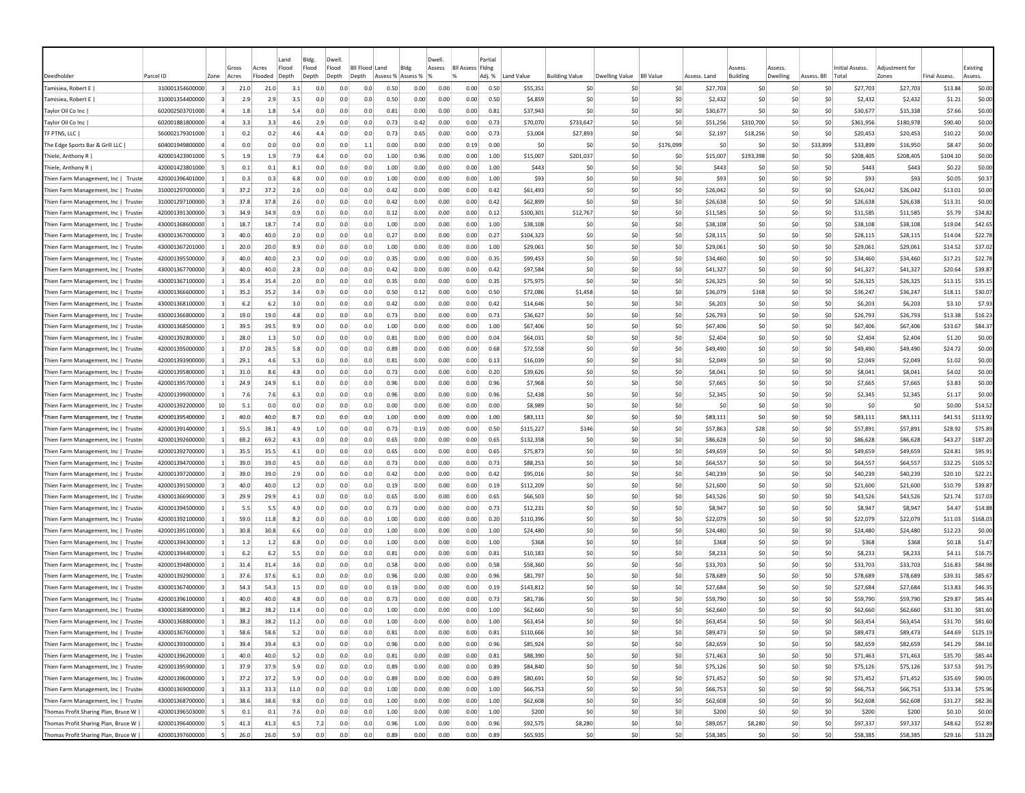|                                      |                 |                |                | Land                               | Bldg.          | Dwell          |                                |                   |      | Dwell  |                                     | Partial |            |                       |                |                  |              |                                        |                    |             |                          |                         |                     |                     |
|--------------------------------------|-----------------|----------------|----------------|------------------------------------|----------------|----------------|--------------------------------|-------------------|------|--------|-------------------------------------|---------|------------|-----------------------|----------------|------------------|--------------|----------------------------------------|--------------------|-------------|--------------------------|-------------------------|---------------------|---------------------|
| Deedholder                           | Parcel ID       | Zone           | Gross<br>Acres | Flood<br>Acres<br>Flooded<br>Depth | Flood<br>Depth | Flood<br>Depth | <b>Bll Flood Land</b><br>Depth | Assess % Assess % | Bldg | Assess | <b>Bll Assess Fldng</b><br>$\alpha$ | Adj. %  | Land Value | <b>Building Value</b> | Dwelling Value | <b>BII Value</b> | Assess, Land | <i><b>SSESS</b></i><br><b>Building</b> | Assess<br>Dwelling | Assess, Bll | Initial Assess.<br>Total | Adiustment for<br>Zones | <b>Final Assess</b> | Existing<br>Assess. |
| Tamisiea, Robert E                   | 310001354600000 | $\vert$ 3      | 21.0           | 21.0                               | 3.1<br>0.0     | 0.0            | 0.0                            | 0.50              | 0.00 | 0.00   | 0.00                                | 0.50    | \$55,351   | \$C                   | S0             | \$0              | \$27,703     | \$0                                    | -SO                | S0          | \$27,703                 | \$27,703                | \$13.84             | \$0.00              |
| Tamisiea, Robert E                   | 310001354400000 |                | 2.9            | 2.9                                | 3.5<br>0.0     | 0.0            | 0.0                            | 0.50              | 0.00 | 0.00   | 0.00                                | 0.50    | \$4,859    | \$0                   | \$0            | \$0              | \$2,432      | \$0                                    | \$C                | \$0         | \$2,432                  | \$2,432                 | \$1.21              | \$0.00              |
| Taylor Oil Co Inc                    | 602002503701000 |                | 1.8            | 1.8                                | 5.4<br>0.0     | 0.0            | 0.0                            | 0.81              | 0.00 | 0.00   | 0.00                                | 0.81    | \$37,943   | \$0                   | S0             | \$0              | \$30.677     | \$0                                    | \$0                | \$0         | \$30,677                 | \$15,338                | \$7.66              | \$0.00              |
| Taylor Oil Co Inc                    | 602001881800000 |                | 3.3            | 3.3                                | 4.6<br>2.9     | 0.0            | 0.0                            | 0.73              | 0.42 | 0.00   | 0.00                                | 0.73    | \$70,070   | \$733,647             | S0             | \$0              | \$51,256     | \$310,700                              | \$0                | \$0         | \$361,956                | \$180,978               | \$90.40             | \$0.00              |
| TF PTNS, LLC                         | 560002179301000 |                | 0.2            | 0.2                                | 4.6<br>4.4     | 0.0            | 0.0                            | 0.73              | 0.65 | 0.00   | 0.00                                | 0.73    | \$3,004    | \$27,893              | S <sub>0</sub> | \$0              | \$2,197      | \$18,256                               | \$0                | \$0         | \$20,453                 | \$20,453                | \$10.22             | \$0.00              |
| The Edge Sports Bar & Grill LLC      | 604001949800000 | $\overline{a}$ | 0.0            | 0.0                                | 0.0<br>0.0     | 0.0            | 1.1                            | 0.00              | 0.00 | 0.00   | 0.19                                | 0.00    | \$0        | \$0                   | \$0            | \$176,099        | \$0          | \$C                                    | \$0                | \$33,899    | \$33,899                 | \$16,950                | \$8.47              | \$0.00              |
| Thiele, Anthony R                    | 420001423901000 | -5.            | 1.9            | 1.9                                | 7.9<br>6.4     | 0.0            | 0.0                            | 1.00              | 0.96 | 0.00   | 0.00                                | 1.00    | \$15,007   | \$201,037             | \$0            | \$0              | \$15,007     | \$193,398                              | \$0                | S0          | \$208,405                | \$208,405               | \$104.10            | \$0.00              |
| Thiele, Anthony R                    | 420001423801000 | -5.            | 0.1            | 0.1                                | 8.1<br>0.0     | 0.0            | 0.0                            | 1.00              | 0.00 | 0.00   | 0.00                                | 1.00    | \$443      | S0                    | -SO            | \$0              | \$443        | S0                                     | S0                 | S0          | \$443                    | \$443                   | \$0.22              | \$0.00              |
| Thien Farm Management, Inc   Truste  | 420001396401000 |                | 0.3            | 0.3                                | 6.8<br>0.0     | 0.0            | 0.0                            | 1.00              | 0.00 | 0.00   | 0.00                                | 1.00    | \$93       | \$0                   | S <sub>0</sub> | SO.              | \$93         | \$C                                    | \$0                | \$0         | \$93                     | \$93                    | \$0.05              | \$0.37              |
| Thien Farm Management, Inc   Truste  | 310001297000000 | $\vert$ 3      | 37.2           | 37.2                               | 2.6<br>0.0     | 0.0            | 0.0                            | 0.42              | 0.00 | 0.00   | 0.00                                | 0.42    | \$61,493   | \$0                   | \$0            | \$0              | \$26,042     | \$0                                    | \$0                | \$0         | \$26,042                 | \$26,042                | \$13.01             | \$0.00              |
| Thien Farm Management, Inc   Truste  | 310001297100000 |                | 37.8           | 37.8                               | 2.6<br>0.0     | 0.0            | 0.0                            | 0.42              | 0.00 | 0.00   | 0.00                                | 0.42    | \$62,899   | \$C                   | S <sub>0</sub> | \$0              | \$26,638     | \$C                                    | \$C                | \$0         | \$26,638                 | \$26,638                | \$13.31             | \$0.00              |
| Thien Farm Management, Inc   Truste  | 420001391300000 |                | 34.9           | 34.9                               | 0.9<br>0.0     | 0.0            | 0.0                            | 0.12              | 0.00 | 0.00   | 0.00                                | 0.12    | \$100,301  | \$12,767              | \$0            | \$0              | \$11,585     | \$0                                    | \$0                | \$0         | \$11,585                 | \$11,585                | \$5.79              | \$34.82             |
| Thien Farm Management, Inc   Truste  | 430001368600000 |                | 18.7           | 18.7                               | 7.4<br>0.0     | 0.0            | 0.0                            | 1.00              | 0.00 | 0.00   | 0.00                                | 1.00    | \$38,108   | \$C                   | \$0            | \$0              | \$38,108     | \$0                                    | \$0                | \$0         | \$38,108                 | \$38,108                | \$19.04             | \$42.65             |
| Thien Farm Management, Inc   Truste  | 430001367000000 | $\vert$ 3      | 40.0           | 40.0                               | 2.0<br>0.0     | 0.0            | 0.0                            | 0.27              | 0.00 | 0.00   | 0.00                                | 0.27    | \$104,323  | \$C                   | \$0            | \$0              | \$28,115     | \$0                                    | \$0                | \$0         | \$28,115                 | \$28,115                | \$14.04             | \$22.78             |
| Thien Farm Management, Inc   Truste  | 430001367201000 |                | 20.0           | 20.0                               | 8.9<br>0.0     | 0.0            | 0.0                            | 1.00              | 0.00 | 0.00   | 0.00                                | 1.00    | \$29,061   | \$0                   | \$0            | \$0              | \$29,061     | \$0                                    | \$0                | \$0         | \$29,061                 | \$29,061                | \$14.52             | \$37.02             |
| Thien Farm Management, Inc   Truste  | 420001395500000 | 3              | 40.0           | 40.0                               | 2.3<br>0.0     | 0.0            | 0.0                            | 0.35              | 0.00 | 0.00   | 0.00                                | 0.35    | \$99,453   | \$0                   | \$0            | \$0              | \$34,460     | \$0                                    | \$0                | \$0         | \$34,460                 | \$34,460                | \$17.21             | \$22.78             |
| Thien Farm Management, Inc   Truste  | 430001367700000 | $\vert$ 3      | 40.0           | 40.0                               | 2.8<br>0.0     | 0.0            | 0.0                            | 0.42              | 0.00 | 0.00   | 0.00                                | 0.42    | \$97,584   | \$0                   | S <sub>0</sub> | \$0              | \$41,327     | \$0                                    | \$0                | \$0         | \$41,327                 | \$41,327                | \$20.64             | \$39.87             |
| Thien Farm Management, Inc   Truste  | 430001367100000 | $\mathbf{1}$   | 35.4           | 35.4                               | 2.0<br>0.0     | 0.0            | 0.0                            | 0.35              | 0.00 | 0.00   | 0.00                                | 0.35    | \$75,975   | \$0                   | \$0            | \$0              | \$26,325     | \$0                                    | 50                 | \$0         | \$26,325                 | \$26,325                | \$13.15             | \$35.15             |
| Thien Farm Management, Inc   Truste  | 430001366600000 |                | 35.2           | 35.2                               | 3.4<br>0.9     | 0.0            | 0.0                            | 0.50              | 0.12 | 0.00   | 0.00                                | 0.50    | \$72,086   | \$1,458               | S <sub>0</sub> | \$0              | \$36,079     | \$168                                  | \$0                | \$0         | \$36,247                 | \$36,247                | \$18.11             | \$30.07             |
| Thien Farm Management, Inc   Truste  | 430001368100000 | -3             | 6.2            | 6.2                                | 3.0<br>0.0     | 0.0            | 0.0                            | 0.42              | 0.00 | 0.00   | 0.00                                | 0.42    | \$14,646   | <b>SC</b>             | S <sub>0</sub> | SO.              | \$6,203      | \$0                                    | \$0                | \$0         | \$6,203                  | \$6,203                 | \$3.10              | \$7.93              |
| Thien Farm Management, Inc   Truster | 430001366800000 | -31            | 19.0           | 19.0                               | 4.8<br>0.0     | 0.0            | 0.0                            | 0.73              | 0.00 | 0.00   | 0.00                                | 0.73    | \$36,627   | \$0                   | S <sub>0</sub> | \$0              | \$26,793     | \$0                                    | \$0                | \$0         | \$26,793                 | \$26,793                | \$13.38             | \$16.23             |
| Thien Farm Management, Inc   Truste  | 430001368500000 |                | 39.5           | 39.5                               | 9.9<br>0.0     | 0.0            | 0.0                            | 1.00              | 0.00 | 0.00   | 0.00                                | 1.00    | \$67,406   | \$C                   | S <sub>0</sub> | \$0              | \$67,406     | \$0                                    | \$0                | \$0         | \$67,406                 | \$67,406                | \$33.67             | \$84.37             |
| Thien Farm Management, Inc   Truste  | 420001392800000 |                | 28.0           | 1.3                                | 5.0<br>0.0     | 0.0            | 0.0                            | 0.81              | 0.00 | 0.00   | 0.00                                | 0.04    | \$64,031   | \$0                   | \$0            | \$0              | \$2,404      | \$0                                    | \$C                | \$0         | \$2,404                  | \$2,404                 | \$1.20              | \$0.00              |
| Thien Farm Management, Inc   Truste  | 420001395000000 |                | 37.0           | 28.5                               | 5.8<br>0.0     | 0.0            | 0.0                            | 0.89              | 0.00 | 0.00   | 0.00                                | 0.68    | \$72,558   | \$C                   | S <sub>0</sub> | \$0              | \$49,490     | \$C                                    | \$C                | \$0         | \$49,490                 | \$49,490                | \$24.72             | \$0.00              |
| Thien Farm Management, Inc   Truste  | 420001393900000 |                | 29.1           | 4.6                                | 5.3<br>0.0     | 0.0            | 0.0                            | 0.81              | 0.00 | 0.00   | 0.00                                | 0.13    | \$16,039   | \$0                   | \$0            | \$0              | \$2,049      | \$0                                    | \$0                | \$0         | \$2,049                  | \$2,049                 | \$1.02              | \$0.00              |
| Thien Farm Management, Inc   Truste  | 420001395800000 |                | 31.0           | 8.6                                | 4.8<br>0.0     | 0.0            | 0.0                            | 0.73              | 0.00 | 0.00   | 0.00                                | 0.20    | \$39,626   | \$0                   | \$0            | \$0              | \$8,041      | \$0                                    | \$0                | \$0         | \$8,041                  | \$8,041                 | \$4.02              | \$0.00              |
| Thien Farm Management, Inc   Truste  | 420001395700000 |                | 24.9           | 24.9                               | 6.1<br>0.0     | 0.0            | 0.0                            | 0.96              | 0.00 | 0.00   | 0.00                                | 0.96    | \$7,968    | \$C                   | \$0            | \$0              | \$7,665      | \$0                                    | \$0                | \$0         | \$7,665                  | \$7,665                 | \$3.83              | \$0.00              |
| Thien Farm Management, Inc   Truste  | 420001399000000 | -11            | 7.6            | 7.6                                | 6.3<br>0.0     | 0.0            | 0.0                            | 0.96              | 0.00 | 0.00   | 0.00                                | 0.96    | \$2,438    | \$0                   | \$0            | \$0              | \$2,345      | \$0                                    | \$0                | \$0         | \$2,345                  | \$2,345                 | \$1.17              | \$0.00              |
| Thien Farm Management, Inc   Truste  | 420001392200000 | 10             | 5.1            | 0.0                                | 0.0<br>0.0     | 0.0            | 0.0                            | 0.00              | 0.00 | 0.00   | 0.00                                | 0.00    | \$8,989    | \$C                   | S <sub>0</sub> | \$0              | \$0          | \$C                                    | \$0                | \$0         | \$0                      | \$0                     | \$0.00              | \$14.52             |
| Thien Farm Management, Inc   Truste  | 420001395400000 |                | 40.0           | 40.0                               | 8.7<br>0.0     | 0.0            | 0.0                            | 1.00              | 0.00 | 0.00   | 0.00                                | 1.00    | \$83,111   | \$C                   | S0             | \$0              | \$83,111     | \$C                                    | \$0                | \$0         | \$83,111                 | \$83,111                | \$41.51             | \$113.92            |
| Thien Farm Management, Inc   Truste  | 420001391400000 |                | 55.5           | 38.1                               | 4.9            | 1.0<br>0.0     | 0.0                            | 0.73              | 0.19 | 0.00   | 0.00                                | 0.50    | \$115,227  | \$146                 | \$0            | \$0              | \$57,863     | \$28                                   | \$0                | \$0         | \$57,891                 | \$57,891                | \$28.92             | \$75.89             |
| Thien Farm Management, Inc   Truste  | 420001392600000 |                | 69.2           | 69.2                               | 4.3<br>0.0     | 0.0            | 0.0                            | 0.65              | 0.00 | 0.00   | 0.00                                | 0.65    | \$132,358  | \$C                   | S <sub>0</sub> | \$0              | \$86,628     | \$0                                    | \$0                | \$0         | \$86,628                 | \$86,628                | \$43.27             | \$187.20            |
| Thien Farm Management, Inc   Truste  | 420001392700000 | -11            | 35.5           | 35.5                               | 4.1<br>0.0     | 0.0            | 0.0                            | 0.65              | 0.00 | 0.00   | 0.00                                | 0.65    | \$75,873   | <b>SC</b>             | S <sub>0</sub> | \$0              | \$49,659     | \$0                                    | \$0                | \$0         | \$49,659                 | \$49,659                | \$24.81             | \$95.91             |
| Thien Farm Management, Inc   Truster | 420001394700000 |                | 39.0           | 39.0                               | 4.5<br>0.0     | 0.0            | 0.0                            | 0.73              | 0.00 | 0.00   | 0.00                                | 0.73    | \$88,253   | \$0                   | S <sub>0</sub> | \$0              | \$64,557     | \$0                                    | \$0                | \$0         | \$64,557                 | \$64,557                | \$32.25             | \$105.52            |
| Thien Farm Management, Inc   Truster | 420001397200000 | 3              | 39.0           | 39.0                               | 2.9<br>0.0     | 0.0            | 0.0                            | 0.42              | 0.00 | 0.00   | 0.00                                | 0.42    | \$95,016   | \$0                   | S <sub>0</sub> | \$0              | \$40,239     | \$0                                    | \$0                | \$0         | \$40,239                 | \$40,239                | \$20.10             | \$22.21             |
| Thien Farm Management, Inc   Truste  | 420001391500000 | 3              | 40.0           | 40.0                               | $1.2$<br>0.0   | 0.0            | 0.0                            | 0.19              | 0.00 | 0.00   | 0.00                                | 0.19    | \$112,209  | \$0                   | \$0            | \$0              | \$21,600     | \$0                                    | \$0                | \$0         | \$21,600                 | \$21,600                | \$10.79             | \$39.87             |
| Thien Farm Management, Inc   Truste  | 430001366900000 |                | 29.9           | 29.9                               | 4.1<br>0.0     | 0.0            | 0.0                            | 0.65              | 0.00 | 0.00   | 0.00                                | 0.65    | \$66,503   | \$C                   | S <sub>0</sub> | \$0              | \$43,526     | \$C                                    | \$C                | \$0         | \$43,526                 | \$43,526                | \$21.74             | \$17.03             |
| Thien Farm Management, Inc   Truste  | 420001394500000 |                | 5.5            | 5.5                                | 4.9<br>0.0     | 0.0            | 0.0                            | 0.73              | 0.00 | 0.00   | 0.00                                | 0.73    | \$12,231   | \$C                   | \$0            | \$0              | \$8,947      | \$0                                    | \$C                | \$0         | \$8,947                  | \$8,947                 | \$4.47              | \$14.88             |
| Thien Farm Management, Inc   Truste  | 420001392100000 |                | 59.0           | 11.8                               | 8.2<br>0.0     | 0.0            | 0.0                            | 1.00              | 0.00 | 0.00   | 0.00                                | 0.20    | \$110,396  | \$C                   | S <sub>0</sub> | \$0              | \$22,079     | \$0                                    | \$0                | \$0         | \$22,079                 | \$22,079                | \$11.03             | \$168.03            |
| Thien Farm Management, Inc   Truste  | 420001395100000 |                | 30.8           | 30.8                               | 6.6<br>0.0     | 0.0            | 0.0                            | 1.00              | 0.00 | 0.00   | 0.00                                | 1.00    | \$24,480   | \$0                   | S <sub>0</sub> | \$0              | \$24,480     | \$0                                    | \$0                | \$0         | \$24,480                 | \$24,480                | \$12.23             | \$0.00              |
| Thien Farm Management, Inc   Truste  | 420001394300000 |                | 1.2            | 1.2                                | 6.8<br>0.0     | 0.0            | 0.0                            | 1.00              | 0.00 | 0.00   | 0.00                                | 1.00    | \$368      | \$0                   | \$0            | \$0              | \$368        | \$0                                    | \$0                | \$0         | \$368                    | \$368                   | \$0.18              | \$1.47              |
| Thien Farm Management, Inc   Truster | 420001394400000 |                | 6.2            | 6.2                                | 5.5<br>0.0     | 0.0            | 0.0                            | 0.81              | 0.00 | 0.00   | 0.00                                | 0.81    | \$10,183   | \$0                   | \$0            | \$0              | \$8,233      | \$0                                    | \$0                | \$0         | \$8,233                  | \$8,233                 | \$4.11              | \$16.75             |
| Thien Farm Management, Inc   Truste  | 420001394800000 |                | 31.4           | 31.4                               | 3.6<br>0.0     | 0.0            | 0.0                            | 0.58              | 0.00 | 0.00   | 0.00                                | 0.58    | \$58,360   | \$C                   | -SC            | \$0              | \$33,703     | \$C                                    | \$C                | \$0         | \$33,703                 | \$33,703                | \$16.83             | \$84.98             |
| Thien Farm Management, Inc   Truste  | 420001392900000 | $\mathbf{1}$   | 37.6           | 37.6                               | 6.1<br>0.0     | 0.0            | 0.0                            | 0.96              | 0.00 | 0.00   | 0.00                                | 0.96    | \$81,797   | \$0                   | \$0            | \$0              | \$78,689     | \$0                                    | \$0                | \$0         | \$78,689                 | \$78,689                | \$39.31             | \$85.67             |
| Thien Farm Management, Inc   Truste  | 430001367400000 | $\vert$ 3      | 54.3           | 54.3                               | 1.5<br>0.0     | 0.0            | 0.0                            | 0.19              | 0.00 | 0.00   | 0.00                                | 0.19    | \$143,812  | \$0                   | -SO            | SO.              | \$27,684     | \$0                                    | S0                 | S0          | \$27,684                 | \$27,684                | \$13.83             | \$46.35             |
| Thien Farm Management, Inc   Truste  | 420001396100000 |                | 40.0           | 40.0                               | 4.8<br>0.0     | 0.0            | 0.0                            | 0.73              | 0.00 | 0.00   | 0.00                                | 0.73    | \$81,736   | <b>SC</b>             | -SO            | \$0              | \$59,790     | -SC                                    | \$C                | S0          | \$59,790                 | \$59,790                | \$29.87             | \$85.44             |
| Thien Farm Management, Inc   Truster | 430001368900000 |                | 38.2           | 38.2                               | 11.4<br>0.0    | 0.0            | 0.0                            | 1.00              | 0.00 | 0.00   | 0.00                                | 1.00    | \$62,660   | \$C                   | S <sub>0</sub> | \$0              | \$62,660     | \$0                                    | \$0                | \$0         | \$62,660                 | \$62,660                | \$31.30             | \$81.60             |
| Thien Farm Management, Inc   Truster | 430001368800000 |                | 38.2           | 38.2                               | 11.2<br>0.0    | 0.0            | 0.0                            | 1.00              | 0.00 | 0.00   | 0.00                                | 1.00    | \$63,454   | \$0                   | S <sub>0</sub> | \$0              | \$63,454     | \$0                                    | \$0                | \$0         | \$63,454                 | \$63,454                | \$31.70             | \$81.60             |
| Thien Farm Management, Inc   Trustei | 430001367600000 | $\mathbf{1}$   | 58.6           | 58.6                               | 5.2<br>0.0     | 0.0            | 0.0                            | 0.81              | 0.00 | 0.00   | 0.00                                | 0.81    | \$110,666  | \$0                   | \$0            | \$0              | \$89,473     | \$0                                    | \$0                | \$0         | \$89,473                 | \$89,473                | \$44.69             | \$125.19            |
| Thien Farm Management, Inc   Truster | 420001393000000 | $\mathbf{1}$   | 39.4           | 39.4                               | 6.3<br>0.0     | 0.0            | 0.0                            | 0.96              | 0.00 | 0.00   | 0.00                                | 0.96    | \$85,924   | \$0                   | \$0            | \$0              | \$82,659     | \$0                                    | 50                 | \$0         | \$82,659                 | \$82,659                | \$41.29             | \$84.16             |
| Thien Farm Management, Inc   Truster | 420001396200000 | 1              | 40.0           | 40.0                               | 5.2<br>0.0     | 0.0            | 0.0                            | 0.81              | 0.00 | 0.00   | 0.00                                | 0.81    | \$88,390   | \$0                   | \$0            | \$0              | \$71,463     | \$0                                    | 50                 | \$0         | \$71,463                 | \$71,463                | \$35.70             | \$85.44             |
| Thien Farm Management, Inc   Truste  | 420001395900000 | 1              | 37.9           | 37.9                               | 5.9<br>0.0     | 0.0            | 0.0                            | 0.89              | 0.00 | 0.00   | 0.00                                | 0.89    | \$84,840   | \$0                   | 50             | \$0              | \$75,126     | \$0                                    | 50                 | \$0         | \$75,126                 | \$75,126                | \$37.53             | \$91.75             |
| Thien Farm Management, Inc   Truster | 420001396000000 | $\mathbf{1}$   | 37.2           | 37.2                               | 5.9<br>0.0     | 0.0            | 0.0                            | 0.89              | 0.00 | 0.00   | 0.00                                | 0.89    | \$80,691   | \$0                   | \$0            | \$0              | \$71,452     | \$0                                    | 50                 | 50          | \$71,452                 | \$71,452                | \$35.69             | \$90.05             |
| Thien Farm Management, Inc   Truster | 430001369000000 | $\mathbf{1}$   | 33.3           | 33.3                               | 11.0<br>0.0    | 0.0            | 0.0                            | 1.00              | 0.00 | 0.00   | 0.00                                | 1.00    | \$66,753   | \$0                   | \$0            | \$0              | \$66,753     | \$0                                    | 50                 | \$0         | \$66,753                 | \$66,753                | \$33.34             | \$75.96             |
| Thien Farm Management, Inc   Truster | 430001368700000 | $\mathbf{1}$   | 38.6           | 38.6                               | 9.8<br>0.0     | 0.0            | 0.0                            | 1.00              | 0.00 | 0.00   | 0.00                                | 1.00    | \$62,608   | \$0                   | \$0            | \$0              | \$62,608     | \$0                                    | \$0                | \$0         | \$62,608                 | \$62,608                | \$31.27             | \$82.36             |
| Thomas Profit Sharing Plan, Bruce W  | 420001396503000 | $\mathbf{5}$   | 0.1            | 0.1                                | 7.6<br>0.0     | 0.0            | 0.0                            | 1.00              | 0.00 | 0.00   | 0.00                                | 1.00    | \$200      | \$0                   | \$0            | \$0              | \$200        | \$0                                    | 50                 | \$0         | \$200                    | \$200                   | \$0.10              | \$0.00              |
| Thomas Profit Sharing Plan, Bruce W  | 420001396400000 | -51            | 41.3           | 41.3                               | 6.5<br>7.2     | 0.0            | 0.0                            | 0.96              | 1.00 | 0.00   | 0.00                                | 0.96    | \$92,575   | \$8,280               | \$0            | \$0              | \$89,057     | \$8,280                                | \$0                | \$0         | \$97,337                 | \$97,337                | \$48.62             | \$52.89             |
| Thomas Profit Sharing Plan, Bruce W  | 420001397600000 | -51            | 26.0           | 26.0                               | 5.9<br>0.0     | 0.0            | 0.0                            | 0.89              | 0.00 | 0.00   | 0.00                                | 0.89    | \$65,935   | \$0                   | \$0            | \$0              | \$58,385     | \$0                                    | \$0                | 50          | \$58,385                 | \$58,385                | \$29.16             | \$33.28             |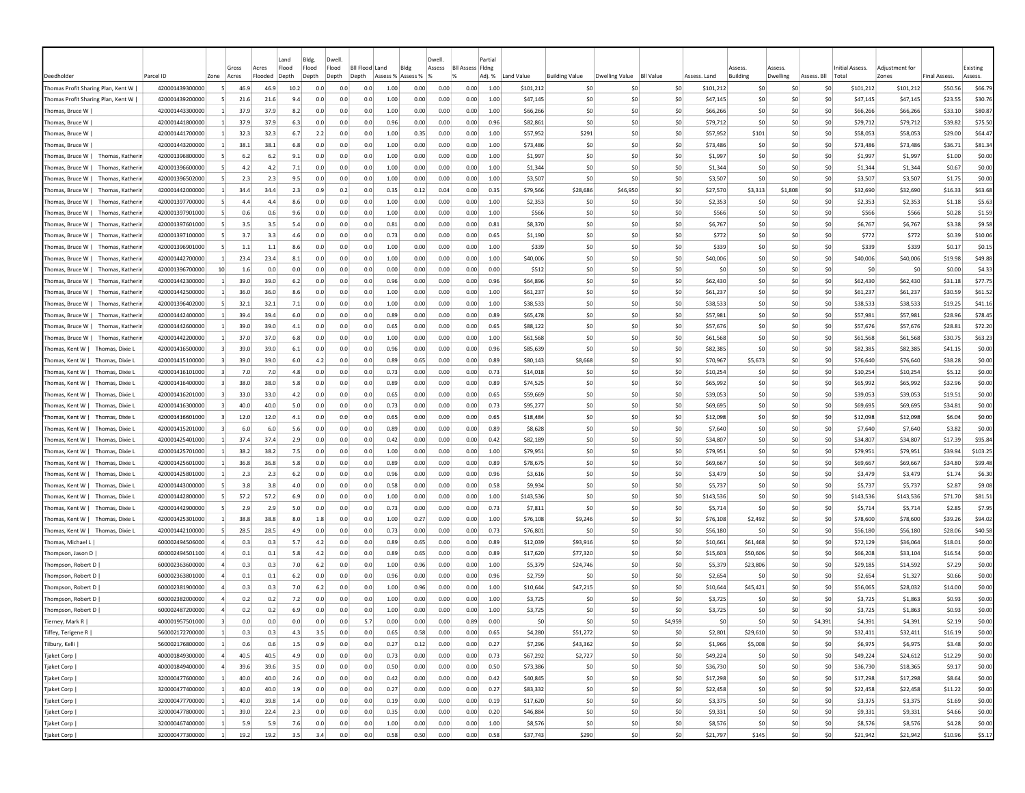|                                       |                 |                 |                |                  | Land           | Bldg.          | Dwell                   |                       |                           |      | Dwell  |                         | Partial |            |                       |                |                  |              |                       |                    |             |                          |                         |                     |                     |
|---------------------------------------|-----------------|-----------------|----------------|------------------|----------------|----------------|-------------------------|-----------------------|---------------------------|------|--------|-------------------------|---------|------------|-----------------------|----------------|------------------|--------------|-----------------------|--------------------|-------------|--------------------------|-------------------------|---------------------|---------------------|
| Deedholder                            | Parcel ID       | Zone            | Gross<br>Acres | Acres<br>Flooded | Flood<br>Depth | Flood<br>Depth | Flood<br>Depth<br>Depth | <b>Bll Flood Land</b> | Bldg<br>Assess % Assess % | 1%   | Assess | <b>Bll Assess Fldng</b> | Adj. %  | Land Value | <b>Building Value</b> | Dwelling Value | <b>BII Value</b> | Assess, Land | Assess<br>Building    | Assess<br>Dwelling | Assess. Bll | Initial Assess.<br>Total | Adiustment for<br>Zones | <b>Final Assess</b> | Existing<br>Assess. |
| Thomas Profit Sharing Plan, Kent W    | 420001439300000 | -51             | 46.9           | 46.9             | 10.2           | 0.0            | 0.0                     | 0.0                   | 1.00                      | 0.00 | 0.00   | 0.00                    | 1.00    | \$101,212  |                       | -SO<br>-SO     | \$0              | \$101,212    | -SO                   | -SO                | S0          | \$101,212                | \$101,212               | \$50.56             | \$66.79             |
| Thomas Profit Sharing Plan, Kent W    | 420001439200000 |                 | 21.6           | 21.6             | 9.4            | 0.0            | 0.0                     | 0.0                   | 1.00                      | 0.00 | 0.00   | 0.00                    | 1.00    | \$47,145   |                       | \$0<br>-SO     | \$0              | \$47,145     | \$0                   | \$0                | \$0         | \$47,145                 | \$47,145                | \$23.55             | \$30.76             |
| Thomas, Bruce W                       | 420001443300000 | $\overline{1}$  | 37.9           | 37.9             | 8.2            | 0.0            | 0.0                     | 0.0                   | 1.00                      | 0.00 | 0.00   | 0.00                    | 1.00    | \$66,266   |                       | \$0<br>-SO     | \$0              | \$66,266     | S <sub>0</sub>        | \$0                | \$0         | \$66,266                 | \$66,266                | \$33.10             | \$80.87             |
| Thomas, Bruce W                       | 420001441800000 |                 | 37.9           | 37.9             | 6.3            | 0.0            | 0.0                     | 0.0                   | 0.96                      | 0.00 | 0.00   | 0.00                    | 0.96    | \$82,861   |                       | \$0<br>-SO     | \$0              | \$79,712     | \$0                   | \$0                | \$0         | \$79,712                 | \$79,712                | \$39.82             | \$75.50             |
| Thomas, Bruce W                       | 420001441700000 |                 | 32.3           | 32.3             | 6.7            | 2.2            | 0.0                     | 0.0                   | 1.00                      | 0.35 | 0.00   | 0.00                    | 1.00    | \$57,952   | \$291                 | -SO            | \$0              | \$57,952     | \$101                 | \$0                | \$0         | \$58,053                 | \$58,053                | \$29.00             | \$64.47             |
| Thomas, Bruce W                       | 420001443200000 |                 | 38.1           | 38.1             | 6.8            | 0.0            | 0.0                     | 0.0                   | 1.00                      | 0.00 | 0.00   | 0.00                    | 1.00    | \$73,486   |                       | \$0<br>S0      | \$0              | \$73,486     | \$0                   | \$0                | \$0         | \$73,486                 | \$73,486                | \$36.71             | \$81.34             |
| Thomas, Bruce W   Thomas, Katherin    | 420001396800000 | -51             | 6.2            | 6.2              | 9.1            | 0.0            | 0.0                     | 0.0                   | 1.00                      | 0.00 | 0.00   | 0.00                    | 1.00    | \$1,997    |                       | -SO<br>-SO     | \$0              | \$1,997      | S0                    | -SO                | S0          | \$1,997                  | \$1,997                 | \$1.00              | \$0.00              |
| Thomas, Bruce W   Thomas, Katherin    | 420001396600000 | -51             | 4.2            | 4.2              | 7.1            | 0.0            | 0.0                     | 0.0                   | 1.00                      | 0.00 | 0.00   | 0.00                    | 1.00    | \$1,344    |                       | \$0<br>-SO     | \$0              | \$1,344      | S0                    | S0                 | S0          | \$1,344                  | \$1,344                 | \$0.67              | \$0.00              |
| Thomas, Bruce W   Thomas, Katherin    | 420001396502000 | -51             | 2.3            | 2.3              | 9.5            | 0.0            | 0.0                     | 0.0                   | 1.00                      | 0.00 | 0.00   | 0.00                    | 1.00    | \$3,507    |                       | \$0<br>-SO     | -SO              | \$3,507      | S0                    | \$0                | \$0         | \$3,507                  | \$3,507                 | \$1.75              | \$0.00              |
| Thomas, Bruce W   Thomas, Katherin    | 420001442000000 |                 | 34.4           | 34.4             | 2.3            | 0.9            | 0.2                     | 0.0                   | 0.35                      | 0.12 | 0.04   | 0.00                    | 0.35    | \$79,566   | \$28,686              | \$46,950       | \$0              | \$27,570     | \$3,313               | \$1,808            | \$0         | \$32,690                 | \$32,690                | \$16.33             | \$63.68             |
| Thomas, Bruce W   Thomas, Katherir    | 420001397700000 |                 | 4.4            | 4.4              | 8.6            | 0.0            | 0.0                     | 0.0                   | 1.00                      | 0.00 | 0.00   | 0.00                    | 1.00    | \$2,353    |                       | \$0<br>-SO     | \$0              | \$2,353      | \$0                   | \$C                | \$0         | \$2,353                  | \$2,353                 | \$1.18              | \$5.63              |
| Thomas, Bruce W  <br>Thomas, Katheri  | 420001397901000 |                 | 0.6            | 0.6              | 9.6            | 0.0            | 0.0                     | 0.0                   | 1.00                      | 0.00 | 0.00   | 0.00                    | 1.00    | \$566      |                       | \$0<br>-SO     | \$0              | \$566        | \$0                   | \$C                | \$0         | \$566                    | \$566                   | \$0.28              | \$1.59              |
| Thomas, Bruce W  <br>Thomas, Katheri  | 420001397601000 |                 | 3.5            | 3.5              | 5.4            | 0.0            | 0.0                     | 0.0                   | 0.81                      | 0.00 | 0.00   | 0.00                    | 0.81    | \$8,370    |                       | \$0<br>\$0     | \$0              | \$6,767      | \$0                   | \$0                | \$0         | \$6,767                  | \$6,767                 | \$3.38              | \$9.58              |
| Thomas, Bruce W  <br>Thomas, Katherii | 420001397100000 |                 | 3.7            | 3.3              | 4.6            | 0.0            | 0.0                     | 0.0                   | 0.73                      | 0.00 | 0.00   | 0.00                    | 0.65    | \$1,190    |                       | \$0<br>\$0     | \$0              | \$772        | \$0                   | \$0                | \$0         | \$772                    | \$772                   | \$0.39              | \$10.06             |
| Thomas, Bruce W   Thomas, Katherii    | 420001396901000 |                 | 1.1            | 1.1              | 8.6            | 0.0            | 0.0                     | 0.0                   | 1.00                      | 0.00 | 0.00   | 0.00                    | 1.00    | \$339      |                       | \$0<br>-SO     | \$0              | \$339        | \$0                   | \$0                | \$0         | \$339                    | \$339                   | \$0.17              | \$0.15              |
| Thomas. Katherii<br> Thomas, Bruce W  | 420001442700000 |                 | 23.4           | 23.4             | 8.1            | 0.0            | 0.0                     | 0.0                   | 1.00                      | 0.00 | 0.00   | 0.00                    | 1.00    | \$40,006   |                       | \$0<br>-SO     | \$0              | \$40,006     | S0                    | \$0                | \$0         | \$40,006                 | \$40,006                | \$19.98             | \$49.88             |
| Thomas, Bruce W  <br>Thomas, Katherin | 420001396700000 | 10 <sup>1</sup> | 1.6            | 0.0              | 0.0            | 0.0            | 0.0                     | 0.0                   | 0.00                      | 0.00 | 0.00   | 0.00                    | 0.00    | \$512      |                       | \$0<br>-SO     | \$0              |              | \$0<br>\$0            | \$0                | \$0         | \$0                      | \$0                     | \$0.00              | \$4.33              |
| Thomas, Bruce W   Thomas, Katheri     | 420001442300000 | $\vert$ 1       | 39.0           | 39.0             | 6.2            | 0.0            | 0.0                     | 0.0                   | 0.96                      | 0.00 | 0.00   | 0.00                    | 0.96    | \$64,896   |                       | \$0<br>\$0     | \$0              | \$62,430     | \$0                   | \$0                | \$0         | \$62,430                 | \$62,430                | \$31.18             | \$77.75             |
| Thomas, Bruce W   Thomas, Katheri     | 420001442500000 |                 | 36.0           | 36.0             | 8.6            | 0.0            | 0.0                     | 0.0                   | 1.00                      | 0.00 | 0.00   | 0.00                    | 1.00    | \$61,237   |                       | \$0<br>-SO     | \$0              | \$61,237     | \$0                   | \$0                | \$0         | \$61,237                 | \$61,237                | \$30.59             | \$61.52             |
| Thomas, Bruce W   Thomas, Katherin    | 420001396402000 | -51             | 32.1           | 32.1             | 7.1            | 0.0            | 0.0                     | 0.0                   | 1.00                      | 0.00 | 0.00   | 0.00                    | 1.00    | \$38,533   |                       | -SO<br>-SO     | \$0              | \$38,533     | -SO                   | \$0                | S0          | \$38,533                 | \$38,533                | \$19.25             | \$41.16             |
| Thomas, Bruce W   Thomas, Katherin    | 420001442400000 | -11             | 39.4           | 39.4             | 6.0            | 0.0            | 0.0                     | 0.0                   | 0.89                      | 0.00 | 0.00   | 0.00                    | 0.89    | S65.478    |                       | \$0<br>-SO     | -SO              | \$57,981     | S0                    | \$0                | \$0         | \$57,981                 | \$57,981                | \$28.96             | \$78.45             |
| Thomas, Bruce W   Thomas, Katherin    | 420001442600000 |                 | 39.0           | 39.0             | 4.1            | 0.0            | 0.0                     | 0.0                   | 0.65                      | 0.00 | 0.00   | 0.00                    | 0.65    | \$88,122   |                       | \$0<br>-SO     | \$0              | \$57,676     | S0                    | \$0                | \$0         | \$57,676                 | \$57,676                | \$28.81             | \$72.20             |
| Thomas, Bruce W   Thomas, Katherin    | 420001442200000 |                 | 37.0           | 37.0             | 6.8            | 0.0            | 0.0                     | 0.0                   | 1.00                      | 0.00 | 0.00   | 0.00                    | 1.00    | \$61,568   |                       | \$0<br>\$0     | \$0              | \$61,568     | \$0                   | \$0                | \$0         | \$61,568                 | \$61,568                | \$30.75             | \$63.23             |
| Thomas, Kent W   Thomas, Dixie L      | 420001416500000 |                 | 39.0           | 39.0             | 6.1            | 0.0            | 0.0                     | 0.0                   | 0.96                      | 0.00 | 0.00   | 0.00                    | 0.96    | \$85,639   |                       | \$C<br>-SO     | \$0              | \$82,385     | \$0                   | \$C                | \$0         | \$82,385                 | \$82,385                | \$41.15             | \$0.00              |
| Thomas, Kent W   Thomas, Dixie L      | 420001415100000 |                 | 39.0           | 39.0             | 6.0            | 4.2            | 0.0                     | 0.0                   | 0.89                      | 0.65 | 0.00   | 0.00                    | 0.89    | \$80,143   | \$8,668               | \$0            | \$0              | \$70,967     | \$5,673               | \$0                | \$0         | \$76,640                 | \$76,640                | \$38.28             | \$0.00              |
| Thomas, Kent W   Thomas, Dixie L      | 420001416101000 |                 | 7.0            | 7.0              | 4.8            | 0.0            | 0.0                     | 0.0                   | 0.73                      | 0.00 | 0.00   | 0.00                    | 0.73    | \$14,018   |                       | \$0<br>\$0     | \$0              | \$10,254     | S0                    | \$0                | \$0         | \$10,254                 | \$10,254                | \$5.12              | \$0.00              |
| Thomas, Kent W   Thomas, Dixie L      | 420001416400000 |                 | 38.0           | 38.0             | 5.8            | 0.0            | 0.0                     | 0.0                   | 0.89                      | 0.00 | 0.00   | 0.00                    | 0.89    | \$74,525   |                       | -SO<br>\$0     | \$0              | \$65,992     | S0                    | \$0                | S0          | \$65,992                 | \$65,992                | \$32.96             | \$0.00              |
| Thomas, Kent W   Thomas, Dixie I      | 420001416201000 | $\overline{3}$  | 33.0           | 33.0             | 4.2            | 0.0            | 0.0                     | 0.0                   | 0.65                      | 0.00 | 0.00   | 0.00                    | 0.65    | \$59,669   |                       | \$0<br>-SO     | \$0              | \$39,053     | S <sub>0</sub>        | \$0                | \$0         | \$39,053                 | \$39,053                | \$19.51             | \$0.00              |
| Thomas, Kent W   Thomas, Dixie L      | 420001416300000 | $\vert$ 3       | 40.0           | 40.0             | 5.0            | 0.0            | 0.0                     | 0.0                   | 0.73                      | 0.00 | 0.00   | 0.00                    | 0.73    | \$95,277   |                       | \$0<br>-SO     | \$0              | \$69,695     | \$0                   | \$0                | \$0         | \$69,695                 | \$69,695                | \$34.81             | \$0.00              |
| Thomas, Kent W   Thomas, Dixie L      | 420001416601000 |                 | 12.0           | 12.0             | 4.1            | 0.0            | 0.0                     | 0.0                   | 0.65                      | 0.00 | 0.00   | 0.00                    | 0.65    | \$18,484   |                       | \$0<br>-SO     | \$0              | \$12,098     | \$0                   | \$0                | \$0         | \$12,098                 | \$12,098                | \$6.04              | \$0.00              |
| Thomas, Kent W   Thomas, Dixie I      | 420001415201000 |                 | 6.0            | 6.0              | 5.6            | 0.0            | 0.0                     | 0.0                   | 0.89                      | 0.00 | 0.00   | 0.00                    | 0.89    | \$8,628    |                       | \$0<br>\$0     | \$0              | \$7,640      | \$0                   | \$0                | \$0         | \$7,640                  | \$7,640                 | \$3.82              | \$0.00              |
| Thomas, Kent W   Thomas, Dixie L      | 420001425401000 |                 | 37.4           | 37.4             | 2.9            | 0.0            | 0.0                     | 0.0                   | 0.42                      | 0.00 | 0.00   | 0.00                    | 0.42    | \$82,189   |                       | \$0<br>-SO     | \$0              | \$34,807     | \$0                   | \$0                | \$0         | \$34,807                 | \$34,807                | \$17.39             | \$95.84             |
| Thomas, Kent W   Thomas, Dixie L      | 420001425701000 | -11             | 38.2           | 38.2             | 7.5            | 0.0            | 0.0                     | 0.0                   | 1.00                      | 0.00 | 0.00   | 0.00                    | 1.00    | \$79,951   |                       | -SO<br>-SO     | \$0              | \$79,951     | S0                    | S0                 | S0          | \$79,951                 | \$79,951                | \$39.94             | \$103.25            |
| Thomas, Kent W   Thomas, Dixie L      | 420001425601000 |                 | 36.8           | 36.8             | 5.8            | 0.0            | 0.0                     | 0.0                   | 0.89                      | 0.00 | 0.00   | 0.00                    | 0.89    | \$78,675   |                       | \$0<br>-SO     | \$0              | \$69,667     | S <sub>0</sub>        | \$0                | \$0         | \$69,667                 | \$69,667                | \$34.80             | \$99.48             |
| Thomas, Kent W   Thomas, Dixie L      | 420001425801000 |                 | 2.3            | 2.3              | 6.2            | 0.0            | 0.0                     | 0.0                   | 0.96                      | 0.00 | 0.00   | 0.00                    | 0.96    | \$3,616    |                       | \$0<br>-SO     | -SO              | \$3,479      | S <sub>0</sub>        | \$0                | \$0         | \$3,479                  | \$3,479                 | \$1.74              | \$6.30              |
| Thomas, Kent W   Thomas, Dixie L      | 420001443000000 |                 | 3.8            | 3.8              | 4.0            | 0.0            | 0.0                     | 0.0                   | 0.58                      | 0.00 | 0.00   | 0.00                    | 0.58    | \$9,934    |                       | \$0<br>-SO     | \$0              | \$5,737      | \$0                   | \$0                | \$0         | \$5,737                  | \$5,737                 | \$2.87              | \$9.08              |
| Thomas, Kent W   Thomas, Dixie L      | 420001442800000 |                 | 57.2           | 57.2             | 6.9            | 0.0            | 0.0                     | 0.0                   | 1.00                      | 0.00 | 0.00   | 0.00                    | 1.00    | \$143,536  |                       | \$C<br>-SO     | \$0              | \$143,536    | \$0                   | \$C                | \$0         | \$143,536                | \$143,536               | \$71.70             | \$81.51             |
| Thomas, Kent W   Thomas, Dixie L      | 420001442900000 |                 | 2.9            | 2.9              | 5.0            | 0.0            | 0.0                     | 0.0                   | 0.73                      | 0.00 | 0.00   | 0.00                    | 0.73    | \$7,811    |                       | \$0<br>\$0     | \$0              | \$5,714      | \$0                   | \$0                | \$0         | \$5,714                  | \$5,714                 | \$2.85              | \$7.95              |
| Thomas, Kent W   Thomas, Dixie L      | 420001425301000 |                 | 38.8           | 38.8             | 8.0            | 1.8            | 0.0                     | 0.0                   | 1.00                      | 0.27 | 0.00   | 0.00                    | 1.00    | \$76,108   | \$9,246               | -SO            | \$0              | \$76,108     | \$2,492               | \$0                | \$0         | \$78,600                 | \$78,600                | \$39.26             | \$94.02             |
| Thomas, Kent W   Thomas, Dixie L      | 420001442100000 |                 | 28.5           | 28.5             | 4.9            | 0.0            | 0.0                     | 0.0                   | 0.73                      | 0.00 | 0.00   | 0.00                    | 0.73    | \$76,801   |                       | -SO<br>\$0     | \$0              | \$56,180     | S0                    | \$0                | \$0         | \$56,180                 | \$56,180                | \$28.06             | \$40.58             |
| Thomas, Michael L                     | 600002494506000 |                 | 0.3            | 0.3              | 5.7            | 4.2            | 0.0                     | 0.0                   | 0.89                      | 0.65 | 0.00   | 0.00                    | 0.89    | \$12,039   | \$93,916              | \$0            | \$0              | \$10,661     | \$61,468              | 50                 | \$0         | \$72,129                 | \$36,064                | \$18.01             | \$0.00              |
| Thompson, Jason D                     | 600002494501100 |                 | 0.1            | 0.1              | 5.8            | 4.2            | 0.0                     | 0.0                   | 0.89                      | 0.65 | 0.00   | 0.00                    | 0.89    | \$17,620   | \$77,320              | -SO            | \$0              | \$15,603     | \$50,606              | \$0                | \$0         | \$66,208                 | \$33,104                | \$16.54             | \$0.00              |
| Thompson, Robert D                    | 600002363600000 |                 | 0.3            | 0.3              | 7.0            | 6.2            | 0.0                     | 0.0                   | 1.00                      | 0.96 | 0.00   | 0.00                    | 1.00    | \$5,379    | \$24,746              | -SO            | \$0              | \$5,379      | \$23,806              | \$0                | \$0         | \$29,185                 | \$14,592                | \$7.29              | \$0.00              |
| Thompson, Robert D                    | 600002363801000 |                 | 0.1            | 0.1              | 6.2            | 0.0            | 0.0                     | 0.0                   | 0.96                      | 0.00 | 0.00   | 0.00                    | 0.96    | \$2,759    |                       | \$C<br>-SO     | \$0              | \$2,654      | \$0                   | \$0                | \$0         | \$2,654                  | \$1,327                 | \$0.66              | \$0.00              |
| Thompson, Robert D                    | 600002381900000 |                 | 0.3            | 0.3              | 7.0            | 6.2            | 0.0                     | 0.0                   | 1.00                      | 0.96 | 0.00   | 0.00                    | 1.00    | \$10,644   | \$47,215              | -SO            | \$0              | \$10,644     | \$45,421              | S0                 | S0          | \$56,065                 | \$28,032                | \$14.00             | \$0.00              |
| Thompson, Robert D                    | 600002382000000 |                 | 0.2            | 0.2              | 7.2            | 0.0            | 0.0                     | 0.0                   | 1.00                      | 0.00 | 0.00   | 0.00                    | 1.00    | \$3,725    |                       | -SO<br>-SO     | \$0              | \$3,725      | -SO                   | S0                 | S0          | \$3,725                  | \$1,863                 | \$0.93              | \$0.00              |
| Thompson, Robert D                    | 600002487200000 |                 | 0.2            | 0.2              | 6.9            | 0.0            | 0.0                     | 0.0                   | 1.00                      | 0.00 | 0.00   | 0.00                    | 1.00    | \$3,725    |                       | -SO<br>-SO     | \$0              | \$3.725      | S <sub>0</sub>        | \$0                | \$0         | \$3,725                  | \$1,863                 | \$0.93              | \$0.00              |
| Tierney, Mark R                       | 400001957501000 |                 | 0.0            | 0.0              | 0.0            | 0.0            | 0.0                     | 5.7                   | 0.00                      | 0.00 | 0.00   | 0.89                    | 0.00    | \$0        |                       | \$0<br>-SO     | \$4,959          |              | \$0<br>S <sub>0</sub> | \$0                | \$4,391     | \$4,391                  | \$4,391                 | \$2.19              | \$0.00              |
| Tiffey, Terigene R                    | 560002172700000 |                 | 0.3            | 0.3              | 4.3            | 3.5            | 0.0                     | 0.0                   | 0.65                      | 0.58 | 0.00   | 0.00                    | 0.65    | \$4,280    | \$51,272              | \$0            | \$0              | \$2,801      | \$29,610              | \$0                | \$0         | \$32,411                 | \$32,411                | \$16.19             | \$0.00              |
| Tilbury, Kelli                        | 560002176800000 | $\vert$ 1       | 0.6            | 0.6              | 1.5            | 0.9            | 0.0                     | 0.0                   | 0.27                      | 0.12 | 0.00   | 0.00                    | 0.27    | \$7,296    | \$43,362              | 50             | \$0              | \$1,966      | \$5,008               | 50                 | \$0         | \$6,975                  | \$6,975                 | \$3.48              | \$0.00              |
| Tjaket Corp                           | 400001849300000 | $\overline{a}$  | 40.5           | 40.5             | 4.9            | 0.0            | 0.0                     | 0.0                   | 0.73                      | 0.00 | 0.00   | 0.00                    | 0.73    | \$67,292   | \$2,727               | 50             | \$0              | \$49,224     | \$0                   | \$0                | \$0         | \$49,224                 | \$24,612                | \$12.29             | \$0.00              |
| Tjaket Corp                           | 400001849400000 | $\overline{a}$  | 39.6           | 39.6             | 3.5            | 0.0            | 0.0                     | 0.0                   | 0.50                      | 0.00 | 0.00   | 0.00                    | 0.50    | \$73,386   |                       | \$0<br>\$0     | \$0              | \$36,730     | \$0                   | 50                 | \$0         | \$36,730                 | \$18,365                | \$9.17              | \$0.00              |
| Tjaket Corp                           | 320000477600000 | $\vert$ 1       | 40.0           | 40.0             | 2.6            | 0.0            | 0.0                     | 0.0                   | 0.42                      | 0.00 | 0.00   | 0.00                    | 0.42    | \$40,845   |                       | \$0<br>50      | 50               | \$17,298     | \$0                   | 50                 | \$0         | \$17,298                 | \$17,298                | \$8.64              | \$0.00              |
| Tjaket Corp                           | 320000477400000 | $\blacksquare$  | 40.0           | 40.0             | 1.9            | 0.0            | 0.0                     | 0.0                   | 0.27                      | 0.00 | 0.00   | 0.00                    | 0.27    | \$83,332   |                       | \$0<br>\$0     | \$0              | \$22,458     | \$0                   | 50                 | \$0         | \$22,458                 | \$22,458                | \$11.22             | \$0.00              |
| Tjaket Corp                           | 320000477700000 | $\mathbf{1}$    | 40.0           | 39.8             | 1.4            | 0.0            | 0.0                     | 0.0                   | 0.19                      | 0.00 | 0.00   | 0.00                    | 0.19    | \$17,620   |                       | \$0<br>\$0     | \$0              | \$3,375      | \$0                   | 50                 | \$0         | \$3,375                  | \$3,375                 | \$1.69              | \$0.00              |
| Tjaket Corp                           | 320000477800000 | $\vert$ 1       | 39.0           | 22.4             | 2.3            | 0.0            | 0.0                     | 0.0                   | 0.35                      | 0.00 | 0.00   | 0.00                    | 0.20    | \$46,884   |                       | \$0<br> 50     | 50               | \$9,331      | \$0                   | \$0                | \$0         | \$9,331                  | \$9,331                 | \$4.66              | \$0.00              |
| Tjaket Corp                           | 320000467400000 | $\overline{1}$  | 5.9            | 5.9              | 7.6            | 0.0            | 0.0                     | 0.0                   | 1.00                      | 0.00 | 0.00   | 0.00                    | 1.00    | \$8,576    |                       | \$0<br>\$0     | \$0              | \$8,576      | \$0                   | \$0                | \$0         | \$8,576                  | \$8,576                 | \$4.28              | \$0.00              |
| Tjaket Corp                           | 320000477300000 | $\overline{1}$  | 19.2           | 19.2             | 3.5            | 3.4            | 0.0                     | 0.0                   | 0.58                      | 0.50 | 0.00   | 0.00                    | 0.58    | \$37,743   |                       | \$290<br>50    | \$0              | \$21,797     | \$145                 | 50                 | \$0         | \$21,942                 | \$21,942                | \$10.96             | \$5.17              |
|                                       |                 |                 |                |                  |                |                |                         |                       |                           |      |        |                         |         |            |                       |                |                  |              |                       |                    |             |                          |                         |                     |                     |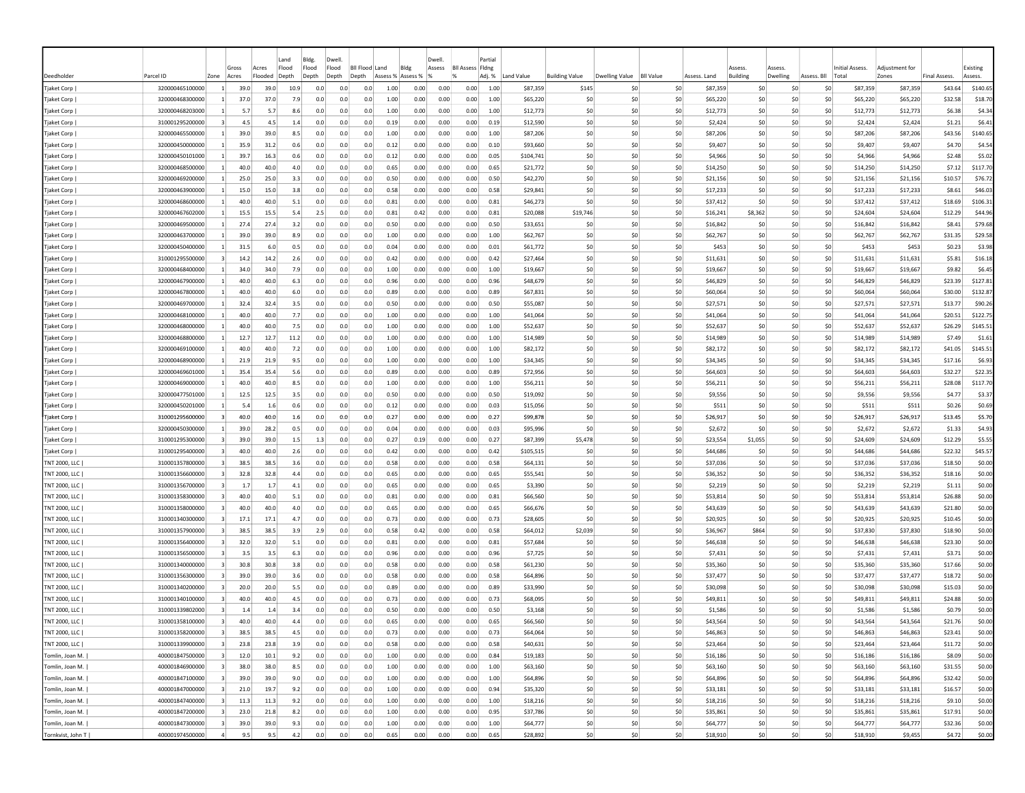| Existing<br>Flood<br>Flood<br>Bldg<br><b>BII Assess Fidne</b><br>Gross<br>Acres<br>Flood<br>Bil Flood Land<br>Assess<br>Initial Assess.<br>Adiustment for<br>Assess<br>Assess<br>Deedholder<br>Parcel ID<br>Adj. %<br>Land Value<br><b>Building Value</b><br><b>Dwelling Value</b><br><b>BII Value</b><br>Assess. Land<br><b>Building</b><br>Dwelling<br>Total<br>Zones<br>Final Assess.<br>Assess.<br>Zone<br>Acres<br>Flooded<br>Depth<br>Depth<br>Depth<br>Depth<br>Assess %<br>Assess %<br>Assess. Bll<br>\$140.65<br>320000465100000<br>39.0<br>39.0<br>10.9<br>0.0<br>0.0<br>1.00<br>0.00<br>0.00<br>0.00<br>1.00<br>\$87,359<br>-SO<br>\$0<br>\$87,359<br>\$0<br>\$0<br>\$87,359<br>\$87,359<br>\$43.64<br>Tjaket Corp  <br>0.0<br>\$145<br>\$C<br>Tjaket Corp  <br>320000468300000<br>37.0<br>37.0<br>7.9<br>0.0<br>0.0<br>0.0<br>1.00<br>0.00<br>0.00<br>0.00<br>1.00<br>\$65,220<br>\$C<br>\$0<br>\$0<br>\$65,220<br>\$0<br>\$0<br>\$0<br>\$65,220<br>\$65,220<br>\$32.58<br>\$18.70<br>5.7<br>1.00<br>0.00<br>0.00<br>\$0<br>\$0<br>\$0<br>\$12,773<br>\$0<br>\$0<br>\$12,773<br>\$12,773<br>\$4.34<br>Tjaket Corp  <br>320000468203000<br>5.7<br>8.6<br>0.0<br>0.0<br>0.0<br>0.00<br>1.00<br>\$12,773<br>S0<br>\$6.38<br>0.00<br>\$0<br>\$0<br>\$2,424<br>310001295200000<br>4.5<br>4.5<br>0.0<br>0.0<br>0.19<br>0.00<br>0.00<br>0.19<br>\$12,590<br>\$0<br>-SO<br>\$2,424<br>S <sub>0</sub><br>\$0<br>\$2,424<br>\$1.21<br>\$6.41<br>Tjaket Corp  <br>1.4<br>0.0<br>39.0<br>39.0<br>\$0<br>\$140.65<br>320000465500000<br>0.0<br>1.00<br>0.00<br>0.00<br>0.00<br>1.00<br>\$87,206<br>\$0<br>-SO<br>\$87,206<br>S <sub>0</sub><br>\$0<br>\$0<br>\$87,206<br>\$87,206<br>\$43.56<br>Tjaket Corp<br>8.5<br>0.0<br>0.0<br>\$0<br>Tjaket Corp<br>320000450000000<br>35.9<br>31.2<br>0.6<br>0.0<br>0.0<br>0.0<br>0.12<br>0.00<br>0.00<br>0.00<br>0.10<br>\$93,660<br>\$0<br>-SO<br>\$9,407<br>\$0<br>\$0<br>\$0<br>\$9,407<br>\$9,407<br>\$4.70<br>\$4.54<br>\$0<br>320000450101000<br>$\vert$ 1<br>39.7<br>16.3<br>0.6<br>0.0<br>0.0<br>0.0<br>0.12<br>0.00<br>0.00<br>0.00<br>0.05<br>\$104,741<br>\$0<br>\$0<br>\$4,966<br>\$0<br>\$0<br>\$0<br>\$4,966<br>\$4,966<br>\$2.48<br>\$5.02<br>Tjaket Corp  <br>Tjaket Corp<br>320000468500000<br>40.0<br>40.0<br>4.0<br>0.65<br>0.00<br>0.00<br>0.00<br>0.65<br>\$21,772<br>\$0<br>-SO<br>\$0<br>\$14,250<br>\$0<br>\$0<br>\$0<br>\$14,250<br>\$14,250<br>\$7.12<br>\$117.70<br>0.0<br>0.0<br>0.0<br>-SO<br>\$0<br>\$0<br>\$76.72<br>Tjaket Corp  <br>320000469200000<br>$\overline{1}$<br>25.0<br>25.0<br>3.3<br>0.0<br>0.0<br>0.0<br>0.50<br>0.00<br>0.00<br>0.00<br>0.50<br>\$42,270<br>-SO<br>\$21,156<br>-SO<br>S0<br>\$21,156<br>\$21,156<br>\$10.57<br>\$17,233<br>\$46.03<br>320000463900000<br>15.0<br>0.58<br>0.00<br>0.00<br>\$29,841<br>\$0<br>-SO<br>-SO<br>\$17,233<br>S <sub>0</sub><br>\$0<br>\$0<br>\$17,233<br>\$8.61<br>Tjaket Corp<br>15.0<br>3.8<br>0.0<br>0.0<br>0.0<br>0.00<br>0.58<br>$\mathbf{1}$<br>40.0<br>\$0<br>\$0<br>\$37,412<br>\$37,412<br>\$106.31<br>320000468600000<br>40.0<br>5.1<br>0.0<br>0.81<br>0.00<br>\$46,273<br>\$0<br>-SO<br>\$37,412<br>S <sub>0</sub><br>\$0<br>\$18.69<br>Tjaket Corp<br>0.0<br>0.0<br>0.00<br>0.00<br>0.81<br>Tjaket Corp<br>320000467602000<br>15.5<br>15.5<br>5.4<br>2.5<br>0.0<br>0.0<br>0.81<br>0.42<br>0.00<br>0.00<br>0.81<br>\$20,088<br>\$19,746<br>\$0<br>\$0<br>\$16,241<br>\$8,362<br>\$0<br>\$0<br>\$24,604<br>\$24,604<br>\$12.29<br>\$44.96<br>Tjaket Corp<br>320000469500000<br>27.4<br>27.4<br>3.2<br>0.0<br>0.50<br>0.00<br>0.00<br>0.00<br>0.50<br>\$33,651<br>\$C<br>-SO<br>\$0<br>\$16,842<br>\$0<br>\$C<br>\$0<br>\$16,842<br>\$16,842<br>\$8.41<br>\$79.68<br>0.0<br>0.0<br>320000463700000<br>39.0<br>39.0<br>8.9<br>0.0<br>0.0<br>0.0<br>1.00<br>0.00<br>0.00<br>0.00<br>1.00<br>\$62,767<br>\$C<br>\$0<br>\$0<br>\$62,767<br>\$0<br>\$0<br>\$0<br>\$62,767<br>\$62,767<br>\$31.35<br>\$29.58<br>Tjaket Corp  <br>320000450400000<br>0.04<br>\$0<br>-SO<br>\$0<br>\$0<br>\$0<br>\$0<br>\$3.98<br>Tjaket Corp  <br>31.5<br>6.0<br>0.5<br>0.0<br>0.0<br>0.0<br>0.00<br>0.00<br>0.00<br>0.01<br>\$61,772<br>\$453<br>\$453<br>\$453<br>\$0.23<br>\$0<br>\$11,631<br>\$0<br>-SO<br>\$11,631<br>\$0<br>\$0<br>\$11,631<br>\$5.81<br>\$16.18<br>Tjaket Corp  <br>310001295500000<br>14.2<br>14.2<br>2.6<br>0.0<br>0.0<br>0.0<br>0.42<br>0.00<br>0.00<br>0.00<br>0.42<br>\$27,464<br>S0<br>320000468400000<br>\$0<br>\$0<br>\$0<br>\$0<br>\$19,667<br>\$19,667<br>$\vert$ 1<br>34.0<br>34.0<br>7.9<br>0.0<br>1.00<br>0.00<br>0.00<br>0.00<br>1.00<br>\$19,667<br>\$0<br>\$19,667<br>S <sub>0</sub><br>\$9.82<br>\$6.45<br>Tjaket Corp<br>0.0<br>0.0<br>\$0<br>\$127.81<br>320000467900000<br>$\vert$ 1<br>40.0<br>40.0<br>6.3<br>0.0<br>0.0<br>0.0<br>0.96<br>0.00<br>0.00<br>0.00<br>0.96<br>\$48,679<br>\$0<br>-SO<br>\$46,829<br>\$0<br>\$0<br>\$0<br>\$46,829<br>\$46,829<br>\$23.39<br>Tjaket Corp<br>\$0<br>\$132.87<br>Tjaket Corp<br>320000467800000<br>40.0<br>40.0<br>6.0<br>0.0<br>0.0<br>0.0<br>0.89<br>0.00<br>0.00<br>0.00<br>0.89<br>\$67,831<br>\$C<br>-SO<br>\$60,064<br>\$0<br>\$0<br>\$0<br>\$60,064<br>\$60,064<br>\$30.00<br>320000469700000<br>32.4<br>3.5<br>0.0<br>0.50<br>0.00<br>0.00<br>0.00<br>0.50<br>\$55,087<br>\$0<br>-SO<br>\$0<br>\$27,571<br>\$0<br>\$0<br>\$0<br>\$27,571<br>\$27,571<br>\$13.77<br>\$90.26<br>Tjaket Corp  <br>32.4<br>0.0<br>0.0<br>\$0<br>-SO<br>\$0<br>\$0<br>\$122.75<br>Tjaket Corp<br>320000468100000<br>40.0<br>40.0<br>7.7<br>0.0<br>0.0<br>0.0<br>1.00<br>0.00<br>0.00<br>0.00<br>1.00<br>\$41,064<br>\$41,064<br>S0<br>S0<br>\$41,064<br>\$41,064<br>\$20.51<br>-11<br>-SO<br>\$0<br>SO.<br>\$52,637<br>\$145.51<br>Tjaket Corp  <br>320000468000000<br>40.0<br>40.0<br>7.5<br>0.0<br>0.0<br>0.0<br>1.00<br>0.00<br>0.00<br>0.00<br>1.00<br>\$52,637<br>-SO<br>\$52,637<br>-SO<br>S0<br>\$52,637<br>\$26.29<br>-11<br>Tjaket Corp<br>320000468800000<br>12.7<br>12.7<br>1.00<br>0.00<br>0.00<br>\$14,989<br>\$0<br>-SO<br>-SO<br>\$14,989<br>S <sub>0</sub><br>\$0<br>\$0<br>\$14,989<br>\$14,989<br>\$1.61<br>11.2<br>0.0<br>0.0<br>0.0<br>0.00<br>1.00<br>\$7.49<br>-11<br>\$0<br>320000469100000<br>40.0<br>40.0<br>0.00<br>\$82.172<br>\$0<br>-SO<br>\$82.172<br>S <sub>0</sub><br>\$0<br>\$0<br>\$82,172<br>\$82,172<br>\$41.05<br>\$145.51<br>Tjaket Corp<br>7.2<br>0.0<br>0.0<br>1.00<br>0.00<br>0.00<br>1.00<br>0.0<br>Tjaket Corp  <br>320000468900000<br>21.9<br>21.9<br>9.5<br>0.0<br>0.0<br>0.0<br>1.00<br>0.00<br>0.00<br>0.00<br>1.00<br>\$34,345<br>\$0<br>-SO<br>\$0<br>\$34,345<br>\$0<br>\$0<br>\$0<br>\$34,345<br>\$34,345<br>\$17.16<br>\$6.93<br>320000469601000<br>35.4<br>35.4<br>5.6<br>0.0<br>0.0<br>0.89<br>0.00<br>0.00<br>0.00<br>0.89<br>\$72,956<br>\$0<br>\$0<br>\$0<br>\$64,603<br>\$0<br>\$0<br>\$0<br>\$64,603<br>\$64,603<br>\$32.27<br>\$22.35<br>Tjaket Corp  <br>0.0<br>320000469000000<br>40.0<br>40.0<br>8.5<br>0.0<br>0.0<br>0.0<br>1.00<br>0.00<br>0.00<br>0.00<br>1.00<br>\$56,211<br>\$0<br>\$0<br>\$0<br>\$56,211<br>\$0<br>\$0<br>\$0<br>\$56,211<br>\$56,211<br>\$28.08<br>\$117.70<br>Tjaket Corp<br>\$0<br>12.5<br>0.50<br>\$0<br>-SO<br>\$9,556<br>\$0<br>\$0<br>\$0<br>\$9,556<br>\$9,556<br>\$3.37<br>Tjaket Corp  <br>320000477501000<br>12.5<br>3.5<br>0.0<br>0.0<br>0.0<br>0.00<br>0.00<br>0.00<br>0.50<br>\$19,092<br>\$4.77<br>0.00<br>\$0<br>\$0<br>\$0<br>\$0<br>\$511<br>\$0.69<br>320000450201000<br>5.4<br>1.6<br>0.6<br>0.0<br>0.0<br>0.0<br>0.12<br>0.00<br>0.00<br>0.03<br>\$15,056<br>-SO<br>\$511<br>S <sub>0</sub><br>\$511<br>\$0.26<br>Tjaket Corp  <br>310001295600000<br>40.0<br>40.0<br>0.27<br>0.00<br>\$99,878<br>\$0<br>\$0<br>\$0<br>\$26,917<br>\$0<br>\$0<br>\$0<br>\$26,917<br>\$26,917<br>\$5.70<br>0.0<br>0.0<br>0.00<br>0.00<br>0.27<br>\$13.45<br>Tjaket Corp<br>3<br>1.6<br>0.0<br>\$0<br>Tjaket Corp<br>320000450300000<br>39.0<br>28.2<br>0.5<br>0.0<br>0.0<br>0.0<br>0.04<br>0.00<br>0.00<br>0.00<br>0.03<br>\$95,996<br>\$0<br>-SO<br>\$2,672<br>\$0<br>\$0<br>\$0<br>\$2,672<br>\$2,672<br>\$1.33<br>\$4.93<br>\$0<br><b>Tjaket Corp</b><br>310001295300000<br>39.0<br>39.0<br>1.5<br>1.3<br>0.0<br>0.27<br>0.19<br>0.00<br>0.00<br>0.27<br>\$87,399<br>\$5,478<br>-SO<br>\$23,554<br>\$1,055<br>\$0<br>\$0<br>\$24,609<br>\$24,609<br>\$12.29<br>\$5.55<br>3<br>0.0<br>310001295400000<br>40.0<br>40.0<br>2.6<br>0.0<br>0.0<br>0.42<br>0.00<br>0.00<br>0.00<br>0.42<br>\$105,515<br>\$C<br>-SO<br>\$0<br>\$44,686<br>\$0<br>\$0<br>\$0<br>\$44,686<br>\$44,686<br>\$22.32<br>\$45.57<br>Tjaket Corp  <br>$\overline{3}$<br>0.0<br><b>TNT 2000, LLC</b><br>38.5<br>\$64,131<br>-SO<br>\$0<br>SO.<br>310001357800000<br>$\overline{3}$<br>38.5<br>3.6<br>0.0<br>0.0<br>0.0<br>0.58<br>0.00<br>0.00<br>0.00<br>0.58<br>-SO<br>\$37,036<br>S0<br>S0<br>\$37,036<br>\$37,036<br>\$18.50<br>\$0.00<br><b>TNT 2000, LLC</b><br>-SO<br>\$0<br>\$0<br>\$36,352<br>\$0.00<br>310001356600000<br>32.8<br>32.8<br>4.4<br>0.0<br>0.0<br>0.0<br>0.65<br>0.00<br>0.00<br>0.00<br>0.65<br>\$55,541<br>-SO<br>\$36,352<br>-SO<br>S0<br>\$36,352<br>\$18.16<br>\$0<br>\$2,219<br>310001356700000<br>0.65<br>0.00<br>\$3,390<br>\$0<br>-SO<br>\$2,219<br>\$0<br>\$0<br>\$0<br>\$2,219<br>\$0.00<br>1.7<br>1.7<br>4.1<br>0.0<br>0.0<br>0.00<br>0.00<br>0.65<br>\$1.11<br>0.0<br><b>TNT 2000, LLC</b><br>40.0<br>40.0<br>\$0<br>\$0<br>\$53,814<br>310001358300000<br>0.81<br>0.00<br>0.00<br>\$66,560<br>\$0<br>-SO<br>\$53,814<br>\$0<br>\$0<br>\$53,814<br>\$26.88<br>\$0.00<br>5.1<br>0.0<br>0.0<br>0.0<br>0.00<br>0.81<br><b>TNT 2000, LLC</b><br>310001358000000<br>40.0<br>40.0<br>4.0<br>0.0<br>0.0<br>0.0<br>0.65<br>0.00<br>0.00<br>0.00<br>0.65<br>\$66,676<br>\$0<br>\$0<br>\$0<br>\$43,639<br>\$0<br>\$C<br>\$0<br>\$43,639<br>\$43,639<br>\$21.80<br>\$0.00<br>TNT 2000, LLC<br>310001340300000<br>17.1<br>17.1<br>4.7<br>0.0<br>0.0<br>0.73<br>0.00<br>0.00<br>0.00<br>0.73<br>\$28,605<br>\$C<br>\$0<br>\$0<br>\$20,925<br>\$0<br>\$0<br>\$0<br>\$20,925<br>\$20,925<br>\$10.45<br>\$0.00<br>0.0<br><b>TNT 2000, LLC</b><br>310001357900000<br>38.5<br>38.5<br>3.9<br>2.9<br>0.0<br>0.0<br>0.58<br>0.42<br>0.00<br>0.00<br>0.58<br>\$64,012<br>\$2,039<br>\$0<br>\$0<br>\$36,967<br>\$864<br>\$0<br>\$0<br>\$37,830<br>\$37,830<br>\$18.90<br>\$0.00<br><b>TNT 2000, LLC</b><br>310001356400000<br>32.0<br>0.81<br>\$57,684<br>-SO<br>\$0<br>\$0<br>\$0<br>\$46,638<br>\$46,638<br>\$23.30<br>\$0.00<br>$\mathbf{R}$<br>32.0<br>5.1<br>0.0<br>0.0<br>0.0<br>0.00<br>0.00<br>0.00<br>0.81<br>-SO<br>\$46,638<br>S0<br>\$0<br>\$0<br><b>TNT 2000, LLC</b><br>310001356500000<br>3.5<br>3.5<br>6.3<br>0.0<br>0.96<br>0.00<br>0.00<br>0.00<br>0.96<br>\$7,725<br>\$0<br>\$7.431<br>S0<br>\$0<br>\$0<br>\$7,431<br>\$7,431<br>\$3.71<br>\$0.00<br>$\overline{3}$<br>0.0<br>0.0<br>310001340000000<br>30.8<br>30.8<br>\$0<br>\$0<br>\$0<br>\$0<br>\$35,360<br>\$35,360<br>\$0.00<br><b>TNT 2000, LLC</b><br>0.58<br>0.00<br>0.00<br>0.00<br>0.58<br>\$61,230<br>\$0<br>\$35,360<br>S0<br>\$17.66<br>3.8<br>0.0<br>0.0<br>0.0<br>\$0<br><b>TNT 2000, LLC</b><br>310001356300000<br>39.0<br>39.0<br>3.6<br>0.0<br>0.0<br>0.0<br>0.58<br>0.00<br>0.00<br>0.00<br>0.58<br>\$64,896<br>\$C<br>-SO<br>\$37,477<br>\$0<br>\$0<br>\$0<br>\$37,477<br>\$37,477<br>\$18.72<br>\$0.00<br><b>TNT 2000, LLC</b><br>310001340200000<br>20.0<br>20.0<br>5.5<br>0.89<br>0.00<br>0.00<br>0.00<br>0.89<br>\$33,990<br>\$0<br>\$0<br>\$0<br>\$0<br>\$0<br>\$0<br>\$30,098<br>\$30,098<br>\$0.00<br>0.0<br>0.0<br>0.0<br>\$30,098<br>\$15.03<br><b>TNT 2000, LLC</b><br>310001340100000<br>40.0<br>40.0<br>4.5<br>0.73<br>0.00<br>0.73<br>\$C<br>-SO<br>\$0<br>\$0<br>\$0<br>\$49,811<br>\$0.00<br>0.0<br>0.0<br>0.0<br>0.00<br>0.00<br>\$68,095<br>\$49,811<br>S0<br>\$49,811<br>\$24.88<br>TNT 2000, LLC<br>310001339802000<br>\$0<br>\$0.00<br>1.4<br>1.4<br>3.4<br>0.0<br>0.0<br>0.0<br>0.50<br>0.00<br>0.00<br>0.00<br>0.50<br>\$3,168<br>-SO<br>-SO<br>\$1,586<br>-SO<br>S0<br>S0<br>\$1,586<br>\$1,586<br>\$0.79<br>TNT 2000, LLC<br>310001358100000<br>40.0<br>40.0<br>\$66,560<br>\$0<br>\$43,564<br>\$0<br>\$0<br>\$43,564<br>\$43,564<br>\$0.00<br>4.4<br>0.0<br>0.65<br>0.00<br>0.00<br>0.00<br>0.65<br>\$0<br>-SO<br>S0<br>\$21.76<br>0.0<br>0.0<br>TNT 2000, LLC  <br>310001358200000<br>38.5<br>0.0<br>50<br>50<br>\$0<br>\$46,863<br>\$0<br>50<br>50<br>\$46,863<br>\$0.00<br>$\overline{\mathbf{3}}$<br>38.5<br>4.5<br>0.0<br>0.0<br>0.73<br>0.00<br>0.00<br>0.00<br>0.73<br>\$64,064<br>\$46,863<br>\$23.41<br>TNT 2000, LLC  <br>310001339900000<br>23.8<br>23.8<br>3.9<br>0.00<br>0.00<br>\$40,631<br>\$0<br>\$0<br>\$0<br>\$23,464<br>\$0<br>\$0<br>\$0<br>\$23,464<br>\$23,464<br>\$11.72<br>\$0.00<br>$\overline{\mathbf{3}}$<br>0.0<br>0.0<br>0.0<br>0.58<br>0.00<br>0.58<br>400001847500000<br>12.0<br>0.00<br>0.00<br>\$19,183<br>\$0<br>\$0<br>\$0<br>\$0<br>\$0<br>\$0<br>\$16,186<br>\$0.00<br>Tomlin, Joan M.<br>$\vert$ 3<br>10.1<br>9.2<br>0.0<br>0.0<br>0.0<br>1.00<br>0.00<br>0.84<br>\$16,186<br>\$16,186<br>\$8.09<br>\$63,160<br>\$0<br>\$0<br>\$0<br>\$0<br>\$0<br>\$63,160<br>Tomlin, Joan M.  <br>400001846900000<br>$\vert$ 3<br>38.0<br>38.0<br>8.5<br>0.0<br>0.0<br>0.0<br>1.00<br>0.00<br>0.00<br>0.00<br>1.00<br>\$63,160<br>\$0<br>\$63,160<br>\$31.55<br>\$0.00<br>\$64,896<br>\$0<br>50<br>\$0<br>\$0<br>50<br>\$0<br>\$64,896<br>\$32.42<br>\$0.00<br>400001847100000<br>39.0<br>39.0<br>9.0<br>0.0<br>0.0<br>1.00<br>0.00<br>0.00<br>0.00<br>\$64,896<br>\$64,896<br>Tomlin, Joan M.<br>$\overline{3}$<br>0.0<br>1.00<br>\$0<br>19.7<br>\$35,320<br>\$0<br>\$0<br>\$33,181<br>\$0<br>50<br>\$0<br>\$33,181<br>\$33,181<br>\$16.57<br>\$0.00<br>400001847000000<br>$\vert$ 3<br>21.0<br>9.2<br>0.0<br>0.0<br>0.0<br>1.00<br>0.00<br>0.00<br>0.00<br>0.94<br>Tomlin, Joan M.<br>\$0<br>400001847400000<br>$\overline{\mathbf{3}}$<br>11.3<br>11.3<br>9.2<br>0.0<br>0.0<br>1.00<br>0.00<br>0.00<br>0.00<br>1.00<br>\$18,216<br>\$0<br>\$0<br>\$18,216<br>\$0<br>50<br>50<br>\$18,216<br>\$18,216<br>\$9.10<br>\$0.00<br>0.0<br>Tomlin, Joan M.  <br>23.0<br>21.8<br>1.00<br>0.00<br>0.00<br>\$37,786<br>\$0<br>\$0<br>\$0<br>\$0<br>\$0<br>\$0<br>\$35,861<br>\$17.91<br>\$0.00<br>Tomlin, Joan M.<br>400001847200000<br>$\vert$ 3<br>8.2<br>0.0<br>0.0<br>0.0<br>0.00<br>0.95<br>\$35,861<br>\$35,861<br>39.0<br>39.0<br>9.3<br>\$64,777<br>\$0<br>\$0<br>\$0<br>\$0<br>\$0<br>\$64,777<br>Tomlin, Joan M.<br>400001847300000<br>$\vert$ 3<br>0.0<br>0.0<br>0.0<br>1.00<br>0.00<br>0.00<br>0.00<br>1.00<br>\$64,777<br>\$0<br>\$64,777<br>\$32.36<br>\$0.00<br>50<br>\$0<br>400001974500000<br>9.5<br>\$28,892<br>50<br>50<br>50<br>50<br>\$9,455<br>$\Delta$<br>9.5<br>4.2<br>0.0<br>0.0<br>0.0<br>0.65<br>0.00<br>0.00<br>0.00<br>0.65<br>\$18,910<br>\$18,910<br>\$4.72<br>\$0.00 |                      |  |  | Land | Bldg. | Dwell |  | Dwell | Partial |  |  |  |  |  |  |
|----------------------------------------------------------------------------------------------------------------------------------------------------------------------------------------------------------------------------------------------------------------------------------------------------------------------------------------------------------------------------------------------------------------------------------------------------------------------------------------------------------------------------------------------------------------------------------------------------------------------------------------------------------------------------------------------------------------------------------------------------------------------------------------------------------------------------------------------------------------------------------------------------------------------------------------------------------------------------------------------------------------------------------------------------------------------------------------------------------------------------------------------------------------------------------------------------------------------------------------------------------------------------------------------------------------------------------------------------------------------------------------------------------------------------------------------------------------------------------------------------------------------------------------------------------------------------------------------------------------------------------------------------------------------------------------------------------------------------------------------------------------------------------------------------------------------------------------------------------------------------------------------------------------------------------------------------------------------------------------------------------------------------------------------------------------------------------------------------------------------------------------------------------------------------------------------------------------------------------------------------------------------------------------------------------------------------------------------------------------------------------------------------------------------------------------------------------------------------------------------------------------------------------------------------------------------------------------------------------------------------------------------------------------------------------------------------------------------------------------------------------------------------------------------------------------------------------------------------------------------------------------------------------------------------------------------------------------------------------------------------------------------------------------------------------------------------------------------------------------------------------------------------------------------------------------------------------------------------------------------------------------------------------------------------------------------------------------------------------------------------------------------------------------------------------------------------------------------------------------------------------------------------------------------------------------------------------------------------------------------------------------------------------------------------------------------------------------------------------------------------------------------------------------------------------------------------------------------------------------------------------------------------------------------------------------------------------------------------------------------------------------------------------------------------------------------------------------------------------------------------------------------------------------------------------------------------------------------------------------------------------------------------------------------------------------------------------------------------------------------------------------------------------------------------------------------------------------------------------------------------------------------------------------------------------------------------------------------------------------------------------------------------------------------------------------------------------------------------------------------------------------------------------------------------------------------------------------------------------------------------------------------------------------------------------------------------------------------------------------------------------------------------------------------------------------------------------------------------------------------------------------------------------------------------------------------------------------------------------------------------------------------------------------------------------------------------------------------------------------------------------------------------------------------------------------------------------------------------------------------------------------------------------------------------------------------------------------------------------------------------------------------------------------------------------------------------------------------------------------------------------------------------------------------------------------------------------------------------------------------------------------------------------------------------------------------------------------------------------------------------------------------------------------------------------------------------------------------------------------------------------------------------------------------------------------------------------------------------------------------------------------------------------------------------------------------------------------------------------------------------------------------------------------------------------------------------------------------------------------------------------------------------------------------------------------------------------------------------------------------------------------------------------------------------------------------------------------------------------------------------------------------------------------------------------------------------------------------------------------------------------------------------------------------------------------------------------------------------------------------------------------------------------------------------------------------------------------------------------------------------------------------------------------------------------------------------------------------------------------------------------------------------------------------------------------------------------------------------------------------------------------------------------------------------------------------------------------------------------------------------------------------------------------------------------------------------------------------------------------------------------------------------------------------------------------------------------------------------------------------------------------------------------------------------------------------------------------------------------------------------------------------------------------------------------------------------------------------------------------------------------------------------------------------------------------------------------------------------------------------------------------------------------------------------------------------------------------------------------------------------------------------------------------------------------------------------------------------------------------------------------------------------------------------------------------------------------------------------------------------------------------------------------------------------------------------------------------------------------------------------------------------------------------------------------------------------------------------------------------------------------------------------------------------------------------------------------------------------------------------------------------------------------------------------------------------------------------------------------------------------------------------------------------------------------------------------------------------------------------------------------------------------------------------------------------------------------------------------------------------------------------------------------------------------------------------------------------------------------------------------------------------------------------------------------------------------------------------------------------------------------------------------------------------------------------------------------------------------------------------------------------------------------------------------------------------------------------------------------------------------------------------------------------------------------------------------------------------------------------------------------------------------------------------------------------------------------------------------------------------------------------------------------------------------------------------------------------------------------------------------------------------------------------------------------------------------------------------------------------------------------------------------------------------------------------------------------------------------------------------------------------------------------------------------------------------------------------------------------------------------------------------------------------------------------------------------------------------------------------------------------------------------------------------------------------------------------------------------------------------------------------------------------------------------------------------------------------------------------------------------------------------------------------------------------------------------------------------------------------------------------------------------------------------------------------------------------------------------------------------------------------------------------------------------------------------------------------------------------------------------------------------------------------------------------------------------------------------------------------------------------------------------------------------------------------------------------------------------------------------------------------------------------------------------------------------------------------------------------------------------------------------------------------------------------------------------------------------------------------------------------------------------------------------------------------------------------------------------------------------------------------------------------------------------------------------------------------------------------------------------------------------------------------------------------------------------------------------------------------------------------------------------------------------------------------------------------------------------------------------------------------------------------------------------------------------------------------------------------------------------------------------------------------------------------------------------------------------------------------------------------------------------------------------------------------------------------------------------------------------------------------------------------------------------------------------------------------------------------------------------------------------------------------------------------------------------------------------------------------------------------------------------------------------------------------------------------------------------------------------------------------------------------------------------------------------------------------------------------------------------------------------------------------------------------------------------------------------------------------------------------------------------------------------------------------------------------------------------------------------------------------------------------------------------------------------------------------------------------------------------------------------------------------------------------------------------------------------------------------------------------------------------------------------------------------------------------------------------------------------------------------------------------------------------------------------------------------------------------------------------------------------------------------------------------------------------------------------------------------------------------------------------------------------------------------------------------------------------------------------------------------------------------------------------------------------------------------------------------------------------------------------------------------------------------------------------------------------------------------------------------------------------------------------------------------------------------------------------------------------------------------------------------------------------------------------------------------------------------------------------------------------------------------------------------------------------------------------------------------------------------------------------------------------------------------------------------------------------------------------------------------------------------|----------------------|--|--|------|-------|-------|--|-------|---------|--|--|--|--|--|--|
|                                                                                                                                                                                                                                                                                                                                                                                                                                                                                                                                                                                                                                                                                                                                                                                                                                                                                                                                                                                                                                                                                                                                                                                                                                                                                                                                                                                                                                                                                                                                                                                                                                                                                                                                                                                                                                                                                                                                                                                                                                                                                                                                                                                                                                                                                                                                                                                                                                                                                                                                                                                                                                                                                                                                                                                                                                                                                                                                                                                                                                                                                                                                                                                                                                                                                                                                                                                                                                                                                                                                                                                                                                                                                                                                                                                                                                                                                                                                                                                                                                                                                                                                                                                                                                                                                                                                                                                                                                                                                                                                                                                                                                                                                                                                                                                                                                                                                                                                                                                                                                                                                                                                                                                                                                                                                                                                                                                                                                                                                                                                                                                                                                                                                                                                                                                                                                                                                                                                                                                                                                                                                                                                                                                                                                                                                                                                                                                                                                                                                                                                                                                                                                                                                                                                                                                                                                                                                                                                                                                                                                                                                                                                                                                                                                                                                                                                                                                                                                                                                                                                                                                                                                                                                                                                                                                                                                                                                                                                                                                                                                                                                                                                                                                                                                                                                                                                                                                                                                                                                                                                                                                                                                                                                                                                                                                                                                                                                                                                                                                                                                                                                                                                                                                                                                                                                                                                                                                                                                                                                                                                                                                                                                                                                                                                                                                                                                                                                                                                                                                                                                                                                                                                                                                                                                                                                                                                                                                                                                                                                                                                                                                                                                                                                                                                                                                                                                                                                                                                                                                                                                                                                                                                                                                                                                                                                                                                                                                                                                                                                                                                                                                                                                                                                                                                                                                                                                                                                                                                                                                                                                                                                                                                                                                                                                                                                                                                                                                                                                                                                                                                                                                                                                                                                                                                                                                                                                                                                                                                                                                                                                                                                                                                                                                                                                                                                                                                                                                                                                                                                                                                                                                                                                                                                                                                                                                                                                                                                                                                                                                                                                                                                                                                                                                                                                                                                                                                                                                                                                                                                                                                                                                                                                                                                                                                                                                                                                                                                                          |                      |  |  |      |       |       |  |       |         |  |  |  |  |  |  |
|                                                                                                                                                                                                                                                                                                                                                                                                                                                                                                                                                                                                                                                                                                                                                                                                                                                                                                                                                                                                                                                                                                                                                                                                                                                                                                                                                                                                                                                                                                                                                                                                                                                                                                                                                                                                                                                                                                                                                                                                                                                                                                                                                                                                                                                                                                                                                                                                                                                                                                                                                                                                                                                                                                                                                                                                                                                                                                                                                                                                                                                                                                                                                                                                                                                                                                                                                                                                                                                                                                                                                                                                                                                                                                                                                                                                                                                                                                                                                                                                                                                                                                                                                                                                                                                                                                                                                                                                                                                                                                                                                                                                                                                                                                                                                                                                                                                                                                                                                                                                                                                                                                                                                                                                                                                                                                                                                                                                                                                                                                                                                                                                                                                                                                                                                                                                                                                                                                                                                                                                                                                                                                                                                                                                                                                                                                                                                                                                                                                                                                                                                                                                                                                                                                                                                                                                                                                                                                                                                                                                                                                                                                                                                                                                                                                                                                                                                                                                                                                                                                                                                                                                                                                                                                                                                                                                                                                                                                                                                                                                                                                                                                                                                                                                                                                                                                                                                                                                                                                                                                                                                                                                                                                                                                                                                                                                                                                                                                                                                                                                                                                                                                                                                                                                                                                                                                                                                                                                                                                                                                                                                                                                                                                                                                                                                                                                                                                                                                                                                                                                                                                                                                                                                                                                                                                                                                                                                                                                                                                                                                                                                                                                                                                                                                                                                                                                                                                                                                                                                                                                                                                                                                                                                                                                                                                                                                                                                                                                                                                                                                                                                                                                                                                                                                                                                                                                                                                                                                                                                                                                                                                                                                                                                                                                                                                                                                                                                                                                                                                                                                                                                                                                                                                                                                                                                                                                                                                                                                                                                                                                                                                                                                                                                                                                                                                                                                                                                                                                                                                                                                                                                                                                                                                                                                                                                                                                                                                                                                                                                                                                                                                                                                                                                                                                                                                                                                                                                                                                                                                                                                                                                                                                                                                                                                                                                                                                                                                                                                          |                      |  |  |      |       |       |  |       |         |  |  |  |  |  |  |
|                                                                                                                                                                                                                                                                                                                                                                                                                                                                                                                                                                                                                                                                                                                                                                                                                                                                                                                                                                                                                                                                                                                                                                                                                                                                                                                                                                                                                                                                                                                                                                                                                                                                                                                                                                                                                                                                                                                                                                                                                                                                                                                                                                                                                                                                                                                                                                                                                                                                                                                                                                                                                                                                                                                                                                                                                                                                                                                                                                                                                                                                                                                                                                                                                                                                                                                                                                                                                                                                                                                                                                                                                                                                                                                                                                                                                                                                                                                                                                                                                                                                                                                                                                                                                                                                                                                                                                                                                                                                                                                                                                                                                                                                                                                                                                                                                                                                                                                                                                                                                                                                                                                                                                                                                                                                                                                                                                                                                                                                                                                                                                                                                                                                                                                                                                                                                                                                                                                                                                                                                                                                                                                                                                                                                                                                                                                                                                                                                                                                                                                                                                                                                                                                                                                                                                                                                                                                                                                                                                                                                                                                                                                                                                                                                                                                                                                                                                                                                                                                                                                                                                                                                                                                                                                                                                                                                                                                                                                                                                                                                                                                                                                                                                                                                                                                                                                                                                                                                                                                                                                                                                                                                                                                                                                                                                                                                                                                                                                                                                                                                                                                                                                                                                                                                                                                                                                                                                                                                                                                                                                                                                                                                                                                                                                                                                                                                                                                                                                                                                                                                                                                                                                                                                                                                                                                                                                                                                                                                                                                                                                                                                                                                                                                                                                                                                                                                                                                                                                                                                                                                                                                                                                                                                                                                                                                                                                                                                                                                                                                                                                                                                                                                                                                                                                                                                                                                                                                                                                                                                                                                                                                                                                                                                                                                                                                                                                                                                                                                                                                                                                                                                                                                                                                                                                                                                                                                                                                                                                                                                                                                                                                                                                                                                                                                                                                                                                                                                                                                                                                                                                                                                                                                                                                                                                                                                                                                                                                                                                                                                                                                                                                                                                                                                                                                                                                                                                                                                                                                                                                                                                                                                                                                                                                                                                                                                                                                                                                                                          |                      |  |  |      |       |       |  |       |         |  |  |  |  |  |  |
|                                                                                                                                                                                                                                                                                                                                                                                                                                                                                                                                                                                                                                                                                                                                                                                                                                                                                                                                                                                                                                                                                                                                                                                                                                                                                                                                                                                                                                                                                                                                                                                                                                                                                                                                                                                                                                                                                                                                                                                                                                                                                                                                                                                                                                                                                                                                                                                                                                                                                                                                                                                                                                                                                                                                                                                                                                                                                                                                                                                                                                                                                                                                                                                                                                                                                                                                                                                                                                                                                                                                                                                                                                                                                                                                                                                                                                                                                                                                                                                                                                                                                                                                                                                                                                                                                                                                                                                                                                                                                                                                                                                                                                                                                                                                                                                                                                                                                                                                                                                                                                                                                                                                                                                                                                                                                                                                                                                                                                                                                                                                                                                                                                                                                                                                                                                                                                                                                                                                                                                                                                                                                                                                                                                                                                                                                                                                                                                                                                                                                                                                                                                                                                                                                                                                                                                                                                                                                                                                                                                                                                                                                                                                                                                                                                                                                                                                                                                                                                                                                                                                                                                                                                                                                                                                                                                                                                                                                                                                                                                                                                                                                                                                                                                                                                                                                                                                                                                                                                                                                                                                                                                                                                                                                                                                                                                                                                                                                                                                                                                                                                                                                                                                                                                                                                                                                                                                                                                                                                                                                                                                                                                                                                                                                                                                                                                                                                                                                                                                                                                                                                                                                                                                                                                                                                                                                                                                                                                                                                                                                                                                                                                                                                                                                                                                                                                                                                                                                                                                                                                                                                                                                                                                                                                                                                                                                                                                                                                                                                                                                                                                                                                                                                                                                                                                                                                                                                                                                                                                                                                                                                                                                                                                                                                                                                                                                                                                                                                                                                                                                                                                                                                                                                                                                                                                                                                                                                                                                                                                                                                                                                                                                                                                                                                                                                                                                                                                                                                                                                                                                                                                                                                                                                                                                                                                                                                                                                                                                                                                                                                                                                                                                                                                                                                                                                                                                                                                                                                                                                                                                                                                                                                                                                                                                                                                                                                                                                                                                                          |                      |  |  |      |       |       |  |       |         |  |  |  |  |  |  |
|                                                                                                                                                                                                                                                                                                                                                                                                                                                                                                                                                                                                                                                                                                                                                                                                                                                                                                                                                                                                                                                                                                                                                                                                                                                                                                                                                                                                                                                                                                                                                                                                                                                                                                                                                                                                                                                                                                                                                                                                                                                                                                                                                                                                                                                                                                                                                                                                                                                                                                                                                                                                                                                                                                                                                                                                                                                                                                                                                                                                                                                                                                                                                                                                                                                                                                                                                                                                                                                                                                                                                                                                                                                                                                                                                                                                                                                                                                                                                                                                                                                                                                                                                                                                                                                                                                                                                                                                                                                                                                                                                                                                                                                                                                                                                                                                                                                                                                                                                                                                                                                                                                                                                                                                                                                                                                                                                                                                                                                                                                                                                                                                                                                                                                                                                                                                                                                                                                                                                                                                                                                                                                                                                                                                                                                                                                                                                                                                                                                                                                                                                                                                                                                                                                                                                                                                                                                                                                                                                                                                                                                                                                                                                                                                                                                                                                                                                                                                                                                                                                                                                                                                                                                                                                                                                                                                                                                                                                                                                                                                                                                                                                                                                                                                                                                                                                                                                                                                                                                                                                                                                                                                                                                                                                                                                                                                                                                                                                                                                                                                                                                                                                                                                                                                                                                                                                                                                                                                                                                                                                                                                                                                                                                                                                                                                                                                                                                                                                                                                                                                                                                                                                                                                                                                                                                                                                                                                                                                                                                                                                                                                                                                                                                                                                                                                                                                                                                                                                                                                                                                                                                                                                                                                                                                                                                                                                                                                                                                                                                                                                                                                                                                                                                                                                                                                                                                                                                                                                                                                                                                                                                                                                                                                                                                                                                                                                                                                                                                                                                                                                                                                                                                                                                                                                                                                                                                                                                                                                                                                                                                                                                                                                                                                                                                                                                                                                                                                                                                                                                                                                                                                                                                                                                                                                                                                                                                                                                                                                                                                                                                                                                                                                                                                                                                                                                                                                                                                                                                                                                                                                                                                                                                                                                                                                                                                                                                                                                                                                          |                      |  |  |      |       |       |  |       |         |  |  |  |  |  |  |
|                                                                                                                                                                                                                                                                                                                                                                                                                                                                                                                                                                                                                                                                                                                                                                                                                                                                                                                                                                                                                                                                                                                                                                                                                                                                                                                                                                                                                                                                                                                                                                                                                                                                                                                                                                                                                                                                                                                                                                                                                                                                                                                                                                                                                                                                                                                                                                                                                                                                                                                                                                                                                                                                                                                                                                                                                                                                                                                                                                                                                                                                                                                                                                                                                                                                                                                                                                                                                                                                                                                                                                                                                                                                                                                                                                                                                                                                                                                                                                                                                                                                                                                                                                                                                                                                                                                                                                                                                                                                                                                                                                                                                                                                                                                                                                                                                                                                                                                                                                                                                                                                                                                                                                                                                                                                                                                                                                                                                                                                                                                                                                                                                                                                                                                                                                                                                                                                                                                                                                                                                                                                                                                                                                                                                                                                                                                                                                                                                                                                                                                                                                                                                                                                                                                                                                                                                                                                                                                                                                                                                                                                                                                                                                                                                                                                                                                                                                                                                                                                                                                                                                                                                                                                                                                                                                                                                                                                                                                                                                                                                                                                                                                                                                                                                                                                                                                                                                                                                                                                                                                                                                                                                                                                                                                                                                                                                                                                                                                                                                                                                                                                                                                                                                                                                                                                                                                                                                                                                                                                                                                                                                                                                                                                                                                                                                                                                                                                                                                                                                                                                                                                                                                                                                                                                                                                                                                                                                                                                                                                                                                                                                                                                                                                                                                                                                                                                                                                                                                                                                                                                                                                                                                                                                                                                                                                                                                                                                                                                                                                                                                                                                                                                                                                                                                                                                                                                                                                                                                                                                                                                                                                                                                                                                                                                                                                                                                                                                                                                                                                                                                                                                                                                                                                                                                                                                                                                                                                                                                                                                                                                                                                                                                                                                                                                                                                                                                                                                                                                                                                                                                                                                                                                                                                                                                                                                                                                                                                                                                                                                                                                                                                                                                                                                                                                                                                                                                                                                                                                                                                                                                                                                                                                                                                                                                                                                                                                                                                                                          |                      |  |  |      |       |       |  |       |         |  |  |  |  |  |  |
|                                                                                                                                                                                                                                                                                                                                                                                                                                                                                                                                                                                                                                                                                                                                                                                                                                                                                                                                                                                                                                                                                                                                                                                                                                                                                                                                                                                                                                                                                                                                                                                                                                                                                                                                                                                                                                                                                                                                                                                                                                                                                                                                                                                                                                                                                                                                                                                                                                                                                                                                                                                                                                                                                                                                                                                                                                                                                                                                                                                                                                                                                                                                                                                                                                                                                                                                                                                                                                                                                                                                                                                                                                                                                                                                                                                                                                                                                                                                                                                                                                                                                                                                                                                                                                                                                                                                                                                                                                                                                                                                                                                                                                                                                                                                                                                                                                                                                                                                                                                                                                                                                                                                                                                                                                                                                                                                                                                                                                                                                                                                                                                                                                                                                                                                                                                                                                                                                                                                                                                                                                                                                                                                                                                                                                                                                                                                                                                                                                                                                                                                                                                                                                                                                                                                                                                                                                                                                                                                                                                                                                                                                                                                                                                                                                                                                                                                                                                                                                                                                                                                                                                                                                                                                                                                                                                                                                                                                                                                                                                                                                                                                                                                                                                                                                                                                                                                                                                                                                                                                                                                                                                                                                                                                                                                                                                                                                                                                                                                                                                                                                                                                                                                                                                                                                                                                                                                                                                                                                                                                                                                                                                                                                                                                                                                                                                                                                                                                                                                                                                                                                                                                                                                                                                                                                                                                                                                                                                                                                                                                                                                                                                                                                                                                                                                                                                                                                                                                                                                                                                                                                                                                                                                                                                                                                                                                                                                                                                                                                                                                                                                                                                                                                                                                                                                                                                                                                                                                                                                                                                                                                                                                                                                                                                                                                                                                                                                                                                                                                                                                                                                                                                                                                                                                                                                                                                                                                                                                                                                                                                                                                                                                                                                                                                                                                                                                                                                                                                                                                                                                                                                                                                                                                                                                                                                                                                                                                                                                                                                                                                                                                                                                                                                                                                                                                                                                                                                                                                                                                                                                                                                                                                                                                                                                                                                                                                                                                                                                                          |                      |  |  |      |       |       |  |       |         |  |  |  |  |  |  |
|                                                                                                                                                                                                                                                                                                                                                                                                                                                                                                                                                                                                                                                                                                                                                                                                                                                                                                                                                                                                                                                                                                                                                                                                                                                                                                                                                                                                                                                                                                                                                                                                                                                                                                                                                                                                                                                                                                                                                                                                                                                                                                                                                                                                                                                                                                                                                                                                                                                                                                                                                                                                                                                                                                                                                                                                                                                                                                                                                                                                                                                                                                                                                                                                                                                                                                                                                                                                                                                                                                                                                                                                                                                                                                                                                                                                                                                                                                                                                                                                                                                                                                                                                                                                                                                                                                                                                                                                                                                                                                                                                                                                                                                                                                                                                                                                                                                                                                                                                                                                                                                                                                                                                                                                                                                                                                                                                                                                                                                                                                                                                                                                                                                                                                                                                                                                                                                                                                                                                                                                                                                                                                                                                                                                                                                                                                                                                                                                                                                                                                                                                                                                                                                                                                                                                                                                                                                                                                                                                                                                                                                                                                                                                                                                                                                                                                                                                                                                                                                                                                                                                                                                                                                                                                                                                                                                                                                                                                                                                                                                                                                                                                                                                                                                                                                                                                                                                                                                                                                                                                                                                                                                                                                                                                                                                                                                                                                                                                                                                                                                                                                                                                                                                                                                                                                                                                                                                                                                                                                                                                                                                                                                                                                                                                                                                                                                                                                                                                                                                                                                                                                                                                                                                                                                                                                                                                                                                                                                                                                                                                                                                                                                                                                                                                                                                                                                                                                                                                                                                                                                                                                                                                                                                                                                                                                                                                                                                                                                                                                                                                                                                                                                                                                                                                                                                                                                                                                                                                                                                                                                                                                                                                                                                                                                                                                                                                                                                                                                                                                                                                                                                                                                                                                                                                                                                                                                                                                                                                                                                                                                                                                                                                                                                                                                                                                                                                                                                                                                                                                                                                                                                                                                                                                                                                                                                                                                                                                                                                                                                                                                                                                                                                                                                                                                                                                                                                                                                                                                                                                                                                                                                                                                                                                                                                                                                                                                                                                                                                          |                      |  |  |      |       |       |  |       |         |  |  |  |  |  |  |
|                                                                                                                                                                                                                                                                                                                                                                                                                                                                                                                                                                                                                                                                                                                                                                                                                                                                                                                                                                                                                                                                                                                                                                                                                                                                                                                                                                                                                                                                                                                                                                                                                                                                                                                                                                                                                                                                                                                                                                                                                                                                                                                                                                                                                                                                                                                                                                                                                                                                                                                                                                                                                                                                                                                                                                                                                                                                                                                                                                                                                                                                                                                                                                                                                                                                                                                                                                                                                                                                                                                                                                                                                                                                                                                                                                                                                                                                                                                                                                                                                                                                                                                                                                                                                                                                                                                                                                                                                                                                                                                                                                                                                                                                                                                                                                                                                                                                                                                                                                                                                                                                                                                                                                                                                                                                                                                                                                                                                                                                                                                                                                                                                                                                                                                                                                                                                                                                                                                                                                                                                                                                                                                                                                                                                                                                                                                                                                                                                                                                                                                                                                                                                                                                                                                                                                                                                                                                                                                                                                                                                                                                                                                                                                                                                                                                                                                                                                                                                                                                                                                                                                                                                                                                                                                                                                                                                                                                                                                                                                                                                                                                                                                                                                                                                                                                                                                                                                                                                                                                                                                                                                                                                                                                                                                                                                                                                                                                                                                                                                                                                                                                                                                                                                                                                                                                                                                                                                                                                                                                                                                                                                                                                                                                                                                                                                                                                                                                                                                                                                                                                                                                                                                                                                                                                                                                                                                                                                                                                                                                                                                                                                                                                                                                                                                                                                                                                                                                                                                                                                                                                                                                                                                                                                                                                                                                                                                                                                                                                                                                                                                                                                                                                                                                                                                                                                                                                                                                                                                                                                                                                                                                                                                                                                                                                                                                                                                                                                                                                                                                                                                                                                                                                                                                                                                                                                                                                                                                                                                                                                                                                                                                                                                                                                                                                                                                                                                                                                                                                                                                                                                                                                                                                                                                                                                                                                                                                                                                                                                                                                                                                                                                                                                                                                                                                                                                                                                                                                                                                                                                                                                                                                                                                                                                                                                                                                                                                                                                                                          |                      |  |  |      |       |       |  |       |         |  |  |  |  |  |  |
|                                                                                                                                                                                                                                                                                                                                                                                                                                                                                                                                                                                                                                                                                                                                                                                                                                                                                                                                                                                                                                                                                                                                                                                                                                                                                                                                                                                                                                                                                                                                                                                                                                                                                                                                                                                                                                                                                                                                                                                                                                                                                                                                                                                                                                                                                                                                                                                                                                                                                                                                                                                                                                                                                                                                                                                                                                                                                                                                                                                                                                                                                                                                                                                                                                                                                                                                                                                                                                                                                                                                                                                                                                                                                                                                                                                                                                                                                                                                                                                                                                                                                                                                                                                                                                                                                                                                                                                                                                                                                                                                                                                                                                                                                                                                                                                                                                                                                                                                                                                                                                                                                                                                                                                                                                                                                                                                                                                                                                                                                                                                                                                                                                                                                                                                                                                                                                                                                                                                                                                                                                                                                                                                                                                                                                                                                                                                                                                                                                                                                                                                                                                                                                                                                                                                                                                                                                                                                                                                                                                                                                                                                                                                                                                                                                                                                                                                                                                                                                                                                                                                                                                                                                                                                                                                                                                                                                                                                                                                                                                                                                                                                                                                                                                                                                                                                                                                                                                                                                                                                                                                                                                                                                                                                                                                                                                                                                                                                                                                                                                                                                                                                                                                                                                                                                                                                                                                                                                                                                                                                                                                                                                                                                                                                                                                                                                                                                                                                                                                                                                                                                                                                                                                                                                                                                                                                                                                                                                                                                                                                                                                                                                                                                                                                                                                                                                                                                                                                                                                                                                                                                                                                                                                                                                                                                                                                                                                                                                                                                                                                                                                                                                                                                                                                                                                                                                                                                                                                                                                                                                                                                                                                                                                                                                                                                                                                                                                                                                                                                                                                                                                                                                                                                                                                                                                                                                                                                                                                                                                                                                                                                                                                                                                                                                                                                                                                                                                                                                                                                                                                                                                                                                                                                                                                                                                                                                                                                                                                                                                                                                                                                                                                                                                                                                                                                                                                                                                                                                                                                                                                                                                                                                                                                                                                                                                                                                                                                                                                                          |                      |  |  |      |       |       |  |       |         |  |  |  |  |  |  |
|                                                                                                                                                                                                                                                                                                                                                                                                                                                                                                                                                                                                                                                                                                                                                                                                                                                                                                                                                                                                                                                                                                                                                                                                                                                                                                                                                                                                                                                                                                                                                                                                                                                                                                                                                                                                                                                                                                                                                                                                                                                                                                                                                                                                                                                                                                                                                                                                                                                                                                                                                                                                                                                                                                                                                                                                                                                                                                                                                                                                                                                                                                                                                                                                                                                                                                                                                                                                                                                                                                                                                                                                                                                                                                                                                                                                                                                                                                                                                                                                                                                                                                                                                                                                                                                                                                                                                                                                                                                                                                                                                                                                                                                                                                                                                                                                                                                                                                                                                                                                                                                                                                                                                                                                                                                                                                                                                                                                                                                                                                                                                                                                                                                                                                                                                                                                                                                                                                                                                                                                                                                                                                                                                                                                                                                                                                                                                                                                                                                                                                                                                                                                                                                                                                                                                                                                                                                                                                                                                                                                                                                                                                                                                                                                                                                                                                                                                                                                                                                                                                                                                                                                                                                                                                                                                                                                                                                                                                                                                                                                                                                                                                                                                                                                                                                                                                                                                                                                                                                                                                                                                                                                                                                                                                                                                                                                                                                                                                                                                                                                                                                                                                                                                                                                                                                                                                                                                                                                                                                                                                                                                                                                                                                                                                                                                                                                                                                                                                                                                                                                                                                                                                                                                                                                                                                                                                                                                                                                                                                                                                                                                                                                                                                                                                                                                                                                                                                                                                                                                                                                                                                                                                                                                                                                                                                                                                                                                                                                                                                                                                                                                                                                                                                                                                                                                                                                                                                                                                                                                                                                                                                                                                                                                                                                                                                                                                                                                                                                                                                                                                                                                                                                                                                                                                                                                                                                                                                                                                                                                                                                                                                                                                                                                                                                                                                                                                                                                                                                                                                                                                                                                                                                                                                                                                                                                                                                                                                                                                                                                                                                                                                                                                                                                                                                                                                                                                                                                                                                                                                                                                                                                                                                                                                                                                                                                                                                                                                                                                          |                      |  |  |      |       |       |  |       |         |  |  |  |  |  |  |
|                                                                                                                                                                                                                                                                                                                                                                                                                                                                                                                                                                                                                                                                                                                                                                                                                                                                                                                                                                                                                                                                                                                                                                                                                                                                                                                                                                                                                                                                                                                                                                                                                                                                                                                                                                                                                                                                                                                                                                                                                                                                                                                                                                                                                                                                                                                                                                                                                                                                                                                                                                                                                                                                                                                                                                                                                                                                                                                                                                                                                                                                                                                                                                                                                                                                                                                                                                                                                                                                                                                                                                                                                                                                                                                                                                                                                                                                                                                                                                                                                                                                                                                                                                                                                                                                                                                                                                                                                                                                                                                                                                                                                                                                                                                                                                                                                                                                                                                                                                                                                                                                                                                                                                                                                                                                                                                                                                                                                                                                                                                                                                                                                                                                                                                                                                                                                                                                                                                                                                                                                                                                                                                                                                                                                                                                                                                                                                                                                                                                                                                                                                                                                                                                                                                                                                                                                                                                                                                                                                                                                                                                                                                                                                                                                                                                                                                                                                                                                                                                                                                                                                                                                                                                                                                                                                                                                                                                                                                                                                                                                                                                                                                                                                                                                                                                                                                                                                                                                                                                                                                                                                                                                                                                                                                                                                                                                                                                                                                                                                                                                                                                                                                                                                                                                                                                                                                                                                                                                                                                                                                                                                                                                                                                                                                                                                                                                                                                                                                                                                                                                                                                                                                                                                                                                                                                                                                                                                                                                                                                                                                                                                                                                                                                                                                                                                                                                                                                                                                                                                                                                                                                                                                                                                                                                                                                                                                                                                                                                                                                                                                                                                                                                                                                                                                                                                                                                                                                                                                                                                                                                                                                                                                                                                                                                                                                                                                                                                                                                                                                                                                                                                                                                                                                                                                                                                                                                                                                                                                                                                                                                                                                                                                                                                                                                                                                                                                                                                                                                                                                                                                                                                                                                                                                                                                                                                                                                                                                                                                                                                                                                                                                                                                                                                                                                                                                                                                                                                                                                                                                                                                                                                                                                                                                                                                                                                                                                                                                                                          |                      |  |  |      |       |       |  |       |         |  |  |  |  |  |  |
|                                                                                                                                                                                                                                                                                                                                                                                                                                                                                                                                                                                                                                                                                                                                                                                                                                                                                                                                                                                                                                                                                                                                                                                                                                                                                                                                                                                                                                                                                                                                                                                                                                                                                                                                                                                                                                                                                                                                                                                                                                                                                                                                                                                                                                                                                                                                                                                                                                                                                                                                                                                                                                                                                                                                                                                                                                                                                                                                                                                                                                                                                                                                                                                                                                                                                                                                                                                                                                                                                                                                                                                                                                                                                                                                                                                                                                                                                                                                                                                                                                                                                                                                                                                                                                                                                                                                                                                                                                                                                                                                                                                                                                                                                                                                                                                                                                                                                                                                                                                                                                                                                                                                                                                                                                                                                                                                                                                                                                                                                                                                                                                                                                                                                                                                                                                                                                                                                                                                                                                                                                                                                                                                                                                                                                                                                                                                                                                                                                                                                                                                                                                                                                                                                                                                                                                                                                                                                                                                                                                                                                                                                                                                                                                                                                                                                                                                                                                                                                                                                                                                                                                                                                                                                                                                                                                                                                                                                                                                                                                                                                                                                                                                                                                                                                                                                                                                                                                                                                                                                                                                                                                                                                                                                                                                                                                                                                                                                                                                                                                                                                                                                                                                                                                                                                                                                                                                                                                                                                                                                                                                                                                                                                                                                                                                                                                                                                                                                                                                                                                                                                                                                                                                                                                                                                                                                                                                                                                                                                                                                                                                                                                                                                                                                                                                                                                                                                                                                                                                                                                                                                                                                                                                                                                                                                                                                                                                                                                                                                                                                                                                                                                                                                                                                                                                                                                                                                                                                                                                                                                                                                                                                                                                                                                                                                                                                                                                                                                                                                                                                                                                                                                                                                                                                                                                                                                                                                                                                                                                                                                                                                                                                                                                                                                                                                                                                                                                                                                                                                                                                                                                                                                                                                                                                                                                                                                                                                                                                                                                                                                                                                                                                                                                                                                                                                                                                                                                                                                                                                                                                                                                                                                                                                                                                                                                                                                                                                                                                                          |                      |  |  |      |       |       |  |       |         |  |  |  |  |  |  |
|                                                                                                                                                                                                                                                                                                                                                                                                                                                                                                                                                                                                                                                                                                                                                                                                                                                                                                                                                                                                                                                                                                                                                                                                                                                                                                                                                                                                                                                                                                                                                                                                                                                                                                                                                                                                                                                                                                                                                                                                                                                                                                                                                                                                                                                                                                                                                                                                                                                                                                                                                                                                                                                                                                                                                                                                                                                                                                                                                                                                                                                                                                                                                                                                                                                                                                                                                                                                                                                                                                                                                                                                                                                                                                                                                                                                                                                                                                                                                                                                                                                                                                                                                                                                                                                                                                                                                                                                                                                                                                                                                                                                                                                                                                                                                                                                                                                                                                                                                                                                                                                                                                                                                                                                                                                                                                                                                                                                                                                                                                                                                                                                                                                                                                                                                                                                                                                                                                                                                                                                                                                                                                                                                                                                                                                                                                                                                                                                                                                                                                                                                                                                                                                                                                                                                                                                                                                                                                                                                                                                                                                                                                                                                                                                                                                                                                                                                                                                                                                                                                                                                                                                                                                                                                                                                                                                                                                                                                                                                                                                                                                                                                                                                                                                                                                                                                                                                                                                                                                                                                                                                                                                                                                                                                                                                                                                                                                                                                                                                                                                                                                                                                                                                                                                                                                                                                                                                                                                                                                                                                                                                                                                                                                                                                                                                                                                                                                                                                                                                                                                                                                                                                                                                                                                                                                                                                                                                                                                                                                                                                                                                                                                                                                                                                                                                                                                                                                                                                                                                                                                                                                                                                                                                                                                                                                                                                                                                                                                                                                                                                                                                                                                                                                                                                                                                                                                                                                                                                                                                                                                                                                                                                                                                                                                                                                                                                                                                                                                                                                                                                                                                                                                                                                                                                                                                                                                                                                                                                                                                                                                                                                                                                                                                                                                                                                                                                                                                                                                                                                                                                                                                                                                                                                                                                                                                                                                                                                                                                                                                                                                                                                                                                                                                                                                                                                                                                                                                                                                                                                                                                                                                                                                                                                                                                                                                                                                                                                                                                          |                      |  |  |      |       |       |  |       |         |  |  |  |  |  |  |
|                                                                                                                                                                                                                                                                                                                                                                                                                                                                                                                                                                                                                                                                                                                                                                                                                                                                                                                                                                                                                                                                                                                                                                                                                                                                                                                                                                                                                                                                                                                                                                                                                                                                                                                                                                                                                                                                                                                                                                                                                                                                                                                                                                                                                                                                                                                                                                                                                                                                                                                                                                                                                                                                                                                                                                                                                                                                                                                                                                                                                                                                                                                                                                                                                                                                                                                                                                                                                                                                                                                                                                                                                                                                                                                                                                                                                                                                                                                                                                                                                                                                                                                                                                                                                                                                                                                                                                                                                                                                                                                                                                                                                                                                                                                                                                                                                                                                                                                                                                                                                                                                                                                                                                                                                                                                                                                                                                                                                                                                                                                                                                                                                                                                                                                                                                                                                                                                                                                                                                                                                                                                                                                                                                                                                                                                                                                                                                                                                                                                                                                                                                                                                                                                                                                                                                                                                                                                                                                                                                                                                                                                                                                                                                                                                                                                                                                                                                                                                                                                                                                                                                                                                                                                                                                                                                                                                                                                                                                                                                                                                                                                                                                                                                                                                                                                                                                                                                                                                                                                                                                                                                                                                                                                                                                                                                                                                                                                                                                                                                                                                                                                                                                                                                                                                                                                                                                                                                                                                                                                                                                                                                                                                                                                                                                                                                                                                                                                                                                                                                                                                                                                                                                                                                                                                                                                                                                                                                                                                                                                                                                                                                                                                                                                                                                                                                                                                                                                                                                                                                                                                                                                                                                                                                                                                                                                                                                                                                                                                                                                                                                                                                                                                                                                                                                                                                                                                                                                                                                                                                                                                                                                                                                                                                                                                                                                                                                                                                                                                                                                                                                                                                                                                                                                                                                                                                                                                                                                                                                                                                                                                                                                                                                                                                                                                                                                                                                                                                                                                                                                                                                                                                                                                                                                                                                                                                                                                                                                                                                                                                                                                                                                                                                                                                                                                                                                                                                                                                                                                                                                                                                                                                                                                                                                                                                                                                                                                                                                                                          |                      |  |  |      |       |       |  |       |         |  |  |  |  |  |  |
|                                                                                                                                                                                                                                                                                                                                                                                                                                                                                                                                                                                                                                                                                                                                                                                                                                                                                                                                                                                                                                                                                                                                                                                                                                                                                                                                                                                                                                                                                                                                                                                                                                                                                                                                                                                                                                                                                                                                                                                                                                                                                                                                                                                                                                                                                                                                                                                                                                                                                                                                                                                                                                                                                                                                                                                                                                                                                                                                                                                                                                                                                                                                                                                                                                                                                                                                                                                                                                                                                                                                                                                                                                                                                                                                                                                                                                                                                                                                                                                                                                                                                                                                                                                                                                                                                                                                                                                                                                                                                                                                                                                                                                                                                                                                                                                                                                                                                                                                                                                                                                                                                                                                                                                                                                                                                                                                                                                                                                                                                                                                                                                                                                                                                                                                                                                                                                                                                                                                                                                                                                                                                                                                                                                                                                                                                                                                                                                                                                                                                                                                                                                                                                                                                                                                                                                                                                                                                                                                                                                                                                                                                                                                                                                                                                                                                                                                                                                                                                                                                                                                                                                                                                                                                                                                                                                                                                                                                                                                                                                                                                                                                                                                                                                                                                                                                                                                                                                                                                                                                                                                                                                                                                                                                                                                                                                                                                                                                                                                                                                                                                                                                                                                                                                                                                                                                                                                                                                                                                                                                                                                                                                                                                                                                                                                                                                                                                                                                                                                                                                                                                                                                                                                                                                                                                                                                                                                                                                                                                                                                                                                                                                                                                                                                                                                                                                                                                                                                                                                                                                                                                                                                                                                                                                                                                                                                                                                                                                                                                                                                                                                                                                                                                                                                                                                                                                                                                                                                                                                                                                                                                                                                                                                                                                                                                                                                                                                                                                                                                                                                                                                                                                                                                                                                                                                                                                                                                                                                                                                                                                                                                                                                                                                                                                                                                                                                                                                                                                                                                                                                                                                                                                                                                                                                                                                                                                                                                                                                                                                                                                                                                                                                                                                                                                                                                                                                                                                                                                                                                                                                                                                                                                                                                                                                                                                                                                                                                                                                                          |                      |  |  |      |       |       |  |       |         |  |  |  |  |  |  |
|                                                                                                                                                                                                                                                                                                                                                                                                                                                                                                                                                                                                                                                                                                                                                                                                                                                                                                                                                                                                                                                                                                                                                                                                                                                                                                                                                                                                                                                                                                                                                                                                                                                                                                                                                                                                                                                                                                                                                                                                                                                                                                                                                                                                                                                                                                                                                                                                                                                                                                                                                                                                                                                                                                                                                                                                                                                                                                                                                                                                                                                                                                                                                                                                                                                                                                                                                                                                                                                                                                                                                                                                                                                                                                                                                                                                                                                                                                                                                                                                                                                                                                                                                                                                                                                                                                                                                                                                                                                                                                                                                                                                                                                                                                                                                                                                                                                                                                                                                                                                                                                                                                                                                                                                                                                                                                                                                                                                                                                                                                                                                                                                                                                                                                                                                                                                                                                                                                                                                                                                                                                                                                                                                                                                                                                                                                                                                                                                                                                                                                                                                                                                                                                                                                                                                                                                                                                                                                                                                                                                                                                                                                                                                                                                                                                                                                                                                                                                                                                                                                                                                                                                                                                                                                                                                                                                                                                                                                                                                                                                                                                                                                                                                                                                                                                                                                                                                                                                                                                                                                                                                                                                                                                                                                                                                                                                                                                                                                                                                                                                                                                                                                                                                                                                                                                                                                                                                                                                                                                                                                                                                                                                                                                                                                                                                                                                                                                                                                                                                                                                                                                                                                                                                                                                                                                                                                                                                                                                                                                                                                                                                                                                                                                                                                                                                                                                                                                                                                                                                                                                                                                                                                                                                                                                                                                                                                                                                                                                                                                                                                                                                                                                                                                                                                                                                                                                                                                                                                                                                                                                                                                                                                                                                                                                                                                                                                                                                                                                                                                                                                                                                                                                                                                                                                                                                                                                                                                                                                                                                                                                                                                                                                                                                                                                                                                                                                                                                                                                                                                                                                                                                                                                                                                                                                                                                                                                                                                                                                                                                                                                                                                                                                                                                                                                                                                                                                                                                                                                                                                                                                                                                                                                                                                                                                                                                                                                                                                                                                          |                      |  |  |      |       |       |  |       |         |  |  |  |  |  |  |
|                                                                                                                                                                                                                                                                                                                                                                                                                                                                                                                                                                                                                                                                                                                                                                                                                                                                                                                                                                                                                                                                                                                                                                                                                                                                                                                                                                                                                                                                                                                                                                                                                                                                                                                                                                                                                                                                                                                                                                                                                                                                                                                                                                                                                                                                                                                                                                                                                                                                                                                                                                                                                                                                                                                                                                                                                                                                                                                                                                                                                                                                                                                                                                                                                                                                                                                                                                                                                                                                                                                                                                                                                                                                                                                                                                                                                                                                                                                                                                                                                                                                                                                                                                                                                                                                                                                                                                                                                                                                                                                                                                                                                                                                                                                                                                                                                                                                                                                                                                                                                                                                                                                                                                                                                                                                                                                                                                                                                                                                                                                                                                                                                                                                                                                                                                                                                                                                                                                                                                                                                                                                                                                                                                                                                                                                                                                                                                                                                                                                                                                                                                                                                                                                                                                                                                                                                                                                                                                                                                                                                                                                                                                                                                                                                                                                                                                                                                                                                                                                                                                                                                                                                                                                                                                                                                                                                                                                                                                                                                                                                                                                                                                                                                                                                                                                                                                                                                                                                                                                                                                                                                                                                                                                                                                                                                                                                                                                                                                                                                                                                                                                                                                                                                                                                                                                                                                                                                                                                                                                                                                                                                                                                                                                                                                                                                                                                                                                                                                                                                                                                                                                                                                                                                                                                                                                                                                                                                                                                                                                                                                                                                                                                                                                                                                                                                                                                                                                                                                                                                                                                                                                                                                                                                                                                                                                                                                                                                                                                                                                                                                                                                                                                                                                                                                                                                                                                                                                                                                                                                                                                                                                                                                                                                                                                                                                                                                                                                                                                                                                                                                                                                                                                                                                                                                                                                                                                                                                                                                                                                                                                                                                                                                                                                                                                                                                                                                                                                                                                                                                                                                                                                                                                                                                                                                                                                                                                                                                                                                                                                                                                                                                                                                                                                                                                                                                                                                                                                                                                                                                                                                                                                                                                                                                                                                                                                                                                                                                                                          |                      |  |  |      |       |       |  |       |         |  |  |  |  |  |  |
|                                                                                                                                                                                                                                                                                                                                                                                                                                                                                                                                                                                                                                                                                                                                                                                                                                                                                                                                                                                                                                                                                                                                                                                                                                                                                                                                                                                                                                                                                                                                                                                                                                                                                                                                                                                                                                                                                                                                                                                                                                                                                                                                                                                                                                                                                                                                                                                                                                                                                                                                                                                                                                                                                                                                                                                                                                                                                                                                                                                                                                                                                                                                                                                                                                                                                                                                                                                                                                                                                                                                                                                                                                                                                                                                                                                                                                                                                                                                                                                                                                                                                                                                                                                                                                                                                                                                                                                                                                                                                                                                                                                                                                                                                                                                                                                                                                                                                                                                                                                                                                                                                                                                                                                                                                                                                                                                                                                                                                                                                                                                                                                                                                                                                                                                                                                                                                                                                                                                                                                                                                                                                                                                                                                                                                                                                                                                                                                                                                                                                                                                                                                                                                                                                                                                                                                                                                                                                                                                                                                                                                                                                                                                                                                                                                                                                                                                                                                                                                                                                                                                                                                                                                                                                                                                                                                                                                                                                                                                                                                                                                                                                                                                                                                                                                                                                                                                                                                                                                                                                                                                                                                                                                                                                                                                                                                                                                                                                                                                                                                                                                                                                                                                                                                                                                                                                                                                                                                                                                                                                                                                                                                                                                                                                                                                                                                                                                                                                                                                                                                                                                                                                                                                                                                                                                                                                                                                                                                                                                                                                                                                                                                                                                                                                                                                                                                                                                                                                                                                                                                                                                                                                                                                                                                                                                                                                                                                                                                                                                                                                                                                                                                                                                                                                                                                                                                                                                                                                                                                                                                                                                                                                                                                                                                                                                                                                                                                                                                                                                                                                                                                                                                                                                                                                                                                                                                                                                                                                                                                                                                                                                                                                                                                                                                                                                                                                                                                                                                                                                                                                                                                                                                                                                                                                                                                                                                                                                                                                                                                                                                                                                                                                                                                                                                                                                                                                                                                                                                                                                                                                                                                                                                                                                                                                                                                                                                                                                                                                                          |                      |  |  |      |       |       |  |       |         |  |  |  |  |  |  |
|                                                                                                                                                                                                                                                                                                                                                                                                                                                                                                                                                                                                                                                                                                                                                                                                                                                                                                                                                                                                                                                                                                                                                                                                                                                                                                                                                                                                                                                                                                                                                                                                                                                                                                                                                                                                                                                                                                                                                                                                                                                                                                                                                                                                                                                                                                                                                                                                                                                                                                                                                                                                                                                                                                                                                                                                                                                                                                                                                                                                                                                                                                                                                                                                                                                                                                                                                                                                                                                                                                                                                                                                                                                                                                                                                                                                                                                                                                                                                                                                                                                                                                                                                                                                                                                                                                                                                                                                                                                                                                                                                                                                                                                                                                                                                                                                                                                                                                                                                                                                                                                                                                                                                                                                                                                                                                                                                                                                                                                                                                                                                                                                                                                                                                                                                                                                                                                                                                                                                                                                                                                                                                                                                                                                                                                                                                                                                                                                                                                                                                                                                                                                                                                                                                                                                                                                                                                                                                                                                                                                                                                                                                                                                                                                                                                                                                                                                                                                                                                                                                                                                                                                                                                                                                                                                                                                                                                                                                                                                                                                                                                                                                                                                                                                                                                                                                                                                                                                                                                                                                                                                                                                                                                                                                                                                                                                                                                                                                                                                                                                                                                                                                                                                                                                                                                                                                                                                                                                                                                                                                                                                                                                                                                                                                                                                                                                                                                                                                                                                                                                                                                                                                                                                                                                                                                                                                                                                                                                                                                                                                                                                                                                                                                                                                                                                                                                                                                                                                                                                                                                                                                                                                                                                                                                                                                                                                                                                                                                                                                                                                                                                                                                                                                                                                                                                                                                                                                                                                                                                                                                                                                                                                                                                                                                                                                                                                                                                                                                                                                                                                                                                                                                                                                                                                                                                                                                                                                                                                                                                                                                                                                                                                                                                                                                                                                                                                                                                                                                                                                                                                                                                                                                                                                                                                                                                                                                                                                                                                                                                                                                                                                                                                                                                                                                                                                                                                                                                                                                                                                                                                                                                                                                                                                                                                                                                                                                                                                                                                          |                      |  |  |      |       |       |  |       |         |  |  |  |  |  |  |
|                                                                                                                                                                                                                                                                                                                                                                                                                                                                                                                                                                                                                                                                                                                                                                                                                                                                                                                                                                                                                                                                                                                                                                                                                                                                                                                                                                                                                                                                                                                                                                                                                                                                                                                                                                                                                                                                                                                                                                                                                                                                                                                                                                                                                                                                                                                                                                                                                                                                                                                                                                                                                                                                                                                                                                                                                                                                                                                                                                                                                                                                                                                                                                                                                                                                                                                                                                                                                                                                                                                                                                                                                                                                                                                                                                                                                                                                                                                                                                                                                                                                                                                                                                                                                                                                                                                                                                                                                                                                                                                                                                                                                                                                                                                                                                                                                                                                                                                                                                                                                                                                                                                                                                                                                                                                                                                                                                                                                                                                                                                                                                                                                                                                                                                                                                                                                                                                                                                                                                                                                                                                                                                                                                                                                                                                                                                                                                                                                                                                                                                                                                                                                                                                                                                                                                                                                                                                                                                                                                                                                                                                                                                                                                                                                                                                                                                                                                                                                                                                                                                                                                                                                                                                                                                                                                                                                                                                                                                                                                                                                                                                                                                                                                                                                                                                                                                                                                                                                                                                                                                                                                                                                                                                                                                                                                                                                                                                                                                                                                                                                                                                                                                                                                                                                                                                                                                                                                                                                                                                                                                                                                                                                                                                                                                                                                                                                                                                                                                                                                                                                                                                                                                                                                                                                                                                                                                                                                                                                                                                                                                                                                                                                                                                                                                                                                                                                                                                                                                                                                                                                                                                                                                                                                                                                                                                                                                                                                                                                                                                                                                                                                                                                                                                                                                                                                                                                                                                                                                                                                                                                                                                                                                                                                                                                                                                                                                                                                                                                                                                                                                                                                                                                                                                                                                                                                                                                                                                                                                                                                                                                                                                                                                                                                                                                                                                                                                                                                                                                                                                                                                                                                                                                                                                                                                                                                                                                                                                                                                                                                                                                                                                                                                                                                                                                                                                                                                                                                                                                                                                                                                                                                                                                                                                                                                                                                                                                                                                                                          |                      |  |  |      |       |       |  |       |         |  |  |  |  |  |  |
|                                                                                                                                                                                                                                                                                                                                                                                                                                                                                                                                                                                                                                                                                                                                                                                                                                                                                                                                                                                                                                                                                                                                                                                                                                                                                                                                                                                                                                                                                                                                                                                                                                                                                                                                                                                                                                                                                                                                                                                                                                                                                                                                                                                                                                                                                                                                                                                                                                                                                                                                                                                                                                                                                                                                                                                                                                                                                                                                                                                                                                                                                                                                                                                                                                                                                                                                                                                                                                                                                                                                                                                                                                                                                                                                                                                                                                                                                                                                                                                                                                                                                                                                                                                                                                                                                                                                                                                                                                                                                                                                                                                                                                                                                                                                                                                                                                                                                                                                                                                                                                                                                                                                                                                                                                                                                                                                                                                                                                                                                                                                                                                                                                                                                                                                                                                                                                                                                                                                                                                                                                                                                                                                                                                                                                                                                                                                                                                                                                                                                                                                                                                                                                                                                                                                                                                                                                                                                                                                                                                                                                                                                                                                                                                                                                                                                                                                                                                                                                                                                                                                                                                                                                                                                                                                                                                                                                                                                                                                                                                                                                                                                                                                                                                                                                                                                                                                                                                                                                                                                                                                                                                                                                                                                                                                                                                                                                                                                                                                                                                                                                                                                                                                                                                                                                                                                                                                                                                                                                                                                                                                                                                                                                                                                                                                                                                                                                                                                                                                                                                                                                                                                                                                                                                                                                                                                                                                                                                                                                                                                                                                                                                                                                                                                                                                                                                                                                                                                                                                                                                                                                                                                                                                                                                                                                                                                                                                                                                                                                                                                                                                                                                                                                                                                                                                                                                                                                                                                                                                                                                                                                                                                                                                                                                                                                                                                                                                                                                                                                                                                                                                                                                                                                                                                                                                                                                                                                                                                                                                                                                                                                                                                                                                                                                                                                                                                                                                                                                                                                                                                                                                                                                                                                                                                                                                                                                                                                                                                                                                                                                                                                                                                                                                                                                                                                                                                                                                                                                                                                                                                                                                                                                                                                                                                                                                                                                                                                                                                                          |                      |  |  |      |       |       |  |       |         |  |  |  |  |  |  |
|                                                                                                                                                                                                                                                                                                                                                                                                                                                                                                                                                                                                                                                                                                                                                                                                                                                                                                                                                                                                                                                                                                                                                                                                                                                                                                                                                                                                                                                                                                                                                                                                                                                                                                                                                                                                                                                                                                                                                                                                                                                                                                                                                                                                                                                                                                                                                                                                                                                                                                                                                                                                                                                                                                                                                                                                                                                                                                                                                                                                                                                                                                                                                                                                                                                                                                                                                                                                                                                                                                                                                                                                                                                                                                                                                                                                                                                                                                                                                                                                                                                                                                                                                                                                                                                                                                                                                                                                                                                                                                                                                                                                                                                                                                                                                                                                                                                                                                                                                                                                                                                                                                                                                                                                                                                                                                                                                                                                                                                                                                                                                                                                                                                                                                                                                                                                                                                                                                                                                                                                                                                                                                                                                                                                                                                                                                                                                                                                                                                                                                                                                                                                                                                                                                                                                                                                                                                                                                                                                                                                                                                                                                                                                                                                                                                                                                                                                                                                                                                                                                                                                                                                                                                                                                                                                                                                                                                                                                                                                                                                                                                                                                                                                                                                                                                                                                                                                                                                                                                                                                                                                                                                                                                                                                                                                                                                                                                                                                                                                                                                                                                                                                                                                                                                                                                                                                                                                                                                                                                                                                                                                                                                                                                                                                                                                                                                                                                                                                                                                                                                                                                                                                                                                                                                                                                                                                                                                                                                                                                                                                                                                                                                                                                                                                                                                                                                                                                                                                                                                                                                                                                                                                                                                                                                                                                                                                                                                                                                                                                                                                                                                                                                                                                                                                                                                                                                                                                                                                                                                                                                                                                                                                                                                                                                                                                                                                                                                                                                                                                                                                                                                                                                                                                                                                                                                                                                                                                                                                                                                                                                                                                                                                                                                                                                                                                                                                                                                                                                                                                                                                                                                                                                                                                                                                                                                                                                                                                                                                                                                                                                                                                                                                                                                                                                                                                                                                                                                                                                                                                                                                                                                                                                                                                                                                                                                                                                                                                                                                          |                      |  |  |      |       |       |  |       |         |  |  |  |  |  |  |
|                                                                                                                                                                                                                                                                                                                                                                                                                                                                                                                                                                                                                                                                                                                                                                                                                                                                                                                                                                                                                                                                                                                                                                                                                                                                                                                                                                                                                                                                                                                                                                                                                                                                                                                                                                                                                                                                                                                                                                                                                                                                                                                                                                                                                                                                                                                                                                                                                                                                                                                                                                                                                                                                                                                                                                                                                                                                                                                                                                                                                                                                                                                                                                                                                                                                                                                                                                                                                                                                                                                                                                                                                                                                                                                                                                                                                                                                                                                                                                                                                                                                                                                                                                                                                                                                                                                                                                                                                                                                                                                                                                                                                                                                                                                                                                                                                                                                                                                                                                                                                                                                                                                                                                                                                                                                                                                                                                                                                                                                                                                                                                                                                                                                                                                                                                                                                                                                                                                                                                                                                                                                                                                                                                                                                                                                                                                                                                                                                                                                                                                                                                                                                                                                                                                                                                                                                                                                                                                                                                                                                                                                                                                                                                                                                                                                                                                                                                                                                                                                                                                                                                                                                                                                                                                                                                                                                                                                                                                                                                                                                                                                                                                                                                                                                                                                                                                                                                                                                                                                                                                                                                                                                                                                                                                                                                                                                                                                                                                                                                                                                                                                                                                                                                                                                                                                                                                                                                                                                                                                                                                                                                                                                                                                                                                                                                                                                                                                                                                                                                                                                                                                                                                                                                                                                                                                                                                                                                                                                                                                                                                                                                                                                                                                                                                                                                                                                                                                                                                                                                                                                                                                                                                                                                                                                                                                                                                                                                                                                                                                                                                                                                                                                                                                                                                                                                                                                                                                                                                                                                                                                                                                                                                                                                                                                                                                                                                                                                                                                                                                                                                                                                                                                                                                                                                                                                                                                                                                                                                                                                                                                                                                                                                                                                                                                                                                                                                                                                                                                                                                                                                                                                                                                                                                                                                                                                                                                                                                                                                                                                                                                                                                                                                                                                                                                                                                                                                                                                                                                                                                                                                                                                                                                                                                                                                                                                                                                                                                                                          |                      |  |  |      |       |       |  |       |         |  |  |  |  |  |  |
|                                                                                                                                                                                                                                                                                                                                                                                                                                                                                                                                                                                                                                                                                                                                                                                                                                                                                                                                                                                                                                                                                                                                                                                                                                                                                                                                                                                                                                                                                                                                                                                                                                                                                                                                                                                                                                                                                                                                                                                                                                                                                                                                                                                                                                                                                                                                                                                                                                                                                                                                                                                                                                                                                                                                                                                                                                                                                                                                                                                                                                                                                                                                                                                                                                                                                                                                                                                                                                                                                                                                                                                                                                                                                                                                                                                                                                                                                                                                                                                                                                                                                                                                                                                                                                                                                                                                                                                                                                                                                                                                                                                                                                                                                                                                                                                                                                                                                                                                                                                                                                                                                                                                                                                                                                                                                                                                                                                                                                                                                                                                                                                                                                                                                                                                                                                                                                                                                                                                                                                                                                                                                                                                                                                                                                                                                                                                                                                                                                                                                                                                                                                                                                                                                                                                                                                                                                                                                                                                                                                                                                                                                                                                                                                                                                                                                                                                                                                                                                                                                                                                                                                                                                                                                                                                                                                                                                                                                                                                                                                                                                                                                                                                                                                                                                                                                                                                                                                                                                                                                                                                                                                                                                                                                                                                                                                                                                                                                                                                                                                                                                                                                                                                                                                                                                                                                                                                                                                                                                                                                                                                                                                                                                                                                                                                                                                                                                                                                                                                                                                                                                                                                                                                                                                                                                                                                                                                                                                                                                                                                                                                                                                                                                                                                                                                                                                                                                                                                                                                                                                                                                                                                                                                                                                                                                                                                                                                                                                                                                                                                                                                                                                                                                                                                                                                                                                                                                                                                                                                                                                                                                                                                                                                                                                                                                                                                                                                                                                                                                                                                                                                                                                                                                                                                                                                                                                                                                                                                                                                                                                                                                                                                                                                                                                                                                                                                                                                                                                                                                                                                                                                                                                                                                                                                                                                                                                                                                                                                                                                                                                                                                                                                                                                                                                                                                                                                                                                                                                                                                                                                                                                                                                                                                                                                                                                                                                                                                                                                                          |                      |  |  |      |       |       |  |       |         |  |  |  |  |  |  |
|                                                                                                                                                                                                                                                                                                                                                                                                                                                                                                                                                                                                                                                                                                                                                                                                                                                                                                                                                                                                                                                                                                                                                                                                                                                                                                                                                                                                                                                                                                                                                                                                                                                                                                                                                                                                                                                                                                                                                                                                                                                                                                                                                                                                                                                                                                                                                                                                                                                                                                                                                                                                                                                                                                                                                                                                                                                                                                                                                                                                                                                                                                                                                                                                                                                                                                                                                                                                                                                                                                                                                                                                                                                                                                                                                                                                                                                                                                                                                                                                                                                                                                                                                                                                                                                                                                                                                                                                                                                                                                                                                                                                                                                                                                                                                                                                                                                                                                                                                                                                                                                                                                                                                                                                                                                                                                                                                                                                                                                                                                                                                                                                                                                                                                                                                                                                                                                                                                                                                                                                                                                                                                                                                                                                                                                                                                                                                                                                                                                                                                                                                                                                                                                                                                                                                                                                                                                                                                                                                                                                                                                                                                                                                                                                                                                                                                                                                                                                                                                                                                                                                                                                                                                                                                                                                                                                                                                                                                                                                                                                                                                                                                                                                                                                                                                                                                                                                                                                                                                                                                                                                                                                                                                                                                                                                                                                                                                                                                                                                                                                                                                                                                                                                                                                                                                                                                                                                                                                                                                                                                                                                                                                                                                                                                                                                                                                                                                                                                                                                                                                                                                                                                                                                                                                                                                                                                                                                                                                                                                                                                                                                                                                                                                                                                                                                                                                                                                                                                                                                                                                                                                                                                                                                                                                                                                                                                                                                                                                                                                                                                                                                                                                                                                                                                                                                                                                                                                                                                                                                                                                                                                                                                                                                                                                                                                                                                                                                                                                                                                                                                                                                                                                                                                                                                                                                                                                                                                                                                                                                                                                                                                                                                                                                                                                                                                                                                                                                                                                                                                                                                                                                                                                                                                                                                                                                                                                                                                                                                                                                                                                                                                                                                                                                                                                                                                                                                                                                                                                                                                                                                                                                                                                                                                                                                                                                                                                                                                                                                          |                      |  |  |      |       |       |  |       |         |  |  |  |  |  |  |
|                                                                                                                                                                                                                                                                                                                                                                                                                                                                                                                                                                                                                                                                                                                                                                                                                                                                                                                                                                                                                                                                                                                                                                                                                                                                                                                                                                                                                                                                                                                                                                                                                                                                                                                                                                                                                                                                                                                                                                                                                                                                                                                                                                                                                                                                                                                                                                                                                                                                                                                                                                                                                                                                                                                                                                                                                                                                                                                                                                                                                                                                                                                                                                                                                                                                                                                                                                                                                                                                                                                                                                                                                                                                                                                                                                                                                                                                                                                                                                                                                                                                                                                                                                                                                                                                                                                                                                                                                                                                                                                                                                                                                                                                                                                                                                                                                                                                                                                                                                                                                                                                                                                                                                                                                                                                                                                                                                                                                                                                                                                                                                                                                                                                                                                                                                                                                                                                                                                                                                                                                                                                                                                                                                                                                                                                                                                                                                                                                                                                                                                                                                                                                                                                                                                                                                                                                                                                                                                                                                                                                                                                                                                                                                                                                                                                                                                                                                                                                                                                                                                                                                                                                                                                                                                                                                                                                                                                                                                                                                                                                                                                                                                                                                                                                                                                                                                                                                                                                                                                                                                                                                                                                                                                                                                                                                                                                                                                                                                                                                                                                                                                                                                                                                                                                                                                                                                                                                                                                                                                                                                                                                                                                                                                                                                                                                                                                                                                                                                                                                                                                                                                                                                                                                                                                                                                                                                                                                                                                                                                                                                                                                                                                                                                                                                                                                                                                                                                                                                                                                                                                                                                                                                                                                                                                                                                                                                                                                                                                                                                                                                                                                                                                                                                                                                                                                                                                                                                                                                                                                                                                                                                                                                                                                                                                                                                                                                                                                                                                                                                                                                                                                                                                                                                                                                                                                                                                                                                                                                                                                                                                                                                                                                                                                                                                                                                                                                                                                                                                                                                                                                                                                                                                                                                                                                                                                                                                                                                                                                                                                                                                                                                                                                                                                                                                                                                                                                                                                                                                                                                                                                                                                                                                                                                                                                                                                                                                                                                                                          |                      |  |  |      |       |       |  |       |         |  |  |  |  |  |  |
|                                                                                                                                                                                                                                                                                                                                                                                                                                                                                                                                                                                                                                                                                                                                                                                                                                                                                                                                                                                                                                                                                                                                                                                                                                                                                                                                                                                                                                                                                                                                                                                                                                                                                                                                                                                                                                                                                                                                                                                                                                                                                                                                                                                                                                                                                                                                                                                                                                                                                                                                                                                                                                                                                                                                                                                                                                                                                                                                                                                                                                                                                                                                                                                                                                                                                                                                                                                                                                                                                                                                                                                                                                                                                                                                                                                                                                                                                                                                                                                                                                                                                                                                                                                                                                                                                                                                                                                                                                                                                                                                                                                                                                                                                                                                                                                                                                                                                                                                                                                                                                                                                                                                                                                                                                                                                                                                                                                                                                                                                                                                                                                                                                                                                                                                                                                                                                                                                                                                                                                                                                                                                                                                                                                                                                                                                                                                                                                                                                                                                                                                                                                                                                                                                                                                                                                                                                                                                                                                                                                                                                                                                                                                                                                                                                                                                                                                                                                                                                                                                                                                                                                                                                                                                                                                                                                                                                                                                                                                                                                                                                                                                                                                                                                                                                                                                                                                                                                                                                                                                                                                                                                                                                                                                                                                                                                                                                                                                                                                                                                                                                                                                                                                                                                                                                                                                                                                                                                                                                                                                                                                                                                                                                                                                                                                                                                                                                                                                                                                                                                                                                                                                                                                                                                                                                                                                                                                                                                                                                                                                                                                                                                                                                                                                                                                                                                                                                                                                                                                                                                                                                                                                                                                                                                                                                                                                                                                                                                                                                                                                                                                                                                                                                                                                                                                                                                                                                                                                                                                                                                                                                                                                                                                                                                                                                                                                                                                                                                                                                                                                                                                                                                                                                                                                                                                                                                                                                                                                                                                                                                                                                                                                                                                                                                                                                                                                                                                                                                                                                                                                                                                                                                                                                                                                                                                                                                                                                                                                                                                                                                                                                                                                                                                                                                                                                                                                                                                                                                                                                                                                                                                                                                                                                                                                                                                                                                                                                                                                                          |                      |  |  |      |       |       |  |       |         |  |  |  |  |  |  |
|                                                                                                                                                                                                                                                                                                                                                                                                                                                                                                                                                                                                                                                                                                                                                                                                                                                                                                                                                                                                                                                                                                                                                                                                                                                                                                                                                                                                                                                                                                                                                                                                                                                                                                                                                                                                                                                                                                                                                                                                                                                                                                                                                                                                                                                                                                                                                                                                                                                                                                                                                                                                                                                                                                                                                                                                                                                                                                                                                                                                                                                                                                                                                                                                                                                                                                                                                                                                                                                                                                                                                                                                                                                                                                                                                                                                                                                                                                                                                                                                                                                                                                                                                                                                                                                                                                                                                                                                                                                                                                                                                                                                                                                                                                                                                                                                                                                                                                                                                                                                                                                                                                                                                                                                                                                                                                                                                                                                                                                                                                                                                                                                                                                                                                                                                                                                                                                                                                                                                                                                                                                                                                                                                                                                                                                                                                                                                                                                                                                                                                                                                                                                                                                                                                                                                                                                                                                                                                                                                                                                                                                                                                                                                                                                                                                                                                                                                                                                                                                                                                                                                                                                                                                                                                                                                                                                                                                                                                                                                                                                                                                                                                                                                                                                                                                                                                                                                                                                                                                                                                                                                                                                                                                                                                                                                                                                                                                                                                                                                                                                                                                                                                                                                                                                                                                                                                                                                                                                                                                                                                                                                                                                                                                                                                                                                                                                                                                                                                                                                                                                                                                                                                                                                                                                                                                                                                                                                                                                                                                                                                                                                                                                                                                                                                                                                                                                                                                                                                                                                                                                                                                                                                                                                                                                                                                                                                                                                                                                                                                                                                                                                                                                                                                                                                                                                                                                                                                                                                                                                                                                                                                                                                                                                                                                                                                                                                                                                                                                                                                                                                                                                                                                                                                                                                                                                                                                                                                                                                                                                                                                                                                                                                                                                                                                                                                                                                                                                                                                                                                                                                                                                                                                                                                                                                                                                                                                                                                                                                                                                                                                                                                                                                                                                                                                                                                                                                                                                                                                                                                                                                                                                                                                                                                                                                                                                                                                                                                                                                          |                      |  |  |      |       |       |  |       |         |  |  |  |  |  |  |
|                                                                                                                                                                                                                                                                                                                                                                                                                                                                                                                                                                                                                                                                                                                                                                                                                                                                                                                                                                                                                                                                                                                                                                                                                                                                                                                                                                                                                                                                                                                                                                                                                                                                                                                                                                                                                                                                                                                                                                                                                                                                                                                                                                                                                                                                                                                                                                                                                                                                                                                                                                                                                                                                                                                                                                                                                                                                                                                                                                                                                                                                                                                                                                                                                                                                                                                                                                                                                                                                                                                                                                                                                                                                                                                                                                                                                                                                                                                                                                                                                                                                                                                                                                                                                                                                                                                                                                                                                                                                                                                                                                                                                                                                                                                                                                                                                                                                                                                                                                                                                                                                                                                                                                                                                                                                                                                                                                                                                                                                                                                                                                                                                                                                                                                                                                                                                                                                                                                                                                                                                                                                                                                                                                                                                                                                                                                                                                                                                                                                                                                                                                                                                                                                                                                                                                                                                                                                                                                                                                                                                                                                                                                                                                                                                                                                                                                                                                                                                                                                                                                                                                                                                                                                                                                                                                                                                                                                                                                                                                                                                                                                                                                                                                                                                                                                                                                                                                                                                                                                                                                                                                                                                                                                                                                                                                                                                                                                                                                                                                                                                                                                                                                                                                                                                                                                                                                                                                                                                                                                                                                                                                                                                                                                                                                                                                                                                                                                                                                                                                                                                                                                                                                                                                                                                                                                                                                                                                                                                                                                                                                                                                                                                                                                                                                                                                                                                                                                                                                                                                                                                                                                                                                                                                                                                                                                                                                                                                                                                                                                                                                                                                                                                                                                                                                                                                                                                                                                                                                                                                                                                                                                                                                                                                                                                                                                                                                                                                                                                                                                                                                                                                                                                                                                                                                                                                                                                                                                                                                                                                                                                                                                                                                                                                                                                                                                                                                                                                                                                                                                                                                                                                                                                                                                                                                                                                                                                                                                                                                                                                                                                                                                                                                                                                                                                                                                                                                                                                                                                                                                                                                                                                                                                                                                                                                                                                                                                                                                                                          |                      |  |  |      |       |       |  |       |         |  |  |  |  |  |  |
|                                                                                                                                                                                                                                                                                                                                                                                                                                                                                                                                                                                                                                                                                                                                                                                                                                                                                                                                                                                                                                                                                                                                                                                                                                                                                                                                                                                                                                                                                                                                                                                                                                                                                                                                                                                                                                                                                                                                                                                                                                                                                                                                                                                                                                                                                                                                                                                                                                                                                                                                                                                                                                                                                                                                                                                                                                                                                                                                                                                                                                                                                                                                                                                                                                                                                                                                                                                                                                                                                                                                                                                                                                                                                                                                                                                                                                                                                                                                                                                                                                                                                                                                                                                                                                                                                                                                                                                                                                                                                                                                                                                                                                                                                                                                                                                                                                                                                                                                                                                                                                                                                                                                                                                                                                                                                                                                                                                                                                                                                                                                                                                                                                                                                                                                                                                                                                                                                                                                                                                                                                                                                                                                                                                                                                                                                                                                                                                                                                                                                                                                                                                                                                                                                                                                                                                                                                                                                                                                                                                                                                                                                                                                                                                                                                                                                                                                                                                                                                                                                                                                                                                                                                                                                                                                                                                                                                                                                                                                                                                                                                                                                                                                                                                                                                                                                                                                                                                                                                                                                                                                                                                                                                                                                                                                                                                                                                                                                                                                                                                                                                                                                                                                                                                                                                                                                                                                                                                                                                                                                                                                                                                                                                                                                                                                                                                                                                                                                                                                                                                                                                                                                                                                                                                                                                                                                                                                                                                                                                                                                                                                                                                                                                                                                                                                                                                                                                                                                                                                                                                                                                                                                                                                                                                                                                                                                                                                                                                                                                                                                                                                                                                                                                                                                                                                                                                                                                                                                                                                                                                                                                                                                                                                                                                                                                                                                                                                                                                                                                                                                                                                                                                                                                                                                                                                                                                                                                                                                                                                                                                                                                                                                                                                                                                                                                                                                                                                                                                                                                                                                                                                                                                                                                                                                                                                                                                                                                                                                                                                                                                                                                                                                                                                                                                                                                                                                                                                                                                                                                                                                                                                                                                                                                                                                                                                                                                                                                                                                                          |                      |  |  |      |       |       |  |       |         |  |  |  |  |  |  |
|                                                                                                                                                                                                                                                                                                                                                                                                                                                                                                                                                                                                                                                                                                                                                                                                                                                                                                                                                                                                                                                                                                                                                                                                                                                                                                                                                                                                                                                                                                                                                                                                                                                                                                                                                                                                                                                                                                                                                                                                                                                                                                                                                                                                                                                                                                                                                                                                                                                                                                                                                                                                                                                                                                                                                                                                                                                                                                                                                                                                                                                                                                                                                                                                                                                                                                                                                                                                                                                                                                                                                                                                                                                                                                                                                                                                                                                                                                                                                                                                                                                                                                                                                                                                                                                                                                                                                                                                                                                                                                                                                                                                                                                                                                                                                                                                                                                                                                                                                                                                                                                                                                                                                                                                                                                                                                                                                                                                                                                                                                                                                                                                                                                                                                                                                                                                                                                                                                                                                                                                                                                                                                                                                                                                                                                                                                                                                                                                                                                                                                                                                                                                                                                                                                                                                                                                                                                                                                                                                                                                                                                                                                                                                                                                                                                                                                                                                                                                                                                                                                                                                                                                                                                                                                                                                                                                                                                                                                                                                                                                                                                                                                                                                                                                                                                                                                                                                                                                                                                                                                                                                                                                                                                                                                                                                                                                                                                                                                                                                                                                                                                                                                                                                                                                                                                                                                                                                                                                                                                                                                                                                                                                                                                                                                                                                                                                                                                                                                                                                                                                                                                                                                                                                                                                                                                                                                                                                                                                                                                                                                                                                                                                                                                                                                                                                                                                                                                                                                                                                                                                                                                                                                                                                                                                                                                                                                                                                                                                                                                                                                                                                                                                                                                                                                                                                                                                                                                                                                                                                                                                                                                                                                                                                                                                                                                                                                                                                                                                                                                                                                                                                                                                                                                                                                                                                                                                                                                                                                                                                                                                                                                                                                                                                                                                                                                                                                                                                                                                                                                                                                                                                                                                                                                                                                                                                                                                                                                                                                                                                                                                                                                                                                                                                                                                                                                                                                                                                                                                                                                                                                                                                                                                                                                                                                                                                                                                                                                                                                          |                      |  |  |      |       |       |  |       |         |  |  |  |  |  |  |
|                                                                                                                                                                                                                                                                                                                                                                                                                                                                                                                                                                                                                                                                                                                                                                                                                                                                                                                                                                                                                                                                                                                                                                                                                                                                                                                                                                                                                                                                                                                                                                                                                                                                                                                                                                                                                                                                                                                                                                                                                                                                                                                                                                                                                                                                                                                                                                                                                                                                                                                                                                                                                                                                                                                                                                                                                                                                                                                                                                                                                                                                                                                                                                                                                                                                                                                                                                                                                                                                                                                                                                                                                                                                                                                                                                                                                                                                                                                                                                                                                                                                                                                                                                                                                                                                                                                                                                                                                                                                                                                                                                                                                                                                                                                                                                                                                                                                                                                                                                                                                                                                                                                                                                                                                                                                                                                                                                                                                                                                                                                                                                                                                                                                                                                                                                                                                                                                                                                                                                                                                                                                                                                                                                                                                                                                                                                                                                                                                                                                                                                                                                                                                                                                                                                                                                                                                                                                                                                                                                                                                                                                                                                                                                                                                                                                                                                                                                                                                                                                                                                                                                                                                                                                                                                                                                                                                                                                                                                                                                                                                                                                                                                                                                                                                                                                                                                                                                                                                                                                                                                                                                                                                                                                                                                                                                                                                                                                                                                                                                                                                                                                                                                                                                                                                                                                                                                                                                                                                                                                                                                                                                                                                                                                                                                                                                                                                                                                                                                                                                                                                                                                                                                                                                                                                                                                                                                                                                                                                                                                                                                                                                                                                                                                                                                                                                                                                                                                                                                                                                                                                                                                                                                                                                                                                                                                                                                                                                                                                                                                                                                                                                                                                                                                                                                                                                                                                                                                                                                                                                                                                                                                                                                                                                                                                                                                                                                                                                                                                                                                                                                                                                                                                                                                                                                                                                                                                                                                                                                                                                                                                                                                                                                                                                                                                                                                                                                                                                                                                                                                                                                                                                                                                                                                                                                                                                                                                                                                                                                                                                                                                                                                                                                                                                                                                                                                                                                                                                                                                                                                                                                                                                                                                                                                                                                                                                                                                                                                                                          |                      |  |  |      |       |       |  |       |         |  |  |  |  |  |  |
|                                                                                                                                                                                                                                                                                                                                                                                                                                                                                                                                                                                                                                                                                                                                                                                                                                                                                                                                                                                                                                                                                                                                                                                                                                                                                                                                                                                                                                                                                                                                                                                                                                                                                                                                                                                                                                                                                                                                                                                                                                                                                                                                                                                                                                                                                                                                                                                                                                                                                                                                                                                                                                                                                                                                                                                                                                                                                                                                                                                                                                                                                                                                                                                                                                                                                                                                                                                                                                                                                                                                                                                                                                                                                                                                                                                                                                                                                                                                                                                                                                                                                                                                                                                                                                                                                                                                                                                                                                                                                                                                                                                                                                                                                                                                                                                                                                                                                                                                                                                                                                                                                                                                                                                                                                                                                                                                                                                                                                                                                                                                                                                                                                                                                                                                                                                                                                                                                                                                                                                                                                                                                                                                                                                                                                                                                                                                                                                                                                                                                                                                                                                                                                                                                                                                                                                                                                                                                                                                                                                                                                                                                                                                                                                                                                                                                                                                                                                                                                                                                                                                                                                                                                                                                                                                                                                                                                                                                                                                                                                                                                                                                                                                                                                                                                                                                                                                                                                                                                                                                                                                                                                                                                                                                                                                                                                                                                                                                                                                                                                                                                                                                                                                                                                                                                                                                                                                                                                                                                                                                                                                                                                                                                                                                                                                                                                                                                                                                                                                                                                                                                                                                                                                                                                                                                                                                                                                                                                                                                                                                                                                                                                                                                                                                                                                                                                                                                                                                                                                                                                                                                                                                                                                                                                                                                                                                                                                                                                                                                                                                                                                                                                                                                                                                                                                                                                                                                                                                                                                                                                                                                                                                                                                                                                                                                                                                                                                                                                                                                                                                                                                                                                                                                                                                                                                                                                                                                                                                                                                                                                                                                                                                                                                                                                                                                                                                                                                                                                                                                                                                                                                                                                                                                                                                                                                                                                                                                                                                                                                                                                                                                                                                                                                                                                                                                                                                                                                                                                                                                                                                                                                                                                                                                                                                                                                                                                                                                                                                                          |                      |  |  |      |       |       |  |       |         |  |  |  |  |  |  |
|                                                                                                                                                                                                                                                                                                                                                                                                                                                                                                                                                                                                                                                                                                                                                                                                                                                                                                                                                                                                                                                                                                                                                                                                                                                                                                                                                                                                                                                                                                                                                                                                                                                                                                                                                                                                                                                                                                                                                                                                                                                                                                                                                                                                                                                                                                                                                                                                                                                                                                                                                                                                                                                                                                                                                                                                                                                                                                                                                                                                                                                                                                                                                                                                                                                                                                                                                                                                                                                                                                                                                                                                                                                                                                                                                                                                                                                                                                                                                                                                                                                                                                                                                                                                                                                                                                                                                                                                                                                                                                                                                                                                                                                                                                                                                                                                                                                                                                                                                                                                                                                                                                                                                                                                                                                                                                                                                                                                                                                                                                                                                                                                                                                                                                                                                                                                                                                                                                                                                                                                                                                                                                                                                                                                                                                                                                                                                                                                                                                                                                                                                                                                                                                                                                                                                                                                                                                                                                                                                                                                                                                                                                                                                                                                                                                                                                                                                                                                                                                                                                                                                                                                                                                                                                                                                                                                                                                                                                                                                                                                                                                                                                                                                                                                                                                                                                                                                                                                                                                                                                                                                                                                                                                                                                                                                                                                                                                                                                                                                                                                                                                                                                                                                                                                                                                                                                                                                                                                                                                                                                                                                                                                                                                                                                                                                                                                                                                                                                                                                                                                                                                                                                                                                                                                                                                                                                                                                                                                                                                                                                                                                                                                                                                                                                                                                                                                                                                                                                                                                                                                                                                                                                                                                                                                                                                                                                                                                                                                                                                                                                                                                                                                                                                                                                                                                                                                                                                                                                                                                                                                                                                                                                                                                                                                                                                                                                                                                                                                                                                                                                                                                                                                                                                                                                                                                                                                                                                                                                                                                                                                                                                                                                                                                                                                                                                                                                                                                                                                                                                                                                                                                                                                                                                                                                                                                                                                                                                                                                                                                                                                                                                                                                                                                                                                                                                                                                                                                                                                                                                                                                                                                                                                                                                                                                                                                                                                                                                                                                          |                      |  |  |      |       |       |  |       |         |  |  |  |  |  |  |
|                                                                                                                                                                                                                                                                                                                                                                                                                                                                                                                                                                                                                                                                                                                                                                                                                                                                                                                                                                                                                                                                                                                                                                                                                                                                                                                                                                                                                                                                                                                                                                                                                                                                                                                                                                                                                                                                                                                                                                                                                                                                                                                                                                                                                                                                                                                                                                                                                                                                                                                                                                                                                                                                                                                                                                                                                                                                                                                                                                                                                                                                                                                                                                                                                                                                                                                                                                                                                                                                                                                                                                                                                                                                                                                                                                                                                                                                                                                                                                                                                                                                                                                                                                                                                                                                                                                                                                                                                                                                                                                                                                                                                                                                                                                                                                                                                                                                                                                                                                                                                                                                                                                                                                                                                                                                                                                                                                                                                                                                                                                                                                                                                                                                                                                                                                                                                                                                                                                                                                                                                                                                                                                                                                                                                                                                                                                                                                                                                                                                                                                                                                                                                                                                                                                                                                                                                                                                                                                                                                                                                                                                                                                                                                                                                                                                                                                                                                                                                                                                                                                                                                                                                                                                                                                                                                                                                                                                                                                                                                                                                                                                                                                                                                                                                                                                                                                                                                                                                                                                                                                                                                                                                                                                                                                                                                                                                                                                                                                                                                                                                                                                                                                                                                                                                                                                                                                                                                                                                                                                                                                                                                                                                                                                                                                                                                                                                                                                                                                                                                                                                                                                                                                                                                                                                                                                                                                                                                                                                                                                                                                                                                                                                                                                                                                                                                                                                                                                                                                                                                                                                                                                                                                                                                                                                                                                                                                                                                                                                                                                                                                                                                                                                                                                                                                                                                                                                                                                                                                                                                                                                                                                                                                                                                                                                                                                                                                                                                                                                                                                                                                                                                                                                                                                                                                                                                                                                                                                                                                                                                                                                                                                                                                                                                                                                                                                                                                                                                                                                                                                                                                                                                                                                                                                                                                                                                                                                                                                                                                                                                                                                                                                                                                                                                                                                                                                                                                                                                                                                                                                                                                                                                                                                                                                                                                                                                                                                                                                                                          | <b>TNT 2000, LLC</b> |  |  |      |       |       |  |       |         |  |  |  |  |  |  |
|                                                                                                                                                                                                                                                                                                                                                                                                                                                                                                                                                                                                                                                                                                                                                                                                                                                                                                                                                                                                                                                                                                                                                                                                                                                                                                                                                                                                                                                                                                                                                                                                                                                                                                                                                                                                                                                                                                                                                                                                                                                                                                                                                                                                                                                                                                                                                                                                                                                                                                                                                                                                                                                                                                                                                                                                                                                                                                                                                                                                                                                                                                                                                                                                                                                                                                                                                                                                                                                                                                                                                                                                                                                                                                                                                                                                                                                                                                                                                                                                                                                                                                                                                                                                                                                                                                                                                                                                                                                                                                                                                                                                                                                                                                                                                                                                                                                                                                                                                                                                                                                                                                                                                                                                                                                                                                                                                                                                                                                                                                                                                                                                                                                                                                                                                                                                                                                                                                                                                                                                                                                                                                                                                                                                                                                                                                                                                                                                                                                                                                                                                                                                                                                                                                                                                                                                                                                                                                                                                                                                                                                                                                                                                                                                                                                                                                                                                                                                                                                                                                                                                                                                                                                                                                                                                                                                                                                                                                                                                                                                                                                                                                                                                                                                                                                                                                                                                                                                                                                                                                                                                                                                                                                                                                                                                                                                                                                                                                                                                                                                                                                                                                                                                                                                                                                                                                                                                                                                                                                                                                                                                                                                                                                                                                                                                                                                                                                                                                                                                                                                                                                                                                                                                                                                                                                                                                                                                                                                                                                                                                                                                                                                                                                                                                                                                                                                                                                                                                                                                                                                                                                                                                                                                                                                                                                                                                                                                                                                                                                                                                                                                                                                                                                                                                                                                                                                                                                                                                                                                                                                                                                                                                                                                                                                                                                                                                                                                                                                                                                                                                                                                                                                                                                                                                                                                                                                                                                                                                                                                                                                                                                                                                                                                                                                                                                                                                                                                                                                                                                                                                                                                                                                                                                                                                                                                                                                                                                                                                                                                                                                                                                                                                                                                                                                                                                                                                                                                                                                                                                                                                                                                                                                                                                                                                                                                                                                                                                                                                          |                      |  |  |      |       |       |  |       |         |  |  |  |  |  |  |
|                                                                                                                                                                                                                                                                                                                                                                                                                                                                                                                                                                                                                                                                                                                                                                                                                                                                                                                                                                                                                                                                                                                                                                                                                                                                                                                                                                                                                                                                                                                                                                                                                                                                                                                                                                                                                                                                                                                                                                                                                                                                                                                                                                                                                                                                                                                                                                                                                                                                                                                                                                                                                                                                                                                                                                                                                                                                                                                                                                                                                                                                                                                                                                                                                                                                                                                                                                                                                                                                                                                                                                                                                                                                                                                                                                                                                                                                                                                                                                                                                                                                                                                                                                                                                                                                                                                                                                                                                                                                                                                                                                                                                                                                                                                                                                                                                                                                                                                                                                                                                                                                                                                                                                                                                                                                                                                                                                                                                                                                                                                                                                                                                                                                                                                                                                                                                                                                                                                                                                                                                                                                                                                                                                                                                                                                                                                                                                                                                                                                                                                                                                                                                                                                                                                                                                                                                                                                                                                                                                                                                                                                                                                                                                                                                                                                                                                                                                                                                                                                                                                                                                                                                                                                                                                                                                                                                                                                                                                                                                                                                                                                                                                                                                                                                                                                                                                                                                                                                                                                                                                                                                                                                                                                                                                                                                                                                                                                                                                                                                                                                                                                                                                                                                                                                                                                                                                                                                                                                                                                                                                                                                                                                                                                                                                                                                                                                                                                                                                                                                                                                                                                                                                                                                                                                                                                                                                                                                                                                                                                                                                                                                                                                                                                                                                                                                                                                                                                                                                                                                                                                                                                                                                                                                                                                                                                                                                                                                                                                                                                                                                                                                                                                                                                                                                                                                                                                                                                                                                                                                                                                                                                                                                                                                                                                                                                                                                                                                                                                                                                                                                                                                                                                                                                                                                                                                                                                                                                                                                                                                                                                                                                                                                                                                                                                                                                                                                                                                                                                                                                                                                                                                                                                                                                                                                                                                                                                                                                                                                                                                                                                                                                                                                                                                                                                                                                                                                                                                                                                                                                                                                                                                                                                                                                                                                                                                                                                                                                                                          |                      |  |  |      |       |       |  |       |         |  |  |  |  |  |  |
|                                                                                                                                                                                                                                                                                                                                                                                                                                                                                                                                                                                                                                                                                                                                                                                                                                                                                                                                                                                                                                                                                                                                                                                                                                                                                                                                                                                                                                                                                                                                                                                                                                                                                                                                                                                                                                                                                                                                                                                                                                                                                                                                                                                                                                                                                                                                                                                                                                                                                                                                                                                                                                                                                                                                                                                                                                                                                                                                                                                                                                                                                                                                                                                                                                                                                                                                                                                                                                                                                                                                                                                                                                                                                                                                                                                                                                                                                                                                                                                                                                                                                                                                                                                                                                                                                                                                                                                                                                                                                                                                                                                                                                                                                                                                                                                                                                                                                                                                                                                                                                                                                                                                                                                                                                                                                                                                                                                                                                                                                                                                                                                                                                                                                                                                                                                                                                                                                                                                                                                                                                                                                                                                                                                                                                                                                                                                                                                                                                                                                                                                                                                                                                                                                                                                                                                                                                                                                                                                                                                                                                                                                                                                                                                                                                                                                                                                                                                                                                                                                                                                                                                                                                                                                                                                                                                                                                                                                                                                                                                                                                                                                                                                                                                                                                                                                                                                                                                                                                                                                                                                                                                                                                                                                                                                                                                                                                                                                                                                                                                                                                                                                                                                                                                                                                                                                                                                                                                                                                                                                                                                                                                                                                                                                                                                                                                                                                                                                                                                                                                                                                                                                                                                                                                                                                                                                                                                                                                                                                                                                                                                                                                                                                                                                                                                                                                                                                                                                                                                                                                                                                                                                                                                                                                                                                                                                                                                                                                                                                                                                                                                                                                                                                                                                                                                                                                                                                                                                                                                                                                                                                                                                                                                                                                                                                                                                                                                                                                                                                                                                                                                                                                                                                                                                                                                                                                                                                                                                                                                                                                                                                                                                                                                                                                                                                                                                                                                                                                                                                                                                                                                                                                                                                                                                                                                                                                                                                                                                                                                                                                                                                                                                                                                                                                                                                                                                                                                                                                                                                                                                                                                                                                                                                                                                                                                                                                                                                                                                                          |                      |  |  |      |       |       |  |       |         |  |  |  |  |  |  |
|                                                                                                                                                                                                                                                                                                                                                                                                                                                                                                                                                                                                                                                                                                                                                                                                                                                                                                                                                                                                                                                                                                                                                                                                                                                                                                                                                                                                                                                                                                                                                                                                                                                                                                                                                                                                                                                                                                                                                                                                                                                                                                                                                                                                                                                                                                                                                                                                                                                                                                                                                                                                                                                                                                                                                                                                                                                                                                                                                                                                                                                                                                                                                                                                                                                                                                                                                                                                                                                                                                                                                                                                                                                                                                                                                                                                                                                                                                                                                                                                                                                                                                                                                                                                                                                                                                                                                                                                                                                                                                                                                                                                                                                                                                                                                                                                                                                                                                                                                                                                                                                                                                                                                                                                                                                                                                                                                                                                                                                                                                                                                                                                                                                                                                                                                                                                                                                                                                                                                                                                                                                                                                                                                                                                                                                                                                                                                                                                                                                                                                                                                                                                                                                                                                                                                                                                                                                                                                                                                                                                                                                                                                                                                                                                                                                                                                                                                                                                                                                                                                                                                                                                                                                                                                                                                                                                                                                                                                                                                                                                                                                                                                                                                                                                                                                                                                                                                                                                                                                                                                                                                                                                                                                                                                                                                                                                                                                                                                                                                                                                                                                                                                                                                                                                                                                                                                                                                                                                                                                                                                                                                                                                                                                                                                                                                                                                                                                                                                                                                                                                                                                                                                                                                                                                                                                                                                                                                                                                                                                                                                                                                                                                                                                                                                                                                                                                                                                                                                                                                                                                                                                                                                                                                                                                                                                                                                                                                                                                                                                                                                                                                                                                                                                                                                                                                                                                                                                                                                                                                                                                                                                                                                                                                                                                                                                                                                                                                                                                                                                                                                                                                                                                                                                                                                                                                                                                                                                                                                                                                                                                                                                                                                                                                                                                                                                                                                                                                                                                                                                                                                                                                                                                                                                                                                                                                                                                                                                                                                                                                                                                                                                                                                                                                                                                                                                                                                                                                                                                                                                                                                                                                                                                                                                                                                                                                                                                                                                                                                          |                      |  |  |      |       |       |  |       |         |  |  |  |  |  |  |
|                                                                                                                                                                                                                                                                                                                                                                                                                                                                                                                                                                                                                                                                                                                                                                                                                                                                                                                                                                                                                                                                                                                                                                                                                                                                                                                                                                                                                                                                                                                                                                                                                                                                                                                                                                                                                                                                                                                                                                                                                                                                                                                                                                                                                                                                                                                                                                                                                                                                                                                                                                                                                                                                                                                                                                                                                                                                                                                                                                                                                                                                                                                                                                                                                                                                                                                                                                                                                                                                                                                                                                                                                                                                                                                                                                                                                                                                                                                                                                                                                                                                                                                                                                                                                                                                                                                                                                                                                                                                                                                                                                                                                                                                                                                                                                                                                                                                                                                                                                                                                                                                                                                                                                                                                                                                                                                                                                                                                                                                                                                                                                                                                                                                                                                                                                                                                                                                                                                                                                                                                                                                                                                                                                                                                                                                                                                                                                                                                                                                                                                                                                                                                                                                                                                                                                                                                                                                                                                                                                                                                                                                                                                                                                                                                                                                                                                                                                                                                                                                                                                                                                                                                                                                                                                                                                                                                                                                                                                                                                                                                                                                                                                                                                                                                                                                                                                                                                                                                                                                                                                                                                                                                                                                                                                                                                                                                                                                                                                                                                                                                                                                                                                                                                                                                                                                                                                                                                                                                                                                                                                                                                                                                                                                                                                                                                                                                                                                                                                                                                                                                                                                                                                                                                                                                                                                                                                                                                                                                                                                                                                                                                                                                                                                                                                                                                                                                                                                                                                                                                                                                                                                                                                                                                                                                                                                                                                                                                                                                                                                                                                                                                                                                                                                                                                                                                                                                                                                                                                                                                                                                                                                                                                                                                                                                                                                                                                                                                                                                                                                                                                                                                                                                                                                                                                                                                                                                                                                                                                                                                                                                                                                                                                                                                                                                                                                                                                                                                                                                                                                                                                                                                                                                                                                                                                                                                                                                                                                                                                                                                                                                                                                                                                                                                                                                                                                                                                                                                                                                                                                                                                                                                                                                                                                                                                                                                                                                                                                                                          |                      |  |  |      |       |       |  |       |         |  |  |  |  |  |  |
|                                                                                                                                                                                                                                                                                                                                                                                                                                                                                                                                                                                                                                                                                                                                                                                                                                                                                                                                                                                                                                                                                                                                                                                                                                                                                                                                                                                                                                                                                                                                                                                                                                                                                                                                                                                                                                                                                                                                                                                                                                                                                                                                                                                                                                                                                                                                                                                                                                                                                                                                                                                                                                                                                                                                                                                                                                                                                                                                                                                                                                                                                                                                                                                                                                                                                                                                                                                                                                                                                                                                                                                                                                                                                                                                                                                                                                                                                                                                                                                                                                                                                                                                                                                                                                                                                                                                                                                                                                                                                                                                                                                                                                                                                                                                                                                                                                                                                                                                                                                                                                                                                                                                                                                                                                                                                                                                                                                                                                                                                                                                                                                                                                                                                                                                                                                                                                                                                                                                                                                                                                                                                                                                                                                                                                                                                                                                                                                                                                                                                                                                                                                                                                                                                                                                                                                                                                                                                                                                                                                                                                                                                                                                                                                                                                                                                                                                                                                                                                                                                                                                                                                                                                                                                                                                                                                                                                                                                                                                                                                                                                                                                                                                                                                                                                                                                                                                                                                                                                                                                                                                                                                                                                                                                                                                                                                                                                                                                                                                                                                                                                                                                                                                                                                                                                                                                                                                                                                                                                                                                                                                                                                                                                                                                                                                                                                                                                                                                                                                                                                                                                                                                                                                                                                                                                                                                                                                                                                                                                                                                                                                                                                                                                                                                                                                                                                                                                                                                                                                                                                                                                                                                                                                                                                                                                                                                                                                                                                                                                                                                                                                                                                                                                                                                                                                                                                                                                                                                                                                                                                                                                                                                                                                                                                                                                                                                                                                                                                                                                                                                                                                                                                                                                                                                                                                                                                                                                                                                                                                                                                                                                                                                                                                                                                                                                                                                                                                                                                                                                                                                                                                                                                                                                                                                                                                                                                                                                                                                                                                                                                                                                                                                                                                                                                                                                                                                                                                                                                                                                                                                                                                                                                                                                                                                                                                                                                                                                                                                                          |                      |  |  |      |       |       |  |       |         |  |  |  |  |  |  |
|                                                                                                                                                                                                                                                                                                                                                                                                                                                                                                                                                                                                                                                                                                                                                                                                                                                                                                                                                                                                                                                                                                                                                                                                                                                                                                                                                                                                                                                                                                                                                                                                                                                                                                                                                                                                                                                                                                                                                                                                                                                                                                                                                                                                                                                                                                                                                                                                                                                                                                                                                                                                                                                                                                                                                                                                                                                                                                                                                                                                                                                                                                                                                                                                                                                                                                                                                                                                                                                                                                                                                                                                                                                                                                                                                                                                                                                                                                                                                                                                                                                                                                                                                                                                                                                                                                                                                                                                                                                                                                                                                                                                                                                                                                                                                                                                                                                                                                                                                                                                                                                                                                                                                                                                                                                                                                                                                                                                                                                                                                                                                                                                                                                                                                                                                                                                                                                                                                                                                                                                                                                                                                                                                                                                                                                                                                                                                                                                                                                                                                                                                                                                                                                                                                                                                                                                                                                                                                                                                                                                                                                                                                                                                                                                                                                                                                                                                                                                                                                                                                                                                                                                                                                                                                                                                                                                                                                                                                                                                                                                                                                                                                                                                                                                                                                                                                                                                                                                                                                                                                                                                                                                                                                                                                                                                                                                                                                                                                                                                                                                                                                                                                                                                                                                                                                                                                                                                                                                                                                                                                                                                                                                                                                                                                                                                                                                                                                                                                                                                                                                                                                                                                                                                                                                                                                                                                                                                                                                                                                                                                                                                                                                                                                                                                                                                                                                                                                                                                                                                                                                                                                                                                                                                                                                                                                                                                                                                                                                                                                                                                                                                                                                                                                                                                                                                                                                                                                                                                                                                                                                                                                                                                                                                                                                                                                                                                                                                                                                                                                                                                                                                                                                                                                                                                                                                                                                                                                                                                                                                                                                                                                                                                                                                                                                                                                                                                                                                                                                                                                                                                                                                                                                                                                                                                                                                                                                                                                                                                                                                                                                                                                                                                                                                                                                                                                                                                                                                                                                                                                                                                                                                                                                                                                                                                                                                                                                                                                                                                          |                      |  |  |      |       |       |  |       |         |  |  |  |  |  |  |
|                                                                                                                                                                                                                                                                                                                                                                                                                                                                                                                                                                                                                                                                                                                                                                                                                                                                                                                                                                                                                                                                                                                                                                                                                                                                                                                                                                                                                                                                                                                                                                                                                                                                                                                                                                                                                                                                                                                                                                                                                                                                                                                                                                                                                                                                                                                                                                                                                                                                                                                                                                                                                                                                                                                                                                                                                                                                                                                                                                                                                                                                                                                                                                                                                                                                                                                                                                                                                                                                                                                                                                                                                                                                                                                                                                                                                                                                                                                                                                                                                                                                                                                                                                                                                                                                                                                                                                                                                                                                                                                                                                                                                                                                                                                                                                                                                                                                                                                                                                                                                                                                                                                                                                                                                                                                                                                                                                                                                                                                                                                                                                                                                                                                                                                                                                                                                                                                                                                                                                                                                                                                                                                                                                                                                                                                                                                                                                                                                                                                                                                                                                                                                                                                                                                                                                                                                                                                                                                                                                                                                                                                                                                                                                                                                                                                                                                                                                                                                                                                                                                                                                                                                                                                                                                                                                                                                                                                                                                                                                                                                                                                                                                                                                                                                                                                                                                                                                                                                                                                                                                                                                                                                                                                                                                                                                                                                                                                                                                                                                                                                                                                                                                                                                                                                                                                                                                                                                                                                                                                                                                                                                                                                                                                                                                                                                                                                                                                                                                                                                                                                                                                                                                                                                                                                                                                                                                                                                                                                                                                                                                                                                                                                                                                                                                                                                                                                                                                                                                                                                                                                                                                                                                                                                                                                                                                                                                                                                                                                                                                                                                                                                                                                                                                                                                                                                                                                                                                                                                                                                                                                                                                                                                                                                                                                                                                                                                                                                                                                                                                                                                                                                                                                                                                                                                                                                                                                                                                                                                                                                                                                                                                                                                                                                                                                                                                                                                                                                                                                                                                                                                                                                                                                                                                                                                                                                                                                                                                                                                                                                                                                                                                                                                                                                                                                                                                                                                                                                                                                                                                                                                                                                                                                                                                                                                                                                                                                                                                                                          |                      |  |  |      |       |       |  |       |         |  |  |  |  |  |  |
|                                                                                                                                                                                                                                                                                                                                                                                                                                                                                                                                                                                                                                                                                                                                                                                                                                                                                                                                                                                                                                                                                                                                                                                                                                                                                                                                                                                                                                                                                                                                                                                                                                                                                                                                                                                                                                                                                                                                                                                                                                                                                                                                                                                                                                                                                                                                                                                                                                                                                                                                                                                                                                                                                                                                                                                                                                                                                                                                                                                                                                                                                                                                                                                                                                                                                                                                                                                                                                                                                                                                                                                                                                                                                                                                                                                                                                                                                                                                                                                                                                                                                                                                                                                                                                                                                                                                                                                                                                                                                                                                                                                                                                                                                                                                                                                                                                                                                                                                                                                                                                                                                                                                                                                                                                                                                                                                                                                                                                                                                                                                                                                                                                                                                                                                                                                                                                                                                                                                                                                                                                                                                                                                                                                                                                                                                                                                                                                                                                                                                                                                                                                                                                                                                                                                                                                                                                                                                                                                                                                                                                                                                                                                                                                                                                                                                                                                                                                                                                                                                                                                                                                                                                                                                                                                                                                                                                                                                                                                                                                                                                                                                                                                                                                                                                                                                                                                                                                                                                                                                                                                                                                                                                                                                                                                                                                                                                                                                                                                                                                                                                                                                                                                                                                                                                                                                                                                                                                                                                                                                                                                                                                                                                                                                                                                                                                                                                                                                                                                                                                                                                                                                                                                                                                                                                                                                                                                                                                                                                                                                                                                                                                                                                                                                                                                                                                                                                                                                                                                                                                                                                                                                                                                                                                                                                                                                                                                                                                                                                                                                                                                                                                                                                                                                                                                                                                                                                                                                                                                                                                                                                                                                                                                                                                                                                                                                                                                                                                                                                                                                                                                                                                                                                                                                                                                                                                                                                                                                                                                                                                                                                                                                                                                                                                                                                                                                                                                                                                                                                                                                                                                                                                                                                                                                                                                                                                                                                                                                                                                                                                                                                                                                                                                                                                                                                                                                                                                                                                                                                                                                                                                                                                                                                                                                                                                                                                                                                                                                                          |                      |  |  |      |       |       |  |       |         |  |  |  |  |  |  |
|                                                                                                                                                                                                                                                                                                                                                                                                                                                                                                                                                                                                                                                                                                                                                                                                                                                                                                                                                                                                                                                                                                                                                                                                                                                                                                                                                                                                                                                                                                                                                                                                                                                                                                                                                                                                                                                                                                                                                                                                                                                                                                                                                                                                                                                                                                                                                                                                                                                                                                                                                                                                                                                                                                                                                                                                                                                                                                                                                                                                                                                                                                                                                                                                                                                                                                                                                                                                                                                                                                                                                                                                                                                                                                                                                                                                                                                                                                                                                                                                                                                                                                                                                                                                                                                                                                                                                                                                                                                                                                                                                                                                                                                                                                                                                                                                                                                                                                                                                                                                                                                                                                                                                                                                                                                                                                                                                                                                                                                                                                                                                                                                                                                                                                                                                                                                                                                                                                                                                                                                                                                                                                                                                                                                                                                                                                                                                                                                                                                                                                                                                                                                                                                                                                                                                                                                                                                                                                                                                                                                                                                                                                                                                                                                                                                                                                                                                                                                                                                                                                                                                                                                                                                                                                                                                                                                                                                                                                                                                                                                                                                                                                                                                                                                                                                                                                                                                                                                                                                                                                                                                                                                                                                                                                                                                                                                                                                                                                                                                                                                                                                                                                                                                                                                                                                                                                                                                                                                                                                                                                                                                                                                                                                                                                                                                                                                                                                                                                                                                                                                                                                                                                                                                                                                                                                                                                                                                                                                                                                                                                                                                                                                                                                                                                                                                                                                                                                                                                                                                                                                                                                                                                                                                                                                                                                                                                                                                                                                                                                                                                                                                                                                                                                                                                                                                                                                                                                                                                                                                                                                                                                                                                                                                                                                                                                                                                                                                                                                                                                                                                                                                                                                                                                                                                                                                                                                                                                                                                                                                                                                                                                                                                                                                                                                                                                                                                                                                                                                                                                                                                                                                                                                                                                                                                                                                                                                                                                                                                                                                                                                                                                                                                                                                                                                                                                                                                                                                                                                                                                                                                                                                                                                                                                                                                                                                                                                                                                                                                          |                      |  |  |      |       |       |  |       |         |  |  |  |  |  |  |
|                                                                                                                                                                                                                                                                                                                                                                                                                                                                                                                                                                                                                                                                                                                                                                                                                                                                                                                                                                                                                                                                                                                                                                                                                                                                                                                                                                                                                                                                                                                                                                                                                                                                                                                                                                                                                                                                                                                                                                                                                                                                                                                                                                                                                                                                                                                                                                                                                                                                                                                                                                                                                                                                                                                                                                                                                                                                                                                                                                                                                                                                                                                                                                                                                                                                                                                                                                                                                                                                                                                                                                                                                                                                                                                                                                                                                                                                                                                                                                                                                                                                                                                                                                                                                                                                                                                                                                                                                                                                                                                                                                                                                                                                                                                                                                                                                                                                                                                                                                                                                                                                                                                                                                                                                                                                                                                                                                                                                                                                                                                                                                                                                                                                                                                                                                                                                                                                                                                                                                                                                                                                                                                                                                                                                                                                                                                                                                                                                                                                                                                                                                                                                                                                                                                                                                                                                                                                                                                                                                                                                                                                                                                                                                                                                                                                                                                                                                                                                                                                                                                                                                                                                                                                                                                                                                                                                                                                                                                                                                                                                                                                                                                                                                                                                                                                                                                                                                                                                                                                                                                                                                                                                                                                                                                                                                                                                                                                                                                                                                                                                                                                                                                                                                                                                                                                                                                                                                                                                                                                                                                                                                                                                                                                                                                                                                                                                                                                                                                                                                                                                                                                                                                                                                                                                                                                                                                                                                                                                                                                                                                                                                                                                                                                                                                                                                                                                                                                                                                                                                                                                                                                                                                                                                                                                                                                                                                                                                                                                                                                                                                                                                                                                                                                                                                                                                                                                                                                                                                                                                                                                                                                                                                                                                                                                                                                                                                                                                                                                                                                                                                                                                                                                                                                                                                                                                                                                                                                                                                                                                                                                                                                                                                                                                                                                                                                                                                                                                                                                                                                                                                                                                                                                                                                                                                                                                                                                                                                                                                                                                                                                                                                                                                                                                                                                                                                                                                                                                                                                                                                                                                                                                                                                                                                                                                                                                                                                                                                                                          |                      |  |  |      |       |       |  |       |         |  |  |  |  |  |  |
|                                                                                                                                                                                                                                                                                                                                                                                                                                                                                                                                                                                                                                                                                                                                                                                                                                                                                                                                                                                                                                                                                                                                                                                                                                                                                                                                                                                                                                                                                                                                                                                                                                                                                                                                                                                                                                                                                                                                                                                                                                                                                                                                                                                                                                                                                                                                                                                                                                                                                                                                                                                                                                                                                                                                                                                                                                                                                                                                                                                                                                                                                                                                                                                                                                                                                                                                                                                                                                                                                                                                                                                                                                                                                                                                                                                                                                                                                                                                                                                                                                                                                                                                                                                                                                                                                                                                                                                                                                                                                                                                                                                                                                                                                                                                                                                                                                                                                                                                                                                                                                                                                                                                                                                                                                                                                                                                                                                                                                                                                                                                                                                                                                                                                                                                                                                                                                                                                                                                                                                                                                                                                                                                                                                                                                                                                                                                                                                                                                                                                                                                                                                                                                                                                                                                                                                                                                                                                                                                                                                                                                                                                                                                                                                                                                                                                                                                                                                                                                                                                                                                                                                                                                                                                                                                                                                                                                                                                                                                                                                                                                                                                                                                                                                                                                                                                                                                                                                                                                                                                                                                                                                                                                                                                                                                                                                                                                                                                                                                                                                                                                                                                                                                                                                                                                                                                                                                                                                                                                                                                                                                                                                                                                                                                                                                                                                                                                                                                                                                                                                                                                                                                                                                                                                                                                                                                                                                                                                                                                                                                                                                                                                                                                                                                                                                                                                                                                                                                                                                                                                                                                                                                                                                                                                                                                                                                                                                                                                                                                                                                                                                                                                                                                                                                                                                                                                                                                                                                                                                                                                                                                                                                                                                                                                                                                                                                                                                                                                                                                                                                                                                                                                                                                                                                                                                                                                                                                                                                                                                                                                                                                                                                                                                                                                                                                                                                                                                                                                                                                                                                                                                                                                                                                                                                                                                                                                                                                                                                                                                                                                                                                                                                                                                                                                                                                                                                                                                                                                                                                                                                                                                                                                                                                                                                                                                                                                                                                                                                                          |                      |  |  |      |       |       |  |       |         |  |  |  |  |  |  |
|                                                                                                                                                                                                                                                                                                                                                                                                                                                                                                                                                                                                                                                                                                                                                                                                                                                                                                                                                                                                                                                                                                                                                                                                                                                                                                                                                                                                                                                                                                                                                                                                                                                                                                                                                                                                                                                                                                                                                                                                                                                                                                                                                                                                                                                                                                                                                                                                                                                                                                                                                                                                                                                                                                                                                                                                                                                                                                                                                                                                                                                                                                                                                                                                                                                                                                                                                                                                                                                                                                                                                                                                                                                                                                                                                                                                                                                                                                                                                                                                                                                                                                                                                                                                                                                                                                                                                                                                                                                                                                                                                                                                                                                                                                                                                                                                                                                                                                                                                                                                                                                                                                                                                                                                                                                                                                                                                                                                                                                                                                                                                                                                                                                                                                                                                                                                                                                                                                                                                                                                                                                                                                                                                                                                                                                                                                                                                                                                                                                                                                                                                                                                                                                                                                                                                                                                                                                                                                                                                                                                                                                                                                                                                                                                                                                                                                                                                                                                                                                                                                                                                                                                                                                                                                                                                                                                                                                                                                                                                                                                                                                                                                                                                                                                                                                                                                                                                                                                                                                                                                                                                                                                                                                                                                                                                                                                                                                                                                                                                                                                                                                                                                                                                                                                                                                                                                                                                                                                                                                                                                                                                                                                                                                                                                                                                                                                                                                                                                                                                                                                                                                                                                                                                                                                                                                                                                                                                                                                                                                                                                                                                                                                                                                                                                                                                                                                                                                                                                                                                                                                                                                                                                                                                                                                                                                                                                                                                                                                                                                                                                                                                                                                                                                                                                                                                                                                                                                                                                                                                                                                                                                                                                                                                                                                                                                                                                                                                                                                                                                                                                                                                                                                                                                                                                                                                                                                                                                                                                                                                                                                                                                                                                                                                                                                                                                                                                                                                                                                                                                                                                                                                                                                                                                                                                                                                                                                                                                                                                                                                                                                                                                                                                                                                                                                                                                                                                                                                                                                                                                                                                                                                                                                                                                                                                                                                                                                                                                                                                          |                      |  |  |      |       |       |  |       |         |  |  |  |  |  |  |
|                                                                                                                                                                                                                                                                                                                                                                                                                                                                                                                                                                                                                                                                                                                                                                                                                                                                                                                                                                                                                                                                                                                                                                                                                                                                                                                                                                                                                                                                                                                                                                                                                                                                                                                                                                                                                                                                                                                                                                                                                                                                                                                                                                                                                                                                                                                                                                                                                                                                                                                                                                                                                                                                                                                                                                                                                                                                                                                                                                                                                                                                                                                                                                                                                                                                                                                                                                                                                                                                                                                                                                                                                                                                                                                                                                                                                                                                                                                                                                                                                                                                                                                                                                                                                                                                                                                                                                                                                                                                                                                                                                                                                                                                                                                                                                                                                                                                                                                                                                                                                                                                                                                                                                                                                                                                                                                                                                                                                                                                                                                                                                                                                                                                                                                                                                                                                                                                                                                                                                                                                                                                                                                                                                                                                                                                                                                                                                                                                                                                                                                                                                                                                                                                                                                                                                                                                                                                                                                                                                                                                                                                                                                                                                                                                                                                                                                                                                                                                                                                                                                                                                                                                                                                                                                                                                                                                                                                                                                                                                                                                                                                                                                                                                                                                                                                                                                                                                                                                                                                                                                                                                                                                                                                                                                                                                                                                                                                                                                                                                                                                                                                                                                                                                                                                                                                                                                                                                                                                                                                                                                                                                                                                                                                                                                                                                                                                                                                                                                                                                                                                                                                                                                                                                                                                                                                                                                                                                                                                                                                                                                                                                                                                                                                                                                                                                                                                                                                                                                                                                                                                                                                                                                                                                                                                                                                                                                                                                                                                                                                                                                                                                                                                                                                                                                                                                                                                                                                                                                                                                                                                                                                                                                                                                                                                                                                                                                                                                                                                                                                                                                                                                                                                                                                                                                                                                                                                                                                                                                                                                                                                                                                                                                                                                                                                                                                                                                                                                                                                                                                                                                                                                                                                                                                                                                                                                                                                                                                                                                                                                                                                                                                                                                                                                                                                                                                                                                                                                                                                                                                                                                                                                                                                                                                                                                                                                                                                                                                                                          |                      |  |  |      |       |       |  |       |         |  |  |  |  |  |  |
|                                                                                                                                                                                                                                                                                                                                                                                                                                                                                                                                                                                                                                                                                                                                                                                                                                                                                                                                                                                                                                                                                                                                                                                                                                                                                                                                                                                                                                                                                                                                                                                                                                                                                                                                                                                                                                                                                                                                                                                                                                                                                                                                                                                                                                                                                                                                                                                                                                                                                                                                                                                                                                                                                                                                                                                                                                                                                                                                                                                                                                                                                                                                                                                                                                                                                                                                                                                                                                                                                                                                                                                                                                                                                                                                                                                                                                                                                                                                                                                                                                                                                                                                                                                                                                                                                                                                                                                                                                                                                                                                                                                                                                                                                                                                                                                                                                                                                                                                                                                                                                                                                                                                                                                                                                                                                                                                                                                                                                                                                                                                                                                                                                                                                                                                                                                                                                                                                                                                                                                                                                                                                                                                                                                                                                                                                                                                                                                                                                                                                                                                                                                                                                                                                                                                                                                                                                                                                                                                                                                                                                                                                                                                                                                                                                                                                                                                                                                                                                                                                                                                                                                                                                                                                                                                                                                                                                                                                                                                                                                                                                                                                                                                                                                                                                                                                                                                                                                                                                                                                                                                                                                                                                                                                                                                                                                                                                                                                                                                                                                                                                                                                                                                                                                                                                                                                                                                                                                                                                                                                                                                                                                                                                                                                                                                                                                                                                                                                                                                                                                                                                                                                                                                                                                                                                                                                                                                                                                                                                                                                                                                                                                                                                                                                                                                                                                                                                                                                                                                                                                                                                                                                                                                                                                                                                                                                                                                                                                                                                                                                                                                                                                                                                                                                                                                                                                                                                                                                                                                                                                                                                                                                                                                                                                                                                                                                                                                                                                                                                                                                                                                                                                                                                                                                                                                                                                                                                                                                                                                                                                                                                                                                                                                                                                                                                                                                                                                                                                                                                                                                                                                                                                                                                                                                                                                                                                                                                                                                                                                                                                                                                                                                                                                                                                                                                                                                                                                                                                                                                                                                                                                                                                                                                                                                                                                                                                                                                                                                                          |                      |  |  |      |       |       |  |       |         |  |  |  |  |  |  |
|                                                                                                                                                                                                                                                                                                                                                                                                                                                                                                                                                                                                                                                                                                                                                                                                                                                                                                                                                                                                                                                                                                                                                                                                                                                                                                                                                                                                                                                                                                                                                                                                                                                                                                                                                                                                                                                                                                                                                                                                                                                                                                                                                                                                                                                                                                                                                                                                                                                                                                                                                                                                                                                                                                                                                                                                                                                                                                                                                                                                                                                                                                                                                                                                                                                                                                                                                                                                                                                                                                                                                                                                                                                                                                                                                                                                                                                                                                                                                                                                                                                                                                                                                                                                                                                                                                                                                                                                                                                                                                                                                                                                                                                                                                                                                                                                                                                                                                                                                                                                                                                                                                                                                                                                                                                                                                                                                                                                                                                                                                                                                                                                                                                                                                                                                                                                                                                                                                                                                                                                                                                                                                                                                                                                                                                                                                                                                                                                                                                                                                                                                                                                                                                                                                                                                                                                                                                                                                                                                                                                                                                                                                                                                                                                                                                                                                                                                                                                                                                                                                                                                                                                                                                                                                                                                                                                                                                                                                                                                                                                                                                                                                                                                                                                                                                                                                                                                                                                                                                                                                                                                                                                                                                                                                                                                                                                                                                                                                                                                                                                                                                                                                                                                                                                                                                                                                                                                                                                                                                                                                                                                                                                                                                                                                                                                                                                                                                                                                                                                                                                                                                                                                                                                                                                                                                                                                                                                                                                                                                                                                                                                                                                                                                                                                                                                                                                                                                                                                                                                                                                                                                                                                                                                                                                                                                                                                                                                                                                                                                                                                                                                                                                                                                                                                                                                                                                                                                                                                                                                                                                                                                                                                                                                                                                                                                                                                                                                                                                                                                                                                                                                                                                                                                                                                                                                                                                                                                                                                                                                                                                                                                                                                                                                                                                                                                                                                                                                                                                                                                                                                                                                                                                                                                                                                                                                                                                                                                                                                                                                                                                                                                                                                                                                                                                                                                                                                                                                                                                                                                                                                                                                                                                                                                                                                                                                                                                                                                                                                          |                      |  |  |      |       |       |  |       |         |  |  |  |  |  |  |
|                                                                                                                                                                                                                                                                                                                                                                                                                                                                                                                                                                                                                                                                                                                                                                                                                                                                                                                                                                                                                                                                                                                                                                                                                                                                                                                                                                                                                                                                                                                                                                                                                                                                                                                                                                                                                                                                                                                                                                                                                                                                                                                                                                                                                                                                                                                                                                                                                                                                                                                                                                                                                                                                                                                                                                                                                                                                                                                                                                                                                                                                                                                                                                                                                                                                                                                                                                                                                                                                                                                                                                                                                                                                                                                                                                                                                                                                                                                                                                                                                                                                                                                                                                                                                                                                                                                                                                                                                                                                                                                                                                                                                                                                                                                                                                                                                                                                                                                                                                                                                                                                                                                                                                                                                                                                                                                                                                                                                                                                                                                                                                                                                                                                                                                                                                                                                                                                                                                                                                                                                                                                                                                                                                                                                                                                                                                                                                                                                                                                                                                                                                                                                                                                                                                                                                                                                                                                                                                                                                                                                                                                                                                                                                                                                                                                                                                                                                                                                                                                                                                                                                                                                                                                                                                                                                                                                                                                                                                                                                                                                                                                                                                                                                                                                                                                                                                                                                                                                                                                                                                                                                                                                                                                                                                                                                                                                                                                                                                                                                                                                                                                                                                                                                                                                                                                                                                                                                                                                                                                                                                                                                                                                                                                                                                                                                                                                                                                                                                                                                                                                                                                                                                                                                                                                                                                                                                                                                                                                                                                                                                                                                                                                                                                                                                                                                                                                                                                                                                                                                                                                                                                                                                                                                                                                                                                                                                                                                                                                                                                                                                                                                                                                                                                                                                                                                                                                                                                                                                                                                                                                                                                                                                                                                                                                                                                                                                                                                                                                                                                                                                                                                                                                                                                                                                                                                                                                                                                                                                                                                                                                                                                                                                                                                                                                                                                                                                                                                                                                                                                                                                                                                                                                                                                                                                                                                                                                                                                                                                                                                                                                                                                                                                                                                                                                                                                                                                                                                                                                                                                                                                                                                                                                                                                                                                                                                                                                                                                                                          |                      |  |  |      |       |       |  |       |         |  |  |  |  |  |  |
|                                                                                                                                                                                                                                                                                                                                                                                                                                                                                                                                                                                                                                                                                                                                                                                                                                                                                                                                                                                                                                                                                                                                                                                                                                                                                                                                                                                                                                                                                                                                                                                                                                                                                                                                                                                                                                                                                                                                                                                                                                                                                                                                                                                                                                                                                                                                                                                                                                                                                                                                                                                                                                                                                                                                                                                                                                                                                                                                                                                                                                                                                                                                                                                                                                                                                                                                                                                                                                                                                                                                                                                                                                                                                                                                                                                                                                                                                                                                                                                                                                                                                                                                                                                                                                                                                                                                                                                                                                                                                                                                                                                                                                                                                                                                                                                                                                                                                                                                                                                                                                                                                                                                                                                                                                                                                                                                                                                                                                                                                                                                                                                                                                                                                                                                                                                                                                                                                                                                                                                                                                                                                                                                                                                                                                                                                                                                                                                                                                                                                                                                                                                                                                                                                                                                                                                                                                                                                                                                                                                                                                                                                                                                                                                                                                                                                                                                                                                                                                                                                                                                                                                                                                                                                                                                                                                                                                                                                                                                                                                                                                                                                                                                                                                                                                                                                                                                                                                                                                                                                                                                                                                                                                                                                                                                                                                                                                                                                                                                                                                                                                                                                                                                                                                                                                                                                                                                                                                                                                                                                                                                                                                                                                                                                                                                                                                                                                                                                                                                                                                                                                                                                                                                                                                                                                                                                                                                                                                                                                                                                                                                                                                                                                                                                                                                                                                                                                                                                                                                                                                                                                                                                                                                                                                                                                                                                                                                                                                                                                                                                                                                                                                                                                                                                                                                                                                                                                                                                                                                                                                                                                                                                                                                                                                                                                                                                                                                                                                                                                                                                                                                                                                                                                                                                                                                                                                                                                                                                                                                                                                                                                                                                                                                                                                                                                                                                                                                                                                                                                                                                                                                                                                                                                                                                                                                                                                                                                                                                                                                                                                                                                                                                                                                                                                                                                                                                                                                                                                                                                                                                                                                                                                                                                                                                                                                                                                                                                                                                                          |                      |  |  |      |       |       |  |       |         |  |  |  |  |  |  |
|                                                                                                                                                                                                                                                                                                                                                                                                                                                                                                                                                                                                                                                                                                                                                                                                                                                                                                                                                                                                                                                                                                                                                                                                                                                                                                                                                                                                                                                                                                                                                                                                                                                                                                                                                                                                                                                                                                                                                                                                                                                                                                                                                                                                                                                                                                                                                                                                                                                                                                                                                                                                                                                                                                                                                                                                                                                                                                                                                                                                                                                                                                                                                                                                                                                                                                                                                                                                                                                                                                                                                                                                                                                                                                                                                                                                                                                                                                                                                                                                                                                                                                                                                                                                                                                                                                                                                                                                                                                                                                                                                                                                                                                                                                                                                                                                                                                                                                                                                                                                                                                                                                                                                                                                                                                                                                                                                                                                                                                                                                                                                                                                                                                                                                                                                                                                                                                                                                                                                                                                                                                                                                                                                                                                                                                                                                                                                                                                                                                                                                                                                                                                                                                                                                                                                                                                                                                                                                                                                                                                                                                                                                                                                                                                                                                                                                                                                                                                                                                                                                                                                                                                                                                                                                                                                                                                                                                                                                                                                                                                                                                                                                                                                                                                                                                                                                                                                                                                                                                                                                                                                                                                                                                                                                                                                                                                                                                                                                                                                                                                                                                                                                                                                                                                                                                                                                                                                                                                                                                                                                                                                                                                                                                                                                                                                                                                                                                                                                                                                                                                                                                                                                                                                                                                                                                                                                                                                                                                                                                                                                                                                                                                                                                                                                                                                                                                                                                                                                                                                                                                                                                                                                                                                                                                                                                                                                                                                                                                                                                                                                                                                                                                                                                                                                                                                                                                                                                                                                                                                                                                                                                                                                                                                                                                                                                                                                                                                                                                                                                                                                                                                                                                                                                                                                                                                                                                                                                                                                                                                                                                                                                                                                                                                                                                                                                                                                                                                                                                                                                                                                                                                                                                                                                                                                                                                                                                                                                                                                                                                                                                                                                                                                                                                                                                                                                                                                                                                                                                                                                                                                                                                                                                                                                                                                                                                                                                                                                                                                          |                      |  |  |      |       |       |  |       |         |  |  |  |  |  |  |
|                                                                                                                                                                                                                                                                                                                                                                                                                                                                                                                                                                                                                                                                                                                                                                                                                                                                                                                                                                                                                                                                                                                                                                                                                                                                                                                                                                                                                                                                                                                                                                                                                                                                                                                                                                                                                                                                                                                                                                                                                                                                                                                                                                                                                                                                                                                                                                                                                                                                                                                                                                                                                                                                                                                                                                                                                                                                                                                                                                                                                                                                                                                                                                                                                                                                                                                                                                                                                                                                                                                                                                                                                                                                                                                                                                                                                                                                                                                                                                                                                                                                                                                                                                                                                                                                                                                                                                                                                                                                                                                                                                                                                                                                                                                                                                                                                                                                                                                                                                                                                                                                                                                                                                                                                                                                                                                                                                                                                                                                                                                                                                                                                                                                                                                                                                                                                                                                                                                                                                                                                                                                                                                                                                                                                                                                                                                                                                                                                                                                                                                                                                                                                                                                                                                                                                                                                                                                                                                                                                                                                                                                                                                                                                                                                                                                                                                                                                                                                                                                                                                                                                                                                                                                                                                                                                                                                                                                                                                                                                                                                                                                                                                                                                                                                                                                                                                                                                                                                                                                                                                                                                                                                                                                                                                                                                                                                                                                                                                                                                                                                                                                                                                                                                                                                                                                                                                                                                                                                                                                                                                                                                                                                                                                                                                                                                                                                                                                                                                                                                                                                                                                                                                                                                                                                                                                                                                                                                                                                                                                                                                                                                                                                                                                                                                                                                                                                                                                                                                                                                                                                                                                                                                                                                                                                                                                                                                                                                                                                                                                                                                                                                                                                                                                                                                                                                                                                                                                                                                                                                                                                                                                                                                                                                                                                                                                                                                                                                                                                                                                                                                                                                                                                                                                                                                                                                                                                                                                                                                                                                                                                                                                                                                                                                                                                                                                                                                                                                                                                                                                                                                                                                                                                                                                                                                                                                                                                                                                                                                                                                                                                                                                                                                                                                                                                                                                                                                                                                                                                                                                                                                                                                                                                                                                                                                                                                                                                                                                                                          |                      |  |  |      |       |       |  |       |         |  |  |  |  |  |  |
|                                                                                                                                                                                                                                                                                                                                                                                                                                                                                                                                                                                                                                                                                                                                                                                                                                                                                                                                                                                                                                                                                                                                                                                                                                                                                                                                                                                                                                                                                                                                                                                                                                                                                                                                                                                                                                                                                                                                                                                                                                                                                                                                                                                                                                                                                                                                                                                                                                                                                                                                                                                                                                                                                                                                                                                                                                                                                                                                                                                                                                                                                                                                                                                                                                                                                                                                                                                                                                                                                                                                                                                                                                                                                                                                                                                                                                                                                                                                                                                                                                                                                                                                                                                                                                                                                                                                                                                                                                                                                                                                                                                                                                                                                                                                                                                                                                                                                                                                                                                                                                                                                                                                                                                                                                                                                                                                                                                                                                                                                                                                                                                                                                                                                                                                                                                                                                                                                                                                                                                                                                                                                                                                                                                                                                                                                                                                                                                                                                                                                                                                                                                                                                                                                                                                                                                                                                                                                                                                                                                                                                                                                                                                                                                                                                                                                                                                                                                                                                                                                                                                                                                                                                                                                                                                                                                                                                                                                                                                                                                                                                                                                                                                                                                                                                                                                                                                                                                                                                                                                                                                                                                                                                                                                                                                                                                                                                                                                                                                                                                                                                                                                                                                                                                                                                                                                                                                                                                                                                                                                                                                                                                                                                                                                                                                                                                                                                                                                                                                                                                                                                                                                                                                                                                                                                                                                                                                                                                                                                                                                                                                                                                                                                                                                                                                                                                                                                                                                                                                                                                                                                                                                                                                                                                                                                                                                                                                                                                                                                                                                                                                                                                                                                                                                                                                                                                                                                                                                                                                                                                                                                                                                                                                                                                                                                                                                                                                                                                                                                                                                                                                                                                                                                                                                                                                                                                                                                                                                                                                                                                                                                                                                                                                                                                                                                                                                                                                                                                                                                                                                                                                                                                                                                                                                                                                                                                                                                                                                                                                                                                                                                                                                                                                                                                                                                                                                                                                                                                                                                                                                                                                                                                                                                                                                                                                                                                                                                                                                                          | Tornkvist, John T    |  |  |      |       |       |  |       |         |  |  |  |  |  |  |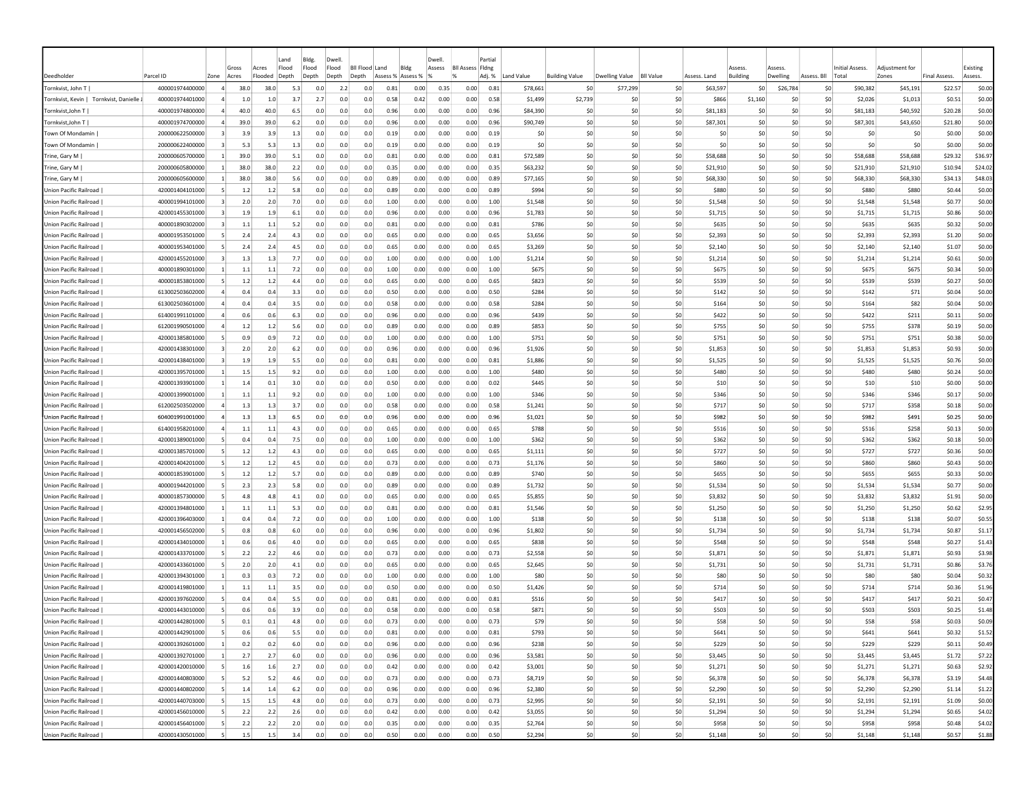|                                        |                 |                |       |         | Land  | Bldg. | Dwel           |                  |          |          | Dwell  |                         | Partia |             |                       |                       |                  |              |                 |          |             |                 |               |                     |          |
|----------------------------------------|-----------------|----------------|-------|---------|-------|-------|----------------|------------------|----------|----------|--------|-------------------------|--------|-------------|-----------------------|-----------------------|------------------|--------------|-----------------|----------|-------------|-----------------|---------------|---------------------|----------|
|                                        |                 |                | Gross | Acres   | Flood | Flood | Flood          | <b>BII Flood</b> | Land     | Blde     | Assess | <b>BII Assess Fidne</b> |        |             |                       |                       |                  |              | 229224          | 229224   |             | Initial Assess. | Adiustment fo |                     | Existing |
| Deedholder                             | Parcel ID       | Zone           | Acres | Flooded | Depth | Depth | Depth<br>Depth |                  | Assess % | Assess % |        |                         | Adj. % | Land Value  | <b>Building Value</b> | <b>Dwelling Value</b> | <b>BII Value</b> | Assess. Land | <b>Building</b> | Dwelling | Assess. Bll | Total           | Zones         | <b>Final Assess</b> | Assess.  |
| Tornkvist, John T                      | 400001974400000 | $\overline{a}$ | 38.0  | 38.0    | 5.3   | 0.0   | 2.2            | 0.0              | 0.81     | 0.00     | 0.35   | 0.00                    | 0.81   | \$78,661    | \$0                   | \$77,299              | \$0              | \$63,597     | -SO             | \$26,784 | \$0         | \$90,382        | \$45,191      | \$22.57             | \$0.00   |
| Tornkvist, Kevin   Tornkvist, Danielle | 400001974401000 |                | 1.0   | 1.0     | 3.7   | 2.7   | 0.0            | 0.0              | 0.58     | 0.42     | 0.00   | 0.00                    | 0.58   | \$1,499     | \$2,739               | -SO                   | \$0              | \$866        | \$1,160         | \$0      | \$0         | \$2,026         | \$1,013       | \$0.51              | \$0.00   |
| Tornkvist,John T                       | 400001974800000 |                | 40.0  | 40.0    | 6.5   | 0.0   | 0.0            | 0.0              | 0.96     | 0.00     | 0.00   | 0.00                    | 0.96   | \$84,390    | \$0                   | -SO                   | \$0              | \$81,183     | S0              | so       | \$0         | \$81,183        | \$40,592      | \$20.28             | \$0.00   |
| Tornkvist, John T                      | 400001974700000 |                | 39.0  | 39.0    | 6.2   | 0.0   | 0.0            | 0.0              | 0.96     | 0.00     | 0.00   | 0.00                    | 0.96   | \$90,749    | \$0                   | -SO                   | \$0              | \$87,301     | S <sub>0</sub>  | \$0      | \$0         | \$87,301        | \$43,650      | \$21.80             | \$0.00   |
| Town Of Mondamin                       | 200000622500000 |                | 3.9   | 3.9     | 1.3   | 0.0   | 0.0            | 0.0              | 0.19     | 0.00     | 0.00   | 0.00                    | 0.19   | \$0         | \$0                   | -SO                   | \$0              | \$0          | S <sub>0</sub>  | \$0      | \$0         | -SO             | S0            | \$0.00              | \$0.00   |
| Town Of Mondamin                       | 200000622400000 |                | 5.3   | 5.3     | 1.3   | 0.0   | 0.0            | 0.0              | 0.19     | 0.00     | 0.00   | 0.00                    | 0.19   | \$0         | \$C                   | -SO                   | \$0              | \$0          | S <sub>0</sub>  | \$C      | \$0         | \$0             | \$0           | \$0.00              | \$0.00   |
| Trine, Gary M                          | 200000605700000 | $\vert$ 1      | 39.0  | 39.0    | 5.1   | 0.0   | 0.0            | 0.0              | 0.81     | 0.00     | 0.00   | 0.00                    | 0.81   | \$72,589    | \$0                   | \$0                   | \$0              | \$58,688     | \$0             | \$0      | \$0         | \$58,688        | \$58,688      | \$29.32             | \$36.97  |
| Trine, Gary M                          | 200000605800000 |                | 38.0  | 38.0    | 2.2   | 0.0   | 0.0            | 0.0              | 0.35     | 0.00     | 0.00   | 0.00                    | 0.35   | \$63,232    | \$0                   | \$0                   | \$0              | \$21,910     | \$0             | \$0      | \$0         | \$21,910        | \$21,910      | \$10.94             | \$24.02  |
| Trine, Gary M                          | 200000605600000 | -1             | 38.0  | 38.0    | 5.6   | 0.0   | 0.0            | 0.0              | 0.89     | 0.00     | 0.00   | 0.00                    | 0.89   | \$77,165    | -SO                   | -SO                   | \$0              | \$68,330     | -SO             | S0       | -SO         | \$68,330        | \$68,330      | \$34.13             | \$48.03  |
| Union Pacific Railroad                 | 420001404101000 |                | 1.2   | 1.2     | 5.8   | 0.0   | 0.0            | 0.0              | 0.89     | 0.00     | 0.00   | 0.00                    | 0.89   | <b>S994</b> | \$0                   | -SO                   | \$0              | \$880        | S <sub>0</sub>  | \$0      | \$0         | \$880           | \$880         | S <sub>0.44</sub>   | \$0.00   |
| Union Pacific Railroad                 | 400001994101000 |                | 2.0   | 2.0     | 7.0   | 0.0   | 0.0            | 0.0              | 1.00     | 0.00     | 0.00   | 0.00                    | 1.00   | \$1,548     | \$0                   | -SO                   | \$0              | \$1.548      | S <sub>0</sub>  | \$0      | \$0         | \$1,548         | \$1,548       | \$0.77              | \$0.00   |
| Union Pacific Railroad                 | 420001455301000 |                | 1.9   | 1.9     | 6.1   | 0.0   | 0.0            | 0.0              | 0.96     | 0.00     | 0.00   | 0.00                    | 0.96   | \$1,783     | \$0                   | \$0                   | \$0              | \$1,715      | \$0             | \$C      | \$0         | \$1,715         | \$1,715       | \$0.86              | \$0.00   |
| Union Pacific Railroad                 | 400001890302000 |                | 1.1   | $1.1\,$ | 5.2   | 0.0   | 0.0            | 0.0              | 0.81     | 0.00     | 0.00   | 0.00                    | 0.81   | \$786       | \$C                   | -SC                   | \$0              | \$635        | \$0             | \$C      | \$0         | \$635           | \$635         | \$0.32              | \$0.00   |
| Union Pacific Railroad                 | 400001953501000 |                | 2.4   | 2.4     | 4.3   | 0.0   | 0.0            | 0.0              | 0.65     | 0.00     | 0.00   | 0.00                    | 0.65   | \$3,656     | \$0                   | \$0                   | \$0              | \$2,393      | \$0             | so       | \$0         | \$2,393         | \$2,393       | \$1.20              | \$0.00   |
| Union Pacific Railroad                 | 400001953401000 |                | 2.4   | 2.4     | 4.5   | 0.0   | 0.0            | 0.0              | 0.65     | 0.00     | 0.00   | 0.00                    | 0.65   | \$3,269     | \$0                   | -SO                   | \$0              | \$2,140      | S0              | \$0      | \$0         | \$2,140         | \$2,140       | \$1.07              | \$0.00   |
| Union Pacific Railroad                 | 420001455201000 |                | 1.3   | 1.3     | 7.7   | 0.0   | 0.0            | 0.0              | 1.00     | 0.00     | 0.00   | 0.00                    | 1.00   | \$1,214     | \$0                   | -SO                   | \$0              | \$1,214      | S0              | \$C      | \$0         | \$1,214         | \$1,214       | \$0.61              | \$0.00   |
| Union Pacific Railroad                 | 400001890301000 |                | 1.1   | 1.1     | 7.2   | 0.0   | 0.0            | 0.0              | 1.00     | 0.00     | 0.00   | 0.00                    | 1.00   | <b>S675</b> | \$0                   | -SO                   | \$0              | \$675        | S <sub>0</sub>  | \$C      | \$0         | <b>S675</b>     | \$675         | \$0.34              | \$0.00   |
| Union Pacific Railroad                 | 400001853801000 |                | 1.2   | 1.2     | 4.4   | 0.0   | 0.0            | 0.0              | 0.65     | 0.00     | 0.00   | 0.00                    | 0.65   | \$823       | \$0                   | -SO                   | \$0              | \$539        | \$0             | \$C      | \$0         | \$539           | \$539         | \$0.27              | \$0.00   |
| Union Pacific Railroad                 | 613002503602000 |                | 0.4   | 0.4     | 3.3   | 0.0   | 0.0            | 0.0              | 0.50     | 0.00     | 0.00   | 0.00                    | 0.50   | \$284       | \$C                   | -SC                   | \$0              | \$142        | \$0             | \$C      | \$0         | \$142           | \$71          | \$0.04              | \$0.00   |
| Union Pacific Railroad                 | 613002503601000 |                | 0.4   | 0.4     | 3.5   | 0.0   | 0.0            | 0.0              | 0.58     | 0.00     | 0.00   | 0.00                    | 0.58   | \$284       | \$0                   | -SO                   | \$0              | \$164        | \$0             | \$0      | \$0         | \$164           | \$82          | \$0.04              | \$0.00   |
| Union Pacific Railroad                 | 614001991101000 |                | 0.6   | 0.6     | 6.3   | 0.0   | 0.0            | 0.0              | 0.96     | 0.00     | 0.00   | 0.00                    | 0.96   | \$439       | \$0                   | -SO                   | \$0              | \$422        | S0              | \$0      | \$0         | \$422           | \$211         | \$0.11              | \$0.00   |
| Union Pacific Railroad                 | 612001990501000 |                | 1.2   | 1.2     | 5.6   | 0.0   | 0.0            | 0.0              | 0.89     | 0.00     | 0.00   | 0.00                    | 0.89   | <b>S853</b> | \$0                   | -SO                   | \$0              | \$755        | -SO             | S0       | S0          | \$755           | \$378         | \$0.19              | \$0.00   |
| Union Pacific Railroad                 | 420001385801000 |                | 0.9   | 0.9     | 7.2   | 0.0   | 0.0            | 0.0              | 1.00     | 0.00     | 0.00   | 0.00                    | 1.00   | \$751       | \$0                   | -SO                   | \$0              | \$751        | S <sub>0</sub>  | \$0      | \$0         | \$751           | \$751         | \$0.38              | \$0.00   |
| Union Pacific Railroad                 | 420001438301000 |                | 2.0   | 2.0     | 6.2   | 0.0   | 0.0            | 0.0              | 0.96     | 0.00     | 0.00   | 0.00                    | 0.96   | \$1,926     | \$0                   | -SO                   | \$0              | \$1,853      | S <sub>0</sub>  | \$0      | \$0         | \$1,853         | \$1,853       | \$0.93              | \$0.00   |
| Union Pacific Railroad                 | 420001438401000 |                | 1.9   | 1.9     | 5.5   | 0.0   | 0.0            | 0.0              | 0.81     | 0.00     | 0.00   | 0.00                    | 0.81   | \$1,886     | \$0                   | -SO                   | \$0              | \$1,525      | \$0             | \$C      | \$0         | \$1,525         | \$1,525       | \$0.76              | \$0.00   |
| Union Pacific Railroad                 | 420001395701000 |                | 1.5   | 1.5     | 9.2   | 0.0   | 0.0            | 0.0              | 1.00     | 0.00     | 0.00   | 0.00                    | 1.00   | \$480       | \$0                   | \$0                   | \$0              | \$480        | \$0             | \$0      | \$0         | \$480           | \$480         | \$0.24              | \$0.00   |
| Union Pacific Railroad                 | 420001393901000 |                | 1.4   | 0.1     | 3.0   | 0.0   | 0.0            | 0.0              | 0.50     | 0.00     | 0.00   | 0.00                    | 0.02   | \$445       | \$0                   | \$0                   | \$0              | \$10         | \$0             | \$C      | \$0         | \$10            | \$10          | \$0.00              | \$0.00   |
| Union Pacific Railroad                 | 420001399001000 |                | 1.1   | 1.1     | 9.2   | 0.0   | 0.0            | 0.0              | 1.00     | 0.00     | 0.00   | 0.00                    | 1.00   | \$346       | \$0                   | \$0                   | \$0              | \$346        | \$0             | \$0      | \$0         | \$346           | \$346         | \$0.17              | \$0.00   |
| Union Pacific Railroad                 | 612002503502000 |                | 1.3   | 1.3     | 3.7   | 0.0   | 0.0            | 0.0              | 0.58     | 0.00     | 0.00   | 0.00                    | 0.58   | \$1,241     | \$0                   | -SO                   | \$0              | \$717        | S <sub>0</sub>  | \$0      | \$0         | \$717           | \$358         | \$0.18              | \$0.00   |
| Union Pacific Railroad                 | 604001991001000 |                | 1.3   | 1.3     | 6.5   | 0.0   | 0.0            | 0.0              | 0.96     | 0.00     | 0.00   | 0.00                    | 0.96   | \$1,021     | \$0                   | -SO                   | \$0              | \$982        | \$0             | \$0      | \$0         | \$982           | \$491         | \$0.25              | \$0.00   |
| Union Pacific Railroad                 | 614001958201000 |                | 1.1   | 1.1     | 4.3   | 0.0   | 0.0            | 0.0              | 0.65     | 0.00     | 0.00   | 0.00                    | 0.65   | \$788       | \$0                   | -SO                   | \$0              | \$516        | \$0             | \$0      | \$0         | \$516           | \$258         | \$0.13              | \$0.00   |
| Union Pacific Railroad                 | 420001389001000 |                | 0.4   | 0.4     | 7.5   | 0.0   | 0.0            | 0.0              | 1.00     | 0.00     | 0.00   | 0.00                    | 1.00   | \$362       | \$0                   | -SC                   | \$0              | \$362        | \$0             | \$C      | \$0         | \$362           | \$362         | \$0.18              | \$0.00   |
| <b>Union Pacific Railroad</b>          | 420001385701000 |                | 1.2   | 1.2     | 4.3   | 0.0   | 0.0            | 0.0              | 0.65     | 0.00     | 0.00   | 0.00                    | 0.65   | \$1,111     | \$C                   | -SO                   | \$0              | \$727        | \$0             | \$0      | \$0         | \$727           | \$727         | \$0.36              | \$0.00   |
| Union Pacific Railroad                 | 420001404201000 | -5             | 1.2   | 1.2     | 4.5   | 0.0   | 0.0            | 0.0              | 0.73     | 0.00     | 0.00   | 0.00                    | 0.73   | \$1,176     | \$0                   | -SO                   | \$0              | \$860        | -SO             | S0       | S0          | \$860           | \$860         | \$0.43              | \$0.00   |
| Union Pacific Railroad                 | 400001853901000 |                | 1.2   | 1.2     | 5.7   | 0.0   | 0.0            | 0.0              | 0.89     | 0.00     | 0.00   | 0.00                    | 0.89   | \$740       | -SO                   | -SO                   | \$0              | \$655        | -SO             | \$0      | S0          | \$655           | \$655         | \$0.33              | \$0.00   |
| <b>Union Pacific Railroad</b>          | 400001944201000 |                | 2.3   | 2.3     | 5.8   | 0.0   | 0.0            | 0.0              | 0.89     | 0.00     | 0.00   | 0.00                    | 0.89   | \$1,732     | \$0                   | -SO                   | \$0              | \$1,534      | S <sub>0</sub>  | \$0      | \$0         | \$1,534         | \$1,534       | \$0.77              | \$0.00   |
| <b>Union Pacific Railroad</b>          | 400001857300000 |                | 4.8   | 4.8     | 4.1   | 0.0   | 0.0            | 0.0              | 0.65     | 0.00     | 0.00   | 0.00                    | 0.65   | \$5,855     | \$0                   | -SO                   | \$0              | \$3,832      | S <sub>0</sub>  | \$0      | \$0         | \$3,832         | \$3,832       | \$1.91              | \$0.00   |
| Union Pacific Railroad                 | 420001394801000 |                | 1.1   | 1.1     | 5.3   | 0.0   | 0.0            | 0.0              | 0.81     | 0.00     | 0.00   | 0.00                    | 0.81   | \$1,546     | \$0                   | \$0                   | \$0              | \$1,250      | \$0             | \$C      | \$0         | \$1,250         | \$1,250       | \$0.62              | \$2.95   |
| Union Pacific Railroad                 | 420001396403000 |                | 0.4   | 0.4     | 7.2   | 0.0   | 0.0            | 0.0              | 1.00     | 0.00     | 0.00   | 0.00                    | 1.00   | \$138       | \$0                   | \$0                   | \$0              | \$138        | \$0             | \$0      | \$0         | \$138           | \$138         | \$0.07              | \$0.55   |
| Union Pacific Railroad                 | 420001456502000 |                | 0.8   | 0.8     | 6.0   | 0.0   | 0.0            | 0.0              | 0.96     | 0.00     | 0.00   | 0.00                    | 0.96   | \$1,802     | \$C                   | \$0                   | \$0              | \$1,734      | \$0             | \$0      | \$0         | \$1,734         | \$1,734       | \$0.87              | \$1.17   |
| Union Pacific Railroad                 | 420001434010000 |                | 0.6   | 0.6     | 4.0   | 0.0   | 0.0            | 0.0              | 0.65     | 0.00     | 0.00   | 0.00                    | 0.65   | \$838       | \$0                   | -SO                   | \$0              | \$548        | \$0             | \$0      | \$0         | \$548           | \$548         | \$0.27              | \$1.43   |
| <b>Union Pacific Railroad</b>          | 420001433701000 |                | 2.2   | 2.2     | 4.6   | 0.0   | 0.0            | 0.0              | 0.73     | 0.00     | 0.00   | 0.00                    | 0.73   | \$2,558     | \$0                   | -SO                   | \$0              | \$1,871      | S <sub>0</sub>  | \$0      | \$0         | \$1,871         | \$1,871       | \$0.93              | \$3.98   |
| Union Pacific Railroad                 | 420001433601000 |                | 2.0   | 2.0     | 4.1   | 0.0   | 0.0            | 0.0              | 0.65     | 0.00     | 0.00   | 0.00                    | 0.65   | \$2,645     | \$0                   | -SO                   | \$0              | \$1,731      | S <sub>0</sub>  | \$C      | \$0         | \$1,731         | \$1,731       | \$0.86              | \$3.76   |
| Union Pacific Railroad                 | 420001394301000 |                | 0.3   | 0.3     | 7.2   | 0.0   | 0.0            | 0.0              | 1.00     | 0.00     | 0.00   | 0.00                    | 1.00   | \$80        | \$C                   | -SC                   | \$0              | \$80         | -SC             | \$C      | \$0         | \$80            | \$80          | \$0.04              | \$0.32   |
| Union Pacific Railroad                 | 420001419801000 |                | 1.1   | 1.1     | 3.5   | 0.0   | 0.0            | 0.0              | 0.50     | 0.00     | 0.00   | 0.00                    | 0.50   | \$1,426     | \$0                   | -SO                   | \$0              | \$714        | \$0             | \$0      | \$0         | \$714           | \$714         | \$0.36              | \$1.96   |
| Union Pacific Railroad                 | 420001397602000 |                | 0.4   | 0.4     | 5.5   | 0.0   | 0.0            | 0.0              | 0.81     | 0.00     | 0.00   | 0.00                    | 0.81   | \$516       | -SO                   | -SO                   | \$0              | \$417        | -SC             | so       | \$0         | \$417           | \$417         | \$0.21              | \$0.47   |
| Union Pacific Railroad                 | 420001443010000 |                | 0.6   | 0.6     | 3.9   | 0.0   | 0.0            | 0.0              | 0.58     | 0.00     | 0.00   | 0.00                    | 0.58   | S871        | \$0                   | -SO                   | \$0              | \$503        | -SO             | S0       | S0          | \$503           | \$503         | \$0.25              | \$1.48   |
| <b>Union Pacific Railroad</b>          | 420001442801000 |                | 0.1   | 0.1     | 4.8   | 0.0   | 0.0            | 0.0              | 0.73     | 0.00     | 0.00   | 0.00                    | 0.73   | \$79        | \$0                   | -SO                   | \$0              | \$58         | S <sub>0</sub>  | \$0      | \$0         | \$58            | \$58          | \$0.03              | \$0.09   |
| Union Pacific Railroad                 | 420001442901000 | -51            | 0.6   | 0.6     | 5.5   | 0.0   | 0.0            | 0.0              | 0.81     | 0.00     | 0.00   | 0.00                    | 0.81   | \$793       | \$0                   | 50                    | \$0              | <b>S641</b>  | \$0             | 50       | 50          | \$641           | \$641         | \$0.32              | \$1.52   |
| Union Pacific Railroad                 | 420001392601000 | $\vert$ 1      | 0.2   | 0.2     | 6.0   | 0.0   | 0.0            | 0.0              | 0.96     | 0.00     | 0.00   | 0.00                    | 0.96   | \$238       | \$0                   | \$0                   | \$0              | \$229        | \$0             | \$0      | \$0         | \$229           | \$229         | \$0.11              | \$0.49   |
| Union Pacific Railroad                 | 420001392701000 |                | 2.7   | 2.7     | 6.0   | 0.0   | 0.0            | 0.0              | 0.96     | 0.00     | 0.00   | 0.00                    | 0.96   | \$3,581     | \$0                   | \$0                   | \$0              | \$3,445      | \$0             | \$0      | \$0         | \$3,445         | \$3,445       | \$1.72              | \$7.22   |
| Union Pacific Railroad                 | 420001420010000 |                | 1.6   | 1.6     | 2.7   | 0.0   | 0.0            | 0.0              | 0.42     | 0.00     | 0.00   | 0.00                    | 0.42   | \$3,001     | \$0                   | \$0                   | \$0              | \$1,271      | \$0             | \$0      | \$0         | \$1,271         | \$1,271       | \$0.63              | \$2.92   |
| Union Pacific Railroad                 | 420001440803000 | -51            | 5.2   | 5.2     | 4.6   | 0.0   | 0.0            | 0.0              | 0.73     | 0.00     | 0.00   | 0.00                    | 0.73   | \$8,719     | \$0                   | \$0                   | \$0              | \$6,378      | \$0             | 50       | \$0         | \$6,378         | \$6,378       | \$3.19              | \$4.48   |
| Union Pacific Railroad                 | 420001440802000 | -51            | 1.4   | 1.4     | 6.2   | 0.0   | 0.0            | 0.0              | 0.96     | 0.00     | 0.00   | 0.00                    | 0.96   | \$2,380     | \$0                   | \$0                   | \$0              | \$2,290      | \$0             | 50       | \$0         | \$2,290         | \$2,290       | \$1.14              | \$1.22   |
| Union Pacific Railroad                 | 420001440703000 | -51            | 1.5   | 1.5     | 4.8   | 0.0   | 0.0            | 0.0              | 0.73     | 0.00     | 0.00   | 0.00                    | 0.73   | \$2,995     | \$0                   | \$0                   | \$0              | \$2,191      | \$0             | 50       | 50          | \$2,191         | \$2,191       | \$1.09              | \$0.00   |
| Union Pacific Railroad                 | 420001456010000 | -5             | 2.2   | 2.2     | 2.6   | 0.0   | 0.0            | 0.0              | 0.42     | 0.00     | 0.00   | 0.00                    | 0.42   | \$3,055     | \$0                   | \$0                   | \$0              | \$1,294      | \$0             | \$0      | \$0         | \$1,294         | \$1,294       | \$0.65              | \$4.02   |
| Union Pacific Railroad                 | 420001456401000 |                | 2.2   | 2.2     | 2.0   | 0.0   | 0.0            | 0.0              | 0.35     | 0.00     | 0.00   | 0.00                    | 0.35   | \$2,764     | \$0                   | \$0                   | \$0              | \$958        | \$0             | \$0      | \$0         | \$958           | \$958         | \$0.48              | \$4.02   |
| Union Pacific Railroad                 | 420001430501000 | -51            | 1.5   | 1.5     | 3.4   | 0.0   | 0.0            | 0.0              | 0.50     | 0.00     | 0.00   | 0.00                    | 0.50   | \$2,294     | \$0                   | 50                    | \$0              | \$1,148      | 50              | 50       | \$0         | \$1,148         | \$1,148       | \$0.57              | \$1.88   |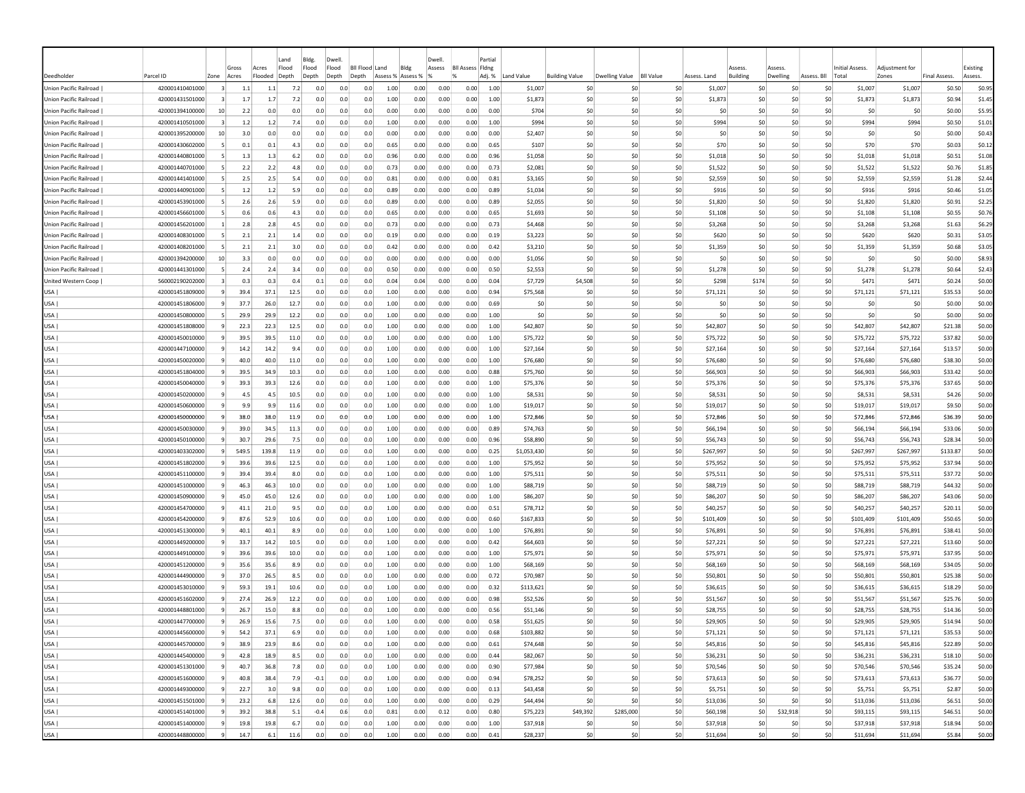|                                                  |                                    |                |              |              | Land         | Bldg.      | Dwell          |                |                   |              | Dwell        |                         | Partial      |                      |                       |                |                  |                      |                 |                |                         |            |                      |                      |                    |                  |
|--------------------------------------------------|------------------------------------|----------------|--------------|--------------|--------------|------------|----------------|----------------|-------------------|--------------|--------------|-------------------------|--------------|----------------------|-----------------------|----------------|------------------|----------------------|-----------------|----------------|-------------------------|------------|----------------------|----------------------|--------------------|------------------|
|                                                  |                                    |                | Gross        | Acres        | Flood        | Flood      | Flood          | Bil Flood Land | Blde              |              | Assess       | <b>BII Assess Fidne</b> |              |                      |                       |                |                  |                      | Assess          |                | Assess                  |            | Initial Assess.      | Adiustment for       |                    | Existing         |
| Deedholder                                       | Parcel ID                          | Zone           | Acres        | Flooded      | Depth        | Depth      | Depth<br>Depth |                | Assess % Assess % |              |              |                         | Adj. %       | Land Value           | <b>Building Value</b> | Dwelling Value | <b>BII Value</b> | Assess. Land         | <b>Building</b> |                | Dwelling<br>Assess. Bll |            | Total                | Zones                | Final Assess.      | Assess.          |
| Union Pacific Railroad                           | 420001410401000                    |                | 1.1          | 1.1          | 7.2          | 0.0        | 0.0            | 0.0            | 1.00              | 0.00         | 0.00         | 0.00                    | 1.00         | \$1,007              | \$C                   |                | \$0              | \$1,007              |                 | \$0            | \$0                     | \$0        | \$1,007              | \$1,007              | \$0.50             | \$0.95           |
| Union Pacific Railroad<br>Union Pacific Railroad | 420001431501000<br>420001394100000 | 10             | 1.7<br>2.2   | 1.7<br>0.0   | 7.2<br>0.0   | 0.0<br>0.0 | 0.0<br>0.0     | 0.0<br>0.0     | 1.00<br>0.00      | 0.00<br>0.00 | 0.00<br>0.00 | 0.00<br>0.00            | 1.00<br>0.00 | \$1,873<br>\$704     | \$C<br>\$0            | \$0<br>-SO     | \$0<br>\$0       |                      | \$1,873<br>\$0  | \$0<br>S0      | \$0<br>-SO              | \$0<br>\$0 | \$1,873<br>-SO       | \$1,873<br>\$0       | \$0.94             | \$1.45           |
| Union Pacific Railroad                           | 420001410501000                    |                | $1.2$        | $1.2$        | 7.4          | 0.0        | 0.0            | 0.0            | 1.00              | 0.00         | 0.00         | 0.00                    | 1.00         | \$994                | \$0                   | -SO            | \$0              |                      | \$994           | S <sub>0</sub> | \$0                     | \$0        | \$994                | \$994                | \$0.00<br>\$0.50   | \$5.95<br>\$1.01 |
| Union Pacific Railroad                           | 420001395200000                    | 10             | 3.0          | 0.0          | 0.0          | 0.0        | 0.0            | 0.0            | 0.00              | 0.00         | 0.00         | 0.00                    | 0.00         | \$2,407              | \$0                   | -SO            | \$0              |                      | -SO             | S <sub>0</sub> | \$0                     | \$0        | -SO                  | \$0                  | \$0.00             | \$0.43           |
| Union Pacific Railroad                           | 420001430602000                    |                | 0.1          | 0.1          | 4.3          | 0.0        | 0.0            | 0.0            | 0.65              | 0.00         | 0.00         | 0.00                    | 0.65         | \$107                | \$0                   | -SO            | \$0              |                      | \$70            | \$0            | \$0                     | \$0        | \$70                 | \$70                 | \$0.03             | \$0.12           |
| Union Pacific Railroad                           | 420001440801000                    | -51            | 1.3          | 1.3          | 6.2          | 0.0        | 0.0            | 0.0            | 0.96              | 0.00         | 0.00         | 0.00                    | 0.96         | \$1,058              | \$0                   | \$0            | \$0              |                      | \$1,018         | \$0            | \$0                     | \$0        | \$1,018              | \$1,018              | \$0.51             | \$1.08           |
| Union Pacific Railroad                           | 420001440701000                    |                | 2.2          | 2.2          | 4.8          | 0.0        | 0.0            | 0.0            | 0.73              | 0.00         | 0.00         | 0.00                    | 0.73         | \$2,081              | \$0                   | -SO            | \$0              |                      | \$1,522         | \$0            | \$0                     | \$0        | \$1,522              | \$1,522              | \$0.76             | \$1.85           |
| Union Pacific Railroad                           | 420001441401000                    | -5             | 2.5          | 2.5          | 5.4          | 0.0        | 0.0            | 0.0            | 0.81              | 0.00         | 0.00         | 0.00                    | 0.81         | \$3,165              | -SO                   | -SO            | \$0              |                      | \$2,559         | S <sub>0</sub> | \$0                     | S0         | \$2,559              | \$2,559              | \$1.28             | \$2.44           |
| Union Pacific Railroad                           | 420001440901000                    | -5             | 1.2          | 1.2          | 5.9          | 0.0        | 0.0            | 0.0            | 0.89              | 0.00         | 0.00         | 0.00                    | 0.89         | \$1,034              | \$0                   | -SO            | \$0              |                      | \$916           | S <sub>0</sub> | \$0                     | \$0        | \$916                | \$916                | \$0.46             | \$1.05           |
| Union Pacific Railroad                           | 420001453901000                    |                | 2.6          | 2.6          | 5.9          | 0.0        | 0.0            | 0.0            | 0.89              | 0.00         | 0.00         | 0.00                    | 0.89         | \$2,055              | \$0                   | -SO            | \$0              | \$1,820              |                 | S <sub>0</sub> | \$0                     | \$0        | \$1,820              | \$1,820              | \$0.91             | \$2.25           |
| Union Pacific Railroad                           | 420001456601000                    |                | 0.6          | 0.6          | 4.3          | 0.0        | 0.0            | 0.0            | 0.65              | 0.00         | 0.00         | 0.00                    | 0.65         | \$1,693              | \$0                   | \$0            | \$0              |                      | \$1,108         | \$0            | \$C                     | \$0        | \$1,108              | \$1,108              | \$0.55             | \$0.76           |
| Union Pacific Railroad                           | 420001456201000                    |                | 2.8          | 2.8          | 4.5          | 0.0        | 0.0            | 0.0            | 0.73              | 0.00         | 0.00         | 0.00                    | 0.73         | \$4,468              | \$0                   | -SO            | \$0              |                      | \$3,268         | \$0            | \$C                     | \$0        | \$3,268              | \$3,268              | \$1.63             | \$6.29           |
| Union Pacific Railroad                           | 420001408301000                    |                | 2.1          | 2.1          | 1.4          | 0.0        | 0.0            | 0.0            | 0.19              | 0.00         | 0.00         | 0.00                    | 0.19         | \$3,223              | \$0                   | \$0            | \$0              |                      | \$620           | \$0            | \$0                     | \$0        | \$620                | \$620                | \$0.31             | \$3.05           |
| Union Pacific Railroad                           | 420001408201000                    |                | 2.1          | 2.1          | 3.0          | 0.0        | 0.0            | 0.0            | 0.42              | 0.00         | 0.00         | 0.00                    | 0.42         | \$3,210              | \$0                   | S0             | \$0              | \$1,359              |                 | \$0            | \$0                     | \$0        | \$1,359              | \$1,359              | \$0.68             | \$3.05           |
| Union Pacific Railroad                           | 420001394200000                    | 10             | 3.3          | 0.0          | 0.0          | 0.0        | 0.0            | 0.0            | 0.00              | 0.00         | 0.00         | 0.00                    | 0.00         | \$1,056              | \$0                   | -SO            | \$0              |                      | \$0             | S0             | \$0                     | \$0        | \$0                  | \$0                  | \$0.00             | \$8.93           |
| Union Pacific Railroad                           | 420001441301000                    |                | 2.4          | 2.4          | 3.4          | 0.0        | 0.0            | 0.0            | 0.50              | 0.00         | 0.00         | 0.00                    | 0.50         | \$2,553              | \$0                   | \$0            | \$0              | \$1,278              |                 | S <sub>0</sub> | \$0                     | \$0        | \$1,278              | \$1,278              | \$0.64             | \$2.43           |
| United Western Coop                              | 560002190202000                    |                | 0.3          | 0.3          | 0.4          | 0.1        | 0.0            | 0.0            | 0.04              | 0.04         | 0.00         | 0.00                    | 0.04         | \$7,729              | \$4,508               | -SO            | \$0              |                      | \$298           | \$174          | \$0                     | \$0        | \$471                | \$471                | \$0.24             | \$0.00           |
| USA                                              | 420001451809000                    |                | 39.4         | 37.1         | 12.5         | 0.0        | 0.0            | 0.0            | 1.00              | 0.00         | 0.00         | 0.00                    | 0.94         | \$75,568             | \$C                   | -SO            | \$0              | \$71,121             |                 | \$0            | \$0                     | \$0        | \$71,121             | \$71,121             | \$35.53            | \$0.00           |
| USA                                              | 420001451806000                    |                | 37.7         | 26.0         | 12.7         | 0.0        | 0.0            | 0.0            | 1.00              | 0.00         | 0.00         | 0.00                    | 0.69         | \$0                  | \$C                   | \$0            | \$0              |                      | \$0             | \$0            | \$0                     | \$0<br>\$0 | \$0                  | \$0                  | \$0.00             | \$0.00           |
| USA                                              | 420001450800000                    | -51            | 29.9         | 29.9         | 12.2<br>12.5 | 0.0<br>0.0 | 0.0<br>0.0     | 0.0<br>0.0     | 1.00<br>1.00      | 0.00         | 0.00         | 0.00                    | 1.00<br>1.00 | S0                   | \$0<br>-SO            | -SO<br>-SO     | \$0              |                      | -SO             | S0<br>-SO      | \$0<br>-SO              | S0         | \$0                  | \$0                  | \$0.00             | \$0.00           |
| USA  <br>USA                                     | 420001451808000<br>420001450010000 | -9             | 22.3<br>39.5 | 22.3<br>39.5 | 11.0         | 0.0        | 0.0            | 0.0            | 1.00              | 0.00<br>0.00 | 0.00<br>0.00 | 0.00<br>0.00            | 1.00         | \$42,807<br>\$75,722 | \$0                   | -SO            | \$0<br>-SO       | \$42,807<br>\$75,722 |                 | S0             | \$0                     | \$0        | \$42,807<br>\$75,722 | \$42,807<br>\$75,722 | \$21.38<br>\$37.82 | \$0.00<br>\$0.00 |
| USA                                              | 420001447100000                    |                | 14.2         | 14.2         | 9.4          | 0.0        | 0.0            | 0.0            | 1.00              | 0.00         | 0.00         | 0.00                    | 1.00         | \$27,164             | \$0                   | -SO            | \$0              | \$27,164             |                 | S0             | \$0                     | \$0        | \$27,164             | \$27,164             | \$13.57            | \$0.00           |
| USA                                              | 420001450020000                    |                | 40.0         | 40.0         | 11.0         | 0.0        | 0.0            | 0.0            | 1.00              | 0.00         | 0.00         | 0.00                    | 1.00         | \$76,680             | \$0                   | -SO            | \$0              | \$76,680             |                 | \$0            | \$0                     | \$0        | \$76,680             | \$76,680             | \$38.30            | \$0.00           |
| USA                                              | 420001451804000                    |                | 39.5         | 34.9         | 10.3         | 0.0        | 0.0            | 0.0            | 1.00              | 0.00         | 0.00         | 0.00                    | 0.88         | \$75,760             | \$0                   | \$0            | \$0              | \$66,903             |                 | \$0            | \$0                     | \$0        | \$66,903             | \$66,903             | \$33.42            | \$0.00           |
| JSA                                              | 420001450040000                    |                | 39.3         | 39.3         | 12.6         | 0.0        | 0.0            | 0.0            | 1.00              | 0.00         | 0.00         | 0.00                    | 1.00         | \$75,376             | \$0                   | \$0            | \$0              | \$75,376             |                 | \$0            | \$0                     | \$0        | \$75,376             | \$75,376             | \$37.65            | \$0.00           |
| USA                                              | 420001450200000                    |                | 4.5          | 4.5          | 10.5         | 0.0        | 0.0            | 0.0            | 1.00              | 0.00         | 0.00         | 0.00                    | 1.00         | \$8,531              | \$0                   | \$0            | \$0              | \$8,531              |                 | \$0            | \$0                     | \$0        | \$8,531              | \$8,531              | \$4.26             | \$0.00           |
| JSA                                              | 420001450600000                    |                | 9.9          | 9.9          | 11.6         | 0.0        | 0.0            | 0.0            | 1.00              | 0.00         | 0.00         | 0.00                    | 1.00         | \$19,017             | \$0                   | \$0            | \$0              | \$19,017             |                 | S0             | \$0                     | \$0        | \$19,017             | \$19,017             | \$9.50             | \$0.00           |
| USA                                              | 420001450000000                    |                | 38.0         | 38.0         | 11.9         | 0.0        | 0.0            | 0.0            | 1.00              | 0.00         | 0.00         | 0.00                    | 1.00         | \$72,846             | \$0                   | \$0            | \$0              | \$72,846             |                 | \$0            | \$0                     | \$0        | \$72,846             | \$72,846             | \$36.39            | \$0.00           |
| USA                                              | 420001450030000                    | -9             | 39.0         | 34.5         | 11.3         | 0.0        | 0.0            | 0.0            | 1.00              | 0.00         | 0.00         | 0.00                    | 0.89         | \$74,763             | \$0                   | -SO            | \$0              | \$66,194             |                 | \$0            | \$0                     | \$0        | \$66,194             | \$66,194             | \$33.06            | \$0.00           |
| USA                                              | 420001450100000                    |                | 30.7         | 29.6         | 7.5          | 0.0        | 0.0            | 0.0            | 1.00              | 0.00         | 0.00         | 0.00                    | 0.96         | \$58,890             | \$0                   | -SO            | \$0              | \$56,743             |                 | \$0            | \$0                     | \$0        | \$56,743             | \$56,743             | \$28.34            | \$0.00           |
| USA                                              | 420001403302000                    | 9              | 549.5        | 139.8        | 11.9         | 0.0        | 0.0            | 0.0            | 1.00              | 0.00         | 0.00         | 0.00                    | 0.25         | \$1,053,430          | \$0                   | \$0            | \$0              | \$267,997            |                 | \$0            | \$0                     | \$0        | \$267,997            | \$267,997            | \$133.87           | \$0.00           |
| USA                                              | 420001451802000                    | 9              | 39.6         | 39.6         | 12.5         | 0.0        | 0.0            | 0.0            | 1.00              | 0.00         | 0.00         | 0.00                    | 1.00         | \$75,952             | \$0                   | -SO            | \$0              | \$75,952             |                 | S0             | SO.                     | S0         | \$75,952             | \$75,952             | \$37.94            | \$0.00           |
| USA                                              | 420001451100000                    |                | 39.4         | 39.4         | 8.0          | 0.0        | 0.0            | 0.0            | 1.00              | 0.00         | 0.00         | 0.00                    | 1.00         | \$75,511             | -SO                   | -SO            | \$0              | \$75,511             |                 | S0             | \$0                     | S0         | \$75,511             | \$75,511             | \$37.72            | \$0.00           |
| USA                                              | 420001451000000                    |                | 46.3         | 46.3         | 10.0         | 0.0        | 0.0            | 0.0            | 1.00              | 0.00         | 0.00         | 0.00                    | 1.00         | \$88,719             | \$0                   | -SO            | \$0              | \$88,719             |                 | S0             | \$0                     | \$0        | \$88,719             | \$88,719             | \$44.32            | \$0.00           |
| USA                                              | 420001450900000                    |                | 45.0         | 45.0         | 12.6         | 0.0        | 0.0            | 0.0            | 1.00              | 0.00         | 0.00         | 0.00                    | 1.00         | \$86,207             | \$0                   | -SO            | \$0              | \$86,207             |                 | \$0            | \$0                     | \$0        | \$86,207             | \$86,207             | \$43.06            | \$0.00           |
| USA                                              | 420001454700000                    |                | 41.1         | 21.0         | 9.5          | 0.0        | 0.0            | 0.0            | 1.00              | 0.00         | 0.00         | 0.00                    | 0.51         | \$78,712             | \$0                   | \$0            | \$0              | \$40,257             |                 | \$0            | \$0                     | \$0        | \$40,257             | \$40,257             | \$20.11            | \$0.00           |
| USA                                              | 420001454200000                    |                | 87.6         | 52.9         | 10.6         | 0.0        | 0.0            | 0.0            | 1.00              | 0.00         | 0.00         | 0.00                    | 0.60         | \$167,833            | \$0                   | \$0            | \$0              | \$101,409            |                 | \$0            | \$0                     | \$0        | \$101,409            | \$101,409            | \$50.65            | \$0.00           |
| USA                                              | 420001451300000                    |                | 40.1         | 40.1         | 8.9          | 0.0        | 0.0            | 0.0            | 1.00              | 0.00         | 0.00         | 0.00                    | 1.00         | \$76,891             | \$0                   | \$0            | \$0              | \$76,891             |                 | \$0            | \$0                     | \$0        | \$76,891             | \$76,891             | \$38.41            | \$0.00           |
| USA                                              | 420001449200000                    | -9             | 33.7         | 14.2         | 10.5         | 0.0        | 0.0            | 0.0            | 1.00              | 0.00         | 0.00         | 0.00                    | 0.42         | \$64,603             | \$0                   | -SO            | \$0              | \$27,221             |                 | \$0            | \$0                     | \$0        | \$27,221             | \$27,221             | \$13.60            | \$0.00           |
| USA                                              | 420001449100000<br>420001451200000 |                | 39.6<br>35.6 | 39.6<br>35.6 | 10.0<br>8.9  | 0.0<br>0.0 | 0.0<br>0.0     | 0.0<br>0.0     | 1.00<br>1.00      | 0.00<br>0.00 | 0.00<br>0.00 | 0.00<br>0.00            | 1.00<br>1.00 | \$75,971<br>\$68,169 | \$0<br>\$0            | -SO<br>\$0     | \$0<br>\$0       | \$75,971<br>\$68,169 |                 | \$0<br>\$0     | \$0<br>\$0              | \$0<br>\$0 | \$75,971<br>\$68,169 | \$75,971<br>\$68,169 | \$37.95<br>\$34.05 | \$0.00<br>\$0.00 |
| USA  <br>USA                                     | 420001444900000                    |                | 37.0         | 26.5         | 8.5          | 0.0        | 0.0            | 0.0            | 1.00              | 0.00         | 0.00         | 0.00                    | 0.72         | \$70,987             | \$C                   | -SO            | \$0              | \$50,801             |                 | \$0            | \$0                     | \$0        | \$50,801             | \$50,801             | \$25.38            | \$0.00           |
| USA                                              | 420001453010000                    |                | 59.3         | 19.1         | 10.6         | 0.0        | 0.0            | 0.0            | 1.00              | 0.00         | 0.00         | 0.00                    | 0.32         | \$113,621            | \$0                   | -SO            | \$0              | \$36,615             |                 | \$0            | \$0                     | \$0        | \$36,615             | \$36,615             | \$18.29            | \$0.00           |
| USA                                              | 420001451602000                    |                | 27.4         | 26.9         | 12.2         | 0.0        | 0.0            | 0.0            | 1.00              | 0.00         | 0.00         | 0.00                    | 0.98         | \$52,526             | \$C                   | -SO            | \$0              | \$51,567             |                 | \$0            | S0                      | S0         | \$51,567             | \$51,567             | \$25.76            | \$0.00           |
| USA                                              | 420001448801000                    |                | 26.7         | 15.0         | 8.8          | 0.0        | 0.0            | 0.0            | 1.00              | 0.00         | 0.00         | 0.00                    | 0.56         | \$51,146             | \$0                   | -SO            | \$0              | \$28,755             |                 | -SO            | S0                      | S0         | \$28,755             | \$28,755             | \$14.36            | \$0.00           |
| USA                                              | 420001447700000                    |                | 26.9         | 15.6         | 7.5          | 0.0        | 0.0            | 0.0            | 1.00              | 0.00         | 0.00         | 0.00                    | 0.58         | \$51,625             | \$0                   | S0             | \$0              | \$29,905             |                 | \$0            | \$0                     | \$0        | \$29,905             | \$29,905             | \$14.94            | \$0.00           |
| USA                                              | 420001445600000                    | 9              | 54.2         | 37.1         | 6.9          | 0.0        | 0.0            | 0.0            | 1.00              | 0.00         | 0.00         | 0.00                    | 0.68         | \$103,882            | \$0                   | 50             | \$0              | \$71,121             |                 | 50             | 50                      | \$0        | \$71,121             | \$71,121             | \$35.53            | \$0.00           |
| USA                                              | 420001445700000                    | $\overline{9}$ | 38.9         | 23.9         | 8.6          | 0.0        | 0.0            | 0.0            | 1.00              | 0.00         | 0.00         | 0.00                    | 0.61         | \$74,648             | \$0                   | \$0            | \$0              | \$45,816             |                 | \$0            | \$0                     | \$0        | \$45,816             | \$45,816             | \$22.89            | \$0.00           |
| USA                                              | 420001445400000                    | 9              | 42.8         | 18.9         | 8.5          | 0.0        | 0.0            | 0.0            | 1.00              | 0.00         | 0.00         | 0.00                    | 0.44         | \$82,067             | \$0                   | \$0            | \$0              | \$36,231             |                 | \$0            | \$0                     | \$0        | \$36,231             | \$36,231             | \$18.10            | \$0.00           |
| USA                                              | 420001451301000                    | -9             | 40.7         | 36.8         | 7.8          | 0.0        | 0.0            | 0.0            | 1.00              | 0.00         | 0.00         | 0.00                    | 0.90         | \$77,984             | \$0                   | 50             | \$0              | \$70,546             |                 | \$0            | 50                      | \$0        | \$70,546             | \$70,546             | \$35.24            | \$0.00           |
| USA                                              | 420001451600000                    | -9             | 40.8         | 38.4         | 7.9          | $-0.1$     | 0.0            | 0.0            | 1.00              | 0.00         | 0.00         | 0.00                    | 0.94         | \$78,252             | \$0                   | 50             | \$0              | \$73,613             |                 | \$0            | 50                      | \$0        | \$73,613             | \$73,613             | \$36.77            | \$0.00           |
| USA                                              | 420001449300000                    | -9             | 22.7         | 3.0          | 9.8          | 0.0        | 0.0            | 0.0            | 1.00              | 0.00         | 0.00         | 0.00                    | 0.13         | \$43,458             | \$0                   | \$0            | \$0              | \$5,751              |                 | \$0            | 50                      | \$0        | \$5,751              | \$5,751              | \$2.87             | \$0.00           |
| USA                                              | 420001451501000                    | $\mathbf{q}$   | 23.2         | 6.8          | 12.6         | 0.0        | 0.0            | 0.0            | 1.00              | 0.00         | 0.00         | 0.00                    | 0.29         | \$44,494             | 50                    | \$0            | \$0              | \$13,036             |                 | \$0            | 50                      | \$0        | \$13,036             | \$13,036             | \$6.51             | \$0.00           |
| USA                                              | 420001451401000                    | 9              | 39.2         | 38.8         | 5.1          | $-0.4$     | 0.6            | 0.0            | 0.81              | 0.00         | 0.12         | 0.00                    | 0.80         | \$75,223             | \$49,392              | \$285,000      | 50               | \$60,198             |                 | \$0            | \$32,918                | \$0        | \$93,115             | \$93,115             | \$46.51            | \$0.00           |
| USA                                              | 420001451400000                    | 9              | 19.8         | 19.8         | 6.7          | 0.0        | 0.0            | 0.0            | 1.00              | 0.00         | 0.00         | 0.00                    | 1.00         | \$37,918             | \$0                   | \$0            | \$0              | \$37,918             |                 | \$0            | \$0                     | \$0        | \$37,918             | \$37,918             | \$18.94            | \$0.00           |
| USA                                              | 420001448800000                    | -9             | 14.7         | 6.1          | 11.6         | 0.0        | 0.0            | 0.0            | 1.00              | 0.00         | 0.00         | 0.00                    | 0.41         | \$28,237             | \$0                   | 50             | \$0              | \$11,694             |                 | 50             | 50                      | 50         | \$11,694             | \$11,694             | \$5.84             | \$0.00           |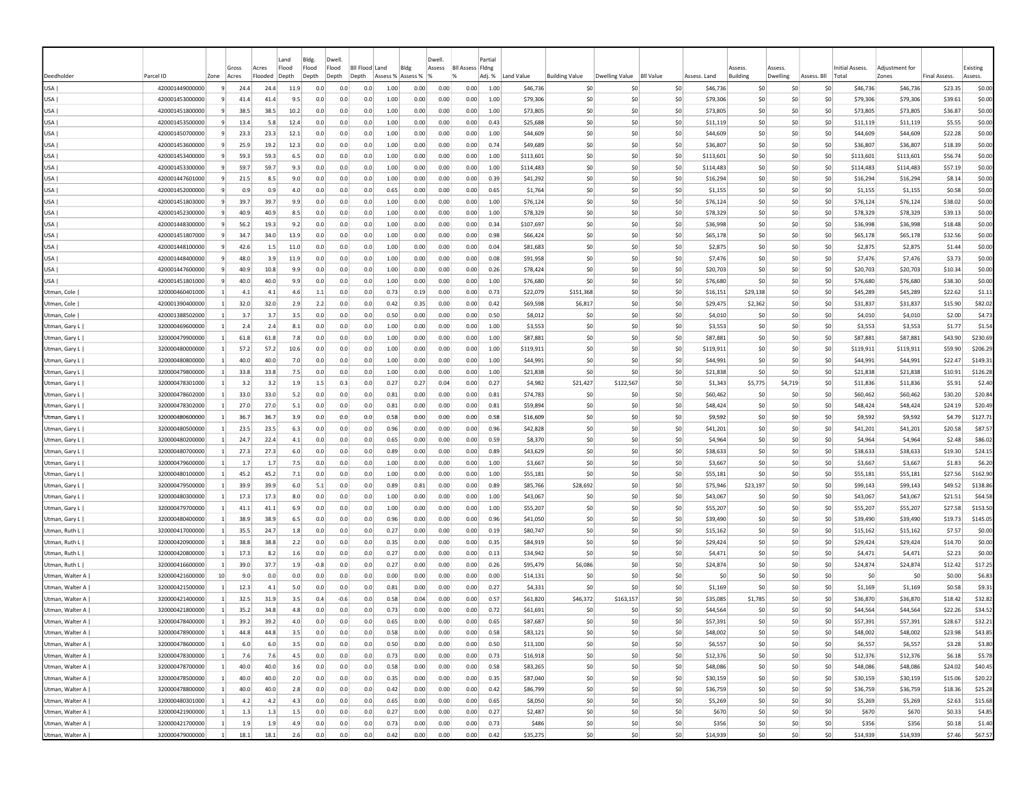|                 |                 |                |       |         | Land  | Bldg.  | Dwell                     |      |                   | Dwell. |                         | Partial      |            |                       |                |                  |              |                |          |             |                 |                |                     |          |
|-----------------|-----------------|----------------|-------|---------|-------|--------|---------------------------|------|-------------------|--------|-------------------------|--------------|------------|-----------------------|----------------|------------------|--------------|----------------|----------|-------------|-----------------|----------------|---------------------|----------|
|                 |                 |                | Gross | Acres   | Flood | Flood  | Flood<br><b>BII Flood</b> | Land | Bldg              | Assess | <b>Bll Assess Fldng</b> |              |            |                       |                |                  |              | Assess         | Assess   |             | Initial Assess. | Adjustment for |                     | Existing |
| Deedholder      | Parcel ID       | Zone           | Acres | Flooded | Depth | Depth  | Depth<br>Depth            |      | Assess % Assess % | 1%     |                         | Adj. %       | Land Value | <b>Building Value</b> | Dwelling Value | <b>BII Value</b> | Assess, Land | Building       | Dwelling | Assess, Bll | Total           | Zones          | <b>Final Assess</b> | Assess.  |
| USA             | 420001449000000 | 9              | 24.4  | 24.4    | 11.9  | 0.0    | 0.0                       | 0.0  | 1.00<br>0.00      | 0.00   | 0.00                    | 1.00         | \$46,736   |                       | -SO<br>-SO     | \$0              | \$46,736     | -SO            | -SO      | S0          | \$46,736        | \$46,736       | \$23.35             | \$0.00   |
| USA             | 420001453000000 |                | 41.4  | 41.4    | 9.5   | 0.0    | 0.0                       | 0.0  | 1.00<br>0.00      | 0.00   | 0.00                    | 1.00         | \$79,306   |                       | \$0<br>-SO     | \$0              | \$79,306     | S0             | \$C      | \$0         | \$79,306        | \$79,306       | \$39.61             | \$0.00   |
| USA             | 420001451800000 |                | 38.5  | 38.5    | 10.2  | 0.0    | 0.0                       | 0.0  | 0.00<br>1.00      | 0.00   | 0.00                    | 1.00         | \$73,805   |                       | \$0<br>\$0     | \$0              | \$73,805     | \$0            | \$0      | \$0         | \$73,805        | \$73,805       | \$36.87             | \$0.00   |
| USA             | 420001453500000 | $\overline{9}$ | 13.4  | 5.8     | 12.4  | 0.0    | 0.0                       | 0.0  | 1.00<br>0.00      | 0.00   | 0.00                    | 0.43         | \$25,688   |                       | \$0<br>-SO     | \$0              | \$11,119     | \$0            | \$0      | \$0         | \$11,119        | \$11,119       | \$5.55              | \$0.00   |
| USA             | 420001450700000 |                | 23.3  | 23.3    | 12.1  | 0.0    | 0.0                       | 0.0  | 1.00<br>0.00      | 0.00   | 0.00                    | 1.00         | \$44,609   |                       | \$C<br>-SO     | \$0              | \$44,609     | \$0            | \$0      | \$0         | \$44,609        | \$44,609       | \$22.28             | \$0.00   |
| USA             | 420001453600000 |                | 25.9  | 19.2    | 12.3  | 0.0    | 0.0                       | 0.0  | 1.00<br>0.00      | 0.00   | 0.00                    | 0.74         | \$49,689   |                       | \$0<br>\$0     | \$0              | \$36,807     | \$0            | \$0      | \$0         | \$36,807        | \$36,807       | \$18.39             | \$0.00   |
| USA             | 420001453400000 |                | 59.3  | 59.3    | 6.5   | 0.0    | 0.0                       | 0.0  | 1.00<br>0.00      | 0.00   | 0.00                    | 1.00         | \$113,601  |                       | -SO<br>-SO     | \$0              | \$113,601    | -SO            | \$0      | \$0         | \$113,601       | \$113,601      | \$56.74             | \$0.00   |
| USA             | 420001453300000 | -91            | 59.7  | 59.7    | 9.3   | 0.0    | 0.0                       | 0.0  | 1.00<br>0.00      | 0.00   | 0.00                    | 1.00         | \$114,483  |                       | -SO<br>-SO     | \$0              | \$114,483    | -SO            | S0       | S0          | \$114,483       | \$114,483      | \$57.19             | \$0.00   |
| USA             | 420001447601000 |                | 21.5  | 8.5     | 9.0   | 0.0    | 0.0                       | 0.0  | 1.00<br>0.00      | 0.00   | 0.00                    | 0.39         | \$41,292   |                       | \$0<br>-SO     | -SO              | \$16,294     | \$0            | \$0      | \$0         | \$16,294        | \$16,294       | \$8.14              | \$0.00   |
| USA             | 420001452000000 |                | 0.9   | 0.9     | 4.0   | 0.0    | 0.0                       | 0.0  | 0.65<br>0.00      | 0.00   | 0.00                    | 0.65         | \$1,764    |                       | \$0<br>\$0     | \$0              | \$1,155      | \$0            | \$0      | \$0         | \$1,155         | \$1,155        | \$0.58              | \$0.00   |
| USA             | 420001451803000 |                | 39.7  | 39.7    | 9.9   | 0.0    | 0.0                       | 0.0  | 1.00<br>0.00      | 0.00   | 0.00                    | 1.00         | \$76,124   |                       | \$C<br>-SO     | \$0              | \$76,124     | \$0            | \$0      | \$0         | \$76,124        | \$76,124       | \$38.02             | \$0.00   |
| USA             | 420001452300000 |                | 40.9  | 40.9    | 8.5   | 0.0    | 0.0                       | 0.0  | 1.00<br>0.00      | 0.00   | 0.00                    | 1.00         | \$78,329   |                       | \$0<br>\$0     | \$0              | \$78,329     | \$0            | \$0      | \$0         | \$78,329        | \$78,329       | \$39.13             | \$0.00   |
| USA             | 420001448300000 |                | 56.2  | 19.3    | 9.2   | 0.0    | 0.0                       | 0.0  | 1.00<br>0.00      | 0.00   | 0.00                    | 0.34         | \$107,697  |                       | \$0<br>\$0     | \$0              | \$36,998     | \$0            | \$0      | \$0         | \$36,998        | \$36,998       | \$18.48             | \$0.00   |
| USA             | 420001451807000 | $\mathbf{q}$   | 34.7  | 34.0    | 13.9  | 0.0    | 0.0                       | 0.0  | 1.00<br>0.00      | 0.00   | 0.00                    | 0.98         | \$66,424   |                       | \$0<br>-SO     | \$0              | \$65,178     | \$0            | \$0      | \$0         | \$65,178        | \$65,178       | \$32.56             | \$0.00   |
| USA             | 420001448100000 |                | 42.6  | 1.5     | 11.0  | 0.0    | 0.0                       | 0.0  | 1.00<br>0.00      | 0.00   | 0.00                    | 0.04         | \$81,683   |                       | \$0<br>\$0     | \$0              | \$2,875      | \$0            | \$0      | \$0         | \$2,875         | \$2,875        | \$1.44              | \$0.00   |
| USA             | 420001448400000 | -9             | 48.0  | 3.9     | 11.9  | 0.0    | 0.0                       | 0.0  | 1.00<br>0.00      | 0.00   | 0.00                    | 0.08         | \$91.958   |                       | \$0<br>\$0     | \$0              | \$7,476      | \$0            | \$0      | \$0         | \$7,476         | \$7,476        | \$3.73              | \$0.00   |
| USA             | 420001447600000 | -9             | 40.9  | 10.8    | 9.9   | 0.0    | 0.0                       | 0.0  | 1.00<br>0.00      | 0.00   | 0.00                    | 0.26         | \$78,424   |                       | \$0<br>-SO     | \$0              | \$20,703     | \$0            | \$0      | \$0         | \$20,703        | \$20,703       | \$10.34             | \$0.00   |
| USA             | 420001451801000 | 9              | 40.0  | 40.0    | 9.9   | 0.0    | 0.0                       | 0.0  | 1.00<br>0.00      | 0.00   | 0.00                    | 1.00         | \$76,680   |                       | \$0<br>\$0     | \$0              | \$76,680     | \$0            | \$0      | \$0         | \$76,680        | \$76,680       | \$38.30             | \$0.00   |
| Utman, Cole     | 320000460401000 |                | 4.1   | 4.1     | 4.6   | 1.1    | 0.0                       | 0.0  | 0.73<br>0.19      | 0.00   | 0.00                    | 0.73         | \$22,079   | \$151,368             | -SO            | \$0              | \$16,151     | \$29,138       | \$0      | \$0         | \$45,289        | \$45,289       | \$22.62             | \$1.11   |
| Utman, Cole     | 420001390400000 | $\overline{1}$ | 32.0  | 32.0    | 2.9   | 2.2    | 0.0                       | 0.0  | 0.42<br>0.35      | 0.00   | 0.00                    | 0.42         | \$69,598   | \$6,817               | S0             | \$0              | \$29,475     | \$2,362        | \$0      | S0          | \$31,837        | \$31,837       | \$15.90             | \$82.02  |
| Utman, Cole     | 420001388502000 | -11            | 3.7   | 3.7     | 3.5   | 0.0    | 0.0                       | 0.0  | 0.50<br>0.00      | 0.00   | 0.00                    | 0.50         | \$8,012    |                       | \$0<br>S0      | \$0              | \$4,010      | S <sub>0</sub> | \$0      | \$0         | \$4,010         | \$4,010        | \$2.00              | \$4.73   |
| Utman, Gary L   | 320000469600000 |                | 2.4   | 2.4     | 8.1   | 0.0    | 0.0                       | 0.0  | 1.00<br>0.00      | 0.00   | 0.00                    | 1.00         | \$3,553    |                       | \$0<br>-SO     | \$0              | \$3,553      | S <sub>0</sub> | \$0      | \$0         | \$3,553         | \$3,553        | \$1.77              | \$1.54   |
| Utman, Gary L   | 320000479900000 |                | 61.8  | 61.8    | 7.8   | 0.0    | 0.0                       | 0.0  | 1.00<br>0.00      | 0.00   | 0.00                    | 1.00         | \$87,881   |                       | \$0<br>\$0     | \$0              | \$87,881     | \$0            | \$0      | \$0         | \$87,881        | \$87,881       | \$43.90             | \$230.69 |
| Utman, Gary L   | 320000480000000 |                | 57.2  | 57.2    | 10.6  | 0.0    | 0.0                       | 0.0  | 1.00<br>0.00      | 0.00   | 0.00                    | 1.00         | \$119,911  |                       | \$C<br>-SO     | \$0              | \$119,911    | \$0            | \$C      | \$0         | \$119,911       | \$119,911      | \$59.90             | \$206.29 |
| Utman, Gary L   | 320000480800000 |                | 40.0  | 40.0    | 7.0   | 0.0    | 0.0                       | 0.0  | 1.00<br>0.00      | 0.00   | 0.00                    | 1.00         | \$44,991   |                       | \$0<br>\$0     | \$0              | \$44,991     | \$0            | \$0      | \$0         | \$44,991        | \$44,991       | \$22.47             | \$149.31 |
| Utman, Gary L   | 320000479800000 |                | 33.8  | 33.8    | 7.5   | 0.0    | 0.0                       | 0.0  | 1.00<br>0.00      | 0.00   | 0.00                    | 1.00         | \$21,838   |                       | \$0<br>\$0     | \$0              | \$21,838     | \$0            | \$0      | \$0         | \$21,838        | \$21,838       | \$10.91             | \$126.28 |
| Utman, Gary L   | 320000478301000 |                | 3.2   | 3.2     | 1.9   | 1.5    | 0.3                       | 0.0  | 0.27<br>0.27      | 0.04   | 0.00                    | 0.27         | \$4,982    | \$21,427              | \$122,567      | \$0              | \$1,343      | \$5,775        | \$4,719  | \$0         | \$11,836        | \$11,836       | \$5.91              | \$2.40   |
| Utman, Gary L   | 320000478602000 | $\vert$ 1      | 33.0  | 33.0    | 5.2   | 0.0    | 0.0                       | 0.0  | 0.81<br>0.00      | 0.00   | 0.00                    | 0.81         | \$74,783   |                       | \$0<br>-SO     | \$0              | \$60,462     | S <sub>0</sub> | \$0      | \$0         | \$60,462        | \$60,462       | \$30.20             | \$20.84  |
| Utman, Gary L   | 320000478302000 | $\vert$ 1      | 27.0  | 27.0    | 5.1   | 0.0    | 0.0                       | 0.0  | 0.81<br>0.00      | 0.00   | 0.00                    | 0.81         | \$59,894   |                       | \$0<br>-SO     | \$0              | \$48,424     | \$0            | \$0      | \$0         | \$48,424        | \$48,424       | \$24.19             | \$20.49  |
| Utman, Gary L   | 320000480600000 | $\mathbf{1}$   | 36.   | 36.7    | 3.9   | 0.0    | 0.0                       | 0.0  | 0.58<br>0.00      | 0.00   | 0.00                    | 0.58         | \$16,609   |                       | \$C<br>-SO     | \$0              | \$9,592      | \$0            | \$0      | \$0         | \$9,592         | \$9,592        | \$4.79              | \$127.71 |
| Utman, Gary L   | 320000480500000 | $\vert$ 1      | 23.5  | 23.5    | 6.3   | 0.0    | 0.0                       | 0.0  | 0.96<br>0.00      | 0.00   | 0.00                    | 0.96         | \$42,828   |                       | \$0<br>\$0     | \$0              | \$41,201     | \$0            | \$0      | \$0         | \$41,201        | \$41,201       | \$20.58             | \$87.57  |
| Utman, Gary L   | 320000480200000 |                | 24.7  | 22.4    | 4.1   | 0.0    | 0.0                       | 0.0  | 0.65<br>0.00      | 0.00   | 0.00                    | 0.59         | \$8,370    |                       | \$0<br>-SO     | \$0              | \$4,964      | \$0            | \$0      | \$0         | \$4,964         | \$4,964        | \$2.48              | \$86.02  |
| Utman, Gary L   | 320000480700000 | $\vert$ 1      | 27.3  | 27.3    | 6.0   | 0.0    | 0.0                       | 0.0  | 0.89<br>0.00      | 0.00   | 0.00                    | 0.89         | \$43,629   |                       | -SO<br>-SO     | \$0              | \$38,633     | -SO            | S0       | S0          | \$38,633        | \$38,633       | \$19.30             | \$24.15  |
| Utman, Gary L   | 320000479600000 |                | 1.7   | 1.7     | 7.5   | 0.0    | 0.0                       | 0.0  | 1.00<br>0.00      | 0.00   | 0.00                    | 1.00         | \$3.667    |                       | \$0<br>-SO     | \$0              | \$3,667      | S <sub>0</sub> | \$0      | \$0         | \$3,667         | \$3,667        | \$1.83              | \$6.20   |
| Utman, Gary L   | 320000480100000 | -11            | 45.2  | 45.2    | 7.1   | 0.0    | 0.0                       | 0.0  | 1.00<br>0.00      | 0.00   | 0.00                    | 1.00         | \$55.181   |                       | \$0<br>-SO     | \$0              | \$55.181     | S <sub>0</sub> | \$0      | \$0         | \$55,181        | \$55,181       | \$27.56             | \$162.90 |
| Utman, Gary L   | 320000479500000 |                | 39.9  | 39.9    | 6.0   | 5.1    | 0.0                       | 0.0  | 0.89<br>0.81      | 0.00   | 0.00                    | 0.89         | \$85,766   | \$28,692              | \$0            | \$0              | \$75,946     | \$23,197       | \$0      | \$0         | \$99,143        | \$99,143       | \$49.52             | \$138.86 |
| Utman, Gary L   | 320000480300000 |                | 17.3  | 17.3    | 8.0   | 0.0    | 0.0                       | 0.0  | 1.00<br>0.00      | 0.00   | 0.00                    | 1.00         | \$43,067   |                       | \$C<br>-SO     | \$0              | \$43,067     | -SC            | \$C      | \$0         | \$43,067        | \$43,067       | \$21.51             | \$64.58  |
| Utman, Gary L   | 320000479700000 |                | 41.1  | 41.1    | 6.9   | 0.0    | 0.0                       | 0.0  | 1.00<br>0.00      | 0.00   | 0.00                    | 1.00         | \$55,207   |                       | \$C<br>\$0     | \$0              | \$55,207     | \$0            | \$0      | \$0         | \$55,207        | \$55,207       | \$27.58             | \$153.50 |
| Utman, Gary L   | 320000480400000 |                | 38.9  | 38.9    | 6.5   | 0.0    | 0.0                       | 0.0  | 0.96<br>0.00      | 0.00   | 0.00                    | 0.96         | \$41,050   |                       | -SO<br>-SO     | \$0              | \$39,490     | -SO            | \$0      | \$0         | \$39,490        | \$39,490       | \$19.73             | \$145.05 |
| Utman, Ruth L   | 320000417000000 |                | 35.5  | 24.7    | 1.8   | 0.0    | 0.0                       | 0.0  | 0.27<br>0.00      | 0.00   | 0.00                    | 0.19         | \$80,747   |                       | \$0<br>-SO     | \$0              | \$15,162     | S0             | \$0      | \$0         | \$15,162        | \$15,162       | \$7.57              | \$0.00   |
| Utman, Ruth L   | 320000420900000 |                | 38.8  | 38.8    | 2.2   | 0.0    | 0.0                       | 0.0  | 0.35<br>0.00      | 0.00   | 0.00                    | 0.35         | \$84,919   |                       | \$0<br>\$0     | \$0              | \$29,424     | S0             | \$0      | \$0         | \$29,424        | \$29,424       | \$14.70             | \$0.00   |
| Utman, Ruth L   | 320000420800000 |                | 17.3  | 8.2     | 1.6   | 0.0    | 0.0                       | 0.0  | 0.27<br>0.00      | 0.00   | 0.00                    | 0.13         | \$34,942   |                       | \$0<br>-SO     | \$0              | \$4,471      | \$0            | \$0      | \$0         | \$4,471         | \$4,471        | \$2.23              | \$0.00   |
| Utman, Ruth L   | 320000416600000 |                | 39.0  | 37.7    | 1.9   | $-0.8$ | 0.0                       | 0.0  | 0.27<br>0.00      | 0.00   | 0.00                    | 0.26         | \$95,479   | \$6,086               | -SO            | \$0              | \$24,874     | \$0            | \$0      | \$0         | \$24,874        | \$24,874       | \$12.42             | \$17.25  |
| Utman, Walter A | 320000421600000 | 10             | 9.0   | 0.0     | 0.0   | 0.0    | 0.0                       | 0.0  | 0.00<br>0.00      | 0.00   | 0.00                    | 0.00         | \$14,131   |                       | \$0<br>-SO     | \$0              | \$0          | \$0            | \$0      | \$0         | \$0             | \$0            | \$0.00              | \$6.83   |
| Utman, Walter A | 320000421500000 | -11            | 12.3  | 4.1     | 5.0   | 0.0    | 0.0                       | 0.0  | 0.81<br>0.00      | 0.00   | 0.00                    | 0.27         | \$4,331    |                       | \$0<br>-SO     | \$0              | \$1,169      | -SO            | S0       | S0          | \$1,169         | \$1,169        | \$0.58              | \$9.31   |
| Utman, Walter A | 320000421400000 | -1             | 32.5  | 31.9    | 3.5   | 0.4    | $-0.6$                    | 0.0  | 0.58<br>0.04      | 0.00   | 0.00                    | 0.5          | \$61,820   | \$46,372              | \$163,157      | \$0              | \$35,085     | \$1,785        | S0       | S0          | \$36,870        | \$36,870       | \$18.42             | \$32.82  |
| Utman, Walter A | 320000421800000 |                | 35.2  | 34.8    | 4.8   | 0.0    | 0.0                       | 0.0  | 0.73<br>0.00      | 0.00   | 0.00                    | 0.72         | \$61.691   |                       | -SO<br>-SO     | \$0              | \$44.564     | S <sub>0</sub> | \$0      | \$0         | \$44,564        | \$44,564       | \$22.26             | \$34.52  |
| Utman, Walter A | 320000478400000 |                | 39.2  | 39.2    | 4.0   | 0.0    | 0.0                       | 0.0  | 0.00<br>0.65      | 0.00   | 0.00                    | 0.65         | \$87,687   |                       | \$0<br>S0      | \$0              | \$57,391     | S <sub>0</sub> | \$0      | \$0         | \$57,391        | \$57,391       | \$28.67             | \$32.21  |
| Utman, Walter A | 320000478900000 |                | 44.8  | 44.8    | 3.5   | 0.0    | 0.0                       | 0.0  | 0.58<br>0.00      | 0.00   | 0.00                    | 0.58         | \$83,121   |                       | \$0<br>\$0     | \$0              | \$48,002     | \$0            | \$0      | \$0         | \$48,002        | \$48,002       | \$23.98             | \$43.85  |
| Utman, Walter A | 320000478600000 |                | 6.0   | 6.0     | 3.5   | 0.0    | 0.0                       | 0.0  | 0.50<br>0.00      | 0.00   | 0.00                    | 0.50         | \$13,100   |                       | \$0<br>\$0     | \$0              | \$6,557      | \$0            | \$0      | \$0         | \$6,557         | \$6,557        | \$3.28              | \$3.80   |
| Utman, Walter A | 320000478300000 | $\vert$ 1      | 7.6   | 7.6     | 4.5   | 0.0    | 0.0                       | 0.0  | 0.73<br>0.00      | 0.00   | 0.00                    | 0.73         | \$16,918   |                       | \$0<br> 50     | \$0              | \$12,376     | \$0            | \$0      |             | \$0<br>\$12,376 | \$12,376       | \$6.18              | \$5.78   |
| Utman, Walter A | 320000478700000 | $\vert$ 1      | 40.0  | 40.0    | 3.6   | 0.0    | 0.0                       | 0.0  | 0.58<br>0.00      | 0.00   | 0.00                    | 0.58         | \$83,265   |                       | \$0<br>50      | \$0              | \$48,086     | \$0            | 50       | \$0         | \$48,086        | \$48,086       | \$24.02             | \$40.45  |
| Utman, Walter A | 320000478500000 | $\vert$ 1      | 40.0  | 40.0    | 2.0   | 0.0    | 0.0                       | 0.0  | 0.35<br>0.00      | 0.00   | 0.00                    | 0.35         | \$87,040   |                       | 50<br>50       | \$0              | \$30,159     | \$0            | 50       | 50          | \$30,159        | \$30,159       | \$15.06             | \$20.22  |
| Utman, Walter A | 320000478800000 | $\vert$ 1      | 40.0  | 40.0    | 2.8   | 0.0    | 0.0                       | 0.0  | 0.42<br>0.00      | 0.00   | 0.00                    | 0.42         | \$86,799   |                       | \$0<br>\$0     | \$0              | \$36,759     | \$0            | 50       | 50          | \$36,759        | \$36,759       | \$18.36             | \$25.28  |
| Utman, Walter A | 320000480301000 | $\vert$ 1      | 4.2   | 4.2     | 4.3   | 0.0    | 0.0                       | 0.0  | 0.00<br>0.65      | 0.00   | 0.00                    | 0.65         | \$8,050    |                       | \$0<br>\$0     | 50               | \$5,269      | \$0            | 50       |             | \$0<br>\$5,269  | \$5,269        | \$2.63              | \$15.68  |
| Utman, Walter A | 320000421900000 | $\vert$ 1      | 1.3   | 1.3     | 1.5   | 0.0    | 0.0                       | 0.0  | 0.27<br>0.00      | 0.00   | 0.00                    | 0.27         | \$2,487    |                       | \$0<br> 50     | 50               | \$670        | \$0            | \$0      |             | \$0<br>\$670    | \$670          | \$0.33              | \$4.85   |
| Utman, Walter A | 320000421700000 | $\overline{1}$ | 1.9   | 1.9     | 4.9   | 0.0    | 0.0                       | 0.0  | 0.73<br>0.00      | 0.00   | 0.00                    | 0.73         | \$486      |                       | \$0<br>\$0     | \$0              | \$356        | \$0            | \$0      | \$0         | \$356           | \$356          | \$0.18              | \$1.40   |
| Utman, Walter A | 320000479000000 | $\vert$ 1      | 18.1  | 18.1    | 2.6   | 0.0    | 0.0                       | 0.0  | 0.42<br>0.00      | 0.00   |                         | 0.00<br>0.42 | \$35,275   |                       | \$0<br>50      | \$0              | \$14,939     | \$0            | 50       |             | \$0<br>\$14,939 | \$14,939       | \$7.46              | \$67.57  |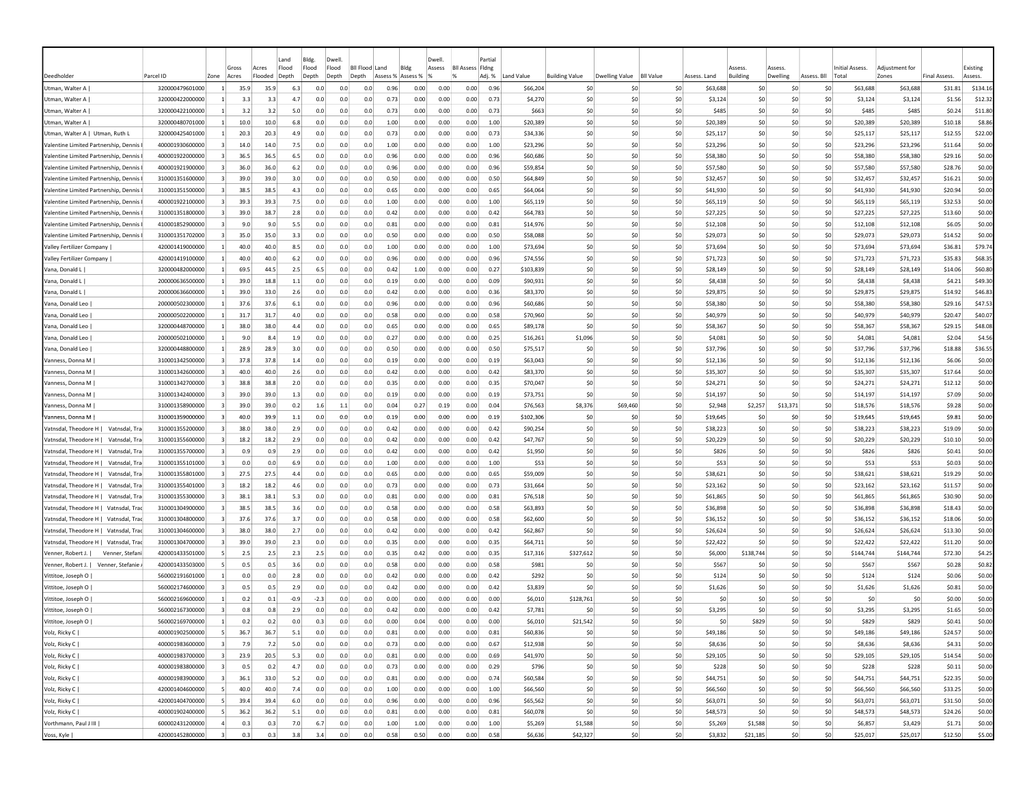|                                                                               |                                    |                         | Gross        | Acres        | Land<br>Flood | Bldg.<br>Flood | Dwell<br>Flood | <b>BII Flood</b><br>Land |              | Bldg              | Dwell<br>Assess | <b>Bll Assess Fldng</b> | Partial      |                      |                       |                                    |            |                      |            |                         | <b>Initial Assess</b> | Adiustment for       |                      |                     | Existing         |
|-------------------------------------------------------------------------------|------------------------------------|-------------------------|--------------|--------------|---------------|----------------|----------------|--------------------------|--------------|-------------------|-----------------|-------------------------|--------------|----------------------|-----------------------|------------------------------------|------------|----------------------|------------|-------------------------|-----------------------|----------------------|----------------------|---------------------|------------------|
| Deedholder                                                                    | Parcel ID                          | Zone                    | Acres        | Flooded      | Depth         | Depth          | Depth          | Depth                    |              | Assess % Assess % |                 | $\alpha$                | Adj. %       | Land Value           | <b>Building Value</b> | Dwelling Value<br><b>BII Value</b> |            | Assess, Land         | Building   | Dwelling<br>Assess. Bll | Total                 | Zones                |                      | <b>Final Assess</b> | Assess           |
| Utman, Walter A                                                               | 320000479601000                    | -11                     | 35.9         | 35.9         | 6.3           | 0.0            | 0.0            | 0.0                      | 0.96         | 0.00              | 0.00            | 0.00                    | 0.96         | \$66,204             | \$0                   | S0                                 | \$0        | \$63,688             | S0         | -SO                     | S0                    | \$63,688             | \$63,688             | \$31.81             | \$134.16         |
| Utman, Walter A                                                               | 320000422000000                    |                         | 3.3          | 3.3          | 4.7           | 0.0            | 0.0            | 0.0                      | 0.73         | 0.00              | 0.00            | 0.00                    | 0.73         | \$4,270              | \$0                   | S0                                 | \$0        | \$3,124              | \$0        | \$C                     | \$0                   | \$3,124              | \$3,124              | \$1.56              | \$12.32          |
| Utman, Walter A                                                               | 320000422100000                    |                         | 3.2          | 3.2          | 5.0           | 0.0            | 0.0            | 0.0                      | 0.73         | 0.00              | 0.00            | 0.00                    | 0.73         | \$663                | \$0                   | \$0                                | \$0        | \$485                | S0         | \$C                     | \$0                   | \$485                | \$485                | \$0.24              | \$11.80          |
| Utman, Walter A                                                               | 320000480701000                    |                         | 10.0         | 10.0         | 6.8           | 0.0            | 0.0            | 0.0                      | 1.00         | 0.00              | 0.00            | 0.00                    | 1.00         | \$20,389             | \$0                   | \$0                                | \$0        | \$20,389             | \$0        | \$0                     | \$0                   | \$20,389             | \$20,389             | \$10.18             | \$8.86           |
| Utman, Walter A   Utman, Ruth L                                               | 320000425401000                    |                         | 20.3         | 20.3         | 4.9           | 0.0            | 0.0            | 0.0                      | 0.73         | 0.00              | 0.00            | 0.00                    | 0.73         | \$34,336             | \$0                   | -SO                                | \$0        | \$25,117             | \$0        | \$0                     | \$0                   | \$25,117             | \$25,117             | \$12.55             | \$22.00          |
| Valentine Limited Partnership, Dennis I                                       | 400001930600000                    |                         | 14.0         | 14.0         | 7.5           | 0.0            | 0.0            | 0.0                      | 1.00         | 0.00              | 0.00            | 0.00                    | 1.00         | \$23,296             | \$0                   | \$0                                | \$0        | \$23,296             | \$0        | \$0                     | \$0                   | \$23,296             | \$23,296             | \$11.64             | \$0.00           |
| Valentine Limited Partnership, Dennis I                                       | 400001922000000                    | -3                      | 36.5         | 36.5         | 6.5           | 0.0            | 0.0            | 0.0                      | 0.96         | 0.00              | 0.00            | 0.00                    | 0.96         | \$60,686             | \$0                   | S0                                 | \$0        | \$58,380             | \$0        | S0                      | S0                    | \$58,380             | \$58,380             | \$29.16             | \$0.00           |
| Valentine Limited Partnership, Dennis                                         | 400001921900000                    | -3                      | 36.0         | 36.0         | 6.2           | 0.0            | 0.0            | 0.0                      | 0.96         | 0.00              | 0.00            | 0.00                    | 0.96         | \$59,854             | \$0                   | S0                                 | \$0        | \$57,580             | \$0        | S0                      | S0                    | \$57,580             | \$57,580             | \$28.76             | \$0.00           |
| Valentine Limited Partnership, Dennis                                         | 310001351600000                    | -3                      | 39.0         | 39.0         | 3.0           | 0.0            | 0.0            | 0.0                      | 0.50         | 0.00              | 0.00            | 0.00                    | 0.50         | \$64,849             | \$0                   | S0                                 | \$0        | \$32,457             | \$0        | \$0                     | \$0                   | \$32,457             | \$32,457             | \$16.21             | \$0.00           |
| Valentine Limited Partnership, Dennis I                                       | 310001351500000                    | -3                      | 38.5         | 38.5         | 4.3           | 0.0            | 0.0            | 0.0                      | 0.65         | 0.00              | 0.00            | 0.00                    | 0.65         | \$64,064             | \$0                   | \$0                                | \$0        | \$41,930             | \$0        | \$0                     | \$0                   | \$41,930             | \$41,930             | \$20.94             | \$0.00           |
| Valentine Limited Partnership, Dennis I                                       | 400001922100000                    |                         | 39.3         | 39.3         | 7.5           | 0.0            | 0.0            | 0.0                      | 1.00         | 0.00              | 0.00            | 0.00                    | 1.00         | \$65,119             | \$0                   | \$0                                | \$0        | \$65,119             | \$0        | \$C                     | \$0                   | \$65,119             | \$65,119             | \$32.53             | \$0.00           |
| Valentine Limited Partnership, Dennis                                         | 310001351800000                    |                         | 39.0         | 38.7         | 2.8           | 0.0            | 0.0            | 0.0                      | 0.42         | 0.00              | 0.00            | 0.00                    | 0.42         | \$64,783             | \$0                   | \$0                                | \$0        | \$27,225             | \$0        | \$C                     | \$0                   | \$27,225             | \$27,225             | \$13.60             | \$0.00           |
| Valentine Limited Partnership, Dennis                                         | 410001852900000                    |                         | 9.0          | 9.0          | 5.5           | 0.0            | 0.0            | 0.0                      | 0.81         | 0.00              | 0.00            | 0.00                    | 0.81         | \$14,976             | \$0                   | \$0                                | \$0        | \$12,108             | \$0        | \$C                     | \$0                   | \$12,108             | \$12,108             | \$6.05              | \$0.00           |
| Valentine Limited Partnership, Dennis                                         | 310001351702000                    |                         | 35.0         | 35.0         | 3.3           | 0.0            | 0.0            | 0.0                      | 0.50         | 0.00              | 0.00            | 0.00                    | 0.50         | \$58,088             | \$0                   | S0                                 | \$0        | \$29,073             | \$0        | \$0                     | \$0                   | \$29,073             | \$29,073             | \$14.52             | \$0.00           |
| Valley Fertilizer Company                                                     | 420001419000000                    |                         | 40.0         | 40.0         | 8.5           | 0.0            | 0.0            | 0.0                      | 1.00         | 0.00              | 0.00            | 0.00                    | 1.00         | \$73,694             | \$0                   | S0                                 | \$0        | \$73,694             | S0         | -SO                     | \$0                   | \$73.694             | \$73,694             | \$36.81             | \$79.74          |
| Valley Fertilizer Company                                                     | 420001419100000                    |                         | 40.0         | 40.0         | 6.2           | 0.0            | 0.0            | 0.0                      | 0.96         | 0.00              | 0.00            | 0.00                    | 0.96         | \$74.556             | \$0                   | S0                                 | \$0        | \$71,723             | S0         | \$0                     | \$0                   | \$71,723             | \$71,723             | \$35.83             | \$68.35          |
| Vana, Donald L                                                                | 320000482000000                    |                         | 69.5         | 44.5         | 2.5           | 6.5            | 0.0            | 0.0                      | 0.42         | 1.00              | 0.00            | 0.00                    | 0.27         | \$103,839            | \$0                   | \$0                                | \$0        | \$28,149             | \$0        | \$0                     | \$0                   | \$28,149             | \$28,149             | \$14.06             | \$60.80          |
| Vana, Donald L                                                                | 200000636500000                    | $\mathbf{1}$            | 39.0         | 18.8         | 1.1           | 0.0            | 0.0            | 0.0                      | 0.19         | 0.00              | 0.00            | 0.00                    | 0.09         | \$90,931             | \$0                   | \$0                                | \$0        | \$8,438              | \$0        | \$0                     | \$0                   | \$8,438              | \$8,438              | \$4.21              | \$49.30          |
| Vana, Donald L                                                                | 200000636600000                    |                         | 39.0         | 33.0         | 2.6           | 0.0            | 0.0            | 0.0                      | 0.42         | 0.00              | 0.00            | 0.00                    | 0.36         | \$83,370             | \$0                   | \$0                                | \$0        | \$29,875             | \$0        | \$0                     | \$0                   | \$29,875             | \$29,875             | \$14.92             | \$46.83          |
| Vana, Donald Leo                                                              | 200000502300000                    | -1                      | 37.6         | 37.6         | 6.1           | 0.0            | 0.0            | 0.0                      | 0.96         | 0.00              | 0.00            | 0.00                    | 0.96         | \$60,686             | S0                    | S0                                 | \$0        | \$58,380             | S0         | S0                      | S0                    | \$58,380             | \$58,380             | \$29.16             | \$47.53          |
| Vana, Donald Leo                                                              | 200000502200000                    | -11                     | 31.7         | 31.7         | 4.0           | 0.0            | 0.0            | 0.0                      | 0.58         | 0.00              | 0.00            | 0.00                    | 0.58         | \$70,960             | \$0                   | S0                                 | S0         | \$40,979             | S0         | \$0                     | S0                    | \$40,979             | \$40,979             | \$20.47             | \$40.07          |
| Vana, Donald Leo                                                              | 320000448700000                    |                         | 38.0         | 38.0         | 4.4           | 0.0            | 0.0            | 0.0                      | 0.65         | 0.00              | 0.00            | 0.00                    | 0.65         | \$89,178             | \$0                   | S0                                 | \$0        | \$58,367             | S0         | \$0                     | \$0                   | \$58,367             | \$58,367             | \$29.15             | \$48.08          |
| Vana, Donald Leo                                                              | 200000502100000                    |                         | 9.0          | 8.4          | 1.9           | 0.0            | 0.0            | 0.0                      | 0.27         | 0.00              | 0.00            | 0.00                    | 0.25         | \$16,261             | \$1,096               | \$0                                | \$0        | \$4,081              | \$0        | \$C                     | \$0                   | \$4,081              | \$4,081              | \$2.04              | \$4.56           |
| Vana, Donald Leo                                                              | 320000448800000                    |                         | 28.9         | 28.9         | 3.0           | 0.0            | 0.0            | 0.0                      | 0.50         | 0.00              | 0.00            | 0.00                    | 0.50         | \$75,517             | \$0                   | \$0                                | \$0        | \$37,796             | \$0        | \$C                     | \$0                   | \$37,796             | \$37,796             | \$18.88             | \$36.55          |
| Vanness, Donna M                                                              | 310001342500000                    |                         | 37.8         | 37.8         | 1.4           | 0.0            | 0.0            | 0.0                      | 0.19         | 0.00              | 0.00            | 0.00                    | 0.19         | \$63,043             | \$0                   | \$0                                | \$0        | \$12,136             | \$0        | \$C                     | \$0                   | \$12,136             | \$12,136             | \$6.06              | \$0.00           |
| Vanness, Donna M                                                              | 310001342600000                    |                         | 40.0         | 40.0         | 2.6           | 0.0            | 0.0            | 0.0                      | 0.42         | 0.00              | 0.00            | 0.00                    | 0.42         | \$83,370             | \$0                   | S0                                 | \$0        | \$35,307             | S0         | S0                      | \$0                   | \$35,307             | \$35,307             | \$17.64             | \$0.00           |
| Vanness, Donna M                                                              | 310001342700000                    |                         | 38.8         | 38.8         | 2.0           | 0.0            | 0.0            | 0.0                      | 0.35         | 0.00              | 0.00            | 0.00                    | 0.35         | \$70,047             | \$0                   | S0                                 | \$0        | \$24,271             | \$0        | <b>SC</b>               | S0                    | \$24,271             | \$24,271             | \$12.12             | \$0.00           |
| Vanness, Donna M                                                              | 310001342400000                    | $\vert$ 3               | 39.0         | 39.0         | 1.3           | 0.0            | 0.0            | 0.0                      | 0.19         | 0.00              | 0.00            | 0.00                    | 0.19         | \$73,751             | \$0                   | \$0                                | \$0        | \$14.197             | \$0        | -SO                     | \$0                   | \$14,197             | \$14,197             | \$7.09              | \$0.00           |
| Vanness, Donna M                                                              | 310001358900000                    | $\vert$ 3               | 39.0         | 39.0         | 0.2           | 1.6            | 1.1            | 0.0                      | 0.04         | 0.27              | 0.19            | 0.00                    | 0.04         | \$76,563             | \$8,376               | \$69,460                           | \$0        | \$2,948              | \$2,257    | \$13,371                | \$0                   | \$18,576             | \$18,576             | \$9.28              | \$0.00           |
| Vanness, Donna M                                                              | 310001359000000                    | 3                       | 40.0         | 39.9         | 1.1           | 0.0            | 0.0            | 0.0                      | 0.19         | 0.00              | 0.00            | 0.00                    | 0.19         | \$102,306            | \$0                   | S0                                 | \$0        | \$19,645             | \$0        | \$C                     | \$0                   | \$19,645             | \$19,645             | \$9.81              | \$0.00           |
| Vatnsdal, Tra<br>Vatnsdal, Theodore H                                         | 310001355200000                    | 3                       | 38.C         | 38.0         | 2.9           | 0.0            | 0.0            | 0.0                      | 0.42         | 0.00              | 0.00            | 0.00                    | 0.42         | \$90,254             | \$0                   | \$0                                | \$0        | \$38,223             | \$0        | \$0                     | \$0                   | \$38,223             | \$38,223             | \$19.09             | \$0.00           |
| Vatnsdal, Theodore H  <br>Vatnsdal, Tra                                       | 310001355600000                    |                         | 18.2         | 18.2         | 2.9           | 0.0            | 0.0            | 0.0                      | 0.42         | 0.00              | 0.00            | 0.00                    | 0.42         | \$47,767             | \$0                   | \$0                                | \$0        | \$20,229             | \$0        | \$0                     | \$0                   | \$20,229             | \$20,229             | \$10.10             | \$0.00           |
| Vatnsdal, Theodore H   Vatnsdal, Tra                                          | 310001355700000                    |                         | 0.9          | 0.9          | 2.9           | 0.0            | 0.0            | 0.0                      | 0.42         | 0.00              | 0.00            | 0.00                    | 0.42         | \$1,950              | \$0                   | S0                                 | \$0        | \$826                | \$0        | S0                      | S0                    | \$826                | \$826                | \$0.41              | \$0.00           |
| Vatnsdal, Theodore H   Vatnsdal, Tra                                          | 310001355101000                    |                         | 0.0          | 0.0          | 6.9           | 0.0            | 0.0            | 0.0                      | 1.00         | 0.00              | 0.00            | 0.00                    | 1.00         | \$53                 | \$0                   | S0                                 | \$0        | <b>S53</b>           | \$0        | S0                      | \$0                   | \$53                 | \$53                 | \$0.03              | \$0.00           |
| Vatnsdal, Theodore H   Vatnsdal, Tra                                          | 310001355801000                    | -3                      | 27.5<br>18.2 | 27.5         | 4.4           | 0.0<br>0.0     | 0.0<br>0.0     | 0.0                      | 0.65         | 0.00              | 0.00            | 0.00                    | 0.65         | \$59,009             | \$0                   | S0                                 | \$0        | \$38,621             | \$0        | -SO<br>\$0              | \$0                   | \$38,621             | \$38,621             | \$19.29             | \$0.00           |
| Vatnsdal, Theodore H  <br>Vatnsdal, Tra                                       | 310001355401000                    | -3                      |              | 18.2         | 4.6           |                |                | 0.0                      | 0.73         | 0.00              | 0.00            | 0.00                    | 0.73         | \$31,664             | \$0                   | \$0                                | \$0        | \$23,162             | \$0        | \$C                     | \$0<br>\$0            | \$23,162             | \$23,162             | \$11.57             | \$0.00           |
| Vatnsdal, Theodore H  <br>Vatnsdal, Tra                                       | 310001355300000                    |                         | 38.1         | 38.1         | 5.3           | 0.0            | 0.0            | 0.0                      | 0.81         | 0.00              | 0.00            | 0.00                    | 0.81         | \$76,518             | \$0<br>\$0            | \$0<br>\$0                         | \$0<br>\$0 | \$61,865             | \$0<br>\$0 |                         | \$0                   | \$61,865             | \$61,865             | \$30.90             | \$0.00           |
| Vatnsdal, Theodore H  <br>Vatnsdal, Tra                                       | 310001304900000<br>310001304800000 |                         | 38.5<br>37.6 | 38.5<br>37.6 | 3.6<br>3.7    | 0.0<br>0.0     | 0.0<br>0.0     | 0.0<br>0.0               | 0.58<br>0.58 | 0.00<br>0.00      | 0.00<br>0.00    | 0.00                    | 0.58<br>0.58 | \$63,893             | \$0                   | S0                                 | \$0        | \$36,898<br>\$36,152 | \$0        | \$C<br>\$0              | \$0                   | \$36,898             | \$36,898             | \$18.43             | \$0.00<br>\$0.00 |
| Vatnsdal, Theodore H   Vatnsdal, Trad                                         | 310001304600000                    |                         | 38.0         | 38.0         | 2.7           | 0.0            | 0.0            | 0.0                      | 0.42         | 0.00              | 0.00            | 0.00                    | 0.42         | \$62,600<br>\$62,867 | \$0                   | S0                                 | \$0        | \$26,624             | \$0        | \$0                     | \$0                   | \$36,152<br>\$26,624 | \$36,152             | \$18.06<br>\$13.30  | \$0.00           |
| Vatnsdal, Theodore H   Vatnsdal, Trad<br>Vatnsdal, Theodore H   Vatnsdal, Tra | 310001304700000                    |                         | 39.0         | 39.0         | 2.3           | 0.0            | 0.0            | 0.0                      | 0.35         | 0.00              | 0.00            | 0.00<br>0.00            | 0.35         | \$64,711             | \$0                   | S0                                 | \$0        | \$22.422             | \$0        | \$0                     | \$0                   | \$22,422             | \$26,624<br>\$22,422 | \$11.20             | \$0.00           |
| Venner, Robert J.<br>Venner, Stefan                                           | 420001433501000                    |                         | 2.5          | 2.5          | 2.3           | 2.5            | 0.0            | 0.0                      | 0.35         | 0.42              | 0.00            | 0.00                    | 0.35         | \$17,316             | \$327,612             | \$0                                | \$0        | \$6,000              | \$138,744  | \$0                     | \$0                   | \$144,744            | \$144,744            | \$72.30             | \$4.25           |
| Venner, Robert J.  <br>Venner, Stefanie                                       | 420001433503000                    | -5                      | 0.5          | 0.5          | 3.6           | 0.0            | 0.0            | 0.0                      | 0.58         | 0.00              | 0.00            | 0.00                    | 0.58         | \$981                | \$0                   | \$0                                | \$0        | \$567                | \$0        | \$C                     | \$0                   | \$567                | \$567                | \$0.28              | \$0.82           |
| Vittitoe, Joseph O                                                            | 560002191601000                    |                         | 0.0          | 0.0          | 2.8           | 0.0            | 0.0            | 0.0                      | 0.42         | 0.00              | 0.00            | 0.00                    | 0.42         | \$292                | \$0                   | \$0                                | \$0        | \$124                | \$0        | \$0                     | \$0                   | \$124                | \$124                | \$0.06              | \$0.00           |
| Vittitoe, Joseph O                                                            | 560002174600000                    | -3                      | 0.5          | 0.5          | 2.9           | 0.0            | 0.0            | 0.0                      | 0.42         | 0.00              | 0.00            | 0.00                    | 0.42         | \$3,839              | \$0                   | S0                                 | S0         | \$1,626              | S0         | S0                      | S0                    | \$1,626              | \$1,626              | \$0.81              | \$0.00           |
| Vittitoe, Joseph O                                                            | 560002169600000                    |                         | 0.2          | 0.1          | $-0.9$        | $-2.3$         | 0.0            | 0.0                      | 0.00         | 0.00              | 0.00            | 0.00                    | 0.00         | \$6,010              | \$128,761             | S0                                 | S0         | S0                   | -SO        | so                      | .so                   | S0                   | S <sub>0</sub>       | \$0.00              | \$0.00           |
| Vittitoe, Joseph O                                                            | 560002167300000                    | -3                      | 0.8          | 0.8          | 2.9           | 0.0            | 0.0            | 0.0                      | 0.42         | 0.00              | 0.00            | 0.00                    | 0.42         | \$7,781              | \$0                   | \$0                                | 50         | \$3,295              | S0         | \$0                     | \$0                   | \$3,295              | \$3,295              | \$1.65              | \$0.00           |
| Vittitoe, Joseph O                                                            | 560002169700000                    |                         | 0.2          | 0.2          | 0.0           | 0.3            | 0.0            | 0.0                      | 0.00         | 0.04              | 0.00            | 0.00                    | 0.00         | \$6,010              | \$21,542              | \$0                                | \$0        | \$0                  | \$829      | \$0                     | \$0                   | \$829                | \$829                | \$0.41              | \$0.00           |
| Volz, Ricky C                                                                 | 400001902500000                    | 5                       | 36.7         | 36.7         | 5.1           | 0.0            | 0.0            | 0.0                      | 0.81         | 0.00              | 0.00            | 0.00                    | 0.81         | \$60,836             | \$0                   | \$0                                | \$0        | \$49,186             | \$0        | 50                      | \$0                   | \$49,186             | \$49,186             | \$24.57             | \$0.00           |
| Volz, Ricky C                                                                 | 400001983600000                    | $\vert$ 3               | 7.9          | 7.2          | 5.0           | 0.0            | 0.0            | 0.0                      | 0.73         | 0.00              | 0.00            | 0.00                    | 0.67         | \$12,938             | \$0                   | \$0                                | \$0        | \$8,636              | \$0        | 50                      | \$0                   | \$8,636              | \$8,636              | \$4.31              | \$0.00           |
| Volz, Ricky C                                                                 | 400001983700000                    | $\overline{\mathbf{3}}$ | 23.9         | 20.5         | 5.3           | 0.0            | 0.0            | 0.0                      | 0.81         | 0.00              | 0.00            | 0.00                    | 0.69         | \$41,970             | \$0                   | \$0                                | \$0        | \$29,105             | \$0        | 50                      | \$0                   | \$29,105             | \$29,105             | \$14.54             | \$0.00           |
| Volz, Ricky C                                                                 | 400001983800000                    | $\overline{3}$          | 0.5          | 0.2          | 4.7           | 0.0            | 0.0            | 0.0                      | 0.73         | 0.00              | 0.00            | 0.00                    | 0.29         | \$796                | \$0                   | \$0                                | \$0        | \$228                | \$0        | \$0                     | \$0                   | \$228                | \$228                | \$0.11              | \$0.00           |
| Volz, Ricky C                                                                 | 400001983900000                    | $\overline{\mathbf{3}}$ | 36.1         | 33.0         | 5.2           | 0.0            | 0.0            | 0.0                      | 0.81         | 0.00              | 0.00            |                         | 0.00 0.74    | \$60,584             | \$0                   | \$0                                | 50         | \$44,751             | \$0        | 50                      | 50                    | \$44,751             | \$44,751             | \$22.35             | \$0.00           |
| Volz, Ricky C                                                                 | 420001404600000                    | -51                     | 40.0         | 40.0         | 7.4           | 0.0            | 0.0            | 0.0                      | 1.00         | 0.00              | 0.00            | 0.00                    | 1.00         | \$66,560             | \$0                   | \$0                                | 50         | \$66,560             | \$0        | 50                      | 50                    | \$66,560             | \$66,560             | \$33.25             | \$0.00           |
| Volz, Ricky C                                                                 | 420001404700000                    | 5 <sup>1</sup>          | 39.4         | 39.4         | 6.0           | 0.0            | 0.0            | 0.0                      | 0.96         | 0.00              | 0.00            | 0.00                    | 0.96         | \$65,562             | \$0                   | \$0                                | \$0        | \$63,071             | \$0        | 50                      | \$0                   | \$63,071             | \$63,071             | \$31.50             | \$0.00           |
| Volz, Ricky C                                                                 | 400001902400000                    | 5 <sup>1</sup>          | 36.2         | 36.2         | 5.1           | 0.0            | 0.0            | 0.0                      | 0.81         | 0.00              | 0.00            | 0.00                    | 0.81         | \$60,078             | 50                    | \$0                                | \$0        | \$48,573             | \$0        | 50                      | \$0                   | \$48,573             | \$48,573             | \$24.26             | \$0.00           |
| Vorthmann, Paul J III                                                         | 600002431200000                    | $\overline{4}$          | 0.3          | 0.3          | 7.0           | 6.7            | 0.0            | 0.0                      | 1.00         | 1.00              | 0.00            | 0.00                    | 1.00         | \$5,269              | \$1,588               | \$0                                | \$0        | \$5,269              | \$1,588    | \$0                     | \$0                   | \$6,857              | \$3,429              | \$1.71              | \$0.00           |
| Voss, Kyle                                                                    | 420001452800000                    | 3                       | 0.3          | 0.3          | 3.8           | 3.4            | 0.0            | 0.0                      | 0.58         | 0.50              | 0.00            | 0.00                    | 0.58         | \$6,636              | \$42,327              | \$0                                | \$0        | \$3,832              | \$21,185   | 50                      | \$0                   | \$25,017             | \$25,017             | \$12.50             | \$5.00           |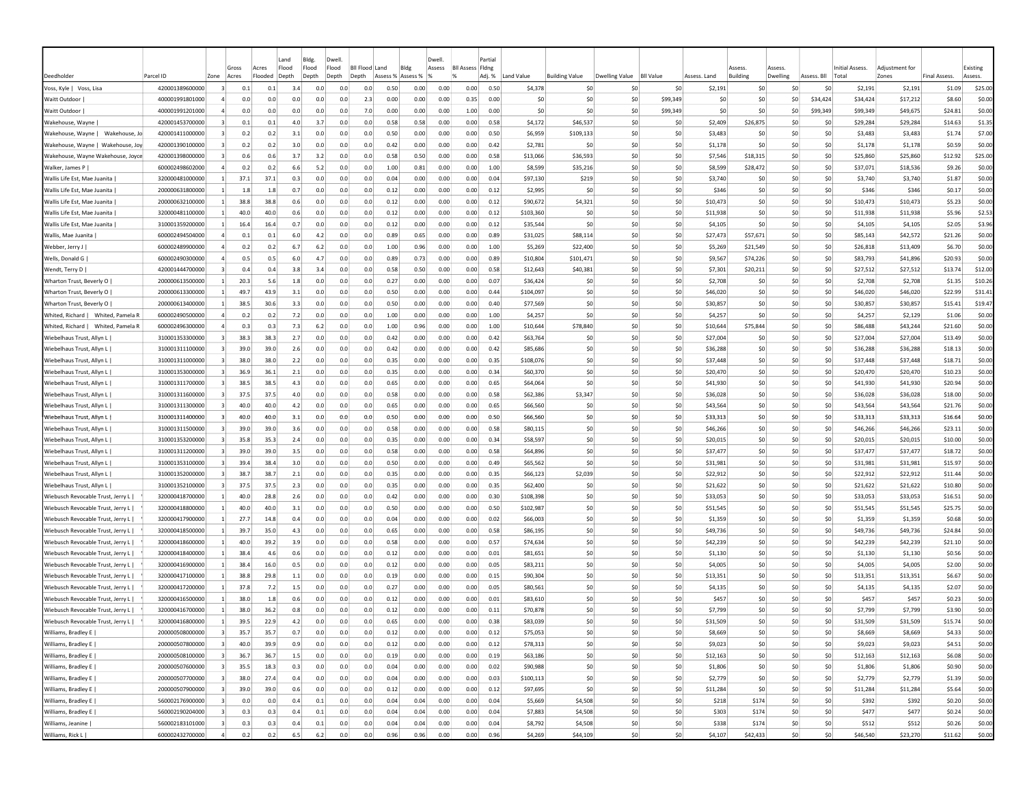|                                       |                 |                         | Gross |                  | Land           | Bldg.          | Dwell          | <b>BII Flood</b> |      | Blde              | Dwell. |                              | Partial |            |                       |                |                  |              |                                 |                    |             |                                 |                        |                     |                     |
|---------------------------------------|-----------------|-------------------------|-------|------------------|----------------|----------------|----------------|------------------|------|-------------------|--------|------------------------------|---------|------------|-----------------------|----------------|------------------|--------------|---------------------------------|--------------------|-------------|---------------------------------|------------------------|---------------------|---------------------|
| Deedholder                            | Parcel ID       | Zone                    | Acres | Acres<br>Flooded | Flood<br>Depth | Flood<br>Depth | Flood<br>Depth | Land<br>Depth    |      | Assess % Assess % | Assess | <b>BII Assess Fidng</b><br>% | Adj. %  | Land Value | <b>Building Value</b> | Dwelling Value | <b>BII Value</b> | Assess, Land | <i><b>SSESS</b></i><br>Building | Asses:<br>Dwelling | Assess, Bll | <b>Initial Assess.</b><br>Total | Adiustment fo<br>Zones | <b>Final Assess</b> | Existing<br>Assess. |
| Voss, Kyle   Voss, Lisa               | 420001389600000 | $\vert$ 3               | 0.1   | 0.1              | 3.4            | 0.0            | 0.0            | 0.0              | 0.50 | 0.00              | 0.00   | 0.00                         | 0.50    | \$4,378    | \$0                   | S0             | \$0              | \$2,191      | \$0                             | -SO                | S0          | \$2,191                         | \$2,191                | \$1.09              | \$25.00             |
| <b>Waitt Outdoor</b>                  | 400001991801000 |                         | 0.0   | 0.0              | 0.0            | 0.0            | 0.0            | 2.3              | 0.00 | 0.00              | 0.00   | 0.35                         | 0.00    | \$0        | \$0                   | \$0            | \$99,349         | \$0          | \$0                             | \$0                | \$34,424    | \$34,424                        | \$17,212               | \$8.60              | \$0.00              |
| Waitt Outdoor                         | 400001991201000 |                         | 0.0   | 0.0              | 0.0            | 0.0            | 0.0            | 7.0              | 0.00 | 0.00              | 0.00   | 1.00                         | 0.00    | \$0        | \$0                   | \$0            | \$99.349         | \$0          | \$0                             | \$0                | \$99,349    | \$99,349                        | \$49,675               | \$24.81             | \$0.00              |
| Wakehouse, Wayne                      | 420001453700000 | 3                       | 0.1   | 0.1              | 4.0            | 3.7            | 0.0            | 0.0              | 0.58 | 0.58              | 0.00   | 0.00                         | 0.58    | \$4,172    | \$46,537              | \$0            | \$0              | \$2,409      | \$26,875                        | \$0                | \$0         | \$29,284                        | \$29,284               | \$14.63             | \$1.35              |
| Wakehouse, Wayne   Wakehouse, Jo      | 420001411000000 |                         | 0.2   | 0.2              | 3.1            | 0.0            | 0.0            | 0.0              | 0.50 | 0.00              | 0.00   | 0.00                         | 0.50    | \$6,959    | \$109,133             | \$0            | \$0              | \$3,483      | \$0                             | \$C                | \$0         | \$3,483                         | \$3,483                | \$1.74              | \$7.00              |
| Wakehouse, Wayne   Wakehouse, Joy     | 420001390100000 |                         | 0.2   | 0.2              | 3.0            | 0.0            | 0.0            | 0.0              | 0.42 | 0.00              | 0.00   | 0.00                         | 0.42    | \$2,781    | \$0                   | \$0            | \$0              | \$1,178      | \$0                             | \$0                | \$0         | \$1,178                         | \$1,178                | \$0.59              | \$0.00              |
| Wakehouse, Wayne Wakehouse, Joyce     | 420001398000000 | -3                      | 0.6   | 0.6              | 3.7            | 3.2            | 0.0            | 0.0              | 0.58 | 0.50              | 0.00   | 0.00                         | 0.58    | \$13,066   | \$36,593              | \$0            | \$0              | \$7,546      | \$18,315                        | \$0                | S0          | \$25,860                        | \$25,860               | \$12.92             | \$25.00             |
| Walker, James P                       | 600002498602000 | 4                       | 0.2   | 0.2              | 6.6            | 5.2            | 0.0            | 0.0              | 1.00 | 0.81              | 0.00   | 0.00                         | 1.00    | \$8,599    | \$35,216              | \$0            | \$0              | \$8,599      | \$28,472                        | S0                 | S0          | \$37,071                        | \$18,536               | \$9.26              | \$0.00              |
| Wallis Life Est. Mae Juanita          | 320000481000000 | -1                      | 37.1  | 37.1             | 0.3            | 0.0            | 0.0            | 0.0              | 0.04 | 0.00              | 0.00   | 0.00                         | 0.04    | \$97,130   | \$219                 | \$0            | 50               | \$3,740      | S0                              | -SO                | \$0         | \$3,740                         | \$3,740                | \$1.87              | \$0.00              |
| Wallis Life Est, Mae Juanita          | 200000631800000 |                         | 1.8   | 1.8              | 0.7            | 0.0            | 0.0            | 0.0              | 0.12 | 0.00              | 0.00   | 0.00                         | 0.12    | \$2,995    | \$0                   | \$0            | \$0              | \$346        | \$0                             | \$0                | \$0         | \$346                           | \$346                  | \$0.17              | \$0.00              |
| Wallis Life Est, Mae Juanita          | 200000632100000 |                         | 38.8  | 38.8             | 0.6            | 0.0            | 0.0            | 0.0              | 0.12 | 0.00              | 0.00   | 0.00                         | 0.12    | \$90,672   | \$4,321               | \$0            | \$0              | \$10,473     | \$0                             | \$C                | \$0         | \$10,473                        | \$10,473               | \$5.23              | \$0.00              |
| Wallis Life Est, Mae Juanita          | 320000481100000 |                         | 40.0  | 40.0             | 0.6            | 0.0            | 0.0            | 0.0              | 0.12 | 0.00              | 0.00   | 0.00                         | 0.12    | \$103,360  | \$0                   | \$0            | \$0              | \$11,938     | \$0                             | \$C                | \$0         | \$11,938                        | \$11,938               | \$5.96              | \$2.53              |
| Wallis Life Est, Mae Juanita          | 310001359200000 |                         | 16.4  | 16.4             | 0.7            | 0.0            | 0.0            | 0.0              | 0.12 | 0.00              | 0.00   | 0.00                         | 0.12    | \$35,544   | \$0                   | \$0            | \$0              | \$4,105      | \$0                             | \$0                | \$0         | \$4,105                         | \$4,105                | \$2.05              | \$3.96              |
| Wallis, Mae Juanita                   | 600002494504000 |                         | 0.1   | 0.1              | 6.0            | 4.2            | 0.0            | 0.0              | 0.89 | 0.65              | 0.00   | 0.00                         | 0.89    | \$31,025   | \$88,114              | \$0            | \$0              | \$27,473     | \$57,671                        | \$0                | \$0         | \$85,143                        | \$42,572               | \$21.26             | \$0.00              |
| Webber, Jerry J                       | 600002489900000 |                         | 0.2   | 0.2              | 6.7            | 6.2            | 0.0            | 0.0              | 1.00 | 0.96              | 0.00   | 0.00                         | 1.00    | \$5,269    | \$22,400              | \$0            | \$0              | \$5,269      | \$21,549                        | \$0                | \$0         | \$26,818                        | \$13,409               | \$6.70              | \$0.00              |
| Wells, Donald G                       | 600002490300000 |                         | 0.5   | 0.5              | 6.0            | 4.7            | 0.0            | 0.0              | 0.89 | 0.73              | 0.00   | 0.00                         | 0.89    | \$10,804   | \$101,471             | \$0            | \$0              | \$9,567      | \$74,226                        | -SO                | \$0         | \$83,793                        | \$41,896               | \$20.93             | \$0.00              |
| Wendt, Terry D                        | 420001444700000 | $\overline{\mathbf{3}}$ | 0.4   | 0.4              | 3.8            | 3.4            | 0.0            | 0.0              | 0.58 | 0.50              | 0.00   | 0.00                         | 0.58    | \$12,643   | \$40,381              | \$0            | \$0              | \$7,301      | \$20,211                        | \$0                | \$0         | \$27,512                        | \$27,512               | \$13.74             | \$12.00             |
| Wharton Trust, Beverly O              | 200000613500000 | $\mathbf{1}$            | 20.3  | 5.6              | 1.8            | 0.0            | 0.0            | 0.0              | 0.27 | 0.00              | 0.00   | 0.00                         | 0.07    | \$36,424   | \$0                   | \$0            | \$0              | \$2,708      | \$0                             | 50                 | \$0         | \$2,708                         | \$2,708                | \$1.35              | \$10.26             |
| Wharton Trust, Beverly O              | 200000613300000 |                         | 49.7  | 43.9             | 3.1            | 0.0            | 0.0            | 0.0              | 0.50 | 0.00              | 0.00   | 0.00                         | 0.44    | \$104,097  | \$0                   | \$0            | \$0              | \$46,020     | \$0                             | \$0                | \$0         | \$46,020                        | \$46,020               | \$22.99             | \$31.41             |
| Wharton Trust, Beverly O              | 200000613400000 | -11                     | 38.5  | 30.6             | 3.3            | 0.0            | 0.0            | 0.0              | 0.50 | 0.00              | 0.00   | 0.00                         | 0.40    | \$77,569   | S0                    | S0             | \$0              | \$30,857     | \$0                             | \$0                | S0          | \$30,857                        | \$30,857               | \$15.41             | \$19.47             |
| Whited, Richard   Whited, Pamela R    | 600002490500000 | 4                       | 0.2   | 0.2              | 7.2            | 0.0            | 0.0            | 0.0              | 1.00 | 0.00              | 0.00   | 0.00                         | 1.00    | \$4,257    | \$0                   | S0             | 50               | \$4,257      | \$0                             | -SO                | \$0         | \$4,257                         | \$2,129                | \$1.06              | \$0.00              |
| Whited, Richard  <br>Whited, Pamela R | 600002496300000 |                         | 0.3   | 0.3              | 7.3            | 6.2            | 0.0            | 0.0              | 1.00 | 0.96              | 0.00   | 0.00                         | 1.00    | \$10,644   | \$78,840              | \$0            | \$0              | \$10,644     | \$75,844                        | \$0                | \$0         | \$86,488                        | \$43,244               | \$21.60             | \$0.00              |
| Wiebelhaus Trust, Allyn L             | 310001353300000 |                         | 38.3  | 38.3             | 2.7            | 0.0            | 0.0            | 0.0              | 0.42 | 0.00              | 0.00   | 0.00                         | 0.42    | \$63,764   | \$0                   | \$0            | \$0              | \$27,004     | \$0                             | \$0                | \$0         | \$27,004                        | \$27,004               | \$13.49             | \$0.00              |
| Wiebelhaus Trust, Allyn L             | 310001311100000 |                         | 39.0  | 39.0             | 2.6            | 0.0            | 0.0            | 0.0              | 0.42 | 0.00              | 0.00   | 0.00                         | 0.42    | \$85,686   | \$0                   | \$0            | \$0              | \$36,288     | \$0                             | \$0                | \$0         | \$36,288                        | \$36,288               | \$18.13             | \$0.00              |
| Wiebelhaus Trust, Allyn L             | 310001311000000 |                         | 38.0  | 38.0             | 2.2            | 0.0            | 0.0            | 0.0              | 0.35 | 0.00              | 0.00   | 0.00                         | 0.35    | \$108,076  | \$0                   | \$0            | \$0              | \$37,448     | \$0                             | \$0                | \$0         | \$37,448                        | \$37,448               | \$18.71             | \$0.00              |
| Wiebelhaus Trust, Allyn L             | 310001353000000 | $\vert$ 3               | 36.9  | 36.1             | 2.1            | 0.0            | 0.0            | 0.0              | 0.35 | 0.00              | 0.00   | 0.00                         | 0.34    | \$60,370   | \$0                   | \$0            | \$0              | \$20,470     | \$0                             | -SO                | \$0         | \$20,470                        | \$20,470               | \$10.23             | \$0.00              |
| Wiebelhaus Trust, Allyn L             | 310001311700000 | $\vert$ 3               | 38.5  | 38.5             | 4.3            | 0.0            | 0.0            | 0.0              | 0.65 | 0.00              | 0.00   | 0.00                         | 0.65    | \$64,064   | \$0                   | \$0            | \$0              | \$41,930     | \$0                             | -SO                | \$0         | \$41,930                        | \$41,930               | \$20.94             | \$0.00              |
| Wiebelhaus Trust, Allyn L             | 310001311600000 | $\vert$ 3               | 37.5  | 37.5             | 4.0            | 0.0            | 0.0            | 0.0              | 0.58 | 0.00              | 0.00   | 0.00                         | 0.58    | \$62,386   | \$3,347               | \$0            | \$0              | \$36,028     | \$0                             | -SO                | \$0         | \$36,028                        | \$36,028               | \$18.00             | \$0.00              |
| Wiebelhaus Trust, Allyn L             | 310001311300000 | $\vert$ 3               | 40.0  | 40.0             | 4.2            | 0.0            | 0.0            | 0.0              | 0.65 | 0.00              | 0.00   | 0.00                         | 0.65    | \$66,560   | \$0                   | \$0            | \$0              | \$43,564     | \$0                             | \$0                | \$0         | \$43,564                        | \$43,564               | \$21.76             | \$0.00              |
| Wiebelhaus Trust, Allyn L             | 310001311400000 | 3                       | 40.0  | 40.0             | 3.1            | 0.0            | 0.0            | 0.0              | 0.50 | 0.00              | 0.00   | 0.00                         | 0.50    | \$66,560   | \$0                   | \$0            | \$0              | \$33,313     | \$0                             | \$0                | \$0         | \$33,313                        | \$33,313               | \$16.64             | \$0.00              |
| Wiebelhaus Trust, Allyn L             | 310001311500000 | $\vert$ 3               | 39.0  | 39.0             | 3.6            | 0.0            | 0.0            | 0.0              | 0.58 | 0.00              | 0.00   | 0.00                         | 0.58    | \$80,115   | \$0                   | \$0            | \$0              | \$46,266     | \$0                             | \$0                | \$0         | \$46,266                        | \$46,266               | \$23.11             | \$0.00              |
| Wiebelhaus Trust, Allyn L             | 310001353200000 | 3                       | 35.8  | 35.3             | 2.4            | 0.0            | 0.0            | 0.0              | 0.35 | 0.00              | 0.00   | 0.00                         | 0.34    | \$58,597   | \$0                   | \$0            | \$0              | \$20,015     | \$0                             | \$0                | \$0         | \$20,015                        | \$20,015               | \$10.00             | \$0.00              |
| Wiebelhaus Trust, Allyn L             | 310001311200000 | -31                     | 39.0  | 39.0             | 3.5            | 0.0            | 0.0            | 0.0              | 0.58 | 0.00              | 0.00   | 0.00                         | 0.58    | \$64,896   | \$0                   | \$0            | \$0              | \$37,477     | \$0                             | S <sub>0</sub>     | \$0         | \$37,477                        | \$37,477               | \$18.72             | \$0.00              |
| Wiebelhaus Trust, Allyn L             | 310001353100000 | -31                     | 39.4  | 38.4             | 3.0            | 0.0            | 0.0            | 0.0              | 0.50 | 0.00              | 0.00   | 0.00                         | 0.49    | \$65,562   | \$0                   | \$0            | \$0              | \$31,981     | \$0                             | \$0                | \$0         | \$31,981                        | \$31,981               | \$15.97             | \$0.00              |
| Wiebelhaus Trust, Allyn L             | 310001352000000 | -3                      | 38.7  | 38.7             | 2.1            | 0.0            | 0.0            | 0.0              | 0.35 | 0.00              | 0.00   | 0.00                         | 0.35    | \$66,123   | \$2,039               | \$0            | \$0              | \$22,912     | S0                              | S <sub>0</sub>     | \$0         | \$22,912                        | \$22,912               | \$11.44             | \$0.00              |
| Wiebelhaus Trust, Allyn L             | 310001352100000 | $\vert$ 3               | 37.5  | 37.5             | 2.3            | 0.0            | 0.0            | 0.0              | 0.35 | 0.00              | 0.00   | 0.00                         | 0.35    | \$62,400   | \$0                   | \$0            | \$0              | \$21,622     | \$0                             | \$0                | \$0         | \$21,622                        | \$21,622               | \$10.80             | \$0.00              |
| Wiebusch Revocable Trust, Jerry L     | 320000418700000 |                         | 40.0  | 28.8             | 2.6            | 0.0            | 0.0            | 0.0              | 0.42 | 0.00              | 0.00   | 0.00                         | 0.30    | \$108,398  | \$0                   | \$0            | \$0              | \$33,053     | \$0                             | \$C                | \$0         | \$33,053                        | \$33,053               | \$16.51             | \$0.00              |
| Wiebusch Revocable Trust, Jerry L     | 320000418800000 |                         | 40.0  | 40.0             | 3.1            | 0.0            | 0.0            | 0.0              | 0.50 | 0.00              | 0.00   | 0.00                         | 0.50    | \$102,987  | \$0                   | \$0            | \$0              | \$51,545     | \$0                             | \$C                | \$0         | \$51,545                        | \$51,545               | \$25.75             | \$0.00              |
| Wiebusch Revocable Trust, Jerry L     | 320000417900000 |                         | 27.7  | 14.8             | 0.4            | 0.0            | 0.0            | 0.0              | 0.04 | 0.00              | 0.00   | 0.00                         | 0.02    | \$66,003   | \$0                   | \$0            | \$0              | \$1,359      | \$0                             | \$0                | \$0         | \$1,359                         | \$1,359                | \$0.68              | \$0.00              |
| Wiebusch Revocable Trust, Jerry L     | 320000418500000 |                         | 39.7  | 35.0             | 4.3            | 0.0            | 0.0            | 0.0              | 0.65 | 0.00              | 0.00   | 0.00                         | 0.58    | \$86,195   | \$0                   | S0             | \$0              | \$49,736     | \$0                             | -SO                | \$0         | \$49,736                        | \$49,736               | \$24.84             | \$0.00              |
| Wiebusch Revocable Trust, Jerry L     | 320000418600000 |                         | 40.0  | 39.2             | 3.9            | 0.0            | 0.0            | 0.0              | 0.58 | 0.00              | 0.00   | 0.00                         | 0.57    | \$74,634   | \$0                   | \$0            | \$0              | \$42,239     | \$0                             | \$0                | \$0         | \$42,239                        | \$42,239               | \$21.10             | \$0.00              |
| Wiebusch Revocable Trust, Jerry L     | 320000418400000 |                         | 38.4  | 4.6              | 0.6            | 0.0            | 0.0            | 0.0              | 0.12 | 0.00              | 0.00   | 0.00                         | 0.01    | \$81,651   | \$0                   | \$0            | \$0              | \$1,130      | \$0                             | \$0                | \$0         | \$1,130                         | \$1,130                | \$0.56              | \$0.00              |
| Wiebusch Revocable Trust, Jerry L     | 320000416900000 |                         | 38.4  | 16.0             | 0.5            | 0.0            | 0.0            | 0.0              | 0.12 | 0.00              | 0.00   | 0.00                         | 0.05    | \$83,211   | \$0                   | \$0            | \$0              | \$4,005      | \$0                             | \$C                | \$0         | \$4,005                         | \$4,005                | \$2.00              | \$0.00              |
| Wiebusch Revocable Trust, Jerry L     | 320000417100000 | $\vert$ 1               | 38.8  | 29.8             | $1.1$          | 0.0            | 0.0            | 0.0              | 0.19 | 0.00              | 0.00   | 0.00                         | 0.15    | \$90,304   | \$0                   | \$0            | \$0              | \$13,351     | \$0                             | \$0                | \$0         | \$13,351                        | \$13,351               | \$6.67              | \$0.00              |
| Wiebusch Revocable Trust, Jerry L     | 320000417200000 | -11                     | 37.8  | 7.2              | 1.5            | 0.0            | 0.0            | 0.0              | 0.27 | 0.00              | 0.00   | 0.00                         | 0.05    | \$80,561   | \$0                   | \$0            | \$0              | \$4,135      | \$0                             | S0                 | S0          | \$4,135                         | \$4,135                | \$2.07              | \$0.00              |
| Wiebusch Revocable Trust, Jerry L     | 320000416500000 |                         | 38.C  | 1.8              | 0.6            | 0.0            | 0.0            | 0.0              | 0.12 | 0.00              | 0.00   | 0.00                         | 0.01    | \$83,610   | \$0                   | S0             | S0               | \$457        | \$0                             | S0                 | S0          | \$457                           | \$457                  | \$0.23              | \$0.00              |
| Wiebusch Revocable Trust, Jerry L     | 320000416700000 |                         | 38.0  | 36.2             | 0.8            | 0.0            | 0.0            | 0.0              | 0.12 | 0.00              | 0.00   | 0.00                         | 0.11    | \$70,878   | \$0                   | S0             | 50               | \$7,799      | \$0                             | \$0                | \$0         | \$7.799                         | \$7,799                | \$3.90              | \$0.00              |
| Wiebusch Revocable Trust, Jerry L     | 320000416800000 |                         | 39.5  | 22.9             | 4.2            | 0.0            | 0.0            | 0.0              | 0.65 | 0.00              | 0.00   | 0.00                         | 0.38    | \$83,039   | \$0                   | S0             | \$0              | \$31,509     | \$0                             | \$0                | \$0         | \$31,509                        | \$31,509               | \$15.74             | \$0.00              |
| Williams, Bradley E                   | 200000508000000 | $\overline{\mathbf{3}}$ | 35.7  | 35.7             | 0.7            | 0.0            | 0.0            | 0.0              | 0.12 | 0.00              | 0.00   | 0.00                         | 0.12    | \$75,053   | \$0                   | \$0            | \$0              | \$8,669      | \$0                             | 50                 | \$0         | \$8,669                         | \$8,669                | \$4.33              | \$0.00              |
| Williams, Bradley E                   | 200000507800000 | $\overline{\mathbf{3}}$ | 40.0  | 39.9             | 0.9            | 0.0            | 0.0            | 0.0              | 0.12 | 0.00              | 0.00   | 0.00                         | 0.12    | \$78,313   | \$0                   | \$0            | \$0              | \$9,023      | \$0                             | 50                 | \$0         | \$9,023                         | \$9,023                | \$4.51              | \$0.00              |
| Williams, Bradley E                   | 200000508100000 | $\overline{\mathbf{3}}$ | 36.7  | 36.7             | 1.5            | 0.0            | 0.0            | 0.0              | 0.19 | 0.00              | 0.00   | 0.00                         | 0.19    | \$63,186   | \$0                   | \$0            | \$0              | \$12,163     | \$0                             | 50                 | \$0         | \$12,163                        | \$12,163               | \$6.08              | \$0.00              |
| Williams, Bradley E                   | 200000507600000 | $\overline{\mathbf{3}}$ | 35.5  | 18.3             | 0.3            | 0.0            | 0.0            | 0.0              | 0.04 | 0.00              | 0.00   | 0.00                         | 0.02    | \$90,988   | \$0                   | \$0            | \$0              | \$1,806      | \$0                             | \$0                | \$0         | \$1,806                         | \$1,806                | \$0.90              | \$0.00              |
| Williams, Bradley E                   | 200000507700000 | $\overline{\mathbf{3}}$ | 38.0  | 27.4             | 0.4            | 0.0            | 0.0            | 0.0              | 0.04 | 0.00              | 0.00   | 0.00                         | 0.03    | \$100,113  | \$0                   | \$0            | 50               | \$2,779      | \$0                             | 50                 | 50          | \$2,779                         | \$2,779                | \$1.39              | \$0.00              |
| Williams, Bradley E                   | 200000507900000 | $\overline{\mathbf{3}}$ | 39.0  | 39.0             | 0.6            | 0.0            | 0.0            | 0.0              | 0.12 | 0.00              | 0.00   | 0.00                         | 0.12    | \$97,695   | \$0                   | \$0            | 50               | \$11,284     | \$0                             | 50                 | 50          | \$11,284                        | \$11,284               | \$5.64              | \$0.00              |
| Williams, Bradley E                   | 560002176900000 | $\overline{\mathbf{3}}$ | 0.0   | 0.0              | 0.4            | 0.1            | 0.0            | 0.0              | 0.04 | 0.04              | 0.00   | 0.00                         | 0.04    | \$5,669    | \$4,508               | \$0            | \$0              | \$218        | \$174                           | 50                 | \$0         | \$392                           | \$392                  | \$0.20              | \$0.00              |
| Williams, Bradley E                   | 560002190204000 | $\overline{\mathbf{3}}$ | 0.3   | 0.3              | 0.4            | 0.1            | 0.0            | 0.0              | 0.04 | 0.04              | 0.00   | 0.00                         | 0.04    | \$7,883    | \$4,508               | 50             | \$0              | \$303        | \$174                           | 50                 | \$0         | \$477                           | \$477                  | \$0.24              | \$0.00              |
| Williams, Jeanine                     | 560002183101000 | $\vert$ 3               | 0.3   | 0.3              | 0.4            | 0.1            | 0.0            | 0.0              | 0.04 | 0.04              | 0.00   | 0.00                         | 0.04    | \$8,792    | \$4,508               | \$0            | \$0              | \$338        | \$174                           | 50                 | \$0         | \$512                           | \$512                  | \$0.26              | \$0.00              |
| Williams, Rick L                      | 600002432700000 | $\overline{a}$          | 0.2   | 0.2              | 6.5            | 6.2            | 0.0            | 0.0              | 0.96 | 0.96              | 0.00   | 0.00                         | 0.96    | \$4,269    | \$44,109              | \$0            | \$0              | \$4,107      | \$42,433                        | 50                 | \$0         | \$46,540                        | \$23,270               | \$11.62             | \$0.00              |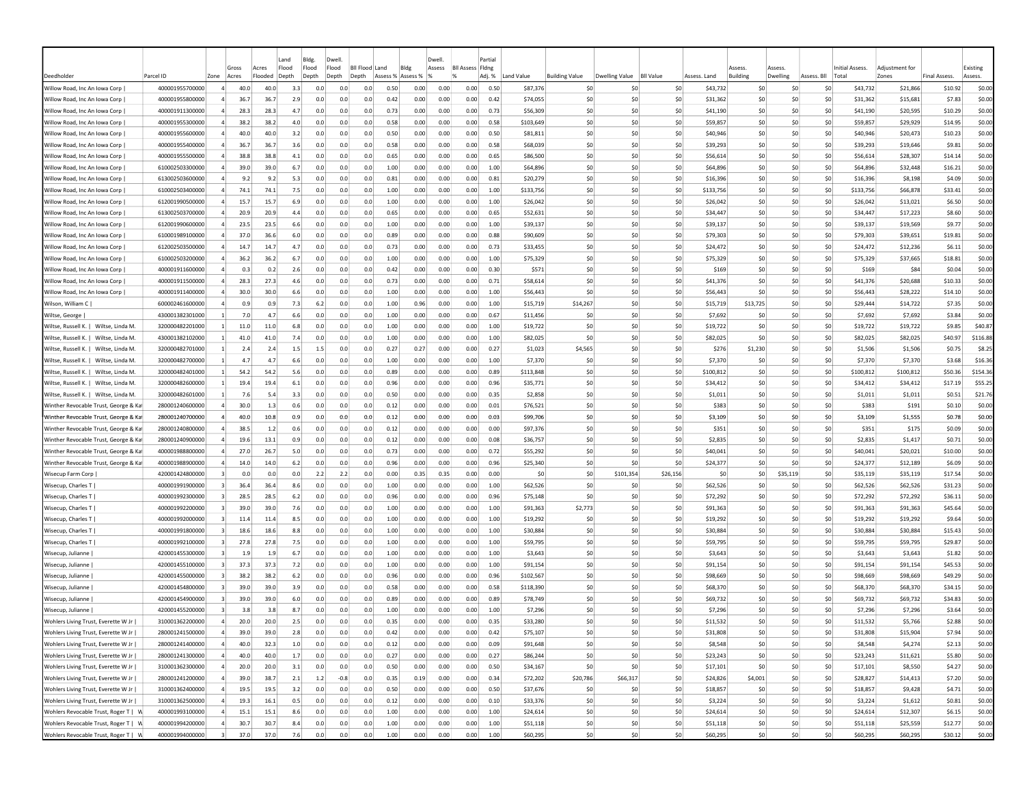|                                        |                 |                |       |         | Land  | Bldg. | Dwell                     |     |                   |      | Dwell. |                         | Partial |            |                       |                  |                  |              |          |                |          |             |                 |                |                     |          |
|----------------------------------------|-----------------|----------------|-------|---------|-------|-------|---------------------------|-----|-------------------|------|--------|-------------------------|---------|------------|-----------------------|------------------|------------------|--------------|----------|----------------|----------|-------------|-----------------|----------------|---------------------|----------|
|                                        |                 |                | Gross | Acres   | Flood | Flood | Flood<br><b>BII Flood</b> |     | Land<br>Bldg      |      | Assess | <b>Bll Assess Fldng</b> |         |            |                       |                  |                  |              | Assess   |                | Assess   |             | Initial Assess. | Adjustment for |                     | Existing |
| Deedholder                             | Parcel ID       | Zone           | Acres | Flooded | Depth | Depth | Depth<br>Depth            |     | Assess % Assess % | 1%   |        |                         | Adj. %  | Land Value | <b>Building Value</b> | Dwelling Value   | <b>BII Value</b> | Assess, Land | Building |                | Dwelling | Assess, Bll | Total           | Zones          | <b>Final Assess</b> | Assess.  |
| Willow Road, Inc An Iowa Corp          | 400001955700000 | $\overline{a}$ | 40.0  | 40.0    | 3.3   | 0.0   | 0.0                       | 0.0 | 0.50              | 0.00 | 0.00   | 0.00                    | 0.50    | \$87,376   |                       | \$0<br>-SO       | \$0              | \$43,732     |          | \$0            | -SO      | S0          | \$43,732        | \$21,866       | \$10.92             | \$0.00   |
| Willow Road, Inc An Iowa Corp          | 400001955800000 |                | 36.7  | 36.7    | 2.9   | 0.0   | 0.0                       | 0.0 | 0.42              | 0.00 | 0.00   | 0.00                    | 0.42    | \$74,055   |                       | \$0<br>\$0       | \$0              | \$31,362     |          | \$0            | \$0      | \$0         | \$31,362        | \$15,681       | \$7.83              | \$0.00   |
| Willow Road, Inc An Iowa Corp.         | 400001911300000 |                | 28.3  | 28.3    | 4.7   | 0.0   | 0.0                       | 0.0 | 0.73              | 0.00 | 0.00   | 0.00                    | 0.73    | \$56,309   |                       | \$0<br>\$0       | \$0              | \$41,190     |          | \$0            | \$0      | \$0         | \$41,190        | \$20,595       | \$10.29             | \$0.00   |
| Willow Road, Inc An Iowa Corp          | 400001955300000 |                | 38.2  | 38.2    | 4.0   | 0.0   | 0.0                       | 0.0 | 0.58              | 0.00 | 0.00   | 0.00                    | 0.58    | \$103,649  |                       | \$0<br>-SO       | \$0              | \$59,857     |          | \$0            | \$0      | \$0         | \$59,857        | \$29,929       | \$14.95             | \$0.00   |
| Willow Road, Inc An Iowa Corp          | 400001955600000 |                | 40.0  | 40.0    | 3.2   | 0.0   | 0.0                       | 0.0 | 0.50              | 0.00 | 0.00   | 0.00                    | 0.50    | \$81,811   |                       | \$C<br>-SO       | \$0              |              | \$40,946 | \$0            | \$0      | \$0         | \$40,946        | \$20,473       | \$10.23             | \$0.00   |
| Willow Road, Inc An Iowa Corp          | 400001955400000 | $\overline{a}$ | 36.7  | 36.7    | 3.6   | 0.0   | 0.0                       | 0.0 | 0.58              | 0.00 | 0.00   | 0.00                    | 0.58    | \$68,039   |                       | \$0<br>-SO       | \$0              |              | \$39,293 | \$0            | \$0      | \$0         | \$39,293        | \$19,646       | \$9.81              | \$0.00   |
| Willow Road, Inc An Iowa Corp          | 400001955500000 |                | 38.8  | 38.8    | 4.1   | 0.0   | 0.0                       | 0.0 | 0.65              | 0.00 | 0.00   | 0.00                    | 0.65    | \$86,500   |                       | \$0<br>-SO       | \$0              | \$56,614     |          | \$0            | \$0      | S0          | \$56,614        | \$28,307       | \$14.14             | \$0.00   |
| Willow Road, Inc An Iowa Corp          | 610002503300000 |                | 39.0  | 39.0    | 6.7   | 0.0   | 0.0                       | 0.0 | 1.00              | 0.00 | 0.00   | 0.00                    | 1.00    | \$64,896   |                       | -SO<br>-SO       | \$0              | \$64,896     |          | -SO            | S0       | S0          | \$64,896        | \$32,448       | \$16.21             | \$0.00   |
| Willow Road, Inc An Jowa Corp.         | 613002503600000 |                | 9.2   | 9.2     | 5.3   | 0.0   | 0.0                       | 0.0 | 0.81              | 0.00 | 0.00   | 0.00                    | 0.81    | \$20,279   |                       | \$0<br>-SO       | \$0              | \$16,396     |          | S <sub>0</sub> | \$0      | \$0         | \$16,396        | \$8,198        | \$4.09              | \$0.00   |
| Willow Road, Inc An Iowa Corp          | 610002503400000 |                | 74.1  | 74.1    | 7.5   | 0.0   | 0.0                       | 0.0 | 1.00              | 0.00 | 0.00   | 0.00                    | 1.00    | \$133,756  |                       | \$0<br>-SO       | \$0              | \$133,756    |          | \$0            | \$0      | \$0         | \$133,756       | \$66,878       | \$33.41             | \$0.00   |
| Willow Road, Inc An Iowa Corp          | 612001990500000 |                | 15.7  | 15.7    | 6.9   | 0.0   | 0.0                       | 0.0 | 1.00              | 0.00 | 0.00   | 0.00                    | 1.00    | \$26,042   |                       | \$C<br>-SO       | \$0              | \$26,042     |          | \$0            | \$C      | \$0         | \$26,042        | \$13,021       | \$6.50              | \$0.00   |
| Willow Road, Inc An Iowa Corp          | 613002503700000 |                | 20.9  | 20.9    | 4.4   | 0.0   | 0.0                       | 0.0 | 0.65              | 0.00 | 0.00   | 0.00                    | 0.65    | \$52,631   |                       | \$0<br>\$0       | \$0              |              | \$34,447 | \$0            | \$0      | \$0         | \$34,447        | \$17,223       | \$8.60              | \$0.00   |
| Willow Road, Inc An Iowa Corp          | 612001990600000 |                | 23.5  | 23.5    | 6.6   | 0.0   | 0.0                       | 0.0 | 1.00              | 0.00 | 0.00   | 0.00                    | 1.00    | \$39,137   |                       | \$0<br>\$0       | \$0              |              | \$39,137 | \$0            | \$0      | \$0         | \$39,137        | \$19,569       | \$9.77              | \$0.00   |
| Willow Road, Inc An Iowa Corp          | 610001989100000 |                | 37.0  | 36.6    | 6.0   | 0.0   | 0.0                       | 0.0 | 0.89              | 0.00 | 0.00   | 0.00                    | 0.88    | \$90,609   |                       | \$0<br>\$0       | \$0              |              | \$79,303 | \$0            | \$0      | \$0         | \$79,303        | \$39,651       | \$19.81             | \$0.00   |
| Willow Road, Inc An Iowa Corp          | 612002503500000 |                | 14.7  | 14.7    | 4.7   | 0.0   | 0.0                       | 0.0 | 0.73              | 0.00 | 0.00   | 0.00                    | 0.73    | \$33,455   |                       | \$0<br>\$0       | \$0              | \$24,472     |          | \$0            | \$0      | \$0         | \$24,472        | \$12,236       | \$6.11              | \$0.00   |
| Willow Road, Inc An Iowa Corp.         | 610002503200000 |                | 36.2  | 36.2    | 6.7   | 0.0   | 0.0                       | 0.0 | 1.00              | 0.00 | 0.00   | 0.00                    | 1.00    | \$75,329   |                       | \$0<br>\$0       | \$0              | \$75.329     |          | \$0            | \$0      | \$0         | \$75,329        | \$37.665       | \$18.81             | \$0.00   |
| Willow Road, Inc An Iowa Corp          | 400001911600000 |                | 0.3   | 0.2     | 2.6   | 0.0   | 0.0                       | 0.0 | 0.42              | 0.00 | 0.00   | 0.00                    | 0.30    | \$571      |                       | \$0<br>\$0       | \$0              |              | \$169    | \$0            | \$0      | \$0         | \$169           | \$84           | S0.04               | \$0.00   |
| Willow Road, Inc An Iowa Corp          | 400001911500000 | $\vert$        | 28.3  | 27.3    | 4.6   | 0.0   | 0.0                       | 0.0 | 0.73              | 0.00 | 0.00   | 0.00                    | 0.71    | \$58,614   |                       | \$0<br>\$0       | \$0              | \$41,376     |          | \$0            | \$0      | \$0         | \$41,376        | \$20,688       | \$10.33             | \$0.00   |
| Willow Road, Inc An Iowa Corp          | 400001911400000 |                | 30.0  | 30.0    | 6.6   | 0.0   | 0.0                       | 0.0 | 1.00              | 0.00 | 0.00   | 0.00                    | 1.00    | \$56,443   |                       | \$0<br>-SO       | \$0              |              | \$56,443 | S <sub>0</sub> | \$0      | \$0         | \$56,443        | \$28,222       | \$14.10             | \$0.00   |
| Wilson, William C                      | 600002461600000 |                | 0.9   | 0.9     | 7.3   | 6.2   | 0.0                       | 0.0 | 1.00              | 0.96 | 0.00   | 0.00                    | 1.00    | \$15,719   | \$14,267              | -SO              | \$0              | \$15,719     |          | \$13,725       | \$0      | S0          | \$29,444        | \$14,722       | \$7.35              | \$0.00   |
| Wiltse, George                         | 430001382301000 | -1             | 7.0   | 4.7     | 6.6   | 0.0   | 0.0                       | 0.0 | 1.00              | 0.00 | 0.00   | 0.00                    | 0.67    | \$11,456   |                       | \$0<br>-SO       | \$0              |              | \$7.692  | S <sub>0</sub> | \$0      | \$0         | \$7,692         | \$7,692        | \$3.84              | \$0.00   |
| Wiltse, Russell K.   Wiltse, Linda M.  | 320000482201000 |                | 11.0  | 11.0    | 6.8   | 0.0   | 0.0                       | 0.0 | 1.00              | 0.00 | 0.00   | 0.00                    | 1.00    | \$19,722   |                       | \$0<br>\$0       | \$0              | \$19,722     |          | S <sub>0</sub> | \$0      | \$0         | \$19,722        | \$19,722       | \$9.85              | \$40.87  |
| Wiltse, Russell K.   Wiltse, Linda M.  | 430001382102000 |                | 41.0  | 41.0    | 7.4   | 0.0   | 0.0                       | 0.0 | 1.00              | 0.00 | 0.00   | 0.00                    | 1.00    | \$82,025   |                       | \$0<br>\$0       | \$0              |              | \$82,025 | \$0            | \$0      | \$0         | \$82,025        | \$82,025       | \$40.97             | \$116.88 |
| Wiltse, Russell K.   Wiltse, Linda M.  | 320000482701000 |                | 2.4   | 2.4     | 1.5   | 1.5   | 0.0                       | 0.0 | 0.2               | 0.27 | 0.00   | 0.00                    | 0.27    | \$1,023    | \$4,565               | \$0              | \$0              |              | \$276    | \$1,230        | \$C      | \$0         | \$1,506         | \$1,506        | \$0.75              | \$8.25   |
| Wiltse, Russell K.   Wiltse, Linda M   | 320000482700000 |                | 4.7   | 4.7     | 6.6   | 0.0   | 0.0                       | 0.0 | 1.00              | 0.00 | 0.00   | 0.00                    | 1.00    | \$7,370    |                       | \$0<br>\$0       | \$0              |              | \$7,370  | \$0            | \$0      | \$0         | \$7,370         | \$7,370        | \$3.68              | \$16.36  |
| Wiltse, Russell K.   Wiltse, Linda M   | 320000482401000 |                | 54.2  | 54.2    | 5.6   | 0.0   | 0.0                       | 0.0 | 0.89              | 0.00 | 0.00   | 0.00                    | 0.89    | \$113,848  |                       | \$0<br>\$0       | \$0              | \$100,812    |          | \$0            | \$0      | \$0         | \$100,812       | \$100,812      | \$50.36             | \$154.36 |
| Wiltse, Russell K.   Wiltse, Linda M.  | 320000482600000 |                | 19.4  | 19.4    | 6.1   | 0.0   | 0.0                       | 0.0 | 0.96              | 0.00 | 0.00   | 0.00                    | 0.96    | \$35,771   |                       | \$0<br>\$0       | \$0              |              | \$34,412 | \$0            | \$0      | \$0         | \$34,412        | \$34,412       | \$17.19             | \$55.25  |
| Wiltse, Russell K. J. Wiltse, Linda M. | 320000482601000 |                | 7.6   | 5.4     | 3.3   | 0.0   | 0.0                       | 0.0 | 0.50              | 0.00 | 0.00   | 0.00                    | 0.35    | \$2,858    |                       | \$0<br>\$0       | \$0              |              | \$1,011  | \$0            | \$0      | \$0         | \$1,011         | \$1,011        | \$0.51              | \$21.76  |
| Winther Revocable Trust, George & Ka   | 280001240600000 | $\overline{a}$ | 30.0  | 1.3     | 0.6   | 0.0   | 0.0                       | 0.0 | 0.12              | 0.00 | 0.00   | 0.00                    | 0.01    | \$76,521   |                       | \$0<br>\$0       | \$0              |              | \$383    | \$0            | \$0      | \$0         | \$383           | \$191          | \$0.10              | \$0.00   |
| Winther Revocable Trust, George & Ka   | 280001240700000 |                | 40.0  | 10.8    | 0.9   | 0.0   | 0.0                       | 0.0 | 0.12              | 0.00 | 0.00   | 0.00                    | 0.03    | \$99,706   |                       | \$0<br>-SO       | \$0              |              | \$3,109  | \$0            | \$0      | \$0         | \$3,109         | \$1,555        | \$0.78              | \$0.00   |
| Winther Revocable Trust, George & Ka   | 280001240800000 | $\overline{a}$ | 38.5  | $1.2$   | 0.6   | 0.0   | 0.0                       | 0.0 | 0.12              | 0.00 | 0.00   | 0.00                    | 0.00    | \$97,376   |                       | \$0<br>\$0       | \$0              |              | \$351    | \$0            | \$0      | \$0         | \$351           | \$175          | \$0.09              | \$0.00   |
| Winther Revocable Trust, George & Ka   | 280001240900000 |                | 19.6  | 13.1    | 0.9   | 0.0   | 0.0                       | 0.0 | 0.12              | 0.00 | 0.00   | 0.00                    | 0.08    | \$36,757   |                       | \$0<br>-SO       | \$0              |              | \$2,835  | \$0            | \$0      | \$0         | \$2,835         | \$1,417        | \$0.71              | \$0.00   |
| Winther Revocable Trust, George & Ka   | 400001988800000 |                | 27.0  | 26.7    | 5.0   | 0.0   | 0.0                       | 0.0 | 0.73              | 0.00 | 0.00   | 0.00                    | 0.72    | \$55,292   |                       | \$0<br>-SO       | \$0              | \$40,041     |          | \$0            | \$0      | \$0         | \$40,041        | \$20,021       | \$10.00             | \$0.00   |
| Winther Revocable Trust, George & Ka   | 400001988900000 |                | 14.0  | 14.0    | 6.2   | 0.0   | 0.0                       | 0.0 | 0.96              | 0.00 | 0.00   | 0.00                    | 0.96    | \$25,340   |                       | \$0<br>-SO       | -SO              |              | \$24,377 | S0             | \$0      | \$0         | \$24,377        | \$12,189       | \$6.09              | \$0.00   |
| Wisecup Farm Corp                      | 420001424800000 |                | 0.0   | 0.0     | 0.0   | 2.2   | 2.2                       | 0.0 | 0.00              | 0.35 | 0.35   | 0.00                    | 0.00    | \$0        |                       | \$101,354<br>\$0 | \$26,156         |              | -SO      | S <sub>0</sub> | \$35,119 | \$0         | \$35,119        | \$35,119       | \$17.54             | \$0.00   |
| Wisecup, Charles T                     | 400001991900000 |                | 36.4  | 36.4    | 8.6   | 0.0   | 0.0                       | 0.0 | 1.00              | 0.00 | 0.00   | 0.00                    | 1.00    | \$62,526   |                       | \$0<br>\$0       | \$0              |              | \$62,526 | \$0            | \$0      | \$0         | \$62,526        | \$62,526       | \$31.23             | \$0.00   |
| Wisecup, Charles T                     | 400001992300000 |                | 28.5  | 28.5    | 6.2   | 0.0   | 0.0                       | 0.0 | 0.96              | 0.00 | 0.00   | 0.00                    | 0.96    | \$75,148   |                       | \$C<br>-SO       | \$0              |              | \$72,292 | -SC            | \$C      | \$0         | \$72,292        | \$72,292       | \$36.11             | \$0.00   |
| Wisecup, Charles T                     | 400001992200000 |                | 39.0  | 39.0    | 7.6   | 0.0   | 0.0                       | 0.0 | 1.00              | 0.00 | 0.00   | 0.00                    | 1.00    | \$91,363   | \$2,773               | \$0              | \$0              |              | \$91,363 | \$0            | \$0      | \$0         | \$91,363        | \$91,363       | \$45.64             | \$0.00   |
| Wisecup, Charles T                     | 400001992000000 |                | 11.4  | 11.4    | 8.5   | 0.0   | 0.0                       | 0.0 | 1.00              | 0.00 | 0.00   | 0.00                    | 1.00    | \$19,292   |                       | \$0<br>\$0       | \$0              | \$19,292     |          | \$0            | \$0      | \$0         | \$19,292        | \$19,292       | \$9.64              | \$0.00   |
| Wisecup, Charles T                     | 400001991800000 |                | 18.6  | 18.6    | 8.8   | 0.0   | 0.0                       | 0.0 | 1.00              | 0.00 | 0.00   | 0.00                    | 1.00    | \$30,884   |                       | \$0<br>\$0       | \$0              | \$30,884     |          | \$0            | \$0      | \$0         | \$30,884        | \$30,884       | \$15.43             | \$0.00   |
| Wisecup, Charles T                     | 400001992100000 |                | 27.8  | 27.8    | 7.5   | 0.0   | 0.0                       | 0.0 | 1.00              | 0.00 | 0.00   | 0.00                    | 1.00    | \$59,795   |                       | \$0<br>\$0       | \$0              |              | \$59,795 | \$0            | \$0      | \$0         | \$59,795        | \$59,795       | \$29.87             | \$0.00   |
| Wisecup, Julianne                      | 420001455300000 |                | 1.9   | 1.9     | 6.7   | 0.0   | 0.0                       | 0.0 | 1.00              | 0.00 | 0.00   | 0.00                    | 1.00    | \$3,643    |                       | \$0<br>\$0       | \$0              |              | \$3,643  | \$0            | \$0      | \$0         | \$3,643         | \$3,643        | \$1.82              | \$0.00   |
| Wisecup, Julianne                      | 420001455100000 | $\vert$ 3      | 37.3  | 37.3    | 7.2   | 0.0   | 0.0                       | 0.0 | 1.00              | 0.00 | 0.00   | 0.00                    | 1.00    | \$91,154   |                       | \$0<br>-SO       | \$0              |              | \$91,154 | \$0            | \$C      | \$0         | \$91,154        | \$91,154       | \$45.53             | \$0.00   |
| Wisecup, Julianne                      | 420001455000000 | $\overline{3}$ | 38.2  | 38.2    | 6.2   | 0.0   | 0.0                       | 0.0 | 0.96              | 0.00 | 0.00   | 0.00                    | 0.96    | \$102,567  |                       | \$0<br>-SO       | \$0              |              | \$98,669 | \$0            | \$0      | \$0         | \$98,669        | \$98,669       | \$49.29             | \$0.00   |
| Wisecup, Julianne                      | 420001454800000 | -31            | 39.0  | 39.0    | 3.9   | 0.0   | 0.0                       | 0.0 | 0.58              | 0.00 | 0.00   | 0.00                    | 0.58    | \$118,390  |                       | S0<br>-SO        | \$0              | \$68,370     |          | -SO            | S0       | S0          | \$68,370        | \$68,370       | \$34.15             | \$0.00   |
| Wisecup, Julianne                      | 420001454900000 |                | 39.0  | 39.0    | 6.0   | 0.0   | 0.0                       | 0.0 | 0.89              | 0.00 | 0.00   | 0.00                    | 0.89    | \$78,749   |                       | -SO<br>-SO       | \$0              | \$69,732     |          | -SO            | \$0      | S0          | \$69,732        | \$69,732       | \$34.83             | \$0.00   |
| Wisecup, Julianne                      | 420001455200000 |                | 3.8   | 3.8     | 8.7   | 0.0   | 0.0                       | 0.0 | 1.00              | 0.00 | 0.00   | 0.00                    | 1.00    | \$7,296    |                       | \$0<br>-SO       | \$0              |              | \$7,296  | S <sub>0</sub> | \$0      | \$0         | \$7,296         | \$7,296        | \$3.64              | \$0.00   |
| Wohlers Living Trust, Everette W Jr    | 310001362200000 |                | 20.0  | 20.0    | 2.5   | 0.0   | 0.0                       | 0.0 | 0.35              | 0.00 | 0.00   | 0.00                    | 0.35    | \$33,280   |                       | \$0<br>-SO       | \$0              |              | \$11,532 | S0             | \$0      | \$0         | \$11,532        | \$5,766        | \$2.88              | \$0.00   |
| Wohlers Living Trust, Everette W Jr    | 280001241500000 | $\overline{4}$ | 39.0  | 39.0    | 2.8   | 0.0   | 0.0                       | 0.0 | 0.42              | 0.00 | 0.00   | 0.00                    | 0.42    | \$75,107   |                       | \$0<br>\$0       | \$0              | \$31,808     |          | \$0            | \$0      | \$0         | \$31,808        | \$15,904       | \$7.94              | \$0.00   |
| Wohlers Living Trust, Everette W Jr    | 280001241400000 | $\overline{a}$ | 40.0  | 32.3    | 1.0   | 0.0   | 0.0                       | 0.0 | 0.12              | 0.00 | 0.00   | 0.00                    | 0.09    | \$91,648   |                       | \$0<br>\$0       | \$0              |              | \$8,548  | \$0            | \$0      | \$0         | \$8,548         | \$4,274        | \$2.13              | \$0.00   |
| Wohlers Living Trust, Everette W Jr    | 280001241300000 | $\overline{4}$ | 40.0  | 40.0    | 1.7   | 0.0   | 0.0                       | 0.0 | 0.27              | 0.00 | 0.00   | 0.00                    | 0.27    | \$86,244   |                       | \$0<br>\$0       | \$0              |              | \$23,243 | \$0            | \$0      | \$0         | \$23,243        | \$11,621       | \$5.80              | \$0.00   |
| Wohlers Living Trust, Everette W Jr    | 310001362300000 | $\overline{a}$ | 20.0  | 20.0    | 3.1   | 0.0   | 0.0                       | 0.0 | 0.50              | 0.00 | 0.00   | 0.00                    | 0.50    | \$34,167   |                       | \$0              | 50<br>\$0        | \$17,101     |          | \$0            | 50       | \$0         | \$17,101        | \$8,550        | \$4.27              | \$0.00   |
| Wohlers Living Trust, Everette W Jr    | 280001241200000 | $\overline{a}$ | 39.0  | 38.7    | 2.1   | 1.2   | $-0.8$                    | 0.0 | 0.35              | 0.19 | 0.00   | 0.00                    | 0.34    | \$72,202   | \$20,786              | \$66,317         | \$0              |              | \$24,826 | \$4,001        | 50       | \$0         | \$28,827        | \$14,413       | \$7.20              | \$0.00   |
| Wohlers Living Trust, Everette W Jr    | 310001362400000 | $\overline{a}$ | 19.5  | 19.5    | 3.2   | 0.0   | 0.0                       | 0.0 | 0.50              | 0.00 | 0.00   | 0.00                    | 0.50    | \$37,676   |                       | \$0<br>\$0       | \$0              | \$18,857     |          | \$0            | 50       | \$0         | \$18,857        | \$9,428        | \$4.71              | \$0.00   |
| Wohlers Living Trust, Everette W Jr    | 310001362500000 | $\overline{4}$ | 19.3  | 16.1    | 0.5   | 0.0   | 0.0                       | 0.0 | 0.12              | 0.00 | 0.00   | 0.00                    | 0.10    | \$33,376   |                       | \$0<br>\$0       | \$0              |              | \$3,224  | \$0            | \$0      | \$0         | \$3,224         | \$1,612        | \$0.81              | \$0.00   |
| Wohlers Revocable Trust, Roger T   W   | 400001993100000 | $\overline{4}$ | 15.1  | 15.1    | 8.6   | 0.0   | 0.0                       | 0.0 | 1.00              | 0.00 | 0.00   | 0.00                    | 1.00    | \$24,614   |                       | \$0<br>\$0       | \$0              |              | \$24,614 | \$0            | \$0      | \$0         | \$24,614        | \$12,307       | \$6.15              | \$0.00   |
| Wohlers Revocable Trust, Roger T   W   | 400001994200000 | $\vert$        | 30.7  | 30.7    | 8.4   | 0.0   | 0.0                       | 0.0 | 1.00              | 0.00 | 0.00   | 0.00                    | 1.00    | \$51,118   |                       | \$0<br>\$0       | \$0              |              | \$51,118 | \$0            | \$0      | \$0         | \$51,118        | \$25,559       | \$12.77             | \$0.00   |
| Wohlers Revocable Trust, Roger T   W   | 400001994000000 |                | 37.0  | 37.0    | 7.6   | 0.0   | 0.0                       | 0.0 | 1.00              | 0.00 | 0.00   | 0.00                    | 1.00    | \$60,295   |                       | \$0<br>\$0       | \$0              |              | \$60,295 | \$0            | \$0      | \$0         | \$60,295        | \$60,295       | \$30.12             | \$0.00   |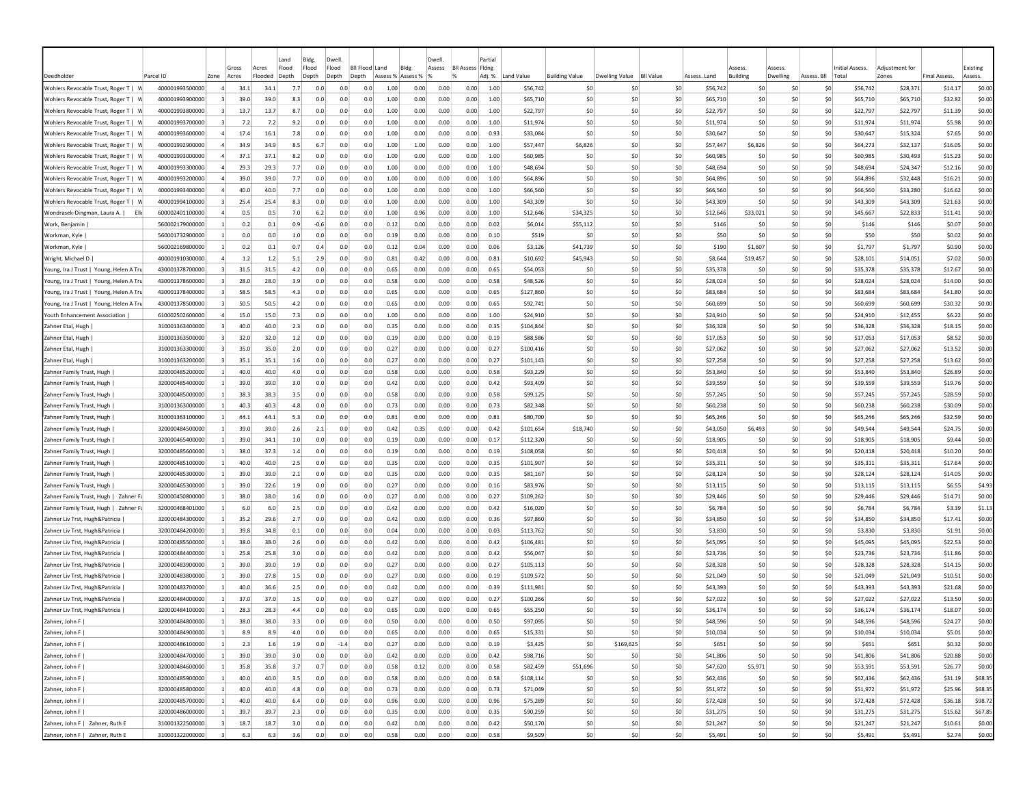|                                                |                 |      |                        | Land                               | Bldg.          | Dwell.         |                           |                      |                           | Dwell        |                                          | Partial       |            |                       |                |                  |              |                                 |                    |             |                          |                         |                     |                     |
|------------------------------------------------|-----------------|------|------------------------|------------------------------------|----------------|----------------|---------------------------|----------------------|---------------------------|--------------|------------------------------------------|---------------|------------|-----------------------|----------------|------------------|--------------|---------------------------------|--------------------|-------------|--------------------------|-------------------------|---------------------|---------------------|
| Deedholde                                      | Parcel ID       | Zone | Gross<br>Acres         | Flood<br>Acres<br>Flooded<br>Depth | Flood<br>Depth | Flood<br>Depth | <b>BII Flood</b><br>Depth | Land                 | Bldg<br>Assess % Assess % | Assess       | <b>BII Assess Fidng</b><br>$\frac{9}{2}$ | Adj. %        | Land Value | <b>Building Value</b> | Dwelling Value | <b>BII Value</b> | Assess, Land | <i><b>SSESS</b></i><br>Building | Assess<br>Dwelling | Assess, Bll | Initial Assess.<br>Total | Adjustment for<br>Zones | <b>Final Assess</b> | Existing<br>Assess. |
| Wohlers Revocable Trust, Roger T  <br><b>M</b> | 400001993500000 |      | 34.1<br>$\overline{a}$ | 34.1                               | 7.7            | 0.0            | 0.0                       | 0.0                  | 1.00                      | 0.00<br>0.00 | 0.00                                     | 1.00          | \$56,742   | \$C                   | -SO            | \$0              | \$56,742     | \$0                             | -SO                | S0          | \$56,742                 | \$28,371                | \$14.17             | \$0.00              |
| Wohlers Revocable Trust, Roger T  <br>- V      | 400001993900000 |      | 39.0                   | 39.0                               | 8.3            | 0.0            | 0.0                       | 0.0                  | 1.00<br>0.00              | 0.00         | 0.00                                     | 1.00          | \$65,710   | \$C                   | \$0            | \$0              | \$65,710     | \$0                             | \$0                | \$0         | \$65,710                 | \$65,710                | \$32.82             | \$0.00              |
| Wohlers Revocable Trust, Roger T   W           | 400001993800000 |      | 13.7                   | 13.7                               | 8.7            | 0.0            | 0.0                       | 0.0                  | 1.00<br>0.00              | 0.00         | 0.00                                     | 1.00          | \$22,797   | \$0                   | \$0            | \$0              | \$22,797     | \$0                             | \$0                | \$0         | \$22,797                 | \$22,797                | \$11.39             | \$0.00              |
| Wohlers Revocable Trust, Roger T   W           | 400001993700000 | 3    | 7.2                    | 7.2                                | 9.2            | 0.0            | 0.0                       | 0.0                  | 1.00                      | 0.00<br>0.00 | 0.00                                     | 1.00          | \$11,974   | \$0                   | S <sub>0</sub> | \$0              | \$11,974     | \$0                             | \$0                | \$0         | \$11,974                 | \$11,974                | \$5.98              | \$0.00              |
| Wohlers Revocable Trust, Roger T   W           | 400001993600000 |      | 17.4                   | 16.1                               | 7.8            | 0.0            | 0.0                       | 0.0                  | 1.00                      | 0.00<br>0.00 | 0.00                                     | 0.93          | \$33,084   | \$C                   | \$0            | \$0              | \$30,647     | \$C                             | \$0                | \$0         | \$30,647                 | \$15,324                | \$7.65              | \$0.00              |
| Wohlers Revocable Trust, Roger T               | 400001992900000 |      | 34.9<br>$\overline{a}$ | 34.9                               | 8.5            | 6.7            | 0.0                       | 0.0                  | 1.00                      | 1.00<br>0.00 | 0.00                                     | 1.00          | \$57,447   | \$6,826               | \$0            | \$0              | \$57,447     | \$6,826                         | \$0                | \$0         | \$64,273                 | \$32,137                | \$16.05             | \$0.00              |
| Wohlers Revocable Trust, Roger T   W           | 400001993000000 |      | 37.1<br>4              | 37.1                               | 8.2            | 0.0            | 0.0                       | 0.0                  | 1.00<br>0.00              | 0.00         | 0.00                                     | 1.00          | \$60,985   | <b>SC</b>             | S <sub>0</sub> | \$0              | \$60,985     | \$0                             | \$0                | S0          | \$60,985                 | \$30,493                | \$15.23             | \$0.00              |
| Wohlers Revocable Trust, Roger T   W           | 400001993300000 |      | 29.3                   | 29.3                               | 7.7            | 0.0            | 0.0                       | 0.0                  | 1.00<br>0.00              | 0.00         | 0.00                                     | 1.00          | \$48,694   | S0                    | -SO            | SO.              | \$48,694     | \$0                             | S0                 | S0          | \$48,694                 | \$24,347                | \$12.16             | \$0.00              |
| Wohlers Revocable Trust, Roger T   W           | 400001993200000 |      | 39.0                   | 39.0                               | 7.7            | 0.0            | 0.0                       | 0.0                  | 1.00<br>0.00              | 0.00         | 0.00                                     | 1.00          | \$64,896   | \$0                   | S <sub>0</sub> | \$0              | \$64,896     | \$0                             | \$0                | \$0         | \$64,896                 | \$32,448                | \$16.21             | \$0.00              |
| Wohlers Revocable Trust, Roger T   W           | 400001993400000 |      | 40.0                   | 40.0                               | 7.7            | 0.0            | 0.0                       | 0.0                  | 1.00<br>0.00              | 0.00         | 0.00                                     | 1.00          | \$66,560   | \$0                   | \$0            | \$0              | \$66,560     | \$0                             | \$0                | \$0         | \$66,560                 | \$33,280                | \$16.62             | \$0.00              |
| Wohlers Revocable Trust, Roger T   W           | 400001994100000 |      | 25.4                   | 25.4                               | 8.3            | 0.0            | 0.0                       | 0.0                  | 1.00<br>0.00              | 0.00         | 0.00                                     | 1.00          | \$43,309   | \$C                   | S <sub>0</sub> | \$0              | \$43,309     | \$C                             | \$C                | \$0         | \$43,309                 | \$43,309                | \$21.63             | \$0.00              |
| Wondrasek-Dingman, Laura A.  <br>Ell           | 600002401100000 |      | 0.5                    | 0.5                                | 7.0            | 6.2            | 0.0                       | 0.0                  | 1.00<br>0.96              | 0.00         | 0.00                                     | 1.00          | \$12,646   | \$34,325              | \$0            | \$0              | \$12,646     | \$33,021                        | \$0                | \$0         | \$45,667                 | \$22,833                | \$11.41             | \$0.00              |
| Work, Benjamin                                 | 560002179000000 |      | 0.2                    | 0.1                                | 0.9            | -0.6           | 0.0                       | 0.0                  | 0.12                      | 0.00<br>0.00 | 0.00                                     | 0.02          | \$6,014    | \$55,112              | \$0            | \$0              | \$146        | \$0                             | \$0                | \$0         | \$146                    | \$146                   | \$0.07              | \$0.00              |
| Workman, Kyle                                  | 560001732900000 |      | 0.0                    | 0.0                                | 1.0            | 0.0            | 0.0                       | 0.0                  | 0.19<br>0.00              | 0.00         | 0.00                                     | 0.10          | \$519      | \$C                   | \$0            | \$0              | \$50         | \$0                             | \$0                | \$0         | \$50                     | \$50                    | \$0.02              | \$0.00              |
| Workman, Kyle                                  | 560002169800000 |      | 0.2                    | 0.1                                | 0.7            | 0.4            | 0.0                       | 0.0                  | 0.12<br>0.04              | 0.00         | 0.00                                     | 0.06          | \$3,126    | \$41,739              | \$0            | \$0              | \$190        | \$1,607                         | \$0                | \$0         | \$1,797                  | \$1,797                 | \$0.90              | \$0.00              |
| Wright, Michael D                              | 400001910300000 |      | 1.2                    | 1.2                                | 5.1            | 2.9            | 0.0                       | 0.0                  | 0.81<br>0.42              | 0.00         | 0.00                                     | 0.81          | \$10,692   | \$45,943              | \$0            | \$0              | \$8,644      | \$19,457                        | \$0                | \$0         | \$28,101                 | \$14,051                | \$7.02              | \$0.00              |
| Young, Ira J Trust   Young, Helen A Tru        | 430001378700000 |      | $\vert$ 3<br>31.5      | 31.5                               | 4.2            | 0.0            | 0.0                       | 0.0                  | 0.65<br>0.00              | 0.00         | 0.00                                     | 0.65          | \$54,053   | \$C                   | \$0            | \$0              | \$35,378     | \$C                             | \$0                | \$0         | \$35,378                 | \$35,378                | \$17.67             | \$0.00              |
| Young, Ira J Trust   Young, Helen A Tru        | 430001378600000 |      | 28.0<br>$\vert$ 3      | 28.0                               | 3.9            | 0.0            | 0.0                       | 0.0                  | 0.58<br>0.00              | 0.00         | 0.00                                     | 0.58          | \$48,526   | \$C                   | \$0            | \$0              | \$28,024     | \$0                             | 50                 | \$0         | \$28,024                 | \$28,024                | \$14.00             | \$0.00              |
| Young, Ira J Trust   Young, Helen A Tru        | 430001378400000 | 3    | 58.5                   | 58.5                               | 4.3            | 0.0            | 0.0                       | 0.0                  | 0.65                      | 0.00<br>0.00 | 0.00                                     | 0.65          | \$127,860  | \$C                   | S <sub>0</sub> | \$0              | \$83,684     | \$C                             | \$0                | \$0         | \$83,684                 | \$83,684                | \$41.80             | \$0.00              |
| Young, Ira J Trust   Young, Helen A Tru        | 430001378500000 |      | $\vert$ 3<br>50.5      | 50.5                               | 4.2            | 0.0            | 0.0                       | 0.0                  | 0.65<br>0.00              | 0.00         | 0.00                                     | 0.65          | \$92,741   | <b>SC</b>             | S <sub>0</sub> | SO.              | \$60,699     | \$0                             | \$0                | S0          | \$60,699                 | \$60,699                | \$30.32             | \$0.00              |
| Youth Enhancement Association                  | 610002502600000 |      | 15.0<br>4              | 15.0                               | 7.3            | 0.0            | 0.0                       | 0.0                  | 1.00<br>0.00              | 0.00         | 0.00                                     | 1.00          | \$24,910   | \$0                   | S <sub>0</sub> | SO.              | \$24,910     | \$0                             | \$0                | \$0         | \$24,910                 | \$12,455                | \$6.22              | \$0.00              |
| Zahner Etal, Hugh                              | 310001363400000 |      | 40.0                   | 40.0                               | 2.3            | 0.0            | 0.0                       | 0.0                  | 0.35<br>0.00              | 0.00         | 0.00                                     | 0.35          | \$104,844  | \$C                   | S0             | \$0              | \$36,328     | S0                              | \$0                | \$0         | \$36,328                 | \$36,328                | \$18.15             | \$0.00              |
| Zahner Etal, Hugh                              | 310001363500000 | 3    | 32.0                   | 32.0                               | 1.2            | 0.0            | 0.0                       | 0.0                  | 0.19<br>0.00              | 0.00         | 0.00                                     | 0.19          | \$88,586   | \$0                   | \$0            | \$0              | \$17,053     | \$0                             | \$C                | \$0         | \$17,053                 | \$17,053                | \$8.52              | \$0.00              |
| Zahner Etal, Hugh                              | 310001363300000 |      | 35.0                   | 35.0                               | 2.0            | 0.0            | 0.0                       | 0.0<br>0.27          |                           | 0.00<br>0.00 | 0.00                                     | 0.27          | \$100,416  | \$C                   | \$0            | \$0              | \$27,062     | \$C                             | \$C                | \$0         | \$27,062                 | \$27,062                | \$13.52             | \$0.00              |
| Zahner Etal, Hugh                              | 310001363200000 |      | 35.1                   | 35.1                               | 1.6            | 0.0            | 0.0                       | 0.0                  | 0.27<br>0.00              | 0.00         | 0.00                                     | 0.27          | \$101,143  | \$0                   | \$0            | \$0              | \$27,258     | \$0                             | \$0                | \$0         | \$27,258                 | \$27,258                | \$13.62             | \$0.00              |
| Zahner Family Trust, Hugh                      | 320000485200000 |      | 40.0                   | 40.0                               | 4.0            | 0.0            | 0.0                       | 0.0                  | 0.58<br>0.00              | 0.00         | 0.00                                     | 0.58          | \$93,229   | \$0                   | \$0            | \$0              | \$53,840     | \$0                             | \$0                | \$0         | \$53,840                 | \$53,840                | \$26.89             | \$0.00              |
| Zahner Family Trust, Hugh                      | 320000485400000 |      | 39.0                   | 39.0                               | 3.0            | 0.0            | 0.0                       | 0.0                  | 0.42<br>0.00              | 0.00         | 0.00                                     | 0.42          | \$93,409   | \$C                   | \$0            | \$0              | \$39,559     | \$0                             | \$0                | \$0         | \$39,559                 | \$39,559                | \$19.76             | \$0.00              |
| Zahner Family Trust, Hugh                      | 320000485000000 |      | 38.3<br>$\blacksquare$ | 38.3                               | 3.5            | 0.0            | 0.0                       | 0.0                  | 0.58<br>0.00              | 0.00         | 0.00                                     | 0.58          | \$99,125   | \$0                   | \$0            | \$0              | \$57.245     | \$0                             | \$0                | \$0         | \$57,245                 | \$57,245                | \$28.59             | \$0.00              |
| Zahner Family Trust, Hugh                      | 310001363000000 |      | $\mathbf{1}$<br>40.3   | 40.3                               | 4.8            | 0.0            | 0.0                       | 0.0                  | 0.73<br>0.00              | 0.00         | 0.00                                     | 0.73          | \$82,348   | \$C                   | S0             | \$0              | \$60,238     | \$C                             | \$0                | \$0         | \$60,238                 | \$60,238                | \$30.09             | \$0.00              |
| Zahner Family Trust, Hugh                      | 310001363100000 |      | 44.1<br>$\mathbf{1}$   | 44.1                               | 5.3            | 0.0            | 0.0                       | 0.0<br>0.81          | 0.00                      | 0.00         | 0.00                                     | 0.81          | \$80,700   | \$0                   | \$0            | \$0              | \$65,246     | \$C                             | \$0                | \$0         | \$65,246                 | \$65,246                | \$32.59             | \$0.00              |
| Zahner Family Trust, Hugh                      | 320000484500000 |      | 39.0<br>$\mathbf{1}$   | 39.0                               | 2.6            | 2.1            | 0.0                       | 0.0                  | 0.42<br>0.35              | 0.00         | 0.00                                     | 0.42          | \$101,654  | \$18,740              | \$0            | \$0              | \$43,050     | \$6,493                         | \$0                | \$0         | \$49,544                 | \$49,544                | \$24.75             | \$0.00              |
| Zahner Family Trust, Hugh                      | 320000465400000 |      | 39.0                   | 34.1                               | 1.0            | 0.0            | 0.0                       | 0.0                  | 0.19                      | 0.00<br>0.00 | 0.00                                     | 0.17          | \$112,320  | \$C                   | \$0            | \$0              | \$18,905     | \$0                             | \$0                | \$0         | \$18,905                 | \$18,905                | \$9.44              | \$0.00              |
| Zahner Family Trust, Hugh                      | 320000485600000 |      | 38.C<br>-11            | 37.3                               | 1.4            | 0.0            | 0.0                       | 0.0                  | 0.19<br>0.00              | 0.00         | 0.00                                     | 0.19          | \$108,058  | \$C                   | S0             | \$0              | \$20,418     | S0                              | \$0                | \$0         | \$20,418                 | \$20,418                | \$10.20             | \$0.00              |
| Zahner Family Trust, Hugh                      | 320000485100000 |      | 40.0<br>-11            | 40.0                               | 2.5            | 0.0            | 0.0                       | 0.0                  | 0.00<br>0.35              | 0.00         | 0.00                                     | 0.35          | \$101,907  | \$0                   | S0             | \$0              | \$35,311     | \$0                             | \$0                | \$0         | \$35,311                 | \$35,311                | \$17.64             | \$0.00              |
| Zahner Family Trust, Hugh                      | 320000485300000 |      | 39.0<br>-11            | 39.0                               | 2.1            | 0.0            | 0.0                       | 0.0                  | 0.00<br>0.35              | 0.00         | 0.00                                     | 0.35          | \$81,167   | \$0                   | S0             | \$0              | \$28.124     | S0                              | \$0                | \$0         | \$28,124                 | \$28,124                | \$14.05             | \$0.00              |
| Zahner Family Trust, Hugh                      | 320000465300000 |      | 39.0                   | 22.6                               | 1.9            | 0.0            | 0.0                       | 0.0                  | 0.27<br>0.00              | 0.00         | 0.00                                     | 0.16          | \$83,976   | \$0                   | S0             | \$0              | \$13,115     | \$0                             | \$0                | \$0         | \$13,115                 | \$13,115                | \$6.55              | \$4.93              |
| Zahner Family Trust, Hugh   Zahner F           | 320000450800000 |      | 38.0                   | 38.0                               | 1.6            | 0.0            | 0.0                       | 0.0<br>0.27          |                           | 0.00<br>0.00 | 0.00                                     | 0.27          | \$109,262  | \$C                   | \$0            | \$0              | \$29,446     | \$C                             | \$C                | \$0         | \$29,446                 | \$29,446                | \$14.71             | \$0.00              |
| Zahner Family Trust, Hugh   Zahner F           | 320000468401000 |      | 6.0                    | 6.0                                | 2.5            | 0.0            | 0.0                       | 0.0                  | 0.42                      | 0.00<br>0.00 | 0.00                                     | 0.42          | \$16,020   | \$C                   | \$0            | \$0              | \$6,784      | \$0                             | \$C                | \$0         | \$6,784                  | \$6,784                 | \$3.39              | \$1.13              |
| Zahner Liv Trst, Hugh&Patricia                 | 320000484300000 |      | 35.2                   | 29.6                               | 2.7            | 0.0            | 0.0                       | 0.0                  | 0.42                      | 0.00<br>0.00 | 0.00                                     | 0.36          | \$97,860   | \$0                   | S0             | \$0              | \$34,850     | \$0                             | \$0                | \$0         | \$34,850                 | \$34,850                | \$17.41             | \$0.00              |
| Zahner Liv Trst, Hugh&Patricia                 | 320000484200000 |      | 39.8                   | 34.8                               | 0.1            | 0.0            | 0.0                       | 0.0                  | 0.04                      | 0.00<br>0.00 | 0.00                                     | 0.03          | \$113,762  | \$0                   | S0             | \$0              | \$3,830      | \$0                             | \$0                | \$0         | \$3,830                  | \$3,830                 | \$1.91              | \$0.00              |
| Zahner Liv Trst, Hugh&Patricia                 | 320000485500000 |      | 38.0                   | 38.0                               | 2.6            | 0.0            | 0.0                       | 0.0                  | 0.42                      | 0.00<br>0.00 | 0.00                                     | 0.42          | \$106,481  | \$0                   | \$0            | \$0              | \$45.095     | \$0                             | \$0                | \$0         | \$45,095                 | \$45,095                | \$22.53             | \$0.00              |
| Zahner Liv Trst, Hugh&Patricia                 | 320000484400000 |      | 25.8                   | 25.8                               | 3.0            | 0.0            | 0.0                       | 0.0                  | 0.42                      | 0.00<br>0.00 | 0.00                                     | 0.42          | \$56,047   | \$0                   | S0             | \$0              | \$23,736     | \$0                             | \$0                | \$0         | \$23,736                 | \$23,736                | \$11.86             | \$0.00              |
| Zahner Liv Trst, Hugh&Patricia                 | 320000483900000 |      | 39.0                   | 39.0                               | 1.9            | 0.0            | 0.0                       | 0.0                  | 0.27                      | 0.00<br>0.00 | 0.00                                     | 0.27          | \$105,113  | \$0                   | S0             | \$0              | \$28,328     | \$C                             | \$0                | \$0         | \$28,328                 | \$28,328                | \$14.15             | \$0.00              |
| Zahner Liv Trst, Hugh&Patricia                 | 320000483800000 |      | 39.0<br>$\mathbf{1}$   | 27.8                               | 1.5            | 0.0            | 0.0                       | 0.0                  | 0.27                      | 0.00<br>0.00 | 0.00                                     | 0.19          | \$109,572  | \$0                   | \$0            | \$0              | \$21,049     | \$0                             | \$0                | \$0         | \$21,049                 | \$21,049                | \$10.51             | \$0.00              |
| Zahner Liv Trst, Hugh&Patricia                 | 320000483700000 |      | 40.0<br>-11            | 36.6                               | 2.5            | 0.0            | 0.0                       | 0.0                  | 0.42<br>0.00              | 0.00         | 0.00                                     | 0.39          | \$111,981  | S0                    | -SO            | S0               | \$43,393     | S0                              | SO.                | S0          | \$43,393                 | \$43,393                | \$21.68             | \$0.00              |
| Zahner Liv Trst, Hugh&Patricia                 | 320000484000000 |      | 37.C                   | 37.0                               | 1.5            | 0.0            | 0.0                       | 0.0<br>$0.2^{\circ}$ | 0.00                      | 0.00         | 0.00                                     | $0.2^{\circ}$ | \$100,266  | <b>SC</b>             | S0             | S0               | \$27,022     | -SC                             | \$0                | -SO         | \$27,022                 | \$27,022                | \$13.50             | \$0.00              |
| Zahner Liv Trst, Hugh&Patricia                 | 320000484100000 |      | 28.3                   | 28.3                               | 4.4            | 0.0            | 0.0                       | 0.0                  | 0.65<br>0.00              | 0.00         | 0.00                                     | 0.65          | \$55,250   | \$0                   | S0             | \$0              | \$36.174     | S0                              | \$0                | \$0         | \$36,174                 | \$36,174                | \$18.07             | \$0.00              |
| Zahner, John F                                 | 320000484800000 |      | 38.0                   | 38.0                               | 3.3            | 0.0            | 0.0                       | 0.0                  | 0.50                      | 0.00<br>0.00 | 0.00                                     | 0.50          | \$97,095   | \$0                   | \$0            | \$0              | \$48,596     | S0                              | \$0                | \$0         | \$48,596                 | \$48,596                | \$24.27             | \$0.00              |
| Zahner, John F                                 | 320000484900000 |      | $\mathbf{1}$<br>8.9    | 8.9                                | 4.0            | 0.0            | 0.0                       | 0.0                  | 0.65                      | 0.00<br>0.00 | 0.00                                     | 0.65          | \$15,331   | \$0                   | \$0            | \$0              | \$10,034     | \$0                             | \$0                | \$0         | \$10,034                 | \$10,034                | \$5.01              | \$0.00              |
| Zahner, John F                                 | 320000486100000 |      | $\mathbf{1}$<br>2.3    | 1.6                                | 1.9            | 0.0            | $-1.4$                    | 0.0                  | 0.27                      | 0.00<br>0.00 | 0.00                                     | 0.19          | \$3,425    | \$0                   | \$169,625      | \$0              | \$651        | \$0                             | 50                 | \$0         | \$651                    | \$651                   | \$0.32              | \$0.00              |
| Zahner, John F                                 | 320000484700000 |      | $\mathbf{1}$<br>39.0   | 39.0                               | 3.0            | 0.0            | 0.0                       | 0.0                  | 0.42                      | 0.00<br>0.00 | 0.00                                     | 0.42          | \$98,716   | \$0                   | \$0            | \$0              | \$41,806     | \$0                             | 50                 | \$0         | \$41,806                 | \$41,806                | \$20.88             | \$0.00              |
| Zahner, John F                                 | 320000484600000 |      | $\overline{1}$<br>35.8 | 35.8                               | 3.7            | 0.7            | 0.0                       | 0.0                  | 0.58                      | 0.12<br>0.00 | 0.00                                     | 0.58          | \$82,459   | \$51,696              | 50             | \$0              | \$47,620     | \$5,971                         | 50                 | \$0         | \$53,591                 | \$53,591                | \$26.77             | \$0.00              |
| Zahner, John F                                 | 320000485900000 |      | 1<br>40.0              | 40.0                               | 3.5            | 0.0            | 0.0                       | 0.0                  | 0.58                      | 0.00<br>0.00 | 0.00                                     | 0.58          | \$108,114  | \$0                   | 50             | 50               | \$62,436     | \$0                             | 50                 | 50          | \$62,436                 | \$62,436                | \$31.19             | \$68.35             |
| Zahner, John F                                 | 320000485800000 |      | 1<br>40.0              | 40.0                               | 4.8            | 0.0            | 0.0                       | 0.0                  | 0.73                      | 0.00<br>0.00 | 0.00                                     | 0.73          | \$71,049   | \$0                   | \$0            | \$0              | \$51,972     | \$0                             | 50                 | 50          | \$51,972                 | \$51,972                | \$25.96             | \$68.35             |
| Zahner, John F                                 | 320000485700000 |      | 1<br>40.0              | 40.0                               | 6.4            | 0.0            | 0.0                       | 0.0                  | 0.96                      | 0.00<br>0.00 | 0.00                                     | 0.96          | \$75,289   | \$0                   | \$0            | \$0              | \$72,428     | \$0                             | 50                 | \$0         | \$72,428                 | \$72,428                | \$36.18             | \$98.72             |
| Zahner, John F                                 | 320000486000000 |      | 1<br>39.7              | 39.7                               | 2.3            | 0.0            | 0.0                       | 0.0                  | 0.35                      | 0.00<br>0.00 | 0.00                                     | 0.35          | \$90,259   | \$0                   | \$0            | \$0              | \$31,275     | \$0                             | 50                 | \$0         | \$31,275                 | \$31,275                | \$15.62             | \$67.85             |
| Zahner, John F   Zahner, Ruth E                | 310001322500000 |      | 18.7<br>$\vert$ 3      | 18.7                               | 3.0            | 0.0            | 0.0                       | 0.0                  | 0.42                      | 0.00<br>0.00 | 0.00                                     | 0.42          | \$50,170   | \$0                   | \$0            | \$0              | \$21,247     | \$0                             | 50                 | \$0         | \$21,247                 | \$21,247                | \$10.61             | \$0.00              |
| Zahner, John F   Zahner, Ruth E                | 310001322000000 | 3    | 6.3                    | 6.3                                | 3.6            | 0.0            | 0.0                       | 0.0                  | 0.58                      | 0.00<br>0.00 | 0.00                                     | 0.58          | \$9,509    | \$0                   | \$0            | \$0              | \$5,491      | \$0                             | 50                 | \$0         | \$5,491                  | \$5,491                 | \$2.74              | \$0.00              |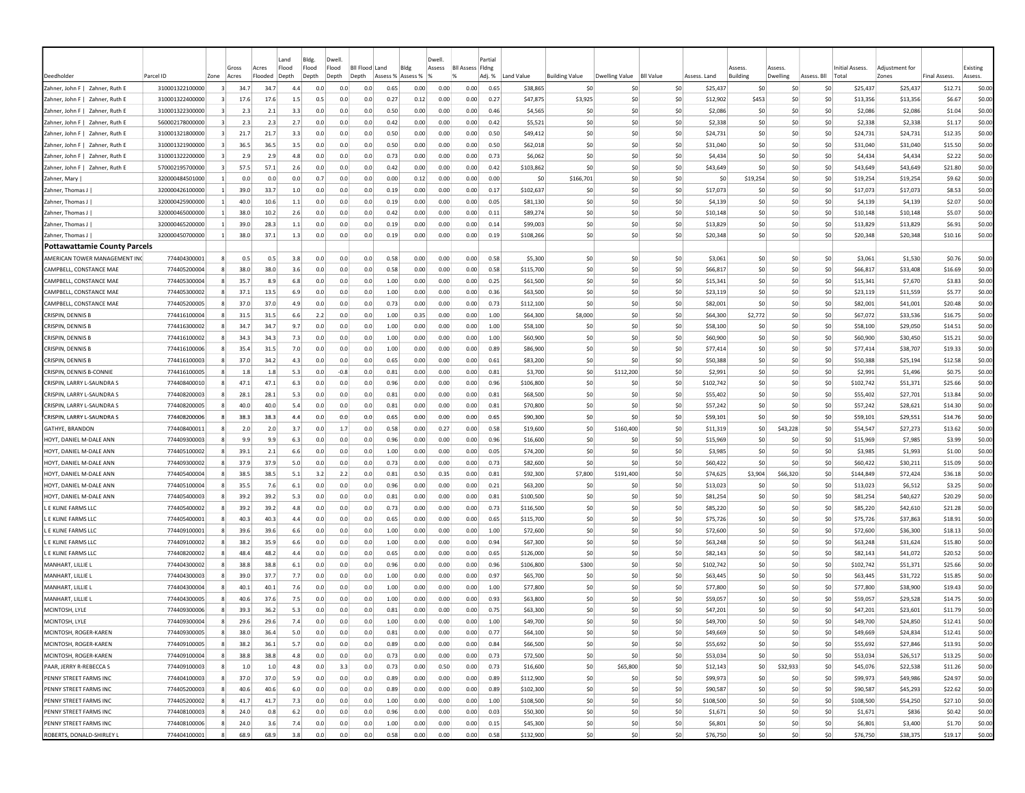| Deedholder                                                         | Parcel ID                    | Zone      | Gross<br>Acres | Acres<br>Flooded | Land<br>Flood<br>Depth | Bldg.<br>Flood<br>Depth | Dwell<br>Flood<br>Depth | <b>Bll Flood Land</b><br>Depth | Assess % Assess % | Bldg         | Dwell<br>Assess | <b>BII Assess Fidne</b><br>$\frac{9}{6}$ | Partia<br>Adj. % | Land Value           | <b>Building Value</b> | Dwelling Value | <b>BII Value</b> | Assess. Land         | Assess<br><b>Building</b> | Assess<br>Dwelling | Assess. Bll | Initial Assess.<br>Total | Adiustment for<br>Zones | Final Assess.      | Existing<br>Assess. |
|--------------------------------------------------------------------|------------------------------|-----------|----------------|------------------|------------------------|-------------------------|-------------------------|--------------------------------|-------------------|--------------|-----------------|------------------------------------------|------------------|----------------------|-----------------------|----------------|------------------|----------------------|---------------------------|--------------------|-------------|--------------------------|-------------------------|--------------------|---------------------|
| Zahner, John F   Zahner, Ruth E                                    | 310001322100000              | $\vert$ 3 | 34.7           | 34.7             | 4.4                    | 0.0                     | 0.0                     | 0.0                            | 0.65              | 0.00         | 0.00            | 0.00                                     | 0.65             | \$38,865             | \$0                   | \$C            | \$0              | \$25,437             | \$0                       | \$0                | \$0         | \$25,437                 | \$25,437                | \$12.71            | \$0.00              |
| Zahner, John F   Zahner, Ruth E                                    | 310001322400000              |           | 17.6           | 17.6             | 1.5                    | 0.5                     | 0.0                     | 0.0                            | 0.27              | 0.12         | 0.00            | 0.00                                     | 0.27             | \$47,875             | \$3,925               | \$0            | \$0              | \$12,902             | \$453                     | \$0                | \$0         | \$13,356                 | \$13,356                | \$6.67             | \$0.00              |
|                                                                    | 310001322300000              | -3        | 2.3            | 2.1              | 3.3                    | 0.0                     | 0.0                     | 0.0                            | 0.50              | 0.00         | 0.00            | 0.00                                     | 0.46             | \$4,565              | \$0                   | \$0            | \$0              |                      | \$0                       | \$0                | \$0         |                          | \$2,086                 | \$1.04             | \$0.00              |
| Zahner, John F   Zahner, Ruth E<br>Zahner, John F   Zahner, Ruth E | 560002178000000              | 3         | 2.3            | 2.3              | 2.7                    | 0.0                     | 0.0                     | 0.0                            | 0.42              | 0.00         | 0.00            | 0.00                                     | 0.42             | \$5,521              | \$0                   | \$0            | 50               | \$2,086<br>\$2,338   | \$0                       | -SO                | \$0         | \$2,086<br>\$2,338       | \$2,338                 | \$1.17             | \$0.00              |
|                                                                    |                              | $\vert$ 3 | 21.7           | 21.7             | 3.3                    | 0.0                     | 0.0                     | 0.0                            | 0.50              | 0.00         | 0.00            | 0.00                                     | 0.50             | \$49,412             | \$0                   | \$0            | 50               | \$24.731             | \$0                       | -SO                | \$0         | \$24,731                 |                         | \$12.35            | \$0.00              |
| Zahner, John F   Zahner, Ruth E                                    | 310001321800000              |           |                |                  |                        |                         |                         |                                |                   |              |                 |                                          |                  |                      |                       |                |                  |                      |                           |                    |             |                          | \$24,731                |                    |                     |
| Zahner, John F   Zahner, Ruth E                                    | 310001321900000              | $\vert$ 3 | 36.5           | 36.5             | 3.5                    | 0.0                     | 0.0                     | 0.0                            | 0.50              | 0.00         | 0.00            | 0.00                                     | 0.50             | \$62,018             | \$0                   | S0             | \$0              | \$31,040             | \$0                       | \$0                | \$0         | \$31,040                 | \$31,040                | \$15.50            | \$0.00              |
| Zahner, John F   Zahner, Ruth E                                    | 310001322200000              | $\vert$ 3 | 2.9            | 2.9              | 4.8                    | 0.0                     | 0.0                     | 0.0                            | 0.73              | 0.00         | 0.00            | 0.00                                     | 0.73             | \$6,062              | \$0                   | \$0            | \$0              | \$4,434              | \$0                       | 50                 | \$0         | \$4,434                  | \$4,434                 | \$2.22             | \$0.00              |
| Zahner, John F  <br>Zahner, Ruth E                                 | 570002195700000              | $\vert$ 3 | 57.5           | 57.1             | 2.6                    | 0.0                     | 0.0                     | 0.0                            | 0.42              | 0.00         | 0.00            | 0.00                                     | 0.42             | \$103,862            | \$0                   | \$0            | \$0              | \$43,649             | \$0                       | \$0                | \$0         | \$43,649                 | \$43,649                | \$21.80            | \$0.00              |
| Zahner, Mary                                                       | 320000484501000              | -1        | 0.0            | 0.0              | 0.0                    | 0.7                     | 0.0                     | 0.0                            | 0.00              | 0.12         | 0.00            | 0.00                                     | 0.00             | -SO                  | \$166,701             | \$0            | \$0              |                      | \$19,254<br>S0            | -SO                | \$0         | \$19,254                 | \$19,254                | \$9.62             | \$0.00              |
| Zahner, Thomas J                                                   | 320000426100000              | -11       | 39.0           | 33.7             | 1.0                    | 0.0                     | 0.0                     | 0.0                            | 0.19              | 0.00         | 0.00            | 0.00                                     | 0.17             | \$102,637            | \$0                   | \$0            | 50               | \$17,073             | S0                        | \$0                | \$0         | \$17,073                 | \$17,073                | \$8.53             | \$0.00              |
| Zahner, Thomas J                                                   | 320000425900000              |           | 40.0           | 10.6             | 1.1                    | 0.0                     | 0.0                     | 0.0                            | 0.19              | 0.00         | 0.00            | 0.00                                     | 0.05             | \$81,130             | \$0                   | \$0            | \$0              | \$4,139              | S0                        | \$0                | \$0         | \$4,139                  | \$4,139                 | \$2.07             | \$0.00              |
| Zahner, Thomas J                                                   | 320000465000000              |           | 38.0           | 10.2             | 2.6                    | 0.0                     | 0.0                     | 0.0                            | 0.42              | 0.00         | 0.00            | 0.00                                     | 0.11             | \$89,274             | \$0                   | \$0            | \$0              | \$10,148             | \$0                       | \$0                | \$0         | \$10,148                 | \$10,148                | \$5.07             | \$0.00              |
| Zahner, Thomas J                                                   | 320000465200000              |           | 39.0           | 28.3             | $1.1\,$                | 0.0                     | 0.0                     | 0.0                            | 0.19              | 0.00         | 0.00            | 0.00                                     | 0.14             | \$99,003             | \$0                   | \$0            | \$0              | \$13,829             | \$0                       | \$C                | \$0         | \$13,829                 | \$13,829                | \$6.91             | \$0.00              |
| Zahner, Thomas J                                                   | 320000450700000              |           | 38.0           | 37.1             | 1.3                    | 0.0                     | 0.0                     | 0.0                            | 0.19              | 0.00         | 0.00            | 0.00                                     | 0.19             | \$108,266            | \$0                   | \$0            | \$0              | \$20,348             | \$0                       | 50                 | \$0         | \$20,348                 | \$20,348                | \$10.16            | \$0.00              |
| Pottawattamie County Parcels                                       |                              |           |                |                  |                        |                         |                         |                                |                   |              |                 |                                          |                  |                      |                       |                |                  |                      |                           |                    |             |                          |                         |                    |                     |
| AMERICAN TOWER MANAGEMENT INC                                      | 774404300001                 | 8         | 0.5            | 0.5              | 3.8                    | 0.0                     | 0.0                     | 0.0                            | 0.58              | 0.00         | 0.00            | 0.00                                     | 0.58             | \$5,300              | \$0                   | \$0            | \$0              | \$3,061              | \$0                       | \$0                | \$0         | \$3,061                  | \$1,530                 | \$0.76             | \$0.00              |
| CAMPBELL, CONSTANCE MAE                                            | 774405200004                 | 8         | 38.0           | 38.0             | 3.6                    | 0.0                     | 0.0                     | 0.0                            | 0.58              | 0.00         | 0.00            | 0.00                                     | 0.58             | \$115,700            | \$0                   | \$0            | \$0              | \$66,817             | \$0                       | \$0                | \$0         | \$66,817                 | \$33,408                | \$16.69            | \$0.00              |
| CAMPBELL, CONSTANCE MAE                                            | 774405300004                 | 8         | 35.7           | 8.9              | 6.8                    | 0.0                     | 0.0                     | 0.0                            | 1.00              | 0.00         | 0.00            | 0.00                                     | 0.25             | \$61,500             | \$0                   | \$0            | \$0              | \$15,341             | \$0                       | \$0                | \$0         | \$15,341                 | \$7,670                 | \$3.83             | \$0.00              |
| CAMPBELL, CONSTANCE MAE                                            | 774405300002                 | -8        | 37.1           | 13.5             | 6.9                    | 0.0                     | 0.0                     | 0.0                            | 1.00              | 0.00         | 0.00            | 0.00                                     | 0.36             | \$63,500             | \$0                   | \$0            | \$0              | \$23,119             | \$0                       | \$0                | \$0         | \$23,119                 | \$11,559                | \$5.77             | \$0.00              |
| CAMPBELL, CONSTANCE MAE                                            | 774405200005                 | 8         | 37.0           | 37.0             | 4.9                    | 0.0                     | 0.0                     | 0.0                            | 0.73              | 0.00         | 0.00            | 0.00                                     | 0.73             | \$112,100            | \$0                   | \$0            | \$0              | \$82,001             | \$0                       | \$0                | \$0         | \$82,001                 | \$41,001                | \$20.48            | \$0.00              |
| CRISPIN, DENNIS B                                                  | 774416100004                 | -8        | 31.5           | 31.5             | 6.6                    | 2.2                     | 0.0                     | 0.0                            | 1.00              | 0.35         | 0.00            | 0.00                                     | 1.00             | \$64,300             | \$8,000               | S0             | \$0              | \$64,300             | \$2,772                   | \$0                | S0          | \$67,072                 | \$33,536                | \$16.75            | \$0.00              |
| CRISPIN, DENNIS B                                                  | 774416300002                 | 8         | 34.7           | 34.7             | 9.7                    | 0.0                     | 0.0                     | 0.0                            | 1.00              | 0.00         | 0.00            | 0.00                                     | 1.00             | \$58,100             | \$0                   | S0             | \$0              | \$58,100             | \$0                       | S <sub>0</sub>     | \$0         | \$58,100                 | \$29,050                | \$14.51            | \$0.00              |
| CRISPIN, DENNIS B                                                  | 774416100002                 | -8        | 34.3           | 34.3             | 7.3                    | 0.0                     | 0.0                     | 0.0                            | 1.00              | 0.00         | 0.00            | 0.00                                     | 1.00             | \$60,900             | \$0                   | S0             | 50               | \$60,900             | \$0                       | -SO                | \$0         | \$60,900                 | \$30,450                | \$15.21            | \$0.00              |
| CRISPIN, DENNIS B                                                  | 774416100006                 | -8        | 35.4           | 31.5             | 7.0                    | 0.0                     | 0.0                     | 0.0                            | 1.00              | 0.00         | 0.00            | 0.00                                     | 0.89             | \$86,900             | \$0                   | \$0            | \$0              | \$77,414             | \$0                       | \$0                | \$0         | \$77,414                 | \$38,707                | \$19.33            | \$0.00              |
| CRISPIN, DENNIS B                                                  | 774416100003                 | -8        | 37.0           | 34.2             | 4.3                    | 0.0                     | 0.0                     | 0.0                            | 0.65              | 0.00         | 0.00            | 0.00                                     | 0.61             | \$83,200             | \$0                   | \$0            | \$0              | \$50,388             | \$0                       | \$0                | \$0         | \$50,388                 | \$25,194                | \$12.58            | \$0.00              |
| CRISPIN, DENNIS B-CONNIE                                           | 774416100005                 |           | 1.8            | 1.8              | 5.3                    | 0.0                     | $-0.8$                  | 0.0                            | 0.81              | 0.00         | 0.00            | 0.00                                     | 0.81             | \$3,700              | \$0                   | \$112,200      | \$0              | \$2,991              | \$0                       | \$0                | \$0         | \$2,991                  | \$1,496                 | \$0.75             | \$0.00              |
| CRISPIN, LARRY L-SAUNDRA S                                         | 774408400010                 |           | 47.1           | 47.1             | 6.3                    | 0.0                     | 0.0                     | 0.0                            | 0.96              | 0.00         | 0.00            | 0.00                                     | 0.96             | \$106,800            | \$0                   | \$0            | \$0              | \$102,742            | \$0                       | \$0                | \$0         | \$102,742                | \$51,371                | \$25.66            | \$0.00              |
| CRISPIN, LARRY L-SAUNDRA S                                         | 774408200003                 | 8         | 28.1           | 28.1             | 5.3                    | 0.0                     | 0.0                     | 0.0                            | 0.81              | 0.00         | 0.00            | 0.00                                     | 0.81             | \$68,500             | \$0                   | \$0            | \$0              | \$55,402             | \$0                       | \$0                | \$0         | \$55,402                 | \$27,701                | \$13.84            | \$0.00              |
| CRISPIN, LARRY L-SAUNDRA S                                         | 774408200005                 | 8         | 40.0           | 40.0             | 5.4                    | 0.0                     | 0.0                     | 0.0                            | 0.81              | 0.00         | 0.00            | 0.00                                     | 0.81             | \$70,800             | \$0                   | \$0            | 50               | \$57,242             | \$0                       | \$0                | \$0         | \$57,242                 | \$28,621                | \$14.30            | \$0.00              |
| CRISPIN, LARRY L-SAUNDRA S                                         | 774408200006                 | 8         | 38.3           | 38.3             | 4.4                    | 0.0                     | 0.0                     | 0.0                            | 0.65              | 0.00         | 0.00            | 0.00                                     | 0.65             | \$90,300             | \$0                   | \$0            | \$0              | \$59,101             | \$0                       | \$0                | \$0         | \$59,101                 | \$29,551                | \$14.76            | \$0.00              |
| <b>GATHYE, BRANDON</b>                                             | 774408400011                 | 8         | 2.0            | 2.0              | 3.7                    | 0.0                     | 1.7                     | 0.0                            | 0.58              | 0.00         | 0.27            | 0.00                                     | 0.58             | \$19,600             | \$0                   | \$160,400      | \$0              | \$11,319             | \$0                       | \$43,228           | \$0         | \$54,547                 | \$27,273                | \$13.62            | \$0.00              |
| HOYT, DANIEL M-DALE ANN                                            | 774409300003                 | 8         | 9.9            | 9.9              | 6.3                    | 0.0                     | 0.0                     | 0.0                            | 0.96              | 0.00         | 0.00            | 0.00                                     | 0.96             | \$16,600             | \$0                   | S0             | \$0              | \$15,969             | \$0                       | \$C                | \$0         | \$15,969                 | \$7,985                 | \$3.99             | \$0.00              |
| HOYT, DANIEL M-DALE ANN                                            | 774405100002                 | 8         | 39.1           | 2.1              | 6.6                    | 0.0                     | 0.0                     | 0.0                            | 1.00              | 0.00         | 0.00            | 0.00                                     | 0.05             | \$74,200             | \$0                   | \$0            | \$0              | \$3,985              | \$0                       | \$0                | \$0         | \$3,985                  | \$1,993                 | \$1.00             | \$0.00              |
| HOYT, DANIEL M-DALE ANN                                            | 774409300002                 | 8         | 37.9           | 37.9             | 5.0                    | 0.0                     | 0.0                     | 0.0                            | 0.73              | 0.00         | 0.00            | 0.00                                     | 0.73             | \$82,600             | \$0                   | S0             | \$0              | \$60,422             | S0                        | -SO                | \$0         | \$60,422                 | \$30,211                | \$15.09            | \$0.00              |
| HOYT, DANIEL M-DALE ANN                                            | 774405400004                 | -8        | 38.5           | 38.5             | 5.1                    | 3.2                     | 2.2                     | 0.0                            | 0.81              | 0.50         | 0.35            | 0.00                                     | 0.81             | \$92,300             | \$7,800               | \$191,400      | \$0              | \$74,625             | \$3,904                   | \$66,320           | \$0         | \$144,849                | \$72,424                | \$36.18            | \$0.00              |
| HOYT, DANIEL M-DALE ANN                                            | 774405100004                 | -8        | 35.5           | 7.6              | 6.1                    | 0.0                     | 0.0                     | 0.0                            | 0.96              | 0.00         | 0.00            | 0.00                                     | 0.21             | \$63,200             | \$0                   | S0             | \$0              | \$13,023             | \$0                       | \$0                | \$0         | \$13,023                 | \$6,512                 | \$3.25             | \$0.00              |
| HOYT, DANIEL M-DALE ANN                                            | 774405400003                 | -8        | 39.2           | 39.2             | 5.3                    | 0.0                     | 0.0                     | 0.0                            | 0.81              | 0.00         | 0.00            | 0.00                                     | 0.81             | \$100,500            | \$0                   | S0             | \$0              | \$81.254             | S0                        | \$0                | \$0         | \$81,254                 | \$40,627                | \$20.29            | \$0.00              |
| L E KLINE FARMS LLC                                                | 774405400002                 |           | 39.2           | 39.2             | 4.8                    | 0.0                     | 0.0                     | 0.0                            | 0.73              | 0.00         | 0.00            | 0.00                                     | 0.73             | \$116,500            | \$0                   | \$0            | \$0              | \$85,220             | \$0                       | \$0                | \$0         | \$85,220                 | \$42,610                | \$21.28            | \$0.00              |
| L E KLINE FARMS LLC                                                | 774405400001                 |           | 40.3           | 40.3             | 4.4                    | 0.0                     | 0.0                     | 0.0                            | 0.65              | 0.00         | 0.00            | 0.00                                     | 0.65             | \$115,700            | \$0                   | \$0            | \$0              | \$75,726             | \$0                       | \$0                | \$0         | \$75,726                 | \$37,863                | \$18.91            | \$0.00              |
| L E KLINE FARMS LLC                                                | 774409100001                 |           | 39.6           | 39.6             | 6.6                    | 0.0                     | 0.0                     | 0.0                            | 1.00              | 0.00         | 0.00            | 0.00                                     | 1.00             | \$72,600             | \$0                   | \$0            | \$0              | \$72,600             | \$0                       | \$0                | \$0         | \$72,600                 | \$36,300                | \$18.13            | \$0.00              |
| L E KLINE FARMS LLC                                                | 774409100002                 | 8         | 38.2           | 35.9             | 6.6                    | 0.0                     | 0.0                     | 0.0                            | 1.00              | 0.00         | 0.00            | 0.00                                     | 0.94             | \$67,300             | \$0                   | S0             | \$0              | \$63,248             | \$0                       | -SO                | \$0         | \$63,248                 | \$31,624                | \$15.80            | \$0.00              |
| L E KLINE FARMS LLC                                                | 774408200002                 | 8         | 48.4           | 48.2             | 4.4                    | 0.0                     | 0.0                     | 0.0                            | 0.65              | 0.00         | 0.00            | 0.00                                     | 0.65             | \$126,000            | \$0                   | \$0            | 50               | \$82.143             | \$0                       | \$0                | \$0         | \$82.143                 | \$41,072                | \$20.52            | \$0.00              |
| MANHART, LILLIE I                                                  | 774404300002                 | -8        | 38.8           | 38.8             | 6.1                    | 0.0                     | 0.0                     | 0.0                            | 0.96              | 0.00         | 0.00            | 0.00                                     | 0.96             | \$106,800            | \$300                 | \$0            | \$0              | \$102,742            | \$0                       | \$0                | \$0         | \$102,742                | \$51,371                | \$25.66            | \$0.00              |
| MANHART, LILLIE I                                                  | 774404300003                 | 8         | 39.0           | 37.7             | 7.7                    | 0.0                     | 0.0                     | 0.0                            | 1.00              | 0.00         | 0.00            | 0.00                                     | 0.97             | \$65,700             | \$0                   | \$0            | \$0              | \$63,445             | \$0                       | \$0                | \$0         | \$63,445                 | \$31,722                | \$15.85            | \$0.00              |
| MANHART, LILLIE I                                                  | 774404300004                 |           | 40.1           | 40.1             | 7.6                    | 0.0                     | 0.0                     | 0.0                            | 1.00              | 0.00         | 0.00            | 0.00                                     | 1.00             | \$77,800             | \$0                   | \$0            | \$0              | \$77,800             | \$0                       | \$0                | \$0         | \$77,800                 | \$38,900                | \$19.43            | \$0.00              |
|                                                                    |                              |           |                |                  |                        |                         |                         | 0.0                            |                   |              |                 |                                          |                  |                      | \$0                   |                |                  |                      | \$0                       | \$0                | \$0         |                          |                         |                    |                     |
| MANHART, LILLIE I                                                  | 774404300005                 |           | 40.6           | 37.6             | 7.5                    | 0.0                     | 0.0                     |                                | 1.00              | 0.00         | 0.00            | 0.00                                     | 0.93             | \$63,800             |                       | \$0            | \$0              | \$59,057             |                           |                    |             | \$59,057                 | \$29,528                | \$14.75            | \$0.00              |
| MCINTOSH, LYLE                                                     | 774409300006<br>774409300004 | -8<br>-8  | 39.3<br>29.6   | 36.2<br>29.6     | 5.3<br>7.4             | 0.0<br>0.0              | 0.0<br>0.0              | 0.0<br>0.0                     | 0.81<br>1.00      | 0.00<br>0.00 | 0.00<br>0.00    | 0.00<br>0.00                             | 0.75<br>1.00     | \$63,300<br>\$49,700 | \$0<br>\$0            | S0<br>\$0      | \$0<br>50        | \$47,201<br>\$49,700 | S0<br>\$0                 | \$0<br>\$0         | S0<br>\$0   | \$47,201<br>\$49,700     | \$23,601<br>\$24,850    | \$11.79<br>\$12.41 | \$0.00<br>\$0.00    |
| MCINTOSH, LYLE                                                     |                              |           |                |                  |                        |                         |                         |                                |                   |              |                 |                                          |                  |                      |                       |                |                  |                      |                           |                    |             |                          |                         |                    |                     |
| MCINTOSH, ROGER-KAREN                                              | 774409300005                 | 8         | 38.0           | 36.4             | 5.0                    | 0.0                     | 0.0                     | 0.0                            | 0.81              | 0.00         | 0.00            | 0.00                                     | 0.77             | \$64,100             | -SO                   | \$0            | \$0              | \$49,669             | \$0                       | SO.                | 50          | \$49,669                 | \$24,834                | \$12.41            | \$0.00              |
| MCINTOSH, ROGER-KAREN                                              | 774409100005                 | 8         | 38.2           | 36.1             | 5.7                    | 0.0                     | 0.0                     | 0.0                            | 0.89              | 0.00         | 0.00            | 0.00                                     | 0.84             | \$66,500             | \$0                   | \$0            | \$0              | \$55,692             | \$0                       | 50                 | \$0         | \$55,692                 | \$27,846                | \$13.91            | \$0.00              |
| MCINTOSH, ROGER-KAREN                                              | 774409100004                 | 8         | 38.8           | 38.8             | 4.8                    | 0.0                     | 0.0                     | 0.0                            | 0.73              | 0.00         | 0.00            | 0.00                                     | 0.73             | \$72,500             | \$0                   | \$0            | \$0              | \$53,034             | \$0                       | 50                 | \$0         | \$53,034                 | \$26,517                | \$13.25            | \$0.00              |
| PAAR, JERRY R-REBECCA S                                            | 774409100003                 | 8         | $1.0$          | 1.0              | 4.8                    | 0.0                     | 3.3                     | 0.0                            | 0.73              | 0.00         | 0.50            | 0.00                                     | 0.73             | \$16,600             | \$0                   | \$65,800       | \$0              | \$12,143             | \$0                       | \$32,933           | \$0         | \$45,076                 | \$22,538                | \$11.26            | \$0.00              |
| PENNY STREET FARMS INC                                             | 774404100003                 | 8         | 37.0           | 37.0             | 5.9                    | 0.0                     | 0.0                     | 0.0                            | 0.89              | 0.00         | 0.00            | 0.00                                     | 0.89             | \$112,900            | \$0                   | \$0            | \$0              | \$99,973             | \$0                       | \$0                | \$0         | \$99,973                 | \$49,986                | \$24.97            | \$0.00              |
| PENNY STREET FARMS INC                                             | 774405200003                 | 8         | 40.6           | 40.6             | 6.0                    | 0.0                     | 0.0                     | 0.0                            | 0.89              | 0.00         | 0.00            | 0.00                                     | 0.89             | \$102,300            | \$0                   | \$0            | \$0              | \$90,587             | \$0                       | \$0                | \$0         | \$90,587                 | \$45,293                | \$22.62            | \$0.00              |
| PENNY STREET FARMS INC                                             | 774405200002                 | 8         | 41.7           | 41.7             | 7.3                    | 0.0                     | 0.0                     | 0.0                            | 1.00              | 0.00         | 0.00            | 0.00                                     | 1.00             | \$108,500            | \$0                   | \$0            | 50               | \$108,500            | \$0                       | 50                 | \$0         | \$108,500                | \$54,250                | \$27.10            | \$0.00              |
| PENNY STREET FARMS INC                                             | 774408100003                 | 8         | 24.0           | 0.8              | 6.2                    | 0.0                     | 0.0                     | 0.0                            | 0.96              | 0.00         | 0.00            | 0.00                                     | 0.03             | \$50,300             | \$0                   | \$0            | \$0              | \$1,671              | \$0                       | 50                 | \$0         | \$1,671                  | \$836                   | \$0.42             | \$0.00              |
| PENNY STREET FARMS INC                                             | 774408100006                 | 8         | 24.0           | 3.6              | 7.4                    | 0.0                     | 0.0                     | 0.0                            | 1.00              | 0.00         | 0.00            | 0.00                                     | 0.15             | \$45,300             | \$0                   | \$0            | \$0              | \$6,801              | \$0                       | \$0                | \$0         | \$6,801                  | \$3,400                 | \$1.70             | \$0.00              |
| ROBERTS, DONALD-SHIRLEY I                                          | 774404100001                 | 8         | 68.9           | 68.9             | 3.8                    | 0.0                     | 0.0                     | 0.0                            | 0.58              | 0.00         | 0.00            | 0.00                                     | 0.58             | \$132,900            | \$0                   | \$0            | \$0              | \$76,750             | 50                        | 50                 | \$0         | \$76,750                 | \$38,375                | \$19.17            | \$0.00              |